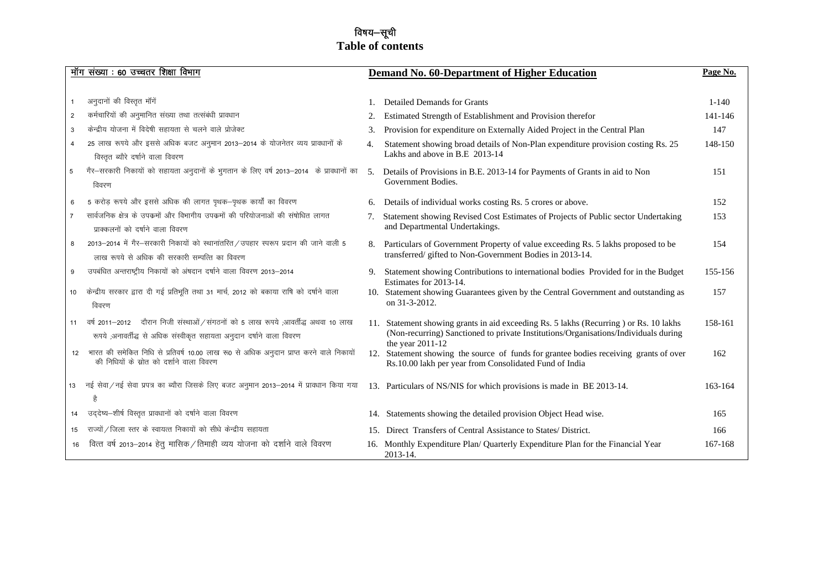# विषय—सूची **Table of contents**

|                | मॉग संख्या : 60 उच्चतर शिक्षा विभाग                                                                                                                         |                  | Demand No. 60-Department of Higher Education                                                                                                                                                      | Page No.  |
|----------------|-------------------------------------------------------------------------------------------------------------------------------------------------------------|------------------|---------------------------------------------------------------------------------------------------------------------------------------------------------------------------------------------------|-----------|
|                |                                                                                                                                                             |                  |                                                                                                                                                                                                   |           |
| 1              | अनुदानों की विस्तृत मॉगें                                                                                                                                   |                  | <b>Detailed Demands for Grants</b>                                                                                                                                                                | $1 - 140$ |
| $\overline{2}$ | कर्मचारियों की अनुमानित संख्या तथा तत्संबंधी प्रावधान                                                                                                       | 2.               | Estimated Strength of Establishment and Provision therefor                                                                                                                                        | 141-146   |
| 3              | केन्द्रीय योजना में विदेषी सहायता से चलने वाले प्रोजेक्ट                                                                                                    | 3.               | Provision for expenditure on Externally Aided Project in the Central Plan                                                                                                                         | 147       |
| 4              | 25 लाख रूपये और इससे अधिक बजट अनुमान 2013-2014 के योजनेतर व्यय प्रावधानों के<br>विस्तृत ब्यौरे दर्षाने वाला विवरण                                           | 4.               | Statement showing broad details of Non-Plan expenditure provision costing Rs. 25<br>Lakhs and above in B.E 2013-14                                                                                | 148-150   |
| 5              | गैर–सरकारी निकायों को सहायता अनुदानों के भुगतान के लिए वर्ष 2013–2014 के प्रावधानों का<br>विवरण                                                             | $\overline{5}$ . | Details of Provisions in B.E. 2013-14 for Payments of Grants in aid to Non<br>Government Bodies.                                                                                                  | 151       |
| 6              | 5 करोड़ रूपये और इससे अधिक की लागत पृथक-पृथक कार्यों का विवरण                                                                                               | 6.               | Details of individual works costing Rs. 5 crores or above.                                                                                                                                        | 152       |
| $\overline{7}$ | सार्वजनिक क्षेत्र के उपक्रमों और विभागीय उपक्रमों की परियोजनाओं की संषोधित लागत<br>प्राक्कलनों को दर्षाने वाला विवरण                                        | 7.               | Statement showing Revised Cost Estimates of Projects of Public sector Undertaking<br>and Departmental Undertakings.                                                                               | 153       |
| 8              | 2013-2014 में गैर-सरकारी निकायों को स्थानांतरित / उपहार स्परूप प्रदान की जाने वाली 5<br>लाख रूपये से अधिक की सरकारी सम्पत्ति का विवरण                       |                  | Particulars of Government Property of value exceeding Rs. 5 lakhs proposed to be<br>transferred/gifted to Non-Government Bodies in 2013-14.                                                       | 154       |
| 9              | उपबंधित अन्तराष्ट्रीय निकायों को अंषदान दर्षाने वाला विवरण 2013-2014                                                                                        | 9.               | Statement showing Contributions to international bodies Provided for in the Budget<br>Estimates for 2013-14.                                                                                      | 155-156   |
| 10             | केन्द्रीय सरकार द्वारा दी गई प्रतिभूति तथा 31 मार्च, 2012 को बकाया राषि को दर्षाने वाला<br>विवरण                                                            |                  | 10. Statement showing Guarantees given by the Central Government and outstanding as<br>on 31-3-2012.                                                                                              | 157       |
| 11             | वर्ष 2011–2012 वोरान निजी संस्थाओं / संगठनों को 5 लाख रूपये ,आवर्तीद्ध अथवा 10 लाख<br>रूपये ,अनावर्तीद्ध से अधिक संस्वीकृत सहायता अनुदान दर्षाने वाला विवरण |                  | 11. Statement showing grants in aid exceeding Rs. 5 lakhs (Recurring ) or Rs. 10 lakhs<br>(Non-recurring) Sanctioned to private Institutions/Organisations/Individuals during<br>the year 2011-12 | 158-161   |
| 12             | भारत की समेकित निधि से प्रतिवर्ष 10.00 लाख रू0 से अधिक अनुदान प्राप्त करने वाले निकायों<br>की निधियों के स्रोत को दर्शाने वाला विवरण                        |                  | 12. Statement showing the source of funds for grantee bodies receiving grants of over<br>Rs.10.00 lakh per year from Consolidated Fund of India                                                   | 162       |
| 13             | नई सेवा/नई सेवा प्रपत्र का ब्यौरा जिसके लिए बजट अनुमान 2013–2014 में प्रावधान किया गया<br>है                                                                |                  | 13. Particulars of NS/NIS for which provisions is made in BE 2013-14.                                                                                                                             | 163-164   |
| 14             | उद्देष्य-शीर्ष विस्तृत प्रावधानों को दर्षाने वाला विवरण                                                                                                     |                  | 14. Statements showing the detailed provision Object Head wise.                                                                                                                                   | 165       |
| 15             | राज्यों / जिला स्तर के स्वायत्त निकायों को सीधे केन्द्रीय सहायता                                                                                            |                  | 15. Direct Transfers of Central Assistance to States/District.                                                                                                                                    | 166       |
| 16             | वित्त वर्ष 2013-2014 हेतु मासिक / तिमाही व्यय योजना को दर्शाने वाले विवरण                                                                                   |                  | 16. Monthly Expenditure Plan/ Quarterly Expenditure Plan for the Financial Year<br>2013-14.                                                                                                       | 167-168   |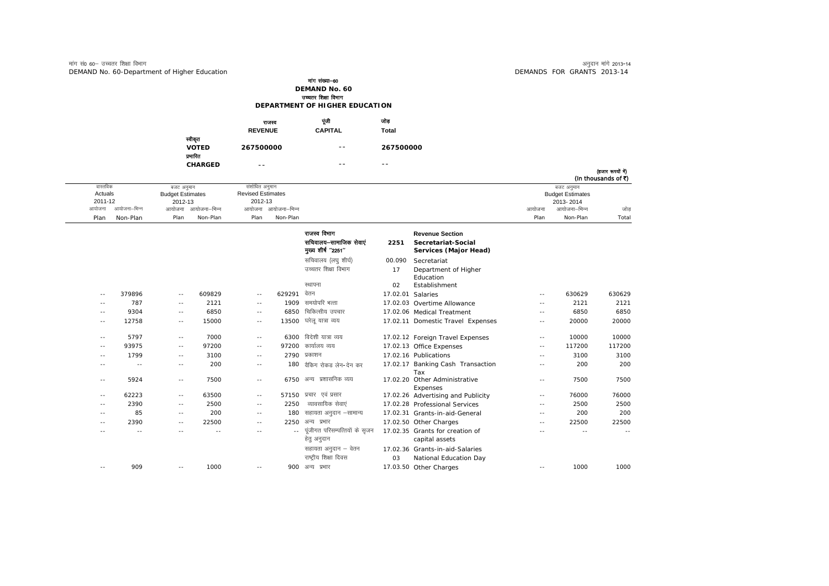$\overline{\phantom{a}}$ 

|                                     | राजस्व<br><b>REVENUE</b> | पूंजी<br><b>CAPITAL</b> | আৰ<br>Total |
|-------------------------------------|--------------------------|-------------------------|-------------|
| स्वीकृत<br><b>VOTED</b><br>प्रमारित | 267500000                | $- -$                   | 267500000   |
| <b>CHARGED</b>                      | $- -$                    | $ -$                    | $ -$        |

| (हजार रूपया न)          |        |                          |              |                                       |              |          |  |
|-------------------------|--------|--------------------------|--------------|---------------------------------------|--------------|----------|--|
| (In thousands of ₹)     |        |                          |              |                                       |              |          |  |
| बजट अनुमान              |        | संशोधित अनुमान           |              | बजट अनुमान<br><b>Budget Estimates</b> |              | वास्तविक |  |
| <b>Budget Estimates</b> |        | <b>Revised Estimates</b> |              |                                       |              | Actuals  |  |
| 2013-2014               |        | 2012-13                  |              | 2012-13                               |              | 2011-12  |  |
| जोड<br>आयोजना–भिन्न     | आयोजना | आयोजना आयोजना–भिन्न      | आयोजना–भिन्न | आयोजना                                | आयोजना–भिन्न | आयोजना   |  |
| Total<br>Non-Plan       | Plan   | Non-Plan<br>Plan         | Non-Plan     | Plan                                  | Non-Plan     | Plan     |  |

|                   |        |            |        |       |        | राजस्व विभाग<br>सचिवालय-सामाजिक सेवाएं<br>मुख्य शीर्ष "2251" | 2251     | <b>Revenue Section</b><br>Secretariat-Social<br>Services (Major Head) |            |        |        |
|-------------------|--------|------------|--------|-------|--------|--------------------------------------------------------------|----------|-----------------------------------------------------------------------|------------|--------|--------|
|                   |        |            |        |       |        | सचिवालय (लघु शीर्घ)                                          | 00.090   | Secretariat                                                           |            |        |        |
|                   |        |            |        |       |        | उच्चतर शिक्षा विभाग                                          | 17       | Department of Higher<br>Education                                     |            |        |        |
|                   |        |            |        |       |        | स्थापना                                                      | 02       | Establishment                                                         |            |        |        |
| $\qquad \qquad -$ | 379896 | $\sim$ $-$ | 609829 | $-1$  | 629291 | वेतन                                                         | 17.02.01 | Salaries                                                              | $\sim$ $-$ | 630629 | 630629 |
| $\sim$ $-$        | 787    | $- -$      | 2121   | $-1$  | 1909   | समयोपरि भत्ता                                                |          | 17.02.03 Overtime Allowance                                           | $- -$      | 2121   | 2121   |
| $ -$              | 9304   | $\sim$ $-$ | 6850   | ۰.    | 6850   | चिकित्सीय उपचार                                              |          | 17.02.06 Medical Treatment                                            | $\sim$ $-$ | 6850   | 6850   |
| $- -$             | 12758  | $- -$      | 15000  | $-1$  | 13500  | घरेलू यात्रा व्यय                                            |          | 17.02.11 Domestic Travel Expenses                                     | $-1$       | 20000  | 20000  |
| $- -$             | 5797   | $- -$      | 7000   | $-1$  | 6300   | विदेशी यात्रा व्यय                                           |          | 17.02.12 Foreign Travel Expenses                                      | $\sim$ $-$ | 10000  | 10000  |
| $ -$              | 93975  | $- -$      | 97200  | ۰.    | 97200  | कार्यालय व्यय                                                |          | 17.02.13 Office Expenses                                              | $\sim$ $-$ | 117200 | 117200 |
| $\sim$ $-$        | 1799   | $-$        | 3100   | ۰.    |        | 2790 प्रकाशन                                                 |          | 17.02.16 Publications                                                 | $- -$      | 3100   | 3100   |
|                   | $\sim$ | $-$        | 200    | ۰.    | 180    | वैकिंग रोकड लेन-देन कर                                       |          | 17.02.17 Banking Cash Transaction<br>Tax                              | $\sim$ $-$ | 200    | 200    |
| $- -$             | 5924   | $- -$      | 7500   | $-1$  | 6750   | अन्य प्रशासनिक व्यय                                          |          | 17.02.20 Other Administrative<br>Expenses                             | $\sim$ $-$ | 7500   | 7500   |
| $- -$             | 62223  | $\sim$ $-$ | 63500  | ۰.    |        | 57150 प्रचार एवं प्रसार                                      |          | 17.02.26 Advertising and Publicity                                    | $\sim$ $-$ | 76000  | 76000  |
| $ -$              | 2390   | $- -$      | 2500   | $ -$  | 2250   | व्यावसायिक सेवाएं                                            |          | 17.02.28 Professional Services                                        | $\sim$ $-$ | 2500   | 2500   |
| - -               | 85     | $- -$      | 200    | $- -$ | 180    | सहायता अनुदान –सामान्य                                       |          | 17.02.31 Grants-in-aid-General                                        | $- -$      | 200    | 200    |
| $ -$              | 2390   | $-$        | 22500  | ۰.    | 2250   | अन्य प्रभार                                                  |          | 17.02.50 Other Charges                                                | $\sim$ $-$ | 22500  | 22500  |
| - -               | $- -$  | $- -$      | $- -$  | $- -$ | $ -$   | पूंजीगत परिसम्पत्तियों के सृजन<br>हेतु अनुदान                |          | 17.02.35 Grants for creation of<br>capital assets                     | $- -$      | $- -$  | $- -$  |
|                   |        |            |        |       |        | सहायता अनुदान – वेतन<br>राष्ट्रीय शिक्षा दिवस                | 03       | 17.02.36 Grants-in-aid-Salaries<br>National Education Day             |            |        |        |
| $- -$             | 909    | $- -$      | 1000   | $- -$ |        | 900 अन्य प्रभार                                              |          | 17.03.50 Other Charges                                                | $- -$      | 1000   | 1000   |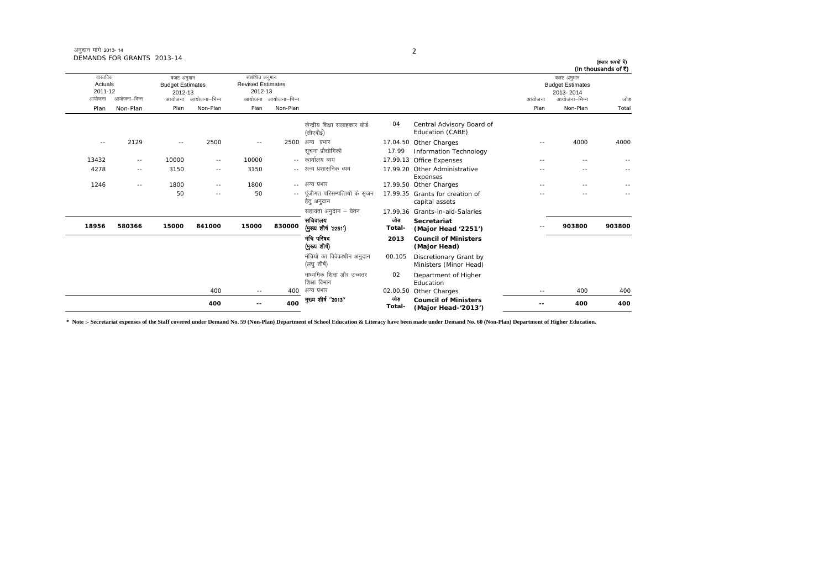| (हजार रूपयों में)<br>(In thousands of ₹) |                                                    |            |                                                    |               |                                              |                     |                                                                                                           |                     |               | DEMANDS FOR GRANTS 2013-14 |                                |  |
|------------------------------------------|----------------------------------------------------|------------|----------------------------------------------------|---------------|----------------------------------------------|---------------------|-----------------------------------------------------------------------------------------------------------|---------------------|---------------|----------------------------|--------------------------------|--|
|                                          | बजट अनुमान<br><b>Budget Estimates</b><br>2013-2014 |            |                                                    |               |                                              |                     | संशोधित अनुमान<br>बजट अनुमान<br><b>Revised Estimates</b><br><b>Budget Estimates</b><br>2012-13<br>2012-13 |                     |               |                            | वास्तविक<br>Actuals<br>2011-12 |  |
| जोड                                      | आयोजना–भिन्न                                       | आयोजना     |                                                    |               |                                              | आयोजना आयोजना-भिन्न |                                                                                                           | आयोजना आयोजना-भिन्न |               | आयोजना–भिन्न               | आयोजना                         |  |
| Total                                    | Non-Plan                                           | Plan       |                                                    |               |                                              | Non-Plan            | Plan                                                                                                      | Non-Plan            | Plan          | Non-Plan                   | Plan                           |  |
|                                          |                                                    |            | Central Advisory Board of<br>Education (CABE)      | 04            | केन्द्रीय शिक्षा सलाहकार बोर्ड<br>(सीएबीई)   |                     |                                                                                                           |                     |               |                            |                                |  |
| 4000                                     | 4000                                               | $- -$      | 17.04.50 Other Charges<br>Information Technology   | 17.99         | 2500 अन्य प्रभार<br>सूचना प्रौद्योगिकी       |                     | $\sim$ $\sim$                                                                                             | 2500                | $\sim$ $\sim$ | 2129                       | $\sim$ $-$                     |  |
|                                          | $-$                                                | $\sim$ $-$ | 17.99.13 Office Expenses                           |               | -- कार्यालय व्यय                             |                     | 10000                                                                                                     | $- -$               | 10000         | $- -$                      | 13432                          |  |
|                                          |                                                    |            | 17.99.20 Other Administrative<br>Expenses          |               | -- अन्य प्रशासनिक व्यय                       |                     | 3150                                                                                                      | $\sim$ $-$          | 3150          | $- -$                      | 4278                           |  |
|                                          | $-$                                                | - -        | 17.99.50 Other Charges                             |               | अन्य प्रभार                                  | $- -$               | 1800                                                                                                      | $ -$                | 1800          | $- -$                      | 1246                           |  |
|                                          | $-1$                                               |            | 17.99.35 Grants for creation of<br>capital assets  |               | पंजीगत परिसम्पत्तियों के सुजन<br>हेत् अनुदान | ۰.                  | 50                                                                                                        | $- -$               | 50            |                            |                                |  |
|                                          |                                                    |            | 17.99.36 Grants-in-aid-Salaries                    |               | सहायता अनुदान – वेतन                         |                     |                                                                                                           |                     |               |                            |                                |  |
| 903800                                   | 903800                                             |            | Secretariat<br>(Major Head '2251')                 | जोड<br>Total- | सचिवालय<br>(मुख्य शीर्ष '2251')              | 830000              | 15000                                                                                                     | 841000              | 15000         | 580366                     | 18956                          |  |
|                                          |                                                    |            | <b>Council of Ministers</b><br>(Major Head)        | 2013          | मंत्रि परिषद<br>(मुख्य शीर्ष)                |                     |                                                                                                           |                     |               |                            |                                |  |
|                                          |                                                    |            | Discretionary Grant by<br>Ministers (Minor Head)   | 00.105        | मंत्रियों का विवेकाधीन अनुदान<br>(लघु शीर्ष) |                     |                                                                                                           |                     |               |                            |                                |  |
|                                          |                                                    |            | Department of Higher<br>Education                  | 02            | माध्यमिक शिक्षा और उच्चतर<br>शिक्षा विभाग    |                     |                                                                                                           |                     |               |                            |                                |  |
| 400                                      | 400                                                | $- -$      | Other Charges                                      | 02.00.50      | अन्य प्रभार                                  | 400                 | $-$                                                                                                       | 400                 |               |                            |                                |  |
| 400                                      | 400                                                |            | <b>Council of Ministers</b><br>(Major Head-'2013') | जोड<br>Total- | मुख्य शीर्ष "2013"                           | 400                 | $- -$                                                                                                     | 400                 |               |                            |                                |  |

**\* Note :- Secretariat expenses of the Staff covered under Demand No. 59 (Non-Plan) Department of School Education & Literacy have been made under Demand No. 60 (Non-Plan) Department of Higher Education.**

2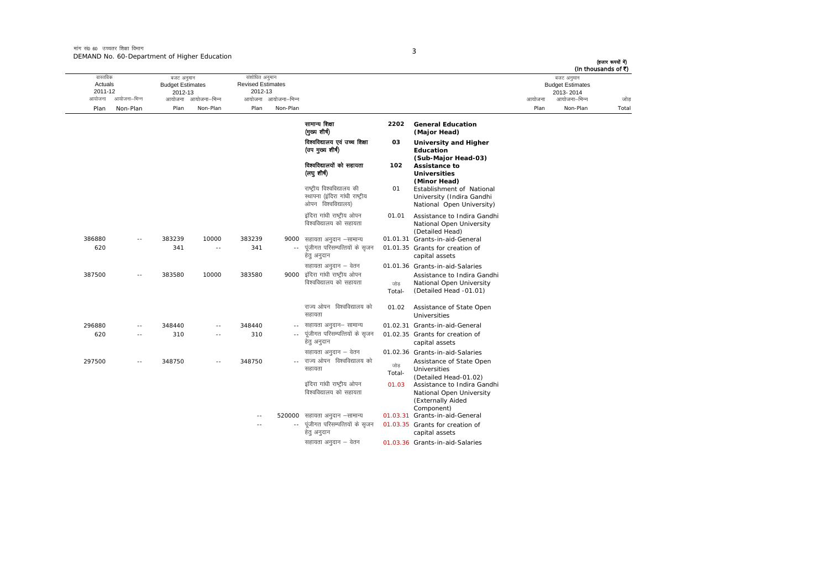मांग सं0 60 उच्चतर शिक्षा विभाग DEMAND No. 60-Department of Higher Education

|                                          |               |                                                            |                          |                                                       |                     |                                                                                     |                 |                                                                                                                      |        |                                                                    | (हजार रूपयों में)<br>(In thousands of ₹) |
|------------------------------------------|---------------|------------------------------------------------------------|--------------------------|-------------------------------------------------------|---------------------|-------------------------------------------------------------------------------------|-----------------|----------------------------------------------------------------------------------------------------------------------|--------|--------------------------------------------------------------------|------------------------------------------|
| वास्तविक<br>Actuals<br>2011-12<br>आयोजना | आयोजना-भिन्न  | बजट अनुमान<br><b>Budget Estimates</b><br>2012-13<br>आयोजना | आयोजना–भिन्न             | संशोधित अनुमान<br><b>Revised Estimates</b><br>2012-13 | आयोजना आयोजना–भिन्न |                                                                                     |                 |                                                                                                                      | आयोजना | बजट अनुमान<br><b>Budget Estimates</b><br>2013-2014<br>आयोजना–भिन्न | जोड़                                     |
| Plan                                     | Non-Plan      | Plan                                                       | Non-Plan                 | Plan                                                  | Non-Plan            |                                                                                     |                 |                                                                                                                      | Plan   | Non-Plan                                                           | Total                                    |
|                                          |               |                                                            |                          |                                                       |                     | सामान्य शिक्षा<br>(मुख्य शीर्ष)                                                     | 2202            | <b>General Education</b><br>(Major Head)                                                                             |        |                                                                    |                                          |
|                                          |               |                                                            |                          |                                                       |                     | विश्वविद्यालय एवं उच्च शिक्षा<br>(उप मुख्य शीर्ष)                                   | 03              | University and Higher<br>Education                                                                                   |        |                                                                    |                                          |
|                                          |               |                                                            |                          |                                                       |                     | विश्वविद्यालयों को सहायता<br>(लघु शीर्ष)                                            | 102             | (Sub-Major Head-03)<br>Assistance to<br><b>Universities</b><br>(Minor Head)                                          |        |                                                                    |                                          |
|                                          |               |                                                            |                          |                                                       |                     | राष्ट्रीय विश्वविद्यालय की<br>स्थापना (इंदिरा गांधी राष्ट्रीय<br>ओपन विश्वविद्यालय) | 01              | Establishment of National<br>University (Indira Gandhi<br>National Open University)                                  |        |                                                                    |                                          |
|                                          |               |                                                            |                          |                                                       |                     | इंदिरा गांधी राष्ट्रीय ओपन<br>विश्वविद्यालय को सहायता                               | 01.01           | Assistance to Indira Gandhi<br>National Open University<br>(Detailed Head)                                           |        |                                                                    |                                          |
| 386880<br>620                            | $\sim$ $\sim$ | 383239<br>341                                              | 10000<br>$\sim$ $-$      | 383239<br>341                                         | 9000                | सहायता अनुदान –सामान्य<br>पूंजीगत परिसम्पत्तियों के सृजन<br>हेतु अनुदान             |                 | 01.01.31 Grants-in-aid-General<br>01.01.35 Grants for creation of<br>capital assets                                  |        |                                                                    |                                          |
| 387500                                   | $\sim$ $-$    | 383580                                                     | 10000                    | 383580                                                | 9000                | सहायता अनुदान – वेतन<br>इंदिरा गांधी राष्ट्रीय ओपन<br>विश्वविद्यालय को सहायता       | जोड<br>Total-   | 01.01.36 Grants-in-aid-Salaries<br>Assistance to Indira Gandhi<br>National Open University<br>(Detailed Head -01.01) |        |                                                                    |                                          |
|                                          |               |                                                            |                          |                                                       |                     | राज्य ओपन विश्वविद्यालय को<br>सहायता                                                | 01.02           | Assistance of State Open<br><b>Universities</b>                                                                      |        |                                                                    |                                          |
| 296880                                   | $\sim$ $-$    | 348440                                                     | $\sim$                   | 348440                                                |                     | सहायता अनुदान– सामान्य                                                              |                 | 01.02.31 Grants-in-aid-General                                                                                       |        |                                                                    |                                          |
| 620                                      |               | 310                                                        |                          | 310                                                   |                     | पूंजीगत परिसम्पत्तियों के सृजन<br>हेतु अनुदान                                       |                 | 01.02.35 Grants for creation of<br>capital assets                                                                    |        |                                                                    |                                          |
| 297500                                   | $\sim$ $-$    | 348750                                                     | $\overline{\phantom{a}}$ | 348750                                                |                     | सहायता अनुदान – वेतन<br>राज्य ओपन विश्वविद्यालय को                                  | जोड             | 01.02.36 Grants-in-aid-Salaries<br>Assistance of State Open                                                          |        |                                                                    |                                          |
|                                          |               |                                                            |                          |                                                       |                     | सहायता<br>इंदिरा गांधी राष्ट्रीय ओपन                                                | Total-<br>01.03 | <b>Universities</b><br>(Detailed Head-01.02)<br>Assistance to Indira Gandhi                                          |        |                                                                    |                                          |
|                                          |               |                                                            |                          |                                                       |                     | विश्वविद्यालय को सहायता                                                             |                 | National Open University<br>(Externally Aided<br>Component)                                                          |        |                                                                    |                                          |
|                                          |               |                                                            |                          |                                                       |                     | 520000 सहायता अनुदान -सामान्य                                                       |                 | 01.03.31 Grants-in-aid-General                                                                                       |        |                                                                    |                                          |
|                                          |               |                                                            |                          |                                                       |                     | पूंजीगत परिसम्पत्तियों के सृजन<br>हेतु अनुदान                                       |                 | 01.03.35 Grants for creation of<br>capital assets                                                                    |        |                                                                    |                                          |
|                                          |               |                                                            |                          |                                                       |                     | सहायता अनुदान – वेतन                                                                |                 | 01.03.36 Grants-in-aid-Salaries                                                                                      |        |                                                                    |                                          |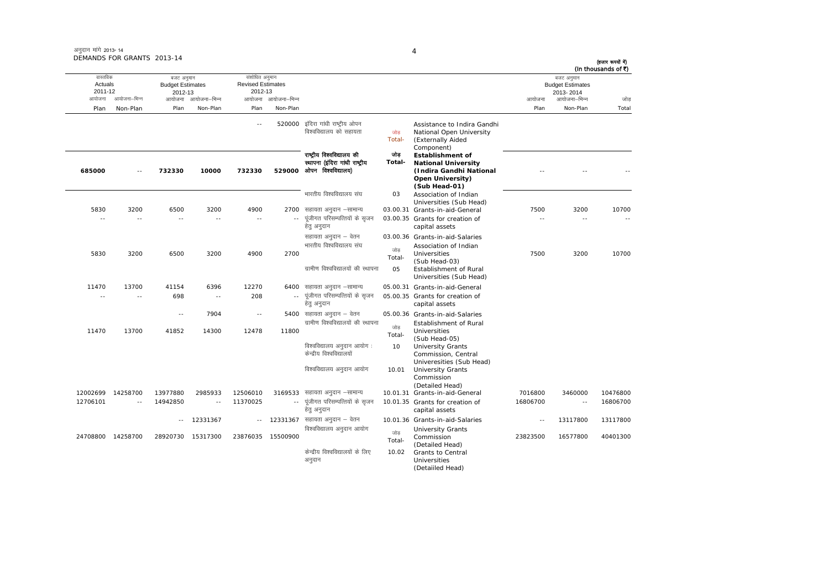## अनदान मांगे 2013-14 DEMANDS FOR GRANTS 2013-14

आयोजना आयोजना-भिन्न आयोजना आयोजना-भिन्न - आयोजना आयोजना-भिन्न न अपयोजना—भिन्न जाउँ विकास समिति । अपनी अपयोजना आयोजना—भिन्न जोड Plan Non-Plan Plan Non-Plan Plan Non-Plan Plan Non-Plan Total तास्ततिक Actuals2011-12बजट अनुमान Budget Estimates 2012-13संशोधित अनुमान Revised Estimates2012-13 बजट अनुमान Budget Estimates 2013- 2014(हजार रूपयों में) (In thousands of  $\bar{x}$ ) --520000 इंदिरा गांधी राष्ट्रीय ओपन विश्वविद्यालय को सहायता <sup>तो उल</sup>के Total-Assistance to Indira Gandhi National Open University (Externally Aided Component)<br>Establishment of **685000** -- **732330 10000 732330 529000** राष्टीय विश्वविद्यालय की स्थापना (इंदिरा गांधी राष्टीय ः<br>ओपन विश्वविद्यालय) जोड **Total-National University (Indira Gandhi National Open University) (Sub Head-01)** -- -- --भारतीय विश्वविद्यालय संघ 03 Association of Indian Universities (Sub Head) 5830 3200 6500 3200 4900 2700 lgk;rk vuqnku &lkekU; 03.00.31 Grants-in-aid-General 7500 3200 10700 -- -- -- -- -- --.. पुंजीगत परिसम्पत्तियों के सुजन हेत् अनुदान 03.00.35 Grants for creation of capital assets -- -- --सहायता अनुदान – वेतन <br />
03.00.36 Grants-in-aid-Salaries 5830 3200 6500 3200 4900 27002700 भारतीय विश्वविद्यालय संघ  $\overrightarrow{u}$ Total-Association of Indian Universities Universities 7500 3200 10700<br>(Sub Head-03) <u>गामीण विश्वविद्यालयों की स्थापना</u> 05 Establishment of Rural Universities (Sub Head) 11470 13700 41154 6396 12270 640005.00.31 Grants-in-aid-General -- -- 698 -- 208 --.. पूंजीगत परिसम्पत्तियों के सृजन हेत् अनुदान 05.00.35 Grants for creation of capital assets -- 7904 -- 5400सहायता अनुदान – वेतन <br />
05.00.36 Grants-in-aid-Salaries 11470 13700 41852 14300 12478 11800.<br>ग्रामीण विश्वविद्यालयों की स्थापना  $\frac{1}{100}$ Total-Establishment of Rural Universities (Sub Head-05) विश्वविद्यालय अनुदान आयोग: केन्द्रीय विश्वविद्यालयों 10 University Grants Commission, Central Univeresities (Sub Head) विश्वविद्यालय अनुदान आयोग 10.01 Commission (Detailed Head) 12002699 14258700 13977880 2985933 12506010 3169533 lgk;rk vuqnku &lkekU; 10.01.31 Grants-in-aid-General 7016800 3460000 10476800 12706101 -- 14942850 -- 11370025 ---- पंजीगत परिसम्पत्तियों के सजन हेतु अनुदान 10.01.35 Grants for creation of capital assets 16806700 -- 16806700 --12331367 -- 12331367 सहायता अनुदान – वेतन lgk;rk vuqnku & osru 10.01.36 Grants-in-aid-Salaries -- <sup>13117800</sup> <sup>13117800</sup> 24708800 14258700 28920730 15317300 23876035 15500900 विश्वविद्यालय अनुदान आयोग Total-University Grants Commission (Detailed Head) <sup>23823500</sup> <sup>16577800</sup> <sup>40401300</sup> केन्द्रीय विश्वविद्यालयों के लिए अनुदान 10.02 Grants to Central Universities (Detaiiled Head)

4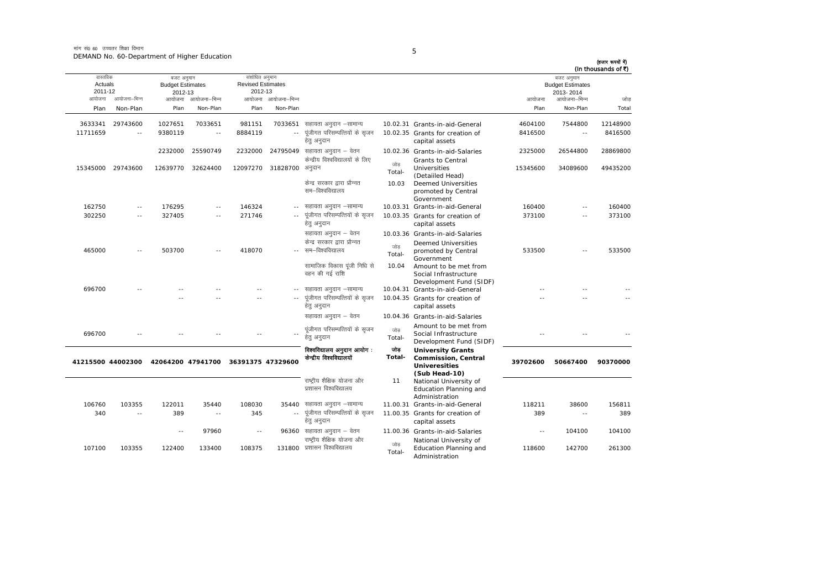आयोजना आयोजना-भिन्न आयोजना आयोजना-भिन्न - आयोजना आयोजना-भिन्न न अपयोजना—भिन्न जाउँ विकास समिति । अपनी अपयोजना आयोजना—भिन्न जोड Plan Non-Plan Plan Non-Plan Plan Non-Plan Plan Non-Plan Total तास्ततिक Actuals2011-12बजट अनुमान Budget Estimates 2012-13संशोधित अनमान Revised Estimates2012-13बजट अनुमान Budget Estimates 2013- 2014(हजार रूपयों में) (In thousands of  $\bar{x}$ ) 3633341 29743600 1027651 7033651 981151 7033651 lgk;rk vuqnku &lkekU; 10.02.31 Grants-in-aid-General 4604100 7544800 12148900 11711659 -- 9380119 -- 8884119 ---- पंजीगत परिसम्पत्तियों के सजन हेत् अनुदान 10.02.35 Grants for creation of capital assets 8416500 -- 84165002232000 25590749 2232000 24795049 lgk;rk vuqnku & osru 10.02.36 Grants-in-aid-Salaries <sup>2325000</sup> <sup>26544800</sup> <sup>28869800</sup> 15345000 29743600 12639770 32624400 12097270 31828700केन्द्रीय विश्वविद्यालयों के लिए ं प्राप्ताः सारा सारा सम्मद्भा साम्राज्ञेहरू<br>-Total Grants to Central Universities (Detaiiled Head) <sup>15345600</sup> <sup>34089600</sup> <sup>49435200</sup> केन्द्र सरकार द्वारा प्रौन्नत सम–विश्वविद्यालय 10.03 Deemed Universities promoted by Central Government162750 -- 176295 -- 146324 - lgk;rk vuqnku &lkekU; 10.03.31 Grants-in-aid-General 160400 -- 160400 302250 -- 327405 -- 271746 ---- पंजीगत परिसम्पत्तियों के सजन हेत् अनुदान 10.03.35 Grants for creation of capital assets 373100 -- 373100सहायता अनुदान – वेतन 10.03.36 Grants-in-aid-Salaries 465000 -- 503700 -- 418070 --केन्द्र सरकार द्वारा प्रौन्नत सम—विश्वविद्यालय जोड़<br>Total- Deemed Universities promoted by Central Government <sup>533500</sup> -- <sup>533500</sup> सामाजिक विकास पंजी निधि से वहन की गई राशि 10.04 Amount to be met from Social Infrastructure Development Fund (SIDF) 696700 -- -- -- -- - lgk;rk vuqnku &lkekU; 10.04.31 Grants-in-aid-General -- -- -- -- -- ---- पूंजीगत परिसम्पत्तियों के सृजन हेतु अनुदान 10.04.35 Grants for creation of capital assets -- --सहायता अनदान – वेतन  $10.04.36$  Grants-in-aid-Salaries 696700 -- -- -- -- - iwathxr ifjlEifRr;ksa ds l`tu gsrq vuqnku tksM+ Total- Amount to be met from Social Infrastructure Development Fund (SIDF) -- -- -- **41215500 44002300 42064200 47941700 36391375 47329600** विश्वविद्यालय अनुदान आयोग: केन्द्रीय विश्वविद्यालयों স্ৰাৱ **Total-University Grants Commission, Central Univeresities (Sub Head-10) 39702600 50667400 90370000** राष्टीय शैक्षिक योजना और प्रशासन विश्वविद्यालय 11 National University of Education Planning and Administration lgk;rk vuqnku &lkekU; 11.00.31 Grants-in-aid-General 118211 38600 156811 106760 103355 122011 35440 108030 35440340 -- 389 -- 345 ---- पुंजीगत परिसम्पत्तियों के सुजन हेत् अनुदान 11.00.35 Grants for creation of capital assets 389 -- 389-- 97960 -- 96360 lgk;rk vuqnku & osru 11.00.36 Grants-in-aid-Salaries -- <sup>104100</sup> <sup>104100</sup> 107100 103355 122400 133400 108375 0 प्रशासन विश्वविद्यालय राष्टीय शैक्षिक योजना और जोड़<br>Total- National University of Education Planning and Administration<sup>118600</sup> <sup>142700</sup> <sup>261300</sup>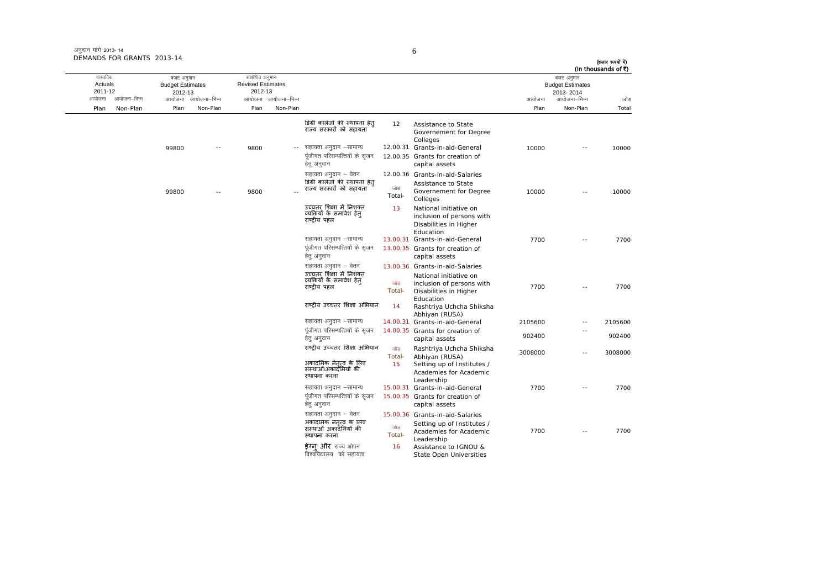# अनुदान मांगे 2013- 14 DEMANDS FOR GRANTS 2013-14

## 6

(हजार रूपयों में)<br>(In thousands of ₹)

| वास्तविक<br>Actuals<br>2011-12 | बजट अनुमान<br><b>Budget Estimates</b><br>2012-13 |                          | संशोधित अनुमान<br><b>Revised Estimates</b><br>2012-13 |                     |                                                                                   |               |                                                                                              |         | बजट अनुमान<br><b>Budget Estimates</b><br>2013-2014 | (in thousands of <) |
|--------------------------------|--------------------------------------------------|--------------------------|-------------------------------------------------------|---------------------|-----------------------------------------------------------------------------------|---------------|----------------------------------------------------------------------------------------------|---------|----------------------------------------------------|---------------------|
| आयोजना–भिन्न<br>आयोजना         |                                                  | आयोजना आयोजना–भिन्न      |                                                       | आयोजना आयोजना-भिन्न |                                                                                   |               |                                                                                              | आयोजना  | आयोजना–भिन्न                                       | जोड                 |
| Plan<br>Non-Plan               | Plan                                             | Non-Plan                 | Plan                                                  | Non-Plan            |                                                                                   |               |                                                                                              | Plan    | Non-Plan                                           | Total               |
|                                |                                                  |                          |                                                       |                     | डिग्री कालेजों की स्थापना हेत<br>राज्य सरकारों को सहायता                          | 12            | Assistance to State<br>Governement for Degree<br>Colleges                                    |         |                                                    |                     |
|                                | 99800                                            | $\overline{\phantom{a}}$ | 9800                                                  | $\sim$ $-$          | सहायता अनुदान –सामान्य<br>पूंजीगत परिसम्पत्तियों के सुजन<br>हेत् अनुदान           |               | 12.00.31 Grants-in-aid-General<br>12.00.35 Grants for creation of<br>capital assets          | 10000   | $\sim$ $-$                                         | 10000               |
|                                | 99800                                            | $-1$                     | 9800                                                  |                     | सहायता अनुदान – वेतन<br>डिग्री कालेजों की स्थापना हेत्<br>राज्य सरकारों को सहायता | जोड<br>Total- | 12.00.36 Grants-in-aid-Salaries<br>Assistance to State<br>Governement for Degree<br>Colleges | 10000   | $\sim$ $-$                                         | 10000               |
|                                |                                                  |                          |                                                       |                     | उच्चतर शिक्षा में निशक्त<br>व्यक्तियों के समावेश हेत<br>राष्टीय पहल               | 13            | National initiative on<br>inclusion of persons with<br>Disabilities in Higher<br>Education   |         |                                                    |                     |
|                                |                                                  |                          |                                                       |                     | सहायता अनुदान –सामान्य                                                            |               | 13.00.31 Grants-in-aid-General                                                               | 7700    | $\sim$ $-$                                         | 7700                |
|                                |                                                  |                          |                                                       |                     | पूंजीगत परिसम्पत्तियों के सृजन<br>हेतु अनुदान                                     |               | 13.00.35 Grants for creation of<br>capital assets                                            |         |                                                    |                     |
|                                |                                                  |                          |                                                       |                     | सहायता अनुदान – वेतन                                                              |               | 13.00.36 Grants-in-aid-Salaries                                                              |         |                                                    |                     |
|                                |                                                  |                          |                                                       |                     | उच्चतर शिक्षा में निशक्त<br>व्यक्तियों के समावेश हेत्<br>राष्ट्रीय पहल            | जोड<br>Total- | National initiative on<br>inclusion of persons with<br>Disabilities in Higher<br>Education   | 7700    | $\sim$ $\sim$                                      | 7700                |
|                                |                                                  |                          |                                                       |                     | राष्ट्रीय उच्चतर शिक्षा अभियान                                                    | 14            | Rashtriya Uchcha Shiksha<br>Abhiyan (RUSA)                                                   |         |                                                    |                     |
|                                |                                                  |                          |                                                       |                     | सहायता अनुदान –सामान्य                                                            |               | 14.00.31 Grants-in-aid-General                                                               | 2105600 | $\overline{\phantom{a}}$                           | 2105600             |
|                                |                                                  |                          |                                                       |                     | पूंजीगत परिसम्पत्तियों के सृजन<br>हेतु अनुदान                                     |               | 14,00.35 Grants for creation of<br>capital assets                                            | 902400  |                                                    | 902400              |
|                                |                                                  |                          |                                                       |                     | राष्ट्रीय उच्चतर शिक्षा अभियान                                                    | जोड<br>Total- | Rashtriya Uchcha Shiksha<br>Abhiyan (RUSA)                                                   | 3008000 | $\sim$ $\sim$                                      | 3008000             |
|                                |                                                  |                          |                                                       |                     | अकार्दामेक नेतृत्व के लिए<br>संस्थाओं अकार्दमियों की<br>स्थापना करना              | 15            | Setting up of Institutes /<br>Academies for Academic<br>Leadership                           |         |                                                    |                     |
|                                |                                                  |                          |                                                       |                     | सहायता अनुदान –सामान्य                                                            |               | 15.00.31 Grants-in-aid-General                                                               | 7700    |                                                    | 7700                |
|                                |                                                  |                          |                                                       |                     | पूंजीगत परिसम्पत्तियों के सृजन<br>हेत् अनुदान                                     |               | 15.00.35 Grants for creation of<br>capital assets                                            |         |                                                    |                     |
|                                |                                                  |                          |                                                       |                     | सहायता अनुदान – वेतन                                                              |               | 15.00.36 Grants-in-aid-Salaries                                                              |         |                                                    |                     |
|                                |                                                  |                          |                                                       |                     | अकार्दामेक नेतृत्व के लिए<br>संस्थाओं अकादॅमियों की<br>स्थापना करना               | जोड<br>Total- | Setting up of Institutes /<br>Academies for Academic<br>Leadership                           | 7700    | $\sim$                                             | 7700                |
|                                |                                                  |                          |                                                       |                     | <b>डेग्न और</b> राज्य ओपन<br>विश्वविद्यालय) को सहायता                             | 16            | Assistance to IGNOU &<br><b>State Open Universities</b>                                      |         |                                                    |                     |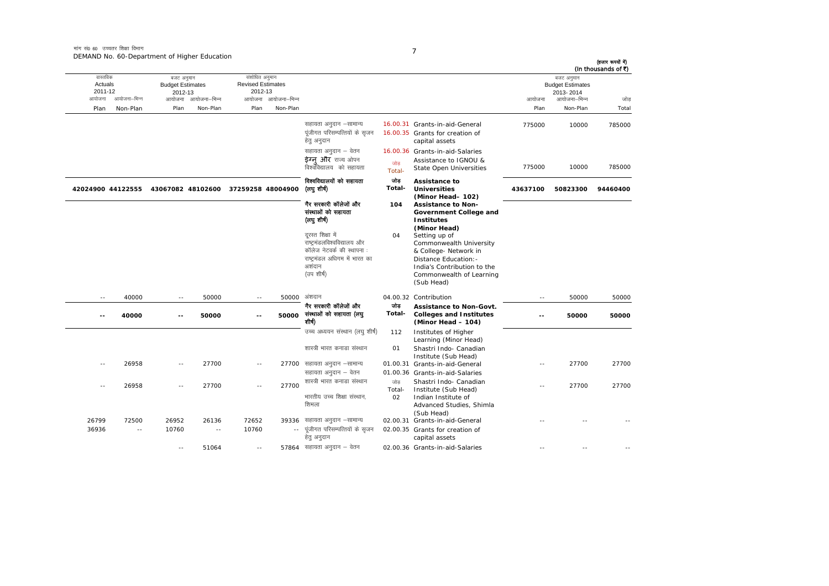| (In thousands of ₹) |                                                    |               |                                                                                                                                                                                     |                     |                                                                                                                                        |                     | संशोधित अनुमान                      |                     |                                                  |              | वास्तविक           |
|---------------------|----------------------------------------------------|---------------|-------------------------------------------------------------------------------------------------------------------------------------------------------------------------------------|---------------------|----------------------------------------------------------------------------------------------------------------------------------------|---------------------|-------------------------------------|---------------------|--------------------------------------------------|--------------|--------------------|
|                     | बजट अनुमान<br><b>Budget Estimates</b><br>2013-2014 |               |                                                                                                                                                                                     |                     |                                                                                                                                        |                     | <b>Revised Estimates</b><br>2012-13 |                     | बजट अनुमान<br><b>Budget Estimates</b><br>2012-13 |              | Actuals<br>2011-12 |
| जोड                 | आयोजना–भिन्न                                       | आयोजना        |                                                                                                                                                                                     |                     |                                                                                                                                        | आयोजना आयोजना–भिन्न |                                     | आयोजना आयोजना-भिन्न |                                                  | आयोजना–भिन्न | आयोजना             |
| Total               | Non-Plan                                           | Plan          |                                                                                                                                                                                     |                     |                                                                                                                                        | Non-Plan            | Plan                                | Non-Plan            | Plan                                             | Non-Plan     | Plan               |
| 785000              | 10000                                              | 775000        | 16.00.31 Grants-in-aid-General<br>16.00.35 Grants for creation of<br>capital assets                                                                                                 |                     | सहायता अनुदान –सामान्य<br>पूंजीगत परिसम्पत्तियों के सृजन<br>हेतु अनुदान                                                                |                     |                                     |                     |                                                  |              |                    |
|                     |                                                    |               | 16.00.36 Grants-in-aid-Salaries                                                                                                                                                     |                     | सहायता अनुदान – वेतन                                                                                                                   |                     |                                     |                     |                                                  |              |                    |
| 785000              | 10000                                              | 775000        | Assistance to IGNOU &<br><b>State Open Universities</b>                                                                                                                             | जोड<br>Total-       | ईग्न और राज्य ओपन<br>विश्वविद्यालय को सहायता                                                                                           |                     |                                     |                     |                                                  |              |                    |
| 94460400            | 50823300                                           | 43637100      | Assistance to<br><b>Universities</b>                                                                                                                                                | जोड<br>Total-       | विश्वविद्यालयों को सहायता<br>(तयु शीर्ष)                                                                                               |                     | 37259258 48004900                   |                     | 43067082 48102600                                |              | 42024900 44122555  |
|                     |                                                    |               | (Minor Head- 102)<br>Assistance to Non-<br>Government College and<br><b>Institutes</b>                                                                                              | 104                 | गैर सरकारी कॉलेजों और<br>संस्थाओं को सहायता<br>(लघु शीर्ष)                                                                             |                     |                                     |                     |                                                  |              |                    |
|                     |                                                    |               | (Minor Head)<br>Setting up of<br>Commonwealth University<br>& College- Network in<br>Distance Education: -<br>India's Contribution to the<br>Commonwealth of Learning<br>(Sub Head) | 04                  | दरस्त शिक्षा में<br>राष्ट्रमंडलविश्वविद्यालय और<br>कॉलेज नेटवर्क की स्थापना :<br>राष्ट्रमंडल अधिगम में भारत का<br>अशंदान<br>(उप शीर्ष) |                     |                                     |                     |                                                  |              |                    |
| 50000               | 50000                                              | $\sim$ $-$    | 04.00.32 Contribution                                                                                                                                                               |                     | अंशदान                                                                                                                                 | 50000               | $\sim$ $-$                          | 50000               | $\sim$ $\sim$                                    | 40000        | $\sim$ $-$         |
| 50000               | 50000                                              | --            | <b>Assistance to Non-Govt.</b><br><b>Colleges and Institutes</b><br>(Minor Head - 104)                                                                                              | जोड<br>Total-       | गैर सरकारी कॉलेजों और<br>संस्थाओं को सहायता (लघु<br>शीर्ष)                                                                             | 50000               | ۰.                                  | 50000               | $\sim$                                           | 40000        | $\overline{a}$     |
|                     |                                                    |               | Institutes of Higher<br>Learning (Minor Head)                                                                                                                                       | 112                 | उच्च अध्ययन संस्थान (लघु शीर्ष)                                                                                                        |                     |                                     |                     |                                                  |              |                    |
|                     |                                                    |               | Shastri Indo- Canadian<br>Institute (Sub Head)                                                                                                                                      | 01                  | शास्त्री भारत कनाडा संस्थान                                                                                                            |                     |                                     |                     |                                                  |              |                    |
| 27700               | 27700                                              | $\sim$ $-$    | 01.00.31 Grants-in-aid-General                                                                                                                                                      |                     | 27700 सहायता अनुदान –सामान्य                                                                                                           |                     | $\overline{a}$                      | 27700               | $\sim$                                           | 26958        | $-$                |
|                     |                                                    |               | 01.00.36 Grants-in-aid-Salaries                                                                                                                                                     |                     | सहायता अनुदान – वेतन                                                                                                                   |                     |                                     |                     |                                                  |              |                    |
| 27700               | 27700                                              | $\sim$ $\sim$ | Shastri Indo- Canadian<br>Institute (Sub Head)<br>Indian Institute of<br>Advanced Studies, Shimla<br>(Sub Head)                                                                     | जोड<br>Total-<br>02 | शास्त्री भारत कनाडा संस्थान<br>भारतीय उच्च शिक्षा संस्थान,<br>शिमला                                                                    | 27700               | $\sim$                              | 27700               | $\sim$                                           | 26958        | ٠.                 |
|                     |                                                    |               | 02.00.31 Grants-in-aid-General                                                                                                                                                      |                     | सहायता अनुदान –सामान्य                                                                                                                 | 39336               | 72652                               | 26136               | 26952                                            | 72500        | 26799              |
|                     |                                                    |               | 02.00.35 Grants for creation of<br>capital assets                                                                                                                                   |                     | पूंजीगत परिसम्पत्तियों के सृजन<br>हेतु अनुदान                                                                                          | $\sim$ $\sim$       | 10760                               | $\sim$ $-$          | 10760                                            | $\sim$ $-$   | 36936              |
|                     |                                                    |               | 02.00.36 Grants-in-aid-Salaries                                                                                                                                                     |                     | 57864 सहायता अनुदान - वेतन                                                                                                             |                     | $\sim$ $-$                          | 51064               |                                                  |              |                    |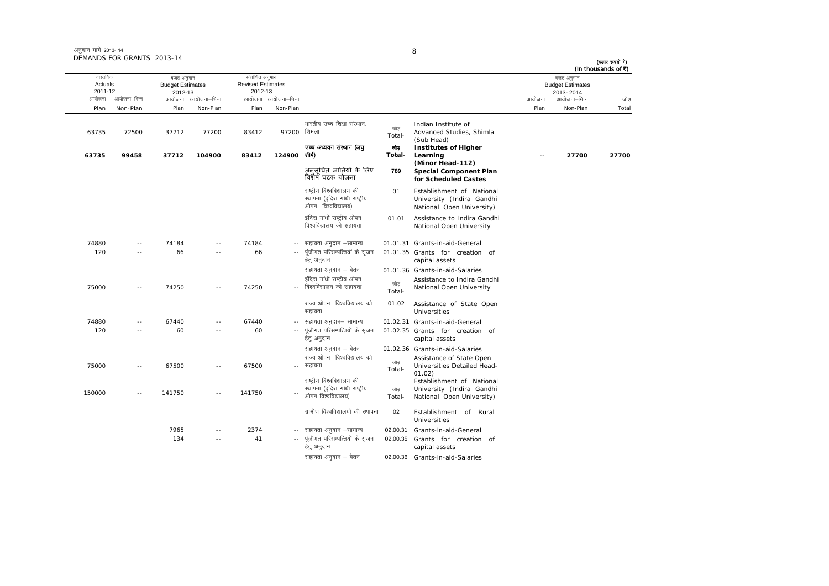## अनुदान मांगे 2013-14 DEMANDS FOR GRANTS 2013-14

ш,

|                                                          | DEMANDS FOR GRANTS 2013-14 |                                                                         |            |                                                                              |             |                                                                                     |               |                                                                                            |                |                                                                                | (हजार रूपयों में)<br>(In thousands of ₹) |
|----------------------------------------------------------|----------------------------|-------------------------------------------------------------------------|------------|------------------------------------------------------------------------------|-------------|-------------------------------------------------------------------------------------|---------------|--------------------------------------------------------------------------------------------|----------------|--------------------------------------------------------------------------------|------------------------------------------|
| वास्तविक<br>Actuals<br>2011-12<br>आयोजना–भिन्न<br>आयोजना |                            | बजट अनुमान<br><b>Budget Estimates</b><br>2012-13<br>आयोजना आयोजना–भिन्न |            | संशोधित अनुमान<br><b>Revised Estimates</b><br>2012-13<br>आयोजना आयोजना–भिन्न |             |                                                                                     |               |                                                                                            | आयोजना<br>Plan | बजट अनुमान<br><b>Budget Estimates</b><br>2013-2014<br>आयोजना–भिन्न<br>Non-Plan | जोड़<br>Total                            |
| Plan                                                     | Non-Plan                   | Plan                                                                    | Non-Plan   | Plan                                                                         | Non-Plan    |                                                                                     |               |                                                                                            |                |                                                                                |                                          |
| 63735                                                    | 72500                      | 37712                                                                   | 77200      | 83412                                                                        | 97200 शिमला | भारतीय उच्च शिक्षा संस्थान.                                                         | जोड<br>Total- | Indian Institute of<br>Advanced Studies, Shimla<br>(Sub Head)                              |                |                                                                                |                                          |
| 63735                                                    | 99458                      | 37712                                                                   | 104900     | 83412                                                                        | 124900      | उच्च अध्ययन संस्थान (लघु<br>शीर्ष)                                                  | जोड<br>Total- | <b>Institutes of Higher</b><br>Learning                                                    |                | 27700                                                                          | 27700                                    |
|                                                          |                            |                                                                         |            |                                                                              |             | अनुसूचित जातियों के लिए<br>विशैषं घटक योजना                                         | 789           | (Minor Head-112)<br><b>Special Component Plan</b><br>for Scheduled Castes                  |                |                                                                                |                                          |
|                                                          |                            |                                                                         |            |                                                                              |             | राष्ट्रीय विश्वविद्यालय की<br>स्थापना (इंदिरा गांधी राष्ट्रीय<br>ओपन विश्वविद्यालय) | 01            | Establishment of National<br>University (Indira Gandhi<br>National Open University)        |                |                                                                                |                                          |
|                                                          |                            |                                                                         |            |                                                                              |             | इंदिरा गांधी राष्ट्रीय ओपन<br>विश्वविद्यालय को सहायता                               | 01.01         | Assistance to Indira Gandhi<br>National Open University                                    |                |                                                                                |                                          |
| 74880                                                    | $ -$                       | 74184                                                                   | ۰.         | 74184                                                                        | $- -$       | सहायता अनुदान –सामान्य                                                              |               | 01.01.31 Grants-in-aid-General                                                             |                |                                                                                |                                          |
| 120                                                      | $- -$                      | 66                                                                      | $\sim$ $-$ | 66                                                                           | $\sim$ $-$  | पूंजीगत परिसम्पत्तियों के सृजन<br>हेत् अनुदान                                       |               | 01.01.35 Grants for creation of<br>capital assets                                          |                |                                                                                |                                          |
| 75000                                                    | $\sim$ $-$                 | 74250                                                                   | ۰.         | 74250                                                                        |             | सहायता अनुदान – वेतन<br>इंदिरा गांधी राष्ट्रीय ओपन<br>विश्वविद्यालय को सहायता       | जोड<br>Total- | 01.01.36 Grants-in-aid-Salaries<br>Assistance to Indira Gandhi<br>National Open University |                |                                                                                |                                          |
|                                                          |                            |                                                                         |            |                                                                              |             | राज्य ओपन विश्वविद्यालय को<br>सहायता                                                | 01.02         | Assistance of State Open<br><b>Universities</b>                                            |                |                                                                                |                                          |
| 74880                                                    | $\sim$ $-$                 | 67440                                                                   | ۰.         | 67440                                                                        |             | -- सहायता अनुदान– सामान्य                                                           |               | 01.02.31 Grants-in-aid-General                                                             |                |                                                                                |                                          |

हेतु अनुदान

 $\sim$ 

7965 -- 2374 --

134 -- 41 --

ती हो जोड़<br>- सहायता सहायता ।<br>- Total-राज्य ओपन विश्वविद्यालय को

राष्टीय विश्वविद्यालय की स्थापना (इंदिरा गांधी राष्ट्रीय ्<br>ओपन विश्वविद्यालय)

ग्रामीण विश्वविद्यालयों की स्थापना

-- पूंजीगत परिसम्पत्तियों के सृजन हेतु अनुदान

120 -- 60 -- 60 --

75000 -- 67500 -- 67500 --

150000 -- 141750 -- 141750 --

- पूंजीगत परिसम्पत्तियों के सृजन 01.02.35 Grants for creation of

सहायता अनुदान – वेतन cotil 01.02.36 Grants-in-aid-Salaries

जोड Total-

02

सहायता अनदान  $-$  वेतन  $02.00.36$  Grants-in-aid-Salaries

capital assets

Assistance of State Open<br>Total- Universities Detailed Head-<br>01.02)

 Establishment of Rural Universities

02.00.31 Grants-in-aid-General

02.00.35 Grants for creation of capital assets

Establishment of National University (Indira Gandhi National Open University)

27700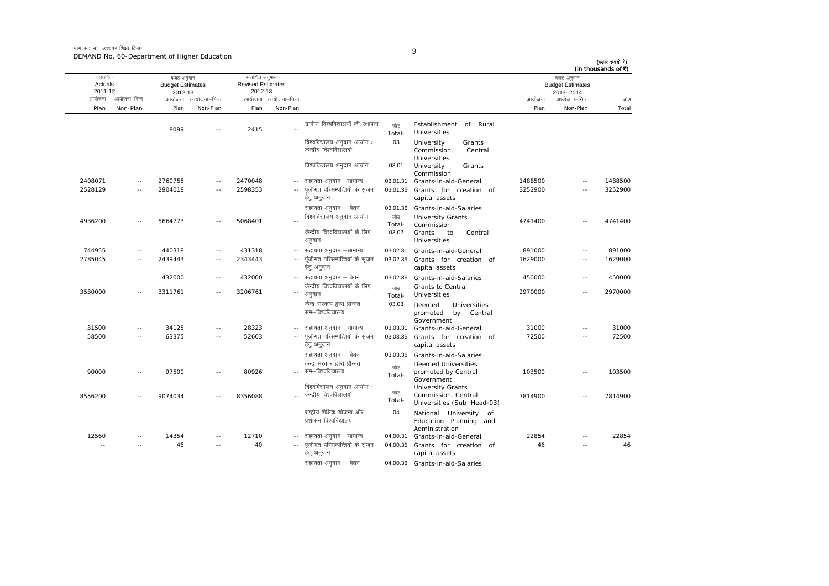मांग सं $\rho$  60 जच्चतर शिक्षा विभाग DEMAND No. 60-Department of Higher Education

| × |
|---|
| ٦ |
|   |

आयोजना आयोजना-भिन्न आयोजना आयोजना-भिन्न - आयोजना आयोजना-भिन्न न अपयोजना—भिन्न जाउँ विकास समिति । अपनी अपयोजना आयोजना—भिन्न जोड Plan Non-Plan Plan Non-Plan Plan Non-Plan Plan Non-Plan Total तास्ततिक Actuals2011-12बजट अनुमान Budget Estimates 2012-13संशोधित अनमान Revised Estimates2012-13 बजट अनुमान Budget Estimates 2013- 2014(हजार रूपयों में) (In thousands of  $\bar{x}$ ) 8099 -- 2415 --ग्रामीण विश्वविद्यालयों की स्थापना जोड Total-Establishment of Rural Universities विश्वविद्यालय अनुदान आयोग केन्द्रीय विश्वविद्यालयों 03 University Grants Commission, Central Universities विश्वविद्यालय अनुदान आयोग 03.01 University Grants Commission lgk;rk vuqnku &lkekU; 03.01.31 Grants-in-aid-General 1488500 -- 1488500 2408071 -- 2760755 -- 2470048 -- सहायता अनुदान –सामान्य 2528129 -- 2904018 -- 2598353 --.. पूंजीगत परिसम्पत्तियों के सृजन हेतु अनुदान 03.01.35 Grants for creation of capital assets 3252900 -- 3252900सहायता अनुदान – वेतन <br />
03.01.36 Grants-in-aid-Salaries 4936200 -- 5664773 -- 5068401 -fवेश्वविद्यालय अनुदान आयोग <sup>जोड़</sup><br>-Total University Grants Commission <sup>4741400</sup> -- <sup>4741400</sup> केन्द्रीय विश्वविद्यालयों के लिए अनुदान 03.02Grants to Central Universities744955 -- 440318 -- 431318 --03.02.31 Grants-in-aid-General 891000 -- 891000 2785045 -- 2439443 -- 2343443 ---- पंजीगत परिसम्पत्तियों के सजन हेतु अनुदान 03.02.35 Grants for creation of capital assets 1629000 -- 1629000432000 -- 432000 -- सहायता अनुदान – वेतन 03.02.36 Grants-in-aid-Salaries 450000 -- 450000 3530000 -- 3311761 -- 3206761 " अनुदान केन्द्रीय विश्वविद्यालयों के लिए  $\frac{1}{\sin x}$ Total-Grants to Central Universities 2970000 -- <sup>2970000</sup> केन्द्र सरकार द्वारा प्रौन्नत सम–विश्वविद्यालय 03.03 Deemed Universitiespromoted by Central **Government**  lgk;rk vuqnku &lkekU; 03.03.31 Grants-in-aid-General 31000 -- 31000  $31500$  --  $34125$  --  $28323$  -- सहायता अनुदान –सामान्य 58500 -- 63375 -- 52603 --... पंजीगत परिसम्पत्तियों के सजन हेतु अनुदान 03.03.35 Grants for creation of capital assets 72500 -- 72500 सहायता अनुदान – वेतन 03.03.36 Grants-in-aid-Salaries 90000 -- 97500 -- 80926 --केन्द्र सरकार द्रारा प्रौन्नत \_\_ सम–विश्वविद्यालय जोड़<br>Total- Deemed Universities promoted by Central Government <sup>103500</sup> -- <sup>103500</sup> 8556200 -- 9074034 -- 8356088 --विश्वविद्यालय अनदान आयोग: dsUnzh; fo'ofo|ky;ksa tksM+ Total-University Grants<br>Commission, Central 7814900 -- 7814900<br>Universities (Sub Head-03) राष्टीय शैक्षिक योजना और प्रशासन विश्वविद्यालय 04 National University of Education Planning and Administration lgk;rk vuqnku &lkekU; 04.00.31 Grants-in-aid-General 22854 -- 22854 12560 -- 14354 -- 12710 ---- -- 46 -- 40 ---- पंजीगत परिसम्पत्तियों के सुजन हेतु अनुदान 04.00.35 Grants for creation of capital assets 46 -- 46 सहायता अनुदान – वेतन <br />
04.00.36 Grants-in-aid-Salaries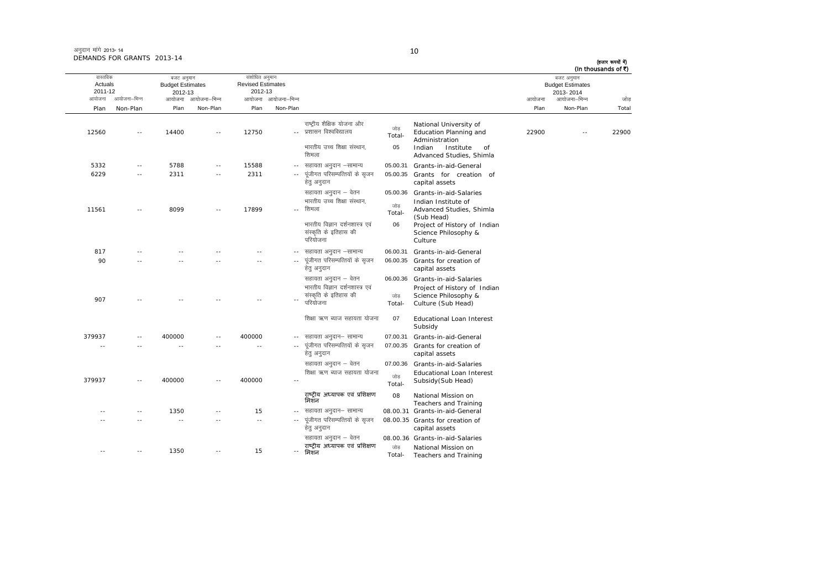| अनुदान मांगे 2013- 14      |  |
|----------------------------|--|
| DEMANDS FOR GRANTS 2013-14 |  |

## 10

(हजार रूपयों में)<br>(In thousands of ₹)

| (In thousands of ₹)                                |
|----------------------------------------------------|
| बजट अनुमान<br><b>Budget Estimates</b><br>2013-2014 |
| आयोजना–भिन्न<br>जोड                                |
| Non-Plan<br>Total                                  |
| 22900                                              |
|                                                    |
|                                                    |
|                                                    |
|                                                    |
|                                                    |
|                                                    |
|                                                    |
|                                                    |
|                                                    |
|                                                    |
|                                                    |
|                                                    |
|                                                    |
|                                                    |
|                                                    |
|                                                    |
|                                                    |
|                                                    |
|                                                    |
|                                                    |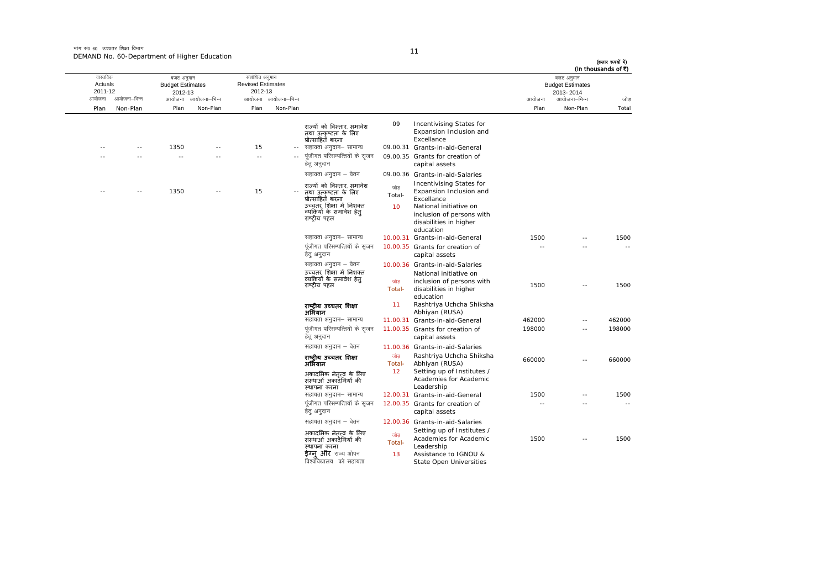मांग सं0 60 उच्चतर शिक्षा विभाग DEMAND No. 60-Department of Higher Education

|        | (In thousands of ₹)<br>बजट अनुमान |        |                                                                                                                                                                 |                     |                                                                                                                                                    |                          | संशोधित अनुमान           |              | बजट अनुमान              |               | वास्तविक          |
|--------|-----------------------------------|--------|-----------------------------------------------------------------------------------------------------------------------------------------------------------------|---------------------|----------------------------------------------------------------------------------------------------------------------------------------------------|--------------------------|--------------------------|--------------|-------------------------|---------------|-------------------|
|        | <b>Budget Estimates</b>           |        |                                                                                                                                                                 |                     |                                                                                                                                                    |                          | <b>Revised Estimates</b> |              | <b>Budget Estimates</b> |               | Actuals           |
| जोड    | 2013-2014<br>आयोजना–भिन्न         | आयोजना |                                                                                                                                                                 |                     |                                                                                                                                                    | आयोजना आयोजना–भिन्न      | 2012-13                  | आयोजना–भिन्न | 2012-13<br>आयोजना       | आयोजना–भिन्न  | 2011-12<br>आयोजना |
| Total  | Non-Plan                          | Plan   |                                                                                                                                                                 |                     |                                                                                                                                                    | Non-Plan                 | Plan                     | Non-Plan     | Plan                    | Non-Plan      | Plan              |
|        |                                   |        |                                                                                                                                                                 |                     |                                                                                                                                                    |                          |                          |              |                         |               |                   |
|        |                                   |        | Incentivising States for<br>Expansion Inclusion and<br>Excellance                                                                                               | 09                  | राज्यों को विस्तार. समावेश<br>तथा उत्कृष्टता के लिए<br>प्रोत्साहित करना                                                                            |                          |                          |              |                         |               |                   |
|        |                                   |        | 09.00.31 Grants-in-aid-General                                                                                                                                  |                     | सहायता अनुदान– सामान्य                                                                                                                             | $\overline{\phantom{a}}$ | 15                       |              | 1350                    | $\sim$        |                   |
|        |                                   |        | 09.00.35 Grants for creation of<br>capital assets                                                                                                               |                     | पूंजीगत परिसम्पत्तियों के सृजन<br>हेतु अनुदान                                                                                                      |                          | $\sim$                   |              | $\sim$                  |               |                   |
|        |                                   |        | 09.00.36 Grants-in-aid-Salaries                                                                                                                                 |                     | सहायता अनुदान – वेतन                                                                                                                               |                          |                          |              |                         |               |                   |
|        |                                   |        | Incentivising States for<br>Expansion Inclusion and<br>Excellance<br>National initiative on<br>inclusion of persons with<br>disabilities in higher<br>education | जोड<br>Total-<br>10 | राज्यों को विस्तार, समावेश<br>तथा उत्कृष्टता के लिए<br>प्रोत्साहितॅ करना<br>उच्चतर शिक्षा में निशक्त<br>व्यक्तियों के समावेश हेत्<br>राष्ट्रीय पहल |                          | 15                       |              | 1350                    | $\sim$ $\sim$ |                   |
| 1500   |                                   | 1500   | 10.00.31 Grants-in-aid-General                                                                                                                                  |                     | सहायता अनुदान– सामान्य                                                                                                                             |                          |                          |              |                         |               |                   |
|        |                                   | $-$    | 10.00.35 Grants for creation of<br>capital assets                                                                                                               |                     | पूंजीगत परिसम्पत्तियों के सृजन<br>हेत् अनुदान                                                                                                      |                          |                          |              |                         |               |                   |
| 1500   | $\overline{a}$                    | 1500   | 10.00.36 Grants-in-aid-Salaries<br>National initiative on<br>inclusion of persons with<br>disabilities in higher<br>education                                   | जोड<br>Total-       | सहायता अनुदान – वेतन<br>उच्चतर शिक्षा में निशक्त<br>व्यक्तियों के समावेश हेत्<br>राष्टीय पहल                                                       |                          |                          |              |                         |               |                   |
|        |                                   |        | Rashtriya Uchcha Shiksha<br>Abhiyan (RUSA)                                                                                                                      | 11                  | राष्ट्रीय उच्चतर शिक्षा<br>अभियान                                                                                                                  |                          |                          |              |                         |               |                   |
| 462000 | $\sim$ $\sim$                     | 462000 | 11.00.31 Grants-in-aid-General                                                                                                                                  |                     | सहायता अनुदान– सामान्य                                                                                                                             |                          |                          |              |                         |               |                   |
| 198000 | $\sim$                            | 198000 | 11.00.35 Grants for creation of<br>capital assets                                                                                                               |                     | पूंजीगत परिसम्पत्तियों के सृजन<br>हेतु अनुदान                                                                                                      |                          |                          |              |                         |               |                   |
|        |                                   |        | 11.00.36 Grants-in-aid-Salaries                                                                                                                                 |                     | सहायता अनुदान – वेतन                                                                                                                               |                          |                          |              |                         |               |                   |
| 660000 | $\sim$ $\sim$                     | 660000 | Rashtriya Uchcha Shiksha<br>Abhiyan (RUSA)<br>Setting up of Institutes /                                                                                        | जोड<br>Total-<br>12 | राष्ट्रीय उच्चतर शिक्षा<br>अभियान<br>अकादमिक नेतत्व के लिए                                                                                         |                          |                          |              |                         |               |                   |
|        |                                   |        | Academies for Academic<br>Leadership                                                                                                                            |                     | संस्थाओं अकादॅमियों की<br>स्थापना करना                                                                                                             |                          |                          |              |                         |               |                   |
| 1500   | $\sim$ $\sim$                     | 1500   | 12.00.31 Grants-in-aid-General                                                                                                                                  |                     | सहायता अनुदान– सामान्य                                                                                                                             |                          |                          |              |                         |               |                   |
|        | $\sim$                            | $\sim$ | 12.00.35 Grants for creation of<br>capital assets                                                                                                               |                     | पूंजीगत परिसम्पत्तियों के सृजन<br>हेतु अनुदान                                                                                                      |                          |                          |              |                         |               |                   |
|        |                                   |        | 12.00.36 Grants-in-aid-Salaries                                                                                                                                 |                     | सहायता अनुदान – वेतन                                                                                                                               |                          |                          |              |                         |               |                   |
| 1500   | $\sim$                            | 1500   | Setting up of Institutes /<br>Academies for Academic<br>Leadership<br>Assistance to IGNOU &<br>State Open Universities                                          | जोड<br>Total-<br>13 | अकादमिक नेत़त्व के लिए<br>संस्थाओं अकादॅमियों की<br>स्थापना करना<br><b>ईग्न और</b> राज्य ओपन<br>विश्वविद्यालय को सहायता                            |                          |                          |              |                         |               |                   |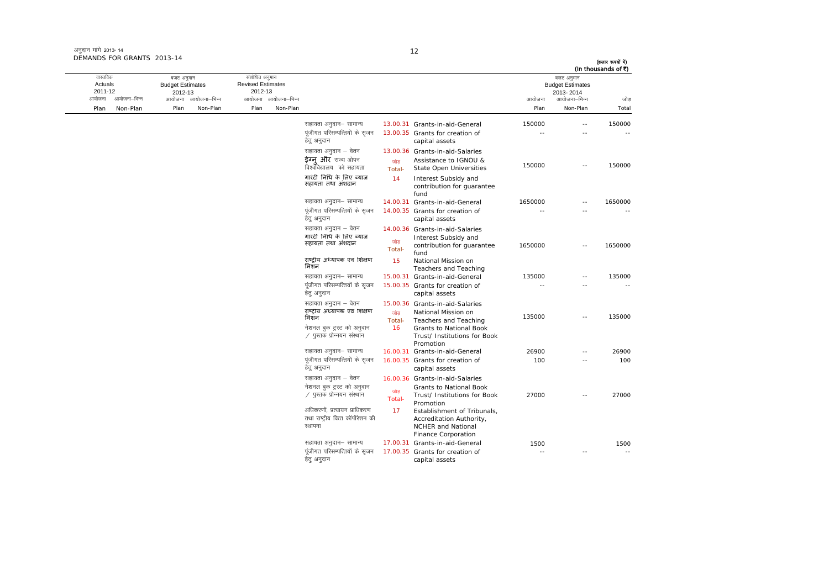अनुदान मांगे 2013- 14 DEMANDS FOR GRANTS 2013-14

#### 12

(हजार रूपयों में)<br>(In thousands of ₹)

| वास्तविक<br>Actuals<br>2011-12<br>आयोजना | आयोजना–भिन्न | बजट अनुमान<br><b>Budget Estimates</b><br>2012-13 | आयोजना आयोजना–भिन्न | संशोधित अनुमान<br><b>Revised Estimates</b><br>2012-13 | आयोजना आयोजना-भिन्न |                                                                                                                          |                     |                                                                                                                                                         | आयोजना  | बजट अनुमान<br><b>Budget Estimates</b><br>2013-2014<br>आयोजना–भिन्न | (in thousands of <)<br>जोड |
|------------------------------------------|--------------|--------------------------------------------------|---------------------|-------------------------------------------------------|---------------------|--------------------------------------------------------------------------------------------------------------------------|---------------------|---------------------------------------------------------------------------------------------------------------------------------------------------------|---------|--------------------------------------------------------------------|----------------------------|
| Plan                                     | Non-Plan     | Plan                                             | Non-Plan            | Plan                                                  | Non-Plan            |                                                                                                                          |                     |                                                                                                                                                         | Plan    | Non-Plan                                                           | Total                      |
|                                          |              |                                                  |                     |                                                       |                     | सहायता अनुदान– सामान्य<br>पंजीगत परिसम्पत्तियों के सजन<br>हेतु अनुदान                                                    |                     | 13.00.31 Grants-in-aid-General<br>13.00.35 Grants for creation of<br>capital assets                                                                     | 150000  |                                                                    | 150000                     |
|                                          |              |                                                  |                     |                                                       |                     | सहायता अनुदान – वेतन<br>ईग्न और राज्य ओपन<br>विश्वविद्यालय को सहायता                                                     | जोड<br>Total-       | 13.00.36 Grants-in-aid-Salaries<br>Assistance to IGNOU &<br><b>State Open Universities</b>                                                              | 150000  |                                                                    | 150000                     |
|                                          |              |                                                  |                     |                                                       |                     | गारंटी निधि के लिए ब्याज<br>सहायता तथा अंशदान                                                                            | 14                  | Interest Subsidy and<br>contribution for guarantee<br>fund                                                                                              |         |                                                                    |                            |
|                                          |              |                                                  |                     |                                                       |                     | सहायता अनुदान– सामान्य                                                                                                   |                     | 14.00.31 Grants-in-aid-General                                                                                                                          | 1650000 |                                                                    | 1650000                    |
|                                          |              |                                                  |                     |                                                       |                     | पंजीगत परिसम्पत्तियों के सजन<br>हेतु अनुदान                                                                              |                     | 14.00.35 Grants for creation of<br>capital assets                                                                                                       |         |                                                                    |                            |
|                                          |              |                                                  |                     |                                                       |                     | सहायता अनुदान – वेतन<br>गारंटी निधि के लिए ब्याज<br>सहायता तथा अंशदान                                                    | जोड<br>Total-       | 14.00.36 Grants-in-aid-Salaries<br>Interest Subsidy and<br>contribution for guarantee<br>fund                                                           | 1650000 |                                                                    | 1650000                    |
|                                          |              |                                                  |                     |                                                       |                     | राष्ट्रीय अध्यापक एवं शिक्षण<br>मिशन                                                                                     | 15                  | National Mission on<br>Teachers and Teaching                                                                                                            |         |                                                                    |                            |
|                                          |              |                                                  |                     |                                                       |                     | सहायता अनुदान– सामान्य                                                                                                   |                     | 15.00.31 Grants-in-aid-General                                                                                                                          | 135000  |                                                                    | 135000                     |
|                                          |              |                                                  |                     |                                                       |                     | पूंजीगत परिसम्पत्तियों के सृजन<br>हेत् अनुदान                                                                            |                     | 15.00.35 Grants for creation of<br>capital assets                                                                                                       | $\sim$  |                                                                    |                            |
|                                          |              |                                                  |                     |                                                       |                     | सहायता अनुदान – वेतन<br>राष्ट्रीय अध्यापक एवं शिक्षण<br>मिशन<br>नेशनल बुक ट्रस्ट को अनुदान<br>∕ पुस्तक प्रोन्नयन संस्थान | जोड<br>Total-<br>16 | 15.00.36 Grants-in-aid-Salaries<br>National Mission on<br>Teachers and Teaching<br>Grants to National Book<br>Trust/ Institutions for Book<br>Promotion | 135000  |                                                                    | 135000                     |
|                                          |              |                                                  |                     |                                                       |                     | सहायता अनुदान- सामान्य                                                                                                   |                     | 16.00.31 Grants-in-aid-General                                                                                                                          | 26900   |                                                                    | 26900                      |
|                                          |              |                                                  |                     |                                                       |                     | पूंजीगत परिसम्पत्तियों के सृजन<br>हेत् अनुदान                                                                            |                     | 16.00.35 Grants for creation of<br>capital assets                                                                                                       | 100     |                                                                    | 100                        |
|                                          |              |                                                  |                     |                                                       |                     | सहायता अनुदान – वेतन                                                                                                     |                     | 16.00.36 Grants-in-aid-Salaries                                                                                                                         |         |                                                                    |                            |
|                                          |              |                                                  |                     |                                                       |                     | नेशनल बुक ट्रस्ट को अनुदान<br>∕ पुस्तक प्रोन्नयन संस्थान                                                                 | जोड<br>Total-       | Grants to National Book<br>Trust/ Institutions for Book<br>Promotion                                                                                    | 27000   |                                                                    | 27000                      |
|                                          |              |                                                  |                     |                                                       |                     | अधिकरणों, प्रत्यायन प्राधिकरण<br>तथा राष्ट्रीय वित्त कॉर्पोरेशन की<br>स्थापना                                            | 17                  | Establishment of Tribunals,<br>Accreditation Authority,<br><b>NCHER and National</b><br><b>Finance Corporation</b>                                      |         |                                                                    |                            |
|                                          |              |                                                  |                     |                                                       |                     | सहायता अनुदान– सामान्य                                                                                                   |                     | 17.00.31 Grants-in-aid-General                                                                                                                          | 1500    |                                                                    | 1500                       |
|                                          |              |                                                  |                     |                                                       |                     | पंजीगत परिसम्पत्तियों के सजन<br>हेतु अनुदान                                                                              |                     | 17.00.35 Grants for creation of<br>capital assets                                                                                                       |         |                                                                    |                            |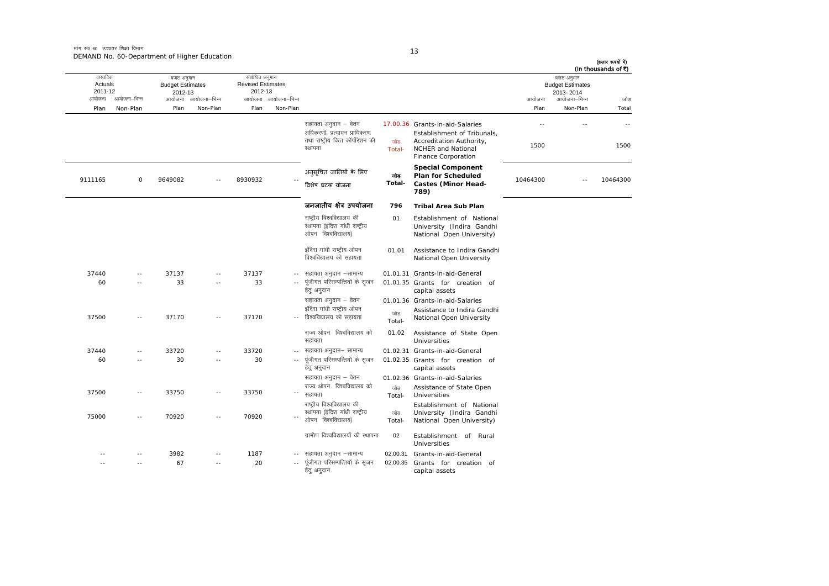मांग सं0 60 उच्चतर शिक्षा विभाग DEMAND No. 60-Department of Higher Education

| (हजार रूपयों में)<br>(In thousands of ₹) |                                                                    |          |                                                                                                                                                |               |                                                                                                       |                            |                                                       |                                                                         |         |               |                                          |
|------------------------------------------|--------------------------------------------------------------------|----------|------------------------------------------------------------------------------------------------------------------------------------------------|---------------|-------------------------------------------------------------------------------------------------------|----------------------------|-------------------------------------------------------|-------------------------------------------------------------------------|---------|---------------|------------------------------------------|
| जोड                                      | बजट अनुमान<br><b>Budget Estimates</b><br>2013-2014<br>आयोजना–भिन्न | आयोजना   |                                                                                                                                                |               |                                                                                                       | आयोजना आयोजना-भिन्न        | संशोधित अनुमान<br><b>Revised Estimates</b><br>2012-13 | बजट अनुमान<br><b>Budget Estimates</b><br>2012-13<br>आयोजना आयोजना–भिन्न |         | आयोजना–भिन्न  | वास्तविक<br>Actuals<br>2011-12<br>आयोजना |
| Total                                    | Non-Plan                                                           | Plan     |                                                                                                                                                |               |                                                                                                       | Non-Plan                   | Plan                                                  | Non-Plan                                                                | Plan    | Non-Plan      | Plan                                     |
|                                          |                                                                    |          |                                                                                                                                                |               |                                                                                                       |                            |                                                       |                                                                         |         |               |                                          |
| 1500                                     |                                                                    | 1500     | 17.00.36 Grants-in-aid-Salaries<br>Establishment of Tribunals,<br>Accreditation Authority,<br><b>NCHER and National</b><br>Finance Corporation | जोड<br>Total- | सहायता अनुदान – वेतन<br>अधिकरणों, प्रत्यायन प्राधिकरण<br>तथा राष्ट्रीय वित्त कॉर्पोरेशन की<br>स्थापना |                            |                                                       |                                                                         |         |               |                                          |
|                                          |                                                                    |          | <b>Special Component</b><br>Plan for Scheduled                                                                                                 | जोड           | अनुसूचित जातियों के लिए                                                                               |                            |                                                       |                                                                         |         |               |                                          |
| 10464300                                 | $\sim$                                                             | 10464300 | <b>Castes (Minor Head-</b><br>789)                                                                                                             | Total-        | विशेष घटक योजना                                                                                       |                            | 8930932                                               |                                                                         | 9649082 | 0             | 9111165                                  |
|                                          |                                                                    |          | <b>Tribal Area Sub Plan</b>                                                                                                                    | 796           | जनजातीय क्षेत्र उपयोजना                                                                               |                            |                                                       |                                                                         |         |               |                                          |
|                                          |                                                                    |          | Establishment of National<br>University (Indira Gandhi<br>National Open University)                                                            | 01            | राष्ट्रीय विश्वविद्यालय की<br>स्थापना (इंदिरा गांधी राष्ट्रीय<br>ओपन विश्वविद्यालय)                   |                            |                                                       |                                                                         |         |               |                                          |
|                                          |                                                                    |          | Assistance to Indira Gandhi<br>National Open University                                                                                        | 01.01         | इंदिरा गांधी राष्ट्रीय ओपन<br>विश्वविद्यालय को सहायता                                                 |                            |                                                       |                                                                         |         |               |                                          |
|                                          |                                                                    |          | 01.01.31 Grants-in-aid-General                                                                                                                 |               | सहायता अनुदान –सामान्य                                                                                | $\sim$ $-$                 | 37137                                                 |                                                                         | 37137   |               | 37440                                    |
|                                          |                                                                    |          | 01.01.35 Grants for creation of<br>capital assets                                                                                              |               | पूंजीगत परिसम्पत्तियों के सृजन<br>हेत् अनुदान                                                         |                            | 33                                                    | $\sim$                                                                  | 33      |               | 60                                       |
|                                          |                                                                    |          | 01.01.36 Grants-in-aid-Salaries                                                                                                                |               | सहायता अनुदान – वेतन                                                                                  |                            |                                                       |                                                                         |         |               |                                          |
|                                          |                                                                    |          | Assistance to Indira Gandhi<br>National Open University                                                                                        | जोड<br>Total- | इंदिरा गांधी राष्ट्रीय ओपन<br>विश्वविद्यालय को सहायता                                                 |                            | 37170                                                 | $\sim$                                                                  | 37170   | $\sim$ $\sim$ | 37500                                    |
|                                          |                                                                    |          | Assistance of State Open<br>Universities                                                                                                       | 01.02         | राज्य ओपन विश्वविद्यालय को<br>सहायता                                                                  |                            |                                                       |                                                                         |         |               |                                          |
|                                          |                                                                    |          | 01.02.31 Grants-in-aid-General                                                                                                                 |               | सहायता अनुदान– सामान्य                                                                                | $\sim$ $-$                 | 33720                                                 | $\sim$                                                                  | 33720   | $-$           | 37440                                    |
|                                          |                                                                    |          | 01.02.35 Grants for creation of<br>capital assets                                                                                              |               | पूंजीगत परिसम्पत्तियों के सृजन<br>हेतु अनुदान                                                         |                            | 30                                                    |                                                                         | 30      |               | 60                                       |
|                                          |                                                                    |          | 01.02.36 Grants-in-aid-Salaries                                                                                                                |               | सहायता अनुदान – वेतन                                                                                  |                            |                                                       |                                                                         |         |               |                                          |
|                                          |                                                                    |          | Assistance of State Open<br>Universities                                                                                                       | जोड<br>Total- | राज्य ओपन विश्वविद्यालय को<br>सहायता                                                                  | $\overline{\phantom{a}}$ . | 33750                                                 | $\sim$                                                                  | 33750   | $\sim$        | 37500                                    |
|                                          |                                                                    |          | Establishment of National<br>University (Indira Gandhi<br>National Open University)                                                            | जोड<br>Total- | राष्ट्रीय विश्वविद्यालय की<br>स्थापना (इंदिरा गांधी राष्ट्रीय<br>ओपन विश्वविद्यालय)                   |                            | 70920                                                 | $\overline{a}$                                                          | 70920   |               | 75000                                    |
|                                          |                                                                    |          | Rural<br>Establishment of<br><b>Universities</b>                                                                                               | 02            | ग्रामीण विश्वविद्यालयों की स्थापना                                                                    |                            |                                                       |                                                                         |         |               |                                          |
|                                          |                                                                    |          | Grants-in-aid-General                                                                                                                          | 02.00.31      | सहायता अनुदान –सामान्य                                                                                |                            | 1187                                                  |                                                                         | 3982    |               |                                          |
|                                          |                                                                    |          | Grants for creation of<br>capital assets                                                                                                       | 02.00.35      | पंजीगत परिसम्पत्तियों के सजन<br>हेतु अनुदान                                                           |                            | 20                                                    |                                                                         | 67      |               |                                          |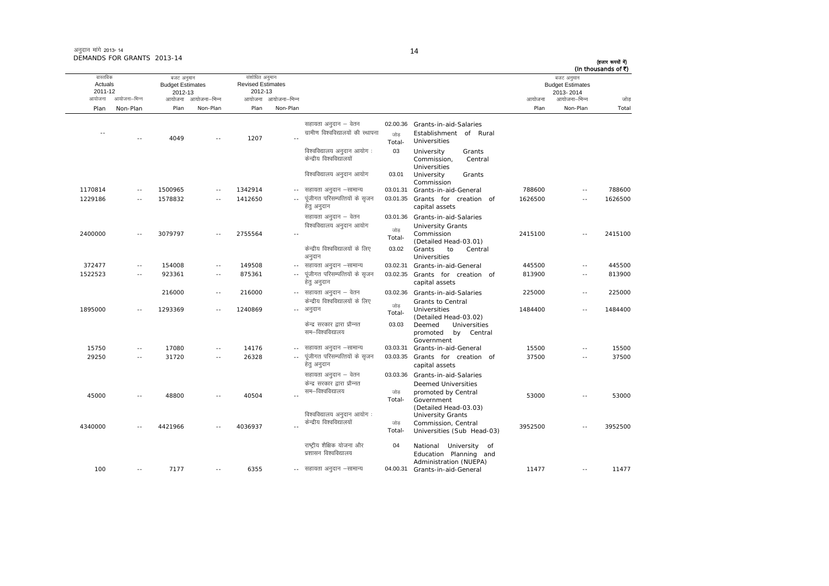| अनुदान मांगे 2013-14       |  |
|----------------------------|--|
| DEMANDS FOR GRANTS 2013-14 |  |

(हजार रूपयों में)

| (In thousands of ₹) |                                                    |         |                                                                                           |                           |                                                                           |                     |                                                       |                     |                                                  |               |                                |
|---------------------|----------------------------------------------------|---------|-------------------------------------------------------------------------------------------|---------------------------|---------------------------------------------------------------------------|---------------------|-------------------------------------------------------|---------------------|--------------------------------------------------|---------------|--------------------------------|
|                     | बजट अनुमान<br><b>Budget Estimates</b><br>2013-2014 |         |                                                                                           |                           |                                                                           |                     | संशोधित अनुमान<br><b>Revised Estimates</b><br>2012-13 |                     | बजट अनुमान<br><b>Budget Estimates</b><br>2012-13 |               | वास्तविक<br>Actuals<br>2011-12 |
| जोड                 | आयोजना–भिन्न                                       | आयोजना  |                                                                                           |                           |                                                                           | आयोजना आयोजना–भिन्न |                                                       | आयोजना आयोजना–भिन्न |                                                  | आयोजना–भिन्न  | आयोजना                         |
| Total               | Non-Plan                                           | Plan    |                                                                                           |                           |                                                                           | Non-Plan            | Plan                                                  | Non-Plan            | Plan                                             | Non-Plan      | Plan                           |
|                     |                                                    |         | Grants-in-aid-Salaries<br>Establishment of Rural<br>Universities                          | 02.00.36<br>जोड<br>Total- | सहायता अनुदान – वेतन<br>ग्रामीण विश्वविद्यालयों की स्थापना                |                     | 1207                                                  |                     | 4049                                             |               | $\sim$ $-$                     |
|                     |                                                    |         | University<br>Grants<br>Commission,<br>Central<br>Universities                            | 03                        | विश्वविद्यालय अनुदान आयोग :<br>केन्द्रीय विश्वविद्यालयों                  |                     |                                                       |                     |                                                  |               |                                |
|                     |                                                    |         | University<br>Grants<br>Commission                                                        | 03.01                     | विश्वविद्यालय अनुदान आयोग                                                 |                     |                                                       |                     |                                                  |               |                                |
| 788600              |                                                    | 788600  | Grants-in-aid-General                                                                     | 03.01.31                  | सहायता अनुदान –सामान्य                                                    | $-$                 | 1342914                                               | $\sim$ $\sim$       | 1500965                                          | $\sim$ $-$    | 1170814                        |
| 1626500             | $\sim$                                             | 1626500 | Grants for creation of<br>capital assets                                                  | 03.01.35                  | पूंजीगत परिसम्पत्तियों के सृजन<br>हेतु अनुदान                             | $\sim$ $\sim$       | 1412650                                               | $\sim$ $-$          | 1578832                                          | $\sim$ $\sim$ | 1229186                        |
| 2415100             | $\sim$ $\sim$                                      | 2415100 | Grants-in-aid-Salaries<br><b>University Grants</b><br>Commission<br>(Detailed Head-03.01) | 03.01.36<br>जोड<br>Total- | सहायता अनुदान – वेतन<br>विश्वविद्यालय अनुदान आयोग                         |                     | 2755564                                               | $\sim$ $\sim$       | 3079797                                          | $\sim$ $-$    | 2400000                        |
|                     |                                                    |         | Grants<br>to<br>Central<br><b>Universities</b>                                            | 03.02                     | केन्द्रीय विश्वविद्यालयों के लिए<br>अनुदान                                |                     |                                                       |                     |                                                  |               |                                |
| 445500              | --                                                 | 445500  | Grants-in-aid-General                                                                     | 03.02.31                  | सहायता अनुदान –सामान्य                                                    |                     | 149508                                                | $\sim$ $-$          | 154008                                           | $\sim$ $-$    | 372477                         |
| 813900              | $\sim$ $\sim$                                      | 813900  | Grants for creation of<br>capital assets                                                  | 03.02.35                  | पूंजीगत परिसम्पत्तियों के सृजन<br>हेत् अनुदान                             | $\sim$ $\sim$       | 875361                                                | $\sim$ $\sim$       | 923361                                           | $\sim$ $-$    | 1522523                        |
| 225000              | $\overline{a}$                                     | 225000  | Grants-in-aid-Salaries<br>Grants to Central                                               | 03.02.36                  | -- सहायता अनुदान – वेतन<br>केन्द्रीय विश्वविद्यालयों के लिए               |                     | 216000                                                | $\sim$ $-$          | 216000                                           |               |                                |
| 1484400             | $\sim$                                             | 1484400 | <b>Universities</b><br>(Detailed Head-03.02)                                              | जोड<br>Total-             | अनुदान                                                                    | $\sim$ $-$          | 1240869                                               | $\sim$ $\sim$       | 1293369                                          | $\sim$        | 1895000                        |
|                     |                                                    |         | Deemed<br>Universities<br>promoted<br>by Central<br>Government                            | 03.03                     | केन्द्र सरकार द्वारा प्रौन्नत<br>सम–विश्वविद्यालय                         |                     |                                                       |                     |                                                  |               |                                |
| 15500               | $\overline{a}$                                     | 15500   | Grants-in-aid-General                                                                     | 03.03.31                  | -- सहायता अनुदान –सामान्य                                                 |                     | 14176                                                 | $\sim$              | 17080                                            | $\sim$ $-$    | 15750                          |
| 37500               | $\sim$ $\sim$                                      | 37500   | Grants for creation of<br>capital assets                                                  | 03.03.35                  | पूंजीगत परिसम्पत्तियों के सृजन<br>हेतु अनुदान                             | $\sim$ $-$          | 26328                                                 | $\sim$ $\sim$       | 31720                                            | $\sim$ $-$    | 29250                          |
|                     |                                                    |         | 03.03.36 Grants-in-aid-Salaries<br><b>Deemed Universities</b>                             |                           | सहायता अनुदान – वेतन<br>केन्द्र सरकार द्वारा प्रौन्नत<br>सम–विश्वविद्यालय |                     |                                                       |                     |                                                  |               |                                |
| 53000               | $\sim$                                             | 53000   | promoted by Central<br>Government<br>(Detailed Head-03.03)                                | जोड<br>Total-             |                                                                           |                     | 40504                                                 | $\sim$ $\sim$       | 48800                                            |               | 45000                          |
|                     |                                                    |         | <b>University Grants</b>                                                                  |                           | विश्वविद्यालय अनुदान आयोग:                                                |                     |                                                       |                     |                                                  |               |                                |
| 3952500             |                                                    | 3952500 | Commission, Central<br>Universities (Sub Head-03)                                         | जोड<br>Total-             | केन्द्रीय विश्वविद्यालयों                                                 |                     | 4036937                                               |                     | 4421966                                          | $\sim$ $\sim$ | 4340000                        |
|                     |                                                    |         | National University of<br>Education Planning and<br>Administration (NUEPA)                | 04                        | राष्ट्रीय शैक्षिक योजना और<br>प्रशासन विश्वविद्यालय                       |                     |                                                       |                     |                                                  |               |                                |
| 11477               |                                                    | 11477   | Grants-in-aid-General                                                                     | 04.00.31                  | सहायता अनुदान –सामान्य                                                    | $- -$               | 6355                                                  |                     | 7177                                             | $\sim$ $-$    | 100                            |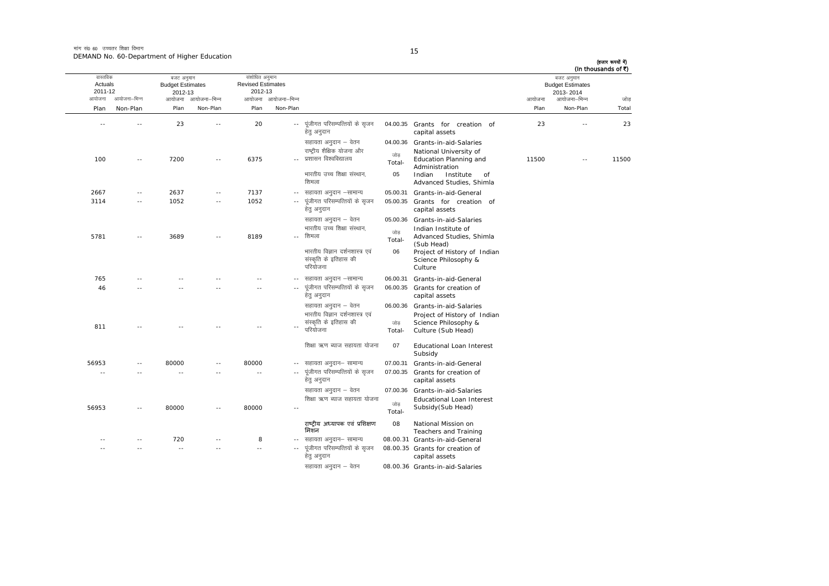मांग सं0 60 उच्चतर शिक्षा विभाग DEMAND No. 60-Department of Higher Education

| ۰       |
|---------|
| ٠<br>۰. |

| (In thousands of ₹) | बजट अनुमान                           |        |                                                                                                                                                       |                                 |                                                                                                                     |                     | संशोधित अनुमान                      |                     | बजट अनुमान                         |               | वास्तविक           |
|---------------------|--------------------------------------|--------|-------------------------------------------------------------------------------------------------------------------------------------------------------|---------------------------------|---------------------------------------------------------------------------------------------------------------------|---------------------|-------------------------------------|---------------------|------------------------------------|---------------|--------------------|
|                     | <b>Budget Estimates</b><br>2013-2014 |        |                                                                                                                                                       |                                 |                                                                                                                     |                     | <b>Revised Estimates</b><br>2012-13 |                     | <b>Budget Estimates</b><br>2012-13 |               | Actuals<br>2011-12 |
| जोड                 | आयोजना–भिन्न                         | आयोजना |                                                                                                                                                       |                                 |                                                                                                                     | आयोजना आयोजना-भिन्न |                                     | आयोजना आयोजना–भिन्न |                                    | आयोजना–भिन्न  | आयोजना             |
| Total               | Non-Plan                             | Plan   |                                                                                                                                                       |                                 |                                                                                                                     | Non-Plan            | Plan                                | Non-Plan            | Plan                               | Non-Plan      | Plan               |
| 23                  |                                      | 23     | 04.00.35 Grants for creation of<br>capital assets                                                                                                     |                                 | पूंजीगत परिसम्पत्तियों के सृजन<br>हेत् अनुदान                                                                       | $\sim$ $\sim$       | 20                                  |                     | 23                                 |               | $\sim$             |
| 11500               | $-$                                  | 11500  | Grants-in-aid-Salaries<br>National University of<br>Education Planning and<br>Administration<br>Indian<br>Institute<br>of<br>Advanced Studies, Shimla | 04.00.36<br>जोड<br>Total-<br>05 | सहायता अनुदान – वेतन<br>राष्ट्रीय शैक्षिक योजना और<br>प्रशासन विश्वविद्यालय<br>भारतीय उच्च शिक्षा संस्थान,<br>शिमला | $\sim$              | 6375                                |                     | 7200                               | $\sim$        | 100                |
|                     |                                      |        | Grants-in-aid-General                                                                                                                                 | 05.00.31                        | सहायता अनुदान –सामान्य                                                                                              | $\sim$ $-$          | 7137                                | $\sim$              | 2637                               | $\sim$        | 2667               |
|                     |                                      |        | Grants for creation of<br>capital assets                                                                                                              | 05.00.35                        | पूंजीगत परिसम्पत्तियों के सृजन<br>हेतु अनुदान                                                                       | $\sim$ $\sim$       | 1052                                | $-$                 | 1052                               | $\sim$ $\sim$ | 3114               |
|                     |                                      |        | Grants-in-aid-Salaries<br>Indian Institute of<br>Advanced Studies, Shimla<br>(Sub Head)                                                               | 05.00.36<br>जोड<br>Total-       | सहायता अनुदान – वेतन<br>भारतीय उच्च शिक्षा संस्थान,<br>शिमला                                                        | $\sim$              | 8189                                |                     | 3689                               | $\sim$        | 5781               |
|                     |                                      |        | Project of History of Indian<br>Science Philosophy &<br>Culture                                                                                       | 06                              | भारतीय विज्ञान दर्शनशास्त्र एवं<br>संस्कृति के इतिहास की<br>परियोजना                                                |                     |                                     |                     |                                    |               |                    |
|                     |                                      |        | Grants-in-aid-General                                                                                                                                 | 06.00.31                        | सहायता अनुदान –सामान्य                                                                                              | $- -$               |                                     |                     |                                    |               | 765                |
|                     |                                      |        | Grants for creation of<br>capital assets                                                                                                              | 06.00.35                        | पूंजीगत परिसम्पत्तियों के सृजन<br>हेतु अनुदान                                                                       |                     |                                     |                     |                                    |               | 46                 |
|                     |                                      |        | Grants-in-aid-Salaries                                                                                                                                | 06.00.36                        | सहायता अनुदान – वेतन                                                                                                |                     |                                     |                     |                                    |               |                    |
|                     |                                      |        | Project of History of Indian<br>Science Philosophy &<br>Culture (Sub Head)                                                                            | जोड<br>Total-                   | भारतीय विज्ञान दर्शनशास्त्र एवं<br>संस्कृति के इतिहास की<br>परियोजना                                                |                     |                                     |                     |                                    |               | 811                |
|                     |                                      |        | <b>Educational Loan Interest</b><br>Subsidy                                                                                                           | 07                              | शिक्षा ऋण ब्याज सहायता योजना                                                                                        |                     |                                     |                     |                                    |               |                    |
|                     |                                      |        | Grants-in-aid-General                                                                                                                                 | 07.00.31                        | सहायता अनुदान– सामान्य                                                                                              |                     | 80000                               |                     | 80000                              |               | 56953              |
|                     |                                      |        | Grants for creation of<br>capital assets                                                                                                              | 07.00.35                        | पूंजीगत परिसम्पत्तियों के सृजन<br>हेत् अनुदान                                                                       | $\sim$ $-$          | $\sim$                              |                     | $\sim$                             |               | ×.                 |
|                     |                                      |        | Grants-in-aid-Salaries                                                                                                                                | 07.00.36                        | सहायता अनुदान – वेतन                                                                                                |                     |                                     |                     |                                    |               |                    |
|                     |                                      |        | Educational Loan Interest<br>Subsidy(Sub Head)                                                                                                        | जोड़<br>Total-                  | शिक्षा ऋण ब्याज सहायता योजना                                                                                        | $\sim$ $\sim$       | 80000                               | $\sim$ $\sim$       | 80000                              | $\sim$        | 56953              |
|                     |                                      |        | National Mission on<br><b>Teachers and Training</b>                                                                                                   | 08                              | राष्ट्रीय अध्यापक एवं प्रशिक्षण<br>मिशन                                                                             |                     |                                     |                     |                                    |               |                    |
|                     |                                      |        | 08.00.31 Grants-in-aid-General                                                                                                                        |                                 | सहायता अनुदान– सामान्य                                                                                              | $\sim$ $-$          | 8                                   |                     | 720                                |               |                    |
|                     |                                      |        | 08.00.35 Grants for creation of<br>capital assets                                                                                                     |                                 | पूंजीगत परिसम्पत्तियों के सृजन<br>हेतु अनुदान                                                                       |                     | $\sim$                              |                     | $\sim$                             |               |                    |
|                     |                                      |        | 08.00.36 Grants-in-aid-Salaries                                                                                                                       |                                 | सहायता अनुदान – वेतन                                                                                                |                     |                                     |                     |                                    |               |                    |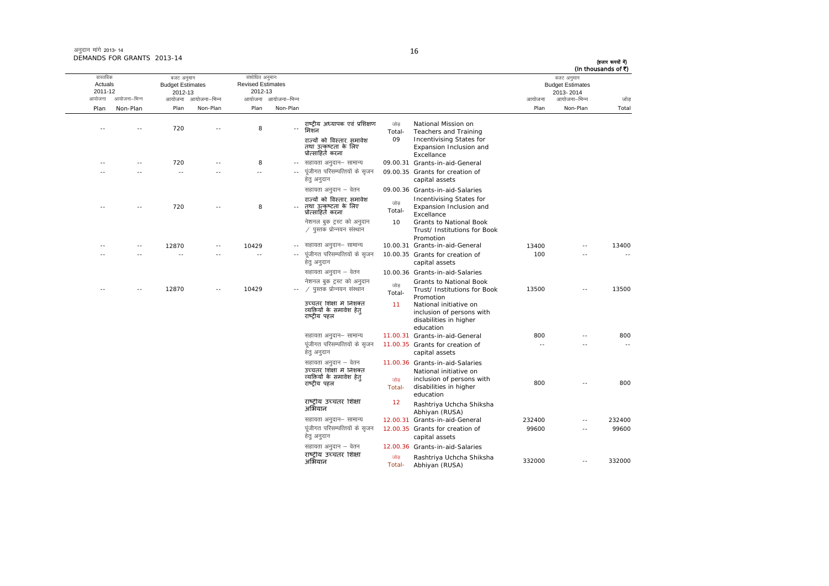| अनुदान मांगे 2013- 14      |  |
|----------------------------|--|
| DEMANDS FOR GRANTS 2013-14 |  |

ः<br>आयोजना आयोजना–भिन्न आयोजना आयोजना-भिन्न - आयोजना आयोजना-भिन्न न अपयोजना—भिन्न जाउँ विकास समिति । अपनी अपयोजना आयोजना—भिन्न जोड Plan Non-Plan Plan Non-Plan Plan Non-Plan Plan Non-Plan Total तास्ततिक Actuals2011-12बजट अनुमान Budget Estimates 2012-13संशोधित अनुमान Revised Estimates2012-13 बजट अनुमान Budget Estimates 2013- 2014(हजार रूपयों में) (In thousands of  $\bar{x}$ ) -- -- 720 -- 8 --राष्ट्रीय अध्यापक एवं प्रशिक्षण जोड़<br>- Total-जोड़ National Mission on<br>Total- Teachers and Training राज्यों को विस्तार, समावेश तथा उत्कृष्टता के लिए<br>प्रोत्साहित करना 09 Incentivising States for Expansion Inclusion and Excellance -- -- 720 -- 8 - lgk;rk vuqnku& lkekU; 09.00.31 Grants-in-aid-General -- -- -- -- -- ---- पंजीगत परिसम्पत्तियों के सजन हेतु अनुदान 09.00.35 Grants for creation of capital assets सहायता अनुदान – वेतन 09.00.36 Grants-in-aid-Salaries -- -- 720 -- 8 --राÏयɉ को िवèतार] समावेश तथा उ×कृçटता के िलए प्रो×सािहत करना tksM+ Total- Incentivising States for Expansion Inclusion and Excellance Excellance नेशनल बुक ट्रस्ट को अनुदान  $\angle$  पस्तक प्रोन्नयन संस्थान 10 Grants to National Book Trust/ Institutions for Book Promotion -- 10429 -- lgk;rk vuqnku& lkekU; 10.00.31 Grants-in-aid-General 13400 -- 13400 -- -- 12870-- -- -- -- -- ---- पूंजीगत परिसम्पत्तियों के सृजन हेतु अनुदान 10.00.35 Grants for creation of capital assets  $100$  -- - - -सहायता अनुदान – वेतन 10.00.36 Grants-in-aid-Salaries -- -- 12870 -- 10429 --्रांसिंग में पुस्तक प्रोन्नयन संस्थान व्याह्या प्रतिष्ठाः<br>Total-नेशनल बुक ट्रस्ट को अनुदान Grants to National Book Trust/ Institutions for Book Promotion <sup>13500</sup> -- <sup>13500</sup> उच्चतर शिक्षा में निशक्त åयिक्तयɉ के समावेश हेतु राष्ट्रीय पहल 11 National initiative on inclusion of persons with disabilities in higher education lgk;rk vuqnku& lkekU; 11.00.31 Grants-in-aid-General 800 -- 800 पूंजीगत परिसम्पत्तियों के सुजन हेतु अनुदान 11.00.35 Grants for creation of capital assets -- -- --सहायता अनुदान – वेतन 11.00.36 Grants-in-aid-Salaries उच्चतर शिक्षा में निशक्त .<br>व्यक्तियों के समावेश हेतु राçट्रीय पहल tksM+ Total-National initiative on inclusion of persons with disabilities in higher education 800 -- 800 राष्ट्रीय उच्चतर शिक्षा<br>अभियान <sup>12</sup> Rashtriya Uchcha Shiksha Abhiyan (RUSA) सहायता अनुदान– सामान्य a 12.00.31 Grants-in-aid-General 232400 -- 232400 पूंजीगत परिसम्पत्तियों के सृजन हेत् अनुदान 12.00.35 Grants for creation of capital assets 99600 -- 99600सहायता अनुदान – वेतन 12.00.36 Grants-in-aid-Salaries राष्ट्रीय उच्चतर शिक्षा <sup>जोड़</sup><br>अभियान Rashtriya Uchcha Shiksha Abhiyan (RUSA) <sup>332000</sup> -- <sup>332000</sup>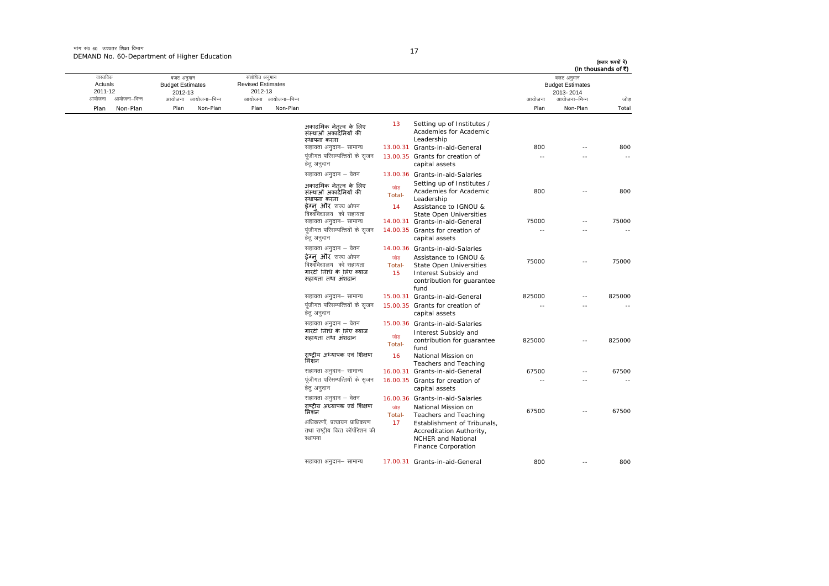मांग सं $\rho$  60 जच्चतर शिक्षा विभाग DEMAND No. 60-Department of Higher Education

तास्ततिक Actuals2011-12

 $\alpha$ ायोजना - अपयोजना-भिन्न आयोजना आयोजना-भिन्न - आयोजना आयोजना-भिन्न न अपयोजना—भिन्न जाउँ विकास समिति । अपनी अपयोजना आयोजना—भिन्न जोड Plan Non-Plan Plan Non-Plan Plan Non-Plan Plan Non-Plan Total बजट अनुमान Budget Estimates 2012-13संशोधित अनुमान Revised Estimates2012-13 बजट अनुमान Budget Estimates 2013- 2014(हजार रूपयों में) (In thousands of  $\bar{x}$ ) अकादमिक नेतृत्व के लिए संस्थाओं अकादमियों की èथापना करना 13 Setting up of Institutes / Academies for Academic Leadership lgk;rk vuqnku& lkekU; 13.00.31 Grants-in-aid-General 800 -- 800 पंजीगत परिसम्पत्तियों के सजन हेतु अनुदान 13.00.35 Grants for creation of capital assets -- -- --सहायता अनुदान – वेतन 13.00.36 Grants-in-aid-Salaries अकादमिक नेतृत्व के लिए ञ्चाओं अकादमियों की èथापना करना णोड Total-अकादमिक नेतृत्व के लिए <sup>जोड़</sup> <sup>Setting up of Institutes /<br>संस्थाओं अकादमियों की Total- Academies for Academic 800 -- 800<br>स्थापना करना Total- Leadership<br>**इेग्नु और** राज्य ओपन 14 Assistance to IGNOU &<br>विश्वविद्यालय को सहायत</sup> dks lgk;rk <sup>14</sup> Assistance to IGNOU & State Open Universities lgk;rk vuqnku& lkekU; 14.00.31 Grants-in-aid-General 75000 -- 75000 पूंजीगत परिसम्पत्तियों के सुजन हेत अनदान 14.00.35 Grants for creation of capital assets -- -- -- सहायता अनदान  $-$  वेतन  $-$  14.00.36 Grants-in-aid-Salaries **ईग्नु और** राज्य ओपन जोड़<br>विश्वविद्यालय को सहायता Total-Assistance to IGNOU & 75000 -- 75000<br>State Open Universities 75000 -- 75000<br>Interest Subsidy and गारंटी िनिध के िलए Þयाज सहायता तथा अशदान ं <sup>15</sup> Interest Subsidy and contribution for guarantee fundlgk;rk vuqnku& lkekU; 15.00.31 Grants-in-aid-General 825000 -- 825000 पूंजीगत परिसम्पत्तियों के सजन हेत् अनुदान 15.00.35 Grants for creation of capital assets -- -- --सहायता अनुदान - वेतन 15.00.36 Grants-in-aid-Salaries गारंटी िनिध के िलए Þयाज गारण गांव न तरह ज्याल<br>सहायता तथा अंशदान Total-Interest Subsidy and contribution for guarantee fund <sup>825000</sup> -- <sup>825000</sup> राष्ट्रीय अध्यापक एवं शिक्षण<br>मिशन <sup>16</sup> National Mission on Teachers and Teaching 16.00.31 Grants-in-aid-General 67500 -- 67500 पूंजीगत परिसम्पत्तियों के सुजन हेतु अनुदान 16.00.35 Grants for creation of capital assets -- -- --सहायता अनुदान – वेतन 16.00.36 Grants-in-aid-Salaries राष्ट्रीय अध्यापक एवं शिक्षण <sub>जोड़</sub><br>मिशन thal- Total-<sub>जोड़</sub> National Mission on 67500 -- 67500<br>Total- Teachers and Teaching 67500 अधिकरणों. प्रत्यायन प्राधिकरण तथा राष्टीय वित्त कॉर्पोरेशन की स्थापना 17 Establishment of Tribunals, Accreditation Authority, NCHER and National Finance Corporation lgk;rk vuqnku& lkekU; 17.00.31 Grants-in-aid-General 800 -- 800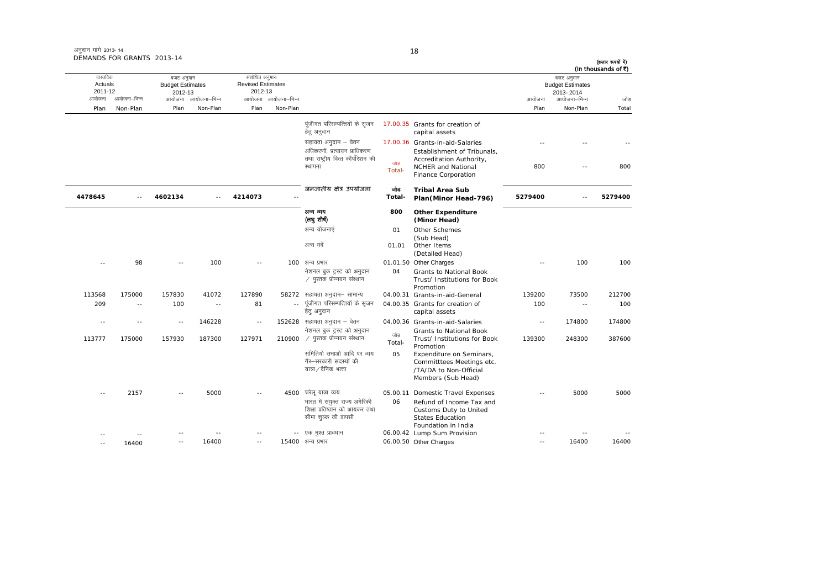| अनुदान मांगे 2013-14       |  |
|----------------------------|--|
| DEMANDS FOR GRANTS 2013-14 |  |

| वास्तविक          |              | बजट अनुमान    |                                                     | संशोधित अनुमान |                     |                                                                                        |               |                                                                                                       |            | बजट अनुमान                |         |
|-------------------|--------------|---------------|-----------------------------------------------------|----------------|---------------------|----------------------------------------------------------------------------------------|---------------|-------------------------------------------------------------------------------------------------------|------------|---------------------------|---------|
|                   | Actuals      |               | <b>Revised Estimates</b><br><b>Budget Estimates</b> |                |                     |                                                                                        |               |                                                                                                       |            | <b>Budget Estimates</b>   |         |
| 2011-12<br>आयोजना | आयोजना-भिन्न | 2012-13       | आयोजना आयोजना-भिन्न                                 | 2012-13        | आयोजना आयोजना-भिन्न |                                                                                        |               |                                                                                                       |            | 2013-2014<br>आयोजना–भिन्न |         |
|                   |              |               |                                                     |                |                     |                                                                                        |               |                                                                                                       | आयोजना     |                           | जोड     |
| Plan              | Non-Plan     | Plan          | Non-Plan                                            | Plan           | Non-Plan            |                                                                                        |               |                                                                                                       | Plan       | Non-Plan                  | Total   |
|                   |              |               |                                                     |                |                     | पूंजीगत परिसम्पत्तियों के सृजन<br>हेत् अनुदान                                          |               | 17.00.35 Grants for creation of<br>capital assets                                                     |            |                           |         |
|                   |              |               |                                                     |                |                     | सहायता अनुदान – वेतन<br>अधिकरणों. प्रत्यायन प्राधिकरण                                  |               | 17.00.36 Grants-in-aid-Salaries<br>Establishment of Tribunals,                                        |            |                           |         |
|                   |              |               |                                                     |                |                     | तथा राष्ट्रीय वित्त कॉर्पोरेशन की<br>स्थापना                                           | जोड<br>Total- | Accreditation Authority,<br>NCHER and National<br>Finance Corporation                                 | 800        | $\sim$                    | 800     |
| 4478645           |              | 4602134       |                                                     | 4214073        |                     | जनजातीय क्षेत्र उपयोजना                                                                | जोड<br>Total- | <b>Tribal Area Sub</b><br>Plan(Minor Head-796)                                                        | 5279400    |                           | 5279400 |
|                   |              |               |                                                     |                |                     | अन्य व्यय<br>(लयु शीर्ष)                                                               | 800           | <b>Other Expenditure</b><br>(Minor Head)                                                              |            |                           |         |
|                   |              |               |                                                     |                |                     | अन्य योजनाएं                                                                           | 01            | Other Schemes                                                                                         |            |                           |         |
|                   |              |               |                                                     |                |                     | अन्य मदें                                                                              | 01.01         | (Sub Head)<br>Other Items<br>(Detailed Head)                                                          |            |                           |         |
|                   | 98           | $\sim$        | 100                                                 | $\sim$         |                     | 100 अन्य प्रभार                                                                        |               | 01.01.50 Other Charges                                                                                |            | 100                       | 100     |
|                   |              |               |                                                     |                |                     | नेशनल बुक ट्रस्ट को अनुदान<br>∕ पुस्तक प्रोन्नयन संस्थान                               | 04            | Grants to National Book<br>Trust/ Institutions for Book<br>Promotion                                  |            |                           |         |
| 113568            | 175000       | 157830        | 41072                                               | 127890         |                     | 58272 सहायता अनुदान– सामान्य                                                           |               | 04.00.31 Grants-in-aid-General                                                                        | 139200     | 73500                     | 212700  |
| 209               | $\sim$ $-$   | 100           | $\sim$ $-$                                          | 81             | $\sim$ $-$          | पूंजीगत परिसम्पत्तियों के सृजन<br>हेतु अनुदान                                          |               | 04.00.35 Grants for creation of<br>capital assets                                                     | 100        | $\sim$                    | 100     |
| $\sim$            | $\sim$ $-$   | $\sim$ $\sim$ | 146228                                              | $\sim$ $\sim$  |                     | 152628 सहायता अनुदान – वेतन                                                            |               | 04.00.36 Grants-in-aid-Salaries                                                                       | $\sim$ $-$ | 174800                    | 174800  |
| 113777            | 175000       | 157930        | 187300                                              | 127971         | 210900              | नेशनल बुक ट्रस्ट को अनुदान<br>$\angle$ पुस्तक प्रोन्नयन संस्थान                        | जोड<br>Total- | Grants to National Book<br>Trust/ Institutions for Book<br>Promotion                                  | 139300     | 248300                    | 387600  |
|                   |              |               |                                                     |                |                     | समितियों सभाओं आदि पर व्यय<br>गैर–सरकारी सदस्यों की<br>यात्रा / दैनिक भत्ता            | 05            | Expenditure on Seminars,<br>Committtees Meetings etc.<br>/TA/DA to Non-Official<br>Members (Sub Head) |            |                           |         |
|                   | 2157         |               | 5000                                                | $\sim$         |                     | 4500 घरेलू यात्रा व्यय                                                                 |               | 05.00.11 Domestic Travel Expenses                                                                     |            | 5000                      | 5000    |
|                   |              |               |                                                     |                |                     | भारत में संयुक्त राज्य अमेरिकी<br>शिक्षा प्रतिष्ठान को आयकर तथा<br>सीमा शुल्क की वापसी | 06            | Refund of Income Tax and<br>Customs Duty to United<br><b>States Education</b>                         |            |                           |         |
|                   |              |               |                                                     |                |                     | -- एक मुश्त प्रावधान                                                                   |               | Foundation in India<br>06.00.42 Lump Sum Provision                                                    |            |                           |         |
|                   | 16400        | $\sim$        | 16400                                               | $\sim$         |                     | 15400 अन्य प्रभार                                                                      |               | 06.00.50 Other Charges                                                                                | $\sim$ $-$ | 16400                     | 16400   |

18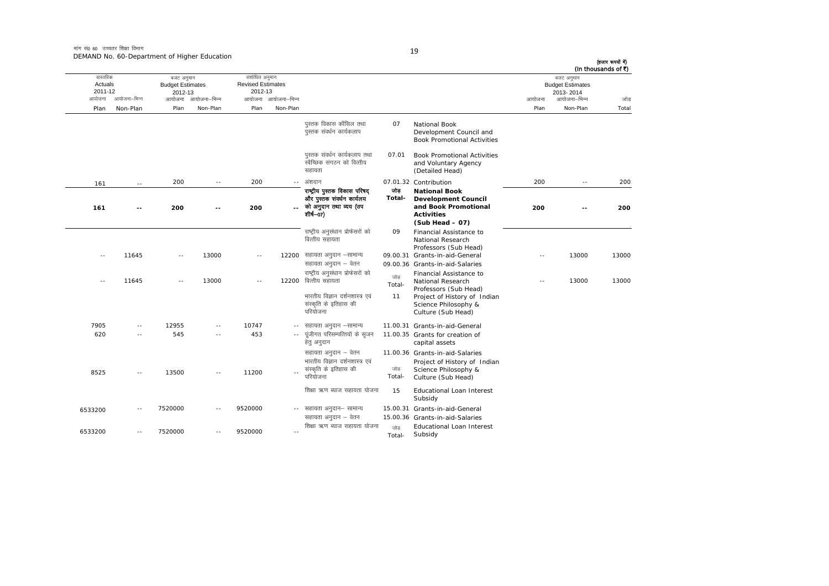|         |                                                                                                                        |               |              |                                                                 |                          |                                                                                                  |                |                                                                                                                      |            |                                                                    | (हजार रूपयों में)<br>(In thousands of ₹) |
|---------|------------------------------------------------------------------------------------------------------------------------|---------------|--------------|-----------------------------------------------------------------|--------------------------|--------------------------------------------------------------------------------------------------|----------------|----------------------------------------------------------------------------------------------------------------------|------------|--------------------------------------------------------------------|------------------------------------------|
|         | वास्तविक<br>बजट अनुमान<br>Actuals<br><b>Budget Estimates</b><br>2011-12<br>2012-13<br>आयोजना<br>आयोजना–भिन्न<br>आयोजना |               | आयोजना–भिन्न | संशोधित अनुमान<br><b>Revised Estimates</b><br>2012-13<br>आयोजना | आयोजना–भिन्न             |                                                                                                  |                |                                                                                                                      | आयोजना     | बजट अनुमान<br><b>Budget Estimates</b><br>2013-2014<br>आयोजना–भिन्न | जोड                                      |
| Plan    | Non-Plan                                                                                                               | Plan          | Non-Plan     | Plan                                                            | Non-Plan                 |                                                                                                  |                |                                                                                                                      | Plan       | Non-Plan                                                           | Total                                    |
|         |                                                                                                                        |               |              |                                                                 |                          | पुस्तक विकास कौंसिल तथा<br>पुस्तक संवर्धन कार्यकलाप                                              | 07             | <b>National Book</b><br>Development Council and<br><b>Book Promotional Activities</b>                                |            |                                                                    |                                          |
|         |                                                                                                                        |               |              |                                                                 |                          | पुस्तक संवर्धन कार्यकलाप तथा<br>स्वैच्छिक संगठन को वित्तीय<br>सहायता                             | 07.01          | <b>Book Promotional Activities</b><br>and Voluntary Agency<br>(Detailed Head)                                        |            |                                                                    |                                          |
| 161     | $\sim$ $-$                                                                                                             | 200           | $\sim$ $-$   | 200                                                             | $\sim$ $\sim$            | अंशदान                                                                                           |                | 07.01.32 Contribution                                                                                                | 200        | $\sim$ $-$                                                         | 200                                      |
| 161     | $-1$                                                                                                                   | 200           | $-1$         | 200                                                             |                          | राष्ट्रीय पुस्तक विकास परिषद<br>और पुस्तक संवर्धन कार्यलय<br>को अनुदान तथा व्यय (उप<br>शीर्ष—07) | তাভ<br>Total-  | <b>National Book</b><br><b>Development Council</b><br>and Book Promotional<br><b>Activities</b><br>$(Sub Head - 07)$ | 200        | $-1$                                                               | 200                                      |
|         | 11645                                                                                                                  | $\sim$        | 13000        | $\sim$ $-$                                                      |                          | राष्ट्रीय अनुसंधान प्रोफेसरों को<br>वित्तीय सहायता<br>12200 सहायता अनुदान –सामान्य               | 09             | Financial Assistance to<br>National Research<br>Professors (Sub Head)<br>09.00.31 Grants-in-aid-General              | $\sim$ $-$ | 13000                                                              | 13000                                    |
| $- -$   |                                                                                                                        |               |              |                                                                 |                          | सहायता अनुदान – वेतन                                                                             |                | 09.00.36 Grants-in-aid-Salaries                                                                                      |            |                                                                    |                                          |
| $- -$   | 11645                                                                                                                  | $\sim$ $\sim$ | 13000        | $\sim$                                                          | 12200                    | राष्ट्रीय अनुसंधान प्रोफेसरों को<br>वित्तीय सहायता                                               | जोड<br>Total-  | Financial Assistance to<br>National Research<br>Professors (Sub Head)                                                | $-$        | 13000                                                              | 13000                                    |
|         |                                                                                                                        |               |              |                                                                 |                          | भारतीय विज्ञान दर्शनशास्त्र एवं<br>संस्कृति के इतिहास की<br>परियोजना                             | 11             | Project of History of Indian<br>Science Philosophy &<br>Culture (Sub Head)                                           |            |                                                                    |                                          |
| 7905    |                                                                                                                        | 12955         | $\sim$       | 10747                                                           | $-$                      | सहायता अनुदान –सामान्य                                                                           |                | 11.00.31 Grants-in-aid-General                                                                                       |            |                                                                    |                                          |
| 620     | $\sim$ $-$                                                                                                             | 545           | $\sim$ $-$   | 453                                                             | $\sim$ $-$               | पूंजीगत परिसम्पत्तियों के सृजन<br>हेतु अनुदान                                                    |                | 11.00.35 Grants for creation of<br>capital assets                                                                    |            |                                                                    |                                          |
| 8525    |                                                                                                                        | 13500         | $\sim$       | 11200                                                           |                          | सहायता अनुदान – वेतन<br>भारतीय विज्ञान दर्शनशास्त्र एवं<br>संस्कृति के इतिहास की<br>परियोजना     | जोड़<br>Total- | 11.00.36 Grants-in-aid-Salaries<br>Project of History of Indian<br>Science Philosophy &<br>Culture (Sub Head)        |            |                                                                    |                                          |
|         |                                                                                                                        |               |              |                                                                 |                          | शिक्षा ऋण ब्याज सहायता योजना                                                                     | 15             | Educational Loan Interest<br>Subsidy                                                                                 |            |                                                                    |                                          |
| 6533200 |                                                                                                                        | 7520000       |              | 9520000                                                         |                          | -- सहायता अनुदान– सामान्य<br>सहायता अनुदान – वेतन                                                |                | 15.00.31 Grants-in-aid-General<br>15.00.36 Grants-in-aid-Salaries                                                    |            |                                                                    |                                          |
| 6533200 | $\sim$ $\sim$                                                                                                          | 7520000       |              | 9520000                                                         | $\overline{\phantom{a}}$ | शिक्षा ऋण ब्याज सहायता योजना                                                                     | जोड<br>Total-  | <b>Educational Loan Interest</b><br>Subsidy                                                                          |            |                                                                    |                                          |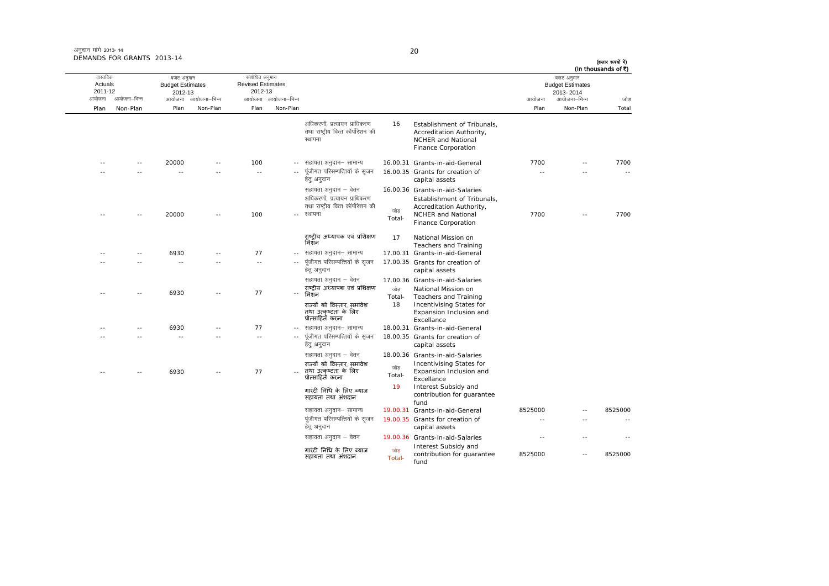अनुदान मांगे 2013- 14 DEMANDS FOR GRANTS 2013-14

|               | बजट अनुमान<br><b>Budget Estimates</b><br>2013-2014 |         |                                                                                                             |               |                                                                                            |                     | संशोधित अनुमान<br><b>Revised Estimates</b><br>2012-13 |                     | बजट अनुमान<br><b>Budget Estimates</b><br>2012-13 |              | वास्तविक<br>Actuals<br>2011-12 |  |
|---------------|----------------------------------------------------|---------|-------------------------------------------------------------------------------------------------------------|---------------|--------------------------------------------------------------------------------------------|---------------------|-------------------------------------------------------|---------------------|--------------------------------------------------|--------------|--------------------------------|--|
| जोड           | आयोजना–भिन्न                                       | आयोजना  |                                                                                                             |               |                                                                                            | आयोजना आयोजना-भिन्न |                                                       | आयोजना आयोजना-भिन्न |                                                  | आयोजना–भिन्न | आयोजना                         |  |
| Total         | Non-Plan                                           | Plan    |                                                                                                             |               |                                                                                            | Non-Plan            | Plan                                                  | Non-Plan            | Plan                                             | Non-Plan     | Plan                           |  |
|               |                                                    |         | Establishment of Tribunals,<br>Accreditation Authority,<br><b>NCHER and National</b><br>Finance Corporation | 16            | अधिकरणों. प्रत्यायन प्राधिकरण<br>तथा राष्ट्रीय वित्त कॉर्पोरेशन की<br>स्थापना              |                     |                                                       |                     |                                                  |              |                                |  |
| 7700          |                                                    | 7700    | 16.00.31 Grants-in-aid-General                                                                              |               | सहायता अनुदान– सामान्य                                                                     |                     | 100                                                   |                     | 20000                                            |              |                                |  |
| $\sim$ $\sim$ |                                                    | 44      | 16.00.35 Grants for creation of<br>capital assets                                                           |               | पूंजीगत परिसम्पत्तियों के सृजन<br>हेत् अनुदान                                              |                     | $\sim$                                                |                     |                                                  |              |                                |  |
|               |                                                    |         | 16.00.36 Grants-in-aid-Salaries<br>Establishment of Tribunals,<br>Accreditation Authority,                  |               | सहायता अनुदान – वेतन<br>अधिकरणों, प्रत्यायन प्राधिकरण<br>तथा राष्ट्रीय वित्त कॉर्पोरेशन की |                     |                                                       |                     |                                                  |              |                                |  |
| 7700          |                                                    | 7700    | <b>NCHER and National</b><br>Finance Corporation                                                            | जोड<br>Total- | स्थापना                                                                                    |                     | 100                                                   |                     | 20000                                            |              |                                |  |
|               |                                                    |         | National Mission on<br>Teachers and Training                                                                | 17            | राष्ट्रीय अध्यापक एवं प्रशिक्षण<br>मिशन                                                    |                     |                                                       |                     |                                                  |              |                                |  |
|               |                                                    |         | 17.00.31 Grants-in-aid-General                                                                              |               | सहायता अनुदान– सामान्य                                                                     |                     | 77                                                    |                     | 6930                                             |              |                                |  |
|               |                                                    |         | 17.00.35 Grants for creation of<br>capital assets                                                           |               | पूंजीगत परिसम्पत्तियों के सृजन<br>हेत् अनुदान                                              | $\sim$ $\sim$       | $\sim$                                                | $\sim$              | $\sim$                                           |              |                                |  |
|               |                                                    |         | 17.00.36 Grants-in-aid-Salaries                                                                             |               | सहायता अनुदान – वेतन                                                                       |                     |                                                       |                     |                                                  |              |                                |  |
|               |                                                    |         | National Mission on<br>Teachers and Training                                                                | जोड<br>Total- | राष्ट्रीय अध्यापक एवं प्रशिक्षण<br>मिशन                                                    |                     | 77                                                    |                     | 6930                                             |              | - -                            |  |
|               |                                                    |         | Incentivising States for<br>Expansion Inclusion and<br>Excellance                                           | 18            | राज्यों को विस्तार, समावेश<br>तथा उत्कृष्टता के लिए<br>प्रोत्साहितॅ करना                   |                     |                                                       |                     |                                                  |              |                                |  |
|               |                                                    |         | 18.00.31 Grants-in-aid-General                                                                              |               | सहायता अनुदान– सामान्य                                                                     |                     | 77                                                    |                     | 6930                                             |              |                                |  |
|               |                                                    |         | 18.00.35 Grants for creation of<br>capital assets                                                           |               | पूंजीगत परिसम्पत्तियों के सृजन<br>हेत् अनुदान                                              | $\sim$ $\sim$       | $\sim$ $-$                                            | $\sim$ $\sim$       | $\sim$                                           | - -          |                                |  |
|               |                                                    |         | 18.00.36 Grants-in-aid-Salaries                                                                             |               | सहायता अनुदान – वेतन                                                                       |                     |                                                       |                     |                                                  |              |                                |  |
|               |                                                    |         | Incentivising States for<br>Expansion Inclusion and<br>Excellance                                           | जोड<br>Total- | राज्यों को विस्तार, समावेश<br>तथा उत्कृष्टता के लिए<br>प्रोत्साहितॅ करना                   |                     | 77                                                    |                     | 6930                                             |              |                                |  |
|               |                                                    |         | Interest Subsidy and<br>contribution for guarantee<br>fund                                                  | 19            | गारंटी निधि के लिए ब्याज<br>सहायता तथा अंशदान                                              |                     |                                                       |                     |                                                  |              |                                |  |
| 8525000       |                                                    | 8525000 | 19.00.31 Grants-in-aid-General                                                                              |               | सहायता अनुदान– सामान्य                                                                     |                     |                                                       |                     |                                                  |              |                                |  |
|               | $\sim$                                             | $\sim$  | 19.00.35 Grants for creation of<br>capital assets                                                           |               | पूंजीगत परिसम्पत्तियों के सृजन<br>हेत् अनुदान                                              |                     |                                                       |                     |                                                  |              |                                |  |
| - -           |                                                    | - -     | 19.00.36 Grants-in-aid-Salaries<br>Interest Subsidy and                                                     |               | सहायता अनुदान – वेतन                                                                       |                     |                                                       |                     |                                                  |              |                                |  |
| 8525000       |                                                    | 8525000 | contribution for guarantee<br>fund                                                                          | जोड<br>Total- | गारंटी निधि के लिए ब्याज<br>सहायता तथा अंशदान                                              |                     |                                                       |                     |                                                  |              |                                |  |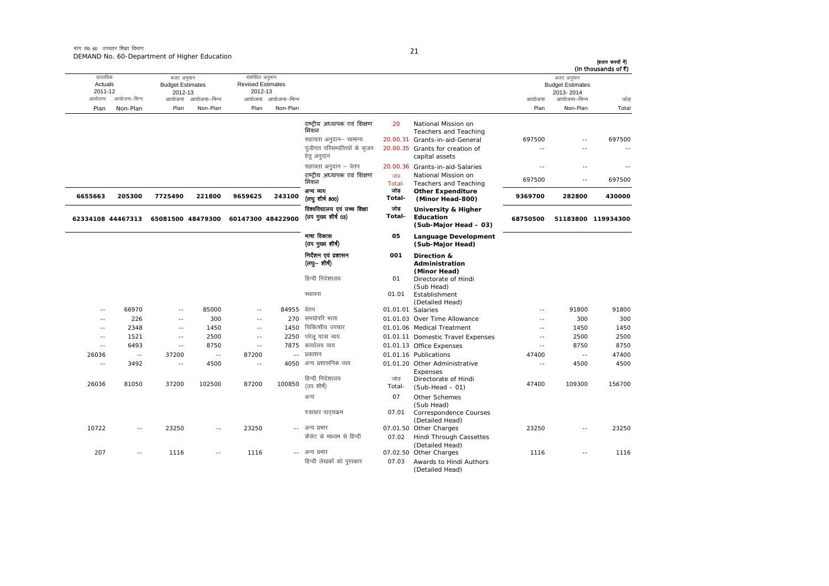|                                                  |                          |                                                                    |                          |                                                               |                                 |                                                      |                   |                                                                          |                          |                                                                                | (हजार रूपयों में)<br>(In thousands of ₹) |
|--------------------------------------------------|--------------------------|--------------------------------------------------------------------|--------------------------|---------------------------------------------------------------|---------------------------------|------------------------------------------------------|-------------------|--------------------------------------------------------------------------|--------------------------|--------------------------------------------------------------------------------|------------------------------------------|
| वास्तविक<br>Actuals<br>2011-12<br>आयोजना<br>Plan | आयोजना–भिन्न<br>Non-Plan | बजट अनुमान<br><b>Budget Estimates</b><br>2012-13<br>आयोजना<br>Plan | आयोजना–भिन्न<br>Non-Plan | संशोधित अनुमान<br><b>Revised Estimates</b><br>2012-13<br>Plan | आयोजना आयोजना–भिन्न<br>Non-Plan |                                                      |                   |                                                                          | आयोजना<br>Plan           | बजट अनुमान<br><b>Budget Estimates</b><br>2013-2014<br>आयोजना–भिन्न<br>Non-Plan | जोड<br>Total                             |
|                                                  |                          |                                                                    |                          |                                                               |                                 | राष्ट्रीय अध्यापक एवं शिक्षण<br>मिशन                 | 20                | National Mission on<br><b>Teachers and Teaching</b>                      |                          |                                                                                |                                          |
|                                                  |                          |                                                                    |                          |                                                               |                                 | सहायता अनुदान- सामान्य                               |                   | 20.00.31 Grants-in-aid-General                                           | 697500                   | $\sim$                                                                         | 697500                                   |
|                                                  |                          |                                                                    |                          |                                                               |                                 | पूंजीगत परिसम्पत्तियों के सुजन<br>हेत् अनुदान        |                   | 20.00.35 Grants for creation of<br>capital assets                        | ۵.                       |                                                                                | $\sim$ $\sim$                            |
|                                                  |                          |                                                                    |                          |                                                               |                                 | सहायता अनुदान – वेतन                                 |                   | 20.00.36 Grants-in-aid-Salaries                                          | $\sim$                   | $\sim$                                                                         |                                          |
|                                                  |                          |                                                                    |                          |                                                               |                                 | राष्टीय अध्यापक एवं शिक्षण<br>मिशन                   | जोड<br>Total-     | National Mission on<br>Teachers and Teaching                             | 697500                   | $\sim$                                                                         | 697500                                   |
| 6655663                                          | 205300                   | 7725490                                                            | 221800                   | 9659625                                                       | 243100                          | अन्य व्यय<br>(लघु शीर्ष 800)                         | जोड<br>Total-     | <b>Other Expenditure</b><br>(Minor Head-800)                             | 9369700                  | 282800                                                                         | 430000                                   |
| 62334108 44467313                                |                          | 65081500 48479300                                                  |                          | 60147300 48422900                                             |                                 | विश्वविद्यालय एवं उच्च शिक्षा<br>(उप मुख्य शीर्ष 03) | जोड<br>Total-     | <b>University &amp; Higher</b><br>Education<br>(Sub-Major Head - 03)     | 68750500                 | 51183800                                                                       | 119934300                                |
|                                                  |                          |                                                                    |                          |                                                               |                                 | भाषा विकास<br>(उप मुख्य शीर्ष)                       | 05                | <b>Language Development</b><br>(Sub-Major Head)                          |                          |                                                                                |                                          |
|                                                  |                          |                                                                    |                          |                                                               |                                 | निर्देशन एवं प्रशासन<br>(लघु– शीर्ष)                 | 001               | Direction &<br>Administration                                            |                          |                                                                                |                                          |
|                                                  |                          |                                                                    |                          |                                                               |                                 | हिन्दी निदेशालय                                      | 01                | (Minor Head)<br>Directorate of Hindi<br>(Sub Head)                       |                          |                                                                                |                                          |
|                                                  |                          |                                                                    |                          |                                                               |                                 | स्थापना                                              | 01.01             | Establishment<br>(Detailed Head)                                         |                          |                                                                                |                                          |
| $\sim$ $-$                                       | 66970                    | $\sim$                                                             | 85000                    | $\sim$ $-$                                                    | 84955 वेतन                      |                                                      | 01.01.01 Salaries |                                                                          | $\sim$                   | 91800                                                                          | 91800                                    |
| $\sim$ $\sim$                                    | 226                      | $\sim$ $\sim$                                                      | 300                      | $\sim$                                                        | 270                             | समयोपरि भत्ता                                        |                   | 01.01.03 Over Time Allowance                                             | ۵.                       | 300                                                                            | 300                                      |
| $\sim$                                           | 2348                     | $\sim$ $\sim$                                                      | 1450                     | $\sim$ $\sim$                                                 | 1450                            | चिकित्सीय उपचार                                      |                   | 01.01.06 Medical Treatment                                               | $\overline{\phantom{a}}$ | 1450                                                                           | 1450                                     |
| $\sim$ $-$                                       | 1521                     | $\sim$                                                             | 2500                     | $-$                                                           | 2250                            | घरेलु यात्रा व्यय                                    |                   | 01.01.11 Domestic Travel Expenses                                        | $\sim$                   | 2500                                                                           | 2500                                     |
| $\sim$ $-$                                       | 6493                     | $\sim$ $\sim$                                                      | 8750                     | $\sim$ $-$                                                    | 7875                            | कार्यालय व्यय                                        |                   | 01.01.13 Office Expenses                                                 | $\sim$                   | 8750                                                                           | 8750                                     |
| 26036                                            | $\sim$ $-$               | 37200                                                              | $\sim$ $\sim$            | 87200                                                         | $\sim$ $\sim$                   | प्रकाशन<br>4050 अन्य प्रशासनिक व्यय                  |                   | 01.01.16 Publications                                                    | 47400                    | $\sim$ $\sim$                                                                  | 47400                                    |
| $\sim$                                           | 3492                     | $\sim$                                                             | 4500                     | $\sim$                                                        |                                 | हिन्दी निदेशालय                                      | जोड               | 01.01.20 Other Administrative<br>Expenses<br>Directorate of Hindi        | $\sim$                   | 4500                                                                           | 4500                                     |
| 26036                                            | 81050                    | 37200                                                              | 102500                   | 87200                                                         | 100850                          | (उप शीर्ष)                                           | Total-            | $(Sub-Head - 01)$                                                        | 47400                    | 109300                                                                         | 156700                                   |
|                                                  |                          |                                                                    |                          |                                                               |                                 | अन्य<br>पत्राचार पाठयक्रम                            | 07<br>07.01       | Other Schemes<br>(Sub Head)<br>Correspondence Courses<br>(Detailed Head) |                          |                                                                                |                                          |
| 10722                                            | $-$                      | 23250                                                              | $\sim$ $\sim$            | 23250                                                         | $\sim$                          | अन्य प्रभार<br>कैसेट के माध्यम से हिन्दी             | 07.02             | 07.01.50 Other Charges<br>Hindi Through Cassettes<br>(Detailed Head)     | 23250                    | $\sim$ $\sim$                                                                  | 23250                                    |
| 207                                              |                          | 1116                                                               |                          | 1116                                                          | $\sim$ $\sim$                   | अन्य प्रभार                                          |                   | 07.02.50 Other Charges                                                   | 1116                     |                                                                                | 1116                                     |
|                                                  |                          |                                                                    |                          |                                                               |                                 | हिन्दी लेखकों को पुरस्कार                            | 07.03             | Awards to Hindi Authors<br>(Detailed Head)                               |                          |                                                                                |                                          |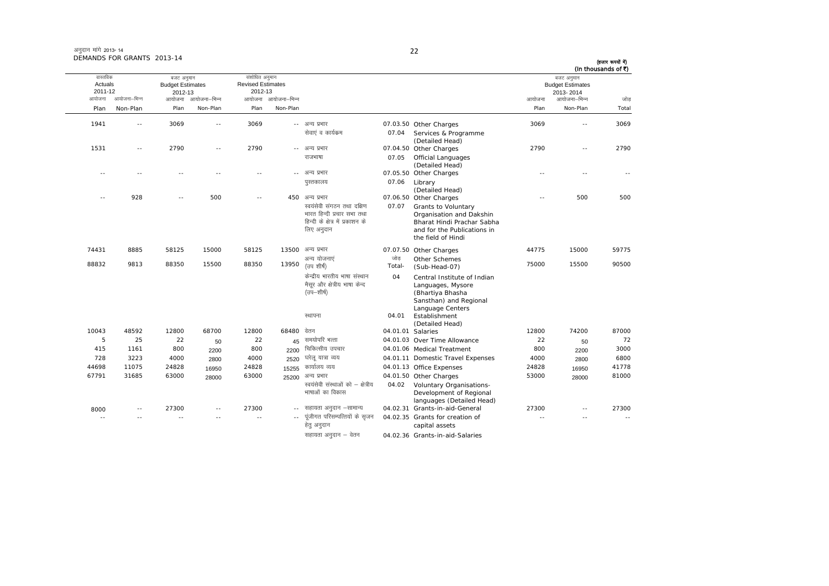| अनुदान मांगे 2013- 14      |  |
|----------------------------|--|
| DEMANDS FOR GRANTS 2013-14 |  |

ः<br>आयोजना आयोजना–भिन्न आयोजना आयोजना-भिन्न - आयोजना आयोजना-भिन्न न अपयोजना—भिन्न जाउँ विकास समिति । अपनी अपयोजना आयोजना—भिन्न जोड Plan Non-Plan Plan Non-Plan Plan Non-Plan Plan Non-Plan Total तास्ततिक Actuals2011-12बजट अनुमान Budget Estimates 2012-13संशोधित अनुमान Revised Estimates2012-13 बजट अनुमान Budget Estimates 2013- 2014(हजार रूपयों में) (In thousands of  $\bar{x}$ ) 1941 -- 3069 -- 3069 - vU; izHkkj 07.03.50 Other Charges 3069 -- 3069 सेवाएं व कार्यकम 07.04 Services & Programme (Detailed Head) 1531 -- 2790 -- 2790 ---- अन्य प्रभार 07.04.50 Other Charges 2790 -- 2790 jktHkk"kk 07.05 Official Languages (Detailed Head) -- -- -- -- ---- अन्य प्रभार Other Charges -- -- - iqLrdky; 07.06 Library (Detailed Head) -- 928 -- 500 -- 450 vU; izHkkj 07.06.50 Other Charges -- 500 500 स्वयंसेवी संगठन तथा दक्षिण भारत हिन्दी प्रचार सभा तथा .<br>हिन्दी के क्षेत्र में प्रकाशन के लिए अनुदान 07.07 Grants to Voluntary Organisation and Dakshin Bharat Hindi Prachar Sabha and for the Publications in the field of Hindi 74431 8885 58125 15000 58125 1350007.07.50 Other Charges 44775 15000 59775 88832 9813 88350 15500 88350 13950अन्य योजनाएं  $(\overline{3q}$  शीर्ष $)$ जोड Total-Other Schemes (Sub-Head-07) <sup>75000</sup> <sup>15500</sup> <sup>90500</sup> केन्द्रीय भारतीय भाषा संस्थान मैसूर और क्षेत्रीय भाषा केन्द (उप–शीर्ष) 04 Central Institute of Indian Languages, Mysore (Bhartiya Bhasha Sansthan) and Regional Language Centers स्थापना 04.01 Establishment (Detailed Head) 10043 48592 12800 68700 12800 6848004.01.01 Salaries 12800 74200 87000 5 25 22 50 <sup>22</sup> <sup>45</sup> le;ksifj HkRrk 04.01.03 Over Time Allowance <sup>22</sup> <sup>50</sup> <sup>72</sup> 415 1161 800 2200 <sup>800</sup> <sup>2200</sup> fpfdRlh; mipkj 04.01.06 Medical Treatment <sup>800</sup> <sup>2200</sup> <sup>3000</sup> 728 3223 4000 28004000  $2520$  घरेलू यात्रा व्यय 04.01.11 Domestic Travel Expenses 4000  $2800$  <sup>6800</sup> 44698 11075 24828 16950 <sup>24828</sup> <sup>15255</sup> dk;kZy; O;; 04.01.13 Office Expenses <sup>24828</sup> <sup>16950</sup> <sup>41778</sup> 67791 31685 63000 2800063000 25200 अन्य प्रभार 04.01.50 Other Charges 53000 28000 28000 <sup>81000</sup> स्वयंसेवी संस्थाओं को – क्षेत्रीय भाषाओं का विकास 04.02 Voluntary Organisations-Development of Regional languages (Detailed Head) 8000-- 27300 -- 27300 -- सहायता अनुदान -सामान्य 04.02.31 Grants-in-aid-General 27300 -- 27300 -- -- -- -- -- ---- पुंजीगत परिसम्पत्तियों के सुजन हेतु अनुदान 04.02.35 Grants for creation of capital assets ---- --

सहायता अनुदान – वेतन <a>balaries</a>of</a> Grants-in-aid-Salaries</a>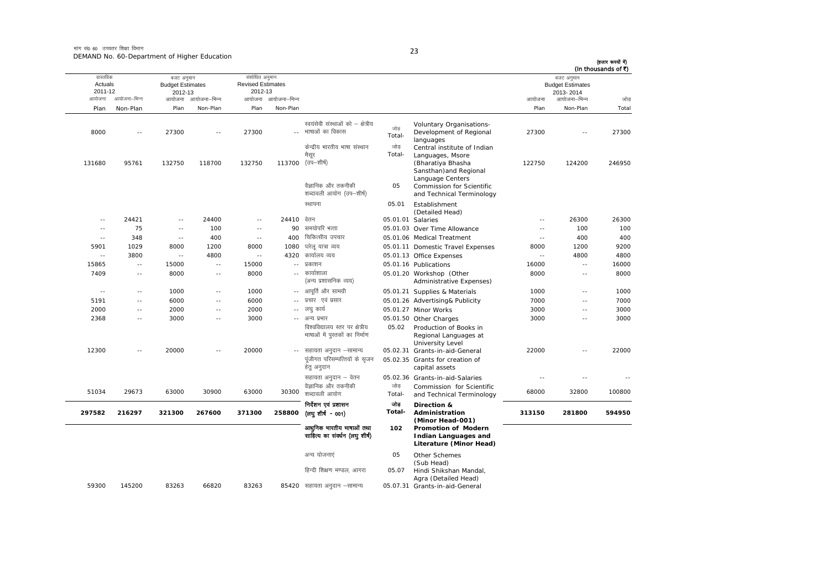मांग सं0 60 उच्चतर शिक्षा विभाग DEMAND No. 60-Department of Higher Education

|  | I |  |
|--|---|--|

| (In thousands of ₹) | बजट अनुमान                           |                          |                                                                                                             |                   |                                                                   |                          | संशोधित अनुमान                      |                                                           | बजट अनुमान    |                                              | वास्तविक      |
|---------------------|--------------------------------------|--------------------------|-------------------------------------------------------------------------------------------------------------|-------------------|-------------------------------------------------------------------|--------------------------|-------------------------------------|-----------------------------------------------------------|---------------|----------------------------------------------|---------------|
|                     | <b>Budget Estimates</b><br>2013-2014 |                          |                                                                                                             |                   |                                                                   |                          | <b>Revised Estimates</b><br>2012-13 | <b>Budget Estimates</b><br>2012-13<br>आयोजना आयोजना-भिन्न |               | Actuals<br>2011-12<br>आयोजना–भिन्न<br>आयोजना |               |
| जोड                 | आयोजना–भिन्न                         | आयोजना                   |                                                                                                             |                   |                                                                   | आयोजना आयोजना-भिन्न      |                                     |                                                           |               |                                              |               |
| Total               | Non-Plan                             | Plan                     |                                                                                                             |                   |                                                                   | Non-Plan                 | Plan                                | Non-Plan                                                  | Plan          | Non-Plan                                     | Plan          |
| 27300               |                                      | 27300                    | Voluntary Organisations-<br>Development of Regional                                                         | जोड<br>Total-     | स्वयंसेवी संस्थाओं को – क्षेत्रीय<br>भाषाओं का विकास              | $\sim$                   | 27300                               | $\sim$                                                    | 27300         | $\sim$                                       | 8000          |
| 246950              | 124200                               | 122750                   | languages<br>Central institute of Indian<br>Languages, Msore<br>(Bharatiya Bhasha<br>Sansthan) and Regional | जोड<br>Total-     | केन्द्रीय भारतीय भाषा संस्थान<br>मैसर<br>(उप–शीर्ष)               | 113700                   | 132750                              | 118700                                                    | 132750        | 95761                                        | 131680        |
|                     |                                      |                          | Language Centers<br>Commission for Scientific<br>and Technical Terminology                                  | 05                | वैज्ञानिक और तकनीकी<br>शब्दावली आयोग (उप–शीर्ष)                   |                          |                                     |                                                           |               |                                              |               |
|                     |                                      |                          | Establishment<br>(Detailed Head)                                                                            | 05.01             | स्थापना                                                           |                          |                                     |                                                           |               |                                              |               |
| 26300               | 26300                                | $-$                      |                                                                                                             | 05.01.01 Salaries | वेतन                                                              | 24410                    | $\sim$                              | 24400                                                     | $\sim$ $-$    | 24421                                        | $\sim$ $-$    |
| 100                 | 100                                  | $\sim$ $-$               | 05.01.03 Over Time Allowance                                                                                |                   | समयोपरि भत्ता                                                     | 90                       | $\sim$ $\sim$                       | 100                                                       | $\sim$ $-$    | 75                                           | $\sim$ $\sim$ |
| 400                 | 400                                  | $\sim$ $-$               | 05.01.06 Medical Treatment                                                                                  |                   | चिकित्सीय उपचार                                                   | 400                      | $\sim$ $-$                          | 400                                                       | $\sim$ $\sim$ | 348                                          | $\sim$ $-$    |
| 9200                | 1200                                 | 8000                     | 05.01.11 Domestic Travel Expenses                                                                           |                   | घरेलू यात्रा व्यय                                                 | 1080                     | 8000                                | 1200                                                      | 8000          | 1029                                         | 5901          |
| 4800                | 4800                                 | $-$                      | 05.01.13 Office Expenses                                                                                    |                   | कार्यालय व्यय                                                     | 4320                     | $\sim$ $-$                          | 4800                                                      | $\sim$ $-$    | 3800                                         | $\sim$ $-$    |
| 16000               | $\sim$                               | 16000                    | 05.01.16 Publications                                                                                       |                   | प्रकाशन                                                           | $\overline{\phantom{a}}$ | 15000                               | $\overline{\phantom{a}}$ .                                | 15000         | $\sim$ $-$                                   | 15865         |
| 8000                | $\overline{\phantom{a}}$ .           | 8000                     | 05.01.20 Workshop (Other<br>Administrative Expenses)                                                        |                   | कार्याशाला<br>(अन्य प्रशासनिक व्यय)                               | $\sim$ $-$               | 8000                                | $\overline{\phantom{a}}$ .                                | 8000          | $\sim$ $-$                                   | 7409          |
| 1000                | $\sim$ $\sim$                        | 1000                     | 05.01.21 Supplies & Materials                                                                               |                   | -- आपूर्ति और सामग्री                                             |                          | 1000                                | $\sim$ $\sim$                                             | 1000          | $\sim$ $-$                                   | $\sim$ $\sim$ |
| 7000                | $\sim$                               | 7000                     | 05.01.26 Advertising& Publicity                                                                             |                   | प्रचार एवं प्रसार                                                 | $\sim$ $-$               | 6000                                | $\sim$ $\sim$                                             | 6000          | $\sim$ $\sim$                                | 5191          |
| 3000                | $\sim$ $\sim$                        | 3000                     | 05.01.27 Minor Works                                                                                        |                   | लघ कार्य                                                          | $\sim$ $-$               | 2000                                | $\sim$ $-$                                                | 2000          | $\sim$ $-$                                   | 2000          |
| 3000                | $\sim$                               | 3000                     | 05.01.50 Other Charges                                                                                      |                   | -- अन्य प्रभार                                                    |                          | 3000                                | $\sim$                                                    | 3000          | $\sim$ $-$                                   | 2368          |
|                     |                                      |                          | Production of Books in<br>Regional Languages at<br><b>University Level</b>                                  | 05.02             | विश्वविद्यालय स्तर पर क्षेत्रीय<br>भाषाओं में पुस्तकों का निर्माण |                          |                                     |                                                           |               |                                              |               |
| 22000               | $\overline{\phantom{a}}$ .           | 22000                    | 05.02.31 Grants-in-aid-General                                                                              |                   | सहायता अनुदान –सामान्य                                            | $\sim$ $-$               | 20000                               | $\overline{a}$                                            | 20000         | $\sim$ $-$                                   | 12300         |
|                     |                                      |                          | 05.02.35 Grants for creation of<br>capital assets                                                           |                   | पूंजीगत परिसम्पत्तियों के सृजन<br>हेत् अनुदान                     |                          |                                     |                                                           |               |                                              |               |
|                     | $\sim$                               | $\overline{\phantom{a}}$ | 05.02.36 Grants-in-aid-Salaries                                                                             |                   | सहायता अनुदान – वेतन                                              |                          |                                     |                                                           |               |                                              |               |
| 100800              | 32800                                | 68000                    | Commission for Scientific<br>and Technical Terminology                                                      | जोड<br>Total-     | वैज्ञानिक और तकनीकी<br>शब्दावली आयोग                              | 30300                    | 63000                               | 30900                                                     | 63000         | 29673                                        | 51034         |
| 594950              | 281800                               | 313150                   | Direction &<br>Administration<br>(Minor Head-001)                                                           | जोड<br>Total-     | निर्देशन एवं प्रशासन<br>(लघुशीर्ष - 001)                          | 258800                   | 371300                              | 267600                                                    | 321300        | 216297                                       | 297582        |
|                     |                                      |                          | Promotion of Modern<br><b>Indian Languages and</b><br>Literature (Minor Head)                               | 102               | आधुनिक भारतीय भाषाओं तथा<br>साहित्य का संवर्धन (लघु शीर्ष)        |                          |                                     |                                                           |               |                                              |               |
|                     |                                      |                          | Other Schemes<br>(Sub Head)                                                                                 | 05                | अन्य योजनाएं                                                      |                          |                                     |                                                           |               |                                              |               |
|                     |                                      |                          | Hindi Shikshan Mandal,<br>Agra (Detailed Head)                                                              | 05.07             | हिन्दी शिक्षण मण्डल. आगरा                                         |                          |                                     |                                                           |               |                                              |               |
|                     |                                      |                          | 05.07.31 Grants-in-aid-General                                                                              |                   | 85420 सहायता अनुदान –सामान्य                                      |                          | 83263                               | 66820                                                     | 83263         | 145200                                       | 59300         |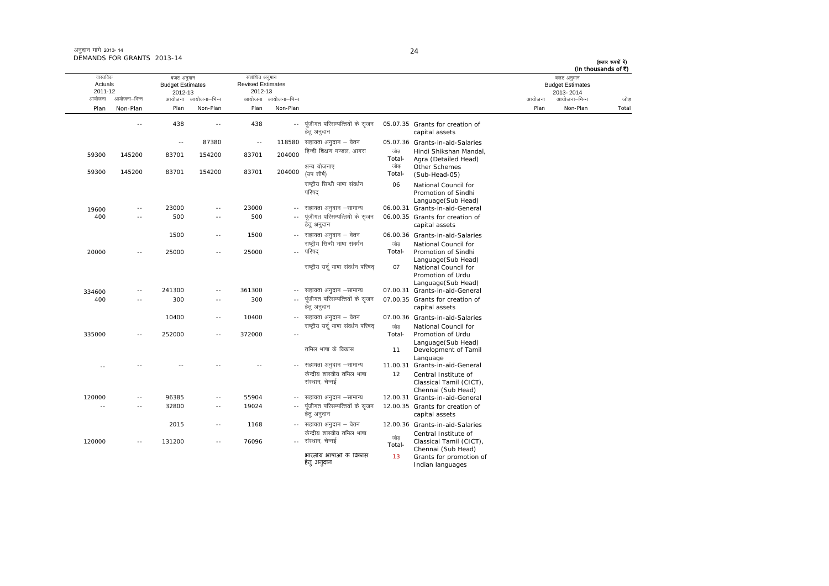| अनुदान मांगे 2013- 14      |  |
|----------------------------|--|
| DEMANDS FOR GRANTS 2013-14 |  |

(हजार रूपयों में)<br>(In thousands of ₹)

|                                          |               |                                                            |                          |                                                       |                     |                                                     |                      |                                                                                       |        | (In thousands of ₹)                                                |       |
|------------------------------------------|---------------|------------------------------------------------------------|--------------------------|-------------------------------------------------------|---------------------|-----------------------------------------------------|----------------------|---------------------------------------------------------------------------------------|--------|--------------------------------------------------------------------|-------|
| वास्तविक<br>Actuals<br>2011-12<br>आयोजना | आयोजना–भिन्न  | बजट अनुमान<br><b>Budget Estimates</b><br>2012-13<br>आयोजना | आयोजना–भिन्न             | संशोधित अनुमान<br><b>Revised Estimates</b><br>2012-13 | आयोजना आयोजना-भिन्न |                                                     |                      |                                                                                       | आयोजना | बजट अनुमान<br><b>Budget Estimates</b><br>2013-2014<br>आयोजना–भिन्न | जोड   |
| Plan                                     |               | Plan                                                       | Non-Plan                 | Plan                                                  | Non-Plan            |                                                     |                      |                                                                                       | Plan   | Non-Plan                                                           | Total |
|                                          | Non-Plan      |                                                            |                          |                                                       |                     |                                                     |                      |                                                                                       |        |                                                                    |       |
|                                          | $\frac{1}{2}$ | 438                                                        | $\overline{\phantom{a}}$ | 438                                                   | $\sim$ $\sim$       | पंजीगत परिसम्पत्तियों के सजन<br>हेत् अनुदान         |                      | 05.07.35 Grants for creation of<br>capital assets                                     |        |                                                                    |       |
|                                          |               | $\sim$ $\sim$                                              | 87380                    | $\sim$ $-$                                            |                     | $118580$ सहायता अनुदान - वेतन                       |                      | 05.07.36 Grants-in-aid-Salaries                                                       |        |                                                                    |       |
| 59300                                    | 145200        | 83701                                                      | 154200                   | 83701                                                 | 204000              | हिन्दी शिक्षण मण्डल, आगरा<br>अन्य योजनाए            | जोड<br>Total-<br>जोड | Hindi Shikshan Mandal,<br>Agra (Detailed Head)<br>Other Schemes                       |        |                                                                    |       |
| 59300                                    | 145200        | 83701                                                      | 154200                   | 83701                                                 | 204000              | (उप शीर्ष)                                          | Total-               | (Sub-Head-05)                                                                         |        |                                                                    |       |
|                                          |               |                                                            |                          |                                                       |                     | राष्ट्रीय सिन्धी भाषा संवर्धन<br>परिषद              | 06                   | National Council for<br>Promotion of Sindhi<br>Language(Sub Head)                     |        |                                                                    |       |
| 19600                                    | $\sim$ $-$    | 23000                                                      | $\overline{\phantom{a}}$ | 23000                                                 | $\sim$              | सहायता अनुदान –सामान्य                              |                      | 06.00.31 Grants-in-aid-General                                                        |        |                                                                    |       |
| 400                                      |               | 500                                                        | $\sim$                   | 500                                                   | $\sim$ $\sim$       | पंजीगत परिसम्पत्तियों के सजन                        |                      | 06.00.35 Grants for creation of                                                       |        |                                                                    |       |
|                                          |               |                                                            |                          |                                                       |                     | हेत् अनुदान                                         |                      | capital assets                                                                        |        |                                                                    |       |
|                                          |               | 1500                                                       | $\sim$ $\sim$            | 1500                                                  |                     | -- सहायता अनुदान – वेतन                             |                      | 06.00.36 Grants-in-aid-Salaries                                                       |        |                                                                    |       |
|                                          |               |                                                            |                          |                                                       |                     | राष्ट्रीय सिन्धी भाषा संवर्धन                       | जोड                  | National Council for                                                                  |        |                                                                    |       |
| 20000                                    | $\sim$        | 25000                                                      | $\sim$ $-$               | 25000                                                 |                     | -- परिषद                                            | Total-               | Promotion of Sindhi                                                                   |        |                                                                    |       |
|                                          |               |                                                            |                          |                                                       |                     | राष्ट्रीय उर्दू भाषा संवर्धन परिषद                  | 07                   | Language(Sub Head)<br>National Council for<br>Promotion of Urdu<br>Language(Sub Head) |        |                                                                    |       |
| 334600                                   | $\sim$        | 241300                                                     | $\overline{a}$           | 361300                                                |                     | सहायता अनुदान –सामान्य                              |                      | 07.00.31 Grants-in-aid-General                                                        |        |                                                                    |       |
| 400                                      | $\sim$ $-$    | 300                                                        | $\overline{\phantom{a}}$ | 300                                                   | $\sim$ $\sim$       | पूंजीगत परिसम्पत्तियों के सृजन<br>हेत् अनुदान       |                      | 07.00.35 Grants for creation of<br>capital assets                                     |        |                                                                    |       |
|                                          |               | 10400                                                      | $\sim$                   | 10400                                                 |                     | -- सहायता अनुदान – वेतन                             |                      | 07.00.36 Grants-in-aid-Salaries                                                       |        |                                                                    |       |
|                                          |               |                                                            |                          |                                                       |                     | राष्ट्रीय उर्द भाषा संवर्धन परिषद                   | जोड                  | National Council for                                                                  |        |                                                                    |       |
| 335000                                   | $\sim$        | 252000                                                     | $\sim$ $\sim$            | 372000                                                | $\sim$              |                                                     | Total-               | Promotion of Urdu                                                                     |        |                                                                    |       |
|                                          |               |                                                            |                          |                                                       |                     | तमिल भाषा के विकास                                  | 11                   | Language(Sub Head)<br>Development of Tamil<br>Language                                |        |                                                                    |       |
| $\sim$                                   |               |                                                            |                          |                                                       |                     | सहायता अनुदान –सामान्य                              | 11.00.31             | Grants-in-aid-General                                                                 |        |                                                                    |       |
|                                          |               |                                                            |                          |                                                       |                     | केन्द्रीय शास्त्रीय तमिल भाषा<br>संस्थान, चेन्नई    | 12                   | Central Institute of<br>Classical Tamil (CICT),<br>Chennai (Sub Head)                 |        |                                                                    |       |
| 120000                                   |               | 96385                                                      | $\overline{a}$           | 55904                                                 |                     | सहायता अनुदान –सामान्य                              |                      | 12.00.31 Grants-in-aid-General                                                        |        |                                                                    |       |
| $\sim$                                   | $\sim$        | 32800                                                      | $\sim$ $-$               | 19024                                                 | $\sim$ $\sim$       | पूंजीगत परिसम्पत्तियों के सृजन<br>हेत् अनुदान       |                      | 12.00.35 Grants for creation of<br>capital assets                                     |        |                                                                    |       |
|                                          |               | 2015                                                       | $\sim$ $-$               | 1168                                                  |                     | -- सहायता अनुदान – वेतन                             |                      | 12.00.36 Grants-in-aid-Salaries                                                       |        |                                                                    |       |
| 120000                                   | $\sim$        | 131200                                                     | $\sim$ $\sim$            | 76096                                                 |                     | केन्द्रीय शास्त्रीय तमिल भाषा<br>-- संस्थान, चेन्नई | जोड<br>Total-        | Central Institute of<br>Classical Tamil (CICT),<br>Chennai (Sub Head)                 |        |                                                                    |       |
|                                          |               |                                                            |                          |                                                       |                     | भारतीय भाषाओं के विकास<br>हेत् अन्दान               | 13                   | Grants for promotion of<br>Indian languages                                           |        |                                                                    |       |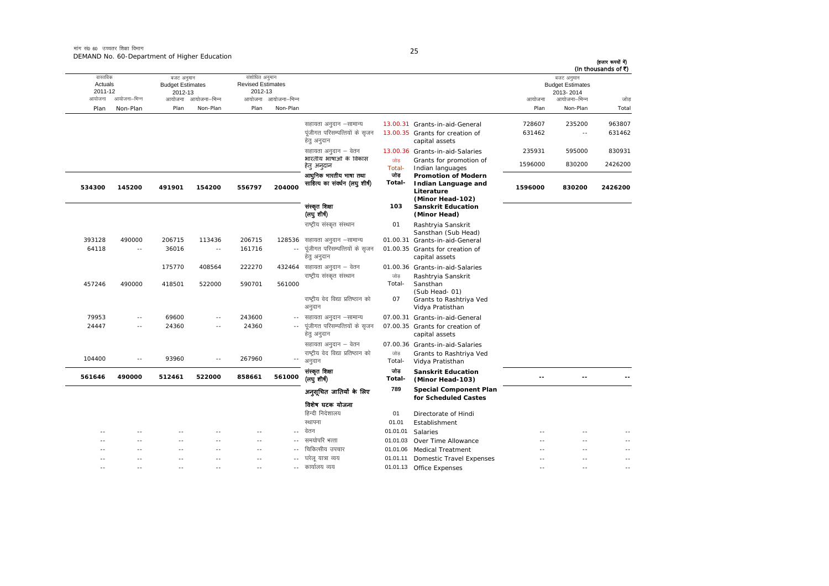मांग सं0 60 उच्चतर शिक्षा विभाग DEMAND No. 60-Department of Higher Education

| (In thousands of ₹) | बजट अनुमान                           |                  |                                                                                     |                |                                                                        |                     | संशोधित अनुमान<br><b>Revised Estimates</b> |                     | बजट अनुमान                         |                | वास्तविक           |
|---------------------|--------------------------------------|------------------|-------------------------------------------------------------------------------------|----------------|------------------------------------------------------------------------|---------------------|--------------------------------------------|---------------------|------------------------------------|----------------|--------------------|
|                     | <b>Budget Estimates</b><br>2013-2014 |                  |                                                                                     |                |                                                                        |                     | 2012-13                                    |                     | <b>Budget Estimates</b><br>2012-13 |                | Actuals<br>2011-12 |
| जोड़                | आयोजना–भिन्न                         | आयोजना           |                                                                                     |                |                                                                        | आयोजना आयोजना-भिन्न |                                            | आयोजना आयोजना-भिन्न |                                    | आयोजना–भिन्न   | आयोजना             |
| Total               | Non-Plan                             | Plan             |                                                                                     |                |                                                                        | Non-Plan            | Plan                                       | Non-Plan            | Plan                               | Non-Plan       | Plan               |
| 963807<br>631462    | 235200<br>$\sim$                     | 728607<br>631462 | 13.00.31 Grants-in-aid-General<br>13.00.35 Grants for creation of<br>capital assets |                | सहायता अनुदान –सामान्य<br>पंजीगत परिसम्पत्तियों के सृजन<br>हेतु अनुदान |                     |                                            |                     |                                    |                |                    |
| 830931              | 595000                               | 235931           | 13.00.36 Grants-in-aid-Salaries                                                     |                | सहायता अनुदान – वेतन                                                   |                     |                                            |                     |                                    |                |                    |
| 2426200             | 830200                               | 1596000          | Grants for promotion of<br>Indian languages                                         | जोड<br>Total-  | भारतीय भाषाओं के विकास<br>हेत् अनुदान                                  |                     |                                            |                     |                                    |                |                    |
| 2426200             | 830200                               | 1596000          | <b>Promotion of Modern</b><br>Indian Language and<br>Literature                     | তাৰ<br>Total-  | आधुनिक भारतीय भाषा तथा<br>साहित्य का संवर्धन (लघु शीर्ष)               | 204000              | 556797                                     | 154200              | 491901                             | 145200         | 534300             |
|                     |                                      |                  | (Minor Head-102)<br><b>Sanskrit Education</b><br>(Minor Head)                       | 103            | संस्कृत शिक्षा<br>(लघु शीर्ष)                                          |                     |                                            |                     |                                    |                |                    |
|                     |                                      |                  | Rashtryia Sanskrit<br>Sansthan (Sub Head)                                           | 01             | राष्ट्रीय संस्कृत संस्थान                                              |                     |                                            |                     |                                    |                |                    |
|                     |                                      |                  | Grants-in-aid-General                                                               | 01.00.31       | सहायता अनुदान –सामान्य                                                 | 128536              | 206715                                     | 113436              | 206715                             | 490000         | 393128             |
|                     |                                      |                  | 01.00.35 Grants for creation of<br>capital assets                                   |                | पूंजीगत परिसम्पत्तियों के सृजन<br>हेतु अनुदान                          | $\overline{a}$      | 161716                                     | $\sim$ $\sim$       | 36016                              | $\sim$ $-$     | 64118              |
|                     |                                      |                  | 01.00.36 Grants-in-aid-Salaries                                                     |                | 432464 सहायता अनुदान – वेतन                                            |                     | 222270                                     | 408564              | 175770                             |                |                    |
|                     |                                      |                  | Rashtryia Sanskrit<br>Sansthan                                                      | जोड<br>Total-  | राष्ट्रीय संस्कृत संस्थान                                              | 561000              | 590701                                     | 522000              | 418501                             | 490000         | 457246             |
|                     |                                      |                  | (Sub Head-01)<br>Grants to Rashtriya Ved<br>Vidya Pratisthan                        | 07             | राष्ट्रीय वेद विद्या प्रतिष्ठान को<br>अनुदान                           |                     |                                            |                     |                                    |                |                    |
|                     |                                      |                  | 07.00.31 Grants-in-aid-General                                                      |                | सहायता अनुदान –सामान्य                                                 | $- -$               | 243600                                     | $\sim$              | 69600                              | $-1$           | 79953              |
|                     |                                      |                  | 07.00.35 Grants for creation of<br>capital assets                                   |                | पंजीगत परिसम्पत्तियों के सृजन<br>हेतु अनुदान                           |                     | 24360                                      |                     | 24360                              | $\overline{a}$ | 24447              |
|                     |                                      |                  | 07.00.36 Grants-in-aid-Salaries                                                     |                | सहायता अनुदान – वेतन                                                   |                     |                                            |                     |                                    |                |                    |
|                     |                                      |                  | Grants to Rashtriya Ved<br>Vidya Pratisthan                                         | जोड़<br>Total- | राष्ट्रीय वेद विद्या प्रतिष्ठान को<br>अनुदान                           |                     | 267960                                     | $\sim$ $-$          | 93960                              | $\sim$ $-$     | 104400             |
|                     |                                      |                  | <b>Sanskrit Education</b><br>(Minor Head-103)                                       | তাৰ<br>Total-  | संस्कृत शिक्षा<br>(लघु शीष)                                            | 561000              | 858661                                     | 522000              | 512461                             | 490000         | 561646             |
|                     |                                      |                  | <b>Special Component Plan</b><br>for Scheduled Castes                               | 789            | अनुसूचित जातियों के लिए                                                |                     |                                            |                     |                                    |                |                    |
|                     |                                      |                  |                                                                                     |                | विशेष घटक योजना                                                        |                     |                                            |                     |                                    |                |                    |
|                     |                                      |                  | Directorate of Hindi                                                                | 01             | हिन्दी निदेशालय                                                        |                     |                                            |                     |                                    |                |                    |
|                     |                                      |                  | Establishment                                                                       | 01.01          | स्थापना                                                                |                     |                                            |                     |                                    |                |                    |
|                     |                                      |                  | Salaries                                                                            | 01.01.01       | वेतन                                                                   |                     |                                            |                     |                                    |                |                    |
|                     | $\sim$                               |                  | Over Time Allowance                                                                 | 01.01.03       | समयोपरि भत्ता                                                          |                     | $-$                                        | $\sim$ $\sim$       | $\sim$ $\sim$                      | $\sim$ $\sim$  | - -                |
|                     |                                      |                  | <b>Medical Treatment</b>                                                            | 01.01.06       | चिकित्सीय उपचार                                                        |                     | $\overline{a}$                             |                     |                                    |                |                    |
| $\sim$              |                                      |                  | Domestic Travel Expenses                                                            | 01.01.11       | घरेलू यात्रा व्यय                                                      | $\sim$              | $\sim$                                     |                     | $\sim$                             |                |                    |
|                     | $\sim$                               | $-$              | 01.01.13 Office Expenses                                                            |                | --   कार्यालय व्यय                                                     |                     | $\overline{a}$                             | $\sim$              | $\sim$                             |                |                    |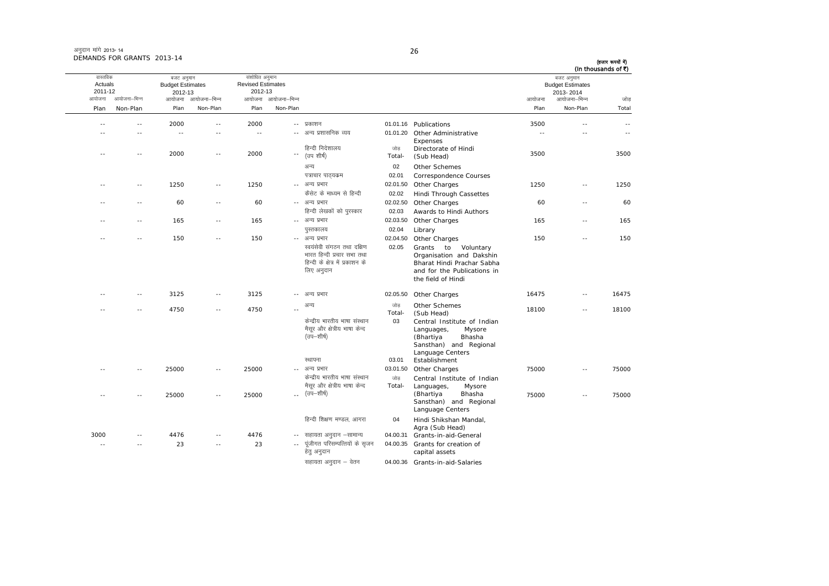| अनुदान मांगे 2013-14       |  |
|----------------------------|--|
| DEMANDS FOR GRANTS 2013-14 |  |

आयोजना आयोजना-भिन्न आयोजना आयोजना-भिन्न - आयोजना आयोजना-भिन्न न अपयोजना—भिन्न जाउँ विकास समिति । अपनी अपयोजना आयोजना—भिन्न जोड Plan Non-Plan Plan Non-Plan Plan Non-Plan Plan Non-Plan Total वास्तविक Actuals2011-12 बजट अनुमान Budget Estimates 2012-13 संशोधित अनुमान Revised Estimates2012-13 बजट अनुमान Budget Estimates 2013- 2014 (हजार रूपयों में) (In thousands of  $\bar{x}$ ) ---- 2000 -- 2000 -- प्रकाशन 01.01.16 Publications 3500 -- -- -- -- -- -- -- - vU; iz'kklfud O;; 01.01.20 Other Administrative Expenses -- -- ---- -- 2000 -- 2000 --<sup>-</sup> (उप शीर्ष) हिन्दी निदेशालय जोड Total-Directorate of Hindi(Sub Head) <sup>3500</sup> <sup>3500</sup> अन्य $\sim$  02 Other SchemesIk=kpkj ikB~;dze 02.01 Correspondence Courses ---- 1250 -- 1250 -- अन्य प्रभार 02.01.50 Other Charges 1250 -- 1250 dSlsV ds ek/;e ls fgUnh 02.02 Hindi Through Cassettes -- -- 60 -- 60 - vU; izHkkj 02.02.50 Other Charges <sup>60</sup> -- <sup>60</sup> fgUnh ys[kdksa dks iqjLdkj 02.03 Awards to Hindi Authors -- -- 165 -- 165 - vU; izHkkj 02.03.50 Other Charges <sup>165</sup> -- <sup>165</sup> iqLrdky; 02.04 Library -- -- 150 -- 150 - vU; izHkkj 02.04.50 Other Charges <sup>150</sup> -- <sup>150</sup> स्वयंसेवी संगठन तथा दक्षिण भारत हिन्दी प्रचार सभा तथा हिन्दी के क्षेत्र में प्रकाशन के लिए अनुदान 02.05 Grants to Voluntary Organisation and Dakshin Bharat Hindi Prachar Sabha and for the Publications inthe field of Hindi-- 3125 -- 3125 -- अन्य प्रभार 02.05.50 Other Charges 16475 16475 -- 16475 -- -- 4750 -- 4750 --अन्य अन्य Total-Other Schemes Sub Head)<br>
Sub Head) 18100 -- 18100 केन्दीय भारतीय भाषा संस्थान मैसूर और क्षेत्रीय भाषा केन्द  $(\bar{v}^m - \bar{v}^m)$ 03 Central Institute of Indian Languages, Mysore<br>(Bhartiya Bhasha (Bhartiya Sansthan) and Regional Language Centers स्थापना 03.01 Establishment -- 25000 -- 25000 -- अन्य प्रभार 03.01.50 Other Charges 25000 -- 75000 -- -- 25000 -- 25000 --केन्द्रीय भारतीय भाषा संस्थान मैसूर और क्षेत्रीय भाषा केन्द \_\_ (उप-शीर्ष) जोड Total-Central Institute of Indian Languages, Mysore (Bhartiya Bhasha Sansthan) and Regional Language Centers 75000 -- 75000 हिन्दी शिक्षण मण्डल, आगरा a. 04 Hindi Shikshan Mandal, Agra (Sub Head) 3000 -- 4476 -- 4476 ---- सहायता अनुदान –सामान्य 04.00.31 Grants-in-aid-General -- -- 23 -- 23 ---- पुंजीगत परिसम्पत्तियों के सुजन हेतु अनुदान 04.00.35 Grants for creation of capital assets

सहायता अनुदान – वेतन 04.00.36 Grants-in-aid-Salaries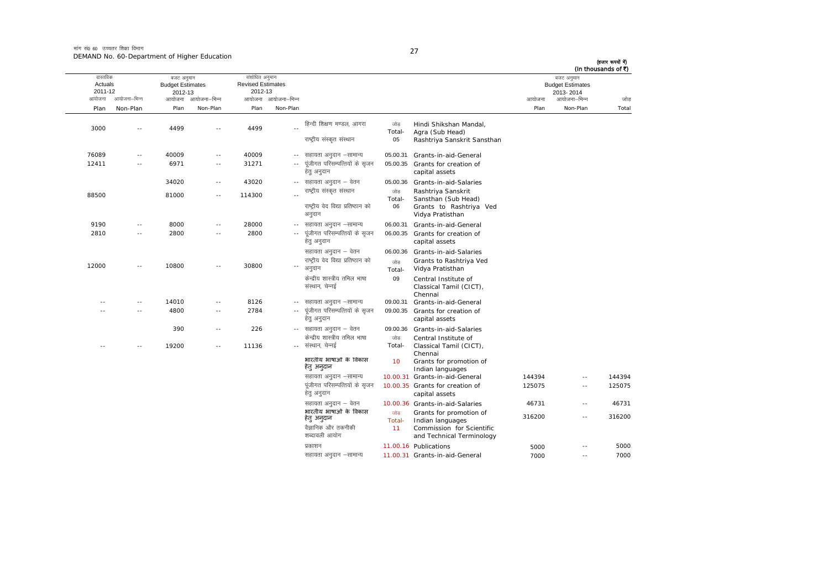मांग सं0 60 उच्चतर शिक्षा विभाग DEMAND No. 60-Department of Higher Education

(हजार रूपयों में)

|                     |                |                                       |               |                                            |                            |                                                              |                     |                                                                          |        |                                       | (In thousands of ₹) |
|---------------------|----------------|---------------------------------------|---------------|--------------------------------------------|----------------------------|--------------------------------------------------------------|---------------------|--------------------------------------------------------------------------|--------|---------------------------------------|---------------------|
| वास्तविक<br>Actuals |                | बजट अनुमान<br><b>Budget Estimates</b> |               | संशोधित अनुमान<br><b>Revised Estimates</b> |                            |                                                              |                     |                                                                          |        | बजट अनुमान<br><b>Budget Estimates</b> |                     |
| 2011-12             |                | 2012-13                               |               | 2012-13                                    |                            |                                                              |                     |                                                                          |        | 2013-2014                             |                     |
| आयोजना              | आयोजना–भिन्न   | आयोजना                                | आयोजना–भिन्न  |                                            | आयोजना आयोजना-भिन्न        |                                                              |                     |                                                                          | आयोजना | आयोजना–भिन्न                          | जोड                 |
| Plan                | Non-Plan       | Plan                                  | Non-Plan      | Plan                                       | Non-Plan                   |                                                              |                     |                                                                          | Plan   | Non-Plan                              | Total               |
| 3000                | $\sim$         | 4499                                  | $-$           | 4499                                       |                            | हिन्दी शिक्षण मण्डल, आगरा                                    | जोड<br>Total-       | Hindi Shikshan Mandal,<br>Agra (Sub Head)                                |        |                                       |                     |
|                     |                |                                       |               |                                            |                            | राष्ट्रीय संस्कृत संस्थान                                    | 05                  | Rashtriya Sanskrit Sansthan                                              |        |                                       |                     |
| 76089               | $\sim$         | 40009                                 | $\sim$ $\sim$ | 40009                                      |                            | -- सहायता अनुदान –सामान्य                                    | 05.00.31            | Grants-in-aid-General                                                    |        |                                       |                     |
| 12411               | $\sim$         | 6971                                  | $\sim$ $-$    | 31271                                      |                            | पूंजीगत परिसम्पत्तियों के सृजन<br>हेत् अनुदान                | 05.00.35            | Grants for creation of<br>capital assets                                 |        |                                       |                     |
|                     |                | 34020                                 | $\sim$ $-$    | 43020                                      |                            | -- सहायता अनुदान – वेतन                                      | 05.00.36            | Grants-in-aid-Salaries                                                   |        |                                       |                     |
| 88500               |                | 81000                                 | $\sim$ $\sim$ | 114300                                     |                            | राष्ट्रीय संस्कृत संस्थान                                    | जोड<br>Total-       | Rashtriya Sanskrit<br>Sansthan (Sub Head)                                |        |                                       |                     |
|                     |                |                                       |               |                                            |                            | राष्ट्रीय वेद विद्या प्रतिष्ठान को<br>अनुदान                 | 06                  | Grants to Rashtriya Ved<br>Vidya Pratisthan                              |        |                                       |                     |
| 9190                | $\sim$ $-$     | 8000                                  | $\sim$ $-$    | 28000                                      | $- -$                      | सहायता अनुदान –सामान्य                                       | 06.00.31            | Grants-in-aid-General                                                    |        |                                       |                     |
| 2810                | $\sim$         | 2800                                  | $\sim$ $\sim$ | 2800                                       | $\sim$ $\sim$              | पूंजीगत परिसम्पत्तियों के सृजन<br>हेतु अनुदान                | 06.00.35            | Grants for creation of<br>capital assets                                 |        |                                       |                     |
|                     |                |                                       |               |                                            |                            | सहायता अनुदान – वेतन                                         |                     | 06.00.36 Grants-in-aid-Salaries                                          |        |                                       |                     |
| 12000               |                | 10800                                 |               | 30800                                      | $\overline{\phantom{a}}$ . | राष्ट्रीय वेद विद्या प्रतिष्ठान को<br>अनुदान                 | जोड<br>Total-       | Grants to Rashtriya Ved<br>Vidya Pratisthan                              |        |                                       |                     |
|                     |                |                                       |               |                                            |                            | केन्द्रीय शास्त्रीय तमिल भाषा<br>संस्थान, चेन्नई             | 09                  | Central Institute of<br>Classical Tamil (CICT),<br>Chennai               |        |                                       |                     |
| $-$                 | $\sim$ $-$     | 14010                                 | $\sim$ $\sim$ | 8126                                       | $\sim$ $\sim$              | सहायता अनुदान –सामान्य                                       | 09.00.31            | Grants-in-aid-General                                                    |        |                                       |                     |
|                     | $\sim$         | 4800                                  | $\sim$ $\sim$ | 2784                                       | $\sim$ $\sim$              | पूंजीगत परिसम्पत्तियों के सृजन<br>हेतु अनुदान                | 09.00.35            | Grants for creation of<br>capital assets                                 |        |                                       |                     |
|                     |                | 390                                   | $\sim$ $-$    | 226                                        |                            | -- सहायता अनुदान – वेतन                                      | 09.00.36            | Grants-in-aid-Salaries                                                   |        |                                       |                     |
|                     | $\overline{a}$ | 19200                                 | $\sim$ $\sim$ | 11136                                      | $\sim$ $\sim$              | केन्द्रीय शास्त्रीय तमिल भाषा<br>संस्थान, चेन्नई             | जोड<br>Total-       | Central Institute of<br>Classical Tamil (CICT),                          |        |                                       |                     |
|                     |                |                                       |               |                                            |                            | भारतीय भाषाओं के विकास<br>हेत् अन्दान                        | 10                  | Chennai<br>Grants for promotion of<br>Indian languages                   |        |                                       |                     |
|                     |                |                                       |               |                                            |                            | सहायता अनुदान –सामान्य                                       |                     | 10.00.31 Grants-in-aid-General                                           | 144394 | $-$                                   | 144394              |
|                     |                |                                       |               |                                            |                            | पूंजीगत परिसम्पत्तियों के सृजन<br>हेत् अनुदान                |                     | 10.00.35 Grants for creation of<br>capital assets                        | 125075 | $\sim$ $-$                            | 125075              |
|                     |                |                                       |               |                                            |                            | सहायता अनुदान – वेतन                                         |                     | 10.00.36 Grants-in-aid-Salaries                                          | 46731  | $\sim$ $-$                            | 46731               |
|                     |                |                                       |               |                                            |                            | भारतीय भाषाओं के विकास<br>हेतु अनुदान<br>वैज्ञानिक और तकनीकी | जोड<br>Total-<br>11 | Grants for promotion of<br>Indian languages<br>Commission for Scientific | 316200 | $\sim$ $-$                            | 316200              |
|                     |                |                                       |               |                                            |                            | शब्दावली आयोग                                                |                     | and Technical Terminology                                                |        |                                       |                     |
|                     |                |                                       |               |                                            |                            | प्रकाशन                                                      |                     | 11.00.16 Publications                                                    | 5000   | $\sim$ $-$                            | 5000                |
|                     |                |                                       |               |                                            |                            | सहायता अनुदान –सामान्य                                       |                     | 11.00.31 Grants-in-aid-General                                           | 7000   | $\sim$ $-$                            | 7000                |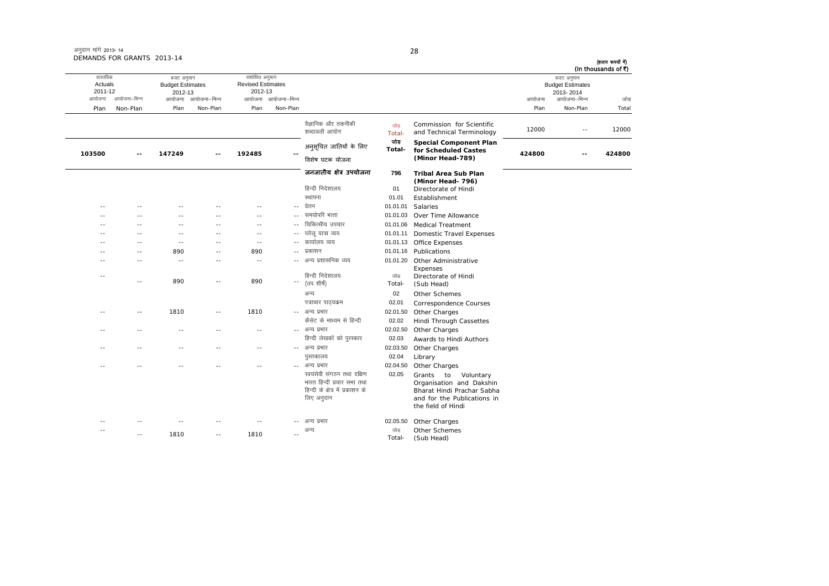# अनुदान मांगे 2013- 14 DEMANDS FOR GRANTS 2013-14

| (In thousands of ₹) | बजट अनुमान              |        |                                                                                                                                       |               |                                                                                                            |                     | संशोधित अनुमान           |                     | बजट अनुमान              |               | वास्तविक |
|---------------------|-------------------------|--------|---------------------------------------------------------------------------------------------------------------------------------------|---------------|------------------------------------------------------------------------------------------------------------|---------------------|--------------------------|---------------------|-------------------------|---------------|----------|
|                     | <b>Budget Estimates</b> |        |                                                                                                                                       |               |                                                                                                            |                     | <b>Revised Estimates</b> |                     | <b>Budget Estimates</b> |               | Actuals  |
|                     | 2013-2014               |        |                                                                                                                                       |               |                                                                                                            |                     | 2012-13                  |                     | 2012-13                 |               | 2011-12  |
| जोड                 | आयोजना–भिन्न            | आयोजना |                                                                                                                                       |               |                                                                                                            | आयोजना आयोजना–भिन्न |                          | आयोजना आयोजना–भिन्न |                         | आयोजना–भिन्न  | आयोजना   |
| Total               | Non-Plan                | Plan   |                                                                                                                                       |               |                                                                                                            | Non-Plan            | Plan                     | Non-Plan            | Plan                    | Non-Plan      | Plan     |
| 12000               | $\sim$ $-$              | 12000  | Commission for Scientific<br>and Technical Terminology                                                                                | जोड<br>Total- | वैज्ञानिक और तकनीकी<br>शब्दावली आयोग                                                                       |                     |                          |                     |                         |               |          |
| 424800              |                         | 424800 | <b>Special Component Plan</b><br>for Scheduled Castes                                                                                 | जोड<br>Total- | अनुसूचित जातियों के लिए                                                                                    |                     | 192485                   |                     | 147249                  |               | 103500   |
|                     |                         |        | (Minor Head-789)                                                                                                                      |               | विशेष घटक योजना                                                                                            |                     |                          |                     |                         |               |          |
|                     |                         |        | <b>Tribal Area Sub Plan</b><br>(Minor Head- 796)                                                                                      | 796           | जनजातीय क्षेत्र उपयोजना                                                                                    |                     |                          |                     |                         |               |          |
|                     |                         |        | Directorate of Hindi                                                                                                                  | 01            | हिन्दी निदेशालय                                                                                            |                     |                          |                     |                         |               |          |
|                     |                         |        | Establishment                                                                                                                         | 01.01         | स्थापना                                                                                                    |                     |                          |                     |                         |               |          |
|                     |                         |        | Salaries                                                                                                                              | 01.01.01      | वेतन                                                                                                       | $\sim$              | $\sim$ $\sim$            |                     |                         |               |          |
|                     |                         |        | Over Time Allowance                                                                                                                   | 01.01.03      | समयोपरि भत्ता                                                                                              | $\sim$              | $\sim$                   | $-$                 | $\sim$                  |               |          |
|                     |                         |        | <b>Medical Treatment</b>                                                                                                              | 01.01.06      | चिकित्सीय उपचार                                                                                            | $\sim$              | $\sim$ $\sim$            | $-$                 | $\sim$                  |               |          |
|                     |                         |        | <b>Domestic Travel Expenses</b>                                                                                                       | 01.01.11      | घरेलू यात्रा व्यय                                                                                          | $\sim$              | $\sim$ $\sim$            | $-$                 | $\sim$ $\sim$           |               |          |
|                     |                         |        | Office Expenses                                                                                                                       | 01.01.13      | कार्यालय व्यय                                                                                              | $\sim$              | $\sim$ $\sim$            | $\sim$              | $\sim$                  | $\sim$        |          |
|                     |                         |        | Publications                                                                                                                          | 01.01.16      | प्रकाशन                                                                                                    | $\sim$              | 890                      | $\sim$              | 890                     | $\sim$        |          |
|                     |                         |        | Other Administrative<br>Expenses                                                                                                      | 01.01.20      | अन्य प्रशासनिक व्यय                                                                                        | $\sim$              | $\sim$ $-$               | $\sim$ $-$          | $\sim$ $-$              |               |          |
|                     |                         |        | Directorate of Hindi<br>(Sub Head)                                                                                                    | जोड<br>Total- | हिन्दी निदेशालय<br>(उप शीर्ष)                                                                              | $\sim$              | 890                      | $-$                 | 890                     | - -           | $ -$     |
|                     |                         |        | Other Schemes                                                                                                                         | 02            | अन्य                                                                                                       |                     |                          |                     |                         |               |          |
|                     |                         |        | Correspondence Courses                                                                                                                | 02.01         | पत्राचार पाठ्यकम                                                                                           |                     |                          |                     |                         |               |          |
|                     |                         |        | Other Charges                                                                                                                         | 02.01.50      | -- अन्य प्रभार                                                                                             |                     | 1810                     | ٠.                  | 1810                    | $\sim$ $\sim$ |          |
|                     |                         |        | Hindi Through Cassettes                                                                                                               | 02.02         | कैसेट के माध्यम से हिन्दी                                                                                  |                     |                          |                     |                         |               |          |
|                     |                         |        | Other Charges                                                                                                                         | 02.02.50      | अन्य प्रभार                                                                                                | $-$                 | $\sim$ $\sim$            | - -                 | $ -$                    |               |          |
|                     |                         |        | Awards to Hindi Authors                                                                                                               | 02.03         | हिन्दी लेखकों को पुरस्कार                                                                                  |                     |                          |                     |                         |               |          |
|                     |                         |        | Other Charges                                                                                                                         | 02.03.50      | -- अन्य प्रभार                                                                                             |                     | $\sim$ $\sim$            | $-$                 | $\sim$                  |               |          |
|                     |                         |        | Library                                                                                                                               | 02.04         | पुस्तकालय                                                                                                  |                     |                          |                     |                         |               |          |
|                     |                         |        | Other Charges                                                                                                                         | 02.04.50      | अन्य प्रभार                                                                                                | $\sim$              | - -                      |                     |                         |               |          |
|                     |                         |        | Grants to<br>Voluntary<br>Organisation and Dakshin<br>Bharat Hindi Prachar Sabha<br>and for the Publications in<br>the field of Hindi | 02.05         | स्वयंसेवी संगठन तथा दक्षिण<br>भारत हिन्दी प्रचार सभा तथा<br>हिन्दी के क्षेत्र में प्रकाशन के<br>लिए अनुदान |                     |                          |                     |                         |               |          |
|                     |                         |        | Other Charges                                                                                                                         | 02.05.50      | अन्य प्रभार                                                                                                |                     |                          |                     |                         |               |          |
|                     |                         |        | Other Schemes<br>(Sub Head)                                                                                                           | जोड<br>Total- | अन्य                                                                                                       |                     | 1810                     | $-$                 | 1810                    |               |          |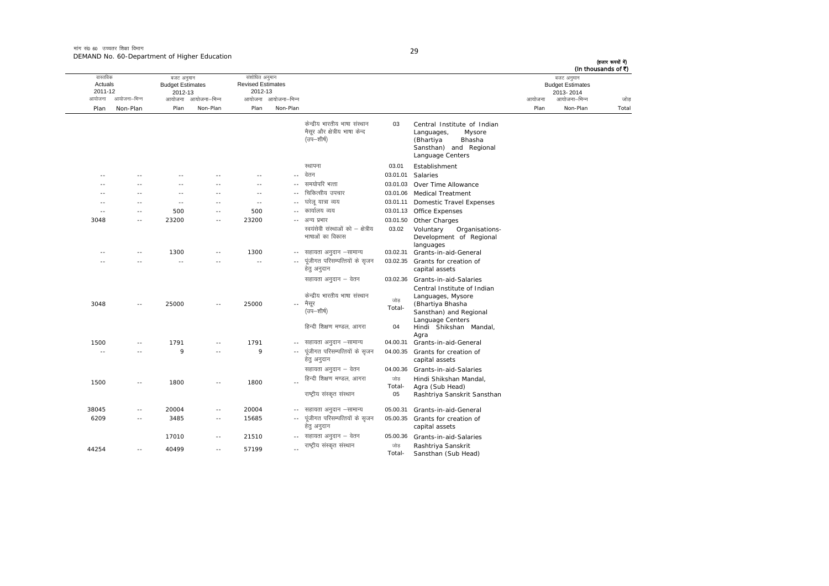मांग सं0 60 उच्चतर शिक्षा विभाग DEMAND No. 60-Department of Higher Education

| ٧ |  |
|---|--|

| (In thousands of ₹) | बजट अनुमान<br><b>Budget Estimates</b><br>2013-2014 |        |                                                                                                                          |               |                                                                              |                            | संशोधित अनुमान<br><b>Revised Estimates</b><br>2012-13 |                     | बजट अनुमान<br><b>Budget Estimates</b><br>2012-13 |               | वास्तविक<br>Actuals<br>2011-12 |
|---------------------|----------------------------------------------------|--------|--------------------------------------------------------------------------------------------------------------------------|---------------|------------------------------------------------------------------------------|----------------------------|-------------------------------------------------------|---------------------|--------------------------------------------------|---------------|--------------------------------|
| जोड़                | आयोजना–भिन्न                                       | आयोजना |                                                                                                                          |               |                                                                              | आयोजना आयोजना-भिन्न        |                                                       | आयोजना आयोजना-भिन्न |                                                  | आयोजना–भिन्न  | आयोजना                         |
| Total               | Non-Plan                                           | Plan   |                                                                                                                          |               |                                                                              | Non-Plan                   | Plan                                                  | Non-Plan            | Plan                                             | Non-Plan      | Plan                           |
|                     |                                                    |        | Central Institute of Indian<br>Languages,<br>Mysore<br>(Bhartiya<br>Bhasha<br>Sansthan) and Regional<br>Language Centers | 03            | केन्द्रीय भारतीय भाषा संस्थान<br>मैसूर और क्षेत्रीय भाषा केन्द<br>(उप—शीर्ष) |                            |                                                       |                     |                                                  |               |                                |
|                     |                                                    |        | Establishment                                                                                                            | 03.01         | स्थापना                                                                      |                            |                                                       |                     |                                                  |               |                                |
|                     |                                                    |        | Salaries                                                                                                                 | 03.01.01      | वेतन                                                                         | $\sim$ $-$                 |                                                       |                     |                                                  |               |                                |
|                     |                                                    |        | Over Time Allowance                                                                                                      | 03.01.03      | समयोपरि भत्ता                                                                | $\sim$                     | $\sim$                                                | - -                 | $\sim$                                           | $\sim$        | - -                            |
|                     |                                                    |        | 03.01.06 Medical Treatment                                                                                               |               | चिकित्सीय उपचार                                                              | $\sim$                     | $\sim$                                                | $-$                 | $\sim$                                           | $\sim$ $\sim$ | - -                            |
|                     |                                                    |        | Domestic Travel Expenses                                                                                                 | 03.01.11      | घरेलु यात्रा व्यय                                                            |                            | $\sim$                                                |                     | $\sim$                                           |               |                                |
|                     |                                                    |        | 03.01.13 Office Expenses                                                                                                 |               | कार्यालय व्यय                                                                |                            | 500                                                   | $-$                 | 500                                              | $\sim$        | $-$                            |
|                     |                                                    |        | 03.01.50 Other Charges                                                                                                   |               | अन्य प्रभार                                                                  | $\sim$ $\sim$              | 23200                                                 | $-$                 | 23200                                            | $\sim$ $\sim$ | 3048                           |
|                     |                                                    |        | Voluntary<br>Organisations-<br>Development of Regional<br>languages                                                      | 03.02         | स्वयंसेवी संस्थाओं को – क्षेत्रीय<br>भाषाओं का विकास                         |                            |                                                       |                     |                                                  |               |                                |
|                     |                                                    |        | Grants-in-aid-General                                                                                                    | 03.02.31      | सहायता अनुदान –सामान्य                                                       | $- -$                      | 1300                                                  | $-$                 | 1300                                             | $\sim$ $-$    | --                             |
|                     |                                                    |        | 03.02.35 Grants for creation of<br>capital assets                                                                        |               | पूंजीगत परिसम्पत्तियों के सृजन<br>हेत् अनुदान                                | $\sim$ $-$                 | $\sim$                                                | - -                 | $\sim$                                           |               |                                |
|                     |                                                    |        | 03.02.36 Grants-in-aid-Salaries<br>Central Institute of Indian<br>Languages, Mysore                                      |               | सहायता अनुदान – वेतन<br>केन्द्रीय भारतीय भाषा संस्थान                        |                            |                                                       |                     |                                                  |               |                                |
|                     |                                                    |        | (Bhartiya Bhasha<br>Sansthan) and Regional<br>Language Centers                                                           | जोड<br>Total- | मैसूर<br>(उप—शीर्ष)                                                          | $\overline{\phantom{a}}$ . | 25000                                                 | $-$                 | 25000                                            |               | 3048                           |
|                     |                                                    |        | Hindi Shikshan Mandal,<br>Agra                                                                                           | 04            | हिन्दी शिक्षण मण्डल, आगरा                                                    |                            |                                                       |                     |                                                  |               |                                |
|                     |                                                    |        | Grants-in-aid-General                                                                                                    | 04.00.31      | सहायता अनुदान -सामान्य                                                       | $\sim$ $-$                 | 1791                                                  | $-$                 | 1791                                             | $\sim$        | 1500                           |
|                     |                                                    |        | 04.00.35 Grants for creation of<br>capital assets                                                                        |               | पूंजीगत परिसम्पत्तियों के सृजन<br>हेत् अनुदान                                | $\sim$ $-$                 | 9                                                     | - -                 | 9                                                |               | - -                            |
|                     |                                                    |        | Grants-in-aid-Salaries                                                                                                   | 04.00.36      | सहायता अनुदान – वेतन                                                         |                            |                                                       |                     |                                                  |               |                                |
|                     |                                                    |        | Hindi Shikshan Mandal,                                                                                                   | जोड           | हिन्दी शिक्षण मण्डल, आगरा                                                    | $\sim$                     | 1800                                                  | ٠.                  | 1800                                             | $-$           | 1500                           |
|                     |                                                    |        | Agra (Sub Head)<br>Rashtriya Sanskrit Sansthan                                                                           | Total-<br>05  | राष्ट्रीय संस्कृत संस्थान                                                    |                            |                                                       |                     |                                                  |               |                                |
|                     |                                                    |        | Grants-in-aid-General                                                                                                    | 05.00.31      | सहायता अनुदान –सामान्य                                                       | $\sim$ $-$                 | 20004                                                 | $\sim$ $-$          | 20004                                            | ٠.            | 38045                          |
|                     |                                                    |        | 05.00.35 Grants for creation of<br>capital assets                                                                        |               | पूंजीगत परिसम्पत्तियों के सृजन<br>हेतु अनुदान                                | $\sim$ $-$                 | 15685                                                 | $\sim$ $-$          | 3485                                             | $\sim$ $-$    | 6209                           |
|                     |                                                    |        | Grants-in-aid-Salaries                                                                                                   | 05.00.36      | सहायता अनुदान – वेतन                                                         | $- -$                      | 21510                                                 | $- -$               | 17010                                            |               |                                |
|                     |                                                    |        | Rashtriya Sanskrit<br>Sansthan (Sub Head)                                                                                | जोड<br>Total- | राष्ट्रीय संस्कृत संस्थान                                                    | $\sim$                     | 57199                                                 | $\sim$ $\sim$       | 40499                                            | $\sim$ $-$    | 44254                          |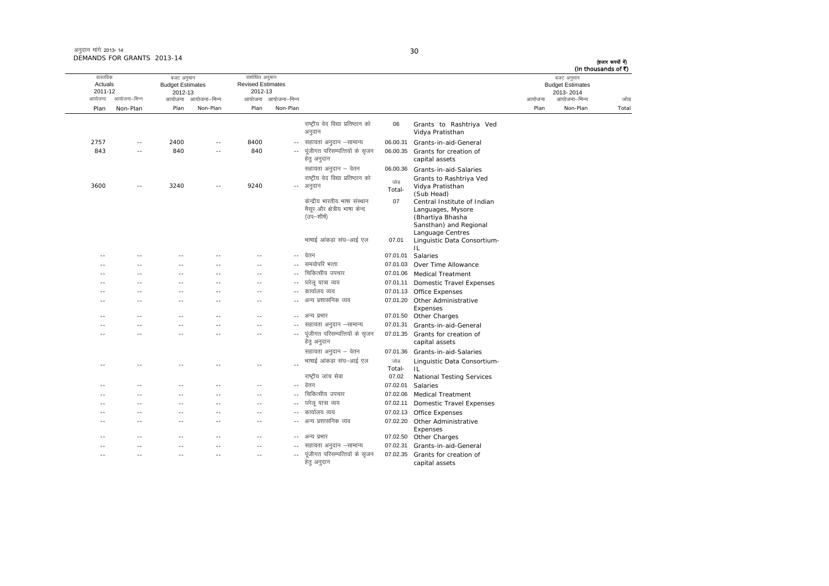अनुदान मांगे 2013- 14 DEMANDS FOR GRANTS 2013-14

#### 30

| (हजार रूपयों में) | (In thousands of ₹)                                                |        |                                                                                                                    |               |                                                                              |                          |                                                       |                     |                                                  | טו טב נווה המוסיו טו |                                          |
|-------------------|--------------------------------------------------------------------|--------|--------------------------------------------------------------------------------------------------------------------|---------------|------------------------------------------------------------------------------|--------------------------|-------------------------------------------------------|---------------------|--------------------------------------------------|----------------------|------------------------------------------|
| जोड़              | बजट अनुमान<br><b>Budget Estimates</b><br>2013-2014<br>आयोजना–भिन्न | आयोजना |                                                                                                                    |               |                                                                              | आयोजना आयोजना-भिन्न      | संशोधित अनुमान<br><b>Revised Estimates</b><br>2012-13 | आयोजना आयोजना-भिन्न | बजट अनुमान<br><b>Budget Estimates</b><br>2012-13 | आयोजना–भिन्न         | वास्तविक<br>Actuals<br>2011-12<br>आयोजना |
| Total             | Non-Plan                                                           | Plan   |                                                                                                                    |               |                                                                              | Non-Plan                 | Plan                                                  | Non-Plan            | Plan                                             | Non-Plan             | Plan                                     |
|                   |                                                                    |        |                                                                                                                    |               |                                                                              |                          |                                                       |                     |                                                  |                      |                                          |
|                   |                                                                    |        | Grants to Rashtriya Ved<br>Vidya Pratisthan                                                                        | 06            | राष्ट्रीय वेद विद्या प्रतिष्ठान को<br>अनुदान                                 |                          |                                                       |                     |                                                  |                      |                                          |
|                   |                                                                    |        | Grants-in-aid-General                                                                                              | 06.00.31      | सहायता अनुदान –सामान्य                                                       | $\sim$ $-$               | 8400                                                  | $\sim$ $\sim$       | 2400                                             | $\sim$ $-$           | 2757                                     |
|                   |                                                                    |        | Grants for creation of<br>capital assets                                                                           | 06.00.35      | पंजीगत परिसम्पत्तियों के सुजन<br>हेतु अनुदान                                 |                          | 840                                                   | --                  | 840                                              |                      | 843                                      |
|                   |                                                                    |        | Grants-in-aid-Salaries                                                                                             | 06.00.36      | सहायता अनुदान – वेतन                                                         |                          |                                                       |                     |                                                  |                      |                                          |
|                   |                                                                    |        | Grants to Rashtriya Ved<br>Vidya Pratisthan<br>(Sub Head)                                                          | जोड<br>Total- | राष्ट्रीय वेद विद्या प्रतिष्ठान को<br>अनुदान                                 | $\overline{\phantom{a}}$ | 9240                                                  | $-$                 | 3240                                             | $\overline{a}$       | 3600                                     |
|                   |                                                                    |        | Central Institute of Indian<br>Languages, Mysore<br>(Bhartiya Bhasha<br>Sansthan) and Regional<br>Language Centres | 07            | केन्द्रीय भारतीय भाषा संस्थान<br>मैसूर और क्षेत्रीय भाषा केन्द<br>(उप—शीर्ष) |                          |                                                       |                     |                                                  |                      |                                          |
|                   |                                                                    |        | Linguistic Data Consortium-<br>IL                                                                                  | 07.01         | भाषाई आंकड़ा संघ–आई एल                                                       |                          |                                                       |                     |                                                  |                      |                                          |
|                   |                                                                    |        | Salaries                                                                                                           | 07.01.01      | वेतन                                                                         | $\sim$ $-$               |                                                       |                     |                                                  |                      |                                          |
|                   |                                                                    |        | 07.01.03 Over Time Allowance                                                                                       |               | समयोपरि भत्ता                                                                | $-1$                     | $\sim$ $-$                                            | - -                 | $\sim$                                           | $\sim$               | - -                                      |
|                   |                                                                    |        | 07.01.06 Medical Treatment                                                                                         |               | चिकित्सीय उपचार                                                              | $\sim$                   |                                                       | $-$                 |                                                  |                      | ۰.                                       |
|                   |                                                                    |        | Domestic Travel Expenses                                                                                           | 07.01.11      | घरेलू यात्रा व्यय                                                            | $-$                      |                                                       |                     | $-$                                              |                      |                                          |
|                   |                                                                    |        | 07.01.13 Office Expenses                                                                                           |               | कार्यालय व्यय                                                                | $\sim$                   | $\sim$                                                | $-$                 | $\sim$                                           | $\sim$ $\sim$        | ٠.                                       |
|                   |                                                                    |        | 07.01.20 Other Administrative<br>Expenses                                                                          |               | अन्य प्रशासनिक व्यय                                                          |                          |                                                       |                     |                                                  |                      |                                          |
|                   |                                                                    |        | 07.01.50 Other Charges                                                                                             |               | अन्य प्रभार                                                                  | $\sim$                   |                                                       | - -                 |                                                  |                      |                                          |
|                   |                                                                    |        | Grants-in-aid-General                                                                                              | 07.01.31      | सहायता अनुदान –सामान्य                                                       |                          | $\sim$                                                | - -                 | $-$                                              |                      |                                          |
|                   |                                                                    |        | 07.01.35 Grants for creation of<br>capital assets                                                                  |               | पूंजीगत परिसम्पत्तियों के सृजन<br>हेतु अनुदान                                | $\sim$ $-$               | $ -$                                                  | $-$                 | $\sim$ $\sim$                                    | $\sim$ $\sim$        | ٠.                                       |
|                   |                                                                    |        | Grants-in-aid-Salaries                                                                                             | 07.01.36      | सहायता अनुदान – वेतन                                                         |                          |                                                       |                     |                                                  |                      |                                          |
|                   |                                                                    |        | Linguistic Data Consortium-                                                                                        | जोड           | भाषाई आंकड़ा संघ–आई एल                                                       | $\sim$                   |                                                       |                     |                                                  |                      |                                          |
|                   |                                                                    |        | IL                                                                                                                 | Total-        |                                                                              |                          |                                                       |                     |                                                  |                      |                                          |
|                   |                                                                    |        | <b>National Testing Services</b>                                                                                   | 07.02         | राष्ट्रीय जांच सेवा<br>वेतन                                                  |                          |                                                       |                     |                                                  |                      |                                          |
|                   |                                                                    |        | Salaries                                                                                                           | 07.02.01      |                                                                              | $\sim$ $\sim$            | $\sim$                                                | - -                 | $\sim$ $\sim$                                    |                      |                                          |
|                   |                                                                    |        | <b>Medical Treatment</b>                                                                                           | 07.02.06      | चिकित्सीय उपचार                                                              | $-$                      | $\sim$ $\sim$                                         | $-$                 | $\sim$                                           | $\sim$               |                                          |
|                   |                                                                    |        | Domestic Travel Expenses                                                                                           | 07.02.11      | घरेलू यात्रा व्यय                                                            | $\sim$ $-$               | $\sim$                                                | - -                 | $\sim$                                           | $\sim$               |                                          |
|                   |                                                                    |        | <b>Office Expenses</b>                                                                                             | 07.02.13      | कार्यालय व्यय                                                                | $\sim$                   | $\sim$                                                | $-$                 | $\sim$                                           | $\sim$               |                                          |
|                   |                                                                    |        | 07.02.20 Other Administrative<br>Expenses                                                                          |               | अन्य प्रशासनिक व्यय                                                          | $\sim$ $-$               | $\sim$                                                | $-$                 | $\sim$                                           | $\sim$               |                                          |
|                   |                                                                    |        | 07.02.50 Other Charges                                                                                             |               | अन्य प्रभार                                                                  | $- -$                    |                                                       |                     |                                                  |                      |                                          |
|                   |                                                                    |        | Grants-in-aid-General                                                                                              | 07.02.31      | सहायता अनुदान –सामान्य                                                       |                          | $\sim$                                                | - -                 | $\sim$                                           | $-$                  |                                          |
|                   |                                                                    |        | 07.02.35 Grants for creation of<br>capital assets                                                                  |               | पूंजीगत परिसम्पत्तियों के सृजन<br>हेतु अनुदान                                | $-$                      | $ -$                                                  | $-$                 | $- -$                                            | $\sim$ $\sim$        |                                          |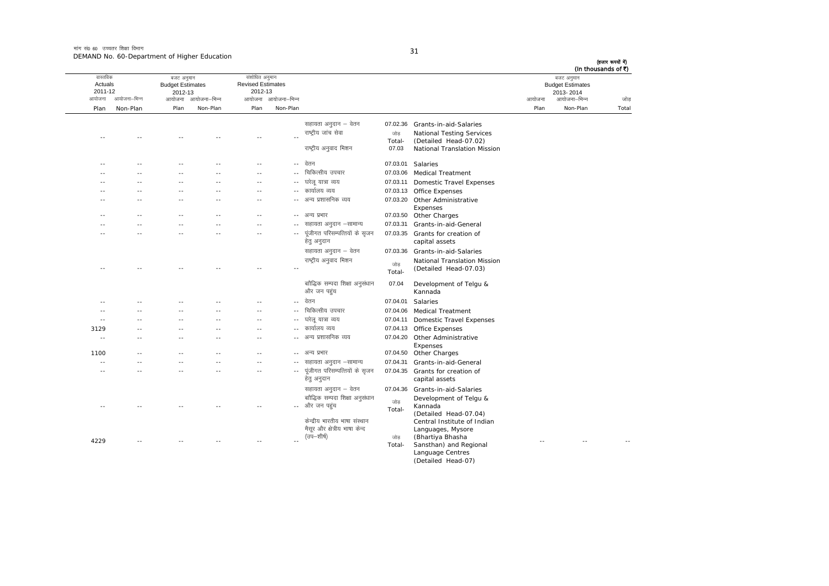मांग सं $\rho$  60 जच्चतर शिक्षा विभाग DEMAND No. 60-Department of Higher Education

| I<br>×<br>۰ |  |
|-------------|--|

(Detailed Head-07)

आयोजना आयोजना-भिन्न आयोजना आयोजना-भिन्न - आयोजना आयोजना-भिन्न न अपयोजना—भिन्न जाउँ विकास समिति । अपनी अपयोजना आयोजना—भिन्न जोड Plan Non-Plan Plan Non-Plan Plan Non-Plan Plan Non-Plan Total तास्ततिक Actuals2011-12 बजट अनुमान Budget Estimates 2012-13 संशोधित अनुमान Revised Estimates2012-13 बजट अनुमान Budget Estimates 2013- 2014 (हजार रूपयों में) (In thousands of  $\bar{x}$ ) सहायता अनुदान – वेतन 07.02.36 Grants-in-aid-Salaries -- -- -- -- -- -jk"Vªh; tkap lsok tksM+ Total-National Testing Services (Detailed Head-07.02) राष्ट्रीय अनुवाद मिशन 07.03 National Translation Mission -- -- -- -- -- --- बेतन खरा - 07.03.01 Salaries -- -- -- -- - fpfdRlh; mipkj 07.03.06 Medical Treatment -- -- -- -- -- ---- घरेलू यात्रा व्यय **COLOGISM 107.03.11 Domestic Travel Expenses** -- -- -- -- -- --- कार्यालय व्यय do 7.03.13 Office Expenses -- -- -- -- -- - vU; iz'kklfud O;; 07.03.20 Other Administrative Expenses -- -- -- -- -- --- अन्य प्रभार 207.03.50 Other Charges -- -- -- -- -- ---- सहायता अनुदान –सामान्य 07.03.31 Grants-in-aid-General -- -- -- -- -- ---- पूंजीगत परिसम्पत्तियों के सृजन हेतु अनुदान 07.03.35 Grants for creation of capital assets सहायता अनुदान – वेतन <br />
07.03.36 Grants-in-aid-Salaries -- -- -- -- -- --राष्ट्रीय अनुवाद मिशन Total-National Translation Mission (Detailed Head-07.03) बाौद्धिक सम्पदा शिक्षा अनुसंधान और जन पहंच 07.04 Development of Telgu & Kannada -- -- -- -- -- --- वेतन **COMP 107.04.01** Salaries -- -- -- -- -- - fpfdRlh; mipkj 07.04.06 Medical Treatment -- -- -- -- -- ---- घरेलू यात्रा व्यय **CONGITED 107.04.11 Domestic Travel Expenses** 31*29* -- -- -- -- -- -- -- ---- कार्यालय व्यय **COT.04.13** Office Expenses -- -- -- -- -- --- अन्य प्रशासनिक व्यय 07.04.20 Other Administrative Expenses 1100 -- -- -- -- ---- अन्य प्रभार 207.04.50 Other Charges -- -- -- -- -- --- सहायता अनुदान –सामान्य 07.04.31 Grants-in-aid-General -- -- -- -- -- ---- पंजीगत परिसम्पत्तियों के सुजन हेतु अनुदान 07.04.35 Grants for creation of capital assets सहायता अनुदान - वेतन 07.04.36 Grants-in-aid-Salaries -- -- -- -- -- -amas that than signam<br>- और जन पहुंच<br>Total- $\frac{1}{\sinh^2\theta}$  बाौद्धिक सम्पदा शिक्षा अनसंधान Development of Telgu &<br>Total-<br>(Detailed Head-07.04) 4229 -- -- -- -- -- $\sim$   $\sim$ केन्द्रीय भारतीय भाषा संस्थान मैसुर और क्षेत्रीय भाषा केन्द (उप—शीर्ष) कोड Total-Central Institute of Indian<br>Languages, Mysore<br>(Bhartiya Bhasha<br>Sansthan) and Regional Language Centres ---- --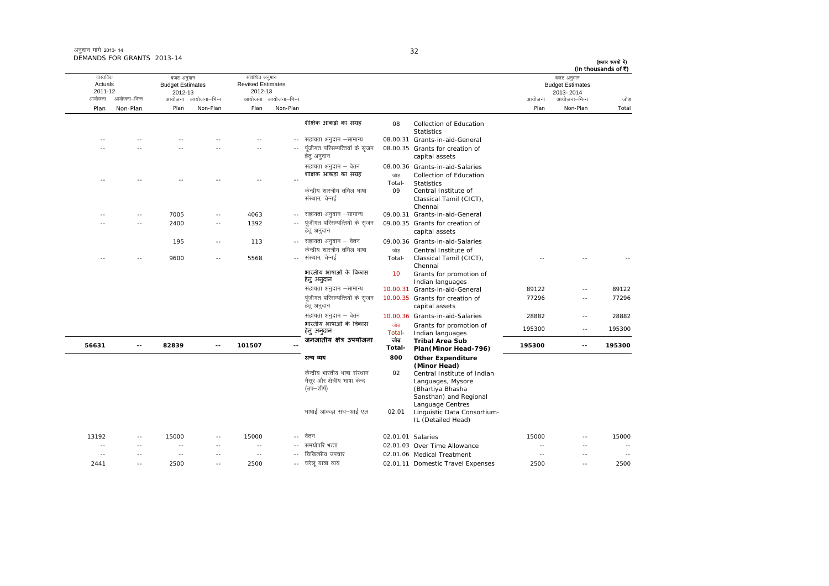| अनुदान मांगे 2013-14       |  |
|----------------------------|--|
| DEMANDS FOR GRANTS 2013-14 |  |

2441 -- 2500 -- 2500 --

?kjsyw ;k=k O;; 02.01.11 Domestic Travel Expenses <sup>2500</sup> -- <sup>2500</sup>

आयोजना आयोजना-भिन्न आयोजना आयोजना-भिन्न - आयोजना आयोजना-भिन्न न अपयोजना—भिन्न जाउँ विकास समिति । अपनी अपयोजना आयोजना—भिन्न जोड Plan Non-Plan Plan Non-Plan Plan Non-Plan Plan Non-Plan Total वास्तविक Actuals2011-12 बजट अनुमान Budget Estimates 2012-13संशोधित अनुमान Revised Estimates2012-13 बजट अनुमान Budget Estimates 2013- 2014(हजार रूपयों में) (In thousands of  $\bar{x}$ ) शैक्षिक आंकड़ों का संग्रह <sup>08</sup> 08 Collection of Education **Statistics** - सहायता अनुदान –सामान्य 08.00.31 Grants-in-aid-General -- -- -- -- -- ---- -- -- -- -- ---- पूंजीगत परिसम्पत्तियों के सृजन हेतु अनुदान 08.00.35 Grants for creation of capital assets सहायता अनुदान – वेतन <br />
08.00.36 Grants-in-aid-Salaries -- -- -- -- -- --<mark>शैक्षिक आकड़ों का संग्रह</mark> उका बाड़ Total-Collection of Education Statistics Central Institute of केन्द्रीय शास्त्रीय तमिल भाषा संस्थान, चेन्नई 09Classical Tamil (CICT), Chennai---- 7005 -- 4063 -- सहायता अनुदान –सामान्य 09.00.31 Grants-in-aid-General -- -- 2400 -- 1392 ---- पंजीगत परिसम्पत्तियों के सजन हेतु अनुदान 09.00.35 Grants for creation of capital assets 195 -- 113 --09.00.36 Grants-in-aid-Salaries -- -- 9600 -- 5568 --केन्द्रीय शास्त्रीय तमिल भाषा -- संस्थान, चेन्नई  $\frac{1}{100}$ Total-Central Institute of<br>Classical Tamil (CICT), Chennai -- -- --भारतीय भाषाओं के िवकासहेतुअनुदान <sup>10</sup> Grants for promotion of Indian languages lgk;rk vuqnku &lkekU; 10.00.31 Grants-in-aid-General 89122 -- 89122 पूंजीगत परिसम्पत्तियों के सुजन हेतु अनुदान 10.00.35 Grants for creation of capital assets 77296 -- 77296lgk;rk vuqnku & osru 10.00.36 Grants-in-aid-Salaries <sup>28882</sup> -- <sup>28882</sup> भारतीय भाषाओं के विकास<br>हेतु अनुदान tks Total-जोड़ Grants for promotion of 195300 -- 195300<br>Total- Indian languages -- 195300<br>जोड़ Tribal Area Sub **56631 -- 82839 -- 101507 --**जनजातीय क्षेत्र उपयोजना **Total-Tribal Area Sub Plan(Minor Head-796) <sup>195300</sup> -- <sup>195300</sup>** अन्य व्यय **800 Other Expenditure (Minor Head)** केन्द्रीय भारतीय भाषा संस्थान मैसर और क्षेत्रीय भाषा केन्द  $\bar{q}$ (उप $\bar{q}$ –शीर्ष) 02 Central Institute of Indian Languages, Mysore (Bhartiya Bhasha Sansthan) and Regional Language Centres भाषाई आंकड़ा संघ-आई एल 02.01 Linguistic Data Consortium-IL (Detailed Head) 13192 -- 15000 -- 15000 - osru 02.01.01 Salaries 15000 -- 15000 -- -- -- -- -- ---- समयोपरि भत्ता 02.01.03 Over Time Allowance -- -- -- -- -- -- -- -- ---- चिकित्सीय उपचार 02.01.06 Medical Treatment -- -- --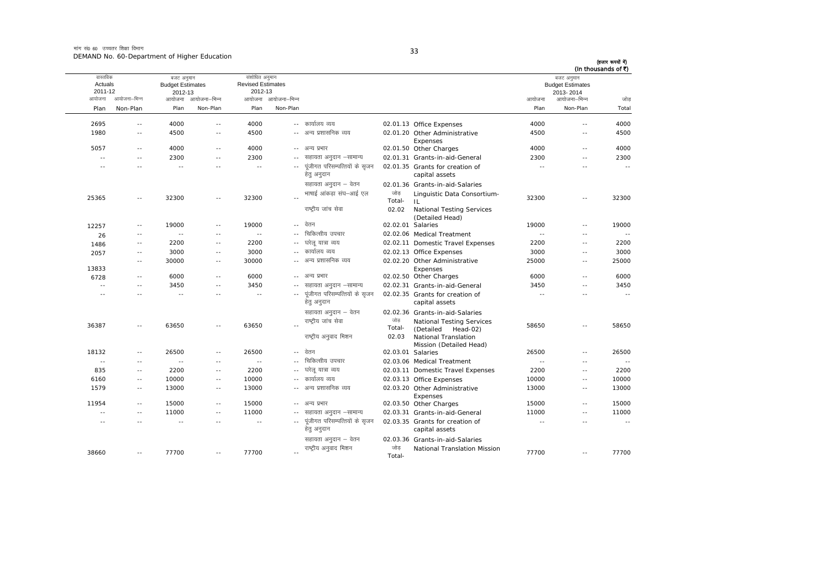मांग सं0 60 उच्चतर शिक्षा विभाग DEMAND No. 60-Department of Higher Education

| I<br>I<br>$\sim$<br>×<br>- |  |
|----------------------------|--|

|               | (In thousands of ₹)<br>बजट अनुमान<br><b>Budget Estimates</b> |            |                                                                       |                   |                                               |                     | संशोधित अनुमान<br><b>Revised Estimates</b> |                          | बजट अनुमान<br><b>Budget Estimates</b> |              | वास्तविक<br>Actuals |
|---------------|--------------------------------------------------------------|------------|-----------------------------------------------------------------------|-------------------|-----------------------------------------------|---------------------|--------------------------------------------|--------------------------|---------------------------------------|--------------|---------------------|
|               | 2013-2014                                                    |            |                                                                       |                   |                                               |                     | 2012-13                                    |                          | 2012-13                               |              | 2011-12             |
| जोड           | आयोजना–भिन्न                                                 | आयोजना     |                                                                       |                   |                                               | आयोजना आयोजना–भिन्न |                                            | आयोजना आयोजना–भिन्न      |                                       | आयोजना–भिन्न | आयोजना              |
| Total         | Non-Plan                                                     | Plan       |                                                                       |                   |                                               | Non-Plan            | Plan                                       | Non-Plan                 | Plan                                  | Non-Plan     | Plan                |
| 4000          | $\sim$ $-$                                                   | 4000       | 02.01.13 Office Expenses                                              |                   | -- कार्यालय व्यय                              |                     | 4000                                       | $\sim$ $\sim$            | 4000                                  | $\sim$ $-$   | 2695                |
| 4500          | $\sim$                                                       | 4500       | 02.01.20 Other Administrative<br>Expenses                             |                   | अन्य प्रशासनिक व्यय                           | $\sim$ $\sim$       | 4500                                       | $\sim$ $\sim$            | 4500                                  | $\sim$ $-$   | 1980                |
| 4000          | $\sim$                                                       | 4000       | 02.01.50 Other Charges                                                |                   | -- अन्य प्रभार                                |                     | 4000                                       | $\sim$ $\sim$            | 4000                                  | $\sim$ $-$   | 5057                |
| 2300          | $\sim$ $-$                                                   | 2300       | 02.01.31 Grants-in-aid-General                                        |                   | सहायता अनुदान –सामान्य                        |                     | 2300                                       | $\overline{\phantom{a}}$ | 2300                                  | $\sim$ $-$   | $\sim$ $-$          |
| $\sim$ $\sim$ | $\sim$                                                       | $\sim$ $-$ | 02.01.35 Grants for creation of<br>capital assets                     |                   | पूंजीगत परिसम्पत्तियों के सृजन<br>हेतु अनुदान | $\sim$ $\sim$       | $\sim$ $\sim$                              | $\sim$                   | $\sim$ $\sim$                         | $\sim$ $-$   | $\sim$              |
| 32300         | $\sim$ $-$                                                   | 32300      | 02.01.36 Grants-in-aid-Salaries<br>Linguistic Data Consortium-<br>IL. | जोड<br>Total-     | सहायता अनुदान – वेतन<br>भाषाई आंकडा संघ–आई एल |                     | 32300                                      | $\sim$ $-$               | 32300                                 | $\sim$ $-$   | 25365               |
|               |                                                              |            | <b>National Testing Services</b><br>(Detailed Head)                   | 02.02             | राष्ट्रीय जांच सेवा<br>वेतन                   |                     |                                            |                          |                                       |              |                     |
| 19000         | $\sim$ $-$                                                   | 19000      |                                                                       | 02.02.01 Salaries | चिकित्सीय उपचार                               | $\sim$ $\sim$       | 19000                                      | $\sim$ $-$               | 19000                                 | $\sim$ $-$   | 12257               |
| $\sim$ $-$    | $\sim$                                                       | $\sim$ $-$ | 02.02.06 Medical Treatment                                            |                   |                                               |                     | $\sim$ $\sim$                              | $\overline{\phantom{a}}$ | $\sim$ $\sim$                         | $\sim$ $-$   | 26                  |
| 2200          | $\sim$ $-$                                                   | 2200       | 02.02.11 Domestic Travel Expenses                                     |                   | घरेलू यात्रा व्यय<br>कार्यालय व्यय            | $\overline{a}$      | 2200                                       | $\sim$ $-$               | 2200                                  | $\sim$ $-$   | 1486                |
| 3000          | $\sim$ $-$                                                   | 3000       | 02.02.13 Office Expenses                                              |                   |                                               | $\sim$              | 3000                                       | $\sim$                   | 3000                                  | $- -$        | 2057                |
| 25000         | $\sim$                                                       | 25000      | 02.02.20 Other Administrative<br>Expenses                             |                   | अन्य प्रशासनिक व्यय                           |                     | 30000                                      | $\sim$ $\sim$            | 30000                                 | $\sim$ $-$   | 13833               |
| 6000          | $\sim$                                                       | 6000       | 02.02.50 Other Charges                                                |                   | अन्य प्रभार                                   | $- -$               | 6000                                       | $\sim$ $\sim$            | 6000                                  | $\sim$ $-$   | 6728                |
| 3450          | $\sim$ $-$                                                   | 3450       | 02.02.31 Grants-in-aid-General                                        |                   | सहायता अनुदान –सामान्य                        | $- -$               | 3450                                       | $\sim$                   | 3450                                  | $\sim$ $-$   | $\sim$              |
| $\sim$ $\sim$ | $\sim$                                                       | $\sim$     | 02.02.35 Grants for creation of<br>capital assets                     |                   | पूंजीगत परिसम्पत्तियों के सृजन<br>हेतु अनुदान |                     | $\sim$ $\sim$                              | $\sim$                   | $\sim$ $\sim$                         | $\sim$ $-$   | $\sim$              |
|               |                                                              |            | 02.02.36 Grants-in-aid-Salaries<br><b>National Testing Services</b>   | जोड               | सहायता अनुदान – वेतन<br>राष्टीय जांच सेवा     |                     |                                            |                          |                                       |              |                     |
| 58650         | $\overline{a}$                                               | 58650      | (Detailed Head-02)<br>National Translation<br>Mission (Detailed Head) | Total-<br>02.03   | राष्ट्रीय अनुवाद मिशन                         |                     | 63650                                      | $\sim$ $\sim$            | 63650                                 | $\sim$ $-$   | 36387               |
| 26500         | $\sim$ $\sim$                                                | 26500      |                                                                       | 02.03.01 Salaries | वेतन                                          | $\sim$ $-$          | 26500                                      | $\sim$ $-$               | 26500                                 | $\sim$ $-$   | 18132               |
| $\sim$ $\sim$ | $\sim$                                                       | $\sim$ $-$ | 02.03.06 Medical Treatment                                            |                   | चिकित्सीय उपचार                               |                     | $\sim$ $\sim$                              | $\sim$ $\sim$            | $\sim$ $-$                            | $\sim$ $-$   | $\sim$ $-$          |
| 2200          | $-$                                                          | 2200       | 02.03.11 Domestic Travel Expenses                                     |                   | घरेलू यात्रा व्यय                             | $- -$               | 2200                                       | $\sim$ $\sim$            | 2200                                  | $\sim$ $-$   | 835                 |
| 10000         | $\sim$                                                       | 10000      | 02.03.13 Office Expenses                                              |                   | कार्यालय व्यय                                 | $-1$                | 10000                                      | $\sim$ $\sim$            | 10000                                 | $\sim$ $-$   | 6160                |
| 13000         | $\sim$ $-$                                                   | 13000      | 02.03.20 Other Administrative<br>Expenses                             |                   | अन्य प्रशासनिक व्यय                           | $\sim$ $-$          | 13000                                      | $\sim$ $-$               | 13000                                 | $\sim$ $-$   | 1579                |
| 15000         | $\sim$ $-$                                                   | 15000      | 02.03.50 Other Charges                                                |                   | अन्य प्रभार                                   | $\sim$ $\sim$       | 15000                                      | $\sim$ $-$               | 15000                                 | $\sim$ $-$   | 11954               |
| 11000         | $\overline{a}$                                               | 11000      | 02.03.31 Grants-in-aid-General                                        |                   | सहायता अनुदान –सामान्य                        | $- -$               | 11000                                      | $\overline{\phantom{a}}$ | 11000                                 | $\sim$ $-$   | $\sim$ $\sim$       |
| $\sim$        | $\sim$ $\sim$                                                | $\sim$     | 02.03.35 Grants for creation of<br>capital assets                     |                   | पूंजीगत परिसम्पत्तियों के सृजन<br>हेतु अनुदान | $\sim$ $\sim$       | $\sim$                                     | $\sim$ $\sim$            |                                       | $\sim$       | $\sim$              |
|               |                                                              |            | 02.03.36 Grants-in-aid-Salaries<br>National Translation Mission       | जोड               | सहायता अनुदान – वेतन<br>राष्ट्रीय अनुवाद मिशन |                     |                                            |                          |                                       |              |                     |
| 77700         | $\sim$ $\sim$                                                | 77700      |                                                                       | Total-            |                                               | $\sim$              | 77700                                      | $\sim$ $\sim$            | 77700                                 | $\sim$ $-$   | 38660               |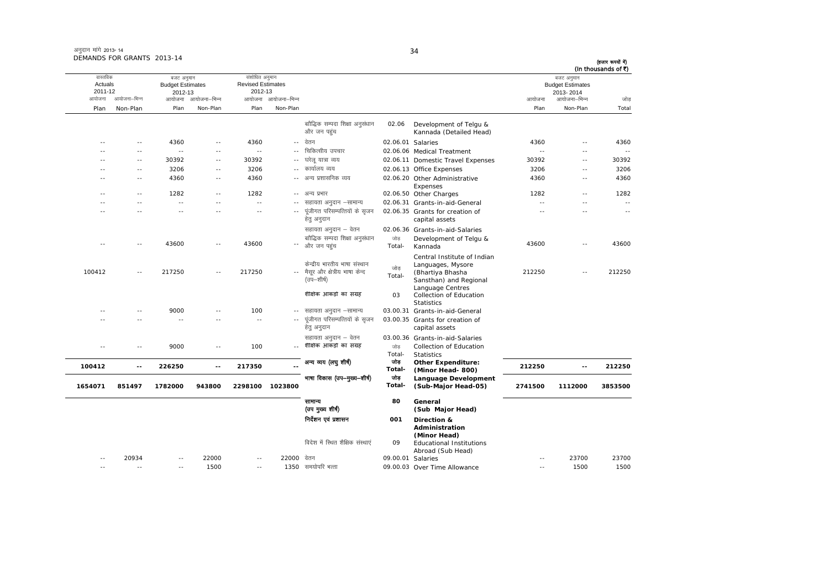| अनुदान मांगे 2013- 14      |  |
|----------------------------|--|
| DEMANDS FOR GRANTS 2013-14 |  |

आयोजना आयोजना-भिन्न आयोजना आयोजना-भिन्न - आयोजना आयोजना-भिन्न न अपयोजना—भिन्न जाउँ विकास समिति । अपनी अपयोजना आयोजना—भिन्न जोड Plan Non-Plan Plan Non-Plan Plan Non-Plan Plan Non-Plan Total तास्ततिक Actuals2011-12 बजट अनुमान Budget Estimates 2012-13संशोधित अनुमान Revised Estimates2012-13 बजट अनुमान Budget Estimates 2013- 2014(हजार रूपयों में) (In thousands of  $\bar{x}$ ) बाौद्धिक सम्पदा शिक्षा अनुसंधान और जन पहुंच 02.06 Development of Telgu & Kannada (Detailed Head) -- -- 4360 -- 4360 -- Oksru 02.06.01 Salaries 4360 -- 4360 -- -- -- -- -- ---- चिकित्सीय उपचार 02.06.06 Medical Treatment -- -- -- ---- 30392 -- 30392 -- घरेलू यात्रा व्यय 02.06.11 Domestic Travel Expenses 30392 -- 30392 -- -- 3206 -- 3206 ---- कार्यालय व्यय 02.06.13 Office Expenses 3206 3206 -- 3206 -- $-4360$   $-4360$ -- अन्य प्रशासनिक व्यय 0 Other Administrative Expenses 4360 -- 4360---- 1282 -- 1282 -- अन्य प्रभार vU; izHkkj 02.06.50 Other Charges 1282 -- 1282 -- -- -- -- -- - lgk;rk vuqnku &lkekU; 02.06.31 Grants-in-aid-General -- -- -- -- -- -- -- -- --.<br>-- पंजीगत परिसम्पत्तियों के सजन हेतु अनुदान 02.06.35 Grants for creation of capital assets -- -- --सहायता अनुदान – वेतन <a>balaries</a>of</a> Grants-in-aid-Salaries</a> ---- 43600 -- 43600 -- और जन पहुंच ckkSf)d lEink f'k{kk vuqla/kku vkSj tu igqap tksM+ Total- Development of Telgu & Kannada 43600 -- <sup>43600</sup> 100412 -- 217250 -- 217250 --- मैसूर और क्षेत्रीय भाषा केन्द केन्द्रीय भारतीय भाषा संस्थान (उप–शीर्ष)  $\frac{1}{\ln x}$ Total-Central Institute of Indian<br>Languages, Mysore<br>(Bhartiya Bhasha<br>Sansthan) and Regional Language Centres 212250 -- 212250 शैक्षिक आंकड़ों का संग्रह ं 03 03 Collection of Education **Statistics**  lgk;rk vuqnku &lkekU; 03.00.31 Grants-in-aid-General ---- 9000 -- 100 -- सहायता अनुदान –सामान्य -- -- -- -- -- --.. पुंजीगत परिसम्पत्तियों के सुजन हेतु अनुदान 03.00.35 Grants for creation of capital assets सहायता अनुदान – वेतन cos.00.36 Grants-in-aid-Salaries -- -- 9000 -- 100 --**शैक्षिक आकड़ों का संग्रह** ' जोड Total-Collection of Education Statistics **100412 -- 226250 -- 217350 --**अन्य व्यय (लघु शीर्ष) <sup>जोड़</sup><br>Total- **Other Expenditure: (Minor Head- 800) 212250 -- <sup>212250</sup> 1654071 851497 1782000 943800 2298100 1023800** भाषा विकास (उप—मुख्य—शीर्ष) जोड़ **Total-Language Development (Sub-Major Head-05) <sup>2741500</sup> <sup>1112000</sup> <sup>3853500</sup>** सामान्य (उप मुख्य शीर्ष) **80 General (Sub Major Head)** funsZ'ku ,oa iz'kklu **001 Direction & Administration (Minor Head)** fons'k esa fLFkr 'kSf{kd laLFkk,a <sup>09</sup> Educational Institutions Abroad (Sub Head) -- 20934 -- 22000 -- 2200009.00.01 Salaries -- 23700 23700 -- -- -- 1500 -- 1350 le;ksifj HkRrk 09.00.0309.00.03 Over Time Allowance -- 1500 1500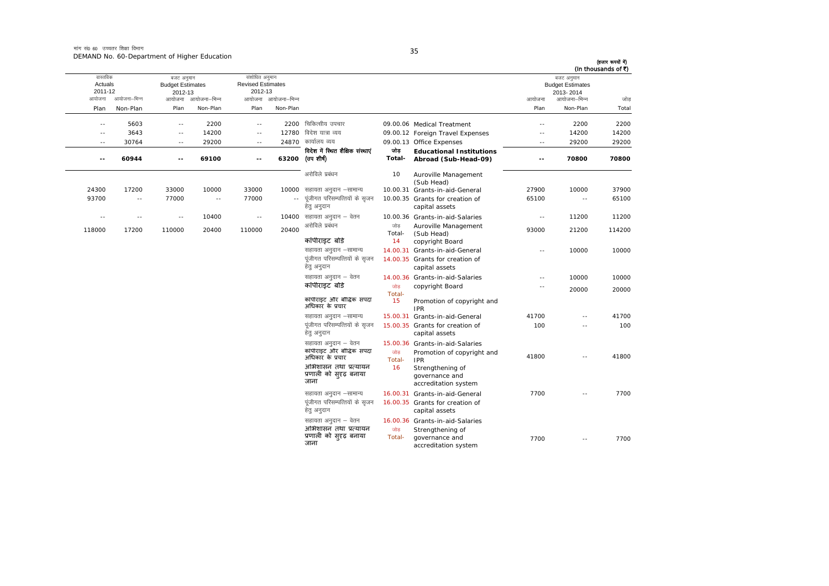| (In thousands of ₹) | बजट अनुमान                |                          |                                                         |               |                                                |                     | संशोधित अनुमान             |              | बजट अनुमान               |               | वास्तविक                 |
|---------------------|---------------------------|--------------------------|---------------------------------------------------------|---------------|------------------------------------------------|---------------------|----------------------------|--------------|--------------------------|---------------|--------------------------|
|                     | <b>Budget Estimates</b>   |                          |                                                         |               |                                                |                     | <b>Revised Estimates</b>   |              | <b>Budget Estimates</b>  |               | Actuals                  |
| जोड                 | 2013-2014<br>आयोजना–भिन्न | आयोजना                   |                                                         |               |                                                | आयोजना आयोजना–भिन्न | 2012-13                    | आयोजना–भिन्न | 2012-13<br>आयोजना        | आयोजना–भिन्न  | 2011-12<br>आयोजना        |
|                     | Non-Plan                  | Plan                     |                                                         |               |                                                | Non-Plan            | Plan                       | Non-Plan     | Plan                     |               |                          |
| Total               |                           |                          |                                                         |               |                                                |                     |                            |              |                          | Non-Plan      | Plan                     |
| 2200                | 2200                      | $\sim$ $-$               | 09.00.06 Medical Treatment                              |               | चिकित्सीय उपचार                                | 2200                | $\overline{\phantom{a}}$ . | 2200         | $\sim$ $-$               | 5603          | $\sim$ $-$               |
| 14200               | 14200                     | $\sim$ $-$               | 09.00.12 Foreign Travel Expenses                        |               | विदेश यात्रा व्यय                              | 12780               | $\overline{\phantom{a}}$ . | 14200        | $-$                      | 3643          | $\sim$ $-$               |
| 29200               | 29200                     | $\sim$ $-$               | 09.00.13 Office Expenses                                |               | कार्यालय व्यय                                  | 24870               | $\sim$ $-$                 | 29200        | $\sim$ $-$               | 30764         | $\sim$ $-$               |
| 70800               | 70800                     | $\overline{\phantom{a}}$ | <b>Educational Institutions</b><br>Abroad (Sub-Head-09) | जोड<br>Total- | विदेश में स्थित शैक्षिक संस्थाएं<br>(उप शीर्ष) | 63200               | $-$                        | 69100        | $\overline{\phantom{a}}$ | 60944         | $\overline{\phantom{a}}$ |
|                     |                           |                          |                                                         |               |                                                |                     |                            |              |                          |               |                          |
|                     |                           |                          | Auroville Management<br>(Sub Head)                      | 10            | अरोविले प्रबंधन                                |                     |                            |              |                          |               |                          |
| 37900               | 10000                     | 27900                    | 10.00.31 Grants-in-aid-General                          |               | सहायता अनुदान –सामान्य                         | 10000               | 33000                      | 10000        | 33000                    | 17200         | 24300                    |
| 65100               | $\sim$ $\sim$             | 65100                    | 10.00.35 Grants for creation of<br>capital assets       |               | पूंजीगत परिसम्पत्तियों के सृजन<br>हेत् अनुदान  | $-$                 | 77000                      | $\sim$       | 77000                    | $\sim$ $\sim$ | 93700                    |
| 11200               | 11200                     | $\overline{a}$           | 10.00.36 Grants-in-aid-Salaries                         |               | सहायता अनुदान – वेतन                           | 10400               | $\overline{\phantom{a}}$ . | 10400        | $\sim$                   | $\sim$ $\sim$ | $\sim$                   |
| 114200              | 21200                     | 93000                    | Auroville Management<br>(Sub Head)                      | जोड<br>Total- | अरोविले प्रबंधन                                | 20400               | 110000                     | 20400        | 110000                   | 17200         | 118000                   |
|                     |                           |                          | copyright Board                                         | 14            | कॉपीराइट बोर्ड                                 |                     |                            |              |                          |               |                          |
| 10000               | 10000                     | $\sim$ $-$               | Grants-in-aid-General                                   | 14.00.31      | सहायता अनुदान -सामान्य                         |                     |                            |              |                          |               |                          |
|                     |                           |                          | 14.00.35 Grants for creation of<br>capital assets       |               | पूंजीगत परिसम्पत्तियों के सृजन<br>हेतु अनुदान  |                     |                            |              |                          |               |                          |
| 10000               | 10000                     | $\sim$ $-$               | 14.00.36 Grants-in-aid-Salaries                         |               | सहायता अनुदान – वेतन                           |                     |                            |              |                          |               |                          |
| 20000               | 20000                     | $-$                      | copyright Board                                         | जोड<br>Total- | कॉपीराइट बोडे                                  |                     |                            |              |                          |               |                          |
|                     |                           |                          | Promotion of copyright and<br><b>IPR</b>                | 15            | कॉपीराइट और बौद्धिक संपदा<br>अधिकार के प्रचार  |                     |                            |              |                          |               |                          |
| 41700               | $\sim$ $\sim$             | 41700                    | 15.00.31 Grants-in-aid-General                          |               | सहायता अनुदान -सामान्य                         |                     |                            |              |                          |               |                          |
| 100                 | $\sim$                    | 100                      | 15.00.35 Grants for creation of<br>capital assets       |               | पंजीगत परिसम्पत्तियों के सजन<br>हेत् अनुदान    |                     |                            |              |                          |               |                          |
|                     |                           |                          | 15.00.36 Grants-in-aid-Salaries                         |               | सहायता अनुदान – वेतन                           |                     |                            |              |                          |               |                          |
| 41800               | $\sim$ $\sim$             | 41800                    | Promotion of copyright and                              | जोड           | कॉपीराइट और बौद्धिक संपदा<br>अधिकार के प्रचार  |                     |                            |              |                          |               |                          |
|                     |                           |                          | <b>IPR</b><br>Strengthening of                          | Total-<br>16  | अभिशासन तथा प्रत्यायन                          |                     |                            |              |                          |               |                          |
|                     |                           |                          | governance and                                          |               | प्रणाली को सुदृढ़ बनाया                        |                     |                            |              |                          |               |                          |
|                     |                           |                          | accreditation system                                    |               | जाना                                           |                     |                            |              |                          |               |                          |
| 7700                | $\sim$                    | 7700                     | Grants-in-aid-General                                   | 16.00.31      | सहायता अनुदान -सामान्य                         |                     |                            |              |                          |               |                          |
|                     |                           |                          | 16.00.35 Grants for creation of                         |               | पूंजीगत परिसम्पत्तियों के सृजन                 |                     |                            |              |                          |               |                          |
|                     |                           |                          | capital assets                                          |               | हेतु अनुदान                                    |                     |                            |              |                          |               |                          |
|                     |                           |                          | 16.00.36 Grants-in-aid-Salaries                         |               | सहायता अनुदान – वेतन                           |                     |                            |              |                          |               |                          |
|                     |                           |                          | Strengthening of                                        | जोड           | अभिशासन तथा प्रत्यायन                          |                     |                            |              |                          |               |                          |
| 7700                | $\overline{\phantom{a}}$  | 7700                     | governance and<br>accreditation system                  | Total-        | प्रणाली को सुदृढ़ बनाया<br>जाना                |                     |                            |              |                          |               |                          |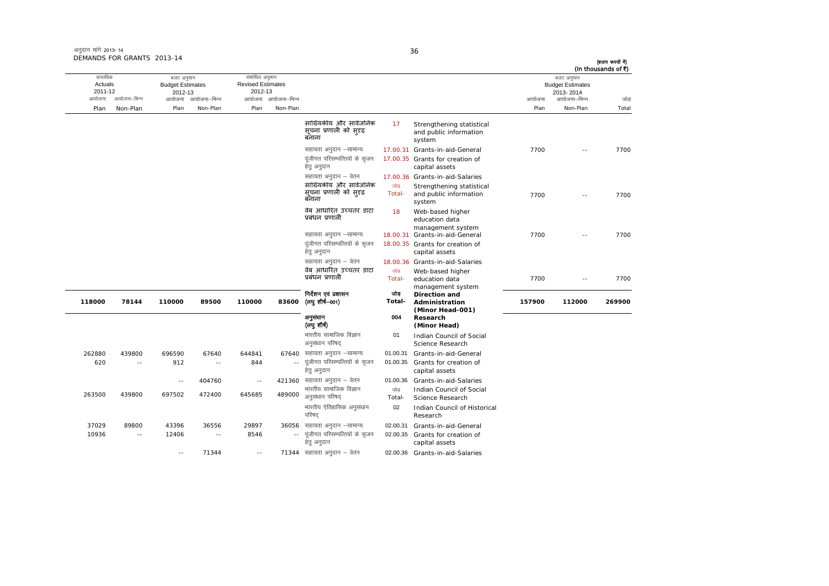| अनुदान मांगे 2013-14       |  |
|----------------------------|--|
| DEMANDS FOR GRANTS 2013-14 |  |

| (In thousands of ₹) |                                                    |                |                                                                                                                                                |                      |                                                                                                                      |                                 |                                                       |                                 |                                                  |                          |                                |
|---------------------|----------------------------------------------------|----------------|------------------------------------------------------------------------------------------------------------------------------------------------|----------------------|----------------------------------------------------------------------------------------------------------------------|---------------------------------|-------------------------------------------------------|---------------------------------|--------------------------------------------------|--------------------------|--------------------------------|
|                     | बजट अनुमान<br><b>Budget Estimates</b><br>2013-2014 |                |                                                                                                                                                |                      |                                                                                                                      |                                 | संशोधित अनुमान<br><b>Revised Estimates</b><br>2012-13 |                                 | बजट अनुमान<br><b>Budget Estimates</b><br>2012-13 |                          | वास्तविक<br>Actuals<br>2011-12 |
| जोड<br>Total        | आयोजना–भिन्न<br>Non-Plan                           | आयोजना<br>Plan |                                                                                                                                                |                      |                                                                                                                      | आयोजना आयोजना-भिन्न<br>Non-Plan | Plan                                                  | आयोजना आयोजना–भिन्न<br>Non-Plan | Plan                                             | आयोजना–भिन्न<br>Non-Plan | आयोजना<br>Plan                 |
|                     |                                                    |                | Strengthening statistical<br>and public information<br>system                                                                                  | 17                   | सांख्यिकीय और सार्वजनिक<br>सूचना प्रणाली को स् <i>रद</i><br>बनाना                                                    |                                 |                                                       |                                 |                                                  |                          |                                |
| 7700                |                                                    | 7700           | Grants-in-aid-General<br>17.00.35 Grants for creation of<br>capital assets                                                                     | 17.00.31             | सहायता अनुदान –सामान्य<br>पूंजीगत परिसम्पत्तियों के सृजन<br>हेतु अनुदान                                              |                                 |                                                       |                                 |                                                  |                          |                                |
| 7700                |                                                    | 7700           | 17.00.36 Grants-in-aid-Salaries<br>Strengthening statistical<br>and public information<br>system                                               | जोड<br>Total-        | सहायता अनुदान – वेतन<br>सांख्यिकीय और सार्वजनिक<br>सूचना प्रणाली को सुदृढ़<br>बनाना                                  |                                 |                                                       |                                 |                                                  |                          |                                |
| 7700                | $\sim$                                             | 7700           | Web-based higher<br>education data<br>management system<br>18.00.31 Grants-in-aid-General<br>18.00.35 Grants for creation of<br>capital assets | 18                   | वेब आधारित उच्चतर डाटा<br>प्रबंधन प्रणाली<br>सहायता अनुदान –सामान्य<br>पूंजीगत परिसम्पत्तियों के सृजन<br>हेतु अनुदान |                                 |                                                       |                                 |                                                  |                          |                                |
| 7700                | $\sim$ $\sim$                                      | 7700           | 18.00.36 Grants-in-aid-Salaries<br>Web-based higher<br>education data                                                                          | जोड<br>Total-        | सहायता अनुदान – वेतन<br>वेब आधारित उच्चतर डाटा<br>प्रबंधन प्रणाली                                                    |                                 |                                                       |                                 |                                                  |                          |                                |
| 269900              | 112000                                             | 157900         | management system<br><b>Direction and</b><br>Administration<br>(Minor Head-001)                                                                | जोड<br>Total-        | निर्देशन एवं प्रशासन<br>(लघुशीर्ष–001)                                                                               | 83600                           | 110000                                                | 89500                           | 110000                                           | 78144                    | 118000                         |
|                     |                                                    |                | Research<br>(Minor Head)                                                                                                                       | 004                  | अनुसंधान<br>(लचुशीर्ष)                                                                                               |                                 |                                                       |                                 |                                                  |                          |                                |
|                     |                                                    |                | Indian Council of Social<br>Science Research                                                                                                   | 01                   | भारतीय सामाजिक विज्ञान<br>अनुसंधान परिषद                                                                             |                                 |                                                       |                                 |                                                  |                          |                                |
|                     |                                                    |                | Grants-in-aid-General<br>Grants for creation of<br>capital assets                                                                              | 01.00.31<br>01.00.35 | 67640 सहायता अनुदान –सामान्य<br>पूंजीगत परिसम्पत्तियों के सृजन<br>हेतु अनुदान                                        |                                 | 644841<br>844                                         | 67640<br>$-$                    | 696590<br>912                                    | 439800<br>$\sim$         | 262880<br>620                  |
|                     |                                                    |                | Grants-in-aid-Salaries<br>Indian Council of Social                                                                                             | 01.00.36<br>जोड      | 421360 सहायता अनुदान – वेतन<br>भारतीय सामाजिक विज्ञान                                                                | 489000                          | $\sim$ $-$<br>645685                                  | 404760<br>472400                | $\sim$ $\sim$<br>697502                          | 439800                   | 263500                         |
|                     |                                                    |                | Science Research<br>Indian Council of Historical<br>Research                                                                                   | Total-<br>02         | अनुसंधान परिषद<br>भारतीय ऐतिहासिक अनुसंधान<br>परिषद                                                                  |                                 |                                                       |                                 |                                                  |                          |                                |
|                     |                                                    |                | Grants-in-aid-General<br>Grants for creation of<br>capital assets                                                                              | 02.00.31<br>02.00.35 | सहायता अनुदान –सामान्य<br>पूंजीगत परिसम्पत्तियों के सृजन<br>हेत् अनुदान                                              | 36056                           | 29897<br>8546                                         | 36556<br>$\sim$ $-$             | 43396<br>12406                                   | 89800<br>$\sim$ $-$      | 37029<br>10936                 |
|                     |                                                    |                | 02.00.36 Grants-in-aid-Salaries                                                                                                                |                      | 71344 सहायता अनुदान – वेतन                                                                                           |                                 | $\sim$ $-$                                            | 71344                           | $\sim$ $-$                                       |                          |                                |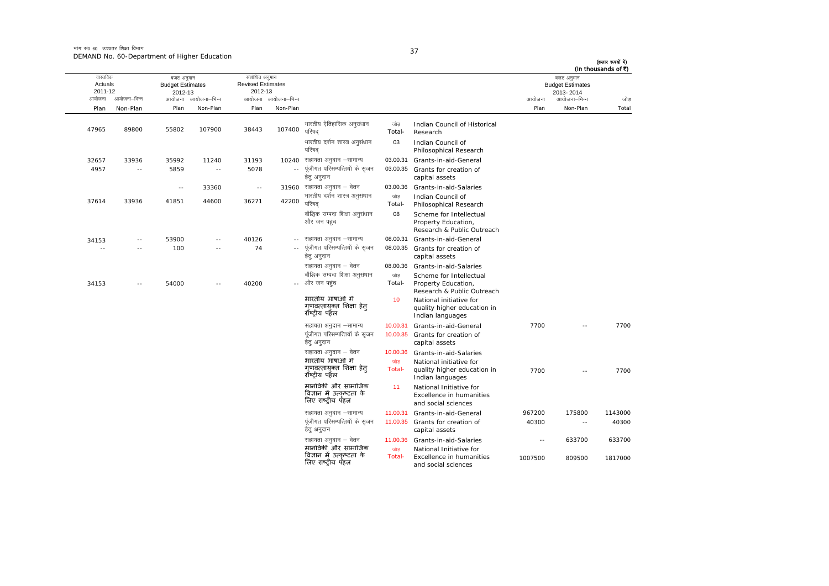मांग सं0 60 उच्चतर शिक्षा विभाग DEMAND No. 60-Department of Higher Education

| ٠      |  |
|--------|--|
|        |  |
| I<br>× |  |

| (हजार रूपयों में)<br>(In thousands of ₹)<br>$\sim$ | बजट अनुमान<br><b>Budget Estimates</b><br>2013-2014 |         |                                                                                   |               |                                                                      | संशोधित अनुमान<br><b>Revised Estimates</b><br>2012-13 |            | बजट अनुमान<br><b>Budget Estimates</b><br>2012-13 |            | वास्तविक<br>Actuals<br>2011-12 |        |
|----------------------------------------------------|----------------------------------------------------|---------|-----------------------------------------------------------------------------------|---------------|----------------------------------------------------------------------|-------------------------------------------------------|------------|--------------------------------------------------|------------|--------------------------------|--------|
| जोड                                                | आयोजना–भिन्न                                       | आयोजना  |                                                                                   |               |                                                                      | आयोजना आयोजना-भिन्न                                   |            | आयोजना आयोजना–भिन्न                              |            | आयोजना–भिन्न                   | आयोजना |
| Total                                              | Non-Plan                                           | Plan    |                                                                                   |               |                                                                      | Non-Plan                                              | Plan       | Non-Plan                                         | Plan       | Non-Plan                       | Plan   |
|                                                    |                                                    |         | Indian Council of Historical<br>Research                                          | जोड<br>Total- | भारतीय ऐतिहासिक अनुसंधान<br>परिषद                                    | 107400                                                | 38443      | 107900                                           | 55802      | 89800                          | 47965  |
|                                                    |                                                    |         | Indian Council of<br>Philosophical Research                                       | 03            | भारतीय दर्शन शास्त्र अनुसंधान<br>परिषद                               |                                                       |            |                                                  |            |                                |        |
|                                                    |                                                    |         | Grants-in-aid-General                                                             | 03.00.31      | सहायता अनुदान –सामान्य                                               | 10240                                                 | 31193      | 11240                                            | 35992      | 33936                          | 32657  |
|                                                    |                                                    |         | Grants for creation of<br>capital assets                                          | 03.00.35      | पूंजीगत परिसम्पत्तियों के सृजन<br>हेतु अनुदान                        |                                                       | 5078       | $\overline{\phantom{a}}$                         | 5859       | $\overline{\phantom{a}}$       | 4957   |
|                                                    |                                                    |         | Grants-in-aid-Salaries                                                            | 03.00.36      | 31960 सहायता अनुदान – वेतन                                           |                                                       | $\sim$ $-$ | 33360                                            | $\sim$ $-$ |                                |        |
|                                                    |                                                    |         | Indian Council of<br>Philosophical Research                                       | जोड<br>Total- | भारतीय दर्शन शास्त्र अनुसंधान<br>परिषद                               | 42200                                                 | 36271      | 44600                                            | 41851      | 33936                          | 37614  |
|                                                    |                                                    |         | Scheme for Intellectual<br>Property Education,<br>Research & Public Outreach      | 08            | बौद्धिक सम्पदा शिक्षा अनुसंधान<br>और जन पहंच                         |                                                       |            |                                                  |            |                                |        |
|                                                    |                                                    |         | Grants-in-aid-General                                                             | 08.00.31      | सहायता अनुदान –सामान्य                                               |                                                       | 40126      | $\sim$ $\sim$                                    | 53900      | $\sim$ $-$                     | 34153  |
|                                                    |                                                    |         | 08.00.35 Grants for creation of<br>capital assets                                 |               | पूंजीगत परिसम्पत्तियों के सृजन<br>हेत् अनुदान                        |                                                       | 74         | $\sim$                                           | 100        | $\sim$                         | $\sim$ |
|                                                    |                                                    |         | Grants-in-aid-Salaries                                                            | 08.00.36      | सहायता अनुदान – वेतन                                                 |                                                       |            |                                                  |            |                                |        |
|                                                    |                                                    |         | Scheme for Intellectual                                                           | जोड           | बौद्धिक सम्पदा शिक्षा अनुसंधान                                       |                                                       |            |                                                  |            |                                |        |
|                                                    |                                                    |         | Property Education,<br>Research & Public Outreach                                 | Total-        | और जन पहुंच                                                          |                                                       | 40200      | $- -$                                            | 54000      | $-1$                           | 34153  |
|                                                    |                                                    |         | National initiative for<br>quality higher education in<br>Indian languages        | 10            | भारतीय भाषाओं मे<br>गणवत्तायक्त शिक्षा हेत<br>रॉष्ट्रीय पहॅल         |                                                       |            |                                                  |            |                                |        |
| 7700                                               |                                                    | 7700    | Grants-in-aid-General                                                             | 10.00.31      | सहायता अनुदान –सामान्य                                               |                                                       |            |                                                  |            |                                |        |
|                                                    |                                                    |         | Grants for creation of<br>capital assets                                          | 10.00.35      | पंजीगत परिसम्पत्तियों के सजन<br>हेतु अनुदान                          |                                                       |            |                                                  |            |                                |        |
|                                                    |                                                    |         | Grants-in-aid-Salaries                                                            | 10.00.36      | सहायता अनुदान – वेतन                                                 |                                                       |            |                                                  |            |                                |        |
|                                                    |                                                    |         | National initiative for                                                           | जोड           | भारतीय भाषाओं में                                                    |                                                       |            |                                                  |            |                                |        |
| 7700                                               |                                                    | 7700    | quality higher education in<br>Indian languages                                   | Total-        | गुणवत्तायुक्त शिक्षा हेतु<br>रॉष्टीय पहॅल                            |                                                       |            |                                                  |            |                                |        |
|                                                    |                                                    |         | National Initiative for<br><b>Excellence in humanities</b><br>and social sciences | 11            | मानविकी और सामाजिक<br>विज्ञान में उत्कृष्टता के<br>लिए राष्ट्रीय पहल |                                                       |            |                                                  |            |                                |        |
| 1143000                                            | 175800                                             | 967200  | Grants-in-aid-General                                                             | 11.00.31      | सहायता अनुदान -सामान्य                                               |                                                       |            |                                                  |            |                                |        |
| 40300                                              | $\sim$ $-$                                         | 40300   | Grants for creation of<br>capital assets                                          | 11.00.35      | पूंजीगत परिसम्पत्तियों के सृजन<br>हेतु अनुदान                        |                                                       |            |                                                  |            |                                |        |
| 633700                                             | 633700                                             | $\sim$  | Grants-in-aid-Salaries                                                            | 11.00.36      | सहायता अनुदान – वेतन                                                 |                                                       |            |                                                  |            |                                |        |
|                                                    |                                                    |         | National Initiative for                                                           | जोड           | मानविकी और सामाजिक                                                   |                                                       |            |                                                  |            |                                |        |
| 1817000                                            | 809500                                             | 1007500 | Excellence in humanities<br>and social sciences                                   | Total-        | विज्ञान में उत्कष्टता के<br>लिए राष्ट्रीय पॅहल                       |                                                       |            |                                                  |            |                                |        |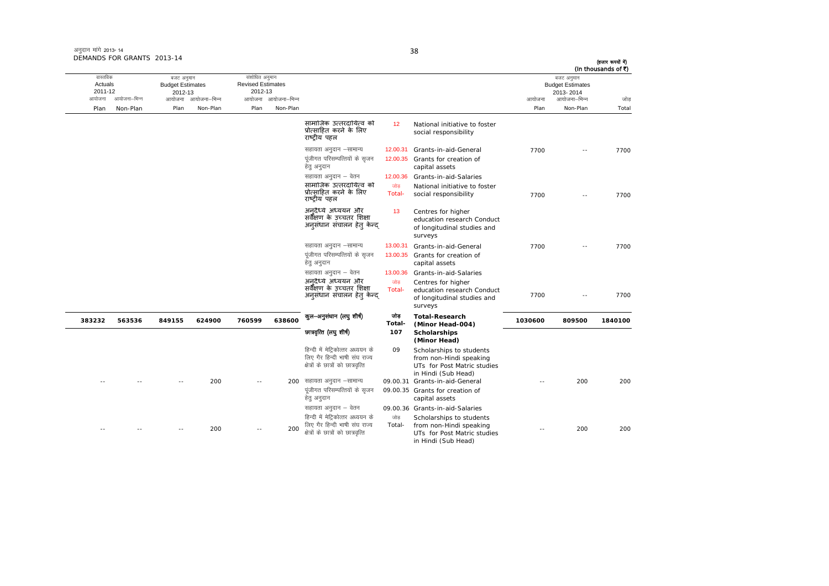| अनुदान मांगे 2013-14       |  |
|----------------------------|--|
| DEMANDS FOR GRANTS 2013-14 |  |

in Hindi (Sub Head)

आयोजना आयोजना-भिन्न आयोजना आयोजना-भिन्न - आयोजना आयोजना-भिन्न न अपयोजना—भिन्न जाउँ विकास समिति । अपनी अपयोजना आयोजना—भिन्न जोड Plan Non-Plan Plan Non-Plan Plan Non-Plan Plan Non-Plan Total तास्ततिक Actuals2011-12 बजट अनुमान Budget Estimates 2012-13संशोधित अनुमान Revised Estimates2012-13 बजट अनुमान Budget Estimates 2013- 2014(हजार रूपयों में) (In thousands of  $\bar{x}$ ) सामाजिक उत्तरदायित्व को प्रो×सािहत करने के िलए राçट्रीय पहल 122 National initiative to foster social responsibility lgk;rk vuqnku &lkekU; 12.00.31 Grants-in-aid-General 7700 -- 7700 पूंजीगत परिसम्पत्तियों के सुजन हेत् अनुदान 12.00.35 Grants for creation of capital assets सहायता अनुदान – वेतन **12.00.36 Grants-in-aid-Salaries** सामाजिक उत्तरदायित्व को प्रो×सािहत करने के िलए राçट्रीय पहल णोड Total-National initiative to foster social responsibility  $\frac{7700}{2700}$  -- 7700 अनुदैध्ये अध्ययन और .<br>सर्वेक्षण के उच्चतर शिक्षा अनुसंधान संचालन हेतु केन्द् 13 Centres for higher education research Conduct of longitudinal studies and surveys lgk;rk vuqnku &lkekU; 13.00.31 Grants-in-aid-General 7700 -- 7700 पंजीगत परिसम्पत्तियों के सुजन हेतु अनुदान 13.00.35 Grants for creation of capital assets सहायता अनुदान – वेतन **13.00.36 Grants-in-aid-Salaries** अनुदैध्ये अध्ययन औ्र सर्वेक्षण के उच्चतर शिक्षा अनुसंधान संचालन हेतु केन्द् णोड $\overline{\phantom{a}}$ Total-Centres for higher<br>education research Conduct of longitudinal studies and surveys 7700 -- 7700**383232 563536 849155 624900 760599 638600**<del>कुल अनुसंधान (लघु शीर्ष) जोड़</del><br>-Total **Total-Research (Minor Head-004) <sup>1030600</sup> <sup>809500</sup> <sup>1840100</sup>** Nk=o`fRr ¼y?kq 'kh"kZ½ **<sup>107</sup> Scholarships (Minor Head)** हिन्दी में मेटिकोत्तर अध्ययन के लिए गैर हिन्दी भाषी संघ राज्य क्षेत्रों के छात्रों को छात्रवत्ति 09 Scholarships to students from non-Hindi speaking UTs for Post Matric studies in Hindi (Sub Head) -- -- -- 200 -- 200 lgk;rk vuqnku &lkekU; 09.00.31 Grants-in-aid-General -- 200 200 पूंजीगत परिसम्पत्तियों के सृजन हेत अनदान 09.00.35 Grants for creation of capital assets सहायता अनुदान – वेतन 09.00.36 Grants-in-aid-Salaries -- -- 200 -- 200200 हिन्दी में मेट्रिकोत्तर अध्ययन के लिए गैर हिन्दी भाषी संघ राज्य  $k$ कों के छात्रों को छात्रवत्ति जोड Total-Scholarships to students from non-Hindi speaking UTs for Post Matric studies --200 200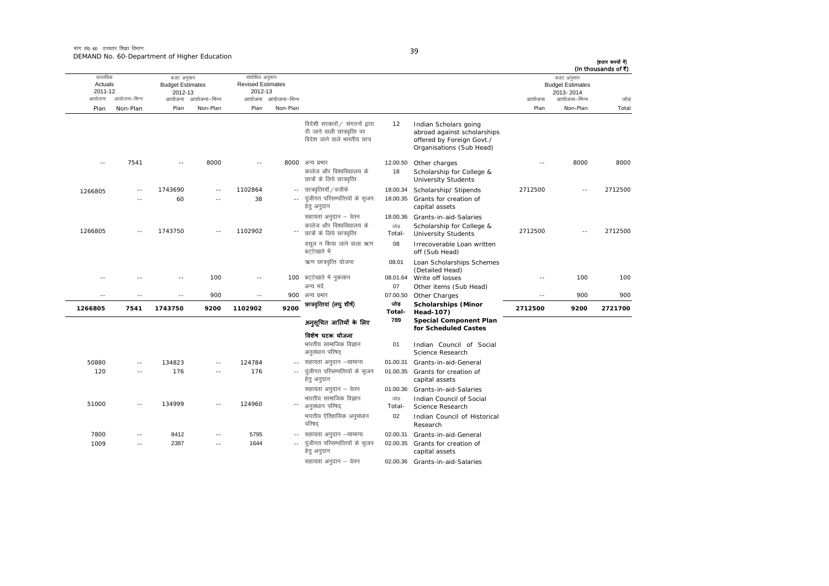मांग सं0 60 उच्चतर शिक्षा विभाग DEMAND No. 60-Department of Higher Education

| ٧<br>- -<br>× | ۰. |  |
|---------------|----|--|

| (In thousands of ₹) | बजट अनुमान                           |         |                                                                                                               |                           |                                                                                                |                     | संशोधित अनुमान                      |                     | बजट अनुमान                         |              | वास्तविक           |
|---------------------|--------------------------------------|---------|---------------------------------------------------------------------------------------------------------------|---------------------------|------------------------------------------------------------------------------------------------|---------------------|-------------------------------------|---------------------|------------------------------------|--------------|--------------------|
|                     | <b>Budget Estimates</b><br>2013-2014 |         |                                                                                                               |                           |                                                                                                |                     | <b>Revised Estimates</b><br>2012-13 |                     | <b>Budget Estimates</b><br>2012-13 |              | Actuals<br>2011-12 |
| जोड                 | आयोजना–भिन्न                         | आयोजना  |                                                                                                               |                           |                                                                                                | आयोजना आयोजना–भिन्न |                                     | आयोजना आयोजना–भिन्न |                                    | आयोजना–भिन्न | आयोजना             |
| Total               | Non-Plan                             | Plan    |                                                                                                               |                           |                                                                                                | Non-Plan            | Plan                                | Non-Plan            | Plan                               | Non-Plan     | Plan               |
|                     |                                      |         | Indian Scholars going<br>abroad against scholarships<br>offered by Foreign Govt./<br>Organisations (Sub Head) | 12                        | विदेशी सरकारों / संगठनों द्वारा<br>दी जाने वाली छात्रवृत्ति पर<br>विदेश जाने वाले भारतीय छात्र |                     |                                     |                     |                                    |              |                    |
| 8000                | 8000                                 | $-$     | Other charges<br>Scholarship for College &<br><b>University Students</b>                                      | 12.00.50<br>18            | 8000 अन्य प्रभार<br>कालेज और विश्वविद्यालय के<br>छात्रों के लिये छात्रवृत्ति                   |                     | $\sim$ $-$                          | 8000                | $\sim$ $\sim$                      | 7541         | $\sim$ $-$         |
| 2712500             | $\sim$ $\sim$                        | 2712500 | Scholarship/ Stipends<br>Grants for creation of<br>capital assets                                             | 18.00.34<br>18.00.35      | छात्रवृत्तियॉ / वजीफे<br>पूंजीगत परिसम्पत्तियों के सृजन<br>हेत् अनुदान                         | $\sim$ $-$          | 1102864<br>38                       |                     | 1743690<br>60                      |              | 1266805            |
| 2712500             |                                      | 2712500 | Grants-in-aid-Salaries<br>Scholarship for College &<br><b>University Students</b>                             | 18.00.36<br>जोड<br>Total- | सहायता अनुदान – वेतन<br>कालेज और विश्वविद्यालय के<br>छात्रों के लिये छात्रवृत्ति               |                     | 1102902                             |                     | 1743750                            |              | 1266805            |
|                     |                                      |         | Irrecoverable Loan written<br>off (Sub Head)                                                                  | 08                        | वसूल न किया जाने वाला ऋण<br>बटटेखाते में                                                       |                     |                                     |                     |                                    |              |                    |
|                     | 100<br>$-$                           |         | Loan Scholarships Schemes<br>(Detailed Head)                                                                  | 08.01                     | ऋण छात्रवृत्ति योजना                                                                           |                     |                                     |                     |                                    |              |                    |
| 100                 |                                      |         | Write off losses                                                                                              | 08.01.64<br>07            | 100 बट्टेखाते में नुकसान<br>अन्य मदें                                                          |                     | $\sim$ $-$                          | 100                 | $\sim$                             |              |                    |
| 900                 | 900                                  | --      | Other items (Sub Head)<br>Other Charges                                                                       | 07.00.50                  | अन्य प्रभार                                                                                    | 900                 | $\sim$ $-$                          | 900                 | $\sim$                             |              | - -                |
| 2721700             | 9200                                 | 2712500 | <b>Scholarships (Minor</b><br>Head-107)                                                                       | जोड<br>Total-             | छात्रवृत्तियां (लघु शीर्ष)                                                                     | 9200                | 1102902                             | 9200                | 1743750                            | 7541         | 1266805            |
|                     |                                      |         | <b>Special Component Plan</b>                                                                                 | 789                       | अनुसूचित जातियाँ के लिए                                                                        |                     |                                     |                     |                                    |              |                    |
|                     |                                      |         | for Scheduled Castes<br>Indian Council of Social<br>Science Research                                          | 01                        | विशेष घटक योजना<br>भारतीय सामाजिक विज्ञान<br>अनुसंधान परिषद                                    |                     |                                     |                     |                                    |              |                    |
|                     |                                      |         | Grants-in-aid-General                                                                                         | 01.00.31                  | सहायता अनुदान –सामान्य                                                                         |                     | 124784                              |                     | 134823                             |              | 50880              |
|                     |                                      |         | Grants for creation of<br>capital assets                                                                      | 01.00.35                  | पूंजीगत परिसम्पत्तियों के सृजन<br>हेत् अनुदान                                                  | $\sim$ $\sim$       | 176                                 | $\sim$              | 176                                | $\sim$       | 120                |
|                     |                                      |         | Grants-in-aid-Salaries                                                                                        | 01.00.36                  | सहायता अनुदान – वेतन                                                                           |                     |                                     |                     |                                    |              |                    |
|                     |                                      |         | Indian Council of Social<br>Science Research                                                                  | जोड<br>Total-             | भारतीय सामाजिक विज्ञान<br>अनुसंधान परिषद                                                       |                     | 124960                              |                     | 134999                             |              | 51000              |
|                     |                                      |         | Indian Council of Historical<br>Research                                                                      | 02                        | भारतीय ऐतिहासिक अनुसंधान<br>परिषद                                                              |                     |                                     |                     |                                    |              |                    |
|                     |                                      |         | Grants-in-aid-General                                                                                         | 02.00.31                  | सहायता अनुदान –सामान्य                                                                         |                     | 5795                                |                     | 8412                               |              | 7800               |
|                     |                                      |         | Grants for creation of<br>capital assets                                                                      | 02.00.35                  | पूंजीगत परिसम्पत्तियों के सृजन<br>हेतु अनुदान                                                  |                     | 1644                                | - -                 | 2387                               | $\sim$       | 1009               |
|                     |                                      |         | 02.00.36 Grants-in-aid-Salaries                                                                               |                           | सहायता अनुदान – वेतन                                                                           |                     |                                     |                     |                                    |              |                    |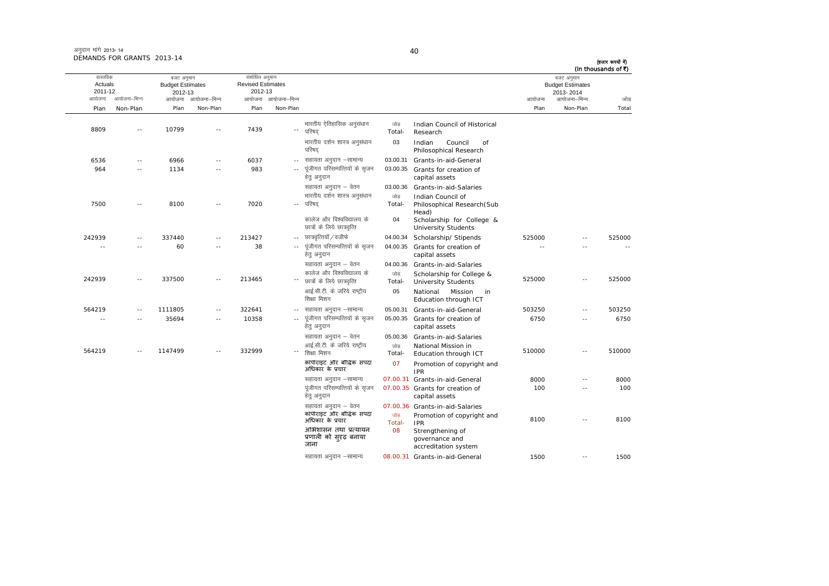| अनुदान मांगे 2013- 14      |  |
|----------------------------|--|
| DEMANDS FOR GRANTS 2013-14 |  |

| (In thousands of ₹) | बजट अनुमान<br><b>Budget Estimates</b><br>2013-2014 |        |                                                                  |               |                                                          | संशोधित अनुमान<br><b>Revised Estimates</b><br>2012-13 |        | बजट अनुमान<br><b>Budget Estimates</b><br>2012-13 |         | वास्तविक<br>Actuals<br>2011-12 |        |
|---------------------|----------------------------------------------------|--------|------------------------------------------------------------------|---------------|----------------------------------------------------------|-------------------------------------------------------|--------|--------------------------------------------------|---------|--------------------------------|--------|
| जोड                 | आयोजना–भिन्न                                       | आयोजना |                                                                  |               |                                                          | आयोजना आयोजना-भिन्न                                   |        | आयोजना आयोजना–भिन्न                              |         | आयोजना–भिन्न                   | आयोजना |
| Total               | Non-Plan                                           | Plan   |                                                                  |               |                                                          | Non-Plan                                              | Plan   | Non-Plan                                         | Plan    | Non-Plan                       | Plan   |
|                     |                                                    |        | Indian Council of Historical<br>Research                         | जोड<br>Total- | भारतीय ऐतिहासिक अनुसंधान<br>परिषद                        | --                                                    | 7439   | $-$                                              | 10799   | ÷.                             | 8809   |
|                     |                                                    |        | Indian<br>Council<br>of<br>Philosophical Research                | 03            | भारतीय दर्शन शास्त्र अनुसंधान<br>परिषद                   |                                                       |        |                                                  |         |                                |        |
|                     |                                                    |        | Grants-in-aid-General                                            | 03.00.31      | सहायता अनुदान –सामान्य                                   | $-$                                                   | 6037   | $\sim$ $\sim$                                    | 6966    | $-$                            | 6536   |
|                     |                                                    |        | Grants for creation of<br>capital assets                         | 03.00.35      | पूंजीगत परिसम्पत्तियों के सृजन<br>हेत् अनुदान            | $\sim$ $\sim$                                         | 983    | $\sim$                                           | 1134    | $\sim$ $\sim$                  | 964    |
|                     |                                                    |        | Grants-in-aid-Salaries                                           | 03.00.36      | सहायता अनुदान – वेतन                                     |                                                       |        |                                                  |         |                                |        |
|                     |                                                    |        | Indian Council of<br>Philosophical Research (Sub                 | जोड<br>Total- | भारतीय दर्शन शास्त्र अनुसंधान<br>परिषद                   | $-1$                                                  | 7020   | $-$                                              | 8100    | $\sim$                         | 7500   |
|                     |                                                    |        | Head)<br>Scholarship for College &<br><b>University Students</b> | 04            | कालेज और विश्वविद्यालय के<br>छात्रों के लिये छात्रवृत्ति |                                                       |        |                                                  |         |                                |        |
| 525000              | $\sim$                                             | 525000 | Scholarship/ Stipends                                            | 04.00.34      | छात्रवृत्तियॉ / वजीफे                                    | $\sim$ $-$                                            | 213427 | $\sim$                                           | 337440  | $\sim$                         | 242939 |
|                     |                                                    |        | Grants for creation of<br>capital assets                         | 04.00.35      | पूंजीगत परिसम्पत्तियों के सृजन<br>हेत् अनुदान            | $\sim$ $-$                                            | 38     |                                                  | 60      |                                | $\sim$ |
|                     |                                                    |        | Grants-in-aid-Salaries                                           | 04.00.36      | सहायता अनुदान – वेतन                                     |                                                       |        |                                                  |         |                                |        |
| 525000              | $-$                                                | 525000 | Scholarship for College &<br><b>University Students</b>          | जोड<br>Total- | कालेज और विश्वविद्यालय के<br>छात्रों के लिये छात्रवृत्ति | $\overline{\phantom{a}}$ .                            | 213465 | $\sim$                                           | 337500  | $\sim$                         | 242939 |
|                     |                                                    |        | National<br>Mission<br>in<br>Education through ICT               | 05            | आई.सी.टी. के जरिये राष्ट्रीय<br>शिक्षा मिशन              |                                                       |        |                                                  |         |                                |        |
| 503250              | $\sim$ $\sim$                                      | 503250 | Grants-in-aid-General                                            | 05.00.31      | सहायता अनुदान –सामान्य                                   | $-1$                                                  | 322641 | $\sim$                                           | 1111805 | $\sim$ $\sim$                  | 564219 |
| 6750                | $\sim$ $\sim$                                      | 6750   | Grants for creation of<br>capital assets                         | 05.00.35      | पूंजीगत परिसम्पत्तियों के सृजन<br>हेतु अनुदान            | $\sim$                                                | 10358  | $\sim$                                           | 35694   |                                | $\sim$ |
|                     |                                                    |        | Grants-in-aid-Salaries                                           | 05.00.36      | सहायता अनुदान – वेतन                                     |                                                       |        |                                                  |         |                                |        |
| 510000              | $\sim$                                             | 510000 | National Mission in<br>Education through ICT                     | जोड<br>Total- | आई.सी.टी. के जरिये राष्ट्रीय<br>शिक्षा मिशन              |                                                       | 332999 |                                                  | 1147499 | $\sim$                         | 564219 |
|                     |                                                    |        | Promotion of copyright and<br><b>IPR</b>                         | 07            | कॉपीराइट और बौद्धिक संपदा<br>अधिकार के प्रचार            |                                                       |        |                                                  |         |                                |        |
| 8000                | ٠.                                                 | 8000   | Grants-in-aid-General                                            | 07.00.31      | सहायता अनुदान -सामान्य                                   |                                                       |        |                                                  |         |                                |        |
| 100                 | $-$                                                | 100    | 07.00.35 Grants for creation of<br>capital assets                |               | पूंजीगत परिसम्पत्तियों के सृजन<br>हेत् अनुदान            |                                                       |        |                                                  |         |                                |        |
|                     |                                                    |        | 07.00.36 Grants-in-aid-Salaries                                  |               | सहायता अनुदान – वेतन                                     |                                                       |        |                                                  |         |                                |        |
| 8100                | $\sim$ $\sim$                                      | 8100   | Promotion of copyright and<br><b>IPR</b>                         | जोड<br>Total- | कॉपीराइट और बौद्धिक संपदा<br>अधिकार के प्रचार            |                                                       |        |                                                  |         |                                |        |
|                     |                                                    |        | Strengthening of<br>governance and<br>accreditation system       | 08            | अभिशासन तथा प्रत्यायन<br>प्रणाली को सुदृढ़ बनाया<br>जाना |                                                       |        |                                                  |         |                                |        |
| 1500                | $\sim$ $-$                                         | 1500   | 08.00.31 Grants-in-aid-General                                   |               | सहायता अनुदान –सामान्य                                   |                                                       |        |                                                  |         |                                |        |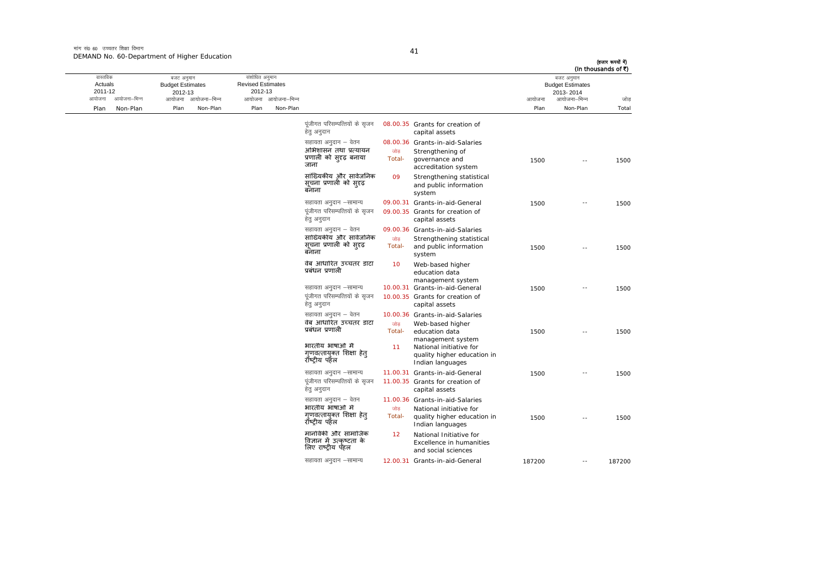मांग सं0 60 उच्चतर शिक्षा विभाग DEMAND No. 60-Department of Higher Education

у.

|        | बजट अनुमान<br><b>Budget Estimates</b><br>2013-2014 |        |                                                                                                 |                |                                                                                  |                     | संशोधित अनुमान<br><b>Revised Estimates</b><br>2012-13 |              | बजट अनुमान<br><b>Budget Estimates</b><br>2012-13 |              | वास्तविक<br>Actuals<br>2011-12 |
|--------|----------------------------------------------------|--------|-------------------------------------------------------------------------------------------------|----------------|----------------------------------------------------------------------------------|---------------------|-------------------------------------------------------|--------------|--------------------------------------------------|--------------|--------------------------------|
| जोड    | आयोजना–भिन्न                                       | आयोजना |                                                                                                 |                |                                                                                  | आयोजना आयोजना-भिन्न |                                                       | आयोजना–भिन्न | आयोजना                                           | आयोजना–भिन्न | आयोजना                         |
| Total  | Non-Plan                                           | Plan   |                                                                                                 |                |                                                                                  | Non-Plan            | Plan                                                  | Non-Plan     | Plan                                             | Non-Plan     | Plan                           |
|        |                                                    |        | 08.00.35 Grants for creation of<br>capital assets                                               |                | पूंजीगत परिसम्पत्तियों के सृजन<br>हेतु अनुदान                                    |                     |                                                       |              |                                                  |              |                                |
| 1500   | $-$                                                | 1500   | 08.00.36 Grants-in-aid-Salaries<br>Strengthening of<br>governance and<br>accreditation system   | जोड<br>Total-  | सहायता अनुदान – वेतन<br>अभिशासन तथा प्रत्यायन<br>प्रणाली को सुदृढ़ बनाया<br>जाना |                     |                                                       |              |                                                  |              |                                |
|        |                                                    |        | Strengthening statistical<br>and public information<br>system                                   | 09             | सांख्यिकीय और सार्वजनिक<br>सूचना प्रणाली को स् <b>र</b> ढ़<br>बनाना              |                     |                                                       |              |                                                  |              |                                |
| 1500   | $\overline{\phantom{a}}$                           | 1500   | 09.00.31 Grants-in-aid-General                                                                  |                | सहायता अनुदान –सामान्य                                                           |                     |                                                       |              |                                                  |              |                                |
|        |                                                    |        | 09.00.35 Grants for creation of<br>capital assets                                               |                | पूंजीगत परिसम्पत्तियों के सृजन<br>हेतु अनुदान                                    |                     |                                                       |              |                                                  |              |                                |
|        |                                                    |        | 09.00.36 Grants-in-aid-Salaries                                                                 |                | सहायता अनुदान – वेतन                                                             |                     |                                                       |              |                                                  |              |                                |
| 1500   | $\overline{a}$                                     | 1500   | Strengthening statistical<br>and public information<br>system                                   | जोड़<br>Total- | सांख्यिकीय और सार्वजनिक<br>सूचना प्रणाली को सुदृढ़<br>बनाना                      |                     |                                                       |              |                                                  |              |                                |
|        |                                                    |        | Web-based higher<br>education data<br>management system                                         | 10             | वेब आधारित उच्चतर डाटा<br>प्रबंधन प्रणाली                                        |                     |                                                       |              |                                                  |              |                                |
| 1500   | $\sim$ $-$                                         | 1500   | 10.00.31 Grants-in-aid-General                                                                  |                | सहायता अनुदान –सामान्य                                                           |                     |                                                       |              |                                                  |              |                                |
|        |                                                    |        | 10.00.35 Grants for creation of<br>capital assets                                               |                | पूंजीगत परिसम्पत्तियों के सृजन<br>हेतु अनुदान                                    |                     |                                                       |              |                                                  |              |                                |
|        |                                                    |        | 10.00.36 Grants-in-aid-Salaries                                                                 |                | सहायता अनुदान – वेतन                                                             |                     |                                                       |              |                                                  |              |                                |
| 1500   | $\overline{\phantom{a}}$                           | 1500   | Web-based higher<br>education data                                                              | जोड<br>Total-  | वेब आधारित उच्चतर डाटा<br>प्रबंधन प्रणाली                                        |                     |                                                       |              |                                                  |              |                                |
|        |                                                    |        | management system<br>National initiative for<br>quality higher education in<br>Indian languages | 11             | भारतीय भाषाओं में<br>गणवत्तायक्त शिक्षा हेत<br>राँष्ट्रीय पहेल                   |                     |                                                       |              |                                                  |              |                                |
| 1500   | $\sim$ $-$                                         | 1500   | 11.00.31 Grants-in-aid-General                                                                  |                | सहायता अनुदान –सामान्य                                                           |                     |                                                       |              |                                                  |              |                                |
|        |                                                    |        | 11.00.35 Grants for creation of<br>capital assets                                               |                | पूंजीगत परिसम्पत्तियों के सृजन<br>हेतु अनुदान                                    |                     |                                                       |              |                                                  |              |                                |
|        |                                                    |        | 11.00.36 Grants-in-aid-Salaries                                                                 |                | सहायता अनुदान – वेतन                                                             |                     |                                                       |              |                                                  |              |                                |
| 1500   | $-$                                                | 1500   | National initiative for<br>quality higher education in<br>Indian languages                      | जोड<br>Total-  | भारतीय भाषाओं में<br>गृणवत्तायुक्त शिक्षा हेत्<br>रॉष्टीय पहेल                   |                     |                                                       |              |                                                  |              |                                |
|        |                                                    |        | National Initiative for<br>Excellence in humanities<br>and social sciences                      | 12             | मानविकी और सामाजिक<br>विज्ञान में उत्कृष्टता के<br>लिए राष्ट्रीय पॅहल            |                     |                                                       |              |                                                  |              |                                |
| 187200 | $\sim$ $-$                                         | 187200 | 12.00.31 Grants-in-aid-General                                                                  |                | सहायता अनुदान –सामान्य                                                           |                     |                                                       |              |                                                  |              |                                |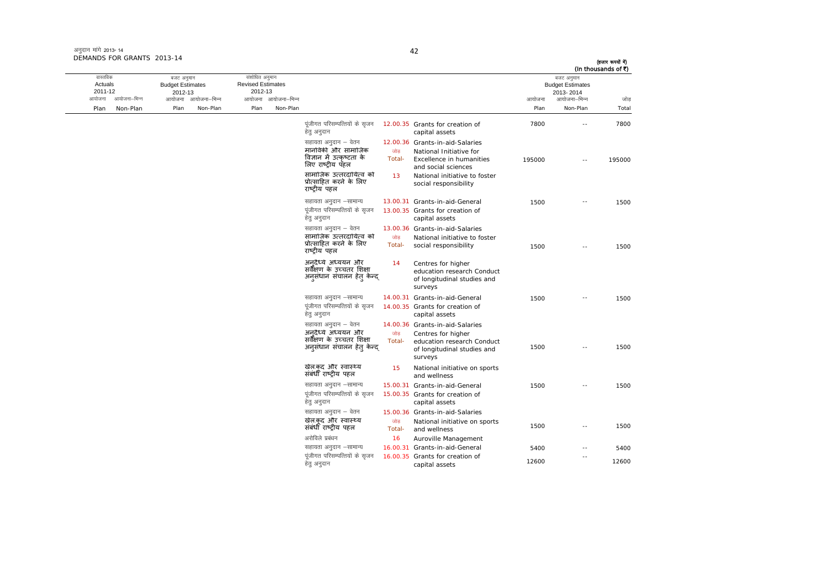अनुदान मांगे 2013- 14 DEMANDS FOR GRANTS 2013-14

### 42

| जोड<br>Total<br>7800 | (In thousands of ₹)<br>बजट अनुमान<br><b>Budget Estimates</b><br>2013-2014 |        |                                                                                                               |               |                                                                                             |                     | संशोधित अनुमान<br><b>Revised Estimates</b><br>2012-13 | बजट अनुमान<br><b>Budget Estimates</b><br>2012-13 |              | वास्तविक<br>Actuals<br>2011-12 |
|----------------------|---------------------------------------------------------------------------|--------|---------------------------------------------------------------------------------------------------------------|---------------|---------------------------------------------------------------------------------------------|---------------------|-------------------------------------------------------|--------------------------------------------------|--------------|--------------------------------|
|                      | आयोजना–भिन्न                                                              | आयोजना |                                                                                                               |               |                                                                                             | आयोजना आयोजना-भिन्न |                                                       | आयोजना आयोजना–भिन्न                              | आयोजना–भिन्न | आयोजना                         |
|                      | Non-Plan                                                                  | Plan   |                                                                                                               |               |                                                                                             | Non-Plan            | Plan                                                  | Plan<br>Non-Plan                                 | Non-Plan     | Plan                           |
|                      | $\sim$                                                                    | 7800   | 12.00.35 Grants for creation of<br>capital assets                                                             |               | पूंजीगत परिसम्पत्तियों के सृजन<br>हेत् अनुदान                                               |                     |                                                       |                                                  |              |                                |
| 195000               | $\sim$ $\sim$                                                             | 195000 | 12.00.36 Grants-in-aid-Salaries<br>National Initiative for<br>Excellence in humanities<br>and social sciences | जोड<br>Total- | सहायता अनुदान – वेतन<br>मानविकी और सामाजिक<br>विज्ञान में उत्कृष्टता के<br>लिए राष्टीय पॅहल |                     |                                                       |                                                  |              |                                |
|                      |                                                                           |        | National initiative to foster<br>social responsibility                                                        | 13            | सामाजिक उत्तरदायित्व को<br>प्रोत्साहित करने के लिए<br>राष्ट्रीय पहल                         |                     |                                                       |                                                  |              |                                |
| 1500                 | $\sim$                                                                    | 1500   | 13.00.31 Grants-in-aid-General<br>13.00.35 Grants for creation of<br>capital assets                           |               | सहायता अनुदान -सामान्य<br>पंजीगत परिसम्पत्तियों के सजन<br>हेतु अनुदान                       |                     |                                                       |                                                  |              |                                |
| 1500                 |                                                                           | 1500   | 13.00.36 Grants-in-aid-Salaries<br>National initiative to foster<br>social responsibility                     | जोड<br>Total- | सहायता अनुदान – वेतन<br>सामाजिक उत्तरदायित्व को<br>प्रोत्साहित करने के लिए<br>राष्टीय पहल   |                     |                                                       |                                                  |              |                                |
|                      |                                                                           |        | Centres for higher<br>education research Conduct<br>of longitudinal studies and<br>surveys                    | 14            | अनदैध्ये अध्ययन और<br>सर्वैक्षण के उच्चतर शिक्षा<br>अनुसंधान संचालन हेत् केन्द्             |                     |                                                       |                                                  |              |                                |
| 1500                 |                                                                           | 1500   | 14.00.31 Grants-in-aid-General                                                                                |               | सहायता अनुदान –सामान्य                                                                      |                     |                                                       |                                                  |              |                                |
|                      |                                                                           |        | 14.00.35 Grants for creation of<br>capital assets                                                             |               | पूंजीगत परिसम्पत्तियों के सुजन<br>हेतु अनुदान                                               |                     |                                                       |                                                  |              |                                |
|                      |                                                                           |        | 14.00.36 Grants-in-aid-Salaries                                                                               |               | सहायता अनुदान – वेतन                                                                        |                     |                                                       |                                                  |              |                                |
| 1500                 |                                                                           | 1500   | Centres for higher<br>education research Conduct<br>of longitudinal studies and<br>surveys                    | जोड<br>Total- | अनदैर्ध्य अध्ययन और<br>सर्वेंक्षण के उच्चतर शिक्षा<br>अनुसंधान संचालन हेत् केन्द्           |                     |                                                       |                                                  |              |                                |
|                      |                                                                           |        | National initiative on sports<br>and wellness                                                                 | 15            | खेल.कद और स्वास्थ्य<br>संबंधीं राष्ट्रीय पहल                                                |                     |                                                       |                                                  |              |                                |
| 1500                 | $ -$                                                                      | 1500   | 15.00.31 Grants-in-aid-General                                                                                |               | सहायता अनुदान –सामान्य                                                                      |                     |                                                       |                                                  |              |                                |
|                      |                                                                           |        | 15.00.35 Grants for creation of<br>capital assets                                                             |               | पूंजीगत परिसम्पत्तियों के सृजन<br>हेत् अनुदान                                               |                     |                                                       |                                                  |              |                                |
|                      |                                                                           |        | 15.00.36 Grants-in-aid-Salaries                                                                               |               | सहायता अनुदान – वेतन                                                                        |                     |                                                       |                                                  |              |                                |
| 1500                 |                                                                           | 1500   | National initiative on sports<br>and wellness                                                                 | जोड<br>Total- | खेल.कद और स्वास्थ्य<br>संबंधी राष्ट्रीय पहल                                                 |                     |                                                       |                                                  |              |                                |
|                      |                                                                           |        | Auroville Management                                                                                          | 16            | अरोविले प्रबंधन                                                                             |                     |                                                       |                                                  |              |                                |
| 5400                 | $\sim$ $-$                                                                | 5400   | 16.00.31 Grants-in-aid-General                                                                                |               | सहायता अनुदान –सामान्य                                                                      |                     |                                                       |                                                  |              |                                |
| 12600                | $\overline{\phantom{a}}$                                                  | 12600  | 16.00.35 Grants for creation of<br>capital assets                                                             |               | पूंजीगत परिसम्पत्तियों के सृजन<br>हेत् अनुदान                                               |                     |                                                       |                                                  |              |                                |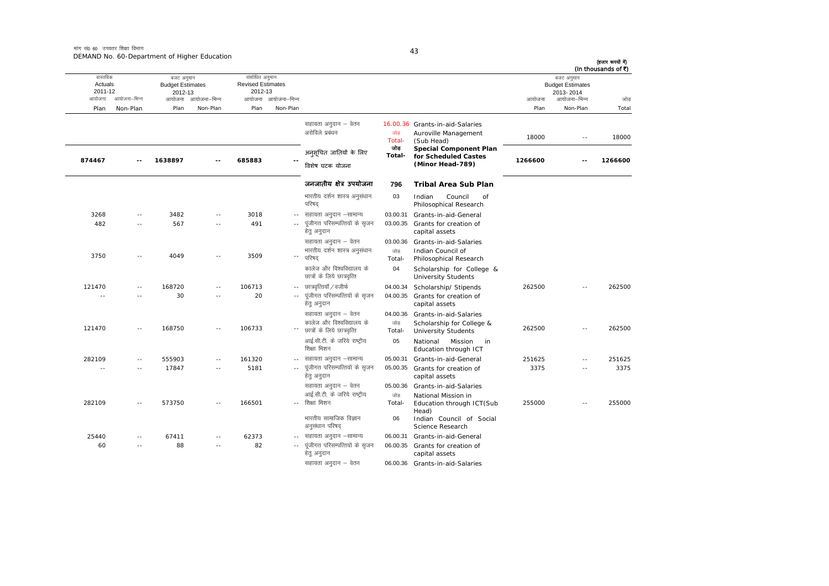बजट अनुमान Budget Estimates 2012-13

संशोधित अनुमान Revised Estimates 2012-13

वास्तविक Actuals2011-12

बजट अनुमान<br>Budget Estimates<br>2013- 2014

(हजार रूपयों में)<br>(In thousands of ₹)

| आयोजना | आयोजना–भिन्न  | आयोजना  | आयोजना–भिन्न  | आयोजना | आयोजना–भिन्न               |                                                                                  |                           |                                                                                   | आयोजना  | आयोजना–भिन्न  | जोड़    |
|--------|---------------|---------|---------------|--------|----------------------------|----------------------------------------------------------------------------------|---------------------------|-----------------------------------------------------------------------------------|---------|---------------|---------|
| Plan   | Non-Plan      | Plan    | Non-Plan      | Plan   | Non-Plan                   |                                                                                  |                           |                                                                                   | Plan    | Non-Plan      | Total   |
|        |               |         |               |        |                            | सहायता अनुदान – वेतन<br>अरोविले प्रबंधन                                          | जोड<br>Total-             | 16.00.36 Grants-in-aid-Salaries<br>Auroville Management<br>(Sub Head)             | 18000   | $\sim$ $\sim$ | 18000   |
| 874467 |               | 1638897 |               | 685883 |                            | अनुसूचित जातियों के लिए<br>विशेष घटक योजना                                       | जोड<br>Total-             | <b>Special Component Plan</b><br>for Scheduled Castes<br>(Minor Head-789)         | 1266600 |               | 1266600 |
|        |               |         |               |        |                            | जनजातीय क्षेत्र उपयोजना                                                          | 796                       | Tribal Area Sub Plan                                                              |         |               |         |
|        |               |         |               |        |                            | भारतीय दर्शन शास्त्र अनुसंधान<br>परिषद                                           | 03                        | Indian<br>Council<br>of<br>Philosophical Research                                 |         |               |         |
| 3268   |               | 3482    |               | 3018   | $-$                        | सहायता अनुदान –सामान्य                                                           | 03.00.31                  | Grants-in-aid-General                                                             |         |               |         |
| 482    | $\sim$ $-$    | 567     | $\sim$ $\sim$ | 491    | $\sim$ $-$                 | पूंजीगत परिसम्पत्तियों के सृजन<br>हेत् अनुदान                                    | 03.00.35                  | Grants for creation of<br>capital assets                                          |         |               |         |
|        |               |         |               |        |                            | सहायता अनुदान – वेतन                                                             | 03.00.36                  | Grants-in-aid-Salaries                                                            |         |               |         |
| 3750   |               | 4049    |               | 3509   | $\overline{\phantom{a}}$ . | भारतीय दर्शन शास्त्र अनुसंधान<br>परिषद                                           | जोड<br>Total-             | Indian Council of<br>Philosophical Research                                       |         |               |         |
|        |               |         |               |        |                            | कालेज और विश्वविद्यालय के<br>छात्रों के लिये छात्रवृत्ति                         | 04                        | Scholarship for College &<br><b>University Students</b>                           |         |               |         |
| 121470 | $\sim$ $\sim$ | 168720  | $\sim$        | 106713 | $\sim$ $\sim$              | छात्रवृत्तियॉ / वजीफे                                                            | 04.00.34                  | Scholarship/ Stipends                                                             | 262500  |               | 262500  |
| - -    |               | 30      |               | 20     |                            | पूंजीगत परिसम्पत्तियों के सृजन<br>हेत् अनुदान                                    | 04.00.35                  | Grants for creation of<br>capital assets                                          |         |               |         |
| 121470 | $-$           | 168750  |               | 106733 |                            | सहायता अनुदान – वेतन<br>कालेज और विश्वविद्यालय के<br>छात्रों के लिये छात्रवृत्ति | 04.00.36<br>जोड<br>Total- | Grants-in-aid-Salaries<br>Scholarship for College &<br><b>University Students</b> | 262500  |               | 262500  |
|        |               |         |               |        |                            | आई.सी.टी. के जरिये राष्ट्रीय<br>शिक्षा मिशन                                      | 05                        | National<br>Mission<br>in<br>Education through ICT                                |         |               |         |
| 282109 | $\sim$        | 555903  |               | 161320 |                            | सहायता अनुदान –सामान्य                                                           | 05.00.31                  | Grants-in-aid-General                                                             | 251625  | $\sim$        | 251625  |
| ××     | $-$           | 17847   | $\sim$ $\sim$ | 5181   |                            | पूंजीगत परिसम्पत्तियों के सृजन<br>हेत् अनुदान                                    | 05.00.35                  | Grants for creation of<br>capital assets                                          | 3375    |               | 3375    |
| 282109 |               | 573750  |               | 166501 |                            | सहायता अनुदान – वेतन<br>आई.सी.टी. के जरिये राष्ट्रीय<br>शिक्षा मिशन              | 05.00.36<br>जोड<br>Total- | Grants-in-aid-Salaries<br>National Mission in<br>Education through ICT(Sub        | 255000  |               | 255000  |
|        |               |         |               |        |                            | भारतीय सामाजिक विज्ञान<br>अनुसंधान परिषद                                         | 06                        | Head)<br>Indian Council of Social<br>Science Research                             |         |               |         |
| 25440  | $-$           | 67411   |               | 62373  | $\sim$ $-$                 | सहायता अनुदान –सामान्य                                                           | 06.00.31                  | Grants-in-aid-General                                                             |         |               |         |
| 60     | $-$           | 88      | $-$           | 82     |                            | पूंजीगत परिसम्पत्तियों के सृजन<br>हेत् अनुदान                                    | 06.00.35                  | Grants for creation of<br>capital assets                                          |         |               |         |
|        |               |         |               |        |                            | सहायता अनुदान – वेतन                                                             |                           | 06.00.36 Grants-in-aid-Salaries                                                   |         |               |         |

43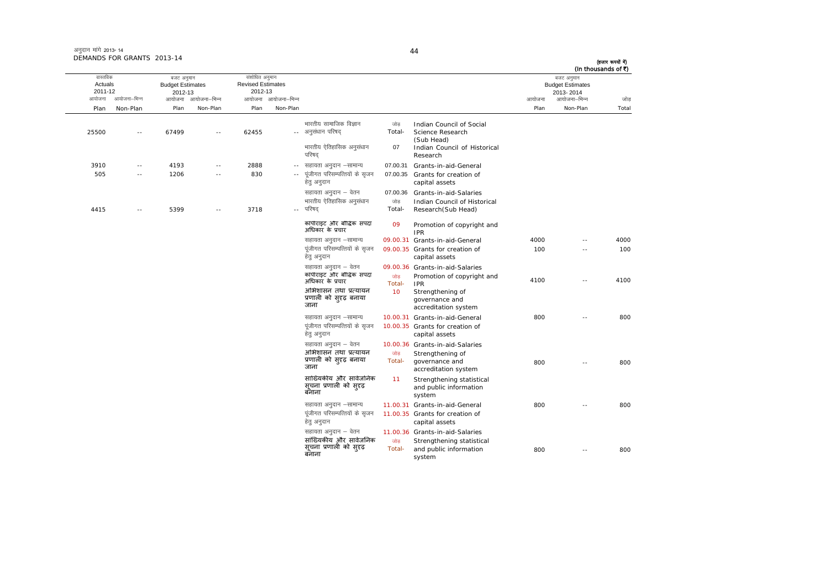अनुदान मांगे 2013- 14 DEMANDS FOR GRANTS 2013-14

बजट अनुमान Budget Estimates 2012-13

25500 -- 67499 -- 62455 --

2012-13

ः<br>आयोजना आयोजना–भिन्न

वास्तविक Actuals2011-12

Plan Non-Plan

न आयोजना आयोजना–भिन्न आयोजना आयोजना–भिन्न न अत्योजना आयोजना आयोजना आयोजना अधिकारी को अधिकारी को अधिकारी को अधिकारी को अधिकारी को अधिकारी को अधिकारी को अ Plan Non-Plan Plan Non-Plan Plan Non-Plan Total संशोधित अनुमान Revised Estimates बजट अनुमान<br>Budget Estimates 2013- 2014- अनुसंधान परिषद् भारतीय सामाजिक विज्ञान जोड़ Indian Council of Social जोड़ Indian Council of Social<br>Total- Science Research (Sub Head) भारतीय ऐतिहासिक अनुसंधान परिषद् 077 Indian Council of Historical Research 3910 -- 4193 -- 2888 --07.00.31 Grants-in-aid-General  $\frac{1}{100}$ सहायता अनुदान  $\frac{1}{100}$ न्सामान्य हेतु अनुदान 07.00.35 Grants for creation of capital assets सहायता अनुदान – वेतन 07.00.36 Grants-in-aid-Salaries भारतीय ऐतिहासिक अनुसंधान परिषद जोड Total-Indian Council of Historical<br>Research(Sub Head)

(हजार रूपयों में) (In thousands of  $\vec{r}$ )

| 505  | 1206 |        | 830  |       | पूजीगत परिसम्पत्तियों के सृजन<br>हेत् अनुदान               | 07.00.35      | Grants for creation of<br>capital assets                      |      |            |      |
|------|------|--------|------|-------|------------------------------------------------------------|---------------|---------------------------------------------------------------|------|------------|------|
|      |      |        |      |       | सहायता अनुदान – वेतन                                       | 07.00.36      | Grants-in-aid-Salaries                                        |      |            |      |
| 4415 | 5399 | $\sim$ | 3718 | $- -$ | भारतीय ऐतिहासिक अनुसंधान<br>परिषद                          | जोड<br>Total- | Indian Council of Historical<br>Research (Sub Head)           |      |            |      |
|      |      |        |      |       | कॉपीराइट और बौद्धिक संपदा<br>अधिकार के प्रचार              | 09            | Promotion of copyright and<br><b>IPR</b>                      |      |            |      |
|      |      |        |      |       | सहायता अनुदान –सामान्य                                     |               | 09.00.31 Grants-in-aid-General                                | 4000 | $\sim$ $-$ | 4000 |
|      |      |        |      |       | पूंजीगत परिसम्पत्तियों के सृजन<br>हेतु अनुदान              |               | 09.00.35 Grants for creation of<br>capital assets             | 100  | ٠.         | 100  |
|      |      |        |      |       | सहायता अनुदान – वेतन                                       |               | 09.00.36 Grants-in-aid-Salaries                               |      |            |      |
|      |      |        |      |       | कॉपीराइट और बौद्धिक संपदा<br>अधिकार के प्रचार              | जोड<br>Total- | Promotion of copyright and<br><b>IPR</b>                      | 4100 | ٠.         | 4100 |
|      |      |        |      |       | अभिशासन तथा प्रत्यायन<br>प्रणाली को सुदृढ़ बनाया<br>जाना   | 10            | Strengthening of<br>governance and<br>accreditation system    |      |            |      |
|      |      |        |      |       | सहायता अनुदान –सामान्य                                     |               | 10.00.31 Grants-in-aid-General                                | 800  | $-$        | 800  |
|      |      |        |      |       | पंजीगत परिसम्पत्तियों के सुजन<br>हेतु अनुदान               |               | 10.00.35 Grants for creation of<br>capital assets             |      |            |      |
|      |      |        |      |       | सहायता अनुदान – वेतन                                       |               | 10.00.36 Grants-in-aid-Salaries                               |      |            |      |
|      |      |        |      |       | अभिशासन तथा प्रत्यायन<br>प्रणाली को सुदृढ़ बनाया<br>जाना   | जोड<br>Total- | Strengthening of<br>governance and<br>accreditation system    | 800  | $\sim$ $-$ | 800  |
|      |      |        |      |       | सांख्यिकीय और सार्वजनिक<br>सूचना प्रणाली को सदृढ़<br>बनाना | 11            | Strengthening statistical<br>and public information<br>system |      |            |      |
|      |      |        |      |       | सहायता अनुदान –सामान्य                                     |               | 11.00.31 Grants-in-aid-General                                | 800  | $\sim$ $-$ | 800  |
|      |      |        |      |       | पूंजीगत परिसम्पत्तियों के सृजन<br>हेतु अनुदान              |               | 11.00.35 Grants for creation of<br>capital assets             |      |            |      |
|      |      |        |      |       | सहायता अनुदान – वेतन                                       |               | 11.00.36 Grants-in-aid-Salaries                               |      |            |      |
|      |      |        |      |       | सांख्यिकीय और सार्वजनिक<br>सूचना प्रणाली को सुदृढ़         | जोड<br>Total- | Strengthening statistical<br>and public information           | 800  | $\sim$ $-$ | 800  |
|      |      |        |      |       | बनाना                                                      |               | system                                                        |      |            |      |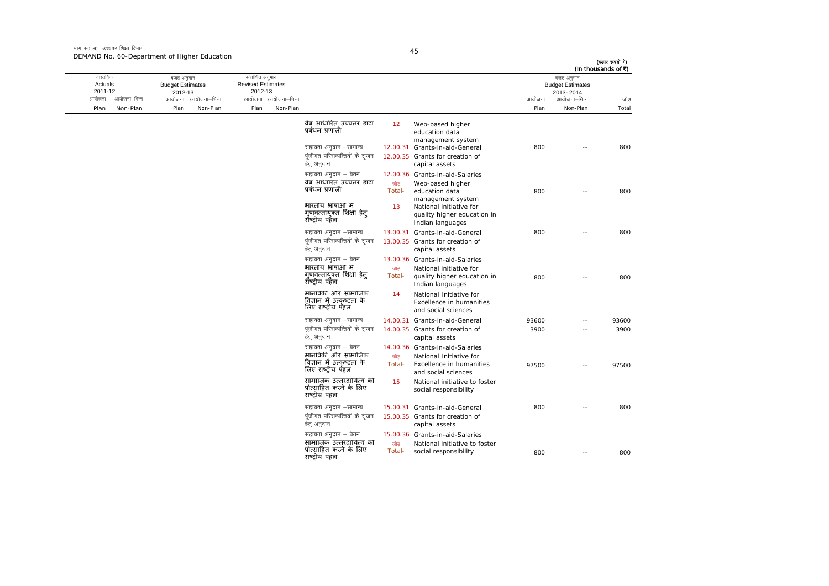मांग सं0 60 उच्चतर शिक्षा विभाग DEMAND No. 60-Department of Higher Education

 $\sim$ 

|       | बजट अनुमान<br><b>Budget Estimates</b><br>2013-2014 |        |                                                                                           |               |                                                                       |                     | संशोधित अनुमान<br><b>Revised Estimates</b><br>2012-13 |                     | बजट अनुमान<br><b>Budget Estimates</b><br>2012-13 |              | वास्तविक<br>Actuals<br>2011-12 |
|-------|----------------------------------------------------|--------|-------------------------------------------------------------------------------------------|---------------|-----------------------------------------------------------------------|---------------------|-------------------------------------------------------|---------------------|--------------------------------------------------|--------------|--------------------------------|
| जोड   | आयोजना–भिन्न                                       | आयोजना |                                                                                           |               |                                                                       | आयोजना आयोजना-भिन्न |                                                       | आयोजना आयोजना–भिन्न |                                                  | आयोजना–भिन्न | आयोजना                         |
| Total | Non-Plan                                           | Plan   |                                                                                           |               |                                                                       | Non-Plan            | Plan                                                  | Non-Plan            | Plan                                             | Non-Plan     | Plan                           |
| 800   | $\sim$                                             | 800    | Web-based higher<br>education data<br>management system<br>12.00.31 Grants-in-aid-General | 12            | वेब आधारित उच्चतर डाटा<br>प्रबंधन प्रणाली<br>सहायता अनुदान –सामान्य   |                     |                                                       |                     |                                                  |              |                                |
|       |                                                    |        | 12.00.35 Grants for creation of<br>capital assets                                         |               | पूंजीगत परिसम्पत्तियों के सृजन<br>हेत् अनुदान                         |                     |                                                       |                     |                                                  |              |                                |
|       |                                                    |        | 12.00.36 Grants-in-aid-Salaries<br>Web-based higher                                       | जोड           | सहायता अनुदान – वेतन<br>वेब आधारित उच्चतर डाटा                        |                     |                                                       |                     |                                                  |              |                                |
| 800   |                                                    | 800    | education data<br>management system                                                       | Total-        | प्रबंधन प्रणाली<br>भारतीय भाषाओं में                                  |                     |                                                       |                     |                                                  |              |                                |
|       |                                                    |        | National initiative for<br>quality higher education in<br>Indian languages                | 13            | गुणवत्तायुक्त शिक्षा हेत्<br>रॉष्टीय पहॅल                             |                     |                                                       |                     |                                                  |              |                                |
| 800   | $\sim$                                             | 800    | 13.00.31 Grants-in-aid-General                                                            |               | सहायता अनुदान -सामान्य                                                |                     |                                                       |                     |                                                  |              |                                |
|       |                                                    |        | 13.00.35 Grants for creation of<br>capital assets                                         |               | पूंजीगत परिसम्पत्तियों के सृजन<br>हेतु अनुदान                         |                     |                                                       |                     |                                                  |              |                                |
|       |                                                    |        | 13.00.36 Grants-in-aid-Salaries                                                           |               | सहायता अनुदान – वेतन                                                  |                     |                                                       |                     |                                                  |              |                                |
| 800   |                                                    | 800    | National initiative for<br>quality higher education in<br>Indian languages                | जोड<br>Total- | भारतीय भाषाओं मे<br>गणवत्तायक्त शिक्षा हेत<br>रॉष्टीय पहेल            |                     |                                                       |                     |                                                  |              |                                |
|       |                                                    |        | National Initiative for<br><b>Excellence in humanities</b><br>and social sciences         | 14            | मानविकी और सामाजिक<br>विज्ञान में उत्कष्टता के<br>लिए राष्ट्रीय पॅहल  |                     |                                                       |                     |                                                  |              |                                |
| 93600 | ٠.                                                 | 93600  | 14.00.31 Grants-in-aid-General                                                            |               | सहायता अनुदान –सामान्य                                                |                     |                                                       |                     |                                                  |              |                                |
| 3900  | $\sim$                                             | 3900   | 14.00.35 Grants for creation of<br>capital assets                                         |               | पंजीगत परिसम्पत्तियों के सुजन<br>हेतु अनुदान                          |                     |                                                       |                     |                                                  |              |                                |
|       |                                                    |        | 14.00.36 Grants-in-aid-Salaries                                                           |               | सहायता अनुदान – वेतन                                                  |                     |                                                       |                     |                                                  |              |                                |
| 97500 | $\sim$                                             | 97500  | National Initiative for<br>Excellence in humanities<br>and social sciences                | जोड<br>Total- | मानविकी और सामाजिक<br>विज्ञान में उत्कृष्टता के<br>लिए राष्ट्रीय पॅहल |                     |                                                       |                     |                                                  |              |                                |
|       |                                                    |        | National initiative to foster<br>social responsibility                                    | 15            | सामाजिक उत्तरदायित्व को<br>प्रोत्साहित करने के लिए<br>राष्ट्रीय पहल   |                     |                                                       |                     |                                                  |              |                                |
| 800   |                                                    | 800    | 15.00.31 Grants-in-aid-General                                                            |               | सहायता अनुदान –सामान्य                                                |                     |                                                       |                     |                                                  |              |                                |
|       |                                                    |        | 15.00.35 Grants for creation of<br>capital assets                                         |               | पंजीगत परिसम्पत्तियों के सुजन<br>हेत् अनुदान                          |                     |                                                       |                     |                                                  |              |                                |
|       |                                                    |        | 15.00.36 Grants-in-aid-Salaries                                                           |               | सहायता अनुदान – वेतन                                                  |                     |                                                       |                     |                                                  |              |                                |
| 800   | ٠.                                                 | 800    | National initiative to foster<br>social responsibility                                    | जोड<br>Total- | सामाजिक उत्तरदायित्व को<br>प्रोत्साहित करने के लिए<br>राष्ट्रीय पहल   |                     |                                                       |                     |                                                  |              |                                |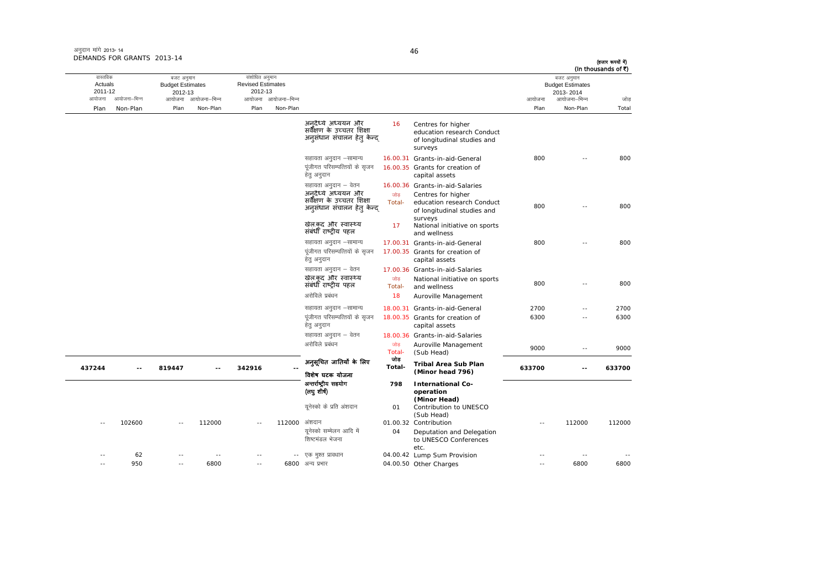| अनुदान मांगे 2013-14       |  |
|----------------------------|--|
| DEMANDS FOR GRANTS 2013-14 |  |

| (In thousands of ₹)      |                    |                                                                                            |                                                                                 |                                                                                                                                                                                     | वास्तविक<br>संशोधित अनुमान<br>बजट अनुमान                                                                                                                                                                                                                                                        |                  |                                                            |                           |                                                           |                    |
|--------------------------|--------------------|--------------------------------------------------------------------------------------------|---------------------------------------------------------------------------------|-------------------------------------------------------------------------------------------------------------------------------------------------------------------------------------|-------------------------------------------------------------------------------------------------------------------------------------------------------------------------------------------------------------------------------------------------------------------------------------------------|------------------|------------------------------------------------------------|---------------------------|-----------------------------------------------------------|--------------------|
| 2013-2014                |                    |                                                                                            |                                                                                 |                                                                                                                                                                                     |                                                                                                                                                                                                                                                                                                 |                  |                                                            |                           |                                                           | Actuals<br>2011-12 |
| आयोजना–भिन्न             | आयोजना             |                                                                                            |                                                                                 |                                                                                                                                                                                     |                                                                                                                                                                                                                                                                                                 |                  |                                                            |                           | आयोजना–भिन्न                                              | आयोजना             |
| Non-Plan                 | Plan               |                                                                                            |                                                                                 |                                                                                                                                                                                     | Non-Plan                                                                                                                                                                                                                                                                                        | Plan             | Non-Plan                                                   | Plan                      | Non-Plan                                                  | Plan               |
|                          |                    | Centres for higher<br>education research Conduct<br>of longitudinal studies and<br>surveys | 16                                                                              | अनुदैध्ये अध्ययन और<br>सर्वेक्षण के उच्चतर शिक्षा<br>अनुसंधान संचालन हेत् केन्द                                                                                                     |                                                                                                                                                                                                                                                                                                 |                  |                                                            |                           |                                                           |                    |
|                          | 800                |                                                                                            |                                                                                 | सहायता अनुदान –सामान्य                                                                                                                                                              |                                                                                                                                                                                                                                                                                                 |                  |                                                            |                           |                                                           |                    |
|                          |                    | capital assets                                                                             |                                                                                 | पूंजीगत परिसम्पत्तियों के सृजन<br>हेतु अनुदान                                                                                                                                       |                                                                                                                                                                                                                                                                                                 |                  |                                                            |                           |                                                           |                    |
|                          |                    |                                                                                            |                                                                                 | सहायता अनुदान – वेतन                                                                                                                                                                |                                                                                                                                                                                                                                                                                                 |                  |                                                            |                           |                                                           |                    |
|                          | 800                | Centres for higher<br>education research Conduct<br>of longitudinal studies and            | जोड<br>Total-                                                                   | अनदैध्ये अध्ययन और<br>सर्वेंक्षण के उच्चतर शिक्षा<br>अनूसंधान संचालन हेतु केन्द्                                                                                                    |                                                                                                                                                                                                                                                                                                 |                  |                                                            |                           |                                                           |                    |
|                          |                    | National initiative on sports<br>and wellness                                              | 17                                                                              | खेल.कद और स्वास्थ्य<br>संबंधीं राष्ट्रीय पहल                                                                                                                                        |                                                                                                                                                                                                                                                                                                 |                  |                                                            |                           |                                                           |                    |
|                          | 800                |                                                                                            |                                                                                 | सहायता अनुदान -सामान्य                                                                                                                                                              |                                                                                                                                                                                                                                                                                                 |                  |                                                            |                           |                                                           |                    |
|                          |                    | capital assets                                                                             |                                                                                 | पंजीगत परिसम्पत्तियों के सजन<br>हेतु अनुदान                                                                                                                                         |                                                                                                                                                                                                                                                                                                 |                  |                                                            |                           |                                                           |                    |
|                          |                    |                                                                                            |                                                                                 | सहायता अनुदान – वेतन                                                                                                                                                                |                                                                                                                                                                                                                                                                                                 |                  |                                                            |                           |                                                           |                    |
| $\overline{a}$           | 800                | National initiative on sports<br>and wellness                                              | जोड<br>Total-                                                                   | खेल.कद और स्वास्थ्य<br>संबंधी राष्ट्रीय पहल                                                                                                                                         |                                                                                                                                                                                                                                                                                                 |                  |                                                            |                           |                                                           |                    |
|                          |                    | Auroville Management                                                                       | 18                                                                              | अरोविले प्रबंधन                                                                                                                                                                     |                                                                                                                                                                                                                                                                                                 |                  |                                                            |                           |                                                           |                    |
| --                       |                    |                                                                                            |                                                                                 |                                                                                                                                                                                     |                                                                                                                                                                                                                                                                                                 |                  |                                                            |                           |                                                           |                    |
| $\sim$ $-$               | 6300               | capital assets                                                                             |                                                                                 | पूंजीगत परिसम्पत्तियों के सृजन<br>हेतु अनुदान                                                                                                                                       |                                                                                                                                                                                                                                                                                                 |                  |                                                            |                           |                                                           |                    |
|                          |                    |                                                                                            |                                                                                 | सहायता अनुदान – वेतन                                                                                                                                                                |                                                                                                                                                                                                                                                                                                 |                  |                                                            |                           |                                                           |                    |
| $\overline{\phantom{a}}$ | 9000               | Auroville Management<br>(Sub Head)                                                         | जोड<br>Total-                                                                   | अरोविले प्रबंधन                                                                                                                                                                     |                                                                                                                                                                                                                                                                                                 |                  |                                                            |                           |                                                           |                    |
| $\sim$ $\sim$            | 633700             | <b>Tribal Area Sub Plan</b>                                                                | जोड<br>Total-                                                                   | अनुसूचित जातियाँ के लिए                                                                                                                                                             |                                                                                                                                                                                                                                                                                                 | 342916           | $-1$                                                       | 819447                    |                                                           | 437244             |
|                          |                    |                                                                                            |                                                                                 |                                                                                                                                                                                     |                                                                                                                                                                                                                                                                                                 |                  |                                                            |                           |                                                           |                    |
|                          |                    | operation                                                                                  |                                                                                 | (लघुशीर्ष)                                                                                                                                                                          |                                                                                                                                                                                                                                                                                                 |                  |                                                            |                           |                                                           |                    |
|                          |                    | Contribution to UNESCO<br>(Sub Head)                                                       | 01                                                                              | युनेस्को के प्रति अंशदान                                                                                                                                                            |                                                                                                                                                                                                                                                                                                 |                  |                                                            |                           |                                                           |                    |
| 112000                   |                    |                                                                                            |                                                                                 | अंशदान                                                                                                                                                                              | 112000                                                                                                                                                                                                                                                                                          |                  | 112000                                                     |                           | 102600                                                    |                    |
|                          |                    | Deputation and Delegation<br>to UNESCO Conferences                                         | 04                                                                              | युनेस्को सम्मेलन आदि में<br>शिष्टमंडल भेजना                                                                                                                                         |                                                                                                                                                                                                                                                                                                 |                  |                                                            |                           |                                                           |                    |
|                          |                    |                                                                                            |                                                                                 | एक मुश्त प्रावधान                                                                                                                                                                   | $\frac{1}{2}$                                                                                                                                                                                                                                                                                   |                  |                                                            |                           | 62                                                        |                    |
|                          |                    |                                                                                            |                                                                                 |                                                                                                                                                                                     |                                                                                                                                                                                                                                                                                                 |                  |                                                            |                           | 950                                                       |                    |
|                          | बजट अनुमान<br>6800 | <b>Budget Estimates</b><br>2700                                                            | surveys<br>(Minor head 796)<br><b>International Co-</b><br>(Minor Head)<br>etc. | 16.00.31 Grants-in-aid-General<br>16.00.36 Grants-in-aid-Salaries<br>17.00.36 Grants-in-aid-Salaries<br>18.00.31<br>Grants-in-aid-General<br>18.00.36 Grants-in-aid-Salaries<br>798 | 16.00.35 Grants for creation of<br>17.00.31 Grants-in-aid-General<br>17.00.35 Grants for creation of<br>सहायता अनुदान –सामान्य<br>18.00.35 Grants for creation of<br>विशेष घटक योजना<br>अन्तर्राष्ट्रीय सहयोग<br>01.00.32 Contribution<br>04.00.42 Lump Sum Provision<br>04.00.50 Other Charges | 6800 अन्य प्रभार | <b>Revised Estimates</b><br>2012-13<br>आयोजना आयोजना–भिन्न | (हजार रूपयों में)<br>6800 | <b>Budget Estimates</b><br>2012-13<br>आयोजना आयोजना–भिन्न |                    |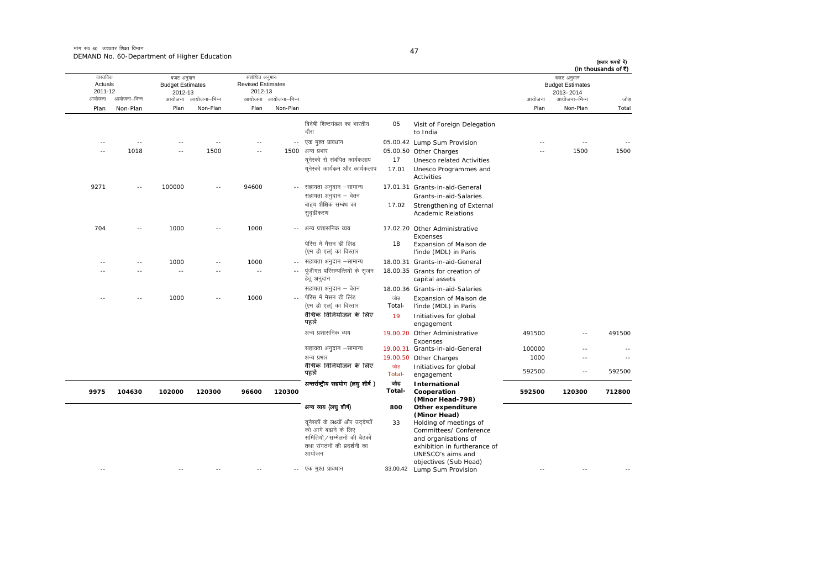मांग सं0 60 उच्चतर शिक्षा विभाग DEMAND No. 60-Department of Higher Education

| (In thousands of ₹)<br>जोड | बजट अनुमान<br><b>Budget Estimates</b><br>2013-2014<br>आयोजना–भिन्न | आयोजना |                                                        |               |                                                       | संशोधित अनुमान<br><b>Revised Estimates</b><br>2012-13<br>आयोजना आयोजना-भिन्न |               | आयोजना–भिन्न  | बजट अनुमान<br><b>Budget Estimates</b><br>2012-13<br>आयोजना | आयोजना-भिन्न  | वास्तविक<br>Actuals<br>2011-12<br>आयोजना |
|----------------------------|--------------------------------------------------------------------|--------|--------------------------------------------------------|---------------|-------------------------------------------------------|------------------------------------------------------------------------------|---------------|---------------|------------------------------------------------------------|---------------|------------------------------------------|
| Total                      | Non-Plan                                                           | Plan   |                                                        |               |                                                       | Non-Plan                                                                     | Plan          | Non-Plan      | Plan                                                       | Non-Plan      | Plan                                     |
|                            |                                                                    |        | Visit of Foreign Delegation<br>to India                | 05            | विदेषी शिष्टमंडल का भारतीय<br>दौरा                    |                                                                              |               |               |                                                            |               |                                          |
|                            | $\sim$ $\sim$                                                      |        | 05.00.42 Lump Sum Provision                            |               | एक मुश्त प्रावधान                                     | $\overline{\phantom{a}}$ .                                                   |               |               |                                                            | $\sim$ $\sim$ | $\sim$                                   |
| 1500                       | 1500                                                               |        | 05.00.50 Other Charges                                 |               | अन्य प्रभार                                           | 1500                                                                         | $\sim$        | 1500          | $\sim$                                                     | 1018          | ××                                       |
|                            |                                                                    |        | Unesco related Activities                              | 17            | यूनेस्को से संबंधित कार्यकलाप                         |                                                                              |               |               |                                                            |               |                                          |
|                            |                                                                    |        | Unesco Programmes and<br>Activities                    | 17.01         | यूनेस्को कार्यक्रम और कार्यकलाप                       |                                                                              |               |               |                                                            |               |                                          |
|                            |                                                                    |        | 17.01.31 Grants-in-aid-General                         |               | सहायता अनुदान –सामान्य                                |                                                                              | 94600         | $\sim$ $\sim$ | 100000                                                     | $\sim$ $\sim$ | 9271                                     |
|                            |                                                                    |        | Grants-in-aid-Salaries                                 |               | सहायता अनुदान – वेतन                                  |                                                                              |               |               |                                                            |               |                                          |
|                            |                                                                    |        | Strengthening of External<br><b>Academic Relations</b> | 17.02         | बाहय शैक्षिक सम्बंध का<br>सुदृढीकरण                   |                                                                              |               |               |                                                            |               |                                          |
|                            |                                                                    |        | 17.02.20 Other Administrative<br>Expenses              |               | अन्य प्रशासनिक व्यय                                   | $\sim$                                                                       | 1000          |               | 1000                                                       |               | 704                                      |
|                            |                                                                    |        | Expansion of Maison de<br>l'inde (MDL) in Paris        | 18            | पेरिस में मैसन डी लिंड<br>(एम डी एल) का विस्तार       |                                                                              |               |               |                                                            |               |                                          |
|                            |                                                                    |        | 18.00.31 Grants-in-aid-General                         |               | सहायता अनुदान -सामान्य                                | $-$                                                                          | 1000          |               | 1000                                                       | $-$           | - -                                      |
|                            |                                                                    |        | 18.00.35 Grants for creation of<br>capital assets      |               | पूंजीगत परिसम्पत्तियों के सृजन<br>हेतु अनुदान         |                                                                              | $\sim$ $\sim$ | $\sim$        | $\sim$ $\sim$                                              | $\sim$ $\sim$ |                                          |
|                            |                                                                    |        | 18.00.36 Grants-in-aid-Salaries                        |               | सहायता अनुदान – वेतन                                  |                                                                              |               |               |                                                            |               |                                          |
|                            |                                                                    |        | Expansion of Maison de<br>l'inde (MDL) in Paris        | जोड<br>Total- | पेरिस में मैसन डी लिंड<br>(एम डी एल) का विस्तार       | ÷.                                                                           | 1000          |               | 1000                                                       |               |                                          |
|                            |                                                                    |        | Initiatives for global<br>engagement                   | 19            | वैश्विक विनियोजन के लिए<br>पहले                       |                                                                              |               |               |                                                            |               |                                          |
| 491500                     | $-$                                                                | 491500 | 19.00.20 Other Administrative<br>Expenses              |               | अन्य प्रशासनिक व्यय                                   |                                                                              |               |               |                                                            |               |                                          |
| $\overline{\phantom{a}}$   |                                                                    | 100000 | 19.00.31 Grants-in-aid-General                         |               | सहायता अनुदान –सामान्य                                |                                                                              |               |               |                                                            |               |                                          |
| $\sim$                     | $\sim$                                                             | 1000   | 19.00.50 Other Charges                                 |               | अन्य प्रभार                                           |                                                                              |               |               |                                                            |               |                                          |
| 592500                     | $\sim$ $\sim$                                                      | 592500 | Initiatives for global<br>engagement                   | जोड<br>Total- | वैश्विक विनियोजन के लिए<br>पहले                       |                                                                              |               |               |                                                            |               |                                          |
|                            |                                                                    |        | International                                          | जोड           | अन्तर्राष्ट्रीय सहयोग (लघु शीर्ष)                     |                                                                              |               |               |                                                            |               |                                          |
| 712800                     | 120300                                                             | 592500 | Cooperation<br>(Minor Head-798)                        | Total-        |                                                       | 120300                                                                       | 96600         | 120300        | 102000                                                     | 104630        | 9975                                     |
|                            |                                                                    |        | Other expenditure<br>(Minor Head)                      | 800           | अन्य व्यय (लघु शीर्ष)                                 |                                                                              |               |               |                                                            |               |                                          |
|                            |                                                                    |        | Holding of meetings of                                 | 33            | यूनेस्कों के लक्ष्यों और उददेष्यों                    |                                                                              |               |               |                                                            |               |                                          |
|                            |                                                                    |        | Committees/ Conference                                 |               | को आगे बढाने के लिए<br>समितियों / सम्मेलनों की बैठकों |                                                                              |               |               |                                                            |               |                                          |
|                            |                                                                    |        | and organisations of<br>exhibition in furtherance of   |               | तथा संगठनों की प्रदर्शनी का                           |                                                                              |               |               |                                                            |               |                                          |
|                            |                                                                    |        | UNESCO's aims and                                      |               | आयोजन                                                 |                                                                              |               |               |                                                            |               |                                          |
|                            |                                                                    |        | objectives (Sub Head)                                  |               |                                                       |                                                                              |               |               |                                                            |               |                                          |
|                            |                                                                    | - -    | 33.00.42 Lump Sum Provision                            |               | एक मुश्त प्रावधान                                     | $- -$                                                                        | $-$           |               | $\sim$ $-$                                                 |               | $\sim$ $-$                               |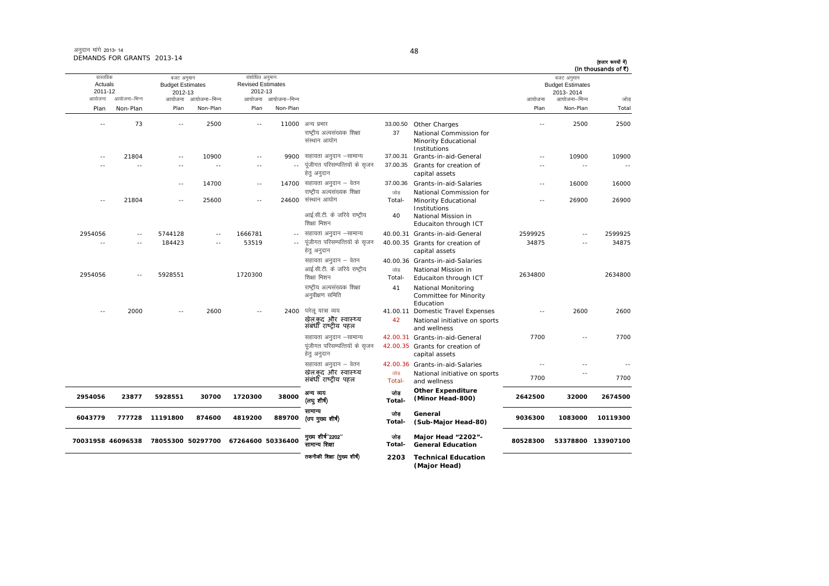| अनुदान मांगे 2013- 14      |  |
|----------------------------|--|
| DEMANDS FOR GRANTS 2013-14 |  |

| वास्तविक           |                   | बजट अनुमान                                   |                   | संशोधित अनुमान                      |                     |                                                                                            |                     |                                                                                                                 |                          | बजट अनुमान                                           | (In thousands of ₹) |
|--------------------|-------------------|----------------------------------------------|-------------------|-------------------------------------|---------------------|--------------------------------------------------------------------------------------------|---------------------|-----------------------------------------------------------------------------------------------------------------|--------------------------|------------------------------------------------------|---------------------|
| Actuals<br>2011-12 | आयोजना–भिन्न      | <b>Budget Estimates</b><br>2012-13<br>आयोजना | आयोजना–भिन्न      | <b>Revised Estimates</b><br>2012-13 | आयोजना आयोजना-भिन्न |                                                                                            |                     |                                                                                                                 | आयोजना                   | <b>Budget Estimates</b><br>2013-2014<br>आयोजना–भिन्न | जोड                 |
|                    | Non-Plan          | Plan                                         | Non-Plan          | Plan                                | Non-Plan            |                                                                                            |                     |                                                                                                                 | Plan                     | Non-Plan                                             | Total               |
|                    |                   |                                              |                   |                                     |                     |                                                                                            |                     |                                                                                                                 |                          |                                                      |                     |
|                    | 73                | $\sim$                                       | 2500              | $\sim$                              |                     | 11000 अन्य प्रभार<br>राष्ट्रीय अल्पसंख्यक शिक्षा<br>संस्थान आयोग                           | 33.00.50<br>37      | Other Charges<br>National Commission for<br>Minority Educational<br>Institutions                                |                          | 2500                                                 | 2500                |
|                    | 21804             | $\sim$                                       | 10900             | $\sim$ $\sim$                       | 9900                | सहायता अनुदान –सामान्य                                                                     | 37.00.31            | Grants-in-aid-General                                                                                           | $\sim$ $\sim$            | 10900                                                | 10900               |
|                    | $\sim$            | $\sim$                                       | $\sim$ $\sim$     | $\sim$ $\sim$                       | $\overline{a}$      | पूंजीगत परिसम्पत्तियों के सृजन<br>हेत् अनुदान                                              | 37.00.35            | Grants for creation of<br>capital assets                                                                        | $\sim$                   |                                                      | $\overline{a}$      |
|                    |                   | $\sim$ $-$                                   | 14700             | $\sim$ $-$                          |                     | 14700 सहायता अनुदान - वेतन                                                                 | 37.00.36            | Grants-in-aid-Salaries                                                                                          | $\sim$ $-$               | 16000                                                | 16000               |
|                    | 21804             | $\sim$                                       | 25600             | $\sim$ $\sim$                       | 24600               | राष्ट्रीय अल्पसंख्यक शिक्षा<br>संस्थान आयोग<br>आई.सी.टी. के जरिये राष्ट्रीय<br>शिक्षा मिशन | जोड<br>Total-<br>40 | National Commission for<br>Minority Educational<br>Institutions<br>National Mission in<br>Educaiton through ICT | $\sim$                   | 26900                                                | 26900               |
|                    | $\sim$            | 5744128                                      | $\sim$            | 1666781                             | $\sim$ $-$          | सहायता अनुदान –सामान्य                                                                     |                     | 40.00.31 Grants-in-aid-General                                                                                  | 2599925                  |                                                      | 2599925             |
|                    | $\sim$            | 184423                                       | $\sim$            | 53519                               | $\sim$ $-$          | पूंजीगत परिसम्पत्तियों के सृजन<br>हेत् अनुदान                                              |                     | 40.00.35 Grants for creation of<br>capital assets                                                               | 34875                    |                                                      | 34875               |
|                    |                   |                                              |                   |                                     |                     | सहायता अनुदान – वेतन                                                                       |                     | 40.00.36 Grants-in-aid-Salaries                                                                                 |                          |                                                      |                     |
|                    | $\sim$            | 5928551                                      |                   | 1720300                             |                     | आई.सी.टी. के जरिये राष्ट्रीय<br>शिक्षा मिशन                                                | जोड<br>Total-       | National Mission in<br>Educaiton through ICT                                                                    | 2634800                  |                                                      | 2634800             |
|                    |                   |                                              |                   |                                     |                     | राष्ट्रीय अल्पसंख्यक शिक्षा<br>अनुवीक्षण समिति                                             | 41                  | National Monitoring<br>Committee for Minority<br>Education                                                      |                          |                                                      |                     |
|                    | 2000              |                                              | 2600              |                                     |                     | 2400 घरेलू यात्रा व्यय<br>खेल.कद और स्वास्थ्य<br>संबंधी राष्ट्रीय पहल                      | 42                  | 41.00.11 Domestic Travel Expenses<br>National initiative on sports                                              | $\overline{\phantom{a}}$ | 2600                                                 | 2600                |
|                    |                   |                                              |                   |                                     |                     | सहायता अनुदान –सामान्य                                                                     |                     | and wellness<br>42.00.31 Grants-in-aid-General                                                                  | 7700                     |                                                      | 7700                |
|                    |                   |                                              |                   |                                     |                     | पूंजीगत परिसम्पत्तियों के सृजन<br>हेत् अनुदान                                              |                     | 42.00.35 Grants for creation of<br>capital assets                                                               |                          |                                                      |                     |
|                    |                   |                                              |                   |                                     |                     | सहायता अनुदान – वेतन                                                                       |                     | 42.00.36 Grants-in-aid-Salaries                                                                                 |                          |                                                      | $-1$                |
|                    |                   |                                              |                   |                                     |                     | खेल.कद और स्वास्थ्य<br>संबंधी राष्ट्रीय पहल                                                | जोड<br>Total-       | National initiative on sports<br>and wellness                                                                   | 7700                     |                                                      | 7700                |
|                    | 23877             | 5928551                                      | 30700             | 1720300                             | 38000               | अन्य व्यय<br>(लयु शीर्ष)                                                                   | जोड<br>Total-       | <b>Other Expenditure</b><br>(Minor Head-800)                                                                    | 2642500                  | 32000                                                | 2674500             |
|                    | 777728            | 11191800                                     | 874600            | 4819200                             | 889700              | सामान्य<br>(उप मुख्य शीर्ष)                                                                | जोड<br>Total-       | General<br>(Sub-Major Head-80)                                                                                  | 9036300                  | 1083000                                              | 10119300            |
|                    | 70031958 46096538 |                                              | 78055300 50297700 | 67264600 50336400                   |                     | मुख्य शीर्ष"2202"<br>सामान्य शिक्षा                                                        | जोड<br>Total-       | Major Head "2202"-<br><b>General Education</b>                                                                  | 80528300                 |                                                      | 53378800 133907100  |
|                    |                   |                                              |                   |                                     |                     | तकनीकी शिक्षा (मुख्य शीर्ष)                                                                | 2203                | <b>Technical Education</b><br>(Major Head)                                                                      |                          |                                                      |                     |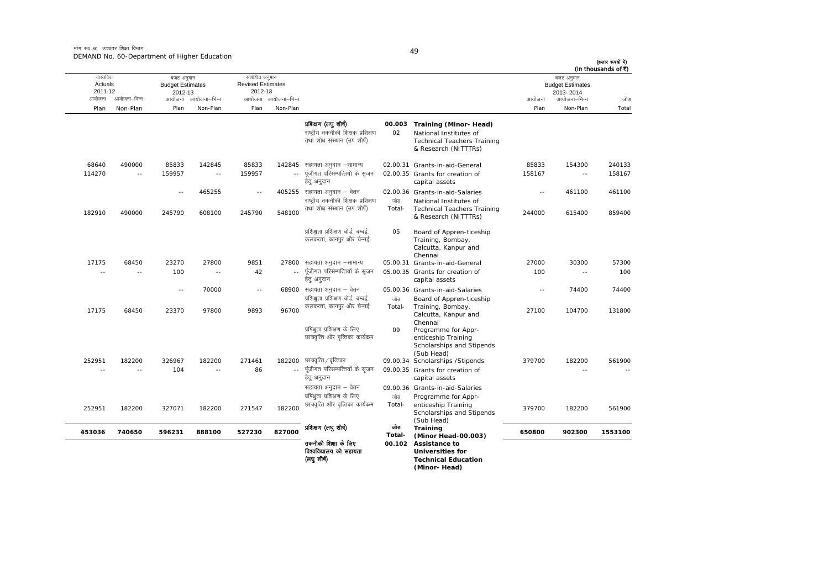मांग सं0 60 उच्चतर शिक्षा विभाग DEMAND No. 60-Department of Higher Education

| वास्तविक<br>Actuals<br>2011-12<br>आयोजना | आयोजना–भिन्न         | बजट अनुमान<br><b>Budget Estimates</b><br>2012-13<br>आयोजना | आयोजना–भिन्न             | संशोधित अनुमान<br><b>Revised Estimates</b><br>2012-13 | आयोजना आयोजना-भिन्न |                                                                                          |                  |                                                                                                                | बजट अनुमान<br><b>Budget Estimates</b><br>2013-2014<br>आयोजना<br>आयोजना–भिन्न |               |              |
|------------------------------------------|----------------------|------------------------------------------------------------|--------------------------|-------------------------------------------------------|---------------------|------------------------------------------------------------------------------------------|------------------|----------------------------------------------------------------------------------------------------------------|------------------------------------------------------------------------------|---------------|--------------|
| Plan                                     | Non-Plan             | Plan                                                       | Non-Plan                 | Plan                                                  | Non-Plan            |                                                                                          |                  |                                                                                                                | Plan                                                                         | Non-Plan      | जोड<br>Total |
|                                          |                      |                                                            |                          |                                                       |                     | प्रशिक्षण (लघु शीर्ष)<br>राष्टीय तकनीकी शिक्षक प्रशिक्षण<br>तथा शोध संस्थान (उप शीर्ष)   | 00.003<br>02     | Training (Minor- Head)<br>National Institutes of<br><b>Technical Teachers Training</b><br>& Research (NITTTRs) |                                                                              |               |              |
| 68640                                    | 490000               | 85833                                                      | 142845                   | 85833                                                 | 142845              | सहायता अनुदान –सामान्य                                                                   |                  | 02.00.31 Grants-in-aid-General                                                                                 | 85833                                                                        | 154300        | 240133       |
| 114270                                   | $\sim$ $-$           | 159957                                                     | $\sim$ $-$               | 159957                                                | $\sim$              | पूंजीगत परिसम्पत्तियों के सुजन<br>हेत् अनुदान                                            |                  | 02.00.35 Grants for creation of<br>capital assets                                                              | 158167                                                                       | $\sim$ $\sim$ | 158167       |
|                                          |                      | $\sim$ $-$                                                 | 465255                   | $\sim$ $-$                                            |                     | 405255 सहायता अनुदान – वेतन<br>राष्ट्रीय तकनीकी शिक्षक प्रशिक्षण                         | जोड              | 02.00.36 Grants-in-aid-Salaries<br>National Institutes of                                                      | $\sim$ $\sim$                                                                | 461100        | 461100       |
| 182910                                   | 490000               | 245790                                                     | 608100                   | 245790                                                | 548100              | तथा शोध संस्थान (उप शीर्ष)                                                               | Total-           | <b>Technical Teachers Training</b><br>& Research (NITTTRs)                                                     | 244000                                                                       | 615400        | 859400       |
|                                          |                      |                                                            |                          |                                                       |                     | प्रशिक्षुता प्रशिक्षण बोर्ड, बम्बई,<br>कलकत्ता, कानपुर और चेन्नई                         | 05               | Board of Appren-ticeship<br>Training, Bombay,<br>Calcutta, Kanpur and<br>Chennai                               |                                                                              |               |              |
| 17175                                    | 68450                | 23270                                                      | 27800                    | 9851                                                  |                     | 27800 सहायता अनुदान -सामान्य                                                             |                  | 05.00.31 Grants-in-aid-General                                                                                 | 27000                                                                        | 30300         | 57300        |
| ٠.                                       | $\sim$               | 100                                                        | $\overline{\phantom{a}}$ | 42                                                    | $\sim$ $-$          | पूंजीगत परिसम्पत्तियों के सृजन<br>हेत् अनुदान                                            |                  | 05.00.35 Grants for creation of<br>capital assets                                                              | 100                                                                          | ٠.            | 100          |
|                                          |                      | $\sim$ $\sim$                                              | 70000                    | $\overline{\phantom{a}}$                              |                     | $68900$ सहायता अनुदान – वेतन<br>प्रशिक्षुता प्रशिक्षण बोर्ड, बम्बई,                      | जोड              | 05.00.36 Grants-in-aid-Salaries<br>Board of Appren-ticeship                                                    | $\sim$ $\sim$                                                                | 74400         | 74400        |
| 17175                                    | 68450                | 23370                                                      | 97800                    | 9893                                                  | 96700               | कलकत्ता, कानपुर और चेन्नई                                                                | Total-           | Training, Bombay,<br>Calcutta, Kanpur and<br>Chennai                                                           | 27100                                                                        | 104700        | 131800       |
| 252951                                   |                      | 326967                                                     | 182200                   | 271461                                                | 182200              | प्रषिक्षुता प्रशिक्षण के लिए<br>छात्रवृत्ति और वृत्तिका कार्यक्रम                        | 09               | Programme for Appr-<br>enticeship Training<br>Scholarships and Stipends<br>(Sub Head)                          | 379700                                                                       | 182200        | 561900       |
|                                          | 182200<br>$\sim$ $-$ | 104                                                        | $\sim$                   | 86                                                    | $\sim$ $-$          | छात्रवृत्ति ∕ वृत्तिका<br>पूंजीगत परिसम्पत्तियों के सृजन<br>हेत् अनुदान                  |                  | 09.00.34 Scholarships / Stipends<br>09.00.35 Grants for creation of<br>capital assets                          |                                                                              | ۵.            |              |
| 252951                                   | 182200               | 327071                                                     | 182200                   | 271547                                                | 182200              | सहायता अनुदान – वेतन<br>प्रषिक्षता प्रशिक्षण के लिए<br>छात्रवृत्ति और वृत्तिका कार्यक्रम | जोड<br>Total-    | 09.00.36 Grants-in-aid-Salaries<br>Programme for Appr-<br>enticeship Training<br>Scholarships and Stipends     | 379700                                                                       | 182200        | 561900       |
| 453036                                   | 740650               | 596231                                                     | 888100                   | 527230                                                | 827000              | प्रशिक्षण (लघुशीर्ष)                                                                     | जोड              | (Sub Head)<br><b>Training</b>                                                                                  | 650800                                                                       | 902300        | 1553100      |
|                                          |                      |                                                            |                          |                                                       |                     | तकनीकी शिक्षा के लिए<br>विश्वविद्यालय को सहायता<br>(लघुशीर्ष)                            | Total-<br>00.102 | (Minor Head-00.003)<br>Assistance to<br><b>Universities for</b><br><b>Technical Education</b><br>(Minor-Head)  |                                                                              |               |              |

49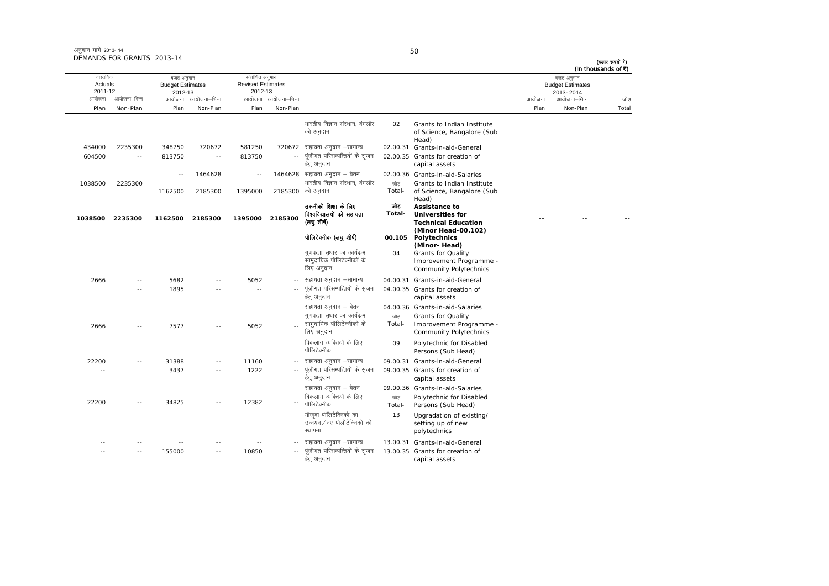|                                                          | VIANUS I UN GIVANIS ZUIS-I <del>T</del> |                                                                            |          |                                                                              |          |                                                  |    |                                                                   |        |                                                                    | (हजार रूपयों में)<br>(In thousands of ₹) |
|----------------------------------------------------------|-----------------------------------------|----------------------------------------------------------------------------|----------|------------------------------------------------------------------------------|----------|--------------------------------------------------|----|-------------------------------------------------------------------|--------|--------------------------------------------------------------------|------------------------------------------|
| वास्तविक<br>Actuals<br>2011-12<br>आयोजना–भिन्न<br>आयोजना |                                         | बजट अनुमान<br><b>Budget Estimates</b><br>2012-13<br>आयोजना–भिन्न<br>आयोजना |          | संशोधित अनुमान<br><b>Revised Estimates</b><br>2012-13<br>आयोजना आयोजना–भिन्न |          |                                                  |    |                                                                   | आयोजना | बजट अनुमान<br><b>Budget Estimates</b><br>2013-2014<br>आयोजना–भिन्न | जोर                                      |
| Plan                                                     | Non-Plan                                | Plan                                                                       | Non-Plan | Plan                                                                         | Non-Plan |                                                  |    |                                                                   | Plan   | Non-Plan                                                           | Tota                                     |
|                                                          |                                         |                                                                            |          |                                                                              |          | भारतीय विज्ञान संस्थान, बंगलौर<br>को अनुदान      | 02 | Grants to Indian Institute<br>of Science, Bangalore (Sub<br>Head) |        |                                                                    |                                          |
| 434000                                                   | 2235300                                 | 348750                                                                     | 720672   | 581250                                                                       |          | 720672 सहायता अनुदान –सामान्य                    |    | 02.00.31 Grants-in-aid-General                                    |        |                                                                    |                                          |
| 604500                                                   | $\sim$ $-$                              | 813750                                                                     | $- -$    | 813750                                                                       |          | -- पूंजीगत परिसम्पत्तियों के सुजन<br>हेत् अनुदान |    | 02.00.35 Grants for creation of<br>capital assets                 |        |                                                                    |                                          |
|                                                          |                                         | $- -$                                                                      | 1464628  | $\sim$ $-$                                                                   |          | 1464628 सहायता अनुदान – वेतन                     |    | 02.00.36 Grants-in-aid-Salaries                                   |        |                                                                    |                                          |

|         |               |         | 1464628 |         |            | 1464628 सहायता अनुदान – वेतन                                            |               | 02.00.36 Grants-in-aid-Salaries                                                                       |
|---------|---------------|---------|---------|---------|------------|-------------------------------------------------------------------------|---------------|-------------------------------------------------------------------------------------------------------|
| 1038500 | 2235300       | 1162500 | 2185300 | 1395000 |            | भारतीय विज्ञान संस्थान, बंगलौर<br>2185300 को अनुदान                     | जोड<br>Total- | Grants to Indian Institute<br>of Science, Bangalore (Sub<br>Head)                                     |
| 1038500 | 2235300       | 1162500 | 2185300 | 1395000 | 2185300    | तकनीकी शिक्षा के लिए<br>विश्वविद्यालयों को सहायता<br>(लघु शीष)          | তাৰ<br>Total- | Assistance to<br><b>Universities for</b><br><b>Technical Education</b><br>(Minor Head-00.102)         |
|         |               |         |         |         |            | पॉलिटेक्नीक (लघु शीर्ष)                                                 |               | 00.105 Polytechnics                                                                                   |
|         |               |         |         |         |            | गुणवत्ता सुधार का कार्यक्रम<br>सामुदायिक पॉलिटेक्नीकों के<br>लिए अनुदान | 04            | (Minor-Head)<br><b>Grants for Quality</b><br>Improvement Programme -<br><b>Community Polytechnics</b> |
| 2666    | $\sim$ $-$    | 5682    |         | 5052    | $- -$      | सहायता अनुदान –सामान्य                                                  |               | 04.00.31 Grants-in-aid-General                                                                        |
|         |               | 1895    |         |         |            | पूंजीगत परिसम्पत्तियों के सृजन<br>हेत् अनुदान                           |               | 04.00.35 Grants for creation of<br>capital assets                                                     |
|         |               |         |         |         |            | सहायता अनुदान – वेतन<br>गणवत्ता सुधार का कार्यक्रम                      | जोड           | 04.00.36 Grants-in-aid-Salaries<br><b>Grants for Quality</b>                                          |
| 2666    |               | 7577    | $-1$    | 5052    |            | सामुदायिक पॉलिटेक्नीकों के<br>लिए अनुदान                                | Total-        | Improvement Programme -<br><b>Community Polytechnics</b>                                              |
|         |               |         |         |         |            | विकलांग व्यक्तियों के लिए<br>पॉलिटेक्नीक                                | 09            | Polytechnic for Disabled<br>Persons (Sub Head)                                                        |
| 22200   | $-$           | 31388   | $- -$   | 11160   | $- -$      | सहायता अनुदान –सामान्य                                                  |               | 09.00.31 Grants-in-aid-General                                                                        |
| $\sim$  |               | 3437    | $- -$   | 1222    | $\sim$ $-$ | पूंजीगत परिसम्पत्तियों के सृजन<br>हेतु अनुदान                           |               | 09.00.35 Grants for creation of<br>capital assets                                                     |
|         |               |         |         |         |            | सहायता अनुदान – वेतन                                                    |               | 09.00.36 Grants-in-aid-Salaries                                                                       |
| 22200   | $\sim$ $\sim$ | 34825   |         | 12382   | $-$        | विकलांग व्यक्तियों के लिए<br>पॉलिटेक्नीक                                | जोड<br>Total- | Polytechnic for Disabled<br>Persons (Sub Head)                                                        |
|         |               |         |         |         |            | मौजूदा पॉलिटेक्निकों का<br>उन्नयन / नए पोलीटेक्निकों की<br>स्थापना      | 13            | Upgradation of existing/<br>setting up of new<br>polytechnics                                         |
|         |               |         |         |         | $- -$      | सहायता अनुदान –सामान्य                                                  |               | 13.00.31 Grants-in-aid-General                                                                        |
|         |               | 155000  | ۰.      | 10850   |            | पूंजीगत परिसम्पत्तियों के सुजन<br>हेतु अनुदान                           |               | 13.00.35 Grants for creation of<br>capital assets                                                     |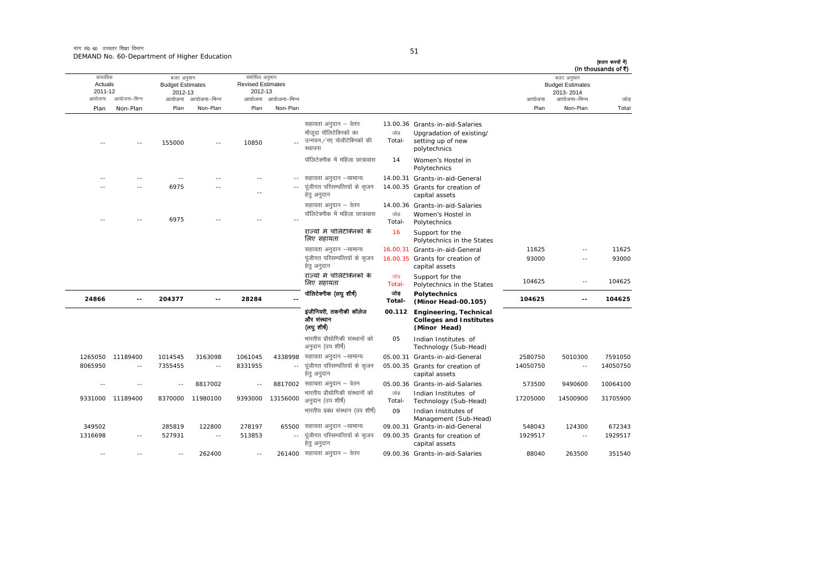मांग सं0 60 उच्चतर शिक्षा विभाग DEMAND No. 60-Department of Higher Education

| -<br>٠ |  |  |
|--------|--|--|

| वास्तविक           |                  | बजट अनुमान                         |              | संशोधित अनुमान                      |               |                                                                                          |               |                                                                                                  |                | बजट अनुमान                           | (हजार रूपयों में)<br>(In thousands of ₹) |
|--------------------|------------------|------------------------------------|--------------|-------------------------------------|---------------|------------------------------------------------------------------------------------------|---------------|--------------------------------------------------------------------------------------------------|----------------|--------------------------------------|------------------------------------------|
| Actuals<br>2011-12 |                  | <b>Budget Estimates</b><br>2012-13 |              | <b>Revised Estimates</b><br>2012-13 |               |                                                                                          |               |                                                                                                  |                | <b>Budget Estimates</b><br>2013-2014 |                                          |
| आयोजना             | आयोजना–भिन्न     | आयोजना                             | आयोजना–भिन्न | आयोजना                              | आयोजना–भिन्न  |                                                                                          |               |                                                                                                  | आयोजना         | आयोजना–भिन्न                         | जोड                                      |
| Plan               | Non-Plan         | Plan                               | Non-Plan     | Plan                                | Non-Plan      |                                                                                          |               |                                                                                                  | Plan           | Non-Plan                             | Total                                    |
|                    |                  | 155000                             |              | 10850                               |               | सहायता अनुदान – वेतन<br>मौजुदा पॉलिटेक्निकों का<br>उन्नयन/नए पोलीटेक्निकों की<br>स्थापना | जोड<br>Total- | 13.00.36 Grants-in-aid-Salaries<br>Upgradation of existing/<br>setting up of new<br>polytechnics |                |                                      |                                          |
|                    |                  |                                    |              |                                     |               | पॉलिटेक्नीक में महिला छात्रावास                                                          | 14            | Women's Hostel in<br>Polytechnics                                                                |                |                                      |                                          |
|                    |                  |                                    |              |                                     |               | सहायता अनुदान –सामान्य                                                                   |               | 14.00.31 Grants-in-aid-General                                                                   |                |                                      |                                          |
|                    |                  | 6975                               |              |                                     |               | पूंजीगत परिसम्पत्तियों के सृजन<br>हेत् अनुदान                                            |               | 14.00.35 Grants for creation of<br>capital assets                                                |                |                                      |                                          |
|                    |                  |                                    |              |                                     |               | सहायता अनुदान – वेतन                                                                     |               | 14.00.36 Grants-in-aid-Salaries                                                                  |                |                                      |                                          |
|                    |                  | 6975                               |              |                                     |               | पॉलिटेक्नीक में महिला छात्रावास                                                          | जोड<br>Total- | Women's Hostel in<br>Polytechnics                                                                |                |                                      |                                          |
|                    |                  |                                    |              |                                     |               | राज्यों में पॉलिटेक्निकों के<br>लिए सहायता                                               | 16            | Support for the<br>Polytechnics in the States                                                    |                |                                      |                                          |
|                    |                  |                                    |              |                                     |               | सहायता अनुदान –सामान्य<br>पूंजीगत परिसम्पत्तियों के सृजन<br>हेतु अनुदान                  |               | 16.00.31 Grants-in-aid-General<br>16.00.35 Grants for creation of<br>capital assets              | 11625<br>93000 | $\overline{\phantom{a}}$<br>$\sim$   | 11625<br>93000                           |
|                    |                  |                                    |              |                                     |               | राज्यों में पॉलिटेक्निकों के<br>लिए सहायता                                               | जोड<br>Total- | Support for the<br>Polytechnics in the States                                                    | 104625         | $\sim$                               | 104625                                   |
| 24866              | $-$              | 204377                             | $\sim$       | 28284                               |               | पॉलिटेक्नीक (लघु शीर्ष)                                                                  | जोड<br>Total- | <b>Polytechnics</b><br>(Minor Head-00.105)                                                       | 104625         | $-$                                  | 104625                                   |
|                    |                  |                                    |              |                                     |               | इंजीनियरी, तकनीकी कॉलेज<br>और संस्थान<br>(लघु शीर्ष)                                     |               | 00.112 Engineering, Technical<br><b>Colleges and Institutes</b><br>(Minor Head)                  |                |                                      |                                          |
|                    |                  |                                    |              |                                     |               | भारतीय प्रौद्योगिकी संस्थानों को<br>अनुदान (उप शीर्ष)                                    | 05            | Indian Institutes of<br>Technology (Sub-Head)                                                    |                |                                      |                                          |
|                    | 1265050 11189400 | 1014545                            | 3163098      | 1061045                             | 4338998       | सहायता अनुदान –सामान्य                                                                   |               | 05.00.31 Grants-in-aid-General                                                                   | 2580750        | 5010300                              | 7591050                                  |
| 8065950            | a a              | 7355455                            | $\sim$       | 8331955                             | $\sim$ $\sim$ | पूंजीगत परिसम्पत्तियों के सृजन<br>हेतु अनुदान                                            |               | 05.00.35 Grants for creation of<br>capital assets                                                | 14050750       | $\sim$ $\sim$                        | 14050750                                 |
|                    |                  |                                    | 8817002      | $\sim$ $\sim$                       |               | 8817002 सहायता अनुदान – वेतन                                                             |               | 05.00.36 Grants-in-aid-Salaries                                                                  | 573500         | 9490600                              | 10064100                                 |
|                    | 9331000 11189400 | 8370000                            | 11980100     | 9393000                             | 13156000      | भारतीय प्रौद्योगिकी संस्थानों को<br>अनुदान (उप शीर्ष)                                    | जोड<br>Total- | Indian Institutes of<br>Technology (Sub-Head)                                                    | 17205000       | 14500900                             | 31705900                                 |
|                    |                  |                                    |              |                                     |               | भारतीय प्रबंध संस्थान (उप शीर्ष)                                                         | 09            | Indian Institutes of<br>Management (Sub-Head)                                                    |                |                                      |                                          |
| 349502             |                  | 285819                             | 122800       | 278197                              | 65500         | सहायता अनुदान –सामान्य                                                                   |               | 09.00.31 Grants-in-aid-General                                                                   | 548043         | 124300                               | 672343                                   |
| 1316698            |                  | 527931                             | $\sim$ $-$   | 513853                              |               | पूंजीगत परिसम्पत्तियों के सृजन<br>हेत् अनुदान                                            |               | 09.00.35 Grants for creation of<br>capital assets                                                | 1929517        | $\sim$                               | 1929517                                  |
|                    |                  |                                    | 262400       | $\sim$ $-$                          |               | $261400$ सहायता अनुदान - वेतन                                                            |               | 09.00.36 Grants-in-aid-Salaries                                                                  | 88040          | 263500                               | 351540                                   |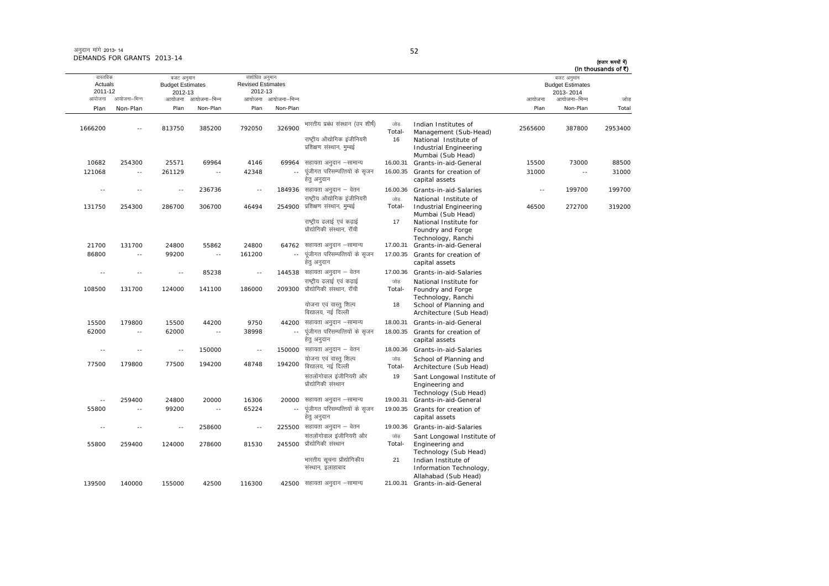|                                          |               |                                                  |                          |                                                       |                          |                                                                                                                    |                      |                                                                                                                        |                          |                                                                    | (In thousands of ₹) |
|------------------------------------------|---------------|--------------------------------------------------|--------------------------|-------------------------------------------------------|--------------------------|--------------------------------------------------------------------------------------------------------------------|----------------------|------------------------------------------------------------------------------------------------------------------------|--------------------------|--------------------------------------------------------------------|---------------------|
| वास्तविक<br>Actuals<br>2011-12<br>आयोजना | आयोजना–भिन्न  | बजट अनुमान<br><b>Budget Estimates</b><br>2012-13 | आयोजना आयोजना-भिन्न      | संशोधित अनुमान<br><b>Revised Estimates</b><br>2012-13 | आयोजना आयोजना-भिन्न      |                                                                                                                    |                      |                                                                                                                        | आयोजना                   | बजट अनुमान<br><b>Budget Estimates</b><br>2013-2014<br>आयोजना–भिन्न | जोड                 |
| Plan                                     | Non-Plan      | Plan                                             | Non-Plan                 | Plan                                                  | Non-Plan                 |                                                                                                                    |                      |                                                                                                                        | Plan                     | Non-Plan                                                           | Total               |
| 1666200                                  | $\sim$        | 813750                                           | 385200                   | 792050                                                | 326900                   | भारतीय प्रबंध संस्थान (उप शीर्ष)<br>राष्ट्रीय औद्योगिक इंजीनियरी<br>प्रशिक्षण संस्थान, मुम्बई                      | जोड़<br>Total-<br>16 | Indian Institutes of<br>Management (Sub-Head)<br>National Institute of<br>Industrial Engineering                       | 2565600                  | 387800                                                             | 2953400             |
|                                          |               |                                                  |                          |                                                       |                          |                                                                                                                    |                      | Mumbai (Sub Head)                                                                                                      |                          |                                                                    |                     |
| 10682                                    | 254300        | 25571                                            | 69964                    | 4146                                                  |                          | 69964 सहायता अनुदान -सामान्य                                                                                       | 16.00.31             | Grants-in-aid-General                                                                                                  | 15500                    | 73000                                                              | 88500               |
| 121068                                   | $\sim$ $-$    | 261129                                           | $\overline{\phantom{a}}$ | 42348                                                 | $\overline{\phantom{a}}$ | पूंजीगत परिसम्पत्तियों के सृजन<br>हेतु अनुदान                                                                      | 16.00.35             | Grants for creation of<br>capital assets                                                                               | 31000                    | $\sim$ $-$                                                         | 31000               |
|                                          |               | ٠.                                               | 236736                   | $\sim$ $-$                                            |                          | 184936 सहायता अनुदान – वेतन                                                                                        | 16.00.36             | Grants-in-aid-Salaries                                                                                                 | $\overline{\phantom{a}}$ | 199700                                                             | 199700              |
| 131750                                   | 254300        | 286700                                           | 306700                   | 46494                                                 | 254900                   | राष्ट्रीय औद्योगिक इंजीनियरी<br>प्रशिक्षण संस्थान, मुम्बई<br>राष्ट्रीय ढलाई एवं कढाई<br>प्रौद्योगिकी संस्थान, रॉची | जोड<br>Total-<br>17  | National Institute of<br>Industrial Engineering<br>Mumbai (Sub Head)<br>National Institute for<br>Foundry and Forge    | 46500                    | 272700                                                             | 319200              |
| 21700                                    | 131700        | 24800                                            | 55862                    | 24800                                                 | 64762                    | सहायता अनुदान –सामान्य                                                                                             | 17.00.31             | Technology, Ranchi<br>Grants-in-aid-General                                                                            |                          |                                                                    |                     |
| 86800                                    | $\sim$ $-$    | 99200                                            | $\sim$ $-$               | 161200                                                | $\sim$ $\sim$            | पूंजीगत परिसम्पत्तियों के सृजन<br>हेत् अनुदान                                                                      | 17.00.35             | Grants for creation of<br>capital assets                                                                               |                          |                                                                    |                     |
| ٠.                                       | $\sim$ $-$    | $\sim$                                           | 85238                    | $\overline{a}$                                        |                          | 144538 सहायता अनुदान – वेतन                                                                                        | 17.00.36             | Grants-in-aid-Salaries                                                                                                 |                          |                                                                    |                     |
| 108500                                   | 131700        | 124000                                           | 141100                   | 186000                                                | 209300                   | राष्ट्रीय ढलाई एवं कढ़ाई<br>प्रौद्योगिकी संस्थान, रॉची<br>योजना एवं वास्तु शिल्प<br>विद्यालय, नई दिल्ली            | जोड<br>Total-<br>18  | National Institute for<br>Foundry and Forge<br>Technology, Ranchi<br>School of Planning and<br>Architecture (Sub Head) |                          |                                                                    |                     |
| 15500                                    | 179800        | 15500                                            | 44200                    | 9750                                                  |                          | 44200 सहायता अनुदान -सामान्य                                                                                       | 18.00.31             | Grants-in-aid-General                                                                                                  |                          |                                                                    |                     |
| 62000                                    | $\sim$ $\sim$ | 62000                                            | $\sim$ $\sim$            | 38998                                                 | $\sim$ $\sim$            | पूंजीगत परिसम्पत्तियों के सृजन<br>हेत् अनुदान                                                                      | 18.00.35             | Grants for creation of<br>capital assets                                                                               |                          |                                                                    |                     |
| ٠.                                       | $\sim$ $-$    | $\sim$                                           | 150000                   | $\overline{\phantom{a}}$                              |                          | 150000 सहायता अनुदान – वेतन                                                                                        | 18.00.36             | Grants-in-aid-Salaries                                                                                                 |                          |                                                                    |                     |
| 77500                                    | 179800        | 77500                                            | 194200                   | 48748                                                 | 194200                   | योजना एवं वास्त् शिल्प<br>विद्यालय, नई दिल्ली                                                                      | जोड<br>Total-        | School of Planning and<br>Architecture (Sub Head)                                                                      |                          |                                                                    |                     |
|                                          |               |                                                  |                          |                                                       |                          | संतलोंगोवाल इंजीनियरी और<br>प्रौद्योगिकी संस्थान                                                                   | 19                   | Sant Longowal Institute of<br>Engineering and<br>Technology (Sub Head)                                                 |                          |                                                                    |                     |
| $\sim$ $-$                               | 259400        | 24800                                            | 20000                    | 16306                                                 |                          | 20000 सहायता अनुदान -सामान्य                                                                                       | 19.00.31             | Grants-in-aid-General                                                                                                  |                          |                                                                    |                     |
| 55800                                    | $\sim$ $-$    | 99200                                            | $\sim$ $\sim$            | 65224                                                 |                          | पूंजीगत परिसम्पत्तियों के सृजन<br>हेत् अनुदान                                                                      | 19.00.35             | Grants for creation of<br>capital assets                                                                               |                          |                                                                    |                     |
|                                          |               | 44                                               | 258600                   | $\overline{\phantom{a}}$                              |                          | 225500 सहायता अनुदान – वेतन                                                                                        | 19.00.36             | Grants-in-aid-Salaries                                                                                                 |                          |                                                                    |                     |
| 55800                                    | 259400        | 124000                                           | 278600                   | 81530                                                 | 245500                   | संतलोंगोवाल इंजीनियरी और<br>प्रौद्योगिकी संस्थान<br>भारतीय सूचना प्रौद्योगिकीय                                     | जोड<br>Total-<br>21  | Sant Longowal Institute of<br>Engineering and<br>Technology (Sub Head)<br>Indian Institute of                          |                          |                                                                    |                     |
|                                          |               |                                                  |                          |                                                       |                          | संस्थान, इलाहाबाद                                                                                                  |                      | Information Technology,<br>Allahabad (Sub Head)                                                                        |                          |                                                                    |                     |
| 139500                                   | 140000        | 155000                                           | 42500                    | 116300                                                |                          | 42500 सहायता अनुदान –सामान्य                                                                                       | 21.00.31             | Grants-in-aid-General                                                                                                  |                          |                                                                    |                     |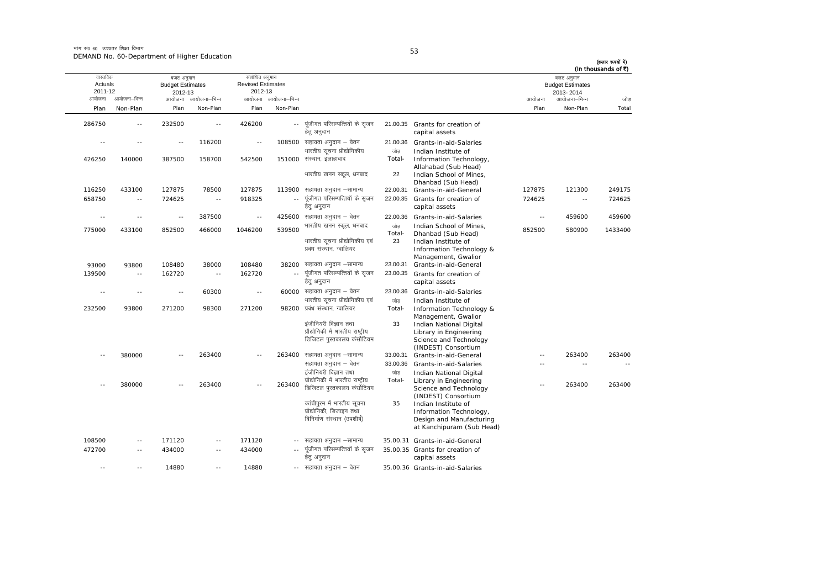| (In thousands of ₹) | बजट अनुमान                           |            |                                                                                                         |                     |                                                                                           |                     | संशोधित अनुमान                      |                          | बजट अनुमान                         |               | वास्तविक                 |
|---------------------|--------------------------------------|------------|---------------------------------------------------------------------------------------------------------|---------------------|-------------------------------------------------------------------------------------------|---------------------|-------------------------------------|--------------------------|------------------------------------|---------------|--------------------------|
|                     | <b>Budget Estimates</b><br>2013-2014 |            |                                                                                                         |                     |                                                                                           |                     | <b>Revised Estimates</b><br>2012-13 |                          | <b>Budget Estimates</b><br>2012-13 |               | Actuals<br>2011-12       |
| जोड                 | आयोजना–भिन्न                         | आयोजना     |                                                                                                         |                     |                                                                                           | आयोजना आयोजना-भिन्न |                                     | आयोजना आयोजना-भिन्न      |                                    | आयोजना–भिन्न  | आयोजना                   |
| Total               | Non-Plan                             | Plan       |                                                                                                         |                     |                                                                                           | Non-Plan            | Plan                                | Non-Plan                 | Plan                               | Non-Plan      | Plan                     |
|                     |                                      |            | 21.00.35 Grants for creation of<br>capital assets                                                       |                     | पूंजीगत परिसम्पत्तियों के सृजन<br>हेत् अनुदान                                             | $\sim$ $\sim$       | 426200                              | $\sim$                   | 232500                             | $\sim$        | 286750                   |
|                     |                                      |            | Grants-in-aid-Salaries                                                                                  | 21.00.36            | 108500 सहायता अनुदान – वेतन<br>भारतीय सुचना प्रौद्योगिकीय                                 |                     | $\overline{a}$                      | 116200                   | $\sim$                             | $\sim$ $\sim$ | $\overline{\phantom{a}}$ |
|                     |                                      |            | Indian Institute of<br>Information Technology,<br>Allahabad (Sub Head)<br>Indian School of Mines,       | जोड<br>Total-<br>22 | 151000 संस्थान, इलाहाबाद<br>भारतीय खनन स्कूल, धनबाद                                       |                     | 542500                              | 158700                   | 387500                             | 140000        | 426250                   |
|                     |                                      |            | Dhanbad (Sub Head)                                                                                      |                     |                                                                                           |                     |                                     |                          |                                    |               |                          |
| 249175              | 121300                               | 127875     | Grants-in-aid-General                                                                                   | 22.00.31            | सहायता अनुदान –सामान्य                                                                    | 113900              | 127875                              | 78500                    | 127875                             | 433100        | 116250                   |
| 724625              | $\sim$ $-$                           | 724625     | Grants for creation of<br>capital assets                                                                | 22.00.35            | पूंजीगत परिसम्पत्तियों के सृजन<br>हेत् अनुदान                                             | $\sim$ $\sim$       | 918325                              | $\sim$ $\sim$            | 724625                             | $\sim$ $-$    | 658750                   |
| 459600              | 459600                               | $\sim$ $-$ | Grants-in-aid-Salaries                                                                                  | 22.00.36            | $425600$ सहायता अनुदान – वेतन                                                             |                     | $\sim$ $-$                          | 387500                   | $\sim$ $-$                         | $\sim$ $\sim$ | $\sim$ $-$               |
| 1433400             | 580900                               | 852500     | Indian School of Mines,<br>Dhanbad (Sub Head)<br>Indian Institute of                                    | जोड<br>Total-<br>23 | भारतीय खनन स्कूल, धनबाद<br>भारतीय सूचना प्रौद्योगिकीय एवं                                 | 539500              | 1046200                             | 466000                   | 852500                             | 433100        | 775000                   |
|                     |                                      |            | Information Technology &<br>Management, Gwalior<br>Grants-in-aid-General                                | 23.00.31            | प्रबंध संस्थान, ग्वालियर<br>सहायता अनुदान –सामान्य                                        | 38200               | 108480                              | 38000                    | 108480                             | 93800         | 93000                    |
|                     |                                      |            | Grants for creation of<br>capital assets                                                                | 23.00.35            | पूंजीगत परिसम्पत्तियों के सृजन<br>हेत् अनुदान                                             | $\sim$ $\sim$       | 162720                              | $\sim$ $\sim$            | 162720                             | $\sim$ $\sim$ | 139500                   |
|                     |                                      |            | Grants-in-aid-Salaries                                                                                  | 23.00.36            | $60000$ सहायता अनुदान – वेतन                                                              |                     | $\sim$ $-$                          | 60300                    | $-$                                | $\sim$ $\sim$ | $\sim$                   |
|                     |                                      |            | Indian Institute of<br>Information Technology &                                                         | जोड<br>Total-       | भारतीय सूचना प्रौद्योगिकीय एवं<br>प्रबंध संस्थान, ग्वालियर                                | 98200               | 271200                              | 98300                    | 271200                             | 93800         | 232500                   |
|                     |                                      |            | Management, Gwalior<br>Indian National Digital<br>Library in Engineering<br>Science and Technology      | 33                  | इंजीनियरी विज्ञान तथा<br>प्रौद्योगिकी में भारतीय राष्ट्रीय<br>डिजिटल पुस्तकालय कंर्सोटियम |                     |                                     |                          |                                    |               |                          |
| 263400              | 263400                               | $\sim$     | (INDEST) Consortium<br>Grants-in-aid-General                                                            | 33.00.31            | सहायता अनुदान –सामान्य                                                                    | 263400              | $\sim$                              | 263400                   |                                    | 380000        |                          |
|                     | $\sim$ $\sim$                        | - -        | Grants-in-aid-Salaries                                                                                  | 33.00.36            | सहायता अनुदान – वेतन                                                                      |                     |                                     |                          |                                    |               |                          |
|                     |                                      |            | Indian National Digital                                                                                 | जोड                 | इंजीनियरी विज्ञान तथा                                                                     |                     |                                     |                          |                                    |               |                          |
| 263400              | 263400                               | $-$        | Library in Engineering<br>Science and Technology<br>(INDEST) Consortium                                 | Total-              | प्रौद्योगिकी में भारतीय राष्ट्रीय<br>डिजिटल पुस्तकालय कंर्सोटियम                          | 263400              | Ξ.                                  | 263400                   | $\sim$                             | 380000        |                          |
|                     |                                      |            | Indian Institute of<br>Information Technology,<br>Design and Manufacturing<br>at Kanchipuram (Sub Head) | 35                  | कांचीपुरम में भारतीय सुचना<br>प्रौद्योगिकी, डिजाइन तथा<br>विनिर्माण संस्थान (उपशीर्ष)     |                     |                                     |                          |                                    |               |                          |
|                     |                                      |            | 35.00.31 Grants-in-aid-General                                                                          |                     | सहायता अनुदान –सामान्य                                                                    |                     | 171120                              | $\overline{\phantom{a}}$ | 171120                             | $\sim$ $-$    | 108500                   |
|                     |                                      |            | 35.00.35 Grants for creation of<br>capital assets                                                       |                     | पूंजीगत परिसम्पत्तियों के सृजन<br>हेत् अनुदान                                             |                     | 434000                              | $\sim$                   | 434000                             | $\sim$        | 472700                   |
|                     |                                      |            | 35.00.36 Grants-in-aid-Salaries                                                                         |                     | -- सहायता अनुदान - वेतन                                                                   |                     | 14880                               | $\sim$ $\sim$            | 14880                              |               |                          |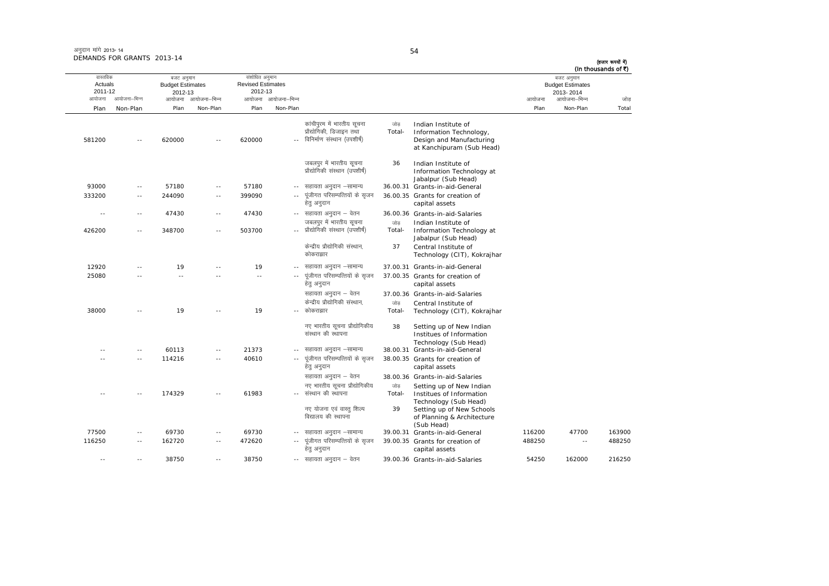| (In thousands of ₹) | बजट अनुमान<br><b>Budget Estimates</b> |        |                                                                                                         |               |                                                                                       |                     | संशोधित अनुमान<br><b>Revised Estimates</b><br>2012-13 |                     | बजट अनुमान<br><b>Budget Estimates</b> |              | वास्तविक<br>Actuals<br>2011-12 |
|---------------------|---------------------------------------|--------|---------------------------------------------------------------------------------------------------------|---------------|---------------------------------------------------------------------------------------|---------------------|-------------------------------------------------------|---------------------|---------------------------------------|--------------|--------------------------------|
| जोड़                | 2013-2014<br>आयोजना–भिन्न             | आयोजना |                                                                                                         |               |                                                                                       | आयोजना आयोजना-भिन्न |                                                       | आयोजना आयोजना-भिन्न | 2012-13                               | आयोजना–भिन्न | आयोजना                         |
| Total               | Non-Plan                              | Plan   |                                                                                                         |               |                                                                                       | Non-Plan            | Plan                                                  | Non-Plan            | Plan                                  | Non-Plan     | Plan                           |
|                     |                                       |        |                                                                                                         |               |                                                                                       |                     |                                                       |                     |                                       |              |                                |
|                     |                                       |        | Indian Institute of<br>Information Technology,<br>Design and Manufacturing<br>at Kanchipuram (Sub Head) | जोड<br>Total- | कांचीपुरम में भारतीय सूचना<br>प्रौद्योगिकी, डिजाइन तथा<br>विनिर्माण संस्थान (उपशीर्ष) | $\overline{a}$      | 620000                                                |                     | 620000                                | $\sim$ $-$   | 581200                         |
|                     |                                       |        | Indian Institute of<br>Information Technology at<br>Jabalpur (Sub Head)                                 | 36            | जबलपुर में भारतीय सूचना<br>प्रौद्योगिकी संस्थान (उपशीर्ष)                             |                     |                                                       |                     |                                       |              |                                |
|                     |                                       |        | 36.00.31 Grants-in-aid-General                                                                          |               | सहायता अनुदान –सामान्य                                                                | $- -$               | 57180                                                 | $\sim$              | 57180                                 | $\sim$ $-$   | 93000                          |
|                     |                                       |        | 36.00.35 Grants for creation of<br>capital assets                                                       |               | पूंजीगत परिसम्पत्तियों के सृजन<br>हेत् अनुदान                                         | $\sim$ $\sim$       | 399090                                                | $\sim$ $\sim$       | 244090                                | $\sim$ $-$   | 333200                         |
|                     |                                       |        | 36.00.36 Grants-in-aid-Salaries                                                                         |               | --   सहायता अनुदान – वेतन                                                             |                     | 47430                                                 | $\sim$ $-$          | 47430                                 | $\sim$ $-$   | $\sim$ $\sim$                  |
|                     |                                       |        | Indian Institute of                                                                                     | जोड           | जबलपुर में भारतीय सूचना                                                               |                     |                                                       |                     |                                       |              |                                |
|                     |                                       |        | Information Technology at<br>Jabalpur (Sub Head)                                                        | Total-        | प्रौद्योगिकी संस्थान (उपशीर्ष)                                                        |                     | 503700                                                | $\sim$              | 348700                                | $\sim$       | 426200                         |
|                     |                                       |        | Central Institute of<br>Technology (CIT), Kokrajhar                                                     | 37            | केन्द्रीय प्रौद्योगिकी संस्थान,<br>कोकराझार                                           |                     |                                                       |                     |                                       |              |                                |
|                     |                                       |        | 37.00.31 Grants-in-aid-General                                                                          |               | सहायता अनुदान –सामान्य                                                                |                     | 19                                                    |                     | 19                                    |              | 12920                          |
|                     |                                       |        | 37.00.35 Grants for creation of<br>capital assets                                                       |               | पूंजीगत परिसम्पत्तियों के सृजन<br>हेतु अनुदान                                         | $\sim$ $\sim$       | $\sim$ $\sim$                                         |                     | $\sim$ $\sim$                         |              | 25080                          |
|                     |                                       |        | 37.00.36 Grants-in-aid-Salaries                                                                         |               | सहायता अनुदान – वेतन                                                                  |                     |                                                       |                     |                                       |              |                                |
|                     |                                       |        | Central Institute of<br>Technology (CIT), Kokrajhar                                                     | जोड<br>Total- | केन्द्रीय प्रौद्योगिकी संस्थान.<br>कोकराझार                                           |                     | 19                                                    |                     | 19                                    |              | 38000                          |
|                     |                                       |        | Setting up of New Indian<br>Institues of Information<br>Technology (Sub Head)                           | 38            | नए भारतीय सूचना प्रौद्योगिकीय<br>संस्थान की स्थापना                                   |                     |                                                       |                     |                                       |              |                                |
|                     |                                       |        | 38.00.31 Grants-in-aid-General                                                                          |               | सहायता अनुदान –सामान्य                                                                |                     | 21373                                                 | $-$                 | 60113                                 | $\sim$ $-$   |                                |
|                     |                                       |        | 38.00.35 Grants for creation of<br>capital assets                                                       |               | पूंजीगत परिसम्पत्तियों के सृजन<br>हेतु अनुदान                                         | $\overline{a}$      | 40610                                                 | $\sim$ $\sim$       | 114216                                | $\sim$ $-$   | $\sim$                         |
|                     |                                       |        | 38.00.36 Grants-in-aid-Salaries<br>Setting up of New Indian<br>Institues of Information                 | जोड<br>Total- | सहायता अनुदान – वेतन<br>नए भारतीय सूचना प्रौद्योगिकीय<br>-- संस्थान की स्थापना        |                     | 61983                                                 |                     | 174329                                |              |                                |
|                     |                                       |        | Technology (Sub Head)<br>Setting up of New Schools<br>of Planning & Architecture<br>(Sub Head)          | 39            | नए योजना एवं वास्त् शिल्प<br>विद्यालय की स्थापना                                      |                     |                                                       |                     |                                       |              |                                |
| 163900              | 47700                                 | 116200 | 39.00.31 Grants-in-aid-General                                                                          |               | सहायता अनुदान -सामान्य                                                                | $- -$               | 69730                                                 | $\sim$              | 69730                                 | $\sim$ $-$   | 77500                          |
| 488250              | $\sim$ $\sim$                         | 488250 | 39.00.35 Grants for creation of<br>capital assets                                                       |               | पूंजीगत परिसम्पत्तियों के सृजन<br>हेतु अनुदान                                         | $\overline{a}$      | 472620                                                | $\sim$ $\sim$       | 162720                                | $\sim$ $-$   | 116250                         |
| 216250              | 162000                                | 54250  | 39.00.36 Grants-in-aid-Salaries                                                                         |               | -- सहायता अनुदान - वेतन                                                               |                     | 38750                                                 | $\sim$ $\sim$       | 38750                                 | $\sim$ $-$   | $\sim$                         |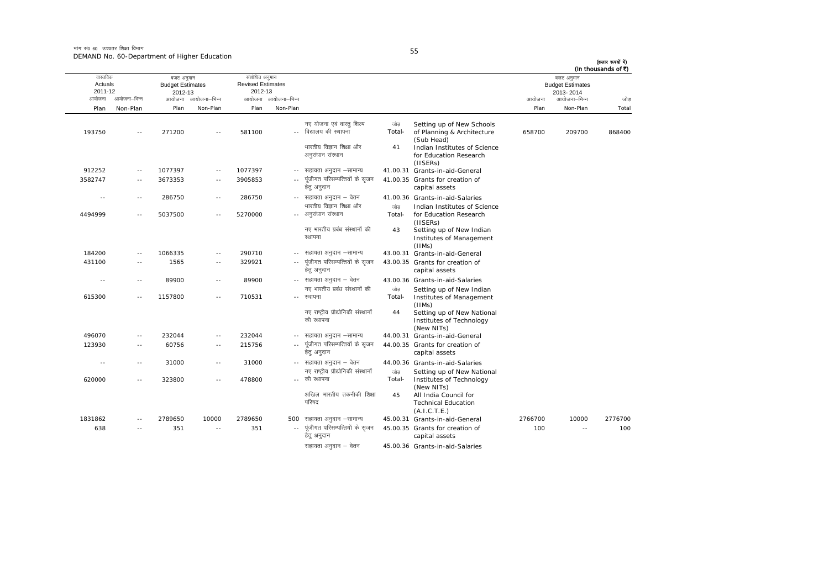मांग सं $\rho_6$  60 जच्चतर शिक्षा विभाग DEMAND No. 60-Department of Higher Education

| -       | -        |  |
|---------|----------|--|
| ۰.<br>٠ | ۰.<br>۰. |  |

ः<br>आयोजना आयोजना–भिन्न आयोजना आयोजना-भिन्न - आयोजना आयोजना-भिन्न न अपयोजना—भिन्न जाउँ विकास समिति । अपनी अपयोजना आयोजना—भिन्न जोड Plan Non-Plan Plan Non-Plan Plan Non-Plan Plan Non-Plan Total तास्ततिक Actuals2011-12बजट अनुमान Budget Estimates 2012-13संशोधित अनमान Revised Estimates2012-13बजट अनुमान Budget Estimates 2013- 2014(हजार रूपयों में) (In thousands of  $\bar{x}$ ) 193750 -- 271200 -- 581100 --नए योजना एवं वास्तु शिल्प विद्यालय की स्थापना जोड Total-Setting up of New Schools of Planning & Architecture (Sub Head) 658700 209700 868400भारतीय विज्ञान शिक्षा और अनुसंधान संस्थान 41 Indian Institutes of Science for Education Research (IISERs) 912252 -- 1077397 -- 1077397 -- सहायता अनुदान –सामान्य 41.00.31 Grants-in-aid-General 3582747 -- 3673353 -- 3905853 --पंजीगत परिसम्पत्तियों के सुजन हेतु अनुदान 41.00.35 Grants for creation of capital assets ---- 286750 -- 286750 -- सहायता अनुदान – वेतन 41.00.36 Grants-in-aid-Salaries 4494999 -- 5037500 -- 5270000 --- अनुसंधान संस्थान भारतीय विज्ञान शिक्षा और  $n\rightarrow \infty$ Total-Indian Institutes of Science for Education Research (IISERs) नए भारतीय पढंध संस्थानों की स्थापना 43Setting up of New Indian Institutes of Management  $(IIIMs)$ 184200 -- 1066335 -- 290710 --43.00.31 Grants-in-aid-General 431100 -- 1565 -- 329921 ---- पंजीगत परिसम्पत्तियों के सुजन हेतु अनुदान 43.00.35 Grants for creation of capital assets ---- 89900 -- 89900 -- सहायता अनुदान – वेतन 43.00.36 Grants-in-aid-Salaries 615300 -- 1157800 -- 710531 --नए भारतीय प्रबंध संस्थानों की रथापना जोड Total-Setting up of New Indian Institutes of Management (IIMs) नए राष्टीय प्रौद्योगिकी संस्थानों की स्थापना 44 Setting up of New National Institutes of Technology (New NITs)  $496070$  -- 232044 -- 232044 -- सहायता अनुदान –सामान्य 44.00.31 Grants-in-aid-General 123930 -- 60756 -- 215756 --.. पुंजीगत परिसम्पत्तियों के सुजन हेतु अनुदान 44.00.35 Grants for creation of capital assets ---- 31000 -- 31000 -- अहायता अनुदान – वेतन 44.00.36 Grants-in-aid-Salaries 620000 -- 323800 -- 478800 --- की स्थापना नए राष्ट्रीय प्रौद्योगिकी संस्थानों  $\frac{1}{100}$ Total-Setting up of New National<br>Institutes of Technology (New NITs) अखिल भारतीय तकनीकी शिक्षा परिषद 45 All India Council for Technical Education (A.I.C.T.E.) 1831862 -- 2789650 10000 2789650 500 सहायता अनुदान –सामान्य lgk;rk vuqnku &lkekU; 45.00.31 Grants-in-aid-General 2766700 10000 2776700 638 -- 351 -- 351 --... पंजीगत परिसम्पत्तियों के सजन हेतु अनुदान 45.00.35 Grants for creation of capital assets 100 -- 100सहायता अनदान  $-$  वेतन  $-45.00.36$  Grants-in-aid-Salaries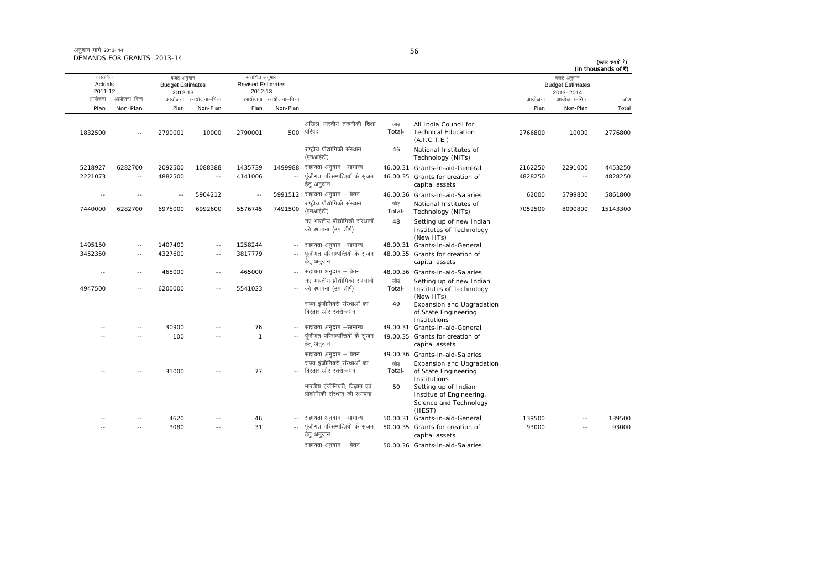|                                |               |                                                  |                          |                                                       |                     |                                                                  |               |                                                                                       |         |                                                    | (In thousands of ₹) |
|--------------------------------|---------------|--------------------------------------------------|--------------------------|-------------------------------------------------------|---------------------|------------------------------------------------------------------|---------------|---------------------------------------------------------------------------------------|---------|----------------------------------------------------|---------------------|
| वास्तविक<br>Actuals<br>2011-12 |               | बजट अनुमान<br><b>Budget Estimates</b><br>2012-13 |                          | संशोधित अनुमान<br><b>Revised Estimates</b><br>2012-13 |                     |                                                                  |               |                                                                                       |         | बजट अनुमान<br><b>Budget Estimates</b><br>2013-2014 |                     |
| आयोजना                         | आयोजना-भिन्न  |                                                  | आयोजना आयोजना-भिन्न      |                                                       | आयोजना आयोजना-भिन्न |                                                                  |               |                                                                                       | आयोजना  | आयोजना–भिन्न                                       | जोड                 |
| Plan                           | Non-Plan      | Plan                                             | Non-Plan                 | Plan                                                  | Non-Plan            |                                                                  |               |                                                                                       | Plan    | Non-Plan                                           | Total               |
| 1832500                        | $\sim$ $\sim$ | 2790001                                          | 10000                    | 2790001                                               | 500                 | अखिल भारतीय तकनीकी शिक्षा<br>परिषद                               | जोड<br>Total- | All India Council for<br><b>Technical Education</b><br>(A.I.C.T.E.)                   | 2766800 | 10000                                              | 2776800             |
|                                |               |                                                  |                          |                                                       |                     | राष्ट्रीय प्रौद्योगिकी संस्थान<br>(एनआईटी)                       | 46            | National Institutes of<br>Technology (NITs)                                           |         |                                                    |                     |
| 5218927                        | 6282700       | 2092500                                          | 1088388                  | 1435739                                               | 1499988             | सहायता अनुदान –सामान्य                                           |               | 46.00.31 Grants-in-aid-General                                                        | 2162250 | 2291000                                            | 4453250             |
| 2221073                        | $\sim$ $-$    | 4882500                                          | $\sim$ $-$               | 4141006                                               | $\sim$ $\sim$       | पूंजीगत परिसम्पत्तियों के सृजन<br>हेत् अनुदान                    |               | 46.00.35 Grants for creation of<br>capital assets                                     | 4828250 | $\sim$ $-$                                         | 4828250             |
| $\sim$                         | $\sim$ $-$    | $\sim$                                           | 5904212                  | $\sim$ $-$                                            |                     | 5991512 सहायता अनुदान – वेतन                                     |               | 46.00.36 Grants-in-aid-Salaries                                                       | 62000   | 5799800                                            | 5861800             |
| 7440000                        | 6282700       | 6975000                                          | 6992600                  | 5576745                                               | 7491500             | राष्ट्रीय प्रौद्योगिकी संस्थान<br>(एनआईटी)                       | जोड<br>Total- | National Institutes of<br>Technology (NITs)                                           | 7052500 | 8090800                                            | 15143300            |
|                                |               |                                                  |                          |                                                       |                     | नए भारतीय प्रौद्योगिकी संस्थानों<br>की स्थापना (उप शीर्ष)        | 48            | Setting up of new Indian<br>Institutes of Technology<br>(New IITs)                    |         |                                                    |                     |
| 1495150                        | $\sim$ $-$    | 1407400                                          | $-$                      | 1258244                                               |                     | -- सहायता अनुदान –सामान्य                                        |               | 48.00.31 Grants-in-aid-General                                                        |         |                                                    |                     |
| 3452350                        | $\sim$        | 4327600                                          | $\overline{\phantom{a}}$ | 3817779                                               |                     | पूंजीगत परिसम्पत्तियों के सृजन<br>हेतु अनुदान                    |               | 48.00.35 Grants for creation of<br>capital assets                                     |         |                                                    |                     |
| $\sim$ $-$                     | $\sim$ $-$    | 465000                                           | $\sim$ $-$               | 465000                                                |                     | -- सहायता अनुदान – वेतन                                          |               | 48.00.36 Grants-in-aid-Salaries                                                       |         |                                                    |                     |
| 4947500                        | $\sim$ $-$    | 6200000                                          | $-$                      | 5541023                                               |                     | नए भारतीय प्रौद्योगिकी संस्थानों<br>-- की स्थापना (उप शीर्ष)     | जोड<br>Total- | Setting up of new Indian<br>Institutes of Technology<br>(New IITs)                    |         |                                                    |                     |
|                                |               |                                                  |                          |                                                       |                     | राज्य इंजीनियरी संस्थाओं का<br>विस्तार और स्तरोन्नयन             | 49            | <b>Expansion and Upgradation</b><br>of State Engineering<br>Institutions              |         |                                                    |                     |
|                                | $\sim$ $-$    | 30900                                            |                          | 76                                                    |                     | सहायता अनुदान –सामान्य                                           |               | 49.00.31 Grants-in-aid-General                                                        |         |                                                    |                     |
|                                |               | 100                                              |                          | $\mathbf{1}$                                          |                     | पूंजीगत परिसम्पत्तियों के सृजन<br>हेत् अनुदान                    |               | 49.00.35 Grants for creation of<br>capital assets                                     |         |                                                    |                     |
|                                |               |                                                  |                          |                                                       |                     | सहायता अनुदान – वेतन                                             |               | 49.00.36 Grants-in-aid-Salaries                                                       |         |                                                    |                     |
|                                |               |                                                  |                          |                                                       |                     | राज्य इंजीनियरी संस्थाओं का                                      | जोड           | <b>Expansion and Upgradation</b>                                                      |         |                                                    |                     |
|                                |               | 31000                                            |                          | 77                                                    |                     | विस्तार और स्तरोन्नयन                                            | Total-        | of State Engineering<br>Institutions                                                  |         |                                                    |                     |
|                                |               |                                                  |                          |                                                       |                     | भारतीय इंजीनियरी. विज्ञान एवं<br>प्रौद्योगिकी संस्थान की स्थापना | 50            | Setting up of Indian<br>Institue of Engineering,<br>Science and Technology<br>(IIEST) |         |                                                    |                     |
|                                | $- -$         | 4620                                             |                          | 46                                                    |                     | सहायता अनुदान –सामान्य                                           |               | 50.00.31 Grants-in-aid-General                                                        | 139500  | $ -$                                               | 139500              |
|                                | $\sim$ $-$    | 3080                                             | $\sim$                   | 31                                                    | $\sim$              | पूंजीगत परिसम्पत्तियों के सृजन<br>हेतु अनुदान                    |               | 50.00.35 Grants for creation of<br>capital assets                                     | 93000   | $\sim$ $\sim$                                      | 93000               |
|                                |               |                                                  |                          |                                                       |                     | सहायता अनुदान – वेतन                                             |               | 50.00.36 Grants-in-aid-Salaries                                                       |         |                                                    |                     |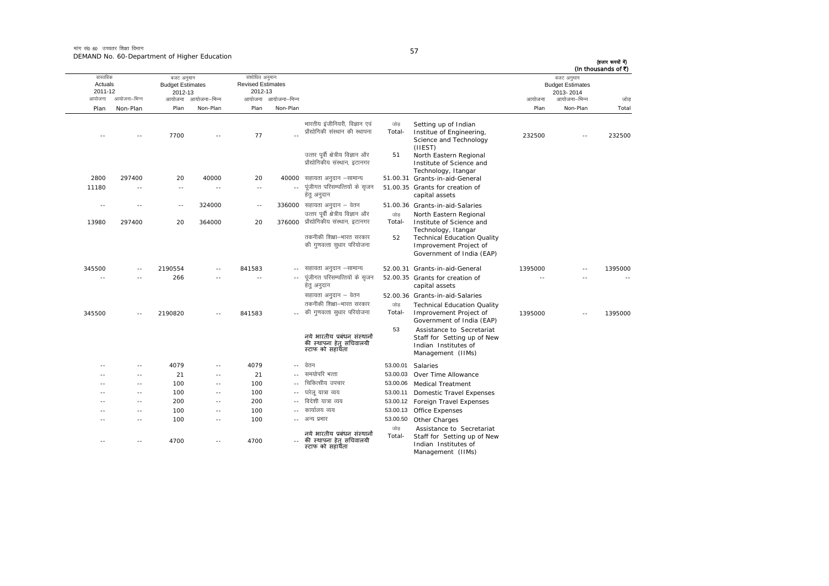मांग सं0 60 उच्चतर शिक्षा विभाग DEMAND No. 60-Department of Higher Education

| -       |  |
|---------|--|
| ۰.<br>٠ |  |

| (In thousands of ₹) |                                                                    |         |                                                                                                             |               |                                                                                                       |                            |                                                       |                     |                                                  |               |                                          |
|---------------------|--------------------------------------------------------------------|---------|-------------------------------------------------------------------------------------------------------------|---------------|-------------------------------------------------------------------------------------------------------|----------------------------|-------------------------------------------------------|---------------------|--------------------------------------------------|---------------|------------------------------------------|
| जोड                 | बजट अनुमान<br><b>Budget Estimates</b><br>2013-2014<br>आयोजना–भिन्न | आयोजना  |                                                                                                             |               |                                                                                                       | आयोजना आयोजना-भिन्न        | संशोधित अनुमान<br><b>Revised Estimates</b><br>2012-13 | आयोजना आयोजना-भिन्न | बजट अनुमान<br><b>Budget Estimates</b><br>2012-13 | आयोजना–भिन्न  | वास्तविक<br>Actuals<br>2011-12<br>आयोजना |
| Total               | Non-Plan                                                           | Plan    |                                                                                                             |               |                                                                                                       | Non-Plan                   | Plan                                                  | Non-Plan            | Plan                                             | Non-Plan      | Plan                                     |
| 232500              | $\sim$ $\sim$                                                      | 232500  | Setting up of Indian<br>Institue of Engineering,<br>Science and Technology<br>(IIEST)                       | जोड<br>Total- | भारतीय इंजीनियरी, विज्ञान एवं<br>प्रौद्योगिकी संस्थान की स्थापना<br>उत्तर पूर्वी क्षेत्रीय विज्ञान और |                            | 77                                                    | $\sim$              | 7700                                             |               | $\overline{\phantom{a}}$                 |
|                     |                                                                    |         | North Eastern Regional<br>Institute of Science and<br>Technology, Itangar<br>51.00.31 Grants-in-aid-General | 51            | प्रौद्योगिकीय संस्थान. इटानगर<br>सहायता अनुदान –सामान्य                                               | 40000                      | 20                                                    | 40000               | 20                                               | 297400        | 2800                                     |
|                     |                                                                    |         | 51.00.35 Grants for creation of                                                                             |               | पूंजीगत परिसम्पत्तियों के सृजन                                                                        | $\overline{\phantom{a}}$ . | $\sim$ $-$                                            | $\sim$ $-$          | $\sim$ $-$                                       | $\sim$ $-$    | 11180                                    |
|                     |                                                                    |         | capital assets                                                                                              |               | हेतु अनुदान                                                                                           |                            |                                                       |                     |                                                  |               |                                          |
|                     |                                                                    |         | 51.00.36 Grants-in-aid-Salaries                                                                             |               | 336000 सहायता अनुदान – वेतन                                                                           |                            | $\sim$ $-$                                            | 324000              | $\sim$                                           | $\sim$ $-$    | $\sim$                                   |
|                     |                                                                    |         | North Eastern Regional                                                                                      | जोड           | उत्तर पूर्वी क्षेत्रीय विज्ञान और<br>प्रौद्योगिकीय संस्थान, इटानगर                                    |                            |                                                       |                     |                                                  |               |                                          |
|                     |                                                                    |         | Institute of Science and<br>Technology, Itangar                                                             | Total-        |                                                                                                       | 376000                     | 20                                                    | 364000              | 20                                               | 297400        | 13980                                    |
|                     |                                                                    |         | <b>Technical Education Quality</b>                                                                          | 52            | तकनीकी शिक्षा-भारत सरकार                                                                              |                            |                                                       |                     |                                                  |               |                                          |
|                     |                                                                    |         | Improvement Project of                                                                                      |               | की गुणवत्ता सुधार परियोजना                                                                            |                            |                                                       |                     |                                                  |               |                                          |
|                     |                                                                    |         | Government of India (EAP)                                                                                   |               |                                                                                                       |                            |                                                       |                     |                                                  |               |                                          |
| 1395000             | $-$                                                                | 1395000 | 52.00.31 Grants-in-aid-General                                                                              |               | सहायता अनुदान –सामान्य                                                                                | $- -$                      | 841583                                                | $\sim$ $\sim$       | 2190554                                          | $\sim$ $-$    | 345500                                   |
|                     | $\sim$                                                             | $\sim$  | 52.00.35 Grants for creation of<br>capital assets                                                           |               | पूंजीगत परिसम्पत्तियों के सृजन<br>हेतु अनुदान                                                         |                            | $\sim$                                                | $\sim$              | 266                                              | $\sim$ $\sim$ | $\sim$                                   |
|                     |                                                                    |         | 52.00.36 Grants-in-aid-Salaries                                                                             |               | सहायता अनुदान - वेतन                                                                                  |                            |                                                       |                     |                                                  |               |                                          |
|                     |                                                                    |         | <b>Technical Education Quality</b>                                                                          | जोड           | तकनीकी शिक्षा-भारत सरकार                                                                              |                            |                                                       |                     |                                                  |               |                                          |
| 1395000             | $\sim$                                                             | 1395000 | Improvement Project of<br>Government of India (EAP)                                                         | Total-        | की गुणवत्ता सुधार परियोजना                                                                            |                            | 841583                                                | $\sim$              | 2190820                                          |               | 345500                                   |
|                     |                                                                    |         | Assistance to Secretariat<br>Staff for Setting up of New<br>Indian Institutes of<br>Management (IIMs)       | 53            | नये भारतीय प्रबंधन संस्थानों<br>की स्थापना हेत् सचिवालयी<br>स्टाफ को सहायँता                          |                            |                                                       |                     |                                                  |               |                                          |
|                     |                                                                    |         | Salaries                                                                                                    | 53.00.01      | वेतन                                                                                                  | $-1$                       | 4079                                                  | $\sim$ $\sim$       | 4079                                             |               |                                          |
|                     |                                                                    |         | Over Time Allowance                                                                                         | 53.00.03      | समयोपरि भत्ता                                                                                         |                            | 21                                                    | $\sim$              | 21                                               | $\sim$ $-$    |                                          |
|                     |                                                                    |         | <b>Medical Treatment</b>                                                                                    | 53.00.06      | चिकित्सीय उपचार                                                                                       |                            | 100                                                   | $\sim$ $\sim$       | 100                                              |               |                                          |
|                     |                                                                    |         | Domestic Travel Expenses                                                                                    | 53.00.11      | घरेलु यात्रा व्यय                                                                                     | $-$                        | 100                                                   | $\sim$ $-$          | 100                                              | $\sim$ $\sim$ | - -                                      |
|                     |                                                                    |         | 53.00.12 Foreign Travel Expenses                                                                            |               | विदेशी यात्रा व्यय                                                                                    |                            | 200                                                   | $\sim$ $\sim$       | 200                                              | $\sim$ $-$    | - -                                      |
|                     |                                                                    |         | Office Expenses                                                                                             | 53.00.13      | कार्यालय व्यय                                                                                         |                            | 100                                                   | $\sim$ $\sim$       | 100                                              | $\sim$ $-$    |                                          |
|                     |                                                                    |         | Other Charges                                                                                               | 53.00.50      | अन्य प्रभार                                                                                           | $-1$                       | 100                                                   | $\sim$ $\sim$       | 100                                              | $\sim$ $-$    |                                          |
|                     |                                                                    |         | Assistance to Secretariat<br>Staff for Setting up of New<br>Indian Institutes of<br>Management (IIMs)       | जोड<br>Total- | नये भारतीय प्रबंधन संस्थानों<br>की स्थापना हेत् सचिवालयी<br>स्टाफ को सहायँता                          |                            | 4700                                                  |                     | 4700                                             |               |                                          |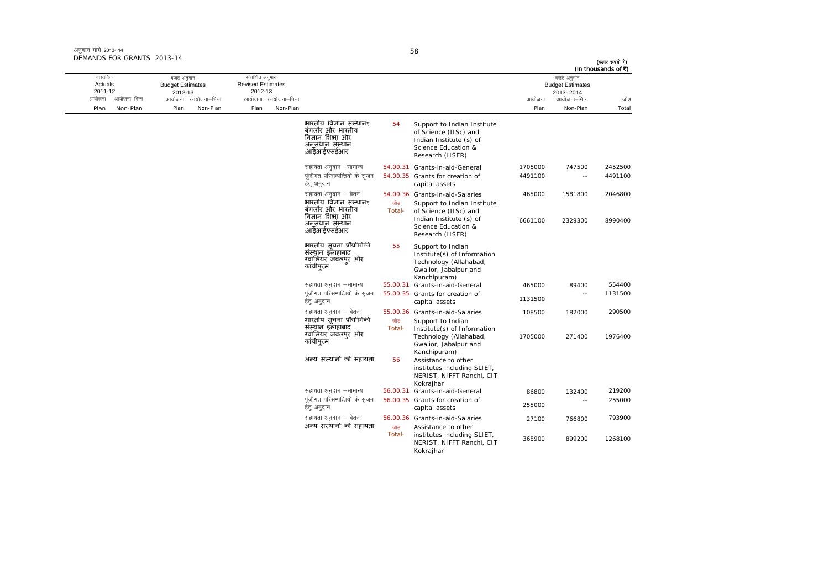| अनुदान मांगे 2013-14       |  |
|----------------------------|--|
| DEMANDS FOR GRANTS 2013-14 |  |

| (In thousands of ₹) | बजट अनुमान                           |         |                                                                                                                            |                |                                                                                                     |                     | संशोधित अनुमान                      |                     | बजट अनुमान                         |              | वास्तविक           |
|---------------------|--------------------------------------|---------|----------------------------------------------------------------------------------------------------------------------------|----------------|-----------------------------------------------------------------------------------------------------|---------------------|-------------------------------------|---------------------|------------------------------------|--------------|--------------------|
|                     | <b>Budget Estimates</b><br>2013-2014 |         |                                                                                                                            |                |                                                                                                     |                     | <b>Revised Estimates</b><br>2012-13 |                     | <b>Budget Estimates</b><br>2012-13 |              | Actuals<br>2011-12 |
|                     | आयोजना–भिन्न                         | आयोजना  |                                                                                                                            |                |                                                                                                     | आयोजना आयोजना-भिन्न |                                     | आयोजना आयोजना–भिन्न |                                    | आयोजना–भिन्न | आयोजना             |
| Total               | Non-Plan                             | Plan    |                                                                                                                            |                |                                                                                                     | Non-Plan            | Plan                                | Non-Plan            | Plan                               | Non-Plan     | Plan               |
|                     |                                      |         | Support to Indian Institute<br>of Science (IISc) and<br>Indian Institute (s) of<br>Science Education &<br>Research (IISER) | 54             | भारतीय विज्ञान संस्थानर<br>बंगलौर और भारतीय<br>विज्ञान शिक्षा और<br>अनसंधान संस्थान<br>,आँईआईएसईआर  |                     |                                     |                     |                                    |              |                    |
| 2452500             | 747500                               | 1705000 | 54.00.31 Grants-in-aid-General                                                                                             |                | सहायता अनुदान –सामान्य                                                                              |                     |                                     |                     |                                    |              |                    |
| 4491100             | $\sim$ $-$                           | 4491100 | 54.00.35 Grants for creation of<br>capital assets                                                                          |                | पूंजीगत परिसम्पत्तियों के सृजन<br>हेतु अनुदान                                                       |                     |                                     |                     |                                    |              |                    |
| 2046800             | 1581800                              | 465000  | 54.00.36 Grants-in-aid-Salaries                                                                                            |                | सहायता अनुदान – वेतन                                                                                |                     |                                     |                     |                                    |              |                    |
| 8990400             | 2329300                              | 6661100 | Support to Indian Institute<br>of Science (IISc) and<br>Indian Institute (s) of<br>Science Education &<br>Research (IISER) | जोड़<br>Total- | भारतीय विज्ञान संस्थानर<br>बंगलौर और भारतीय<br>विज्ञान शिक्षा और<br>अनसंधान संस्थान<br>,आँडेआईएसईआर |                     |                                     |                     |                                    |              |                    |
|                     |                                      |         | Support to Indian<br>Institute(s) of Information<br>Technology (Allahabad,<br>Gwalior, Jabalpur and<br>Kanchipuram)        | 55             | भारतीय संचना प्रौद्योगिकी<br>संस्थान इलाहाबाद<br>ग्वालियर जबलपुर और<br>कांचीपुरम                    |                     |                                     |                     |                                    |              |                    |
| 554400              | 89400                                | 465000  | 55.00.31 Grants-in-aid-General                                                                                             |                | सहायता अनुदान –सामान्य                                                                              |                     |                                     |                     |                                    |              |                    |
| 1131500             |                                      | 1131500 | 55.00.35 Grants for creation of<br>capital assets                                                                          |                | पूंजीगत परिसम्पत्तियों के सुजन<br>हेत् अनुदान                                                       |                     |                                     |                     |                                    |              |                    |
| 290500              | 182000                               | 108500  | 55.00.36 Grants-in-aid-Salaries                                                                                            |                | सहायता अनुदान – वेतन                                                                                |                     |                                     |                     |                                    |              |                    |
| 1976400             | 271400                               | 1705000 | Support to Indian<br>Institute(s) of Information<br>Technology (Allahabad,<br>Gwalior, Jabalpur and<br>Kanchipuram)        | जोड<br>Total-  | भारतीय संचना प्रौद्योगिकी<br>संस्थान इलाहाबाद<br>ग्वालियर जबलपुर और<br>कांचीपुरम                    |                     |                                     |                     |                                    |              |                    |
|                     |                                      |         | Assistance to other<br>institutes including SLIET,<br>NERIST, NIFFT Ranchi, CIT<br>Kokrajhar                               | 56             | अन्य संस्थानों को सहायता                                                                            |                     |                                     |                     |                                    |              |                    |
| 219200              | 132400                               | 86800   | 56.00.31 Grants-in-aid-General                                                                                             |                | सहायता अनुदान –सामान्य                                                                              |                     |                                     |                     |                                    |              |                    |
| 255000              | $\sim$                               | 255000  | 56.00.35 Grants for creation of<br>capital assets                                                                          |                | पूंजीगत परिसम्पत्तियों के सृजन<br>हेतु अनुदान                                                       |                     |                                     |                     |                                    |              |                    |
| 793900              | 766800                               | 27100   | 56.00.36 Grants-in-aid-Salaries                                                                                            |                | सहायता अनुदान – वेतन                                                                                |                     |                                     |                     |                                    |              |                    |
| 1268100             | 899200                               | 368900  | Assistance to other<br>institutes including SLIET,<br>NERIST, NIFFT Ranchi, CIT<br>Kokrajhar                               | जोड<br>Total-  | अन्य संस्थानों को सहायता                                                                            |                     |                                     |                     |                                    |              |                    |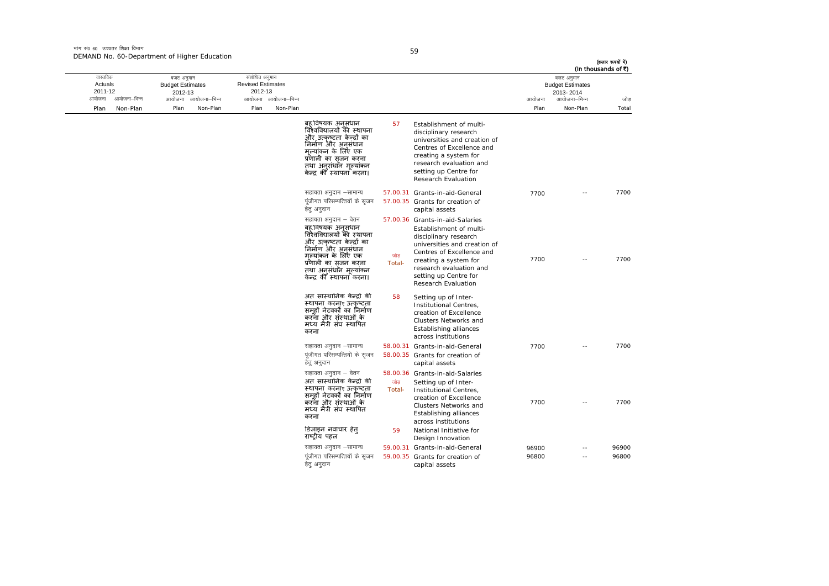मांग सं0 60 उच्चतर शिक्षा विभाग DEMAND No. 60-Department of Higher Education

| (In thousands of ₹) |                                                                    |        |                                                                                                                                                                                                                               |               |                                                                                                                                                                                                                               |          |                                                                              |                     |                                                  |              |                                          |
|---------------------|--------------------------------------------------------------------|--------|-------------------------------------------------------------------------------------------------------------------------------------------------------------------------------------------------------------------------------|---------------|-------------------------------------------------------------------------------------------------------------------------------------------------------------------------------------------------------------------------------|----------|------------------------------------------------------------------------------|---------------------|--------------------------------------------------|--------------|------------------------------------------|
| जोड                 | बजट अनुमान<br><b>Budget Estimates</b><br>2013-2014<br>आयोजना–भिन्न | आयोजना |                                                                                                                                                                                                                               |               |                                                                                                                                                                                                                               |          | संशोधित अनुमान<br><b>Revised Estimates</b><br>2012-13<br>आयोजना आयोजना-भिन्न | आयोजना आयोजना–भिन्न | बजट अनुमान<br><b>Budget Estimates</b><br>2012-13 | आयोजना–भिन्न | वास्तविक<br>Actuals<br>2011-12<br>आयोजना |
| Total               | Non-Plan                                                           | Plan   |                                                                                                                                                                                                                               |               |                                                                                                                                                                                                                               | Non-Plan | Plan                                                                         | Non-Plan            | Plan                                             | Non-Plan     | Plan                                     |
|                     |                                                                    |        | Establishment of multi-<br>disciplinary research<br>universities and creation of<br>Centres of Excellence and<br>creating a system for<br>research evaluation and<br>setting up Centre for<br>Research Evaluation             | 57            | बह विषयक अनुसंधान<br>विश्वविद्यालयों की स्थापना<br>और उत्कष्टता केन्द्रों का<br>निर्माण और अनसंधान<br>मल्यांकन के लिए एक<br>प्रणाली का सृजन करना<br>तथा अनसंधॉन मल्यांकन<br>केन्द्र की स्थापना करना।                          |          |                                                                              |                     |                                                  |              |                                          |
| 7700                | $\sim$                                                             | 7700   | 57.00.31 Grants-in-aid-General<br>57.00.35 Grants for creation of<br>capital assets                                                                                                                                           |               | सहायता अनुदान –सामान्य<br>पंजीगत परिसम्पत्तियों के सजन<br>हेत् अनुदान                                                                                                                                                         |          |                                                                              |                     |                                                  |              |                                          |
| 7700                | $\sim$                                                             | 7700   | 57.00.36 Grants-in-aid-Salaries<br>Establishment of multi-<br>disciplinary research<br>universities and creation of<br>Centres of Excellence and<br>creating a system for<br>research evaluation and<br>setting up Centre for | जोड<br>Total- | सहायता अनुदान – वेतन<br>बह़ विषयक अनसंधान<br>विश्वविद्यालयों की स्थापना<br>और उत्कृष्टता केन्द्रों का<br>निर्माण और अनुसंधान<br>मल्यांकन के लिए एक<br>प्रणाली का सजन करना<br>तथा अनसंधान मल्यांकन<br>केन्द्र की स्थापना करना। |          |                                                                              |                     |                                                  |              |                                          |
|                     |                                                                    |        | Research Evaluation<br>Setting up of Inter-<br>Institutional Centres,<br>creation of Excellence<br>Clusters Networks and<br>Establishing alliances<br>across institutions                                                     | 58            | अंत सांस्थानिक केन्द्रों की<br>स्थापना करनाए उत्कृष्टता<br>समहों नेटवर्कों का निर्माण<br>करना और संस्थाओं के<br>मध्य मैत्री संघ स्थापित<br>करना                                                                               |          |                                                                              |                     |                                                  |              |                                          |
| 7700                | - -                                                                | 7700   | 58.00.31 Grants-in-aid-General                                                                                                                                                                                                |               | सहायता अनुदान -सामान्य                                                                                                                                                                                                        |          |                                                                              |                     |                                                  |              |                                          |
|                     |                                                                    |        | 58.00.35 Grants for creation of<br>capital assets                                                                                                                                                                             |               | पंजीगत परिसम्पत्तियों के सजन<br>हेतु अनुदान                                                                                                                                                                                   |          |                                                                              |                     |                                                  |              |                                          |
|                     |                                                                    |        | 58.00.36 Grants-in-aid-Salaries                                                                                                                                                                                               |               | सहायता अनुदान – वेतन                                                                                                                                                                                                          |          |                                                                              |                     |                                                  |              |                                          |
| 7700                | $\sim$                                                             | 7700   | Setting up of Inter-<br>Institutional Centres,<br>creation of Excellence<br>Clusters Networks and<br>Establishing alliances<br>across institutions                                                                            | जोड<br>Total- | अंत सांस्थानिक केन्द्रों की<br>स्थापना करनाए उत्कृष्टता<br>समुहों नेटवर्कों का निर्माण<br>करना और संस्थाओं के<br>मध्य मैत्री संघ स्थापित<br>करना                                                                              |          |                                                                              |                     |                                                  |              |                                          |
|                     |                                                                    |        | National Initiative for<br>Design Innovation                                                                                                                                                                                  | 59            | डिजाइन नवाचार हेत्<br>राष्टीय पहल                                                                                                                                                                                             |          |                                                                              |                     |                                                  |              |                                          |
|                     |                                                                    | 96900  | 59.00.31 Grants-in-aid-General                                                                                                                                                                                                |               | सहायता अनुदान -सामान्य                                                                                                                                                                                                        |          |                                                                              |                     |                                                  |              |                                          |
| 96900<br>96800      |                                                                    |        |                                                                                                                                                                                                                               |               | पूंजीगत परिसम्पत्तियों के सृजन                                                                                                                                                                                                |          |                                                                              |                     |                                                  |              |                                          |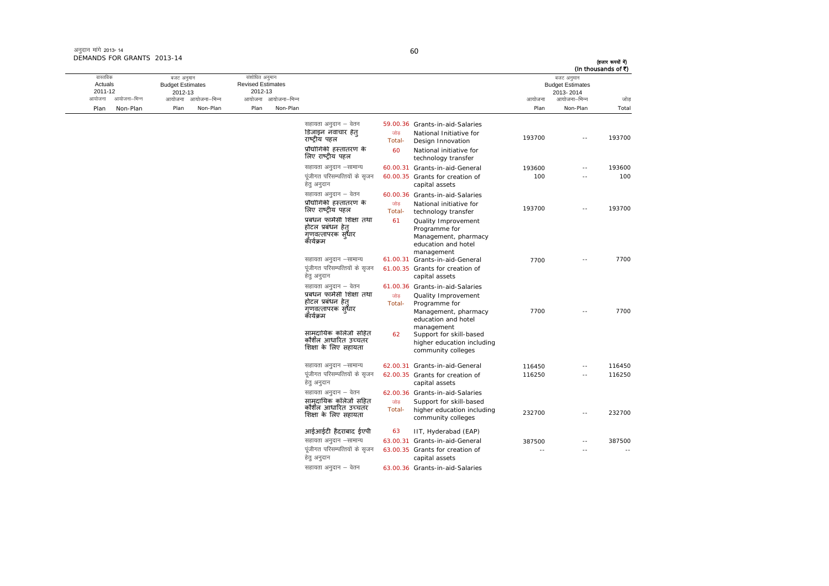| अनुदान मांगे 2013- 14      |  |
|----------------------------|--|
| DEMANDS FOR GRANTS 2013-14 |  |

(हजार रूपयों में)<br>(In thousands of ₹)

| वास्तविक<br>Actuals |              | बजट अनुमान<br><b>Budget Estimates</b> |                     | संशोधित अनुमान<br><b>Revised Estimates</b> |                     |                                                                                                          |               |                                                                                                                        |        | बजट अनुमान<br><b>Budget Estimates</b> | (In thousands of ₹) |
|---------------------|--------------|---------------------------------------|---------------------|--------------------------------------------|---------------------|----------------------------------------------------------------------------------------------------------|---------------|------------------------------------------------------------------------------------------------------------------------|--------|---------------------------------------|---------------------|
| 2011-12<br>आयोजना   | आयोजना–भिन्न | 2012-13                               | आयोजना आयोजना–भिन्न | 2012-13                                    | आयोजना आयोजना-भिन्न |                                                                                                          |               |                                                                                                                        | आयोजना | 2013-2014<br>आयोजना–भिन्न             | जोड                 |
| Plan                | Non-Plan     | Plan                                  | Non-Plan            | Plan                                       | Non-Plan            |                                                                                                          |               |                                                                                                                        | Plan   | Non-Plan                              | Total               |
|                     |              |                                       |                     |                                            |                     | सहायता अनुदान – वेतन<br>डिजाइन नवाचार हेत<br>राष्ट्रीय पहल                                               | जोड<br>Total- | 59.00.36 Grants-in-aid-Salaries<br>National Initiative for<br>Design Innovation                                        | 193700 | $\sim$ $\sim$                         | 193700              |
|                     |              |                                       |                     |                                            |                     | प्रौद्योगिकी हस्तांतरण के<br>लिए राष्ट्रीय पहल                                                           | 60            | National initiative for<br>technology transfer                                                                         |        |                                       |                     |
|                     |              |                                       |                     |                                            |                     | सहायता अनुदान -सामान्य                                                                                   |               | 60.00.31 Grants-in-aid-General                                                                                         | 193600 | $\sim$                                | 193600              |
|                     |              |                                       |                     |                                            |                     | पंजीगत परिसम्पत्तियों के सुजन<br>हेत् अनुदान                                                             |               | 60.00.35 Grants for creation of<br>capital assets                                                                      | 100    |                                       | 100                 |
|                     |              |                                       |                     |                                            |                     | सहायता अनुदान – वेतन<br>प्रौद्योगिकी हस्तांतरण के<br>लिए राष्ट्रीय पहल                                   | जोड<br>Total- | 60.00.36 Grants-in-aid-Salaries<br>National initiative for<br>technology transfer                                      | 193700 | $\overline{a}$                        | 193700              |
|                     |              |                                       |                     |                                            |                     | प्रबंधन फार्मेसी शिक्षा तथा<br>होटल प्रबंधन हेत<br>गणवत्तापरक स्धार<br>कॅथिक्रम                          | 61            | Quality Improvement<br>Programme for<br>Management, pharmacy<br>education and hotel<br>management                      |        |                                       |                     |
|                     |              |                                       |                     |                                            |                     | सहायता अनुदान –सामान्य<br>पूंजीगत परिसम्पत्तियों के सृजन<br>हेत् अनुदान                                  |               | 61.00.31 Grants-in-aid-General<br>61.00.35 Grants for creation of<br>capital assets                                    | 7700   | $\overline{\phantom{a}}$ .            | 7700                |
|                     |              |                                       |                     |                                            |                     | सहायता अनुदान – वेतन<br>प्रबंधन फार्मेसी शिक्षा तथा<br>होटल प्रबंधन हेत्<br>गणवत्तापरक सृधार<br>कॅथिक्रम | जोड<br>Total- | 61.00.36 Grants-in-aid-Salaries<br>Quality Improvement<br>Programme for<br>Management, pharmacy<br>education and hotel | 7700   | $\sim$                                | 7700                |
|                     |              |                                       |                     |                                            |                     | सामदायिक कॉलेजों सहित<br>कौशॅल आधारित उच्चतर<br>शिक्षा के लिए सहायता                                     | 62            | management<br>Support for skill-based<br>higher education including<br>community colleges                              |        |                                       |                     |
|                     |              |                                       |                     |                                            |                     | सहायता अनुदान –सामान्य                                                                                   |               | 62.00.31 Grants-in-aid-General                                                                                         | 116450 | $-$                                   | 116450              |
|                     |              |                                       |                     |                                            |                     | पंजीगत परिसम्पत्तियों के सजन<br>हेत् अनुदान                                                              |               | 62.00.35 Grants for creation of<br>capital assets                                                                      | 116250 | $\overline{a}$                        | 116250              |
|                     |              |                                       |                     |                                            |                     | सहायता अनुदान – वेतन                                                                                     |               | 62.00.36 Grants-in-aid-Salaries                                                                                        |        |                                       |                     |
|                     |              |                                       |                     |                                            |                     | सामदायिक कॉलेजो सहित<br>कौशॅल आधारित उच्चतर<br>शिक्षा के लिए सहायता                                      | जोड<br>Total- | Support for skill-based<br>higher education including<br>community colleges                                            | 232700 | $\overline{a}$                        | 232700              |
|                     |              |                                       |                     |                                            |                     | आईआईटी हैदराबाद ईएपी                                                                                     | 63            | IIT, Hyderabad (EAP)                                                                                                   |        |                                       |                     |
|                     |              |                                       |                     |                                            |                     | सहायता अनुदान -सामान्य                                                                                   |               | 63.00.31 Grants-in-aid-General                                                                                         | 387500 |                                       | 387500              |
|                     |              |                                       |                     |                                            |                     | पूंजीगत परिसम्पत्तियों के सृजन<br>हेतु अनुदान                                                            |               | 63.00.35 Grants for creation of<br>capital assets                                                                      | $\sim$ | $\sim$                                | $\sim$              |
|                     |              |                                       |                     |                                            |                     | सहायता अनुदान – वेतन                                                                                     |               | 63.00.36 Grants-in-aid-Salaries                                                                                        |        |                                       |                     |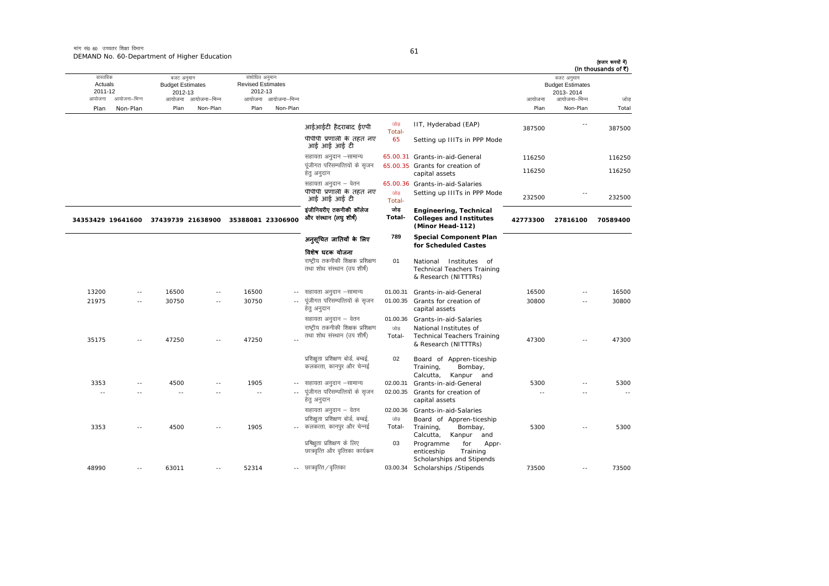मांग सं $\rho_6$  60 जच्चतर शिक्षा विभाग DEMAND No. 60-Department of Higher Education

आयोजना आयोजना-भिन्न आयोजना आयोजना-भिन्न - आयोजना आयोजना-भिन्न न अपयोजना—भिन्न जाउँ विकास समिति । अपनी अपयोजना आयोजना—भिन्न जोड Plan Non-Plan Plan Non-Plan Plan Non-Plan Plan Non-Plan Total तास्ततिक Actuals2011-12 बजट अनुमान Budget Estimates 2012-13संशोधित अनुमान Revised Estimates2012-13 बजट अनुमान Budget Estimates 2013- 2014(हजार रूपयों में) (In thousands of  $\bar{x}$ ) आईआईटी हैदराबाद ईएपी <sup>जोड़</sup> Total-IIT, Hyderabad (EAP) 387500 -- 387500 पीपीपी प्रणाली के तहत नए आई आई आई टी 65 Setting up IIITs in PPP Mode lgk;rk vuqnku &lkekU; 65.00.31 Grants-in-aid-General 116250 116250 पंजीगत परिसम्पत्तियों के सजन हेतु अनुदान 65.00.35 Grants for creation of capital assets 116250<br>
116250 सहायता अनुदान – वेतन 65.00.36 Grants-in-aid-Salaries पीपीपी प्रणाली के तहत नए पीपीपी प्रणाली के तहत नए <sub>- जोड़</sub><br>आई आई आई टी Setting up IIITs in PPP Mode  $\frac{232500}{232500}$  - 232500 **34353429 19641600 37439739 21638900 35388081 23306900** इंजीनियरीए तकनीकी कॉलेज और संस्थान (लघु शीर्ष) जोड **Total-Engineering, Technical Colleges and Institutes (Minor Head-112) 42773300 27816100 70589400** अन ुसूिचत जाितयɉ के िलए िवशेष घटक योजना **789 Special Component Plan for Scheduled Castes**  राष्ट्रीय तकनीकी शिक्षक प्रशिक्षण तथा शोध संस्थान (उप शीर्ष) 01 National Institutes of Technical Teachers Training & Research (NITTTRs) 13200 -- 16500 -- 16500 --01.00.31 Grants-in-aid-General 16500 -- 16500 21975 -- 30750 -- 30750 ---- पुंजीगत परिसम्पत्तियों के सुजन हेत अनदान 01.00.355 Grants for creation of capital assets 30800 -- 30800सहायता अनुदान – वेतन 61.00.36 Grants-in-aid-Salaries 35175 -- 47250 -- 47250 --राष्टीय तकनीकी शिक्षक प्रशिक्षण तथा शोध संस्थान (उप शीर्ष) जोड Total-National Institutes of<br>Technical Teachers Training Technical Teachers Training<br>& Research (NITTTRs) 47300 -- 47300 प्रशिक्षुता प्रशिक्षण बोर्ड, बम्बई, कलकत्ता, कानपुर और चेन्नई 02 Board of Appren-ticeship Training, Bombay, Calcutta, Kanpur and 3353 -- 4500 -- 1905 - lgk;rk vuqnku &lkekU; 02.00.31 Grants-in-aid-General 5300 -- 5300 -- -- -- -- -- ---- पंजीगत परिसम्पत्तियों के सजन हेतु अनुदान 02.00.35 Grants for creation of capital assets -- -- -- सहायता अनुदान – वेतन 02.00.36 Grants-in-aid-Salaries 3353 -- 4500 -- 1905 --. - कलकत्ता, कानपुर और चेन्नई प्रशिक्षुता प्रशिक्षण बोर्ड, बम्बई, जोड Total-Board of Appren-ticeship Training, Bombay, Calcutta, Kanpur and 5300 -- 53005300 प्रषिक्षता प्रशिक्षण के लिए छात्रवृत्ति और वृत्तिका कार्यक्रम 03 Programme for Apprenticeship Training Scholarships and Stipends 48990 -- 63011 -- 52314 -- छात्रवृत्ति / वृत्तिका 03.00.34 Scholarships /Stipends 73500 -- 73500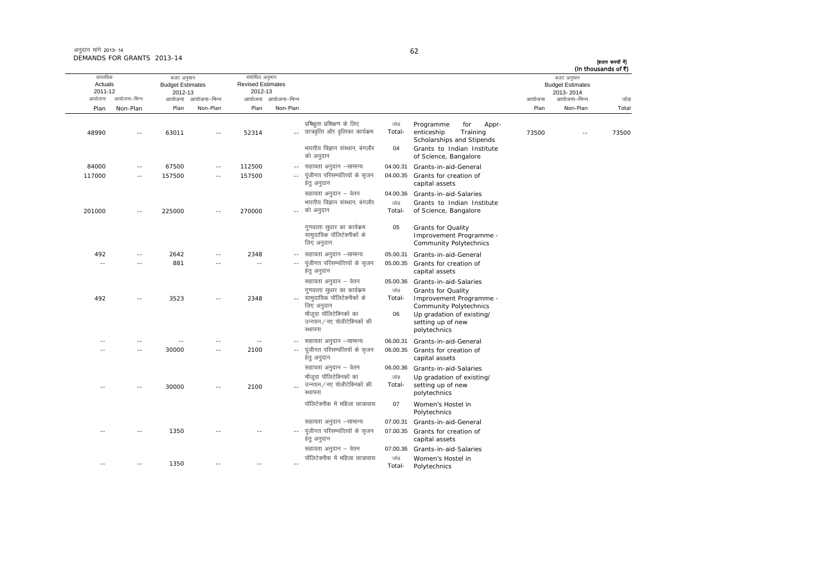| अनुदान मांगे 2013- 14      |  |
|----------------------------|--|
| DEMANDS FOR GRANTS 2013-14 |  |

|                                |              |                                                  |                          |                                                       |                     |                                                                                                                                             |                     |                                                                                                                                                  |        |                                                    | (In thousands of ₹) |
|--------------------------------|--------------|--------------------------------------------------|--------------------------|-------------------------------------------------------|---------------------|---------------------------------------------------------------------------------------------------------------------------------------------|---------------------|--------------------------------------------------------------------------------------------------------------------------------------------------|--------|----------------------------------------------------|---------------------|
| वास्तविक<br>Actuals<br>2011-12 |              | बजट अनुमान<br><b>Budget Estimates</b><br>2012-13 |                          | संशोधित अनुमान<br><b>Revised Estimates</b><br>2012-13 |                     |                                                                                                                                             |                     |                                                                                                                                                  |        | बजट अनुमान<br><b>Budget Estimates</b><br>2013-2014 |                     |
| आयोजना                         | आयोजना–भिन्न | आयोजना                                           | आयोजना–भिन्न             |                                                       | आयोजना आयोजना–भिन्न |                                                                                                                                             |                     |                                                                                                                                                  | आयोजना | आयोजना–भिन्न                                       | जोड                 |
| Plan                           | Non-Plan     | Plan                                             | Non-Plan                 | Plan                                                  | Non-Plan            |                                                                                                                                             |                     |                                                                                                                                                  | Plan   | Non-Plan                                           | Total               |
| 48990                          |              | 63011                                            | $-$                      | 52314                                                 |                     | प्रषिक्षुता प्रशिक्षण के लिए<br>छात्रवृत्ति और वृत्तिका कार्यक्रम                                                                           | जोड<br>Total-       | Programme<br>for<br>Appr-<br>enticeship<br>Training<br>Scholarships and Stipends                                                                 | 73500  |                                                    | 73500               |
|                                |              |                                                  |                          |                                                       |                     | भारतीय विज्ञान संस्थान, बंगलौर<br>को अनुदान                                                                                                 | 04                  | Grants to Indian Institute<br>of Science, Bangalore                                                                                              |        |                                                    |                     |
| 84000                          |              | 67500                                            | $\sim$                   | 112500                                                | $\sim$ $\sim$       | सहायता अनुदान –सामान्य                                                                                                                      | 04.00.31            | Grants-in-aid-General                                                                                                                            |        |                                                    |                     |
| 117000                         | $\sim$       | 157500                                           | $\overline{\phantom{a}}$ | 157500                                                | $\sim$ $\sim$       | पूंजीगत परिसम्पत्तियों के सृजन<br>हेतु अनुदान                                                                                               | 04.00.35            | Grants for creation of<br>capital assets                                                                                                         |        |                                                    |                     |
|                                |              |                                                  |                          |                                                       |                     | सहायता अनुदान – वेतन                                                                                                                        | 04.00.36            | Grants-in-aid-Salaries                                                                                                                           |        |                                                    |                     |
| 201000                         | $\sim$ $-$   | 225000                                           | $ -$                     | 270000                                                |                     | भारतीय विज्ञान संस्थान, बंगलौर<br>को अनुदान                                                                                                 | जोड<br>Total-       | Grants to Indian Institute<br>of Science, Bangalore                                                                                              |        |                                                    |                     |
|                                |              |                                                  |                          |                                                       |                     | गुणवत्ता सुधार का कार्यक्रम<br>सामुदायिक पॉलिटेक्नीकों के<br>लिए अनुदान                                                                     | 05                  | Grants for Quality<br>Improvement Programme -<br>Community Polytechnics                                                                          |        |                                                    |                     |
| 492                            | $- -$        | 2642                                             |                          | 2348                                                  | $\sim$ $-$          | सहायता अनुदान –सामान्य                                                                                                                      | 05.00.31            | Grants-in-aid-General                                                                                                                            |        |                                                    |                     |
| $\sim$ $-$                     |              | 881                                              |                          | $\overline{\phantom{a}}$                              |                     | पूंजीगत परिसम्पत्तियों के सृजन<br>हेत् अनुदान                                                                                               | 05.00.35            | Grants for creation of<br>capital assets                                                                                                         |        |                                                    |                     |
|                                |              |                                                  |                          |                                                       |                     | सहायता अनुदान – वेतन                                                                                                                        | 05.00.36            | Grants-in-aid-Salaries                                                                                                                           |        |                                                    |                     |
| 492                            |              | 3523                                             |                          | 2348                                                  |                     | गुणवत्ता सुधार का कार्यक्रम<br>सामुदायिक पॉलिटेक्नीकों के<br>लिए अनुदान<br>मौजूदा पॉलिटेक्निकों का<br>उन्नयन/नए पोलीटेक्निकों की<br>स्थापना | जोड<br>Total-<br>06 | <b>Grants for Quality</b><br>Improvement Programme -<br>Community Polytechnics<br>Up gradation of existing/<br>setting up of new<br>polytechnics |        |                                                    |                     |
|                                |              | $\overline{\phantom{a}}$                         |                          | $\sim$ $-$                                            |                     | सहायता अनुदान –सामान्य                                                                                                                      | 06.00.31            | Grants-in-aid-General                                                                                                                            |        |                                                    |                     |
|                                | $\sim$ $-$   | 30000                                            | $\sim$ $\sim$            | 2100                                                  |                     | पूंजीगत परिसम्पत्तियों के सृजन<br>हेत् अनुदान                                                                                               | 06.00.35            | Grants for creation of<br>capital assets                                                                                                         |        |                                                    |                     |
|                                |              |                                                  |                          |                                                       |                     | सहायता अनुदान – वेतन<br>मौजूदा पॉलिटेक्निकों का                                                                                             | 06.00.36<br>जोड     | Grants-in-aid-Salaries                                                                                                                           |        |                                                    |                     |
|                                |              | 30000                                            | $-$                      | 2100                                                  |                     | उन्नयन∕नए पोलीटेक्निकों की<br>स्थापना                                                                                                       | Total-              | Up gradation of existing/<br>setting up of new<br>polytechnics                                                                                   |        |                                                    |                     |
|                                |              |                                                  |                          |                                                       |                     | पॉलिटेक्नीक में महिला छात्रावास                                                                                                             | 07                  | Women's Hostel in<br>Polytechnics                                                                                                                |        |                                                    |                     |
|                                |              |                                                  |                          |                                                       |                     | सहायता अनुदान –सामान्य                                                                                                                      | 07.00.31            | Grants-in-aid-General                                                                                                                            |        |                                                    |                     |
|                                |              | 1350                                             |                          |                                                       | $\sim$ $\sim$       | पूंजीगत परिसम्पत्तियों के सृजन<br>हेतु अनुदान                                                                                               | 07.00.35            | Grants for creation of<br>capital assets                                                                                                         |        |                                                    |                     |
|                                |              |                                                  |                          |                                                       |                     | सहायता अनुदान – वेतन                                                                                                                        | 07.00.36            | Grants-in-aid-Salaries                                                                                                                           |        |                                                    |                     |
|                                | $\sim$ $-$   | 1350                                             | $\overline{a}$           | $\overline{a}$                                        | $\sim$              | पॉलिटेक्नीक में महिला छात्रावास                                                                                                             | जोड<br>Total-       | Women's Hostel in<br>Polytechnics                                                                                                                |        |                                                    |                     |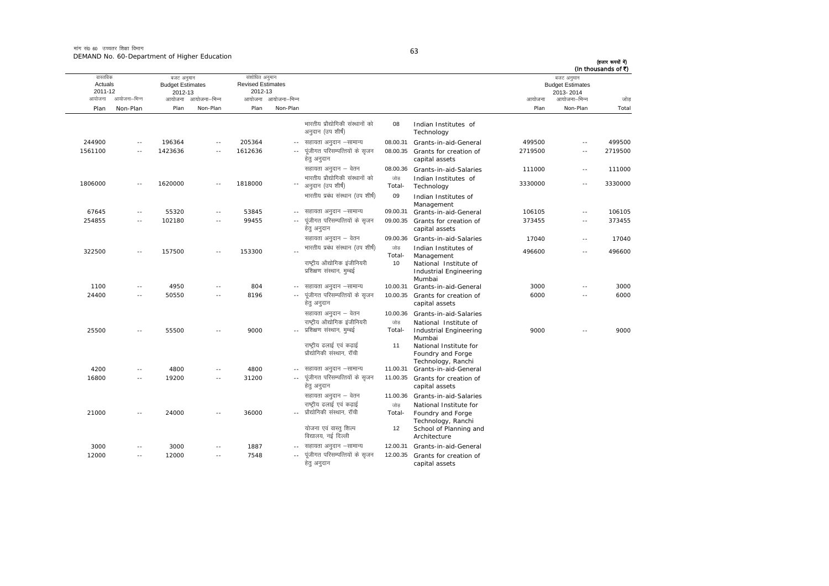मांग सं0 60 उच्चतर शिक्षा विभाग DEMAND No. 60-Department of Higher Education

| ٠                      |  |
|------------------------|--|
|                        |  |
| I<br>I<br>$\sim$<br>۰. |  |

| (In thousands of ₹) | बजट अनुमान                           |         |                                                                                       |                     |                                                                                               |                     | संशोधित अनुमान                      |                     | बजट अनुमान                         |              | वास्तविक           |
|---------------------|--------------------------------------|---------|---------------------------------------------------------------------------------------|---------------------|-----------------------------------------------------------------------------------------------|---------------------|-------------------------------------|---------------------|------------------------------------|--------------|--------------------|
|                     | <b>Budget Estimates</b><br>2013-2014 |         |                                                                                       |                     |                                                                                               |                     | <b>Revised Estimates</b><br>2012-13 |                     | <b>Budget Estimates</b><br>2012-13 |              | Actuals<br>2011-12 |
| जोड                 | आयोजना–भिन्न                         | आयोजना  |                                                                                       |                     |                                                                                               | आयोजना आयोजना-भिन्न |                                     | आयोजना आयोजना–भिन्न |                                    | आयोजना–भिन्न | आयोजना             |
| Total               | Non-Plan                             | Plan    |                                                                                       |                     |                                                                                               | Non-Plan            | Plan                                | Non-Plan            | Plan                               | Non-Plan     | Plan               |
|                     |                                      |         | Indian Institutes of<br>Technology                                                    | 08                  | भारतीय प्रौद्योगिकी संस्थानों को<br>अनुदान (उप शीर्ष)                                         |                     |                                     |                     |                                    |              |                    |
| 499500              | $\sim$                               | 499500  | Grants-in-aid-General                                                                 | 08.00.31            | सहायता अनुदान –सामान्य                                                                        | $\sim$ $\sim$       | 205364                              | $\overline{a}$      | 196364                             | $\sim$ $-$   | 244900             |
| 2719500             | $\overline{a}$                       | 2719500 | Grants for creation of<br>capital assets                                              | 08.00.35            | पूंजीगत परिसम्पत्तियों के सृजन<br>हेत् अनुदान                                                 | $\overline{a}$      | 1612636                             | ٠.                  | 1423636                            | $\sim$       | 1561100            |
| 111000              | $\sim$ $-$                           | 111000  | Grants-in-aid-Salaries                                                                | 08.00.36            | सहायता अनुदान – वेतन                                                                          |                     |                                     |                     |                                    |              |                    |
| 3330000             | $\sim$                               | 3330000 | Indian Institutes of<br>Technology                                                    | जोड<br>Total-       | भारतीय प्रौद्योगिकी संस्थानों को<br>अनुदान (उप शीर्ष)                                         |                     | 1818000                             | $-$                 | 1620000                            | $\sim$ $-$   | 1806000            |
|                     |                                      |         | Indian Institutes of<br>Management                                                    | 09                  | भारतीय प्रबंध संस्थान (उप शीर्ष)                                                              |                     |                                     |                     |                                    |              |                    |
| 106105              | $\sim$ $-$                           | 106105  | Grants-in-aid-General                                                                 | 09.00.31            | सहायता अनुदान -सामान्य                                                                        | $\sim$ $-$          | 53845                               | $- -$               | 55320                              | $\sim$ $-$   | 67645              |
| 373455              | $\sim$ $\sim$                        | 373455  | 09.00.35 Grants for creation of<br>capital assets                                     |                     | पूंजीगत परिसम्पत्तियों के सृजन<br>हेतु अनुदान                                                 | $\sim$ $-$          | 99455                               | $\sim$ $-$          | 102180                             | $\sim$ $-$   | 254855             |
| 17040               | $\sim$ $\sim$                        | 17040   | Grants-in-aid-Salaries                                                                | 09.00.36            | सहायता अनुदान – वेतन                                                                          |                     |                                     |                     |                                    |              |                    |
| 496600              | $\sim$                               | 496600  | Indian Institutes of<br>Management<br>National Institute of<br>Industrial Engineering | जोड<br>Total-<br>10 | भारतीय प्रबंध संस्थान (उप शीर्ष)<br>राष्ट्रीय औद्योगिक इंजीनियरी<br>प्रशिक्षण संस्थान, मुम्बई |                     | 153300                              | $\overline{a}$      | 157500                             | $\sim$ $-$   | 322500             |
|                     |                                      |         | Mumbai                                                                                |                     |                                                                                               |                     |                                     |                     |                                    |              |                    |
| 3000                | $\overline{\phantom{a}}$             | 3000    | Grants-in-aid-General                                                                 | 10.00.31            | सहायता अनुदान –सामान्य                                                                        |                     | 804                                 | --                  | 4950                               | $- -$        | 1100               |
| 6000                | $\sim$ $-$                           | 6000    | 10.00.35 Grants for creation of<br>capital assets                                     |                     | पूंजीगत परिसम्पत्तियों के सृजन<br>हेत् अनुदान                                                 | $\sim$ $-$          | 8196                                | $\sim$              | 50550                              | $\sim$ $-$   | 24400              |
|                     |                                      |         | Grants-in-aid-Salaries                                                                | 10.00.36            | सहायता अनुदान – वेतन                                                                          |                     |                                     |                     |                                    |              |                    |
| 9000                | $-$                                  | 9000    | National Institute of<br>Industrial Engineering<br>Mumbai                             | जोड<br>Total-       | राष्ट्रीय औद्योगिक इंजीनियरी<br>प्रशिक्षण संस्थान, मुम्बई                                     |                     | 9000                                | - -                 | 55500                              | $\sim$       | 25500              |
|                     |                                      |         | National Institute for<br>Foundry and Forge<br>Technology, Ranchi                     | 11                  | राष्ट्रीय ढलाई एवं कढ़ाई<br>प्रौद्योगिकी संस्थान, रॉची                                        |                     |                                     |                     |                                    |              |                    |
|                     |                                      |         | Grants-in-aid-General                                                                 | 11.00.31            | सहायता अनुदान –सामान्य                                                                        |                     | 4800                                | $-$                 | 4800                               | $\sim$       | 4200               |
|                     |                                      |         | 11.00.35 Grants for creation of<br>capital assets                                     |                     | पूंजीगत परिसम्पत्तियों के सृजन<br>हेतु अनुदान                                                 | $\sim$ $-$          | 31200                               | $\sim$              | 19200                              | $\sim$ $-$   | 16800              |
|                     |                                      |         | Grants-in-aid-Salaries                                                                | 11.00.36            | सहायता अनुदान – वेतन                                                                          |                     |                                     |                     |                                    |              |                    |
|                     |                                      |         | National Institute for<br>Foundry and Forge<br>Technology, Ranchi                     | जोड<br>Total-       | राष्ट्रीय ढलाई एवं कढाई<br>प्रौद्योगिकी संस्थान, रॉची                                         |                     | 36000                               | - -                 | 24000                              | $\sim$       | 21000              |
|                     |                                      |         | School of Planning and<br>Architecture                                                | 12                  | योजना एवं वास्तु शिल्प<br>विद्यालय, नई दिल्ली                                                 |                     |                                     |                     |                                    |              |                    |
|                     |                                      |         | Grants-in-aid-General                                                                 | 12.00.31            | सहायता अनुदान –सामान्य                                                                        |                     | 1887                                | $-$                 | 3000                               | $\sim$ $-$   | 3000               |
|                     |                                      |         | Grants for creation of<br>capital assets                                              | 12.00.35            | पंजीगत परिसम्पत्तियों के सजन<br>हेतु अनुदान                                                   | $\overline{a}$      | 7548                                | $\sim$              | 12000                              | $\sim$ $-$   | 12000              |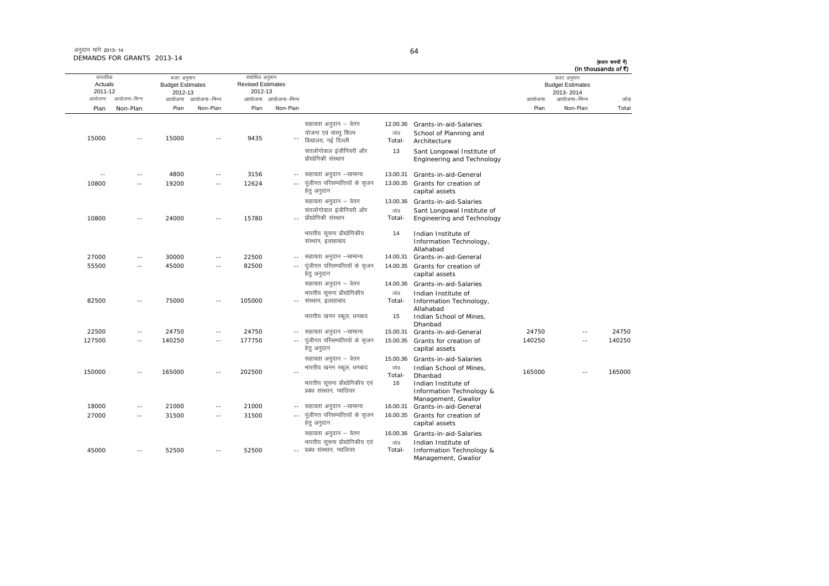| अनुदान मांगे 2013-14       |  |
|----------------------------|--|
| DEMANDS FOR GRANTS 2013-14 |  |

| (In thousands of ₹) | बजट अनुमान                           |        |                                                             |                |                                                            |                     | संशोधित अनुमान                      |                          | बजट अनुमान                         |              | वास्तविक           |
|---------------------|--------------------------------------|--------|-------------------------------------------------------------|----------------|------------------------------------------------------------|---------------------|-------------------------------------|--------------------------|------------------------------------|--------------|--------------------|
|                     | <b>Budget Estimates</b><br>2013-2014 |        |                                                             |                |                                                            |                     | <b>Revised Estimates</b><br>2012-13 |                          | <b>Budget Estimates</b><br>2012-13 |              | Actuals<br>2011-12 |
| जोड                 | आयोजना–भिन्न                         | आयोजना |                                                             |                |                                                            | आयोजना आयोजना–भिन्न |                                     | आयोजना–भिन्न             | आयोजना                             | आयोजना–भिन्न | आयोजना             |
| Total               | Non-Plan                             | Plan   |                                                             |                |                                                            | Non-Plan            | Plan                                | Non-Plan                 | Plan                               | Non-Plan     | Plan               |
|                     |                                      |        | Grants-in-aid-Salaries                                      | 12.00.36       | सहायता अनुदान – वेतन                                       |                     |                                     |                          |                                    |              |                    |
|                     |                                      |        | School of Planning and                                      | जोड            | योजना एवं वास्त् शिल्प                                     |                     |                                     |                          |                                    |              |                    |
|                     |                                      |        | Architecture                                                | Total-         | विद्यालय, नई दिल्ली                                        |                     | 9435                                |                          | 15000                              |              | 15000              |
|                     |                                      |        | Sant Longowal Institute of<br>Engineering and Technology    | 13             | संतलोंगोवाल इंजीनियरी और<br>प्रौद्योगिकी संस्थान           |                     |                                     |                          |                                    |              |                    |
|                     |                                      |        | Grants-in-aid-General                                       | 13.00.31       | सहायता अनुदान –सामान्य                                     |                     | 3156                                | $ -$                     | 4800                               | $\sim$ $-$   | $\sim$ $-$         |
|                     |                                      |        | Grants for creation of<br>capital assets                    | 13.00.35       | पूंजीगत परिसम्पत्तियों के सृजन<br>हेत् अनुदान              | $\sim$ $-$          | 12624                               | $\sim$ $-$               | 19200                              | $\sim$ $-$   | 10800              |
|                     |                                      |        | Grants-in-aid-Salaries                                      | 13.00.36       | सहायता अनुदान – वेतन                                       |                     |                                     |                          |                                    |              |                    |
|                     |                                      |        | Sant Longowal Institute of<br>Engineering and Technology    | जोड़<br>Total- | संतलोंगोवाल इंजीनियरी और<br>प्रौद्योगिकी संस्थान           |                     | 15780                               | $ -$                     | 24000                              | $\sim$ $-$   | 10800              |
|                     |                                      |        | Indian Institute of<br>Information Technology,<br>Allahabad | 14             | भारतीय सूचना प्रौद्योगिकीय<br>संस्थान, इलाहाबाद            |                     |                                     |                          |                                    |              |                    |
|                     |                                      |        | Grants-in-aid-General                                       | 14.00.31       | सहायता अनुदान –सामान्य                                     |                     | 22500                               | $\sim$ $\sim$            | 30000                              | $\sim$       | 27000              |
|                     |                                      |        | Grants for creation of<br>capital assets                    | 14.00.35       | पूंजीगत परिसम्पत्तियों के सृजन<br>हेत् अनुदान              |                     | 82500                               | $\sim$ $\sim$            | 45000                              | $\sim$ $-$   | 55500              |
|                     |                                      |        | Grants-in-aid-Salaries                                      | 14.00.36       | सहायता अनुदान – वेतन                                       |                     |                                     |                          |                                    |              |                    |
|                     |                                      |        | Indian Institute of                                         | जोड़           | भारतीय सूचना प्रौद्योगिकीय                                 |                     |                                     |                          |                                    |              |                    |
|                     |                                      |        | Information Technology,                                     | Total-         | संस्थान, इलाहाबाद                                          | $\sim$ $-$          | 105000                              | $\sim$ $\sim$            | 75000                              | $\sim$ $-$   | 82500              |
|                     |                                      |        | Allahabad<br>Indian School of Mines,<br>Dhanbad             | 15             | भारतीय खनन स्कूल, धनबाद                                    |                     |                                     |                          |                                    |              |                    |
| 24750               | $\sim$ $-$                           | 24750  | Grants-in-aid-General                                       | 15.00.31       | सहायता अनुदान –सामान्य                                     | $\sim$ $-$          | 24750                               | $\sim$ $-$               | 24750                              | $\sim$       | 22500              |
| 140250              | $\sim$ $\sim$                        | 140250 | Grants for creation of<br>capital assets                    | 15.00.35       | पूंजीगत परिसम्पत्तियों के सृजन<br>हेत् अनुदान              | $\sim$ $-$          | 177750                              | $\overline{a}$           | 140250                             | $\sim$ $-$   | 127500             |
|                     |                                      |        | Grants-in-aid-Salaries                                      | 15.00.36       | सहायता अनुदान – वेतन                                       |                     |                                     |                          |                                    |              |                    |
| 165000              | $\overline{\phantom{a}}$             | 165000 | Indian School of Mines,                                     | जोड़           | भारतीय खनन स्कूल, धनबाद                                    |                     | 202500                              | $\overline{\phantom{a}}$ | 165000                             | $\sim$ $-$   | 150000             |
|                     |                                      |        | Dhanbad<br>Indian Institute of<br>Information Technology &  | Total-<br>16   | भारतीय सूचना प्रौद्योगिकीय एवं<br>प्रबंध संस्थान, ग्वालियर |                     |                                     |                          |                                    |              |                    |
|                     |                                      |        | Management, Gwalior<br>Grants-in-aid-General                | 16.00.31       | सहायता अनुदान –सामान्य                                     | $- -$               | 21000                               | $\sim$ $\sim$            | 21000                              | $\sim$       | 18000              |
|                     |                                      |        | Grants for creation of<br>capital assets                    | 16.00.35       | पूंजीगत परिसम्पत्तियों के सृजन<br>हेत् अनुदान              | $\sim$ $-$          | 31500                               | $\sim$ $-$               | 31500                              | $\sim$ $-$   | 27000              |
|                     |                                      |        | Grants-in-aid-Salaries                                      | 16.00.36       | सहायता अनुदान – वेतन                                       |                     |                                     |                          |                                    |              |                    |
|                     |                                      |        | Indian Institute of                                         | जोड            | भारतीय सूचना प्रौद्योगिकीय एवं                             |                     |                                     |                          |                                    |              |                    |
|                     |                                      |        | Information Technology &<br>Management, Gwalior             | Total-         | प्रबंध संस्थान, ग्वालियर                                   |                     | 52500                               | $\sim$ $-$               | 52500                              | $\sim$ $-$   | 45000              |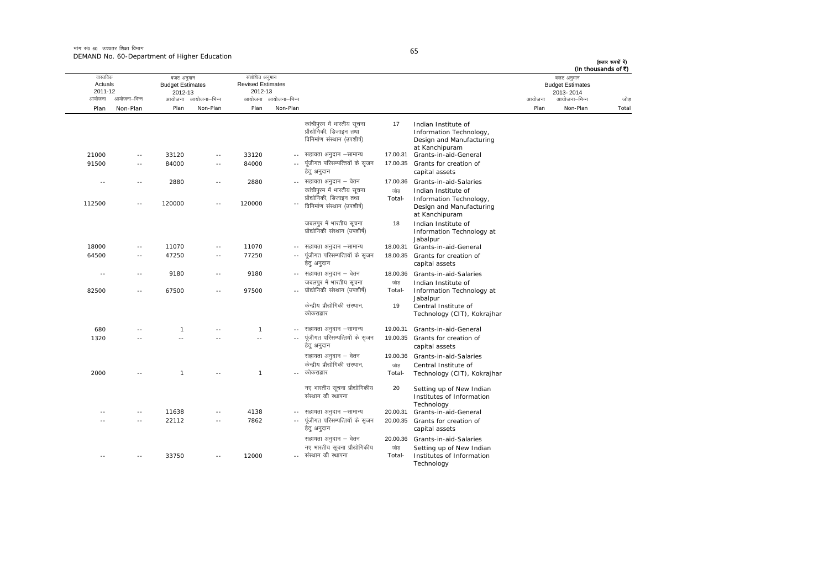मांग सं $\rho_6$  60 जच्चतर शिक्षा विभाग DEMAND No. 60-Department of Higher Education

| ٠            |                |  |
|--------------|----------------|--|
|              |                |  |
| I<br>×<br>۰. | ۰.<br>M.<br>۰. |  |

आयोजना आयोजना-भिन्न आयोजना आयोजना-भिन्न - आयोजना आयोजना-भिन्न न अपयोजना—भिन्न जाउँ विकास समिति । अपनी अपयोजना आयोजना—भिन्न जोड Plan Non-Plan Plan Non-Plan Plan Non-Plan Plan Non-Plan Total तास्ततिक Actuals2011-12 बजट अनुमान Budget Estimates 2012-13संशोधित अनुमान Revised Estimates2012-13 बजट अनुमान Budget Estimates 2013- 2014(हजार रूपयों में) (In thousands of  $\bar{x}$ ) कांचीपुरम में भारतीय सुचना प्रौद्योगिकी, डिजाइन तथा विनिर्माण संस्थान (उपशीर्ष) 177 Indian Institute of Information Technology, Design and Manufacturing at Kanchipuram 21000 -- 33120 -- 33120 --17.00.31 Grants-in-aid-General 91500 -- 84000 -- 84000 --पूंजीगत परिसम्पत्तियों के सृजन हेतु अनुदान 17.00.35 Grants for creation of capital assets -- -- 2880 -- 2880 --17.00.36 Grants-in-aid-Salaries 112500 -- 120000 -- 120000 --<sup>-</sup> विनिर्माण संस्थान (उपशीर्ष) कांचीपुरम में भारतीय सुचना प्रौद्योगिकी, डिजाइन तथा जोड Total-Indian Institute of<br>Information Technology, Design and Manufacturing at Kanchipuram जबलपुर में भारतीय सूचना .<br>प्रौद्योगिकी संस्थान (उपशीर्ष 188 Indian Institute of Information Technology at Jabalpur 18000 -- 11070 -- 11070 --18.00.31 Grants-in-aid-General 64500 -- 47250 -- 77250 --... पंजीगत परिसम्पत्तियों के सजन हेत् अनुदान 18.00.35 Grants for creation of capital assets ---- 9180 -- 9180 -- सहायता अनुदान – वेतन 18.00.36 Grants-in-aid-Salaries 82500 -- 67500 -- 97500 --- प्रौद्योगिकी संस्थान (उपशीर्ष) जबलपुर में भारतीय सूचना जोड Total-Indian Institute of<br>Information Technology at Jabalpur केन्द्रीय प्रौद्योगिकी संस्थान, कोकराझार 19 Central Institute of Technology (CIT), Kokrajhar 680 -- 1 -- 1 ---- सहायता अनुदान -सामान्य 19.00.31 Grants-in-aid-General 1320 -- -- -- -- -- -- -- ---- पंजीगत परिसम्पत्तियों के सजन हेतु अनुदान 19.00.35 Grants for creation of capital assets सहायता अनुदान – वेतन <br />
19.00.36 Grants-in-aid-Salaries 2000 -- 1 -- 1 --- कोकराझार केन्द्रीय प्रौद्योगिकी संस्थान. जोड Total-Central Institute of<br>Technology (CIT), Kokrajhar नए भारतीय सुचना प्रौद्योगिकीय संस्थान की स्थापना 20 Setting up of New Indian Institutes of Information Technology ---- 11638 -- 4138 -- सहायता अनुदान –सामान्य 20.00.31 Grants-in-aid-General -- -- 22112 -- 7862 --.. पुंजीगत परिसम्पत्तियों के सुजन हेतु अनुदान 20.00.35 Grants for creation of capital assets सहायता अनुदान – वेतन 20.00.36 Grants-in-aid-Salaries -- -- 33750 -- 12000 --नए भारतीय सुचना प्रौद्योगिकीय संस्थान की स्थापना  $\frac{1}{100}$ Total-Setting up of New Indian Institutes of Information Technology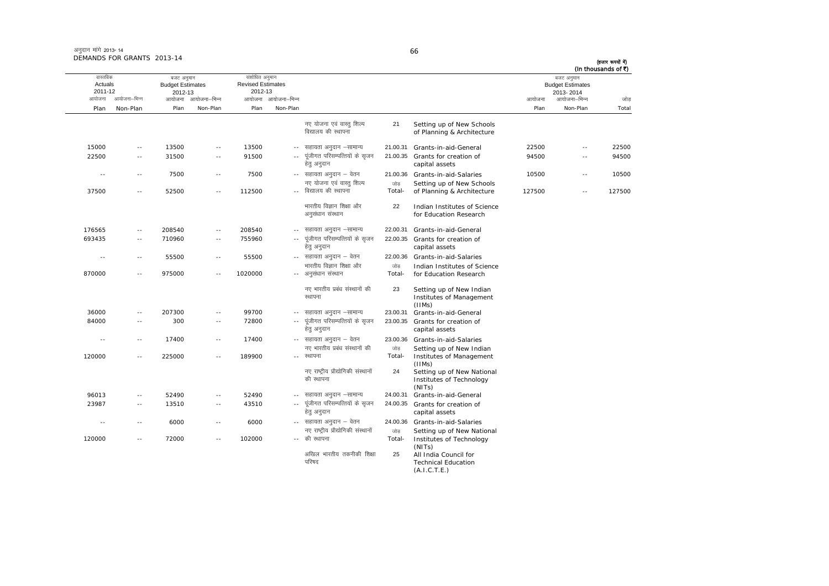आयोजना आयोजना-भिन्न आयोजना आयोजना-भिन्न - आयोजना आयोजना-भिन्न न अपयोजना—भिन्न जाउँ विकास समिति । अपनी अपयोजना आयोजना—भिन्न जोड Plan Non-Plan Plan Non-Plan Plan Non-Plan Plan Non-Plan Total तास्ततिक Actuals2011-12बजट अनुमान Budget Estimates 2012-13संशोधित अनुमान Revised Estimates2012-13 बजट अनुमान Budget Estimates 2013- 2014(हजार रूपयों में) (In thousands of  $\bar{x}$ ) नए योजना एवं वास्तु शिल्प विद्यालय की स्थापना 21 Setting up of New Schools of Planning & Architecture  $15000$  --  $13500$  --  $13500$  --  $7500$  -- सहायता अनदान –सामान्य lgk;rk vuqnku &lkekU; 21.00.31 Grants-in-aid-General 22500 -- 22500 22500 -- 31500 -- 91500 --पंजीगत परिसम्पत्तियों के सजन हेतु अनुदान 21.00.35 Grants for creation of capital assets 94500 -- 94500---- 7500 -- 7500 -- सहायता अनुदान – वेतन lgk;rk vuqnku & osru 21.00.36 Grants-in-aid-Salaries <sup>10500</sup> -- <sup>10500</sup> 37500 -- 52500 -- 112500 --- विद्यालय की स्थापना नए योजना एवं वास्त शिल्प  $\frac{1}{100}$ Total-Setting up of New Schools<br>of Planning & Architecture 127500 -- 127500 भारतीय विज्ञान शिक्षा और अनसंधान संस्थान 22 Indian Institutes of Science for Education Research 176565 -- 208540 -- 208540 --22.00.31 Grants-in-aid-General 693435 -- 710960 -- 755960 ---- पूंजीगत परिसम्पत्तियों के सृजन हेतु अनुदान 22.00.35 Grants for creation of capital assets ---- 55500 -- 55500 -- सहायता अनुदान – वेतन 22.00.36 Grants-in-aid-Salaries 870000 -- 975000 -- 1020000 --- अनुसंधान संस्थान भारतीय विज्ञान शिक्षा और  $\frac{1}{100}$ Total-Indian Institutes of Science<br>for Education Research नए भारतीय प्रबंध संस्थानों की स्थापना 23 Setting up of New Indian Institutes of Management (IIMs) 36000 -- 207300 -- 99700 --सहायता अनदान –सामान्य  $23.00.31$  Grants-in-aid-General 84000 -- 300 -- 72800 --\_\_ पंजीगत परिसम्पत्तियों के सजन हेतु अनुदान 23.00.35 Grants for creation of capital assets ---- 17400 -- 17400 -- सहायता अनुदान – वेतन 23.00.36 Grants-in-aid-Salaries 120000 -- 225000 -- 189900 --नए भारतीय प्रबंध संस्थानों की रथापना  $n<sub>min</sub>$ Total-Setting up of New Indian<br>Institutes of Management (IIMs) नए राष्ट्रीय प्रौद्योगिकी संस्थानों की स्थापना 24 Setting up of New National Institutes of Technology (NITs) 96013 -- 52490 -- 52490 --24.00.31 Grants-in-aid-General 23987 -- 13510 -- 43510 --... पंजीगत परिसम्पत्तियों के सजन हेतु अनुदान 24.00.35 Grants for creation of capital assets ---- 6000 -- 6000 -- सहायता अनुदान – वेतन 24.00.36 Grants-in-aid-Salaries 120000 -- 72000 -- 102000 --- की स्थापना नए राष्ट्रीय प्रौद्योगिकी संस्थानों जोड Total-Setting up of New National<br>Institutes of Technology (NITs) अखिल भारतीय तकनीकी शिक्षा परिषद 25 All India Council for Technical Education

(A.I.C.T.E.)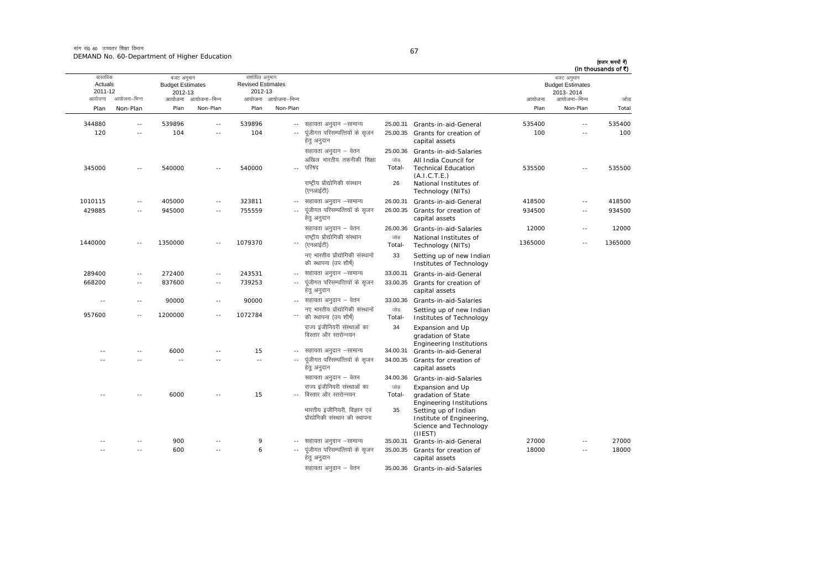मांग सं0 60 उच्चतर शिक्षा विभाग DEMAND No. 60-Department of Higher Education

| I<br>۰,<br>× |  |
|--------------|--|

| (In thousands of ₹) | बजट अनुमान                           |         |                                                                                        |                           |                                                                  |                          | संशोधित अनुमान                      |                     | बजट अनुमान                         |              | वास्तविक           |
|---------------------|--------------------------------------|---------|----------------------------------------------------------------------------------------|---------------------------|------------------------------------------------------------------|--------------------------|-------------------------------------|---------------------|------------------------------------|--------------|--------------------|
|                     | <b>Budget Estimates</b><br>2013-2014 |         |                                                                                        |                           |                                                                  |                          | <b>Revised Estimates</b><br>2012-13 |                     | <b>Budget Estimates</b><br>2012-13 |              | Actuals<br>2011-12 |
| जोड                 | आयोजना–भिन्न                         | आयोजना  |                                                                                        |                           |                                                                  | आयोजना आयोजना-भिन्न      |                                     | आयोजना आयोजना-भिन्न |                                    | आयोजना–भिन्न | आयोजना             |
| Total               | Non-Plan                             | Plan    |                                                                                        |                           |                                                                  | Non-Plan                 | Plan                                | Non-Plan            | Plan                               | Non-Plan     | Plan               |
| 535400              | $\overline{a}$                       | 535400  | 25.00.31 Grants-in-aid-General                                                         |                           | सहायता अनुदान –सामान्य                                           | $\sim$ $-$               | 539896                              | ٠.                  | 539896                             | $\sim$ $-$   | 344880             |
| 100                 | $\sim$ $\sim$                        | 100     | 25.00.35 Grants for creation of<br>capital assets                                      |                           | पूंजीगत परिसम्पत्तियों के सृजन<br>हेत् अनुदान                    | $\sim$ $\sim$            | 104                                 | $\sim$              | 104                                | $\sim$ $-$   | 120                |
| 535500              |                                      | 535500  | Grants-in-aid-Salaries<br>All India Council for<br><b>Technical Education</b>          | 25.00.36<br>जोड<br>Total- | सहायता अनुदान – वेतन<br>अखिल भारतीय तकनीकी शिक्षा<br>परिषद       |                          | 540000                              | - -                 | 540000                             |              | 345000             |
|                     |                                      |         | (A.I.C.T.E.)<br>National Institutes of<br>Technology (NITs)                            | 26                        | राष्ट्रीय प्रौद्योगिकी संस्थान<br>(एनआईटी)                       |                          |                                     |                     |                                    |              |                    |
| 418500              | $\sim$                               | 418500  | Grants-in-aid-General                                                                  | 26.00.31                  | सहायता अनुदान –सामान्य                                           | $\sim$ $-$               | 323811                              | $-$                 | 405000                             | $\sim$       | 1010115            |
| 934500              | $\overline{\phantom{a}}$             | 934500  | Grants for creation of<br>capital assets                                               | 26.00.35                  | पूंजीगत परिसम्पत्तियों के सृजन<br>हेत् अनुदान                    | $\overline{\phantom{a}}$ | 755559                              | $-$                 | 945000                             | $\sim$ $-$   | 429885             |
| 12000               | $\sim$ $\sim$                        | 12000   | Grants-in-aid-Salaries                                                                 | 26.00.36                  | सहायता अनुदान – वेतन                                             |                          |                                     |                     |                                    |              |                    |
| 1365000             | $\sim$ $\sim$                        | 1365000 | National Institutes of<br>Technology (NITs)                                            | जोड<br>Total-             | राष्ट्रीय प्रौद्योगिकी संस्थान<br>(एनआईटी)                       | $\overline{\phantom{a}}$ | 1079370                             | $-$                 | 1350000                            | $\sim$ $-$   | 1440000            |
|                     |                                      |         | Setting up of new Indian<br>Institutes of Technology                                   | 33                        | नए भारतीय प्रौद्योगिकी संस्थानों<br>की स्थापना (उप शीर्ष)        |                          |                                     |                     |                                    |              |                    |
|                     |                                      |         | Grants-in-aid-General                                                                  | 33.00.31                  | -- सहायता अनुदान -सामान्य                                        |                          | 243531                              | $\sim$ $-$          | 272400                             | $\sim$ $-$   | 289400             |
|                     |                                      |         | 33.00.35 Grants for creation of<br>capital assets                                      |                           | पूंजीगत परिसम्पत्तियों के सृजन<br>हेत् अनुदान                    | $\sim$ $-$               | 739253                              | $\sim$              | 837600                             | $\sim$ $-$   | 668200             |
|                     |                                      |         | Grants-in-aid-Salaries                                                                 | 33.00.36                  | --   सहायता अनुदान – वेतन                                        |                          | 90000                               | $\sim$ $-$          | 90000                              | $\sim$ $-$   | $\sim$             |
|                     |                                      |         | Setting up of new Indian<br>Institutes of Technology                                   | जोड<br>Total-             | नए भारतीय प्रौद्योगिकी संस्थानों<br>की स्थापना (उप शीर्ष)        |                          | 1072784                             | $\sim$ $-$          | 1200000                            | $\sim$ $-$   | 957600             |
|                     |                                      |         | Expansion and Up<br>gradation of State<br><b>Engineering Institutions</b>              | 34                        | राज्य इंजीनियरी संस्थाओं का<br>विस्तार और स्तरोन्नयन             |                          |                                     |                     |                                    |              |                    |
|                     |                                      |         | Grants-in-aid-General                                                                  | 34.00.31                  | सहायता अनुदान –सामान्य                                           | $-$                      | 15                                  |                     | 6000                               | $\sim$       |                    |
|                     |                                      |         | Grants for creation of<br>capital assets                                               | 34.00.35                  | पूंजीगत परिसम्पत्तियों के सृजन<br>हेत् अनुदान                    | $\overline{\phantom{a}}$ | $\overline{\phantom{a}}$            |                     |                                    |              |                    |
|                     |                                      |         | Grants-in-aid-Salaries                                                                 | 34.00.36                  | सहायता अनुदान – वेतन                                             |                          |                                     |                     |                                    |              |                    |
|                     |                                      |         | Expansion and Up<br>gradation of State<br><b>Engineering Institutions</b>              | जोड<br>Total-             | राज्य इंजीनियरी संस्थाओं का<br>विस्तार और स्तरोन्नयन             |                          | 15                                  |                     | 6000                               |              |                    |
|                     |                                      |         | Setting up of Indian<br>Institute of Engineering,<br>Science and Technology<br>(IIEST) | 35                        | भारतीय इंजीनियरी, विज्ञान एवं<br>प्रौद्योगिकी संस्थान की स्थापना |                          |                                     |                     |                                    |              |                    |
| 27000               | $\sim$ $\sim$                        | 27000   | 35.00.31 Grants-in-aid-General                                                         |                           | सहायता अनुदान –सामान्य                                           | $- -$                    | 9                                   | - -                 | 900                                | $\sim$ $-$   |                    |
| 18000               | $\sim$ $\sim$                        | 18000   | Grants for creation of<br>capital assets                                               | 35.00.35                  | पूंजीगत परिसम्पत्तियों के सृजन<br>हेतु अनुदान                    | $\sim$ $-$               | 6                                   | $\overline{a}$      | 600                                | $\sim$       |                    |
|                     |                                      |         | 35.00.36 Grants-in-aid-Salaries                                                        |                           | सहायता अनुदान – वेतन                                             |                          |                                     |                     |                                    |              |                    |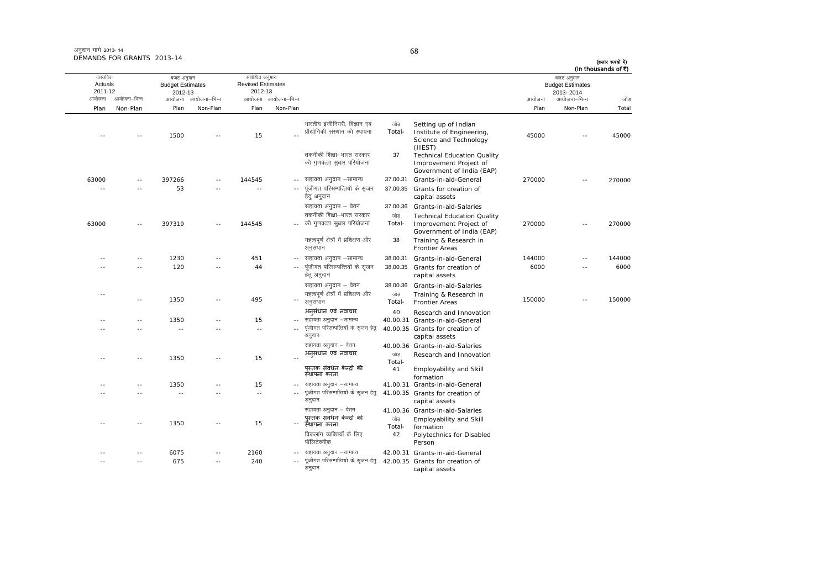### 68

(हजार रूपयों में) (In thousands of ₹)

| वास्तविक<br>Actuals      |               | बजट अनुमान<br><b>Budget Estimates</b> |                     | संशोधित अनुमान<br><b>Revised Estimates</b> |                          |                                                                                                                            |                      |                                                                                                                                                        |        | बजट अनुमान<br><b>Budget Estimates</b> | (In thousands of ₹) |
|--------------------------|---------------|---------------------------------------|---------------------|--------------------------------------------|--------------------------|----------------------------------------------------------------------------------------------------------------------------|----------------------|--------------------------------------------------------------------------------------------------------------------------------------------------------|--------|---------------------------------------|---------------------|
| 2011-12                  |               | 2012-13                               |                     | 2012-13                                    |                          |                                                                                                                            |                      |                                                                                                                                                        |        | 2013-2014                             |                     |
| आयोजना                   | आयोजना–भिन्न  |                                       | आयोजना आयोजना–भिन्न |                                            | आयोजना आयोजना–भिन्न      |                                                                                                                            |                      |                                                                                                                                                        | आयोजना | आयोजना–भिन्न                          | जोड                 |
| Plan                     | Non-Plan      | Plan                                  | Non-Plan            | Plan                                       | Non-Plan                 |                                                                                                                            |                      |                                                                                                                                                        | Plan   | Non-Plan                              | Total               |
| $\sim$                   |               | 1500                                  |                     | 15                                         |                          | भारतीय इंजीनियरी, विज्ञान एवं<br>प्रौद्योगिकी संस्थान की स्थापना<br>तकनीकी शिक्षा-भारत सरकार<br>की गुणवत्ता सुधार परियोजना | जोड<br>Total-<br>37  | Setting up of Indian<br>Institute of Engineering,<br>Science and Technology<br>(IIEST)<br><b>Technical Education Quality</b><br>Improvement Project of | 45000  | $\sim$                                | 45000               |
|                          |               |                                       |                     |                                            |                          |                                                                                                                            |                      | Government of India (EAP)                                                                                                                              |        |                                       |                     |
| 63000<br>$\sim$ $-$      | - -<br>- -    | 397266<br>53                          |                     | 144545<br>$\sim$                           | $-1$<br>$\sim$ $-$       | सहायता अनुदान –सामान्य<br>पूंजीगत परिसम्पत्तियों के सृजन<br>हेतु अनुदान                                                    | 37.00.31<br>37.00.35 | Grants-in-aid-General<br>Grants for creation of<br>capital assets                                                                                      | 270000 | $\sim$ $-$                            | 270000              |
|                          |               |                                       |                     |                                            |                          | सहायता अनुदान – वेतन                                                                                                       | 37.00.36             | Grants-in-aid-Salaries                                                                                                                                 |        |                                       |                     |
|                          |               |                                       |                     |                                            |                          | तकनीकी शिक्षा–भारत सरकार                                                                                                   | जोड                  | <b>Technical Education Quality</b>                                                                                                                     |        |                                       |                     |
| 63000                    | $\sim$ $-$    | 397319                                | $-$                 | 144545                                     |                          | की गुणवत्ता सुधार परियोजना                                                                                                 | Total-               | Improvement Project of<br>Government of India (EAP)                                                                                                    | 270000 | $\sim$ $\sim$                         | 270000              |
|                          |               |                                       |                     |                                            |                          | महत्वपूर्ण क्षेत्रों में प्रशिक्षण और<br>अनुसंधान                                                                          | 38                   | Training & Research in<br><b>Frontier Areas</b>                                                                                                        |        |                                       |                     |
| - -                      | $\sim$ $-$    | 1230                                  |                     | 451                                        |                          | -- सहायता अनुदान –सामान्य                                                                                                  | 38.00.31             | Grants-in-aid-General                                                                                                                                  | 144000 | $\sim$ $-$                            | 144000              |
|                          | - -           | 120                                   |                     | 44                                         |                          | पूंजीगत परिसम्पत्तियों के सृजन<br>हेतु अनुदान                                                                              | 38.00.35             | Grants for creation of<br>capital assets                                                                                                               | 6000   | $\sim$                                | 6000                |
|                          |               |                                       |                     |                                            |                          | सहायता अनुदान – वेतन                                                                                                       | 38.00.36             | Grants-in-aid-Salaries                                                                                                                                 |        |                                       |                     |
| $\overline{\phantom{a}}$ | $\sim$ $-$    | 1350                                  | $-$                 | 495                                        | ۰.                       | महत्वपूर्ण क्षेत्रों में प्रशिक्षण और<br>अनुसंधान                                                                          | जोड़<br>Total-       | Training & Research in<br><b>Frontier Areas</b>                                                                                                        | 150000 | $\overline{a}$                        | 150000              |
|                          |               |                                       |                     |                                            |                          | अनसंधान एवं नवाचार                                                                                                         | 40                   | Research and Innovation                                                                                                                                |        |                                       |                     |
|                          | $-$           | 1350                                  |                     | 15                                         |                          | सहायता अनुदान –सामान्य                                                                                                     |                      | 40.00.31 Grants-in-aid-General                                                                                                                         |        |                                       |                     |
|                          |               | $\sim$                                |                     | $\sim$ $\sim$                              | $\overline{a}$           | पूंजीगत परिसम्पत्तियों के सृजन हेत्<br>अनुदान                                                                              |                      | 40.00.35 Grants for creation of<br>capital assets                                                                                                      |        |                                       |                     |
|                          |               |                                       |                     |                                            |                          | सहायता अनुदान – वेतन<br>अनुसंधान एवं नवाचार                                                                                |                      | 40.00.36 Grants-in-aid-Salaries                                                                                                                        |        |                                       |                     |
|                          | $\sim$ $\sim$ | 1350                                  | $\overline{a}$      | 15                                         |                          | पस्तक संवर्धन केन्द्रों की                                                                                                 | जोड<br>Total-<br>41  | Research and Innovation<br>Employability and Skill                                                                                                     |        |                                       |                     |
|                          |               |                                       |                     |                                            |                          | स्थापना करना                                                                                                               |                      | formation                                                                                                                                              |        |                                       |                     |
|                          | $-$           | 1350                                  |                     | 15                                         |                          | -- सहायता अनुदान -सामान्य                                                                                                  |                      | 41.00.31 Grants-in-aid-General                                                                                                                         |        |                                       |                     |
|                          |               |                                       |                     | $\sim$                                     |                          | पूंजीगत परिसम्पत्तियों के सृजन हेत्<br>अनुदान                                                                              |                      | 41.00.35 Grants for creation of<br>capital assets                                                                                                      |        |                                       |                     |
|                          | $\sim$ $\sim$ | 1350                                  |                     | 15                                         | $\overline{\phantom{a}}$ | सहायता अनुदान – वेतन<br>पस्तक संवधेन केन्द्रों की<br>स्थापना करना                                                          | जोड<br>Total-        | 41.00.36 Grants-in-aid-Salaries<br>Employability and Skill<br>formation                                                                                |        |                                       |                     |
|                          |               |                                       |                     |                                            |                          | विकलांग व्यक्तियों के लिए<br>पॉलिटेक्नीक                                                                                   | 42                   | Polytechnics for Disabled<br>Person                                                                                                                    |        |                                       |                     |
|                          | $-$           | 6075                                  |                     | 2160                                       |                          | सहायता अनुदान -सामान्य                                                                                                     |                      | 42.00.31 Grants-in-aid-General                                                                                                                         |        |                                       |                     |
|                          | $- -$         | 675                                   | $-$                 | 240                                        | $\sim$                   | पूंजीगत परिसम्पत्तियों के सृजन हेतु<br>अनुदान                                                                              |                      | 42.00.35 Grants for creation of<br>capital assets                                                                                                      |        |                                       |                     |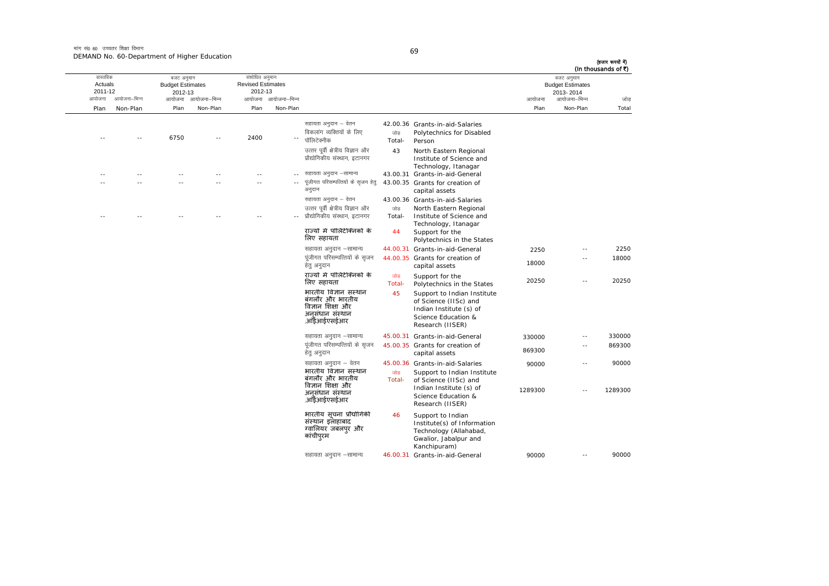मांग सं0 60 उच्चतर शिक्षा विभाग DEMAND No. 60-Department of Higher Education

| I                       |  |
|-------------------------|--|
| I<br>I<br>×<br>۰.<br>۰, |  |

(हजार रूपयों में) (In thousands of ₹)

|                                |              |                                                  |              |                                                       |                     |                                                                                                  |               |                                                                                                                            |         |                                                    | (In thousands of ₹) |
|--------------------------------|--------------|--------------------------------------------------|--------------|-------------------------------------------------------|---------------------|--------------------------------------------------------------------------------------------------|---------------|----------------------------------------------------------------------------------------------------------------------------|---------|----------------------------------------------------|---------------------|
| वास्तविक<br>Actuals<br>2011-12 |              | बजट अनुमान<br><b>Budget Estimates</b><br>2012-13 |              | संशोधित अनुमान<br><b>Revised Estimates</b><br>2012-13 |                     |                                                                                                  |               |                                                                                                                            |         | बजट अनुमान<br><b>Budget Estimates</b><br>2013-2014 |                     |
| आयोजना                         | आयोजना–भिन्न | आयोजना                                           | आयोजना–भिन्न |                                                       | आयोजना आयोजना–भिन्न |                                                                                                  |               |                                                                                                                            | आयोजना  | आयोजना–भिन्न                                       | जोड                 |
| Plan                           | Non-Plan     | Plan                                             | Non-Plan     | Plan                                                  | Non-Plan            |                                                                                                  |               |                                                                                                                            | Plan    | Non-Plan                                           | Total               |
|                                |              | 6750                                             |              | 2400                                                  |                     | सहायता अनुदान – वेतन<br>विकलांग व्यक्तियों के लिए<br>पॉलिटेक्नीक                                 | जोड<br>Total- | 42.00.36 Grants-in-aid-Salaries<br>Polytechnics for Disabled<br>Person                                                     |         |                                                    |                     |
|                                |              |                                                  |              |                                                       |                     | उत्तर पूर्वी क्षेत्रीय विज्ञान और<br>प्रौद्योगिकीय संस्थान, इटानगर                               | 43            | North Eastern Regional<br>Institute of Science and<br>Technology, Itanagar                                                 |         |                                                    |                     |
|                                |              |                                                  |              |                                                       |                     | सहायता अनुदान –सामान्य                                                                           |               | 43.00.31 Grants-in-aid-General                                                                                             |         |                                                    |                     |
|                                |              |                                                  |              |                                                       |                     | पूंजीगत परिसम्पत्तियों के सृजन हेत्<br>अनुदान                                                    |               | 43.00.35 Grants for creation of<br>capital assets                                                                          |         |                                                    |                     |
|                                |              |                                                  |              |                                                       |                     | सहायता अनुदान – वेतन                                                                             |               | 43.00.36 Grants-in-aid-Salaries                                                                                            |         |                                                    |                     |
|                                |              |                                                  |              |                                                       |                     | उत्तर पूर्वी क्षेत्रीय विज्ञान और                                                                | जोड           | North Eastern Regional                                                                                                     |         |                                                    |                     |
|                                |              |                                                  |              |                                                       |                     | प्रौद्योगिकीय संस्थान, इटानगर                                                                    | Total-        | Institute of Science and<br>Technology, Itanagar                                                                           |         |                                                    |                     |
|                                |              |                                                  |              |                                                       |                     | राज्यों में पॉलिटेक्निकों के<br>लिए सहायता                                                       | 44            | Support for the<br>Polytechnics in the States                                                                              |         |                                                    |                     |
|                                |              |                                                  |              |                                                       |                     | सहायता अनुदान –सामान्य                                                                           |               | 44.00.31 Grants-in-aid-General                                                                                             | 2250    | $\overline{a}$                                     | 2250                |
|                                |              |                                                  |              |                                                       |                     | पूंजीगत परिसम्पत्तियों के सृजन<br>हेतु अनुदान                                                    |               | 44.00.35 Grants for creation of<br>capital assets                                                                          | 18000   | - -                                                | 18000               |
|                                |              |                                                  |              |                                                       |                     | राज्यों में पॉलिटेक्निकों के<br>लिए सहायता                                                       | जोड<br>Total- | Support for the<br>Polytechnics in the States                                                                              | 20250   | $\overline{a}$                                     | 20250               |
|                                |              |                                                  |              |                                                       |                     | भारतीय विज्ञान संस्थान<br>बंगलौर और भारतीय<br>विज्ञान शिक्षा और<br>अनसंधान संस्थान<br>,आईआईएसईआर | 45            | Support to Indian Institute<br>of Science (IISc) and<br>Indian Institute (s) of<br>Science Education &<br>Research (IISER) |         |                                                    |                     |
|                                |              |                                                  |              |                                                       |                     | सहायता अनुदान –सामान्य                                                                           |               | 45.00.31 Grants-in-aid-General                                                                                             | 330000  | $\overline{a}$                                     | 330000              |
|                                |              |                                                  |              |                                                       |                     | पूंजीगत परिसम्पत्तियों के सृजन<br>हेत् अनुदान                                                    |               | 45.00.35 Grants for creation of<br>capital assets                                                                          | 869300  |                                                    | 869300              |
|                                |              |                                                  |              |                                                       |                     | सहायता अनुदान – वेतन                                                                             |               | 45.00.36 Grants-in-aid-Salaries                                                                                            | 90000   | $\overline{\phantom{a}}$                           | 90000               |
|                                |              |                                                  |              |                                                       |                     | भारतीय विज्ञान संस्थान<br>बंगलौर और भारतीय<br>विज्ञान शिक्षा और                                  | जोड<br>Total- | Support to Indian Institute<br>of Science (IISc) and                                                                       |         |                                                    |                     |
|                                |              |                                                  |              |                                                       |                     | अनसंधान संस्थान<br>,आईआईएसईआर                                                                    |               | Indian Institute (s) of<br>Science Education &<br>Research (IISER)                                                         | 1289300 | - -                                                | 1289300             |
|                                |              |                                                  |              |                                                       |                     | भारतीय संचना प्रौद्योगिकी<br>संस्थान इलाहाबाद<br>ग्वालियर जबलपुर और<br>कांचीपुरम                 | 46            | Support to Indian<br>Institute(s) of Information<br>Technology (Allahabad,<br>Gwalior, Jabalpur and<br>Kanchipuram)        |         |                                                    |                     |
|                                |              |                                                  |              |                                                       |                     | सहायता अनुदान –सामान्य                                                                           |               | 46.00.31 Grants-in-aid-General                                                                                             | 90000   | $\overline{\phantom{a}}$                           | 90000               |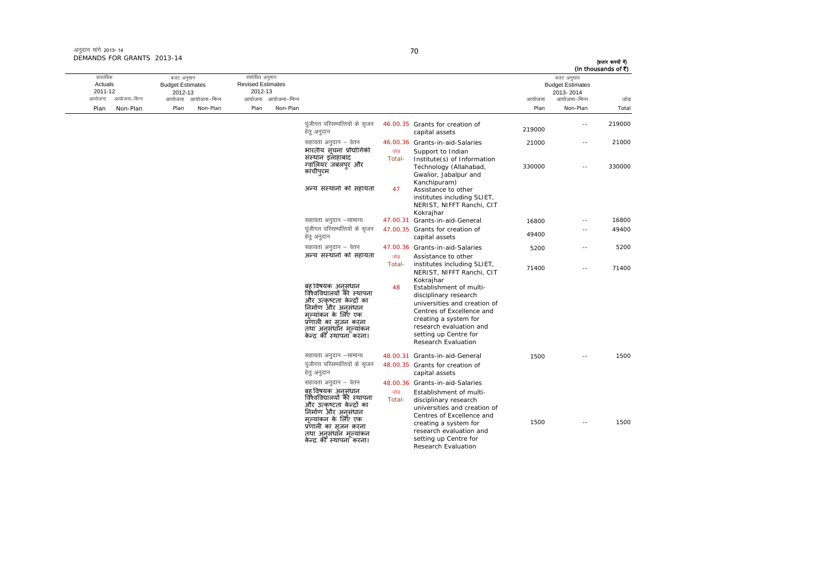अनुदान मांगे 2013- 14 DEMANDS FOR GRANTS 2013-14

| वास्तविक                                     | बजट अनुमान                              | संशोधित अनुमान                      |                                 |                                                                                                                                                                                                    |               |                                                                                                                                                                                                                                       |                | बजट अनुमान                           | (In thousands of ₹) |  |
|----------------------------------------------|-----------------------------------------|-------------------------------------|---------------------------------|----------------------------------------------------------------------------------------------------------------------------------------------------------------------------------------------------|---------------|---------------------------------------------------------------------------------------------------------------------------------------------------------------------------------------------------------------------------------------|----------------|--------------------------------------|---------------------|--|
| Actuals<br>2011-12<br>आयोजना<br>आयोजना–भिन्न | <b>Budget Estimates</b><br>2012-13      | <b>Revised Estimates</b><br>2012-13 |                                 |                                                                                                                                                                                                    |               |                                                                                                                                                                                                                                       |                | <b>Budget Estimates</b><br>2013-2014 |                     |  |
| Non-Plan<br>Plan                             | आयोजना आयोजना–भिन्न<br>Non-Plan<br>Plan | Plan                                | आयोजना आयोजना–भिन्न<br>Non-Plan |                                                                                                                                                                                                    |               |                                                                                                                                                                                                                                       | आयोजना<br>Plan | आयोजना–भिन्न<br>Non-Plan             | जोड<br>Total        |  |
|                                              |                                         |                                     |                                 |                                                                                                                                                                                                    |               |                                                                                                                                                                                                                                       |                |                                      |                     |  |
|                                              |                                         |                                     |                                 | पूंजीगत परिसम्पत्तियों के सृजन<br>हेतु अनुदान                                                                                                                                                      |               | 46.00.35 Grants for creation of<br>capital assets                                                                                                                                                                                     | 219000         | $-$                                  | 219000              |  |
|                                              |                                         |                                     |                                 | सहायता अनुदान – वेतन                                                                                                                                                                               |               | 46.00.36 Grants-in-aid-Salaries                                                                                                                                                                                                       | 21000          | $\sim$ $-$                           | 21000               |  |
|                                              |                                         |                                     |                                 | भारतीय सूचना प्रौद्योगिकी                                                                                                                                                                          | जोड           | Support to Indian                                                                                                                                                                                                                     |                |                                      |                     |  |
|                                              |                                         |                                     |                                 | संस्थान इलाहाबाद<br>ग्वालियर जबलपुर और<br>कांचीपुरम                                                                                                                                                | Total-        | Institute(s) of Information<br>Technology (Allahabad,<br>Gwalior, Jabalpur and<br>Kanchipuram)                                                                                                                                        | 330000         | $\overline{a}$                       | 330000              |  |
|                                              |                                         |                                     |                                 | अन्य संस्थानों को सहायता                                                                                                                                                                           | 47            | Assistance to other<br>institutes including SLIET,<br>NERIST, NIFFT Ranchi, CIT<br>Kokrajhar                                                                                                                                          |                |                                      |                     |  |
|                                              |                                         |                                     |                                 | सहायता अनुदान –सामान्य                                                                                                                                                                             |               | 47.00.31 Grants-in-aid-General                                                                                                                                                                                                        | 16800          | $-$                                  | 16800               |  |
|                                              |                                         |                                     |                                 | पूंजीगत परिसम्पत्तियों के सृजन<br>हेत् अनुदान                                                                                                                                                      |               | 47.00.35 Grants for creation of<br>capital assets                                                                                                                                                                                     | 49400          | $\overline{a}$                       | 49400               |  |
|                                              |                                         |                                     |                                 | सहायता अनुदान – वेतन                                                                                                                                                                               |               | 47.00.36 Grants-in-aid-Salaries                                                                                                                                                                                                       | 5200           | --                                   | 5200                |  |
|                                              |                                         |                                     |                                 | अन्य संस्थानों को सहायता                                                                                                                                                                           | जोड<br>Total- | Assistance to other<br>institutes including SLIET,<br>NERIST, NIFFT Ranchi, CIT                                                                                                                                                       | 71400          | $-$                                  | 71400               |  |
|                                              |                                         |                                     |                                 | बह़ विषयक अनसंधान<br>विश्वविद्यालयों की स्थापना<br>और उत्कृष्टता केन्द्रों का<br>निर्माण और अनसंधान<br>मल्यांकन के लिए एक<br>प्रणाली का सजन करना<br>तथा अनसंधॉन मल्यांकन<br>केन्द की स्थापना करना। | 48            | Kokrajhar<br>Establishment of multi-<br>disciplinary research<br>universities and creation of<br>Centres of Excellence and<br>creating a system for<br>research evaluation and<br>setting up Centre for<br><b>Research Evaluation</b> |                |                                      |                     |  |
|                                              |                                         |                                     |                                 | सहायता अनुदान –सामान्य                                                                                                                                                                             |               | 48.00.31 Grants-in-aid-General                                                                                                                                                                                                        | 1500           |                                      | 1500                |  |
|                                              |                                         |                                     |                                 | पूंजीगत परिसम्पत्तियों के सृजन<br>हेतु अनुदान                                                                                                                                                      |               | 48.00.35 Grants for creation of<br>capital assets                                                                                                                                                                                     |                |                                      |                     |  |
|                                              |                                         |                                     |                                 | सहायता अनुदान – वेतन                                                                                                                                                                               |               | 48.00.36 Grants-in-aid-Salaries                                                                                                                                                                                                       |                |                                      |                     |  |
|                                              |                                         |                                     |                                 | बह़ विषयक अनसंधान<br>विश्वविद्यालयों की स्थापना                                                                                                                                                    | जोड<br>Total- | Establishment of multi-<br>disciplinary research                                                                                                                                                                                      |                |                                      |                     |  |
|                                              |                                         |                                     |                                 | और उत्कृष्टता केन्द्रों का<br>निर्माण और अनसंधान                                                                                                                                                   |               | universities and creation of                                                                                                                                                                                                          |                |                                      |                     |  |
|                                              |                                         |                                     |                                 | मल्यांकन के लिए एक                                                                                                                                                                                 |               | Centres of Excellence and                                                                                                                                                                                                             | 1500           | $\overline{a}$                       | 1500                |  |
|                                              |                                         |                                     |                                 | प्रणाली का सृजन करना                                                                                                                                                                               |               | creating a system for<br>research evaluation and                                                                                                                                                                                      |                |                                      |                     |  |
|                                              |                                         |                                     |                                 | तथा अनुसंधाँन मुल्यांकन<br>केन्द्र की स्थापना करना।                                                                                                                                                |               | setting up Centre for                                                                                                                                                                                                                 |                |                                      |                     |  |
|                                              |                                         |                                     |                                 |                                                                                                                                                                                                    |               | Research Evaluation                                                                                                                                                                                                                   |                |                                      |                     |  |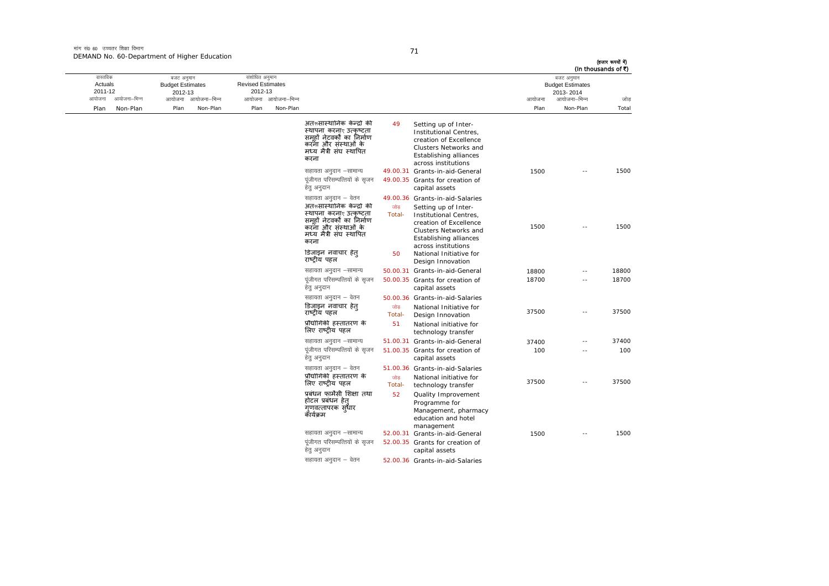मांग सं0 60 उच्चतर शिक्षा विभाग DEMAND No. 60-Department of Higher Education

| (In thousands of ₹) | बजट अनुमान<br><b>Budget Estimates</b><br>2013-2014 |        |                                                                                                                                                    |               |                                                                                                                                                  |                     | संशोधित अनुमान<br><b>Revised Estimates</b><br>2012-13 |                     | बजट अनुमान<br><b>Budget Estimates</b><br>2012-13 |              | वास्तविक<br>Actuals<br>2011-12 |
|---------------------|----------------------------------------------------|--------|----------------------------------------------------------------------------------------------------------------------------------------------------|---------------|--------------------------------------------------------------------------------------------------------------------------------------------------|---------------------|-------------------------------------------------------|---------------------|--------------------------------------------------|--------------|--------------------------------|
| जोड                 | आयोजना–भिन्न                                       | आयोजना |                                                                                                                                                    |               |                                                                                                                                                  | आयोजना आयोजना–भिन्न |                                                       | आयोजना आयोजना–भिन्न |                                                  | आयोजना–भिन्न | आयोजना                         |
| Total               | Non-Plan                                           | Plan   |                                                                                                                                                    |               |                                                                                                                                                  | Non-Plan            | Plan                                                  | Non-Plan            | Plan                                             | Non-Plan     | Plan                           |
|                     |                                                    |        | Setting up of Inter-<br>Institutional Centres,<br>creation of Excellence<br>Clusters Networks and<br>Establishing alliances<br>across institutions | 49            | अंतरूसांस्थानिक केन्द्रों की<br>स्थापना करनाए उत्कृष्टता<br>समहों नेटवर्कों का निर्माण<br>करना और संस्थाओं के<br>मध्य मैत्री संघ स्थापित<br>करना |                     |                                                       |                     |                                                  |              |                                |
| 1500                | $\overline{a}$                                     | 1500   | 49.00.31 Grants-in-aid-General                                                                                                                     |               | सहायता अनुदान –सामान्य                                                                                                                           |                     |                                                       |                     |                                                  |              |                                |
|                     |                                                    |        | 49.00.35 Grants for creation of<br>capital assets                                                                                                  |               | पंजीगत परिसम्पत्तियों के सजन<br>हेत् अनुदान                                                                                                      |                     |                                                       |                     |                                                  |              |                                |
|                     |                                                    |        | 49.00.36 Grants-in-aid-Salaries                                                                                                                    |               | सहायता अनुदान – वेतन                                                                                                                             |                     |                                                       |                     |                                                  |              |                                |
| 1500                | $-$                                                | 1500   | Setting up of Inter-<br>Institutional Centres,<br>creation of Excellence<br>Clusters Networks and                                                  | जोड<br>Total- | अतरूसांस्थानिक केन्द्रो की<br>स्थापना करनाए उत्कृष्टता<br>समहों नेटवर्कों का निर्माण<br>करना और संस्थाओं के<br>मध्य मैत्री संघ स्थापित           |                     |                                                       |                     |                                                  |              |                                |
|                     |                                                    |        | <b>Establishing alliances</b><br>across institutions<br>National Initiative for<br>Design Innovation                                               | 50            | करना<br>डिजाइन नवाचार हेत्<br>राष्ट्रीय पहल                                                                                                      |                     |                                                       |                     |                                                  |              |                                |
| 18800               | $\sim$                                             | 18800  | 50.00.31 Grants-in-aid-General                                                                                                                     |               | सहायता अनुदान -सामान्य                                                                                                                           |                     |                                                       |                     |                                                  |              |                                |
| 18700               | $\sim$                                             | 18700  | 50.00.35 Grants for creation of<br>capital assets                                                                                                  |               | पूंजीगत परिसम्पत्तियों के सृजन<br>हेत् अनुदान                                                                                                    |                     |                                                       |                     |                                                  |              |                                |
|                     |                                                    |        | 50.00.36 Grants-in-aid-Salaries                                                                                                                    |               | सहायता अनुदान – वेतन                                                                                                                             |                     |                                                       |                     |                                                  |              |                                |
| 37500               | $\overline{a}$                                     | 37500  | National Initiative for<br>Design Innovation                                                                                                       | जोड<br>Total- | डिजाइन नवाचार हेत्<br>राष्ट्रीय पहल                                                                                                              |                     |                                                       |                     |                                                  |              |                                |
|                     |                                                    |        | National initiative for<br>technology transfer                                                                                                     | 51            | प्रौद्योगिकी हस्तांतरण के<br>लिए राष्ट्रीय पहल                                                                                                   |                     |                                                       |                     |                                                  |              |                                |
| 37400               | $\sim$                                             | 37400  | 51.00.31 Grants-in-aid-General                                                                                                                     |               | सहायता अनुदान -सामान्य                                                                                                                           |                     |                                                       |                     |                                                  |              |                                |
| 100                 |                                                    | 100    | 51.00.35 Grants for creation of<br>capital assets                                                                                                  |               | पंजीगत परिसम्पत्तियों के सुजन<br>हेत् अनुदान                                                                                                     |                     |                                                       |                     |                                                  |              |                                |
|                     |                                                    |        | 51.00.36 Grants-in-aid-Salaries                                                                                                                    |               | सहायता अनुदान – वेतन                                                                                                                             |                     |                                                       |                     |                                                  |              |                                |
| 37500               | $-$                                                | 37500  | National initiative for<br>technology transfer                                                                                                     | जोड<br>Total- | प्रौद्योगिकी हस्तांतरण के<br>लिए राष्ट्रीय पहल                                                                                                   |                     |                                                       |                     |                                                  |              |                                |
|                     |                                                    |        | Quality Improvement<br>Programme for<br>Management, pharmacy<br>education and hotel<br>management                                                  | 52            | प्रबंधन फार्मेसी शिक्षा तथा<br>होटल प्रबंधन हेत<br>गणवत्तापरक सुधार<br>कॅथिक्रम                                                                  |                     |                                                       |                     |                                                  |              |                                |
| 1500                | $\sim$ $\sim$                                      | 1500   | 52.00.31 Grants-in-aid-General                                                                                                                     |               | सहायता अनुदान –सामान्य                                                                                                                           |                     |                                                       |                     |                                                  |              |                                |
|                     |                                                    |        | 52.00.35 Grants for creation of<br>capital assets                                                                                                  |               | पूंजीगत परिसम्पत्तियों के सृजन<br>हेतु अनुदान                                                                                                    |                     |                                                       |                     |                                                  |              |                                |
|                     |                                                    |        | 52.00.36 Grants-in-aid-Salaries                                                                                                                    |               | सहायता अनुदान – वेतन                                                                                                                             |                     |                                                       |                     |                                                  |              |                                |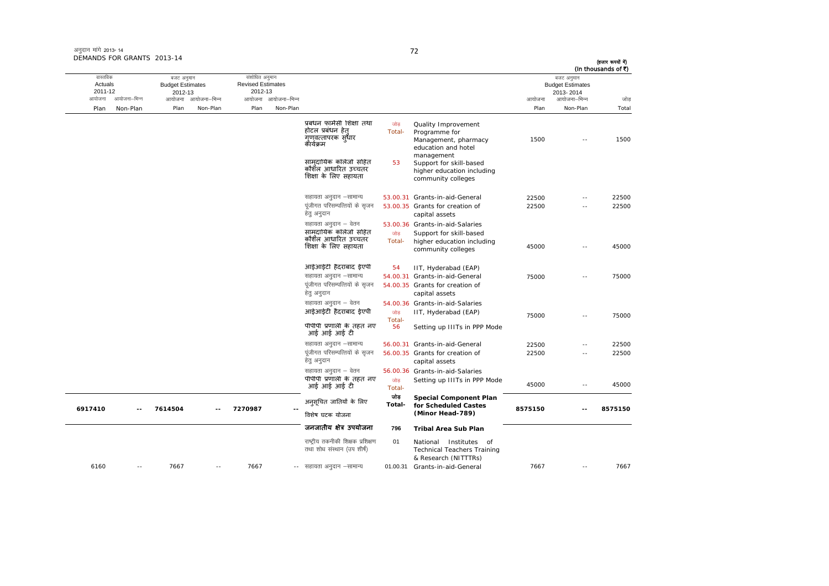| अनुदान मांगे 2013- 14      |  |
|----------------------------|--|
| DEMANDS FOR GRANTS 2013-14 |  |

| (हजार रूपयों में)<br>(In thousands of ₹) | बजट अनुमान                           |         |                                                                                           |                |                                                                                  |                     | संशोधित अनुमान                      |                     | बजट अनुमान                         |              | वास्तविक           |
|------------------------------------------|--------------------------------------|---------|-------------------------------------------------------------------------------------------|----------------|----------------------------------------------------------------------------------|---------------------|-------------------------------------|---------------------|------------------------------------|--------------|--------------------|
|                                          | <b>Budget Estimates</b><br>2013-2014 |         |                                                                                           |                |                                                                                  |                     | <b>Revised Estimates</b><br>2012-13 |                     | <b>Budget Estimates</b><br>2012-13 |              | Actuals<br>2011-12 |
| जोड                                      | आयोजना–भिन्न                         | आयोजना  |                                                                                           |                |                                                                                  | आयोजना आयोजना-भिन्न |                                     | आयोजना आयोजना–भिन्न |                                    | आयोजना–भिन्न | आयोजना             |
| Total                                    | Non-Plan                             | Plan    |                                                                                           |                |                                                                                  | Non-Plan            | Plan                                | Non-Plan            | Plan                               | Non-Plan     | Plan               |
| 1500                                     |                                      | 1500    | Quality Improvement<br>Programme for<br>Management, pharmacy<br>education and hotel       | जोड<br>Total-  | प्रबंधन फार्मेसी शिक्षा तथा<br>होटल प्रबंधन हेत्<br>गणवत्तापरक सुधार<br>कॅथिक्रम |                     |                                     |                     |                                    |              |                    |
|                                          |                                      |         | management<br>Support for skill-based<br>higher education including<br>community colleges | 53             | सामदायिक कॉलेजों सहित<br>कौशैल आधारित उच्चतर<br>शिक्षा के लिए सहायता             |                     |                                     |                     |                                    |              |                    |
| 22500                                    | $-$                                  | 22500   | 53.00.31 Grants-in-aid-General                                                            |                | सहायता अनुदान –सामान्य                                                           |                     |                                     |                     |                                    |              |                    |
| 22500                                    |                                      | 22500   | 53.00.35 Grants for creation of<br>capital assets                                         |                | पूंजीगत परिसम्पत्तियों के सृजन<br>हेत् अनुदान                                    |                     |                                     |                     |                                    |              |                    |
|                                          |                                      |         | 53.00.36 Grants-in-aid-Salaries                                                           |                | सहायता अनुदान – वेतन<br>सामदायिक कॉलेजो सहित                                     |                     |                                     |                     |                                    |              |                    |
| 45000                                    | $-$                                  | 45000   | Support for skill-based<br>higher education including<br>community colleges               | जोड़<br>Total- | कौशॅल आधारित उच्चतर<br>शिक्षा के लिए सहायता                                      |                     |                                     |                     |                                    |              |                    |
|                                          |                                      |         | IIT, Hyderabad (EAP)                                                                      | 54             | आईआईटी हैदराबाद ईएपी                                                             |                     |                                     |                     |                                    |              |                    |
| 75000                                    | $\overline{\phantom{a}}$             | 75000   | 54.00.31 Grants-in-aid-General<br>54.00.35 Grants for creation of                         |                | सहायता अनुदान –सामान्य<br>पूंजीगत परिसम्पत्तियों के सृजन                         |                     |                                     |                     |                                    |              |                    |
|                                          |                                      |         | capital assets                                                                            |                | हेत् अनुदान                                                                      |                     |                                     |                     |                                    |              |                    |
| 75000                                    | $\sim$                               | 75000   | 54.00.36 Grants-in-aid-Salaries<br>IIT, Hyderabad (EAP)                                   | जोड            | सहायता अनुदान – वेतन<br>आईआईटी हैदराबाद ईएपी                                     |                     |                                     |                     |                                    |              |                    |
|                                          |                                      |         | Setting up IIITs in PPP Mode                                                              | Total-<br>56   | पीपीपी प्रणाली के तहत नए<br>आई आई आई टी                                          |                     |                                     |                     |                                    |              |                    |
| 22500                                    | $\overline{\phantom{a}}$             | 22500   | 56.00.31 Grants-in-aid-General                                                            |                | सहायता अनुदान -सामान्य                                                           |                     |                                     |                     |                                    |              |                    |
| 22500                                    | $\overline{\phantom{a}}$ .           | 22500   | 56.00.35 Grants for creation of<br>capital assets                                         |                | पूंजीगत परिसम्पत्तियों के सृजन<br>हेत् अनुदान                                    |                     |                                     |                     |                                    |              |                    |
|                                          |                                      |         | 56.00.36 Grants-in-aid-Salaries                                                           |                | सहायता अनुदान – वेतन                                                             |                     |                                     |                     |                                    |              |                    |
| 45000                                    | $\overline{\phantom{a}}$ .           | 45000   | Setting up IIITs in PPP Mode                                                              | जोड़<br>Total- | पीपीपी प्रणाली के तहत नए<br>आई आई आई टी                                          |                     |                                     |                     |                                    |              |                    |
|                                          |                                      |         | <b>Special Component Plan</b><br>for Scheduled Castes                                     | जोड<br>Total-  | अनुसूचित जातियों के लिए                                                          |                     |                                     |                     |                                    |              |                    |
| 8575150                                  |                                      | 8575150 | (Minor Head-789)                                                                          |                | विशेष घटक योजना                                                                  |                     | 7270987                             |                     | 7614504                            |              | 6917410            |
|                                          |                                      |         | <b>Tribal Area Sub Plan</b>                                                               | 796            | जनजातीय क्षेत्र उपयोजना                                                          |                     |                                     |                     |                                    |              |                    |
|                                          |                                      |         | National Institutes of<br><b>Technical Teachers Training</b><br>& Research (NITTTRs)      | 01             | राष्ट्रीय तकनीकी शिक्षक प्रशिक्षण<br>तथा शोध संस्थान (उप शीर्ष)                  |                     |                                     |                     |                                    |              |                    |
| 7667                                     | $\sim$                               | 7667    | Grants-in-aid-General                                                                     | 01.00.31       | -- सहायता अनुदान –सामान्य                                                        |                     | 7667                                | $\sim$              | 7667                               | $\sim$ $-$   | 6160               |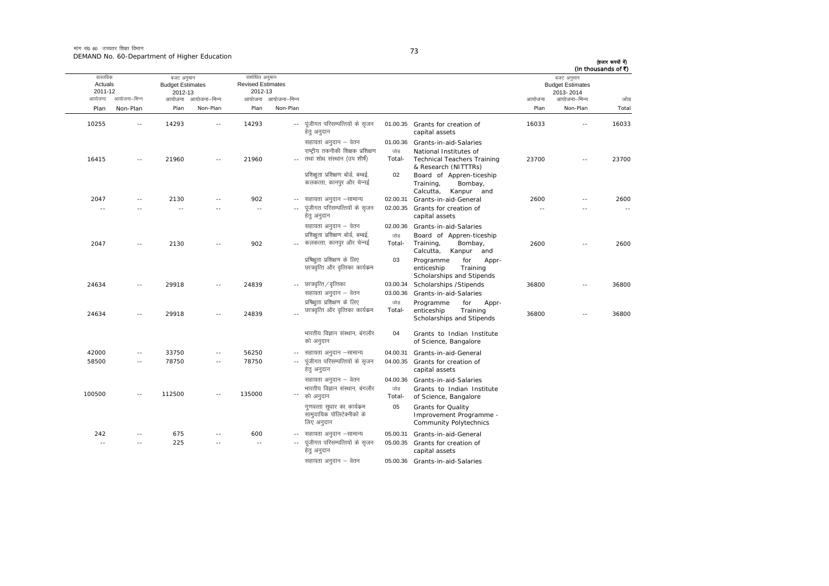मांग सं0 60 उच्चतर शिक्षा विभाग DEMAND No. 60-Department of Higher Education

| I<br>×<br>۰. |
|--------------|
|--------------|

| वास्तविक           |              | बजट अनुमान                         |                     | संशोधित अनुमान                      |                     |                                                                                          |                             |                                                                                                                |                | बजट अनुमान                           | (In thousands of ₹)   |
|--------------------|--------------|------------------------------------|---------------------|-------------------------------------|---------------------|------------------------------------------------------------------------------------------|-----------------------------|----------------------------------------------------------------------------------------------------------------|----------------|--------------------------------------|-----------------------|
| Actuals<br>2011-12 |              | <b>Budget Estimates</b><br>2012-13 |                     | <b>Revised Estimates</b><br>2012-13 |                     |                                                                                          |                             |                                                                                                                |                | <b>Budget Estimates</b><br>2013-2014 |                       |
| आयोजना             | आयोजना–भिन्न |                                    | आयोजना आयोजना-भिन्न |                                     | आयोजना आयोजना–भिन्न |                                                                                          |                             |                                                                                                                | आयोजना         | आयोजना–भिन्न                         | जोड                   |
| Plan               | Non-Plan     | Plan                               | Non-Plan            | Plan                                | Non-Plan            |                                                                                          |                             |                                                                                                                | Plan           | Non-Plan                             | Total                 |
| 10255              | $\sim$       | 14293                              | $-$                 | 14293                               | $\sim$ $\sim$       | पूंजीगत परिसम्पत्तियों के सृजन<br>हेतु अनुदान                                            |                             | 01.00.35 Grants for creation of<br>capital assets                                                              | 16033          |                                      | 16033                 |
| 16415              | $- -$        | 21960                              | --                  | 21960                               |                     | सहायता अनुदान – वेतन<br>राष्ट्रीय तकनीकी शिक्षक प्रशिक्षण<br>तथा शोध संस्थान (उप शीर्ष)  | 01.00.36<br>जोड<br>Total-   | Grants-in-aid-Salaries<br>National Institutes of<br><b>Technical Teachers Training</b><br>& Research (NITTTRs) | 23700          | $\sim$ $-$                           | 23700                 |
|                    |              |                                    |                     |                                     |                     | प्रशिक्षता प्रशिक्षण बोर्ड, बम्बई,<br>कलकत्ता, कानपुर और चेन्नई                          | 02                          | Board of Appren-ticeship<br>Training,<br>Bombay,<br>Calcutta, Kanpur and                                       |                |                                      |                       |
| 2047<br>$\sim$     | ä,           | 2130<br>$\sim$                     | $\overline{a}$      | 902<br>$\sim$ $-$                   | $\sim$ $-$          | सहायता अनुदान –सामान्य<br>पूंजीगत परिसम्पत्तियों के सृजन<br>हेत् अनुदान                  | 02.00.31                    | Grants-in-aid-General<br>02.00.35 Grants for creation of<br>capital assets                                     | 2600<br>$\sim$ | $\overline{a}$                       | 2600<br>$\sim$ $\sim$ |
| 2047               | $\sim$       | 2130                               |                     | 902                                 |                     | सहायता अनुदान – वेतन<br>प्रशिक्षुता प्रशिक्षण बोर्ड, बम्बई,<br>कलकत्ता, कानपुर और चेन्नई | 02.00.36<br>जोड<br>Total-   | Grants-in-aid-Salaries<br>Board of Appren-ticeship<br>Training,<br>Bombay,<br>Calcutta,<br>Kanpur and          | 2600           | $\sim$ $\sim$                        | 2600                  |
|                    |              |                                    |                     |                                     |                     | प्रषिक्षुता प्रशिक्षण के लिए<br>छात्रवृत्ति और वृत्तिका कार्यक्रम                        | 03                          | Programme<br>for<br>Appr-<br>enticeship<br>Training<br>Scholarships and Stipends                               |                |                                      |                       |
| 24634              | $\sim$       | 29918                              | $\sim$ $-$          | 24839                               | $\sim$ $-$          | छात्रवृत्ति ∕ वृत्तिका<br>सहायता अनुदान – वेतन<br>प्रषिक्षुता प्रशिक्षण के लिए           | 03.00.34<br>03.00.36<br>जोड | Scholarships / Stipends<br>Grants-in-aid-Salaries<br>Programme<br>for<br>Appr-                                 | 36800          | $\sim$                               | 36800                 |
| 24634              | $\sim$       | 29918                              | $-$                 | 24839                               |                     | छात्रवृत्ति और वृत्तिका कार्यक्रम                                                        | Total-                      | enticeship<br>Training<br>Scholarships and Stipends                                                            | 36800          | $\sim$ $-$                           | 36800                 |
|                    |              |                                    |                     |                                     |                     | भारतीय विज्ञान संस्थान, बंगलौर<br>को अनुदान                                              | 04                          | Grants to Indian Institute<br>of Science, Bangalore                                                            |                |                                      |                       |
| 42000              | $\sim$ $-$   | 33750                              | $\sim$ $-$          | 56250                               | $\sim$ $-$          | सहायता अनुदान –सामान्य                                                                   | 04.00.31                    | Grants-in-aid-General                                                                                          |                |                                      |                       |
| 58500              | $\sim$       | 78750                              | $\sim$              | 78750                               |                     | पूंजीगत परिसम्पत्तियों के सृजन<br>हेत् अनुदान                                            |                             | 04.00.35 Grants for creation of<br>capital assets                                                              |                |                                      |                       |
|                    |              |                                    |                     |                                     |                     | सहायता अनुदान – वेतन                                                                     | 04.00.36                    | Grants-in-aid-Salaries                                                                                         |                |                                      |                       |
| 100500             |              | 112500                             |                     | 135000                              |                     | भारतीय विज्ञान संस्थान, बंगलौर<br>को अनुदान                                              | जोड<br>Total-               | Grants to Indian Institute<br>of Science, Bangalore                                                            |                |                                      |                       |
|                    |              |                                    |                     |                                     |                     | गुणवत्ता सुधार का कार्यक्रम<br>सामुदायिक पॉलिटेक्नीकों के<br>लिए अनुदान                  | 05                          | <b>Grants for Quality</b><br>Improvement Programme -<br><b>Community Polytechnics</b>                          |                |                                      |                       |
| 242                | $\sim$       | 675                                |                     | 600                                 |                     | सहायता अनुदान –सामान्य                                                                   |                             | 05.00.31 Grants-in-aid-General                                                                                 |                |                                      |                       |
| $\sim$             |              | 225                                |                     | $\sim$                              |                     | पूंजीगत परिसम्पत्तियों के सृजन<br>हेतु अनुदान                                            |                             | 05.00.35 Grants for creation of<br>capital assets                                                              |                |                                      |                       |
|                    |              |                                    |                     |                                     |                     | सहायता अनुदान – वेतन                                                                     |                             | 05.00.36 Grants-in-aid-Salaries                                                                                |                |                                      |                       |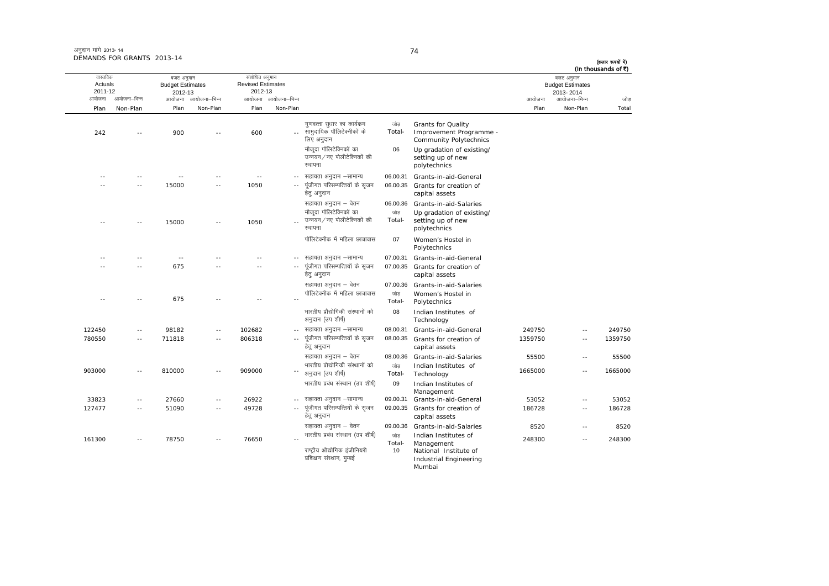| अनुदान मांगे 2013-14       |  |
|----------------------------|--|
| DEMANDS FOR GRANTS 2013-14 |  |

Mumbai

आयोजना आयोजना-भिन्न आयोजना आयोजना-भिन्न - आयोजना आयोजना-भिन्न न अपयोजना—भिन्न जाउँ विकास समिति । अपनी अपयोजना आयोजना—भिन्न जोड Plan Non-Plan Plan Non-Plan Plan Non-Plan Plan Non-Plan Total वास्तविक Actuals2011-12 बजट अनुमान Budget Estimates 2012-13संशोधित अनुमान Revised Estimates2012-13 बजट अनुमान Budget Estimates 2013- 2014(हजार रूपयों में) (In thousands of  $\bar{x}$ ) 242 -- 900 -- 600 --गुणवत्ता सुधार का कार्यक्रम सामुदायिक पॉलिटेक्नीकों के लिए अनुदान जोड Total-Grants for Quality<br>Improvement Programme -Community Polytechnics मौजदा पॉलिटेक्निकों का उन्नयन/नए पोलीटेक्निकों की रथापना 06 Up gradation of existing/ setting up of new polytechnics -- -- -- -- -- --- सहायता अनुदान –सामान्य 06.00.31 Grants-in-aid-General -- -- 15000 -- 1050 ---- पंजीगत परिसम्पत्तियों के सुजन हेतु अनुदान 06.00.35 Grants for creation of capital assets सहायता अनुदान – वेतन 66.00.36 Grants-in-aid-Salaries -- -- 15000 -- 1050 --मौजूदा पॉलिटेक्निकों का उन्नयन ∕ नए पोलीटेक्निकों की स्थापन जोड Total-Up gradation of existing/ setting up of new polytechnics पॉलिटेक्नीक में महिला छात्रावास 07 Women's Hostel in Polytechnics -- -- -- -- -- --- सहायता अनुदान –सामान्य 07.00.31 Grants-in-aid-General -- -- 675 -- -- --.. पूंजीगत परिसम्पत्तियों के सृजन हेतु अनुदान 07.00.35 Grants for creation of capital assets सहायता अनुदान – वेतन <br />
07.00.36 Grants-in-aid-Salaries -- -- 675 -- -- --पॉलिटेक्नीक में महिला छात्रावास  $n\rightarrow \infty$ Total-Women's Hostel in<br>Polytechnics भारतीय प्रौद्योगिकी संस्थानों को अनुदान (उप शीर्ष) 088 Indian Institutes of Technology 122450 -- 98182 -- 102682 - lgk;rk vuqnku &lkekU; 08.00.31 Grants-in-aid-General 249750 -- 249750 780550 -- 711818 -- 806318 --... पुंजीगत परिसम्पत्तियों के सुजन हेतु अनुदान 08.00.35 Grants for creation of capital assets 1359750 -- 13597501359750 lgk;rk vuqnku & osru 08.00.36 Grants-in-aid-Salaries <sup>55500</sup> -- <sup>55500</sup> 903000 -- 810000 -- 909000 --" अनुदान (उप शीर्ष) भारतीय प्रौद्योगिकी संस्थानों को  $\frac{1}{100}$ Total-Indian Institutes of Technology <sup>1665000</sup> -- <sup>1665000</sup> भारतीय प्रबंध संस्थान (उप शीर्ष) 09 Indian Institutes of Management  $33823$  -- 27660 -- 26922 -- सहायता अनुदान –सामान्य lgk;rk vuqnku &lkekU; 09.00.31 Grants-in-aid-General 53052 -- 53052 127477 -- 51090 -- 49728 --पुंजीगत परिसम्पत्तियों के सुजन हेतु अनुदान 09.00.355 Grants for creation of capital assets 186728 -- 186728186728 lgk;rk vuqnku & osru 09.00.36 Grants-in-aid-Salaries <sup>8520</sup> -- <sup>8520</sup> 161300 -- 78750 -- 76650 --भारतीय प्रबंध संस्थान (उप शीर्ष) जोड़<br>-Total Indian Institutes of Management <sup>248300</sup> -- <sup>248300</sup> राष्ट्रीय औद्योगिक इंजीनियरी प्रशिक्षण संस्थान, मुम्बई 100 National Institute of Industrial Engineering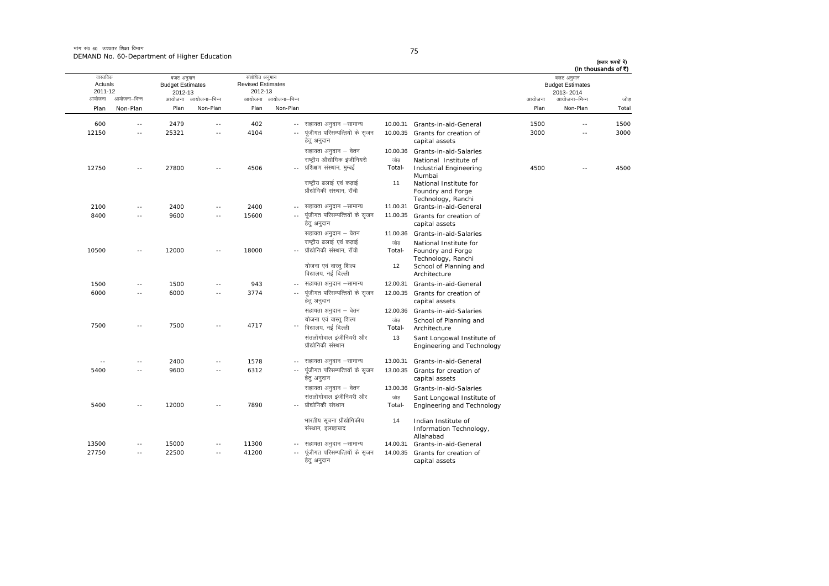मांग सं0 60 उच्चतर शिक्षा विभाग DEMAND No. 60-Department of Higher Education

| ۰.<br>٠<br>۰. |
|---------------|

| (In thousands of ₹) | बजट अनुमान                           |        |                                                              |               |                                                          |                          | संशोधित अनुमान                      |                          | बजट अनुमान                         |                      | वास्तविक           |
|---------------------|--------------------------------------|--------|--------------------------------------------------------------|---------------|----------------------------------------------------------|--------------------------|-------------------------------------|--------------------------|------------------------------------|----------------------|--------------------|
|                     | <b>Budget Estimates</b><br>2013-2014 |        |                                                              |               |                                                          |                          | <b>Revised Estimates</b><br>2012-13 |                          | <b>Budget Estimates</b><br>2012-13 |                      | Actuals<br>2011-12 |
| जोड                 | आयोजना–भिन्न                         | आयोजना |                                                              |               |                                                          | आयोजना आयोजना–भिन्न      |                                     | आयोजना–भिन्न             | आयोजना                             | आयोजना–भिन्न         | आयोजना             |
| Total               | Non-Plan                             | Plan   |                                                              |               |                                                          | Non-Plan                 | Plan                                | Non-Plan                 | Plan                               | Non-Plan             | Plan               |
|                     |                                      |        |                                                              |               |                                                          |                          |                                     |                          |                                    |                      |                    |
| 1500                | ٠.                                   | 1500   | 10.00.31 Grants-in-aid-General                               |               | सहायता अनुदान –सामान्य<br>पूंजीगत परिसम्पत्तियों के सृजन | $\overline{\phantom{a}}$ | 402                                 | $\overline{\phantom{a}}$ | 2479                               | $\frac{1}{2}$        | 600                |
| 3000                | $-$                                  | 3000   | Grants for creation of<br>capital assets                     | 10.00.35      | हेतु अनुदान                                              |                          | 4104                                | $\sim$ $\sim$            | 25321                              | $\sim$ $-$           | 12150              |
|                     |                                      |        | Grants-in-aid-Salaries                                       | 10.00.36      | सहायता अनुदान – वेतन                                     |                          |                                     |                          |                                    |                      |                    |
|                     |                                      |        | National Institute of                                        | जोड           | राष्ट्रीय औद्योगिक इंजीनियरी                             |                          |                                     |                          |                                    |                      |                    |
| 4500                | $\sim$                               | 4500   | Industrial Engineering<br>Mumbai                             | Total-        | प्रशिक्षण संस्थान, मुम्बई                                |                          | 4506                                | $\sim$ $\sim$            | 27800                              | $\sim$ $-$           | 12750              |
|                     |                                      |        | National Institute for                                       | 11            | राष्ट्रीय ढलाई एवं कढाई                                  |                          |                                     |                          |                                    |                      |                    |
|                     |                                      |        | Foundry and Forge                                            |               | प्रौद्योगिकी संस्थान, रॉची                               |                          |                                     |                          |                                    |                      |                    |
|                     |                                      |        | Technology, Ranchi                                           |               |                                                          |                          |                                     |                          |                                    |                      |                    |
|                     |                                      |        | Grants-in-aid-General                                        | 11.00.31      | सहायता अनुदान –सामान्य                                   | $\frac{1}{2}$            | 2400                                | $\sim$ $\sim$            | 2400                               | $\sim$ $-$           | 2100               |
|                     |                                      |        | Grants for creation of<br>capital assets                     | 11.00.35      | पूंजीगत परिसम्पत्तियों के सृजन<br>हेत् अनुदान            |                          | 15600                               |                          | 9600                               |                      | 8400               |
|                     |                                      |        | Grants-in-aid-Salaries                                       | 11.00.36      | सहायता अनुदान – वेतन                                     |                          |                                     |                          |                                    |                      |                    |
|                     |                                      |        | National Institute for                                       | जोड           | राष्ट्रीय ढलाई एवं कढाई                                  |                          |                                     |                          |                                    |                      |                    |
|                     |                                      |        | Foundry and Forge                                            | Total-        | प्रौद्योगिकी संस्थान, रॉची                               |                          | 18000                               | $\sim$ $\sim$            | 12000                              | $\sim$ $-$           | 10500              |
|                     |                                      |        | Technology, Ranchi<br>School of Planning and<br>Architecture | 12            | योजना एवं वास्तु शिल्प<br>विद्यालय, नई दिल्ली            |                          |                                     |                          |                                    |                      |                    |
|                     |                                      |        | Grants-in-aid-General                                        | 12.00.31      | सहायता अनुदान -सामान्य                                   |                          | 943                                 |                          | 1500                               | $\sim$ $\sim$        | 1500               |
|                     |                                      |        | Grants for creation of                                       | 12.00.35      | पूंजीगत परिसम्पत्तियों के सृजन                           | $\sim$ $-$               | 3774                                | $\overline{\phantom{a}}$ | 6000                               | $\sim$               | 6000               |
|                     |                                      |        | capital assets                                               |               | हेत् अनुदान                                              |                          |                                     |                          |                                    |                      |                    |
|                     |                                      |        | Grants-in-aid-Salaries                                       | 12.00.36      | सहायता अनुदान – वेतन                                     |                          |                                     |                          |                                    |                      |                    |
|                     |                                      |        | School of Planning and<br>Architecture                       | जोड<br>Total- | योजना एवं वास्तु शिल्प<br>विद्यालय, नई दिल्ली            |                          | 4717                                |                          | 7500                               |                      | 7500               |
|                     |                                      |        | Sant Longowal Institute of<br>Engineering and Technology     | 13            | संतलोंगोवाल इंजीनियरी और<br>प्रौद्योगिकी संस्थान         |                          |                                     |                          |                                    |                      |                    |
|                     |                                      |        | Grants-in-aid-General                                        | 13.00.31      | सहायता अनुदान –सामान्य                                   |                          | 1578                                | $\sim$ $\sim$            | 2400                               | $-$                  | $\sim$ $-$         |
|                     |                                      |        | Grants for creation of<br>capital assets                     | 13.00.35      | पूंजीगत परिसम्पत्तियों के सृजन<br>हेतु अनुदान            | $\overline{\phantom{a}}$ | 6312                                | $\sim$ $-$               | 9600                               | $\sim$ $-$           | 5400               |
|                     |                                      |        | Grants-in-aid-Salaries                                       | 13.00.36      | सहायता अनुदान – वेतन                                     |                          |                                     |                          |                                    |                      |                    |
|                     |                                      |        | Sant Longowal Institute of                                   | जोड           | संतलोंगोवाल इंजीनियरी और                                 |                          |                                     |                          |                                    |                      |                    |
|                     |                                      |        | Engineering and Technology                                   | Total-        | प्रौद्योगिकी संस्थान                                     |                          | 7890                                |                          | 12000                              |                      | 5400               |
|                     |                                      |        | Indian Institute of                                          | 14            | भारतीय सूचना प्रौद्योगिकीय                               |                          |                                     |                          |                                    |                      |                    |
|                     |                                      |        | Information Technology,                                      |               | संस्थान, इलाहाबाद                                        |                          |                                     |                          |                                    |                      |                    |
|                     |                                      |        | Allahabad<br>Grants-in-aid-General                           | 14.00.31      | सहायता अनुदान –सामान्य                                   |                          | 11300                               |                          |                                    |                      | 13500              |
|                     |                                      |        |                                                              | 14.00.35      | पूंजीगत परिसम्पत्तियों के सृजन                           | $\sim$                   |                                     |                          | 15000                              | $\sim$<br>$\sim$ $-$ | 27750              |
|                     |                                      |        | Grants for creation of<br>capital assets                     |               | हेतु अनुदान                                              |                          | 41200                               | $\sim$ $-$               | 22500                              |                      |                    |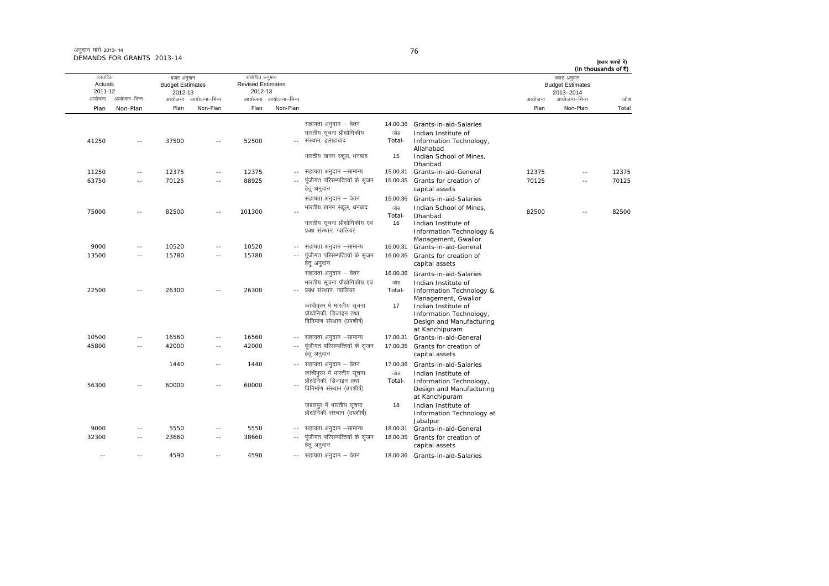| अनुदान मांगे 2013-14       |  |
|----------------------------|--|
| DEMANDS FOR GRANTS 2013-14 |  |

| वास्तविक<br>Actuals<br>2011-12 |              | बजट अनुमान<br><b>Budget Estimates</b><br>2012-13 |                | संशोधित अनुमान<br><b>Revised Estimates</b><br>2012-13 |                     |                                                           |          |                                              |        | बजट अनुमान<br><b>Budget Estimates</b><br>2013-2014 |       |
|--------------------------------|--------------|--------------------------------------------------|----------------|-------------------------------------------------------|---------------------|-----------------------------------------------------------|----------|----------------------------------------------|--------|----------------------------------------------------|-------|
| आयोजना                         | आयोजना–भिन्न | आयोजना                                           | आयोजना–भिन्न   |                                                       | आयोजना आयोजना–भिन्न |                                                           |          |                                              | आयोजना | आयोजना–भिन्न                                       | जोड   |
| Plan                           | Non-Plan     | Plan                                             | Non-Plan       | Plan                                                  | Non-Plan            |                                                           |          |                                              | Plan   | Non-Plan                                           | Total |
|                                |              |                                                  |                |                                                       |                     | सहायता अनुदान – वेतन                                      | 14.00.36 | Grants-in-aid-Salaries                       |        |                                                    |       |
|                                |              |                                                  |                |                                                       |                     | भारतीय सुचना प्रौद्योगिकीय                                | जोड      | Indian Institute of                          |        |                                                    |       |
| 41250                          | $\sim$       | 37500                                            | $\sim$         | 52500                                                 |                     | -- संस्थान, इलाहाबाद                                      | Total-   | Information Technology,<br>Allahabad         |        |                                                    |       |
|                                |              |                                                  |                |                                                       |                     | भारतीय खनन स्कूल, धनबाद                                   | 15       | Indian School of Mines,<br>Dhanbad           |        |                                                    |       |
| 11250                          | $\sim$ $-$   | 12375                                            | $\sim$ $-$     | 12375                                                 | $\sim$ $\sim$       | सहायता अनुदान –सामान्य                                    | 15.00.31 | Grants-in-aid-General                        | 12375  | $\sim$ $\sim$                                      | 12375 |
| 63750                          | $\sim$       | 70125                                            | $\sim$ $\sim$  | 88925                                                 |                     | पूंजीगत परिसम्पत्तियों के सृजन<br>हेत् अनुदान             | 15.00.35 | Grants for creation of<br>capital assets     | 70125  | $\sim$                                             | 70125 |
|                                |              |                                                  |                |                                                       |                     | सहायता अनुदान – वेतन                                      | 15.00.36 | Grants-in-aid-Salaries                       |        |                                                    |       |
|                                |              |                                                  |                |                                                       |                     | भारतीय खनन स्कूल, धनबाद                                   | जोड      | Indian School of Mines,                      |        |                                                    |       |
| 75000                          | $\sim$       | 82500                                            | $\overline{a}$ | 101300                                                | $\sim$              |                                                           | Total-   | Dhanbad                                      | 82500  | $\overline{\phantom{a}}$                           | 82500 |
|                                |              |                                                  |                |                                                       |                     | भारतीय सूचना प्रौद्योगिकीय एवं                            | 16       | Indian Institute of                          |        |                                                    |       |
|                                |              |                                                  |                |                                                       |                     | प्रबंध संस्थान, ग्वालियर                                  |          | Information Technology &                     |        |                                                    |       |
| 9000                           | $\sim$ $-$   | 10520                                            | $\sim$ $-$     | 10520                                                 | $\sim$ $-$          | सहायता अनुदान –सामान्य                                    | 16.00.31 | Management, Gwalior<br>Grants-in-aid-General |        |                                                    |       |
| 13500                          | $\sim$ $-$   | 15780                                            | $\sim$ $\sim$  | 15780                                                 |                     | पूंजीगत परिसम्पत्तियों के सृजन                            | 16.00.35 | Grants for creation of                       |        |                                                    |       |
|                                |              |                                                  |                |                                                       |                     | हेत् अनुदान                                               |          | capital assets                               |        |                                                    |       |
|                                |              |                                                  |                |                                                       |                     | सहायता अनुदान – वेतन                                      | 16.00.36 | Grants-in-aid-Salaries                       |        |                                                    |       |
|                                |              |                                                  |                |                                                       |                     | भारतीय सूचना प्रौद्योगिकीय एवं                            | जोड      | Indian Institute of                          |        |                                                    |       |
| 22500                          | $\sim$       | 26300                                            | $\sim$         | 26300                                                 |                     | प्रबंध संस्थान. ग्वालियर                                  | Total-   | Information Technology &                     |        |                                                    |       |
|                                |              |                                                  |                |                                                       |                     |                                                           |          | Management, Gwalior                          |        |                                                    |       |
|                                |              |                                                  |                |                                                       |                     | कांचीपुरम में भारतीय सुचना                                | 17       | Indian Institute of                          |        |                                                    |       |
|                                |              |                                                  |                |                                                       |                     | प्रौद्योगिकी, डिजाइन तथा                                  |          | Information Technology,                      |        |                                                    |       |
|                                |              |                                                  |                |                                                       |                     | विनिर्माण संस्थान (उपशीर्ष)                               |          | Design and Manufacturing                     |        |                                                    |       |
| 10500                          | $\sim$ $-$   | 16560                                            | $\sim$ $-$     | 16560                                                 |                     | -- सहायता अनुदान –सामान्य                                 | 17.00.31 | at Kanchipuram<br>Grants-in-aid-General      |        |                                                    |       |
| 45800                          | $\sim$       | 42000                                            | $\sim$ $\sim$  | 42000                                                 | $\sim$ $-$          | पूंजीगत परिसम्पत्तियों के सृजन                            | 17.00.35 | Grants for creation of                       |        |                                                    |       |
|                                |              |                                                  |                |                                                       |                     | हेतु अनुदान                                               |          | capital assets                               |        |                                                    |       |
|                                |              | 1440                                             | $\sim$ $-$     | 1440                                                  |                     | -- सहायता अनुदान – वेतन                                   | 17.00.36 | Grants-in-aid-Salaries                       |        |                                                    |       |
|                                |              |                                                  |                |                                                       |                     | कांचीपुरम में भारतीय सूचना                                | जोड      | Indian Institute of                          |        |                                                    |       |
| 56300                          |              | 60000                                            | $\sim$ $\sim$  | 60000                                                 |                     | प्रौद्योगिकी, डिजाइन तथा                                  | Total-   | Information Technology,                      |        |                                                    |       |
|                                |              |                                                  |                |                                                       |                     | विनिर्माण संस्थान (उपशीर्ष)                               |          | Design and Manufacturing                     |        |                                                    |       |
|                                |              |                                                  |                |                                                       |                     |                                                           |          | at Kanchipuram                               |        |                                                    |       |
|                                |              |                                                  |                |                                                       |                     | जबलपुर में भारतीय सूचना<br>प्रौद्योगिकी संस्थान (उपशीर्ष) | 18       | Indian Institute of                          |        |                                                    |       |
|                                |              |                                                  |                |                                                       |                     |                                                           |          | Information Technology at<br>Jabalpur        |        |                                                    |       |
| 9000                           | $\sim$ $-$   | 5550                                             | $\sim$ $\sim$  | 5550                                                  | $\sim$ $\sim$       | सहायता अनुदान –सामान्य                                    | 18.00.31 | Grants-in-aid-General                        |        |                                                    |       |
| 32300                          | $\sim$       | 23660                                            | $\sim$ $-$     | 38660                                                 | $\sim$ $\sim$       | पूंजीगत परिसम्पत्तियों के सृजन                            | 18.00.35 | Grants for creation of                       |        |                                                    |       |
|                                |              |                                                  |                |                                                       |                     | हेतु अनुदान                                               |          | capital assets                               |        |                                                    |       |
| $\sim$ $\sim$                  | $\sim$       | 4590                                             | $\sim$         | 4590                                                  |                     | -- सहायता अनुदान – वेतन                                   |          | 18.00.36 Grants-in-aid-Salaries              |        |                                                    |       |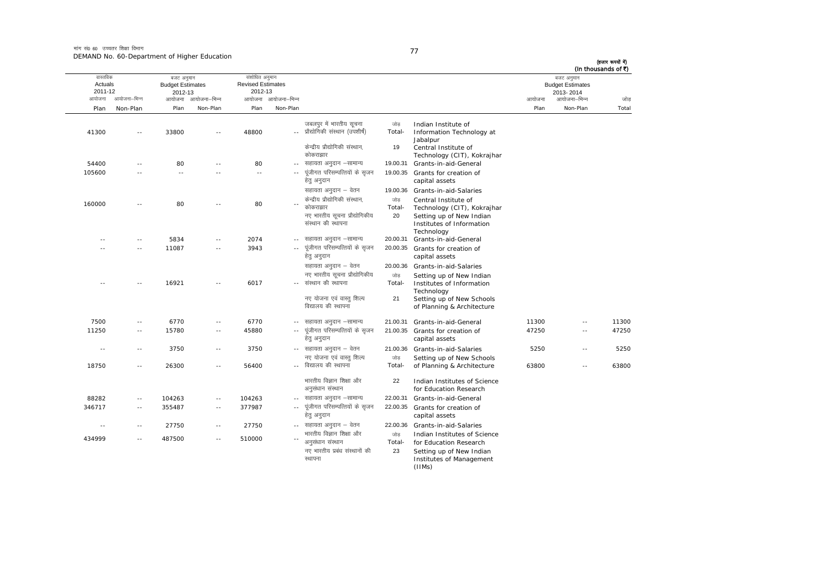मांग सं0 60 उच्चतर शिक्षा विभाग DEMAND No. 60-Department of Higher Education

(हजार रूपयों में)

|              | (In thousands of ₹)                                                |                |                                                                                                                                                      |                                 |                                                                                                                            |                          |                                                       |                          |                                                  |              |                                          |
|--------------|--------------------------------------------------------------------|----------------|------------------------------------------------------------------------------------------------------------------------------------------------------|---------------------------------|----------------------------------------------------------------------------------------------------------------------------|--------------------------|-------------------------------------------------------|--------------------------|--------------------------------------------------|--------------|------------------------------------------|
|              | बजट अनुमान<br><b>Budget Estimates</b><br>2013-2014<br>आयोजना–भिन्न |                |                                                                                                                                                      |                                 |                                                                                                                            | आयोजना आयोजना–भिन्न      | संशोधित अनुमान<br><b>Revised Estimates</b><br>2012-13 | आयोजना आयोजना–भिन्न      | बजट अनुमान<br><b>Budget Estimates</b><br>2012-13 | आयोजना–भिन्न | वास्तविक<br>Actuals<br>2011-12<br>आयोजना |
| जोड<br>Total | Non-Plan                                                           | आयोजना<br>Plan |                                                                                                                                                      |                                 |                                                                                                                            | Non-Plan                 | Plan                                                  | Non-Plan                 | Plan                                             | Non-Plan     | Plan                                     |
|              |                                                                    |                | Indian Institute of<br>Information Technology at                                                                                                     | जोड<br>Total-                   | जबलपुर में भारतीय सूचना<br>प्रौद्योगिकी संस्थान (उपशीर्ष)                                                                  | $\sim$ $-$               | 48800                                                 | $\overline{a}$           | 33800                                            | $-$          | 41300                                    |
|              |                                                                    |                | Jabalpur<br>Central Institute of<br>Technology (CIT), Kokrajhar                                                                                      | 19                              | केन्द्रीय प्रौद्योगिकी संस्थान,<br>कोकराझार                                                                                |                          |                                                       |                          |                                                  |              |                                          |
|              |                                                                    |                | Grants-in-aid-General                                                                                                                                | 19.00.31                        | सहायता अनुदान –सामान्य                                                                                                     | $\sim$ $\sim$            | 80                                                    | $\sim$                   | 80                                               | $\sim$       | 54400                                    |
|              |                                                                    |                | Grants for creation of<br>capital assets                                                                                                             | 19.00.35                        | पूंजीगत परिसम्पत्तियों के सृजन<br>हेत् अनुदान                                                                              | $\sim$ $-$               | $\sim$                                                |                          | $\sim$                                           |              | 105600                                   |
|              |                                                                    |                | Grants-in-aid-Salaries<br>Central Institute of<br>Technology (CIT), Kokrajhar<br>Setting up of New Indian<br>Institutes of Information<br>Technology | 19.00.36<br>जोड<br>Total-<br>20 | सहायता अनुदान – वेतन<br>केन्द्रीय प्रौद्योगिकी संस्थान,<br>कोकराझार<br>नए भारतीय सूचना प्रौद्योगिकीय<br>संस्थान की स्थापना | ٠.                       | 80                                                    |                          | 80                                               |              | 160000                                   |
|              |                                                                    |                | Grants-in-aid-General                                                                                                                                | 20.00.31                        | सहायता अनुदान –सामान्य                                                                                                     |                          | 2074                                                  | $-$                      | 5834                                             | $\sim$ $-$   | ٠.                                       |
|              |                                                                    |                | Grants for creation of<br>capital assets                                                                                                             | 20.00.35                        | पूंजीगत परिसम्पत्तियों के सृजन<br>हेत् अनुदान                                                                              |                          | 3943                                                  | $\sim$                   | 11087                                            | $-1$         |                                          |
|              |                                                                    |                | Grants-in-aid-Salaries                                                                                                                               | 20.00.36                        | सहायता अनुदान – वेतन                                                                                                       |                          |                                                       |                          |                                                  |              |                                          |
|              |                                                                    |                | Setting up of New Indian                                                                                                                             | जोड                             | नए भारतीय सूचना प्रौद्योगिकीय                                                                                              |                          |                                                       |                          |                                                  |              |                                          |
|              |                                                                    |                | Institutes of Information<br>Technology<br>Setting up of New Schools<br>of Planning & Architecture                                                   | Total-<br>21                    | संस्थान की स्थापना<br>नए योजना एवं वास्त् शिल्प<br>विद्यालय की स्थापना                                                     | $\overline{a}$           | 6017                                                  | $\overline{a}$           | 16921                                            |              | Ξ.                                       |
| 11300        | $\sim$ $-$                                                         | 11300          | Grants-in-aid-General                                                                                                                                | 21.00.31                        | सहायता अनुदान –सामान्य                                                                                                     | $- -$                    | 6770                                                  | $\overline{\phantom{a}}$ | 6770                                             | $\sim$ $-$   | 7500                                     |
| 47250        | $\sim$                                                             | 47250          | Grants for creation of<br>capital assets                                                                                                             | 21.00.35                        | पूंजीगत परिसम्पत्तियों के सृजन<br>हेत् अनुदान                                                                              | $\sim$ $\sim$            | 45880                                                 | $\sim$                   | 15780                                            | $\sim$ $-$   | 11250                                    |
| 5250         | $\sim$ $-$                                                         | 5250           | Grants-in-aid-Salaries                                                                                                                               | 21.00.36                        | -- सहायता अनुदान – वेतन                                                                                                    |                          | 3750                                                  | $\overline{\phantom{a}}$ | 3750                                             | $\sim$ $-$   | $\sim$ $-$                               |
| 63800        | $\sim$ $-$                                                         | 63800          | Setting up of New Schools<br>of Planning & Architecture                                                                                              | जोड<br>Total-                   | नए योजना एवं वास्त् शिल्प<br>-- विद्यालय की स्थापना                                                                        |                          | 56400                                                 | $\sim$ $\sim$            | 26300                                            | $\sim$ $-$   | 18750                                    |
|              |                                                                    |                | Indian Institutes of Science<br>for Education Research                                                                                               | 22                              | भारतीय विज्ञान शिक्षा और<br>अनुसंधान संस्थान                                                                               |                          |                                                       |                          |                                                  |              |                                          |
|              |                                                                    |                | Grants-in-aid-General                                                                                                                                | 22.00.31                        | सहायता अनुदान –सामान्य                                                                                                     | $\sim$ $-$               | 104263                                                | $\sim$ $-$               | 104263                                           | $\sim$ $-$   | 88282                                    |
|              |                                                                    |                | Grants for creation of<br>capital assets                                                                                                             | 22.00.35                        | पूंजीगत परिसम्पत्तियों के सृजन<br>हेतु अनुदान                                                                              | $\sim$ $-$               | 377987                                                | $\sim$ $\sim$            | 355487                                           | $\sim$ $-$   | 346717                                   |
|              |                                                                    |                | Grants-in-aid-Salaries                                                                                                                               | 22.00.36                        | सहायता अनुदान – वेतन                                                                                                       | $\overline{\phantom{a}}$ | 27750                                                 | $\sim$ $\sim$            | 27750                                            | $\sim$ $-$   | $\sim$ $-$                               |
|              |                                                                    |                | Indian Institutes of Science<br>for Education Research<br>Setting up of New Indian<br>Institutes of Management                                       | जोड<br>Total-<br>23             | भारतीय विज्ञान शिक्षा और<br>अनुसंधान संस्थान<br>नए भारतीय प्रबंध संस्थानों की<br>स्थापना                                   | $-$                      | 510000                                                | $\sim$ $\sim$            | 487500                                           | $\sim$ $-$   | 434999                                   |

(IIMs)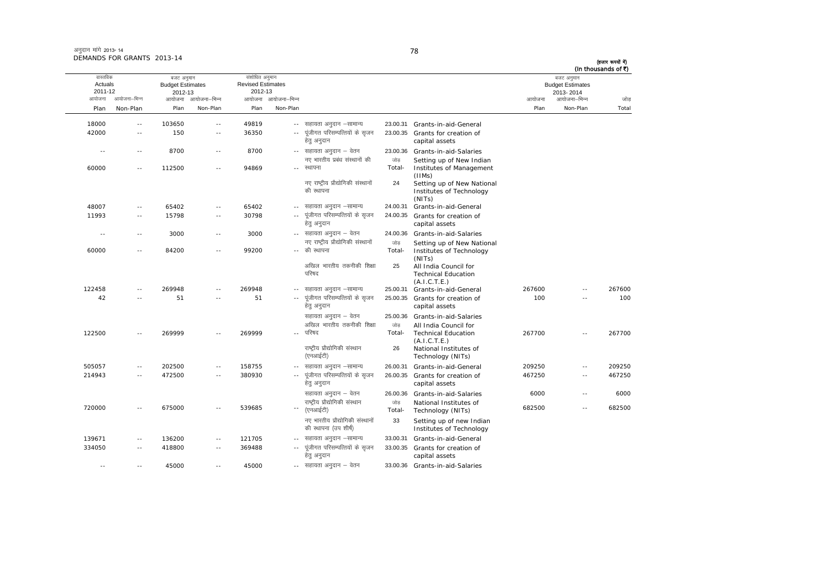| अनुदान मांगे 2013-14       |  |
|----------------------------|--|
| DEMANDS FOR GRANTS 2013-14 |  |

(हजार रूपयों में) (In thousands of ₹)

| (In thousands of ₹) |                                                                    |        |                                                                               |               |                                                           |                            |                                                                 |                          |                                                            |              |                                          |
|---------------------|--------------------------------------------------------------------|--------|-------------------------------------------------------------------------------|---------------|-----------------------------------------------------------|----------------------------|-----------------------------------------------------------------|--------------------------|------------------------------------------------------------|--------------|------------------------------------------|
| जोड                 | बजट अनुमान<br><b>Budget Estimates</b><br>2013-2014<br>आयोजना–भिन्न | आयोजना |                                                                               |               |                                                           | आयोजना–भिन्न               | संशोधित अनुमान<br><b>Revised Estimates</b><br>2012-13<br>आयोजना | आयोजना–भिन्न             | बजट अनुमान<br><b>Budget Estimates</b><br>2012-13<br>आयोजना | आयोजना–भिन्न | वास्तविक<br>Actuals<br>2011-12<br>आयोजना |
|                     |                                                                    |        |                                                                               |               |                                                           |                            |                                                                 |                          |                                                            |              |                                          |
| Total               | Non-Plan                                                           | Plan   |                                                                               |               |                                                           | Non-Plan                   | Plan                                                            | Non-Plan                 | Plan                                                       | Non-Plan     | Plan                                     |
|                     |                                                                    |        | Grants-in-aid-General                                                         | 23.00.31      | सहायता अनुदान –सामान्य                                    | $\sim$ $\sim$              | 49819                                                           | $\sim$ $-$               | 103650                                                     | $\sim$ $-$   | 18000                                    |
|                     |                                                                    |        | Grants for creation of<br>capital assets                                      | 23.00.35      | पूंजीगत परिसम्पत्तियों के सृजन<br>हेतु अनुदान             | $\sim$                     | 36350                                                           | $\sim$                   | 150                                                        | $\sim$ $-$   | 42000                                    |
|                     |                                                                    |        | Grants-in-aid-Salaries                                                        | 23.00.36      | -- सहायता अनुदान – वेतन                                   |                            | 8700                                                            | $\sim$ $-$               | 8700                                                       | $\sim$ $-$   | $\sim$ $\sim$                            |
|                     |                                                                    |        | Setting up of New Indian<br>Institutes of Management<br>(IIMs)                | जोड<br>Total- | नए भारतीय प्रबंध संस्थानों की<br>रथापना                   |                            | 94869                                                           | $\sim$ $\sim$            | 112500                                                     | $\sim$ $-$   | 60000                                    |
|                     |                                                                    |        | Setting up of New National<br>Institutes of Technology<br>(NITs)              | 24            | नए राष्ट्रीय प्रौद्योगिकी संस्थानों<br>की स्थापना         |                            |                                                                 |                          |                                                            |              |                                          |
|                     |                                                                    |        | Grants-in-aid-General                                                         | 24.00.31      | सहायता अनुदान –सामान्य                                    | $\sim$ $-$                 | 65402                                                           | $\sim$ $-$               | 65402                                                      | $\sim$       | 48007                                    |
|                     |                                                                    |        | Grants for creation of<br>capital assets                                      | 24.00.35      | पूंजीगत परिसम्पत्तियों के सृजन<br>हेत् अनुदान             | $\sim$ $-$                 | 30798                                                           | $\sim$ $-$               | 15798                                                      | $\sim$ $-$   | 11993                                    |
|                     |                                                                    |        | Grants-in-aid-Salaries                                                        | 24.00.36      | -- सहायता अनुदान – वेतन                                   |                            | 3000                                                            | $\sim$ $-$               | 3000                                                       | $\sim$ $-$   | $\sim$ $\sim$                            |
|                     |                                                                    |        | Setting up of New National<br>Institutes of Technology                        | जोड<br>Total- | नए राष्ट्रीय प्रौद्योगिकी संस्थानों<br>-- की स्थापना      |                            | 99200                                                           | $-$                      | 84200                                                      | $\sim$ $-$   | 60000                                    |
|                     |                                                                    |        | (NITs)<br>All India Council for<br><b>Technical Education</b><br>(A.I.C.T.E.) | 25            | अखिल भारतीय तकनीकी शिक्षा<br>परिषद                        |                            |                                                                 |                          |                                                            |              |                                          |
| 267600              | $\sim$                                                             | 267600 | Grants-in-aid-General                                                         | 25.00.31      | सहायता अनुदान –सामान्य                                    |                            | 269948                                                          | $\sim$                   | 269948                                                     | $\sim$ $-$   | 122458                                   |
| 100                 |                                                                    | 100    | Grants for creation of<br>capital assets                                      | 25.00.35      | पूंजीगत परिसम्पत्तियों के सृजन<br>हेतु अनुदान             |                            | 51                                                              |                          | 51                                                         |              | 42                                       |
|                     |                                                                    |        | Grants-in-aid-Salaries                                                        | 25.00.36      | सहायता अनुदान – वेतन                                      |                            |                                                                 |                          |                                                            |              |                                          |
| 267700              | $\sim$ $\sim$                                                      | 267700 | All India Council for<br><b>Technical Education</b>                           | जोड<br>Total- | अखिल भारतीय तकनीकी शिक्षा<br>परिषद                        | $-$                        | 269999                                                          | $\sim$                   | 269999                                                     | $\sim$       | 122500                                   |
|                     |                                                                    |        | (A.I.C.T.E.)<br>National Institutes of<br>Technology (NITs)                   | 26            | राष्ट्रीय प्रौद्योगिकी संस्थान<br>(एनआईटी)                |                            |                                                                 |                          |                                                            |              |                                          |
| 209250              | $\sim$ $\sim$                                                      | 209250 | Grants-in-aid-General                                                         | 26.00.31      | सहायता अनुदान –सामान्य                                    |                            | 158755                                                          | $-$                      | 202500                                                     | $\sim$ $-$   | 505057                                   |
| 467250              | $\sim$ $-$                                                         | 467250 | Grants for creation of<br>capital assets                                      | 26.00.35      | पूंजीगत परिसम्पत्तियों के सृजन<br>हेत् अनुदान             | $\sim$ $-$                 | 380930                                                          | $\sim$ $-$               | 472500                                                     | $\sim$ $-$   | 214943                                   |
| 6000                | $\sim$ $\sim$                                                      | 6000   | Grants-in-aid-Salaries                                                        | 26.00.36      | सहायता अनुदान – वेतन                                      |                            |                                                                 |                          |                                                            |              |                                          |
| 682500              | $\sim$                                                             | 682500 | National Institutes of<br>Technology (NITs)                                   | जोड<br>Total- | राष्ट्रीय प्रौद्योगिकी संस्थान<br>(एनआईटी)                | $\overline{\phantom{a}}$ . | 539685                                                          | $\sim$                   | 675000                                                     | $\sim$       | 720000                                   |
|                     |                                                                    |        | Setting up of new Indian<br>Institutes of Technology                          | 33            | नए भारतीय प्रौद्योगिकी संस्थानों<br>की स्थापना (उप शीर्ष) |                            |                                                                 |                          |                                                            |              |                                          |
|                     |                                                                    |        | Grants-in-aid-General                                                         | 33.00.31      | सहायता अनुदान -सामान्य                                    |                            | 121705                                                          | $\overline{\phantom{a}}$ | 136200                                                     | $\sim$ $-$   | 139671                                   |
|                     |                                                                    |        | Grants for creation of<br>capital assets                                      | 33.00.35      | पूंजीगत परिसम्पत्तियों के सृजन<br>हेत् अनुदान             |                            | 369488                                                          | $\sim$                   | 418800                                                     | $\sim$ $-$   | 334050                                   |
|                     |                                                                    |        | 33.00.36 Grants-in-aid-Salaries                                               |               | -- सहायता अनुदान – वेतन                                   |                            | 45000                                                           | $\overline{\phantom{a}}$ | 45000                                                      | $\sim$       | $\sim$ $-$                               |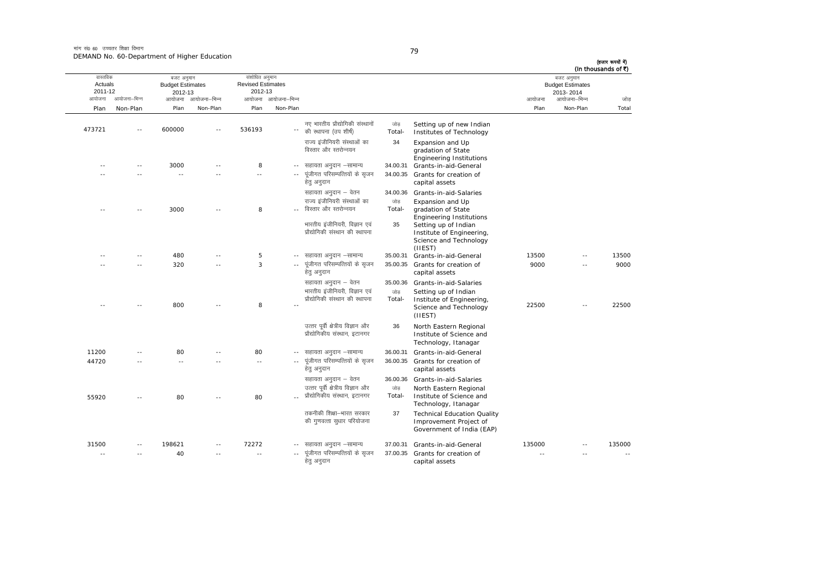मांग सं0 60 उच्चतर शिक्षा विभाग DEMAND No. 60-Department of Higher Education

| I<br>×<br>۰. |
|--------------|

| (In thousands of ₹) | बजट अनुमान                           |        |                                                                                                                           |                |                                                                    |                          | संशोधित अनुमान                      |                     | बजट अनुमान                         |                | वास्तविक           |
|---------------------|--------------------------------------|--------|---------------------------------------------------------------------------------------------------------------------------|----------------|--------------------------------------------------------------------|--------------------------|-------------------------------------|---------------------|------------------------------------|----------------|--------------------|
|                     | <b>Budget Estimates</b><br>2013-2014 |        |                                                                                                                           |                |                                                                    |                          | <b>Revised Estimates</b><br>2012-13 |                     | <b>Budget Estimates</b><br>2012-13 |                | Actuals<br>2011-12 |
| जोड़                | आयोजना–भिन्न                         | आयोजना |                                                                                                                           |                |                                                                    | आयोजना आयोजना–भिन्न      |                                     | आयोजना आयोजना–भिन्न |                                    | आयोजना–भिन्न   | आयोजना             |
| Total               | Non-Plan                             | Plan   |                                                                                                                           |                |                                                                    | Non-Plan                 | Plan                                | Non-Plan            | Plan                               | Non-Plan       | Plan               |
|                     |                                      |        | Setting up of new Indian<br>Institutes of Technology                                                                      | जोड़<br>Total- | नए भारतीय प्रौद्योगिकी संस्थानों<br>की स्थापना (उप शीर्ष)          | $\overline{\phantom{a}}$ | 536193                              |                     | 600000                             |                | 473721             |
|                     |                                      |        | Expansion and Up<br>gradation of State<br><b>Engineering Institutions</b>                                                 | 34             | राज्य इंजीनियरी संस्थाओं का<br>विस्तार और स्तरोन्नयन               |                          |                                     |                     |                                    |                |                    |
|                     |                                      |        | 34.00.31 Grants-in-aid-General                                                                                            |                | सहायता अनुदान –सामान्य                                             |                          | 8                                   |                     | 3000                               |                |                    |
|                     |                                      |        | 34.00.35 Grants for creation of<br>capital assets                                                                         |                | पूंजीगत परिसम्पत्तियों के सृजन<br>हेतु अनुदान                      | $\sim$                   | $\sim$ $-$                          |                     | $\sim$                             | $\overline{a}$ |                    |
|                     |                                      |        | 34.00.36 Grants-in-aid-Salaries                                                                                           |                | सहायता अनुदान – वेतन                                               |                          |                                     |                     |                                    |                |                    |
|                     |                                      |        | Expansion and Up<br>gradation of State                                                                                    | जोड़<br>Total- | राज्य इंजीनियरी संस्थाओं का<br>विस्तार और स्तरोन्नयन               |                          | 8                                   |                     | 3000                               |                |                    |
|                     |                                      |        | <b>Engineering Institutions</b><br>Setting up of Indian<br>Institute of Engineering,<br>Science and Technology<br>(IIEST) | 35             | भारतीय इंजीनियरी, विज्ञान एवं<br>प्रौद्योगिकी संस्थान की स्थापना   |                          |                                     |                     |                                    |                |                    |
| 13500               | $\sim$                               | 13500  | 35.00.31 Grants-in-aid-General                                                                                            |                | सहायता अनुदान –सामान्य                                             | $- -$                    | 5                                   |                     | 480                                |                |                    |
| 9000                |                                      | 9000   | 35.00.35 Grants for creation of<br>capital assets                                                                         |                | पूंजीगत परिसम्पत्तियों के सृजन<br>हेत् अनुदान                      |                          | 3                                   |                     | 320                                |                |                    |
|                     |                                      |        | 35.00.36 Grants-in-aid-Salaries                                                                                           |                | सहायता अनुदान – वेतन                                               |                          |                                     |                     |                                    |                |                    |
|                     |                                      |        | Setting up of Indian                                                                                                      | जोड            | भारतीय इंजीनियरी, विज्ञान एवं                                      |                          |                                     |                     |                                    |                |                    |
| 22500               |                                      | 22500  | Institute of Engineering,<br>Science and Technology<br>(IIEST)                                                            | Total-         | प्रौद्योगिकी संस्थान की स्थापना                                    |                          | 8                                   |                     | 800                                |                |                    |
|                     |                                      |        | North Eastern Regional<br>Institute of Science and<br>Technology, Itanagar                                                | 36             | उत्तर पूर्वी क्षेत्रीय विज्ञान और<br>प्रौद्योगिकीय संस्थान, इटानगर |                          |                                     |                     |                                    |                |                    |
|                     |                                      |        | Grants-in-aid-General                                                                                                     | 36.00.31       | सहायता अनुदान –सामान्य                                             |                          | 80                                  |                     | 80                                 |                | 11200              |
|                     |                                      |        | Grants for creation of<br>capital assets                                                                                  | 36.00.35       | पूंजीगत परिसम्पत्तियों के सृजन<br>हेतु अनुदान                      | $\overline{a}$           | $\overline{\phantom{a}}$            |                     | $\sim$                             |                | 44720              |
|                     |                                      |        | 36.00.36 Grants-in-aid-Salaries                                                                                           |                | सहायता अनुदान – वेतन                                               |                          |                                     |                     |                                    |                |                    |
|                     |                                      |        | North Eastern Regional<br>Institute of Science and<br>Technology, Itanagar                                                | जोड<br>Total-  | उत्तर पूर्वी क्षेत्रीय विज्ञान और<br>प्रौद्योगिकीय संस्थान, इटानगर |                          | 80                                  |                     | 80                                 |                | 55920              |
|                     |                                      |        | <b>Technical Education Quality</b><br>Improvement Project of<br>Government of India (EAP)                                 | 37             | तकनीकी शिक्षा-भारत सरकार<br>की गुणवत्ता सुधार परियोजना             |                          |                                     |                     |                                    |                |                    |
| 135000              |                                      | 135000 | 37.00.31 Grants-in-aid-General                                                                                            |                | सहायता अनुदान –सामान्य                                             |                          | 72272                               |                     | 198621                             | $\sim$         | 31500              |
| $\sim$              |                                      | $\sim$ | Grants for creation of<br>capital assets                                                                                  | 37.00.35       | पूंजीगत परिसम्पत्तियों के सृजन<br>हेतु अनुदान                      | $\sim$                   | $\sim$                              | $\sim$              | 40                                 | $\sim$ $\sim$  | $\sim$             |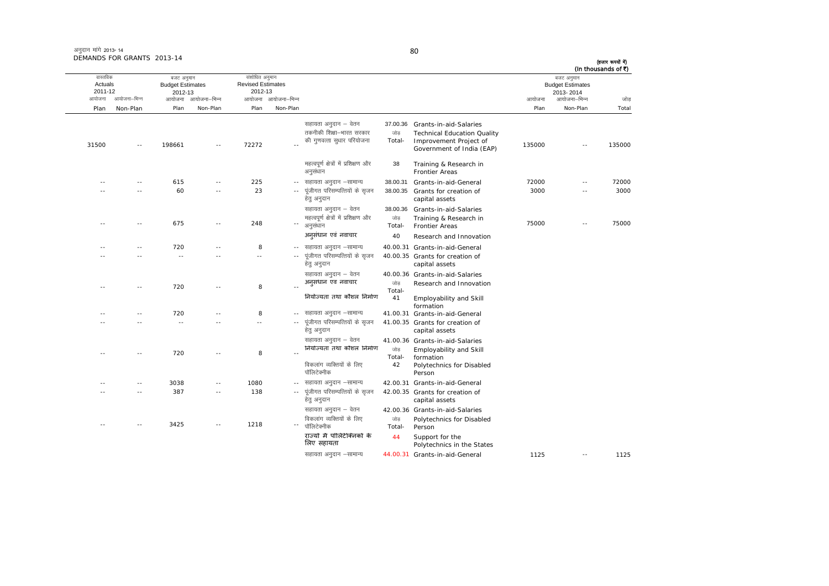| अनुदान मांगे 2013- 14      |  |
|----------------------------|--|
| DEMANDS FOR GRANTS 2013-14 |  |

ः<br>आयोजना आयोजना–भिन्न आयोजना आयोजना-भिन्न - आयोजना आयोजना-भिन्न न अपयोजना—भिन्न जाउँ विकास समिति । अपनी अपयोजना आयोजना—भिन्न जोड Plan Non-Plan Plan Non-Plan Plan Non-Plan Plan Non-Plan Total वास्तविक Actuals2011-12बजट अनुमान Budget Estimates 2012-13संशोधित अनुमान Revised Estimates2012-13 बजट अनुमान Budget Estimates 2013- 2014 (हजार रूपयों में) (In thousands of  $\bar{x}$ ) सहायता अनुदान – वेतन 37.00.36 Grants-in-aid-Salaries 31500 -- 198661 -- 72272 --तकनीकी शिक्षा—भारत सरकार की गुणवत्ता सुधार परियोजना  $\frac{1}{100}$ Total-Technical Education Quality Improvement Project of Improvement Project of<br>Government of India (EAP) 135000 -- 135000 महत्वपूर्ण क्षेत्रों में प्रशिक्षण और अनुसंधान 38 Training & Research in Frontier Areas-- -- 615 -- 225 - lgk;rk vuqnku &lkekU; 38.00.31 Grants-in-aid-General 72000 -- 72000 -- -- 60 -- 23 ---- पूंजीगत परिसम्पत्तियों के सृजन हेतु अनुदान 38.00.35 Grants for creation of capital assets 3000 -- 30003000 lgk;rk vuqnku & osru 38.00.36 Grants-in-aid-Salaries -- -- 675 -- 248 - egRoiw.kZ {ks=ksa esa izf'k{k.k vkSj vuqla/kku tksM+ Total- Training & Research in Frontier Areas <sup>75000</sup> -- <sup>75000</sup> अन 40 Research and Innovation -- -- 720 -- 8 ---- सहायता अनुदान -सामान्य 40.00.31 Grants-in-aid-General -- -- -- -- -- ---- पंजीगत परिसम्पत्तियों के सुजन हेतु अनुदान 40.00.35 Grants for creation of capital assets सहायता अनुदान – वेतन 40.00.36 Grants-in-aid-Salaries -- -- 720 -- 8 --<mark>अनुसंधान एवं नवाचार</mark> स्कार कोड Total-Research and Innovation नियोज्यता तथा कौशल निर्माण 41 Employability and Skill formationlgk;rk variation and the start variation and variation and the start and alternation and the start and the sta -- -- 720 -- 8 ---- -- -- -- -- ---- पूंजीगत परिसम्पत्तियों के सृजन हेत अनदान 41.00.35 Grants for creation of capital assets सहायता अनुदान – वेतन 41.00.36 Grants-in-aid-Salaries -- 720 -- 8 --नियोज्यता तथा कौशल निर्माण जोड Total-Employability and Skill formation Polytechnics for Disabled विकलांग व्यक्तियों के लिए पॉलिटेक्नीक 42Person---- 3038 -- 1080 -- सहायता अनुदान –सामान्य 42.00.31 Grants-in-aid-General -- -- 387 -- 138 --.<sub>-</sub> पूंजीगत परिसम्पत्तियों के सृजन हेतु अनुदान 42.00.35 Grants for creation of capital assets सहायता अनुदान – वेतन 42.00.36 Grants-in-aid-Salaries -- -- 3425 -- 1218 --विकलांग व्यक्तियों के लिए पॉलिटेक्नीक जोड Total-Polytechnics for Disabled Personराज्यो मे पॉलिटेक्निको के िलए सहायता 44 Support for the Polytechnics in the States lgk;rk vuqnku &lkekU; 44.00.31 Grants-in-aid-General 1125 -- 1125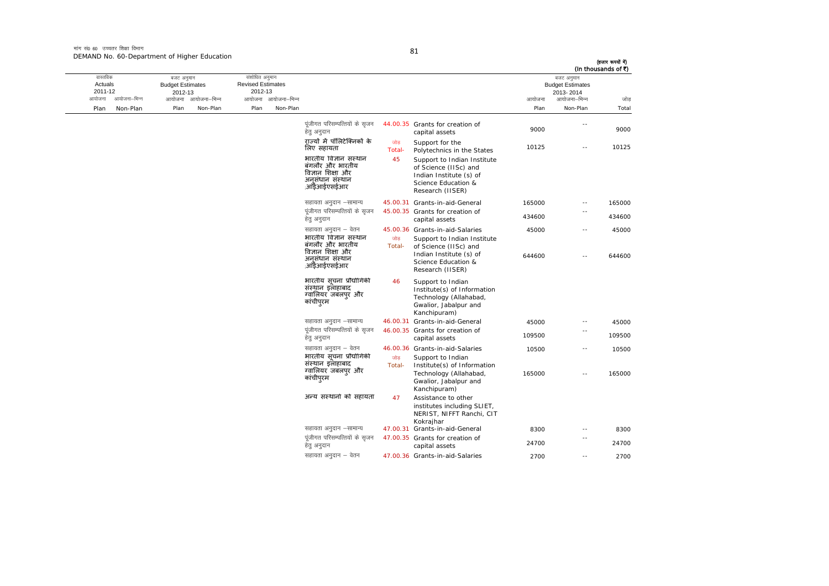मांग सं0 60 उच्चतर शिक्षा विभाग DEMAND No. 60-Department of Higher Education

|        |  | I |  |
|--------|--|---|--|
| ï<br>× |  |   |  |

| (In thousands of ₹)<br>जोड<br>Total | बजट अनुमान<br><b>Budget Estimates</b><br>2013-2014 |        |                                                                                                                            |               |                                                                                                    | संशोधित अनुमान<br><b>Revised Estimates</b><br>2012-13 |      | बजट अनुमान<br><b>Budget Estimates</b><br>2012-13 |      |              | वास्तविक<br>Actuals<br>2011-12 |
|-------------------------------------|----------------------------------------------------|--------|----------------------------------------------------------------------------------------------------------------------------|---------------|----------------------------------------------------------------------------------------------------|-------------------------------------------------------|------|--------------------------------------------------|------|--------------|--------------------------------|
|                                     | आयोजना–भिन्न                                       | आयोजना |                                                                                                                            |               |                                                                                                    | आयोजना आयोजना-भिन्न                                   |      | आयोजना आयोजना-भिन्न                              |      | आयोजना–भिन्न | आयोजना                         |
|                                     | Non-Plan                                           | Plan   |                                                                                                                            |               |                                                                                                    | Non-Plan                                              | Plan | Non-Plan                                         | Plan | Non-Plan     | Plan                           |
| 9000                                | $ -$                                               | 9000   | 44.00.35 Grants for creation of<br>capital assets                                                                          |               | पंजीगत परिसम्पत्तियों के सजन<br>हेतु अनुदान                                                        |                                                       |      |                                                  |      |              |                                |
| 10125                               | $\sim$                                             | 10125  | Support for the<br>Polytechnics in the States                                                                              | जोड<br>Total- | राज्यों में पॉलिटेक्निकों के<br>लिए सहायता                                                         |                                                       |      |                                                  |      |              |                                |
|                                     |                                                    |        | Support to Indian Institute<br>of Science (IISc) and<br>Indian Institute (s) of<br>Science Education &<br>Research (IISER) | 45            | भारतीय विज्ञान संस्थान<br>बंगलौर और भारतीय<br>विज्ञान शिक्षा और<br>अनसंधान संस्थान<br>,आँडेआईएसईआर |                                                       |      |                                                  |      |              |                                |
| 165000                              | $\sim$ $-$                                         | 165000 | 45.00.31 Grants-in-aid-General                                                                                             |               | सहायता अनुदान –सामान्य                                                                             |                                                       |      |                                                  |      |              |                                |
| 434600                              | $-$                                                | 434600 | 45.00.35 Grants for creation of<br>capital assets                                                                          |               | पंजीगत परिसम्पत्तियों के सुजन<br>हेतु अनुदान                                                       |                                                       |      |                                                  |      |              |                                |
| 45000                               | $\overline{\phantom{a}}$                           | 45000  | 45.00.36 Grants-in-aid-Salaries                                                                                            |               | सहायता अनुदान – वेतन                                                                               |                                                       |      |                                                  |      |              |                                |
| 644600                              | - -                                                | 644600 | Support to Indian Institute<br>of Science (IISc) and<br>Indian Institute (s) of<br>Science Education &<br>Research (IISER) | जोड<br>Total- | भारतीय विज्ञान संस्थान<br>बंगलौर और भारतीय<br>विज्ञान शिक्षा और<br>अनसंधान संस्थान<br>,आईआईएसईआर   |                                                       |      |                                                  |      |              |                                |
|                                     |                                                    |        | Support to Indian<br>Institute(s) of Information<br>Technology (Allahabad,<br>Gwalior, Jabalpur and<br>Kanchipuram)        | 46            | भारतीय सूचना प्रौद्योगिकी<br>संस्थान इलाहाबाद<br>ग्वालियर जबलप्र और<br>कांचीपुरम                   |                                                       |      |                                                  |      |              |                                |
| 45000                               | $\sim$                                             | 45000  | 46.00.31 Grants-in-aid-General                                                                                             |               | सहायता अनुदान –सामान्य                                                                             |                                                       |      |                                                  |      |              |                                |
| 109500                              |                                                    | 109500 | 46.00.35 Grants for creation of<br>capital assets                                                                          |               | पूंजीगत परिसम्पत्तियों के सृजन<br>हेतु अनुदान                                                      |                                                       |      |                                                  |      |              |                                |
| 10500                               | $\sim$ $\sim$                                      | 10500  | 46.00.36 Grants-in-aid-Salaries                                                                                            |               | सहायता अनुदान – वेतन                                                                               |                                                       |      |                                                  |      |              |                                |
| 165000                              |                                                    | 165000 | Support to Indian<br>Institute(s) of Information<br>Technology (Allahabad,<br>Gwalior, Jabalpur and<br>Kanchipuram)        | जोड<br>Total- | भारतीय संचना प्रौद्योगिकी<br>संस्थान इलाहाबाद<br>ग्वालियर जबलपुर और<br>कांचीप्रम                   |                                                       |      |                                                  |      |              |                                |
|                                     |                                                    |        | Assistance to other<br>institutes including SLIET,<br>NERIST, NIFFT Ranchi, CIT<br>Kokrajhar                               | 47            | अन्य संस्थानों को सहायता                                                                           |                                                       |      |                                                  |      |              |                                |
| 8300                                |                                                    | 8300   | 47.00.31 Grants-in-aid-General                                                                                             |               | सहायता अनुदान –सामान्य                                                                             |                                                       |      |                                                  |      |              |                                |
| 24700                               |                                                    | 24700  | 47.00.35 Grants for creation of<br>capital assets                                                                          |               | पूंजीगत परिसम्पत्तियों के सृजन<br>हेतु अनुदान                                                      |                                                       |      |                                                  |      |              |                                |
| 2700                                |                                                    | 2700   | 47.00.36 Grants-in-aid-Salaries                                                                                            |               | सहायता अनुदान – वेतन                                                                               |                                                       |      |                                                  |      |              |                                |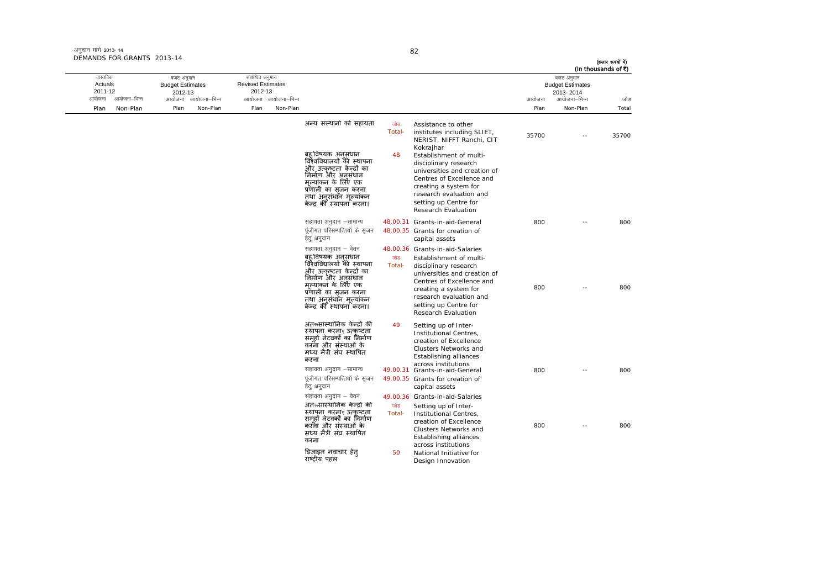| अनुदान मांगे 2013-14       |  |
|----------------------------|--|
| DEMANDS FOR GRANTS 2013-14 |  |

ः<br>आयोजना आयोजना–भिन्न

तास्ततिक Actuals2011-12

Plan Non-Plan

आयोजना आयोजना-भिन्न - आयोजना आयोजना-भिन्न न अपयोजना—भिन्न जाउँ विकास समिति । अपनी अपयोजना आयोजना—भिन्न जोड Plan Non-Plan Plan Non-Plan Plan Non-Plan Total बजट अनुमान Budget Estimates 2012-13संशोधित अनुमान Revised Estimates2012-13 बजट अनुमान Budget Estimates 2013- 2014(हजार रूपयों में) (In thousands of  $\bar{x}$ ) अन्य संस्थानों को सहायता <sub>जोड</sub> Total-Assistance to other<br>institutes including SLIET, NERIST, NIFFT Ranchi, CIT Kokrajhar 35700 -- 35700बहु विषयक अनुसंधा<mark>न</mark> विश्वविद्यालयों की स्थापना और उत्कृष्टता केन्द्रों का<br>निर्माण और अनुसंधान मूल्यांकन के लिए एक प्रणाली का सजनृ करना तथा अनुसंधान मूल्यांकन ्<br>केन्द्र की स्थापना करना। 48 Establishment of multidisciplinary research universities and creation of Centres of Excellence and creating a system for research evaluation and setting up Centre for Research Evaluation lgk;rk vuqnku &lkekU; 48.00.31 Grants-in-aid-General 800 -- 800 पंजीगत परिसम्पत्तियों के सजन हेतु अनुदान 48.00.35 Grants for creation of capital assets सहायता अनुदान – वेतन 48.00.36 Grants-in-aid-Salaries बह विषयक अनुसंधान<br>विश्वविद्यालयों की स्थापना और उत्कृष्टता केन्द्रों का<br>निर्माण और अनुसंधान मूल्यांकन के लिए एक प्रणाली का सजनृ करना तथा अनुसंधान मूल्यांकन ्<br>केन्द्र की स्थापना करना। जोड Total-Establishment of multidisciplinary research universities and creation of Centres of Excellence and creating a system for research evaluation and setting up Centre for Research Evaluation800 -- 800अतरूसांस्थानिक केन्दो की स्थापना करनार उत्कृष्टता समूहों नेटवर्कों का निर्माण करना और संस्थाओं के मÚयमत्री ै सघं èथािपत करना 49 Setting up of Inter-Institutional Centres, creation of Excellence Clusters Networks and Establishing alliances across institutions lgk;rk vuqnku &lkekU; 49.00.31 Grants-in-aid-General 800 -- 800 पूंजीगत परिसम्पत्तियों के सृजन हेत् अनुदान 49.00.35 Grants for creation of capital assets सहायता अनुदान – वेतन 49.00.36 Grants-in-aid-Salaries अतरूसांस्थानिक केन्दो की .<br>स्थापना करनाए उत्कृष्टता<br>समूहों नेटवर्को का निर्माण करना और संस्थाओं के मÚयमत्री ै सघं èथािपत करना जोड़ Total-Setting up of Inter- Institutional Centres, creation of Excellence Clusters Networks and Establishing alliances across institutions 800 -- 800.<br>डिजा<mark>इन नवाचार हे</mark>त् राçट्रीय पहल 50National Initiative for

Design Innovation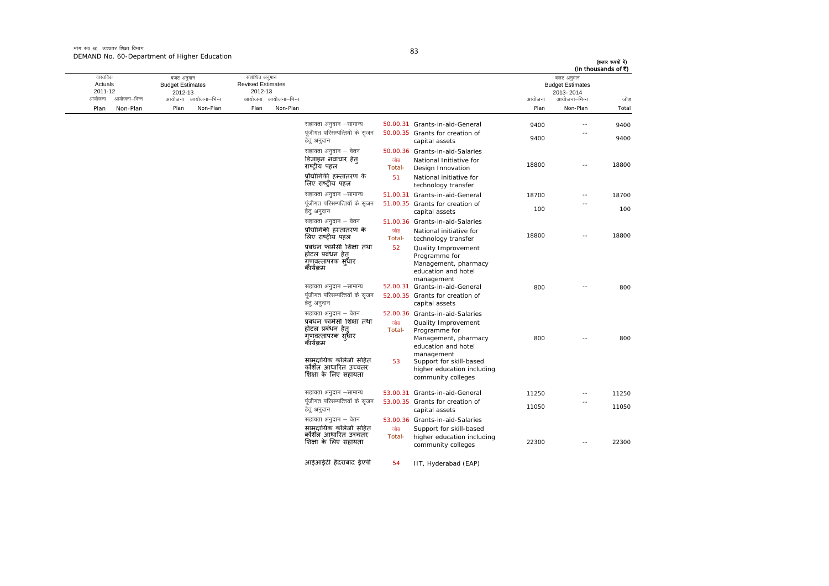मांग सं0 60 उच्चतर शिक्षा विभाग DEMAND No. 60-Department of Higher Education

| ٠                |
|------------------|
| ٠<br>I<br>ï<br>× |

| (In thousands of ₹) | बजट अनुमान<br><b>Budget Estimates</b><br>2013-2014 |        |                                                                                           |               |                                                                                  |                     | संशोधित अनुमान<br><b>Revised Estimates</b><br>2012-13 | बजट अनुमान<br><b>Budget Estimates</b><br>2012-13 |              | वास्तविक<br>Actuals<br>2011-12 |
|---------------------|----------------------------------------------------|--------|-------------------------------------------------------------------------------------------|---------------|----------------------------------------------------------------------------------|---------------------|-------------------------------------------------------|--------------------------------------------------|--------------|--------------------------------|
| जोड़                | आयोजना–भिन्न                                       | आयोजना |                                                                                           |               |                                                                                  | आयोजना आयोजना-भिन्न |                                                       | आयोजना आयोजना-भिन्न                              | आयोजना–भिन्न | आयोजना                         |
| Total               | Non-Plan                                           | Plan   |                                                                                           |               |                                                                                  | Non-Plan            | Plan                                                  | Plan<br>Non-Plan                                 | Non-Plan     | Plan                           |
| 9400                | $\sim$ $-$                                         | 9400   | 50.00.31 Grants-in-aid-General                                                            |               | सहायता अनुदान -सामान्य<br>पंजीगत परिसम्पत्तियों के सजन                           |                     |                                                       |                                                  |              |                                |
| 9400                | ٠.                                                 | 9400   | 50.00.35 Grants for creation of<br>capital assets                                         |               | हेतु अनुदान                                                                      |                     |                                                       |                                                  |              |                                |
|                     |                                                    |        | 50.00.36 Grants-in-aid-Salaries                                                           |               | सहायता अनुदान – वेतन                                                             |                     |                                                       |                                                  |              |                                |
| 18800               | $\overline{\phantom{a}}$                           | 18800  | National Initiative for<br>Design Innovation                                              | जोड<br>Total- | डिजाइन नवाचार हेत्<br>राष्ट्रीय पहल                                              |                     |                                                       |                                                  |              |                                |
|                     |                                                    |        | National initiative for<br>technology transfer                                            | 51            | प्रौद्योगिकी हस्तांतरण के<br>लिए राष्ट्रीय पहल                                   |                     |                                                       |                                                  |              |                                |
| 18700               | $\sim$ $-$                                         | 18700  | 51.00.31 Grants-in-aid-General                                                            |               | सहायता अनुदान -सामान्य                                                           |                     |                                                       |                                                  |              |                                |
| 100                 |                                                    | 100    | 51.00.35 Grants for creation of<br>capital assets                                         |               | पूंजीगत परिसम्पत्तियों के सृजन<br>हेत् अनुदान                                    |                     |                                                       |                                                  |              |                                |
|                     |                                                    |        | Grants-in-aid-Salaries                                                                    | 51.00.36      | सहायता अनुदान – वेतन                                                             |                     |                                                       |                                                  |              |                                |
| 18800               | $\sim$                                             | 18800  | National initiative for<br>technology transfer                                            | जोड<br>Total- | प्रौद्योगिकी हस्तांतरण के<br>लिए राष्ट्रीय पहल                                   |                     |                                                       |                                                  |              |                                |
|                     |                                                    |        | Quality Improvement<br>Programme for<br>Management, pharmacy<br>education and hotel       | 52            | प्रबंधन फार्मेसी शिक्षा तथा<br>होटल प्रबंधन हेत<br>गूणवत्तापरक स्धार<br>कॅथिक्रम |                     |                                                       |                                                  |              |                                |
| 800                 |                                                    | 800    | management<br>52.00.31 Grants-in-aid-General                                              |               | सहायता अनुदान –सामान्य                                                           |                     |                                                       |                                                  |              |                                |
|                     |                                                    |        | 52.00.35 Grants for creation of<br>capital assets                                         |               | पंजीगत परिसम्पत्तियों के सजन<br>हेत् अनुदान                                      |                     |                                                       |                                                  |              |                                |
|                     |                                                    |        | 52.00.36 Grants-in-aid-Salaries                                                           |               | सहायता अनुदान – वेतन                                                             |                     |                                                       |                                                  |              |                                |
| 800                 | $\overline{a}$                                     | 800    | Quality Improvement<br>Programme for<br>Management, pharmacy<br>education and hotel       | जोड<br>Total- | प्रबंधन फार्मेसी शिक्षा तथा<br>होटल प्रबंधन हेत<br>ग्णवत्तापरक सुधार<br>कॅथिक्रम |                     |                                                       |                                                  |              |                                |
|                     |                                                    |        | management<br>Support for skill-based<br>higher education including<br>community colleges | 53            | सामदायिक कॉलेजो सहित<br>कौशॅल आधारित उच्चतर<br>शिक्षा के लिए सहायता              |                     |                                                       |                                                  |              |                                |
| 11250               | $\sim$ $-$                                         | 11250  | 53.00.31 Grants-in-aid-General                                                            |               | सहायता अनुदान –सामान्य                                                           |                     |                                                       |                                                  |              |                                |
| 11050               |                                                    | 11050  | 53.00.35 Grants for creation of<br>capital assets                                         |               | पूंजीगत परिसम्पत्तियों के सृजन<br>हेत् अनुदान                                    |                     |                                                       |                                                  |              |                                |
|                     |                                                    |        | 53.00.36 Grants-in-aid-Salaries                                                           |               | सहायता अनुदान – वेतन                                                             |                     |                                                       |                                                  |              |                                |
| 22300               | $\sim$ $\sim$                                      | 22300  | Support for skill-based<br>higher education including<br>community colleges               | जोड<br>Total- | सामदायिक कॉलेजों सहित<br>कौशॅल आधारित उच्चतर<br>शिक्षा के लिए सहायता             |                     |                                                       |                                                  |              |                                |
|                     |                                                    |        | IIT, Hyderabad (EAP)                                                                      | 54            | आईआईटी हैदराबाद ईएपी                                                             |                     |                                                       |                                                  |              |                                |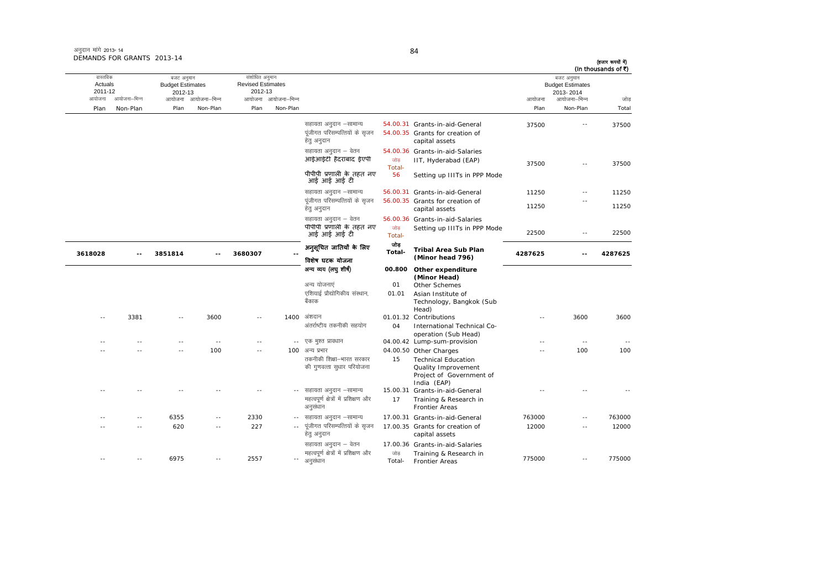| अनुदान मांगे 2013-14       |  |
|----------------------------|--|
| DEMANDS FOR GRANTS 2013-14 |  |

| (In thousands of ₹) | बजट अनुमान                           |                                                 |                                                                                              |                                            |                                                                 |                            | संशोधित अनुमान                      |                            | बजट अनुमान                         |              | वास्तविक           |
|---------------------|--------------------------------------|-------------------------------------------------|----------------------------------------------------------------------------------------------|--------------------------------------------|-----------------------------------------------------------------|----------------------------|-------------------------------------|----------------------------|------------------------------------|--------------|--------------------|
|                     | <b>Budget Estimates</b><br>2013-2014 |                                                 |                                                                                              |                                            |                                                                 |                            | <b>Revised Estimates</b><br>2012-13 |                            | <b>Budget Estimates</b><br>2012-13 |              | Actuals<br>2011-12 |
| जोड                 | आयोजना–भिन्न                         | आयोजना                                          |                                                                                              |                                            |                                                                 | आयोजना आयोजना–भिन्न        |                                     | आयोजना–भिन्न               | आयोजना                             | आयोजना–भिन्न | आयोजना             |
| Total               | Non-Plan                             | Plan                                            |                                                                                              |                                            |                                                                 | Non-Plan                   | Plan                                | Non-Plan                   | Plan                               | Non-Plan     | Plan               |
| 37500               | $\sim$ $\sim$                        | 37500                                           | 54.00.31 Grants-in-aid-General                                                               |                                            | सहायता अनुदान –सामान्य                                          |                            |                                     |                            |                                    |              |                    |
|                     |                                      |                                                 | 54.00.35 Grants for creation of<br>capital assets                                            |                                            | पूंजीगत परिसम्पत्तियों के सृजन<br>हेत् अनुदान                   |                            |                                     |                            |                                    |              |                    |
| 37500               | $\sim$ $\sim$                        | 37500                                           | 54.00.36 Grants-in-aid-Salaries<br>IIT, Hyderabad (EAP)                                      | जोड<br>Total-                              | सहायता अनुदान – वेतन<br>आईआईटी हैदराबाद ईएपी                    |                            |                                     |                            |                                    |              |                    |
|                     |                                      |                                                 | Setting up IIITs in PPP Mode                                                                 | 56                                         | पीपीपी प्रणाली के तहत नए<br>आई आई आई टी                         |                            |                                     |                            |                                    |              |                    |
| 11250               | $\sim$ $-$                           | 11250                                           | 56.00.31 Grants-in-aid-General                                                               |                                            | सहायता अनुदान -सामान्य                                          |                            |                                     |                            |                                    |              |                    |
| 11250               | $-$                                  | 11250                                           | 56.00.35 Grants for creation of<br>capital assets                                            |                                            | पूंजीगत परिसम्पत्तियों के सृजन<br>हेतु अनुदान                   |                            |                                     |                            |                                    |              |                    |
| 22500               | $\sim$ $-$                           | 22500                                           | 56.00.36 Grants-in-aid-Salaries<br>Setting up IIITs in PPP Mode                              | जोड<br>Total-                              | सहायता अनुदान – वेतन<br>पीपीपी प्रणाली के तहत नए<br>आई आई आई टी |                            |                                     |                            |                                    |              |                    |
| 4287625             | 4287625<br>$-$                       | <b>Tribal Area Sub Plan</b><br>(Minor head 796) | जोड<br>Total-                                                                                | अनूसूचित जातियों के लिए<br>विशेष घटक योजना |                                                                 | 3680307                    |                                     | 3851814                    |                                    | 3618028      |                    |
|                     |                                      |                                                 | Other expenditure<br>(Minor Head)                                                            | 00.800                                     | अन्य व्यय (लघु शीर्ष)                                           |                            |                                     |                            |                                    |              |                    |
|                     |                                      |                                                 | Other Schemes                                                                                | 01                                         | अन्य योजनाएं                                                    |                            |                                     |                            |                                    |              |                    |
|                     |                                      |                                                 | Asian Institute of<br>Technology, Bangkok (Sub<br>Head)                                      | 01.01                                      | एशियाई प्रौद्योगिकीय संस्थान,<br>बैंकाक                         |                            |                                     |                            |                                    |              |                    |
| 3600                | 3600                                 |                                                 | 01.01.32 Contributions                                                                       |                                            | अंशदान                                                          | 1400                       |                                     | 3600                       | $\sim$                             | 3381         |                    |
|                     |                                      |                                                 | International Technical Co-<br>operation (Sub Head)                                          | 04                                         | अंतर्राष्टीय तकनीकी सहयोग                                       |                            |                                     |                            |                                    |              |                    |
|                     | $\sim$                               |                                                 | 04.00.42 Lump-sum-provision                                                                  |                                            | -- एक मुश्त प्रावधान                                            |                            |                                     | $-$                        |                                    |              |                    |
| 100                 | 100                                  |                                                 | 04.00.50 Other Charges                                                                       |                                            | 100 अन्य प्रभार                                                 |                            | $\sim$ $\sim$                       | 100                        |                                    |              |                    |
|                     |                                      |                                                 | <b>Technical Education</b><br>Quality Improvement<br>Project of Government of<br>India (EAP) | 15                                         | तकनीकी शिक्षा–भारत सरकार<br>की गुणवत्ता सुधार परियोजना          |                            |                                     |                            |                                    |              |                    |
|                     |                                      |                                                 | Grants-in-aid-General<br>Training & Research in                                              | 15.00.31<br>17                             | सहायता अनुदान –सामान्य<br>महत्वपूर्ण क्षेत्रों में प्रशिक्षण और | $\sim$ $\sim$              |                                     |                            |                                    |              |                    |
|                     |                                      |                                                 | <b>Frontier Areas</b>                                                                        |                                            | अनुसंधान                                                        |                            |                                     |                            |                                    |              |                    |
| 763000              | $\sim$                               | 763000                                          | 17.00.31 Grants-in-aid-General                                                               |                                            | सहायता अनुदान –सामान्य                                          | $\sim$ $-$                 | 2330                                | $\sim$                     | 6355                               |              |                    |
| 12000               | $\overline{a}$                       | 12000                                           | 17.00.35 Grants for creation of<br>capital assets                                            |                                            | पंजीगत परिसम्पत्तियों के सजन<br>हेतु अनुदान                     | $\overline{\phantom{a}}$ . | 227                                 | $\overline{\phantom{a}}$ . | 620                                | ٠.           |                    |
|                     |                                      |                                                 | 17.00.36 Grants-in-aid-Salaries                                                              |                                            | सहायता अनुदान – वेतन                                            |                            |                                     |                            |                                    |              |                    |
| 775000              | $\sim$ $-$                           | 775000                                          | Training & Research in<br><b>Frontier Areas</b>                                              | जोड<br>Total-                              | महत्वपूर्ण क्षेत्रों में प्रशिक्षण और<br>अनुसंधान               | $\overline{\phantom{a}}$ . | 2557                                | $\sim$ $-$                 | 6975                               | $\sim$       |                    |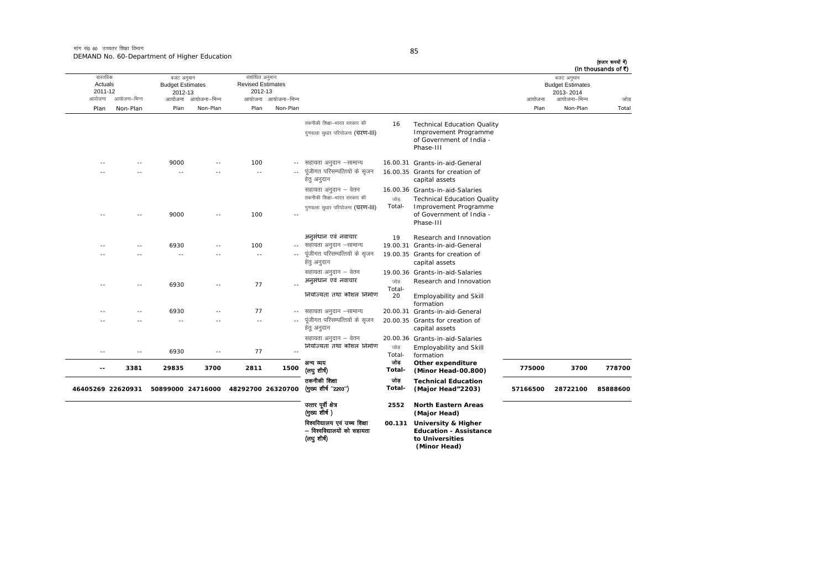मांग सं0 60 उच्चतर शिक्षा विभाग DEMAND No. 60-Department of Higher Education

| (In thousands of ₹) | बजट अनुमान                                           |          |                                                                                                                                         |                     |                                                                                          |               | संशोधित अनुमान                                |              | बजट अनुमान                                   |                   | वास्तविक                     |
|---------------------|------------------------------------------------------|----------|-----------------------------------------------------------------------------------------------------------------------------------------|---------------------|------------------------------------------------------------------------------------------|---------------|-----------------------------------------------|--------------|----------------------------------------------|-------------------|------------------------------|
| जोड                 | <b>Budget Estimates</b><br>2013-2014<br>आयोजना–भिन्न | आयोजना   |                                                                                                                                         |                     |                                                                                          | आयोजना–भिन्न  | <b>Revised Estimates</b><br>2012-13<br>आयोजना | आयोजना–भिन्न | <b>Budget Estimates</b><br>2012-13<br>आयोजना | आयोजना–भिन्न      | Actuals<br>2011-12<br>आयोजना |
| Total               | Non-Plan                                             | Plan     |                                                                                                                                         |                     |                                                                                          | Non-Plan      | Plan                                          | Non-Plan     | Plan                                         | Non-Plan          | Plan                         |
|                     |                                                      |          | <b>Technical Education Quality</b><br>Improvement Programme<br>of Government of India -<br>Phase-III                                    | 16                  | तकनीकी शिक्षा–भारत सरकार की<br>गुणवत्ता सुधार परियोजना (चरण-III)                         |               |                                               |              |                                              |                   |                              |
|                     |                                                      |          | 16.00.31 Grants-in-aid-General                                                                                                          |                     | सहायता अनुदान –सामान्य                                                                   | $- -$         | 100                                           |              | 9000                                         | - -               |                              |
|                     |                                                      |          | 16.00.35 Grants for creation of<br>capital assets                                                                                       |                     | पूंजीगत परिसम्पत्तियों के सृजन<br>हेतु अनुदान                                            |               | $\sim$ $-$                                    |              | $\sim$                                       |                   |                              |
|                     |                                                      |          | 16.00.36 Grants-in-aid-Salaries<br><b>Technical Education Quality</b><br>Improvement Programme<br>of Government of India -<br>Phase-III | जोड<br>Total-       | सहायता अनुदान – वेतन<br>तकनीकी शिक्षा-भारत सरकार की<br>गुणवत्ता सुधार परियोजना (चरण-III) |               | 100                                           |              | 9000                                         |                   |                              |
|                     |                                                      |          | Research and Innovation<br>Grants-in-aid-General                                                                                        | 19<br>19.00.31      | अनुसंधान एवं नवाचार<br>सहायता अनुदान –सामान्य                                            |               | 100                                           |              | 6930                                         |                   |                              |
|                     |                                                      |          | 19.00.35 Grants for creation of<br>capital assets                                                                                       |                     | पूंजीगत परिसम्पत्तियों के सृजन<br>हेतु अनुदान                                            | $\sim$ $-$    | $\sim$ $-$                                    |              | ٠.                                           |                   |                              |
|                     |                                                      |          | 19.00.36 Grants-in-aid-Salaries<br>Research and Innovation<br>Employability and Skill                                                   | जोड<br>Total-<br>20 | सहायता अनुदान – वेतन<br>अनुसंधान एवं नवाचार<br>नियोज्यता तथा कौशल निर्माण                |               | 77                                            |              | 6930                                         |                   |                              |
|                     |                                                      |          | formation<br>20.00.31 Grants-in-aid-General                                                                                             |                     | सहायता अनुदान –सामान्य                                                                   | $\sim$ $\sim$ | 77                                            |              | 6930                                         |                   |                              |
|                     |                                                      |          | 20.00.35 Grants for creation of<br>capital assets                                                                                       |                     | पूंजीगत परिसम्पत्तियों के सृजन<br>हेतु अनुदान                                            |               |                                               |              |                                              |                   |                              |
|                     |                                                      |          | 20.00.36 Grants-in-aid-Salaries<br>Employability and Skill<br>formation                                                                 | जोड<br>Total-       | सहायता अनुदान – वेतन<br>नियोज्यता तथा कौशल निर्माण                                       | $\sim$        | 77                                            | - -          | 6930                                         | - -               | - -                          |
| 778700              | 3700                                                 | 775000   | Other expenditure<br>(Minor Head-00.800)                                                                                                | जोड<br>Total-       | अन्य व्यय<br>(लघु शीर्ष)                                                                 | 1500          | 2811                                          | 3700         | 29835                                        | 3381              | $-$                          |
| 85888600            | 28722100                                             | 57166500 | <b>Technical Education</b><br>(Major Head"2203)                                                                                         | जोड<br>Total-       | तकनीकी शिक्षा<br>(मुख्य शीर्ष "2203")                                                    |               | 48292700 26320700                             |              | 50899000 24716000                            | 46405269 22620931 |                              |
|                     |                                                      |          | <b>North Eastern Areas</b><br>(Major Head)                                                                                              | 2552                | उत्तर पूर्वी क्षेत्र<br>(मुख्य शीर्ष)                                                    |               |                                               |              |                                              |                   |                              |
|                     |                                                      |          | University & Higher<br><b>Education - Assistance</b><br>to Universities<br>(Minor Head)                                                 | 00.131              | विश्वविद्यालय एवं उच्च शिक्षा<br>– विश्वविद्यालयों को सहायता<br>(लघु शीष)                |               |                                               |              |                                              |                   |                              |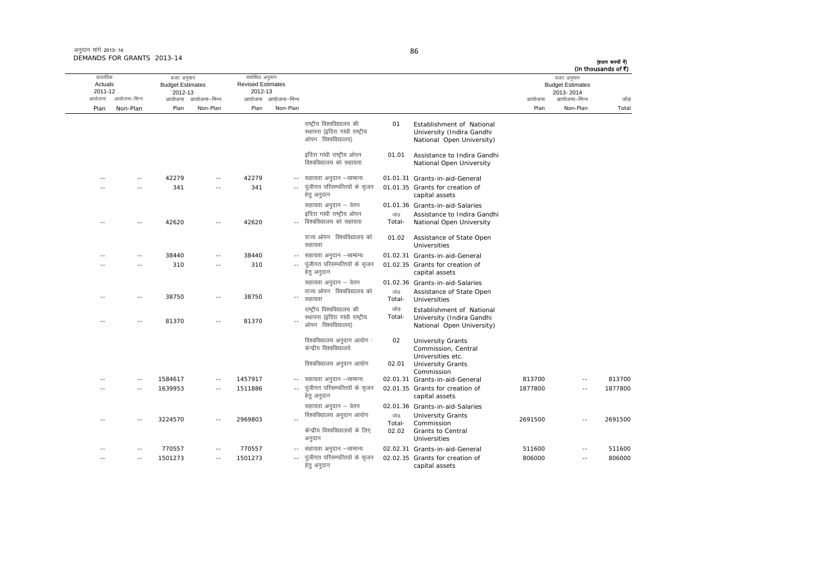| अनुदान मांगे 2013-14       |  |
|----------------------------|--|
| DEMANDS FOR GRANTS 2013-14 |  |

|                                          |                          |                                                  |                          |                                                                              |                            |                                                                                     |                        |                                                                                     |         |                                                                    | (In thousands of ₹) |
|------------------------------------------|--------------------------|--------------------------------------------------|--------------------------|------------------------------------------------------------------------------|----------------------------|-------------------------------------------------------------------------------------|------------------------|-------------------------------------------------------------------------------------|---------|--------------------------------------------------------------------|---------------------|
| वास्तविक<br>Actuals<br>2011-12<br>आयोजना | आयोजना–भिन्न             | बजट अनुमान<br><b>Budget Estimates</b><br>2012-13 | आयोजना आयोजना–भिन्न      | संशोधित अनुमान<br><b>Revised Estimates</b><br>2012-13<br>आयोजना आयोजना-भिन्न |                            |                                                                                     |                        |                                                                                     | आयोजना  | बजट अनुमान<br><b>Budget Estimates</b><br>2013-2014<br>आयोजना–भिन्न | जोड                 |
| Plan                                     | Non-Plan                 | Plan                                             | Non-Plan                 | Plan                                                                         | Non-Plan                   |                                                                                     |                        |                                                                                     | Plan    | Non-Plan                                                           | Total               |
|                                          |                          |                                                  |                          |                                                                              |                            | राष्टीय विश्वविद्यालय की<br>स्थापना (इंदिरा गांधी राष्ट्रीय<br>ओपन विश्वविद्यालय)   | 01                     | Establishment of National<br>University (Indira Gandhi<br>National Open University) |         |                                                                    |                     |
|                                          |                          |                                                  |                          |                                                                              |                            | इंदिरा गांधी राष्ट्रीय ओपन<br>विश्वविद्यालय को सहायता                               | 01.01                  | Assistance to Indira Gandhi<br>National Open University                             |         |                                                                    |                     |
|                                          | $\sim$                   | 42279                                            |                          | 42279                                                                        |                            | सहायता अनुदान –सामान्य                                                              |                        | 01.01.31 Grants-in-aid-General                                                      |         |                                                                    |                     |
|                                          |                          | 341                                              |                          | 341                                                                          | $\sim$ $\sim$              | पूंजीगत परिसम्पत्तियों के सृजन<br>हेत् अनुदान                                       |                        | 01.01.35 Grants for creation of<br>capital assets                                   |         |                                                                    |                     |
|                                          |                          |                                                  |                          |                                                                              |                            | सहायता अनुदान - वेतन                                                                |                        | 01.01.36 Grants-in-aid-Salaries                                                     |         |                                                                    |                     |
|                                          | $\sim$                   | 42620                                            | $\sim$ $\sim$            | 42620                                                                        | $\sim$                     | इंदिरा गांधी राष्ट्रीय ओपन<br>विश्वविद्यालय को सहायता                               | जोड<br>Total-          | Assistance to Indira Gandhi<br>National Open University                             |         |                                                                    |                     |
|                                          |                          |                                                  |                          |                                                                              |                            | राज्य ओपन विश्वविद्यालय को<br>सहायता                                                | 01.02                  | Assistance of State Open<br>Universities                                            |         |                                                                    |                     |
|                                          | $\overline{\phantom{a}}$ | 38440                                            |                          | 38440                                                                        |                            | सहायता अनुदान –सामान्य                                                              |                        | 01.02.31 Grants-in-aid-General                                                      |         |                                                                    |                     |
|                                          | $\sim$ $-$               | 310                                              | $\sim$ $-$               | 310                                                                          | $\sim$ $\sim$              | पूंजीगत परिसम्पत्तियों के सृजन<br>हेतु अनुदान                                       |                        | 01.02.35 Grants for creation of<br>capital assets                                   |         |                                                                    |                     |
|                                          |                          |                                                  |                          |                                                                              |                            | सहायता अनुदान – वेतन                                                                |                        | 01.02.36 Grants-in-aid-Salaries                                                     |         |                                                                    |                     |
|                                          | $\sim$                   | 38750                                            | $\overline{a}$           | 38750                                                                        | $\overline{\phantom{a}}$   | राज्य ओपन विश्वविद्यालय को<br>सहायता                                                | जोड<br>Total-          | Assistance of State Open<br>Universities                                            |         |                                                                    |                     |
|                                          |                          | 81370                                            | $\overline{a}$           | 81370                                                                        | $\overline{\phantom{a}}$ . | राष्ट्रीय विश्वविद्यालय की<br>स्थापना (इंदिरा गांधी राष्ट्रीय<br>ओपन विश्वविद्यालय) | जोड<br>Total-          | Establishment of National<br>University (Indira Gandhi<br>National Open University) |         |                                                                    |                     |
|                                          |                          |                                                  |                          |                                                                              |                            | विश्वविद्यालय अनुदान आयोग :<br>केन्द्रीय विश्वविद्यालये                             | 02                     | <b>University Grants</b><br>Commission, Central<br>Universities etc.                |         |                                                                    |                     |
|                                          |                          |                                                  |                          |                                                                              |                            | विश्वविद्यालय अनुदान आयोग                                                           | 02.01                  | <b>University Grants</b><br>Commission                                              |         |                                                                    |                     |
|                                          | $\sim$                   | 1584617                                          | $\sim$ $\sim$            | 1457917                                                                      |                            | सहायता अनुदान –सामान्य                                                              |                        | 02.01.31 Grants-in-aid-General                                                      | 813700  | $\sim$ $\sim$                                                      | 813700              |
|                                          | $\sim$                   | 1639953                                          | $\sim$                   | 1511886                                                                      | $\sim$ $-$                 | पूंजीगत परिसम्पत्तियों के सृजन<br>हेत् अनुदान                                       |                        | 02.01.35 Grants for creation of<br>capital assets                                   | 1877800 | $\sim$                                                             | 1877800             |
|                                          |                          |                                                  |                          |                                                                              |                            | सहायता अनुदान – वेतन                                                                |                        | 02.01.36 Grants-in-aid-Salaries                                                     |         |                                                                    |                     |
|                                          |                          | 3224570                                          | $\sim$ $\sim$            | 2969803                                                                      |                            | विश्वविद्यालय अनुदान आयोग<br>केन्द्रीय विश्वविद्यालयों के लिए<br>अनुदान             | जोड<br>Total-<br>02.02 | <b>University Grants</b><br>Commission<br>Grants to Central<br>Universities         | 2691500 | $\sim$                                                             | 2691500             |
|                                          |                          | 770557                                           | $\overline{a}$           | 770557                                                                       |                            | सहायता अनुदान –सामान्य                                                              |                        | 02.02.31 Grants-in-aid-General                                                      | 511600  |                                                                    | 511600              |
|                                          | $\sim$                   | 1501273                                          | $\overline{\phantom{a}}$ | 1501273                                                                      | $\overline{a}$             | पंजीगत परिसम्पत्तियों के सजन<br>हेतु अनुदान                                         |                        | 02.02.35 Grants for creation of<br>capital assets                                   | 806000  | $\overline{\phantom{a}}$                                           | 806000              |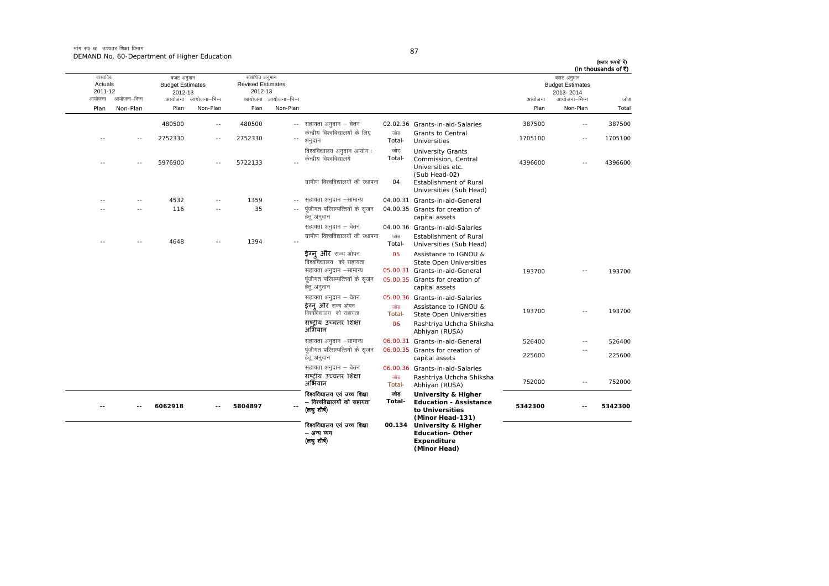मांग सं0 60 उच्चतर शिक्षा विभाग DEMAND No. 60-Department of Higher Education

| (In thousands of ₹) | बजट अनुमान<br><b>Budget Estimates</b><br>2013-2014 |                |                                                                                                                        |                |                                                                             |                                 | संशोधित अनुमान<br><b>Revised Estimates</b><br>2012-13 |                          | बजट अनुमान<br><b>Budget Estimates</b><br>2012-13 |               | वास्तविक<br>Actuals<br>2011-12 |
|---------------------|----------------------------------------------------|----------------|------------------------------------------------------------------------------------------------------------------------|----------------|-----------------------------------------------------------------------------|---------------------------------|-------------------------------------------------------|--------------------------|--------------------------------------------------|---------------|--------------------------------|
| जोड<br>Total        | आयोजना–भिन्न<br>Non-Plan                           | आयोजना<br>Plan |                                                                                                                        |                |                                                                             | आयोजना आयोजना-भिन्न<br>Non-Plan | Plan                                                  | आयोजना–भिन्न<br>Non-Plan | आयोजना<br>Plan                                   | आयोजना–भिन्न  | आयोजना                         |
|                     |                                                    |                |                                                                                                                        |                |                                                                             |                                 |                                                       |                          |                                                  | Non-Plan      | Plan                           |
| 387500              | $\sim$                                             | 387500         | 02.02.36 Grants-in-aid-Salaries<br>Grants to Central                                                                   | जोड            | सहायता अनुदान – वेतन<br>केन्द्रीय विश्वविद्यालयों के लिए                    | $\sim$ $-$                      | 480500                                                | $\overline{\phantom{a}}$ | 480500                                           |               |                                |
| 1705100             | $\sim$                                             | 1705100        | Universities                                                                                                           | Total-<br>जोड़ | अनुदान<br>विश्वविद्यालय अनुदान आयोग:                                        | $\overline{\phantom{a}}$        | 2752330                                               | $\sim$                   | 2752330                                          | $\sim$        | - -                            |
| 4396600             |                                                    | 4396600        | <b>University Grants</b><br>Commission, Central<br>Universities etc.<br>(Sub Head-02)<br><b>Establishment of Rural</b> | Total-<br>04   | केन्द्रीय विश्वविद्यालये<br>ग्रामीण विश्वविद्यालयों की स्थापना              |                                 | 5722133                                               |                          | 5976900                                          |               |                                |
|                     |                                                    |                | Universities (Sub Head)                                                                                                |                |                                                                             |                                 |                                                       |                          |                                                  |               |                                |
|                     |                                                    |                | 04.00.31 Grants-in-aid-General<br>04.00.35 Grants for creation of                                                      |                | सहायता अनुदान –सामान्य<br>पूंजीगत परिसम्पत्तियों के सृजन<br>हेत् अनुदान     | $- -$                           | 1359<br>35                                            | $\sim$                   | 4532<br>116                                      | $\sim$ $\sim$ |                                |
|                     |                                                    |                | capital assets<br>04.00.36 Grants-in-aid-Salaries                                                                      |                | सहायता अनुदान – वेतन                                                        |                                 |                                                       |                          |                                                  |               |                                |
|                     |                                                    |                | Establishment of Rural<br>Universities (Sub Head)                                                                      | जोड<br>Total-  | ग्रामीण विश्वविद्यालयों की स्थापना                                          |                                 | 1394                                                  |                          | 4648                                             |               |                                |
|                     |                                                    |                | Assistance to IGNOU &<br><b>State Open Universities</b>                                                                | 05             | ईग्न और राज्य ओपन<br>विश्वविद्यालय को सहायता                                |                                 |                                                       |                          |                                                  |               |                                |
| 193700              | $\sim$                                             | 193700         | 05.00.31 Grants-in-aid-General                                                                                         |                | सहायता अनुदान -सामान्य                                                      |                                 |                                                       |                          |                                                  |               |                                |
|                     |                                                    |                | 05.00.35 Grants for creation of<br>capital assets                                                                      |                | पूंजीगत परिसम्पत्तियों के सृजन<br>हेत् अनुदान                               |                                 |                                                       |                          |                                                  |               |                                |
|                     |                                                    |                | 05.00.36 Grants-in-aid-Salaries                                                                                        |                | सहायता अनुदान – वेतन                                                        |                                 |                                                       |                          |                                                  |               |                                |
| 193700              | ٠.                                                 | 193700         | Assistance to IGNOU &<br><b>State Open Universities</b>                                                                | जोड<br>Total-  | <b>ईग्न और</b> राज्य ओपन<br>विश्वविद्यालय को सहायता                         |                                 |                                                       |                          |                                                  |               |                                |
|                     |                                                    |                | Rashtriya Uchcha Shiksha<br>Abhiyan (RUSA)                                                                             | 06             | राष्टीय उच्चतर शिक्षा<br>अभियान                                             |                                 |                                                       |                          |                                                  |               |                                |
| 526400              | $\overline{\phantom{a}}$                           | 526400         | 06.00.31 Grants-in-aid-General                                                                                         |                | सहायता अनुदान –सामान्य                                                      |                                 |                                                       |                          |                                                  |               |                                |
| 225600              | $\overline{\phantom{a}}$                           | 225600         | 06.00.35 Grants for creation of<br>capital assets                                                                      |                | पूंजीगत परिसम्पत्तियों के सृजन<br>हेत् अनुदान                               |                                 |                                                       |                          |                                                  |               |                                |
|                     |                                                    |                | 06.00.36 Grants-in-aid-Salaries                                                                                        |                | सहायता अनुदान – वेतन                                                        |                                 |                                                       |                          |                                                  |               |                                |
| 752000              | $\sim$ $-$                                         | 752000         | Rashtriya Uchcha Shiksha<br>Abhiyan (RUSA)                                                                             | जोड<br>Total-  | राष्टीय उच्चतर शिक्षा<br>अभियान                                             |                                 |                                                       |                          |                                                  |               |                                |
| 5342300             |                                                    | 5342300        | University & Higher<br><b>Education - Assistance</b><br>to Universities<br>(Minor Head-131)                            | जोड<br>Total-  | विश्वविद्यालय एवं उच्च शिक्षा<br>– विश्वविद्यालयों को सहायता<br>(लघु शीर्ष) |                                 | 5804897                                               |                          | 6062918                                          |               |                                |
|                     |                                                    |                | 00.134 University & Higher<br><b>Education-Other</b><br>Expenditure<br>(Minor Head)                                    |                | विश्वविद्यालय एवं उच्च शिक्षा<br>– अन्य व्यय<br>(लघु शीर्ष)                 |                                 |                                                       |                          |                                                  |               |                                |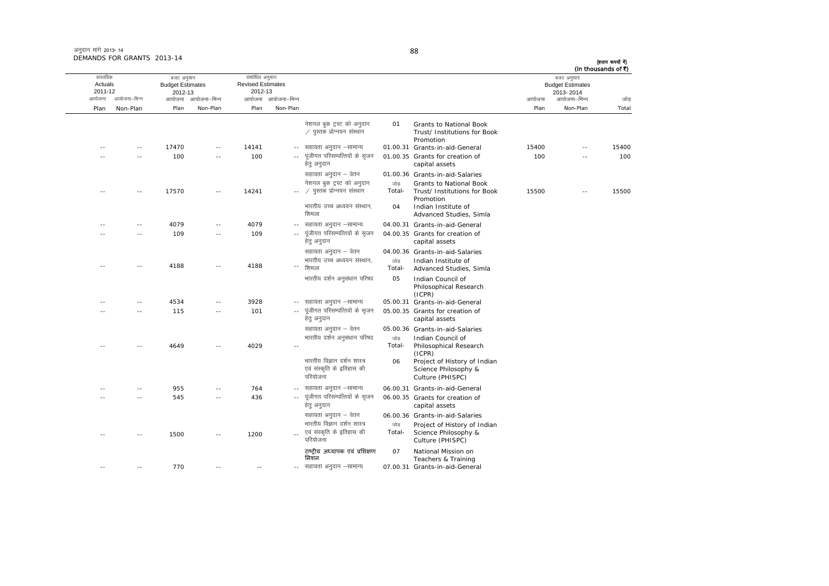| (In thousands of ₹) | बजट अनुमान<br><b>Budget Estimates</b><br>2013-2014 |        |                                                                                                             |                     |                                                                                               |                     | संशोधित अनुमान<br><b>Revised Estimates</b><br>2012-13 |                     | बजट अनुमान<br><b>Budget Estimates</b><br>2012-13 |               | वास्तविक<br>Actuals<br>2011-12 |
|---------------------|----------------------------------------------------|--------|-------------------------------------------------------------------------------------------------------------|---------------------|-----------------------------------------------------------------------------------------------|---------------------|-------------------------------------------------------|---------------------|--------------------------------------------------|---------------|--------------------------------|
| जोड़                | आयोजना–भिन्न                                       | आयोजना |                                                                                                             |                     |                                                                                               | आयोजना आयोजना-भिन्न |                                                       | आयोजना आयोजना–भिन्न |                                                  | आयोजना–भिन्न  | आयोजना                         |
| Total               | Non-Plan                                           | Plan   |                                                                                                             |                     |                                                                                               | Non-Plan            | Plan                                                  | Non-Plan            | Plan                                             | Non-Plan      | Plan                           |
|                     |                                                    |        | Grants to National Book<br>Trust/ Institutions for Book<br>Promotion                                        | 01                  | नेशनल बुक ट्रस्ट को अनुदान<br>∕ पुस्तक प्रोन्नयन संस्थान                                      |                     |                                                       |                     |                                                  |               |                                |
| 15400               | $\sim$ $-$                                         | 15400  | 01.00.31 Grants-in-aid-General                                                                              |                     | सहायता अनुदान –सामान्य                                                                        | $\sim$              | 14141                                                 | $-$                 | 17470                                            | $\sim$ $-$    |                                |
| 100                 |                                                    | 100    | 01.00.35 Grants for creation of<br>capital assets                                                           |                     | पूंजीगत परिसम्पत्तियों के सृजन<br>हेत् अनुदान                                                 |                     | 100                                                   | $\sim$              | 100                                              |               |                                |
|                     |                                                    |        | 01.00.36 Grants-in-aid-Salaries                                                                             |                     | सहायता अनुदान – वेतन                                                                          |                     |                                                       |                     |                                                  |               |                                |
| 15500               | $-$                                                | 15500  | Grants to National Book<br>Trust/ Institutions for Book<br>Promotion<br>Indian Institute of                 | जोड<br>Total-<br>04 | नेशनल बुक ट्रस्ट को अनुदान<br>∕ पुस्तक प्रोन्नयन संस्थान<br>भारतीय उच्च अध्ययन संस्थान,       |                     | 14241                                                 | $-$                 | 17570                                            |               |                                |
|                     |                                                    |        | Advanced Studies, Simla                                                                                     |                     | शिमला                                                                                         |                     |                                                       |                     |                                                  |               |                                |
|                     |                                                    |        | 04.00.31 Grants-in-aid-General                                                                              |                     | सहायता अनुदान –सामान्य                                                                        | $- -$               | 4079                                                  | $-$                 | 4079                                             | $\sim$ $\sim$ |                                |
|                     |                                                    |        | 04.00.35 Grants for creation of<br>capital assets                                                           |                     | पूंजीगत परिसम्पत्तियों के सृजन<br>हेतु अनुदान                                                 |                     | 109                                                   |                     | 109                                              |               |                                |
|                     |                                                    |        | 04.00.36 Grants-in-aid-Salaries                                                                             |                     | सहायता अनुदान – वेतन                                                                          |                     |                                                       |                     |                                                  |               |                                |
|                     |                                                    |        | Indian Institute of<br>Advanced Studies, Simla                                                              | जोड<br>Total-       | भारतीय उच्च अध्ययन संस्थान,<br>शिमला                                                          | --                  | 4188                                                  | $-$                 | 4188                                             |               |                                |
|                     |                                                    |        | Indian Council of<br>Philosophical Research<br>(ICPR)                                                       | 05                  | भारतीय दर्शन अनुसंधान परिषद                                                                   |                     |                                                       |                     |                                                  |               |                                |
|                     |                                                    |        | 05.00.31 Grants-in-aid-General                                                                              |                     | -- सहायता अनुदान -सामान्य                                                                     |                     | 3928                                                  | $\sim$ $-$          | 4534                                             | $\sim$        |                                |
|                     |                                                    |        | 05.00.35 Grants for creation of<br>capital assets                                                           |                     | पूंजीगत परिसम्पत्तियों के सृजन<br>हेत् अनुदान                                                 |                     | 101                                                   |                     | 115                                              |               |                                |
|                     |                                                    |        | 05.00.36 Grants-in-aid-Salaries                                                                             |                     | सहायता अनुदान – वेतन                                                                          |                     |                                                       |                     |                                                  |               |                                |
|                     |                                                    |        | Indian Council of<br>Philosophical Research                                                                 | जोड<br>Total-       | भारतीय दर्शन अनुसंधान परिषद                                                                   | $-$                 | 4029                                                  | $\overline{a}$      | 4649                                             |               |                                |
|                     |                                                    |        | (ICPR)<br>Project of History of Indian<br>Science Philosophy &<br>Culture (PHISPC)                          | 06                  | भारतीय विज्ञान दर्शन शास्त्र<br>एवं संस्कृति के इतिहास की<br>परियोजना                         |                     |                                                       |                     |                                                  |               |                                |
|                     |                                                    |        | 06.00.31 Grants-in-aid-General                                                                              |                     | सहायता अनुदान –सामान्य                                                                        |                     | 764                                                   |                     | 955                                              |               |                                |
|                     |                                                    |        | 06.00.35 Grants for creation of<br>capital assets                                                           |                     | पूंजीगत परिसम्पत्तियों के सृजन<br>हेत् अनुदान                                                 | $\sim$ $-$          | 436                                                   | $\sim$ $-$          | 545                                              |               |                                |
|                     |                                                    |        |                                                                                                             |                     |                                                                                               |                     |                                                       |                     |                                                  |               |                                |
|                     |                                                    |        | 06.00.36 Grants-in-aid-Salaries<br>Project of History of Indian<br>Science Philosophy &<br>Culture (PHISPC) | जोड़<br>Total-      | सहायता अनुदान – वेतन<br>भारतीय विज्ञान दर्शन शास्त्र<br>एवं संस्कृति के इतिहास की<br>परियोजना |                     | 1200                                                  | $\overline{a}$      | 1500                                             | $\sim$ $\sim$ |                                |
|                     |                                                    |        | National Mission on<br>Teachers & Training                                                                  | 07                  | राष्ट्रीय अध्यापक एवं प्रशिक्षण<br>मिशन                                                       |                     |                                                       |                     |                                                  |               |                                |
|                     |                                                    |        | 07.00.31 Grants-in-aid-General                                                                              |                     | सहायता अनुदान –सामान्य                                                                        | $-$                 |                                                       |                     | 770                                              |               |                                |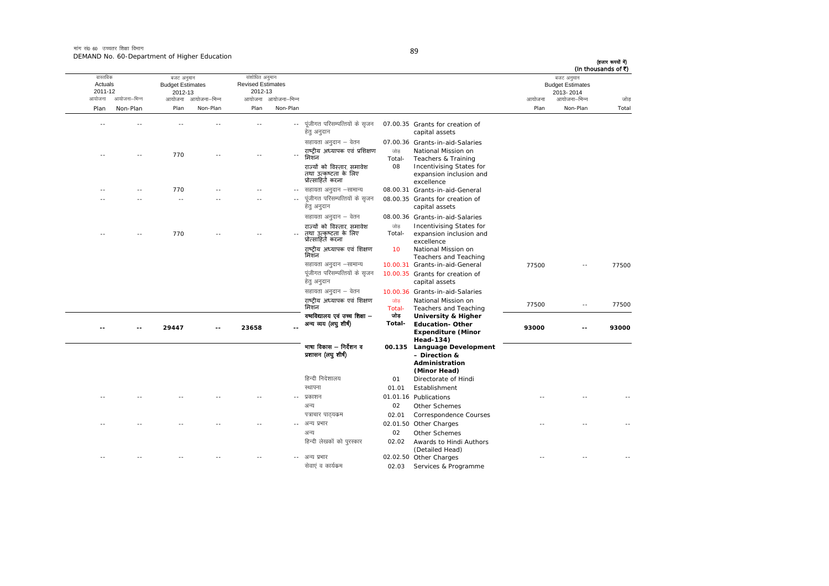मांग सं0 60 उच्चतर शिक्षा विभाग DEMAND No. 60-Department of Higher Education

| I                         |  |
|---------------------------|--|
| I<br>۰.<br>×<br>. .<br>۰. |  |

| वास्तविक           |              | बजट अनुमान                         |              | संशोधित अनुमान                      |                     |                                                                         |               |                                                                   |        | बजट अनुमान                           | (In thousands of ₹) |
|--------------------|--------------|------------------------------------|--------------|-------------------------------------|---------------------|-------------------------------------------------------------------------|---------------|-------------------------------------------------------------------|--------|--------------------------------------|---------------------|
| Actuals<br>2011-12 |              | <b>Budget Estimates</b><br>2012-13 |              | <b>Revised Estimates</b><br>2012-13 |                     |                                                                         |               |                                                                   |        | <b>Budget Estimates</b><br>2013-2014 |                     |
| आयोजना             | आयोजना–भिन्न | आयोजना                             | आयोजना–भिन्न |                                     | आयोजना आयोजना–भिन्न |                                                                         |               |                                                                   | आयोजना | आयोजना–भिन्न                         | जोड                 |
| Plan               | Non-Plan     | Plan                               | Non-Plan     | Plan                                | Non-Plan            |                                                                         |               |                                                                   | Plan   | Non-Plan                             | Total               |
|                    |              |                                    |              |                                     | $\sim$ $\sim$       | पूंजीगत परिसम्पत्तियों के सृजन<br>हेतु अनुदान                           |               | 07.00.35 Grants for creation of<br>capital assets                 |        |                                      |                     |
|                    |              |                                    |              |                                     |                     | सहायता अनुदान – वेतन                                                    |               | 07.00.36 Grants-in-aid-Salaries                                   |        |                                      |                     |
|                    |              | 770                                |              |                                     |                     | राष्टीय अध्यापक एवं प्रशिक्षण<br>मिशन                                   | जोड<br>Total- | National Mission on<br>Teachers & Training                        |        |                                      |                     |
|                    |              |                                    |              |                                     |                     | राज्यों को विस्तार, समावेश<br>तथा उत्कृष्टता के लिए<br>प्रोत्साहित करना | 08            | Incentivising States for<br>expansion inclusion and<br>excellence |        |                                      |                     |
|                    |              | 770                                |              |                                     |                     | सहायता अनुदान –सामान्य                                                  |               | 08.00.31 Grants-in-aid-General                                    |        |                                      |                     |
|                    |              | - -                                |              |                                     |                     | पूंजीगत परिसम्पत्तियों के सृजन<br>हेतु अनुदान                           |               | 08.00.35 Grants for creation of<br>capital assets                 |        |                                      |                     |
|                    |              |                                    |              |                                     |                     | सहायता अनुदान – वेतन                                                    |               | 08.00.36 Grants-in-aid-Salaries                                   |        |                                      |                     |
|                    |              |                                    |              |                                     |                     | राज्यों को विस्तार, समावेश                                              | जोड           | Incentivising States for                                          |        |                                      |                     |
|                    |              | 770                                |              |                                     |                     | तथा उत्कृष्टता के लिए<br>प्रोत्साहितॅ करना                              | Total-        | expansion inclusion and<br>excellence                             |        |                                      |                     |
|                    |              |                                    |              |                                     |                     | राष्ट्रीय अध्यापक एवं शिक्षण<br>मिशन                                    | 10            | National Mission on<br>Teachers and Teaching                      |        |                                      |                     |
|                    |              |                                    |              |                                     |                     | सहायता अनुदान –सामान्य                                                  |               | 10.00.31 Grants-in-aid-General                                    | 77500  |                                      | 77500               |
|                    |              |                                    |              |                                     |                     | पूंजीगत परिसम्पत्तियों के सृजन<br>हेत् अनुदान                           |               | 10.00.35 Grants for creation of<br>capital assets                 |        |                                      |                     |
|                    |              |                                    |              |                                     |                     | सहायता अनुदान – वेतन                                                    |               | 10.00.36 Grants-in-aid-Salaries                                   |        |                                      |                     |
|                    |              |                                    |              |                                     |                     | राष्ट्रीय अध्यापक एवं शिक्षण<br>मिशन                                    | जोड<br>Total- | National Mission on<br>Teachers and Teaching                      | 77500  | $\sim$ $\sim$                        | 77500               |
|                    |              |                                    |              |                                     |                     | वष्वविद्यालय एवं उच्च शिक्षा —                                          | जोड           | <b>University &amp; Higher</b>                                    |        |                                      |                     |
|                    |              | 29447                              |              | 23658                               |                     | अन्य व्यय (लघु शीर्ष)                                                   | Total-        | <b>Education-Other</b><br><b>Expenditure (Minor</b>               | 93000  | $\sim$                               | 93000               |
|                    |              |                                    |              |                                     |                     | भाषा विकास – निर्देशन व                                                 |               | Head-134)<br>00.135 Language Development                          |        |                                      |                     |
|                    |              |                                    |              |                                     |                     | प्रशासन (लघु शीर्ष)                                                     |               | - Direction &                                                     |        |                                      |                     |
|                    |              |                                    |              |                                     |                     |                                                                         |               | Administration<br>(Minor Head)                                    |        |                                      |                     |
|                    |              |                                    |              |                                     |                     | हिन्दी निदेशालय                                                         | 01            | Directorate of Hindi                                              |        |                                      |                     |
|                    |              |                                    |              |                                     |                     | स्थापना                                                                 | 01.01         | Establishment                                                     |        |                                      |                     |
|                    |              |                                    |              |                                     |                     | प्रकाशन                                                                 |               | 01.01.16 Publications                                             |        |                                      |                     |
|                    |              |                                    |              |                                     |                     | अन्य                                                                    | 02            | Other Schemes                                                     |        |                                      |                     |
|                    |              |                                    |              |                                     |                     | पत्राचार पाठ्यक्रम                                                      | 02.01         | Correspondence Courses                                            |        |                                      |                     |
|                    |              |                                    |              |                                     |                     | अन्य प्रभार                                                             |               | 02.01.50 Other Charges                                            |        |                                      |                     |
|                    |              |                                    |              |                                     |                     | अन्य                                                                    | 02            | Other Schemes                                                     |        |                                      |                     |
|                    |              |                                    |              |                                     |                     | हिन्दी लेखकों को पुरस्कार                                               | 02.02         | Awards to Hindi Authors<br>(Detailed Head)                        |        |                                      |                     |
|                    |              |                                    |              |                                     |                     | अन्य प्रभार                                                             |               | 02.02.50 Other Charges                                            |        |                                      |                     |
|                    |              |                                    |              |                                     |                     | सेवाएं व कार्यक्रम                                                      | 02.03         | Services & Programme                                              |        |                                      |                     |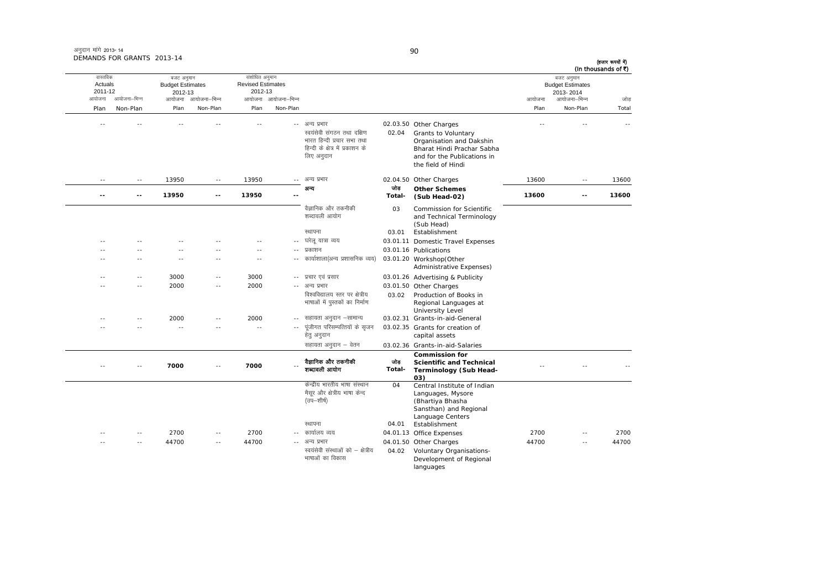| अनुदान मांगे 2013-14       |  |
|----------------------------|--|
| DEMANDS FOR GRANTS 2013-14 |  |

|                                          | ANDS FOR GRANTS 2013-14 |                                                  |                     |                                                       |                     |                                                                                                                           |               |                                                                                                                                                              |        |                                                                    | (हजार रूपयों में)<br>(In thousands of ₹) |
|------------------------------------------|-------------------------|--------------------------------------------------|---------------------|-------------------------------------------------------|---------------------|---------------------------------------------------------------------------------------------------------------------------|---------------|--------------------------------------------------------------------------------------------------------------------------------------------------------------|--------|--------------------------------------------------------------------|------------------------------------------|
| वास्तविक<br>Actuals<br>2011-12<br>आयोजना | आयोजना–भिन्न            | बजट अनुमान<br><b>Budget Estimates</b><br>2012-13 | आयोजना आयोजना–भिन्न | संशोधित अनुमान<br><b>Revised Estimates</b><br>2012-13 | आयोजना आयोजना–भिन्न |                                                                                                                           |               |                                                                                                                                                              | आयोजना | बजट अनुमान<br><b>Budget Estimates</b><br>2013-2014<br>आयोजना–भिन्न | जोड                                      |
| Plan                                     | Non-Plan                | Plan                                             | Non-Plan            | Plan                                                  | Non-Plan            |                                                                                                                           |               |                                                                                                                                                              | Plan   | Non-Plan                                                           | Total                                    |
|                                          |                         |                                                  |                     |                                                       | $- -$               | अन्य प्रभार<br>स्वयंसेवी संगठन तथा दक्षिण<br>भारत हिन्दी प्रचार सभा तथा<br>हिन्दी के क्षेत्र में प्रकाशन के<br>लिए अनुदान | 02.04         | 02.03.50 Other Charges<br>Grants to Voluntary<br>Organisation and Dakshin<br>Bharat Hindi Prachar Sabha<br>and for the Publications in<br>the field of Hindi |        |                                                                    |                                          |
| $- -$                                    | $\sim$ $-$              | 13950                                            | $\sim$ $-$          | 13950                                                 |                     | अन्य प्रभार                                                                                                               | 02.04.50      | Other Charges                                                                                                                                                | 13600  | $\sim$ $-$                                                         | 13600                                    |
|                                          |                         | 13950                                            | --                  | 13950                                                 |                     | अन्य                                                                                                                      | जोड<br>Total- | <b>Other Schemes</b><br>(Sub Head-02)                                                                                                                        | 13600  | --                                                                 | 13600                                    |
|                                          |                         |                                                  |                     |                                                       |                     | वैज्ञानिक और तकनीकी<br>शब्दावली आयोग<br>स्थापना                                                                           | 03<br>03.01   | <b>Commission for Scientific</b><br>and Technical Terminology<br>(Sub Head)<br>Establishment                                                                 |        |                                                                    |                                          |
|                                          |                         |                                                  |                     |                                                       |                     | घरेलू यात्रा व्यय                                                                                                         |               | 03.01.11 Domestic Travel Expenses                                                                                                                            |        |                                                                    |                                          |
|                                          |                         |                                                  |                     | $-$                                                   | $- -$               | प्रकाशन                                                                                                                   |               | 03.01.16 Publications                                                                                                                                        |        |                                                                    |                                          |
|                                          |                         | ٠.                                               |                     | $\sim$ $-$                                            | ۰.                  | कार्याशाला(अन्य प्रशासनिक व्यय)                                                                                           |               | 03.01.20 Workshop(Other<br>Administrative Expenses)                                                                                                          |        |                                                                    |                                          |
|                                          | $ -$                    | 3000                                             | ٠.                  | 3000                                                  |                     | -- प्रचार एवं प्रसार                                                                                                      |               | 03.01.26 Advertising & Publicity                                                                                                                             |        |                                                                    |                                          |
|                                          | - -                     | 2000                                             | ٠.                  | 2000                                                  | $- -$               | अन्य प्रभार<br>विश्वविद्यालय स्तर पर क्षेत्रीय<br>भाषाओं में पुस्तकों का निर्माण                                          | 03.02         | 03.01.50 Other Charges<br>Production of Books in<br>Regional Languages at                                                                                    |        |                                                                    |                                          |
|                                          |                         | 2000                                             | ۰.                  | 2000                                                  |                     | सहायता अनुदान –सामान्य                                                                                                    |               | University Level<br>03.02.31 Grants-in-aid-General                                                                                                           |        |                                                                    |                                          |
|                                          |                         | ٠.                                               | --                  | $\overline{\phantom{a}}$                              | $\frac{1}{2}$       | पंजीगत परिसम्पत्तियों के सजन                                                                                              |               | 03.02.35 Grants for creation of                                                                                                                              |        |                                                                    |                                          |

|    |       |       |            |       | $- -$      | पंजीगत परिसम्पत्तियों के सजन<br>हेतु अनुदान                                             |               | 03.02.35 Grants for creation of<br>capital assets                                                                                   |       |          |       |
|----|-------|-------|------------|-------|------------|-----------------------------------------------------------------------------------------|---------------|-------------------------------------------------------------------------------------------------------------------------------------|-------|----------|-------|
|    |       |       |            |       |            | सहायता अनुदान – वेतन                                                                    |               | 03.02.36 Grants-in-aid-Salaries                                                                                                     |       |          |       |
|    | $- -$ | 7000  | $\sim$ $-$ | 7000  | $\sim$ $-$ | वैज्ञानिक और तकनीकी<br>शब्दावली आयोग                                                    | जोड<br>Total- | <b>Commission for</b><br><b>Scientific and Technical</b><br>Terminology (Sub Head-<br>03)                                           |       |          |       |
|    |       |       |            |       |            | केन्द्रीय भारतीय भाषा संस्थान<br>मैसुर और क्षेत्रीय भाषा केन्द<br>(उप—शीर्ष)<br>स्थापना | 04<br>04.01   | Central Institute of Indian<br>Languages, Mysore<br>(Bhartiya Bhasha<br>Sansthan) and Regional<br>Language Centers<br>Establishment |       |          |       |
| -- | $- -$ | 2700  | $\sim$ $-$ | 2700  |            | -- कार्यालय व्यय                                                                        |               | 04.01.13 Office Expenses                                                                                                            | 2700  | $\cdots$ | 2700  |
| -- | $- -$ | 44700 | $\sim$ $-$ | 44700 |            | -- अन्य प्रभार<br>स्वयंसेवी संस्थाओं को – क्षेत्रीय<br>भाषाओं का विकास                  | 04.02         | 04.01.50 Other Charges<br>Voluntary Organisations-<br>Development of Regional<br>languages                                          | 44700 | $\cdots$ | 44700 |

90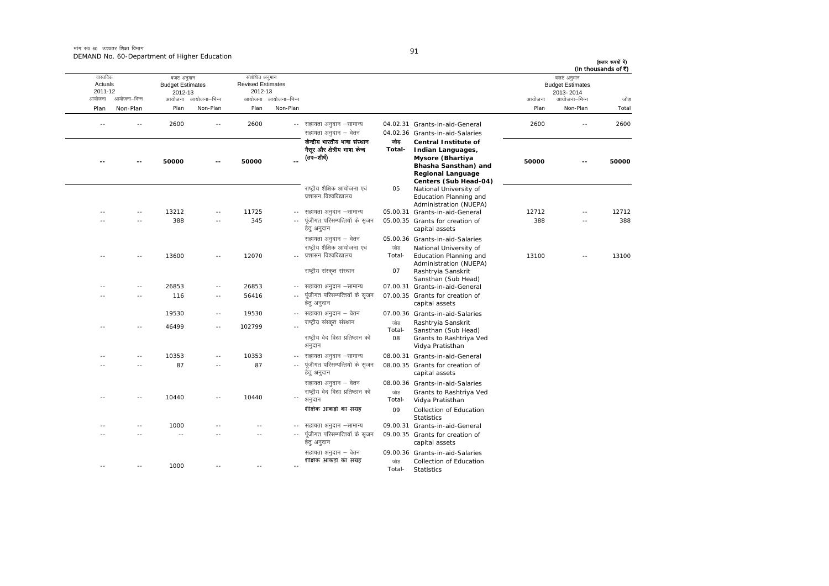मांग सं0 60 उच्चतर शिक्षा विभाग DEMAND No. 60-Department of Higher Education

| I |  |
|---|--|

| (In thousands of ₹) | बजट अनुमान<br><b>Budget Estimates</b><br>2013-2014 |        |                                                                                                                                                                                      |                      |                                                                                                      |                     | संशोधित अनुमान<br><b>Revised Estimates</b><br>2012-13 |                          | बजट अनुमान<br><b>Budget Estimates</b><br>2012-13 |               | वास्तविक<br>Actuals<br>2011-12 |
|---------------------|----------------------------------------------------|--------|--------------------------------------------------------------------------------------------------------------------------------------------------------------------------------------|----------------------|------------------------------------------------------------------------------------------------------|---------------------|-------------------------------------------------------|--------------------------|--------------------------------------------------|---------------|--------------------------------|
| जोड                 | आयोजना–भिन्न                                       | आयोजना |                                                                                                                                                                                      |                      |                                                                                                      | आयोजना आयोजना-भिन्न |                                                       | आयोजना–भिन्न             | आयोजना                                           | आयोजना–भिन्न  | आयोजना                         |
| Total               | Non-Plan                                           | Plan   |                                                                                                                                                                                      |                      |                                                                                                      | Non-Plan            | Plan                                                  | Non-Plan                 | Plan                                             | Non-Plan      | Plan                           |
| 2600                | ٠.                                                 | 2600   | 04.02.31 Grants-in-aid-General                                                                                                                                                       |                      | -- सहायता अनुदान –सामान्य                                                                            |                     | 2600                                                  | $\overline{\phantom{a}}$ | 2600                                             |               |                                |
| 50000               | $-$                                                | 50000  | 04.02.36 Grants-in-aid-Salaries<br><b>Central Institute of</b><br>Indian Languages,<br>Mysore (Bhartiya<br>Bhasha Sansthan) and<br><b>Regional Language</b><br>Centers (Sub Head-04) | जोड़<br>Total-       | सहायता अनुदान – वेतन<br>केन्द्रीय भारतीय भाषा संस्थान<br>मैसूर और क्षेत्रीय भाषा केन्द<br>(उप—शीर्ष) |                     | 50000                                                 |                          | 50000                                            |               |                                |
|                     |                                                    |        | National University of<br>Education Planning and<br>Administration (NUEPA)                                                                                                           | 05                   | राष्ट्रीय शैक्षिक आयोजना एवं<br>प्रशासन विश्वविद्यालय                                                |                     |                                                       |                          |                                                  |               |                                |
| 12712               | $-$                                                | 12712  | 05.00.31 Grants-in-aid-General                                                                                                                                                       |                      | सहायता अनुदान –सामान्य                                                                               | $-1$                | 11725                                                 | $\sim$ $\sim$            | 13212                                            |               |                                |
| 388                 | $\overline{a}$                                     | 388    | 05.00.35 Grants for creation of<br>capital assets                                                                                                                                    |                      | पूंजीगत परिसम्पत्तियों के सृजन<br>हेत् अनुदान                                                        | $\sim$ $-$          | 345                                                   | $\sim$ $\sim$            | 388                                              | $\sim$        |                                |
| 13100               | $-$                                                | 13100  | 05.00.36 Grants-in-aid-Salaries<br>National University of<br>Education Planning and<br>Administration (NUEPA)                                                                        | जोड<br>Total-        | सहायता अनुदान – वेतन<br>राष्ट्रीय शैक्षिक आयोजना एवं<br>प्रशासन विश्वविद्यालय                        |                     | 12070                                                 |                          | 13600                                            |               |                                |
|                     |                                                    |        | Rashtryia Sanskrit<br>Sansthan (Sub Head)                                                                                                                                            | 07                   | राष्ट्रीय संस्कृत संस्थान                                                                            |                     |                                                       |                          |                                                  |               |                                |
|                     |                                                    |        | 07.00.31 Grants-in-aid-General                                                                                                                                                       |                      | सहायता अनुदान –सामान्य                                                                               | $- -$               | 26853                                                 | $\overline{\phantom{a}}$ | 26853                                            |               |                                |
|                     |                                                    |        | 07.00.35 Grants for creation of<br>capital assets                                                                                                                                    |                      | पूंजीगत परिसम्पत्तियों के सृजन<br>हेत् अनुदान                                                        | $\sim$ $-$          | 56416                                                 | $\sim$ $\sim$            | 116                                              |               |                                |
|                     |                                                    |        | 07.00.36 Grants-in-aid-Salaries                                                                                                                                                      |                      | --    सहायता अनुदान –  वेतन                                                                          |                     | 19530                                                 | $\sim$ $-$               | 19530                                            |               |                                |
|                     |                                                    |        | Rashtryia Sanskrit<br>Sansthan (Sub Head)<br>Grants to Rashtriya Ved<br>Vidya Pratisthan                                                                                             | जोड़<br>Total-<br>08 | राष्ट्रीय संस्कृत संस्थान<br>राष्ट्रीय वेद विद्या प्रतिष्ठान को<br>अनुदान                            |                     | 102799                                                | $\sim$ $\sim$            | 46499                                            |               |                                |
|                     |                                                    |        | 08.00.31 Grants-in-aid-General                                                                                                                                                       |                      | सहायता अनुदान –सामान्य                                                                               | $\sim$              | 10353                                                 | $\sim$                   | 10353                                            | $\sim$        |                                |
|                     |                                                    |        | 08.00.35 Grants for creation of<br>capital assets                                                                                                                                    |                      | पूंजीगत परिसम्पत्तियों के सृजन<br>हेतु अनुदान                                                        |                     | 87                                                    | $\sim$                   | 87                                               |               |                                |
|                     |                                                    |        | 08.00.36 Grants-in-aid-Salaries<br>Grants to Rashtriya Ved                                                                                                                           | जोड                  | सहायता अनुदान – वेतन<br>राष्ट्रीय वेद विद्या प्रतिष्ठान को                                           |                     |                                                       |                          |                                                  |               |                                |
|                     |                                                    |        | Vidya Pratisthan<br>Collection of Education                                                                                                                                          | Total-<br>09         | अनुदान<br>शैक्षिक आंकड़ों का संग्रह                                                                  |                     | 10440                                                 | $\sim$ $\sim$            | 10440                                            | $\sim$ $\sim$ |                                |
|                     |                                                    |        | <b>Statistics</b><br>09.00.31 Grants-in-aid-General                                                                                                                                  |                      | सहायता अनुदान –सामान्य                                                                               | $-$                 |                                                       |                          | 1000                                             |               |                                |
|                     |                                                    |        | 09.00.35 Grants for creation of<br>capital assets                                                                                                                                    |                      | पूंजीगत परिसम्पत्तियों के सृजन<br>हेतु अनुदान                                                        |                     |                                                       |                          | $\sim$                                           |               |                                |
|                     |                                                    |        | 09.00.36 Grants-in-aid-Salaries                                                                                                                                                      |                      | सहायता अनुदान – वेतन                                                                                 |                     |                                                       |                          |                                                  |               |                                |
|                     |                                                    |        | Collection of Education<br>Statistics                                                                                                                                                | जोड<br>Total.        | शैक्षिक आंकड़ों का संग्रह                                                                            | $\sim$              | $\sim$                                                |                          | 1000                                             | $\sim$ $\sim$ |                                |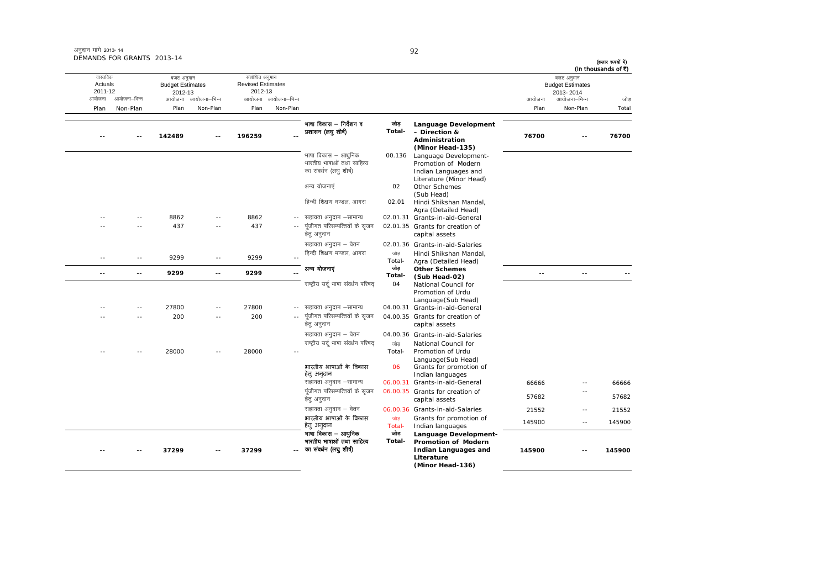|        | (In thousands of ₹)<br>बजट अनुमान<br><b>Budget Estimates</b><br>2013-2014<br>आयोजना–भिन्न | आयोजना                   |                                                                                                                      |               |                                                                            | आयोजना आयोजना-भिन्न | संशोधित अनुमान<br><b>Revised Estimates</b><br>2012-13 | आयोजना आयोजना–भिन्न | बजट अनुमान<br><b>Budget Estimates</b><br>2012-13 | आयोजना–भिन्न  | वास्तविक<br>Actuals<br>2011-12<br>आयोजना |
|--------|-------------------------------------------------------------------------------------------|--------------------------|----------------------------------------------------------------------------------------------------------------------|---------------|----------------------------------------------------------------------------|---------------------|-------------------------------------------------------|---------------------|--------------------------------------------------|---------------|------------------------------------------|
| Total  | Non-Plan                                                                                  | Plan                     |                                                                                                                      |               |                                                                            | Non-Plan            | Plan                                                  | Non-Plan            | Plan                                             | Non-Plan      | Plan                                     |
| 76700  |                                                                                           | 76700                    | Language Development<br>- Direction &<br>Administration<br>(Minor Head-135)                                          | जोड<br>Total- | भाषा विकास – निर्देशन व<br>प्रशासन (लघु शीर्ष)                             |                     | 196259                                                |                     | 142489                                           |               |                                          |
|        |                                                                                           |                          | Language Development-<br>Promotion of Modern<br>Indian Languages and<br>Literature (Minor Head)                      | 00.136        | भाषा विकास – आधुनिक<br>भारतीय भाषाओं तथा साहित्य<br>का संवर्धन (लघु शीर्ष) |                     |                                                       |                     |                                                  |               |                                          |
|        |                                                                                           |                          | Other Schemes<br>(Sub Head)                                                                                          | 02            | अन्य योजनाएं                                                               |                     |                                                       |                     |                                                  |               |                                          |
|        |                                                                                           |                          | Hindi Shikshan Mandal,<br>Agra (Detailed Head)                                                                       | 02.01         | हिन्दी शिक्षण मण्डल, आगरा                                                  |                     |                                                       |                     |                                                  |               |                                          |
|        |                                                                                           |                          | 02.01.31 Grants-in-aid-General                                                                                       |               | सहायता अनुदान –सामान्य                                                     | $\sim$ $-$          | 8862                                                  | $-$                 | 8862                                             | $\sim$ $\sim$ |                                          |
|        |                                                                                           |                          | 02.01.35 Grants for creation of<br>capital assets                                                                    |               | पूंजीगत परिसम्पत्तियों के सृजन<br>हेत् अनुदान                              |                     | 437                                                   | $\sim$              | 437                                              | $\sim$        |                                          |
|        |                                                                                           |                          | 02.01.36 Grants-in-aid-Salaries                                                                                      |               | सहायता अनुदान – वेतन                                                       |                     |                                                       |                     |                                                  |               |                                          |
|        |                                                                                           |                          | Hindi Shikshan Mandal,                                                                                               | जोड           | हिन्दी शिक्षण मण्डल, आगरा                                                  |                     | 9299                                                  | $\sim$ $-$          | 9299                                             | $\sim$ $-$    | $\sim$                                   |
|        |                                                                                           |                          | Agra (Detailed Head)                                                                                                 | Total-<br>जोड |                                                                            |                     |                                                       |                     |                                                  |               |                                          |
|        | $\overline{a}$                                                                            | $\overline{\phantom{a}}$ | <b>Other Schemes</b><br>(Sub Head-02)                                                                                | Total-        | अन्य योजनाएं                                                               |                     | 9299                                                  | $\overline{a}$      | 9299                                             | --            | $\overline{\phantom{a}}$                 |
|        |                                                                                           |                          | National Council for<br>Promotion of Urdu<br>Language(Sub Head)                                                      | 04            | राष्ट्रीय उर्दू भाषा संवर्धन परिषद                                         |                     |                                                       |                     |                                                  |               |                                          |
|        |                                                                                           |                          | 04.00.31 Grants-in-aid-General                                                                                       |               | -- सहायता अनुदान –सामान्य                                                  |                     | 27800                                                 | $\sim$              | 27800                                            |               |                                          |
|        |                                                                                           |                          | 04.00.35 Grants for creation of<br>capital assets                                                                    |               | पूंजीगत परिसम्पत्तियों के सृजन<br>हेत् अनुदान                              |                     | 200                                                   |                     | 200                                              |               |                                          |
|        |                                                                                           |                          | 04.00.36 Grants-in-aid-Salaries                                                                                      |               | सहायता अनुदान - वेतन                                                       |                     |                                                       |                     |                                                  |               |                                          |
|        |                                                                                           |                          | National Council for                                                                                                 | जोड           | राष्ट्रीय उर्दू भाषा संवर्धन परिषद                                         |                     |                                                       |                     |                                                  |               |                                          |
|        |                                                                                           |                          | Promotion of Urdu<br>Language(Sub Head)<br>Grants for promotion of                                                   | Total-<br>06  | भारतीय भाषाओं के विकास                                                     |                     | 28000                                                 |                     | 28000                                            |               |                                          |
|        |                                                                                           |                          | Indian languages                                                                                                     |               | हेत् अन्दान                                                                |                     |                                                       |                     |                                                  |               |                                          |
| 66666  | $\overline{\phantom{a}}$ .                                                                | 66666                    | 06.00.31 Grants-in-aid-General                                                                                       |               | सहायता अनुदान -सामान्य                                                     |                     |                                                       |                     |                                                  |               |                                          |
| 57682  | $\overline{\phantom{a}}$                                                                  | 57682                    | 06.00.35 Grants for creation of<br>capital assets                                                                    |               | पूंजीगत परिसम्पत्तियों के सृजन<br>हेत् अनुदान                              |                     |                                                       |                     |                                                  |               |                                          |
| 21552  | $\sim$ $-$                                                                                | 21552                    | 06.00.36 Grants-in-aid-Salaries                                                                                      |               | सहायता अनुदान – वेतन                                                       |                     |                                                       |                     |                                                  |               |                                          |
| 145900 | $\sim$ $-$                                                                                | 145900                   | Grants for promotion of<br>Indian languages                                                                          | जोड<br>Total- | भारतीय भाषाओं के विकास<br>हेत् अनुदान                                      |                     |                                                       |                     |                                                  |               |                                          |
| 145900 |                                                                                           | 145900                   | Language Development-<br><b>Promotion of Modern</b><br><b>Indian Languages and</b><br>Literature<br>(Minor Head-136) | जोड<br>Total- | भाषा विकास – आधुनिक<br>भारतीय भाषाओं तथा साहित्य<br>का संवर्धन (लघु शीर्ष) |                     | 37299                                                 |                     | 37299                                            |               |                                          |

92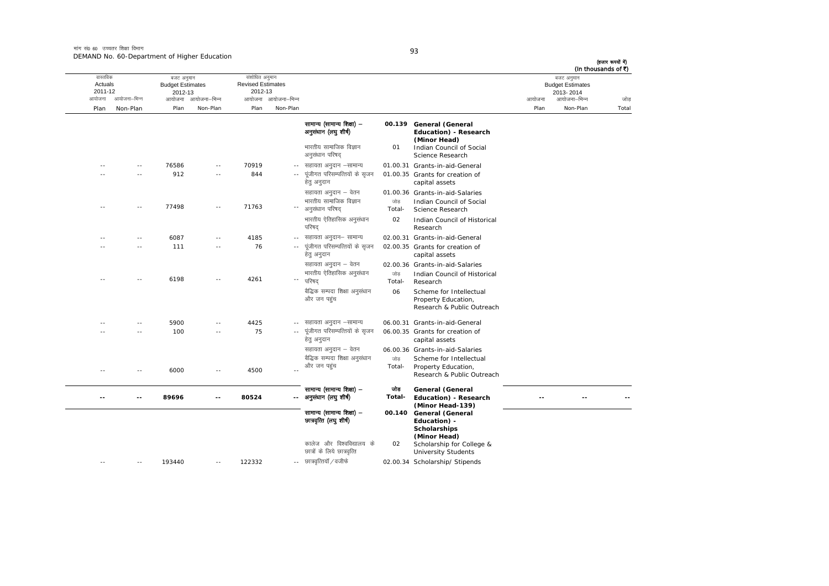मांग सं0 60 उच्चतर शिक्षा विभाग DEMAND No. 60-Department of Higher Education

| I<br>×<br>۰. | I<br>×<br>۰. |
|--------------|--------------|

|                        | DEMAND NO. 60-Department or Higher Equitation |                          |        | (हजार रूपयों में)<br>(In thousands of ₹) |
|------------------------|-----------------------------------------------|--------------------------|--------|------------------------------------------|
| वास्तविक               | बजट अनुमान                                    | संशोधित अनुमान           |        | बजट अनुमान                               |
| Actuals                | <b>Budget Estimates</b>                       | <b>Revised Estimates</b> |        | <b>Budget Estimates</b>                  |
| 2011-12                | 2012-13                                       | 2012-13                  |        | 2013-2014                                |
| आयोजना–भिन्न<br>आयोजना | आयोजना आयोजना–भिन्न                           | आयोजना आयोजना–भिन्न      | आयोजना | आयोजना–भिन्न<br>जोड                      |
| Plan<br>Non-Plan       | Non-Plan<br>Plan                              | Non-Plan<br>Plan         | Plan   | Total<br>Non-Plan                        |

|            |            |        |                          |        |               | सामान्य (सामान्य शिक्षा) -<br>अनुसंधान (लघु शीर्ष)<br>भारतीय सामाजिक विज्ञान<br>अनुसंधान परिषद | 01            | 00.139 General (General<br>Education) - Research<br>(Minor Head)<br>Indian Council of Social<br>Science Research |
|------------|------------|--------|--------------------------|--------|---------------|------------------------------------------------------------------------------------------------|---------------|------------------------------------------------------------------------------------------------------------------|
| ٠.         | $\sim$ $-$ | 76586  | $\overline{\phantom{a}}$ | 70919  | $\sim$ $-$    | सहायता अनुदान –सामान्य                                                                         |               | 01.00.31 Grants-in-aid-General                                                                                   |
|            |            | 912    |                          | 844    |               | पूंजीगत परिसम्पत्तियों के सृजन<br>हेतु अनुदान                                                  |               | 01.00.35 Grants for creation of<br>capital assets                                                                |
|            |            |        |                          |        |               | सहायता अनुदान – वेतन                                                                           |               | 01.00.36 Grants-in-aid-Salaries                                                                                  |
| - -        |            | 77498  | $\sim$ $\sim$            | 71763  | $\sim$ $-$    | भारतीय सामाजिक विज्ञान<br>अनुसंधान परिषद                                                       | जोड<br>Total- | Indian Council of Social<br>Science Research                                                                     |
|            |            |        |                          |        |               | भारतीय ऐतिहासिक अनुसंधान<br>परिषद                                                              | 02            | Indian Council of Historical<br>Research                                                                         |
|            |            | 6087   |                          | 4185   |               | -- सहायता अनुदान- सामान्य                                                                      |               | 02.00.31 Grants-in-aid-General                                                                                   |
|            | - -        | 111    | $ -$                     | 76     | $\sim$ $\sim$ | पूंजीगत परिसम्पत्तियों के सृजन<br>हेतु अनुदान                                                  |               | 02.00.35 Grants for creation of<br>capital assets                                                                |
| ٠.         |            | 6198   |                          | 4261   | $\sim$        | सहायता अनुदान – वेतन<br>भारतीय ऐतिहासिक अनुसंधान<br>परिषद                                      | जोड<br>Total- | 02.00.36 Grants-in-aid-Salaries<br>Indian Council of Historical<br>Research                                      |
|            |            |        |                          |        |               | बैद्धिक सम्पदा शिक्षा अनुसंधान<br>और जन पहुंच                                                  | 06            | Scheme for Intellectual<br>Property Education,<br>Research & Public Outreach                                     |
|            | $\sim$ $-$ | 5900   |                          | 4425   |               | -- सहायता अनुदान –सामान्य                                                                      |               | 06.00.31 Grants-in-aid-General                                                                                   |
|            |            | 100    | $\sim$ $\sim$            | 75     |               | पूंजीगत परिसम्पत्तियों के सृजन<br>हेतु अनुदान                                                  |               | 06.00.35 Grants for creation of<br>capital assets                                                                |
|            |            |        |                          |        |               | सहायता अनुदान – वेतन                                                                           |               | 06.00.36 Grants-in-aid-Salaries                                                                                  |
|            |            | 6000   |                          | 4500   |               | बैद्धिक सम्पदा शिक्षा अनुसंधान<br>और जन पहुंच                                                  | जोड<br>Total- | Scheme for Intellectual<br>Property Education,<br>Research & Public Outreach                                     |
| ٠.         |            | 89696  | $\overline{\phantom{a}}$ | 80524  |               | सामान्य (सामान्य शिक्षा) -<br>-- अनुसंधान (लघु शीर्ष)                                          | जोड<br>Total- | General (General<br>Education) - Research<br>(Minor Head-139)                                                    |
|            |            |        |                          |        |               | सामान्य (सामान्य शिक्षा) –<br>চ্যাগবৃলি (লঘু খাণ)                                              |               | 00.140 General (General<br>Education) -<br>Scholarships<br>(Minor Head)                                          |
|            |            |        |                          |        |               | कालेज और विश्वविद्यालय के<br>छात्रों के लिये छात्रवृत्ति                                       | 02            | Scholarship for College &<br><b>University Students</b>                                                          |
| $\sim$ $-$ | $\sim$ $-$ | 193440 | $\sim$ $-$               | 122332 |               | -- छात्रवृत्तियॉ / वजीफे                                                                       |               | 02.00.34 Scholarship/ Stipends                                                                                   |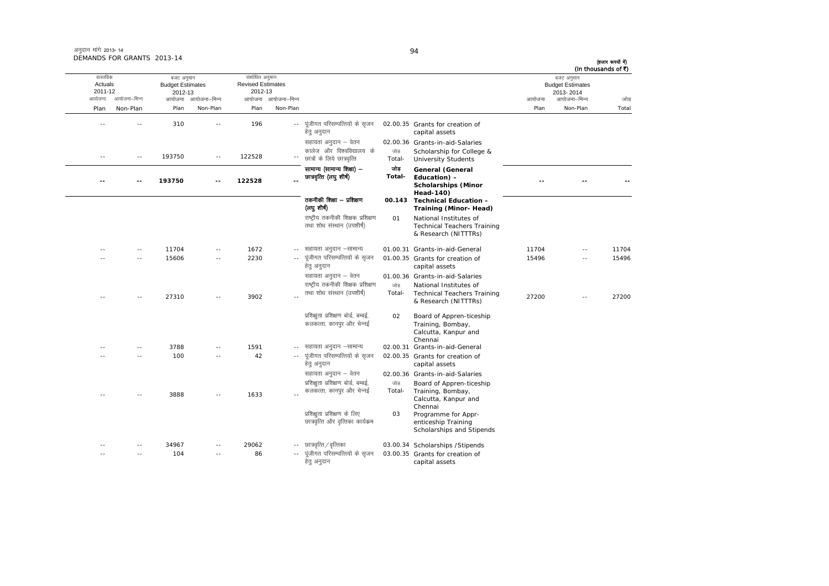|       | (In thousands of ₹)<br>बजट अनुमान    |        |                                                                                      |                |                                                                   |                          | संशोधित अनुमान                      |                     | बजट अनुमान                         |              | वास्तविक           |
|-------|--------------------------------------|--------|--------------------------------------------------------------------------------------|----------------|-------------------------------------------------------------------|--------------------------|-------------------------------------|---------------------|------------------------------------|--------------|--------------------|
|       | <b>Budget Estimates</b><br>2013-2014 |        |                                                                                      |                |                                                                   |                          | <b>Revised Estimates</b><br>2012-13 |                     | <b>Budget Estimates</b><br>2012-13 |              | Actuals<br>2011-12 |
| जोड   | आयोजना–भिन्न                         | आयोजना |                                                                                      |                |                                                                   | आयोजना आयोजना-भिन्न      |                                     | आयोजना आयोजना–भिन्न |                                    | आयोजना–भिन्न | आयोजना             |
| Total | Non-Plan                             | Plan   |                                                                                      |                |                                                                   | Non-Plan                 | Plan                                | Non-Plan            | Plan                               | Non-Plan     | Plan               |
|       |                                      |        | 02.00.35 Grants for creation of<br>capital assets                                    |                | पूंजीगत परिसम्पत्तियों के सृजन<br>हेतु अनुदान                     | $\sim$                   | 196                                 | --                  | 310                                |              |                    |
|       |                                      |        | 02.00.36 Grants-in-aid-Salaries                                                      |                | सहायता अनुदान – वेतन                                              |                          |                                     |                     |                                    |              |                    |
|       |                                      |        | Scholarship for College &<br><b>University Students</b>                              | जोड़<br>Total- | कालेज और विश्वविद्यालय के<br>छात्रों के लिये छात्रवृत्ति          |                          | 122528                              | $\sim$ $-$          | 193750                             | $\sim$ $-$   | $\overline{a}$     |
|       |                                      |        | General (General<br>Education) -<br><b>Scholarships (Minor</b><br><b>Head-140)</b>   | जोड<br>Total-  | सामान्य (सामान्य शिक्षा) –<br>छात्रवृत्ति (लघु शीर्ष)             |                          | 122528                              |                     | 193750                             | --           |                    |
|       |                                      |        | 00.143 Technical Education -<br>Training (Minor-Head)                                |                | तकनीकी शिक्षा — प्रशिक्षण<br>(लघुशीर्ष)                           |                          |                                     |                     |                                    |              |                    |
|       |                                      |        | National Institutes of<br><b>Technical Teachers Training</b><br>& Research (NITTTRs) | 01             | राष्ट्रीय तकनीकी शिक्षक प्रशिक्षण<br>तथा शोध संस्थान (उपशीर्ष)    |                          |                                     |                     |                                    |              |                    |
| 11704 | $\sim$ $\sim$                        | 11704  | 01.00.31 Grants-in-aid-General                                                       |                | -- सहायता अनुदान –सामान्य                                         |                          | 1672                                | $\sim$ $\sim$       | 11704                              | $\sim$ $-$   | $\sim$             |
| 15496 | $\sim$                               | 15496  | 01.00.35 Grants for creation of<br>capital assets                                    |                | पूंजीगत परिसम्पत्तियों के सृजन<br>हेतु अनुदान                     |                          | 2230                                | $\sim$              | 15606                              | $\sim$       |                    |
|       |                                      |        | 01.00.36 Grants-in-aid-Salaries                                                      |                | सहायता अनुदान – वेतन                                              |                          |                                     |                     |                                    |              |                    |
|       |                                      |        | National Institutes of                                                               | जोड            | राष्ट्रीय तकनीकी शिक्षक प्रशिक्षण                                 |                          |                                     |                     |                                    |              |                    |
| 27200 |                                      | 27200  | <b>Technical Teachers Training</b><br>& Research (NITTTRs)                           | Total-         | तथा शोध संस्थान (उपशीर्ष)                                         |                          | 3902                                |                     | 27310                              |              |                    |
|       |                                      |        | Board of Appren-ticeship<br>Training, Bombay,<br>Calcutta, Kanpur and<br>Chennai     | 02             | प्रशिक्षुता प्रशिक्षण बोर्ड, बम्बई,<br>कलकत्ता, कानपुर और चेन्नई  |                          |                                     |                     |                                    |              |                    |
|       |                                      |        | 02.00.31 Grants-in-aid-General                                                       |                | -- सहायता अनुदान –सामान्य                                         |                          | 1591                                | $-$                 | 3788                               | $\sim$       |                    |
|       |                                      |        | 02.00.35 Grants for creation of<br>capital assets                                    |                | पूंजीगत परिसम्पत्तियों के सृजन<br>हेतु अनुदान                     |                          | 42                                  |                     | 100                                | $\sim$       |                    |
|       |                                      |        | 02.00.36 Grants-in-aid-Salaries                                                      |                | सहायता अनुदान – वेतन                                              |                          |                                     |                     |                                    |              |                    |
|       |                                      |        | Board of Appren-ticeship                                                             | जोड            | प्रशिक्षुता प्रशिक्षण बोर्ड, बम्बई,                               |                          |                                     |                     |                                    |              |                    |
|       |                                      |        | Training, Bombay,<br>Calcutta, Kanpur and<br>Chennai                                 | Total-         | कलकत्ता, कानपुर और चेन्नई                                         |                          | 1633                                |                     | 3888                               |              |                    |
|       |                                      |        | Programme for Appr-<br>enticeship Training<br>Scholarships and Stipends              | 03             | प्रशिक्षुता प्रशिक्षण के लिए<br>छात्रवृत्ति और वृत्तिका कार्यक्रम |                          |                                     |                     |                                    |              |                    |
|       |                                      |        | 03.00.34 Scholarships / Stipends                                                     |                | छात्रवृत्ति / वृत्तिका                                            | $- -$                    | 29062                               |                     | 34967                              | $\sim$ $-$   |                    |
|       |                                      |        | 03.00.35 Grants for creation of<br>capital assets                                    |                | पूंजीगत परिसम्पत्तियों के सुजन<br>हेतु अनुदान                     | $\overline{\phantom{a}}$ | 86                                  | $-$                 | 104                                |              |                    |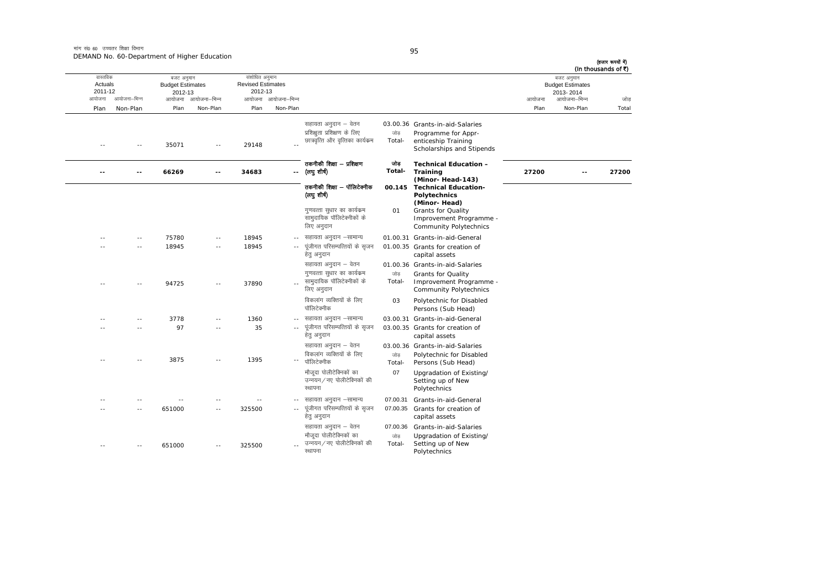.<br>मांग सं0 60 उच्चतर शिक्षा विभाग DEMAND No. 60-Department of Higher Education

--

--

--

-- 651000 -- 325500 --

-- 651000 -- 325500 --

-- -- -- -- --

|                                          | DEMAND NO. 00-DODG (INCHE OF HIGHCL EQUOQUOT |                                                  |                     |                                                       |                     |                                                                                           |               |                                                                                                            |        |                                                                    | (हजार रूपयों में)<br>(In thousands of ₹) |
|------------------------------------------|----------------------------------------------|--------------------------------------------------|---------------------|-------------------------------------------------------|---------------------|-------------------------------------------------------------------------------------------|---------------|------------------------------------------------------------------------------------------------------------|--------|--------------------------------------------------------------------|------------------------------------------|
| वास्तविक<br>Actuals<br>2011-12<br>आयोजना | आयोजना–भिन्न                                 | बजट अनुमान<br><b>Budget Estimates</b><br>2012-13 | आयोजना आयोजना-भिन्न | संशोधित अनुमान<br><b>Revised Estimates</b><br>2012-13 | आयोजना आयोजना-भिन्न |                                                                                           |               |                                                                                                            | आयोजना | बजट अनुमान<br><b>Budget Estimates</b><br>2013-2014<br>आयोजना–भिन्न | जोड़                                     |
| Plan                                     | Non-Plan                                     | Plan                                             | Non-Plan            | Plan                                                  | Non-Plan            |                                                                                           |               |                                                                                                            | Plan   | Non-Plan                                                           | Total                                    |
| $- -$                                    | ٠.                                           | 35071                                            | $\sim$ $-$          | 29148                                                 |                     | सहायता अनुदान – वेतन<br>प्रशिक्षुता प्रशिक्षण के लिए<br>छात्रवृत्ति और वृत्तिका कार्यक्रम | जोड<br>Total- | 03.00.36 Grants-in-aid-Salaries<br>Programme for Appr-<br>enticeship Training<br>Scholarships and Stipends |        |                                                                    |                                          |
|                                          |                                              | 66269                                            | $-$                 | 34683                                                 |                     | तकनीकी शिक्षा – प्रशिक्षण<br>-- (लघुशीर्ष)                                                | जोड<br>Total- | <b>Technical Education -</b><br>Training<br>(Minor-Head-143)                                               | 27200  |                                                                    | 27200                                    |
|                                          |                                              |                                                  |                     |                                                       |                     | तकनीकी शिक्षा – पॉलिटेक्नीक<br>(लघु शीर्ष)                                                |               | 00.145 Technical Education-<br>Polytechnics<br>(Minor-Head)                                                |        |                                                                    |                                          |
|                                          |                                              |                                                  |                     |                                                       |                     | गुणवत्ता सुधार का कार्यक्रम<br>सामुदायिक पॉलिटेक्नीकों के<br>लिए अनुदान                   | 01            | <b>Grants for Quality</b><br>Improvement Programme -<br><b>Community Polytechnics</b>                      |        |                                                                    |                                          |
|                                          | ٠.                                           | 75780                                            | $\sim$ $-$          | 18945                                                 |                     | -- सहायता अनुदान –सामान्य                                                                 |               | 01.00.31 Grants-in-aid-General                                                                             |        |                                                                    |                                          |
|                                          | $-$                                          | 18945                                            | $\sim$ $-$          | 18945                                                 |                     | पूंजीगत परिसम्पत्तियों के सृजन<br>हेतु अनुदान                                             |               | 01.00.35 Grants for creation of<br>capital assets                                                          |        |                                                                    |                                          |
|                                          |                                              |                                                  |                     |                                                       |                     | सहायता अनुदान – वेतन<br>गुणवत्ता सुधार का कार्यक्रम                                       | जोड           | 01.00.36 Grants-in-aid-Salaries<br><b>Grants for Quality</b>                                               |        |                                                                    |                                          |
|                                          |                                              | 94725                                            |                     | 37890                                                 |                     | सामुदायिक पॉलिटेक्नीकों के<br>लिए अनुदान                                                  | Total-        | Improvement Programme -<br><b>Community Polytechnics</b>                                                   |        |                                                                    |                                          |
|                                          |                                              |                                                  |                     |                                                       |                     | विकलांग व्यक्तियों के लिए<br>पॉलिटेक्नीक                                                  | 03            | Polytechnic for Disabled<br>Persons (Sub Head)                                                             |        |                                                                    |                                          |
|                                          | --                                           | 3778                                             | $-$                 | 1360                                                  | $\sim$ $-$          | सहायता अनुदान –सामान्य                                                                    |               | 03.00.31 Grants-in-aid-General                                                                             |        |                                                                    |                                          |
|                                          | --                                           | 97                                               | $\sim$ $-$          | 35                                                    | $\sim$ $-$          | पूंजीगत परिसम्पत्तियों के सृजन<br>हेतु अनुदान                                             |               | 03.00.35 Grants for creation of<br>capital assets                                                          |        |                                                                    |                                          |
|                                          |                                              |                                                  |                     |                                                       |                     | सहायता अनुदान – वेतन<br>विकलांग व्यक्तियों के लिए                                         | जोड           | 03.00.36 Grants-in-aid-Salaries<br>Polytechnic for Disabled                                                |        |                                                                    |                                          |
| $- -$                                    | $-$                                          | 3875                                             | $\sim$ $-$          | 1395                                                  | $ -$                | पॉलिटेक्नीक                                                                               | Total-        | Persons (Sub Head)                                                                                         |        |                                                                    |                                          |

रथापना

रथापना

मौजूदा पोलीटेक्निकों का उन्नयन/नए पोलीटेक्निकों की

-- पूंजीगत परिसम्पत्तियों के सृजन हेतु अनुदान

मौजूदा पोलीटेक्निकों का  $\frac{1}{\sqrt{2}}$  उन्नयन/नए पोलीटेक्निकों की 95

07

-- सहायता अनुदान -सामान्य 07.00.31 Grants-in-aid-General

सहायता अनुदान – वेतन <br />
07.00.36 Grants-in-aid-Salaries

जोड Total Upgradation of Existing/ Setting up of New Polytechnics

Upgradation of Existing/<br>Setting up of New

07.00.35 Grants for creation of capital assets

**Polytechnics** 

(हजार रूपयों में)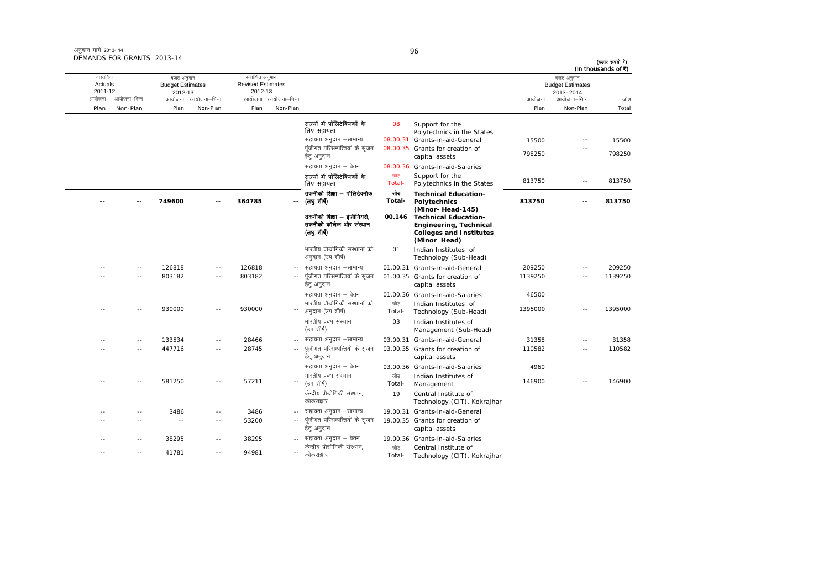| अनुदान मांगे 2013-14       |  |
|----------------------------|--|
| DEMANDS FOR GRANTS 2013-14 |  |

| (In thousands of ₹) | बजट अनुमान                                           |                 |                                                                                                                                      |               |                                                                                                                     |                          | वास्तविक<br>संशोधित अनुमान<br>बजट अनुमान      |                |                                              |                |                              |  |
|---------------------|------------------------------------------------------|-----------------|--------------------------------------------------------------------------------------------------------------------------------------|---------------|---------------------------------------------------------------------------------------------------------------------|--------------------------|-----------------------------------------------|----------------|----------------------------------------------|----------------|------------------------------|--|
| जोड                 | <b>Budget Estimates</b><br>2013-2014<br>आयोजना–भिन्न | आयोजना          |                                                                                                                                      |               |                                                                                                                     | आयोजना–भिन्न             | <b>Revised Estimates</b><br>2012-13<br>आयोजना | आयोजना–भिन्न   | <b>Budget Estimates</b><br>2012-13<br>आयोजना | आयोजना–भिन्न   | Actuals<br>2011-12<br>आयोजना |  |
| Total               | Non-Plan                                             | Plan            |                                                                                                                                      |               |                                                                                                                     | Non-Plan                 | Plan                                          | Non-Plan       | Plan                                         | Non-Plan       | Plan                         |  |
| 15500<br>798250     | ٠.<br>Ξ.                                             | 15500<br>798250 | Support for the<br>Polytechnics in the States<br>08.00.31 Grants-in-aid-General<br>08.00.35 Grants for creation of<br>capital assets | 08            | राज्यों में पॉलिटेक्निकों के<br>लिए सहायता<br>सहायता अनुदान –सामान्य<br>पंजीगत परिसम्पत्तियों के सजन<br>हेत् अनुदान |                          |                                               |                |                                              |                |                              |  |
|                     |                                                      |                 | 08.00.36 Grants-in-aid-Salaries<br>Support for the                                                                                   | जोड           | सहायता अनुदान – वेतन<br>राज्यों में पॉलिटेक्निकों के                                                                |                          |                                               |                |                                              |                |                              |  |
| 813750              | $\sim$ $-$                                           | 813750          | Polytechnics in the States                                                                                                           | Total-        | लिए सहायता                                                                                                          |                          |                                               |                |                                              |                |                              |  |
| 813750              | $-$                                                  | 813750          | <b>Technical Education-</b><br>Polytechnics<br>(Minor-Head-145)                                                                      | जोड<br>Total- | तकनीकी शिक्षा – पॉलिटेक्नीक<br>(लघु शीर्ष)                                                                          |                          | 364785                                        | $\sim$         | 749600                                       | ä.             |                              |  |
|                     |                                                      |                 | <b>Technical Education-</b><br>Engineering, Technical<br><b>Colleges and Institutes</b><br>(Minor Head)                              | 00.146        | तकनीकी शिक्षा – इंजीनियरी.<br>तकनीकी कॉलेज और संस्थान<br>(लघु शीष)                                                  |                          |                                               |                |                                              |                |                              |  |
|                     |                                                      |                 | Indian Institutes of<br>Technology (Sub-Head)                                                                                        | 01            | भारतीय प्रौद्योगिकी संस्थानों को<br>अनुदान (उप शीर्ष)                                                               |                          |                                               |                |                                              |                |                              |  |
| 209250              | $\sim$                                               | 209250          | 01.00.31 Grants-in-aid-General                                                                                                       |               | सहायता अनुदान –सामान्य                                                                                              |                          | 126818                                        | $\sim$ $\sim$  | 126818                                       | $\sim$ $-$     |                              |  |
| 1139250             | $\overline{\phantom{a}}$                             | 1139250         | 01.00.35 Grants for creation of<br>capital assets                                                                                    |               | पूंजीगत परिसम्पत्तियों के सृजन<br>हेत् अनुदान                                                                       | $\sim$ $\sim$            | 803182                                        | $-$            | 803182                                       | $\overline{a}$ |                              |  |
|                     |                                                      | 46500           | 01.00.36 Grants-in-aid-Salaries                                                                                                      |               | सहायता अनुदान – वेतन                                                                                                |                          |                                               |                |                                              |                |                              |  |
| 1395000             | $\sim$                                               | 1395000         | Indian Institutes of<br>Technology (Sub-Head)                                                                                        | जोड<br>Total- | भारतीय प्रौद्योगिकी संस्थानों को<br>अनुदान (उप शीर्ष)                                                               |                          | 930000                                        | $\sim$         | 930000                                       |                |                              |  |
|                     |                                                      |                 | Indian Institutes of<br>Management (Sub-Head)                                                                                        | 03            | भारतीय प्रबंध संस्थान<br>(उप शीर्ष)                                                                                 |                          |                                               |                |                                              |                |                              |  |
| 31358               | $\sim$ $-$                                           | 31358           | 03.00.31 Grants-in-aid-General                                                                                                       |               | सहायता अनुदान –सामान्य                                                                                              |                          | 28466                                         | $\overline{a}$ | 133534                                       | $\sim$         |                              |  |
| 110582              | ٠.                                                   | 110582          | 03.00.35 Grants for creation of<br>capital assets                                                                                    |               | पूंजीगत परिसम्पत्तियों के सृजन<br>हेतु अनुदान                                                                       | $\sim$                   | 28745                                         | $\sim$         | 447716                                       | $-$            |                              |  |
|                     |                                                      | 4960            | 03.00.36 Grants-in-aid-Salaries                                                                                                      |               | सहायता अनुदान – वेतन                                                                                                |                          |                                               |                |                                              |                |                              |  |
| 146900              | $\sim$                                               | 146900          | Indian Institutes of<br>Management                                                                                                   | जोड<br>Total- | भारतीय प्रबंध संस्थान<br>(उप शीर्ष)                                                                                 | $\overline{\phantom{a}}$ | 57211                                         | $\sim$         | 581250                                       | $\sim$         |                              |  |
|                     |                                                      |                 | Central Institute of<br>Technology (CIT), Kokrajhar                                                                                  | 19            | केन्द्रीय प्रौद्योगिकी संस्थान,<br>कोकराझार                                                                         |                          |                                               |                |                                              |                |                              |  |
|                     |                                                      |                 | 19.00.31 Grants-in-aid-General                                                                                                       |               | सहायता अनुदान –सामान्य                                                                                              | $-1$                     | 3486                                          | $\sim$ $\sim$  | 3486                                         | $\sim$         |                              |  |
|                     |                                                      |                 | 19.00.35 Grants for creation of<br>capital assets                                                                                    |               | पूंजीगत परिसम्पत्तियों के सृजन<br>हेतु अनुदान                                                                       | $\sim$ $\sim$            | 53200                                         | $\sim$ $-$     | $\sim$                                       | $\sim$         |                              |  |
|                     |                                                      |                 | 19.00.36 Grants-in-aid-Salaries                                                                                                      |               | सहायता अनुदान – वेतन                                                                                                |                          | 38295                                         | $\sim$ $\sim$  | 38295                                        | $\overline{a}$ |                              |  |
|                     |                                                      |                 | Central Institute of<br>Technology (CIT), Kokrajhar                                                                                  | जोड<br>Total- | केन्द्रीय प्रौद्योगिकी संस्थान,<br>कोकराझार                                                                         | --                       | 94981                                         | $\sim$ $\sim$  | 41781                                        | $-$            | - -                          |  |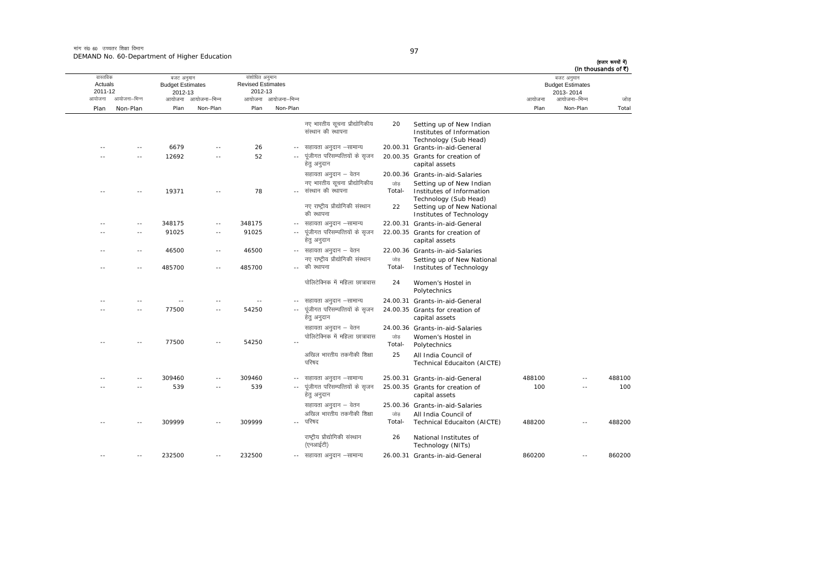मांग सं0 60 उच्चतर शिक्षा विभाग DEMAND No. 60-Department of Higher Education

| I<br>I |  |
|--------|--|

| वास्तविक<br>Actuals<br>2011-12 |               | बजट अनुमान<br><b>Budget Estimates</b> |                     | 2012-13        |                     | संशोधित अनुमान<br><b>Revised Estimates</b><br>2012-13 |               |                                                                                |        |              |        | बजट अनुमान<br><b>Budget Estimates</b><br>2013-2014 | (In thousands of ₹) |
|--------------------------------|---------------|---------------------------------------|---------------------|----------------|---------------------|-------------------------------------------------------|---------------|--------------------------------------------------------------------------------|--------|--------------|--------|----------------------------------------------------|---------------------|
| आयोजना                         | आयोजना–भिन्न  |                                       | आयोजना आयोजना–भिन्न |                | आयोजना आयोजना-भिन्न |                                                       |               |                                                                                | आयोजना | आयोजना–भिन्न | जोड    |                                                    |                     |
| Plan                           | Non-Plan      | Plan                                  | Non-Plan            | Plan           | Non-Plan            |                                                       |               |                                                                                | Plan   | Non-Plan     | Total  |                                                    |                     |
|                                |               |                                       |                     |                |                     | नए भारतीय सूचना प्रौद्योगिकीय<br>संस्थान की स्थापना   | 20            | Setting up of New Indian<br>Institutes of Information<br>Technology (Sub Head) |        |              |        |                                                    |                     |
|                                | $\sim$        | 6679                                  |                     | 26             | $-$                 | सहायता अनुदान –सामान्य                                |               | 20.00.31 Grants-in-aid-General                                                 |        |              |        |                                                    |                     |
|                                | $\sim$ $-$    | 12692                                 | $\overline{a}$      | 52             |                     | पूंजीगत परिसम्पत्तियों के सृजन<br>हेत् अनुदान         |               | 20.00.35 Grants for creation of<br>capital assets                              |        |              |        |                                                    |                     |
|                                |               |                                       |                     |                |                     | सहायता अनुदान – वेतन                                  |               | 20.00.36 Grants-in-aid-Salaries                                                |        |              |        |                                                    |                     |
|                                |               | 19371                                 |                     | 78             |                     | नए भारतीय सूचना प्रौद्योगिकीय<br>संस्थान की स्थापना   | जोड<br>Total- | Setting up of New Indian<br>Institutes of Information<br>Technology (Sub Head) |        |              |        |                                                    |                     |
|                                |               |                                       |                     |                |                     | नए राष्ट्रीय प्रौद्योगिकी संस्थान<br>की स्थापना       | 22            | Setting up of New National<br>Institutes of Technology                         |        |              |        |                                                    |                     |
|                                | $\sim$ $-$    | 348175                                | $\overline{a}$      | 348175         |                     | -- सहायता अनुदान –सामान्य                             |               | 22.00.31 Grants-in-aid-General                                                 |        |              |        |                                                    |                     |
|                                | $\sim$ $\sim$ | 91025                                 | $\sim$              | 91025          |                     | पूंजीगत परिसम्पत्तियों के सृजन<br>हेतु अनुदान         |               | 22.00.35 Grants for creation of<br>capital assets                              |        |              |        |                                                    |                     |
|                                | $\sim$ $-$    | 46500                                 | $\sim$ $-$          | 46500          |                     | -- सहायता अनुदान – वेतन                               |               | 22.00.36 Grants-in-aid-Salaries                                                |        |              |        |                                                    |                     |
|                                |               |                                       |                     |                |                     | नए राष्ट्रीय प्रौद्योगिकी संस्थान                     | जोड           | Setting up of New National                                                     |        |              |        |                                                    |                     |
|                                |               | 485700                                | ٠.                  | 485700         |                     | -- की स्थापना                                         | Total-        | Institutes of Technology                                                       |        |              |        |                                                    |                     |
|                                |               |                                       |                     |                |                     | पोलिटेक्निक में महिला छात्रावास                       | 24            | Women's Hostel in<br>Polytechnics                                              |        |              |        |                                                    |                     |
|                                |               |                                       |                     | $\overline{a}$ |                     | सहायता अनुदान –सामान्य                                |               | 24.00.31 Grants-in-aid-General                                                 |        |              |        |                                                    |                     |
|                                | $\sim$        | 77500                                 | $-$                 | 54250          | $\sim$ $\sim$       | पूंजीगत परिसम्पत्तियों के सृजन<br>हेतु अनुदान         |               | 24.00.35 Grants for creation of<br>capital assets                              |        |              |        |                                                    |                     |
|                                |               |                                       |                     |                |                     | सहायता अनुदान – वेतन                                  |               | 24.00.36 Grants-in-aid-Salaries                                                |        |              |        |                                                    |                     |
|                                |               | 77500                                 | $\overline{a}$      | 54250          |                     | पोलिटेक्निक में महिला छात्रावास                       | जोड<br>Total- | Women's Hostel in<br>Polytechnics                                              |        |              |        |                                                    |                     |
|                                |               |                                       |                     |                |                     | अखिल भारतीय तकनीकी शिक्षा<br>परिषद                    | 25            | All India Council of<br>Technical Educaiton (AICTE)                            |        |              |        |                                                    |                     |
|                                |               | 309460                                | $-$                 | 309460         | $\sim$ $-$          | सहायता अनुदान –सामान्य                                |               | 25.00.31 Grants-in-aid-General                                                 | 488100 | $-$          | 488100 |                                                    |                     |
|                                | $\sim$        | 539                                   | $\sim$ $\sim$       | 539            | $\sim$ $-$          | पूंजीगत परिसम्पत्तियों के सृजन<br>हेतु अनुदान         |               | 25.00.35 Grants for creation of                                                | 100    | $\sim$       | 100    |                                                    |                     |
|                                |               |                                       |                     |                |                     | सहायता अनुदान – वेतन                                  |               | capital assets<br>25.00.36 Grants-in-aid-Salaries                              |        |              |        |                                                    |                     |
|                                |               |                                       |                     |                |                     | अखिल भारतीय तकनीकी शिक्षा                             | जोड           | All India Council of                                                           |        |              |        |                                                    |                     |
|                                |               | 309999                                |                     | 309999         |                     | परिषद                                                 | Total-        | Technical Educaiton (AICTE)                                                    | 488200 |              | 488200 |                                                    |                     |
|                                |               |                                       |                     |                |                     | राष्ट्रीय प्रौद्योगिकी संस्थान<br>(एनआईटी)            | 26            | National Institutes of<br>Technology (NITs)                                    |        |              |        |                                                    |                     |
| $\overline{\phantom{a}}$       |               | 232500                                | ٠.                  | 232500         | $\sim$ $-$          | सहायता अनुदान –सामान्य                                |               | 26.00.31 Grants-in-aid-General                                                 | 860200 | ٠.           | 860200 |                                                    |                     |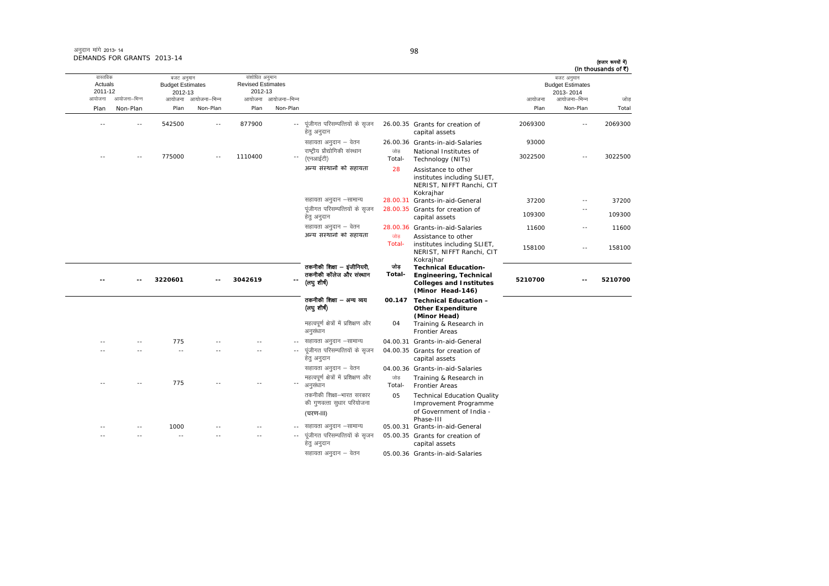| अनुदान मांगे 2013-14       |  |
|----------------------------|--|
| DEMANDS FOR GRANTS 2013-14 |  |

आयोजना आयोजना-भिन्न आयोजना आयोजना-भिन्न - आयोजना आयोजना-भिन्न न अपयोजना—भिन्न जाउँ विकास समिति । अपनी अपयोजना आयोजना—भिन्न जोड Plan Non-Plan Plan Non-Plan Plan Non-Plan Plan Non-Plan Total वास्तविक Actuals2011-12 बजट अनुमान Budget Estimates 2012-13 संशोधित अनुमान Revised Estimates2012-13 बजट अनुमान Budget Estimates 2013- 2014(हजार रूपयों में) (In thousands of  $\bar{x}$ ) -- -- 542500 -- 877900 ---- पुंजीगत परिसम्पत्तियों के सुजन हेत् अनुदान 26.00.35 Grants for creation of capital assets 2069300 -- 2069300lgk;rk vuqnku & osru 26.00.36 Grants-in-aid-Salaries <sup>93000</sup> -- -- 775000 -- 1110400 -- $\sim$ राष्ट्रीय प्रौद्योगिकी संस्थान (एनआईटी) जोड Total-National Institutes of  $3022500$  -- 3022500 अन्य संस्थानों को सहायता *28*  Assistance to other institutes including SLIET, NERIST, NIFFT Ranchi, CIT Kokrajhar lgk;rk vuqnku &lkekU; 28.00.31 Grants-in-aid-General 37200 -- 37200 पूंजीगत परिसम्पत्तियों के सुजन हेतु अनुदान 28.00.35 Grants for creation of capital assets 109300 --109300 lgk;rk vuqnku & osru 28.00.36 Grants-in-aid-Salaries <sup>11600</sup> -- <sup>11600</sup> अन्य संस्थानों को सहायता <sub>जोड</sub> Total-Assistance to other<br>institutes including SLIET, NERIST, NIFFT Ranchi, CIT Kokrajhar 158100 -- 158100158100 **-- -- 3220601 -- 3042619 --**तकनीकी शिक्षा – इंजीनियरी, तकनीकी कॉलेज और संस्थान (लघ शीर्ष) जोड़ **Total-Technical Education- Engineering, Technical Colleges and Institutes (Minor Head-146) 5210700 -- 5210700**तकनीकी शिक्षा — अन्य व्यय (लघु शीर्ष) **00.147 Technical Education – Other Expenditure (Minor Head)** महत्वपूर्ण क्षेत्रों में प्रशिक्षण और अनुसंधान  $04$  Training & Research in Frontier Areas ---- 775 -- -- -- -- -- सहायता अनुदान –सामान्य 04.00.31 Grants-in-aid-General -- -- -- -- -- ---- पुंजीगत परिसम्पत्तियों के सुजन हेतु अनुदान 04.00.35 Grants for creation of capital assets सहायता अनुदान – वेतन 04.00.36 Grants-in-aid-Salaries ---- 775 -- -- -- -- egRoiw.kZ {ks=ksa esa izf'k{k.k vkSj vuqla/kku tksM+ Total- Training & Research in Frontier Areas तकनीकी शिक्षा—भारत सरकार की गुणवत्ता सुधार परियोजना (चरण-III) 05 Technical Education Quality Improvement Programme of Government of India - Phase-III lgk;rk vuqnku &lkekU; 05.00.31 Grants-in-aid-General ---- 1000 -- -- -- - - सहायता अनुदान –सामान्य -- -- -- -- ---- पूंजीगत परिसम्पत्तियों के सृजन हेतु अनुदान 05.00.35 Grants for creation of capital assets

सहायता अनुदान – वेतन <br />
05.00.36 Grants-in-aid-Salaries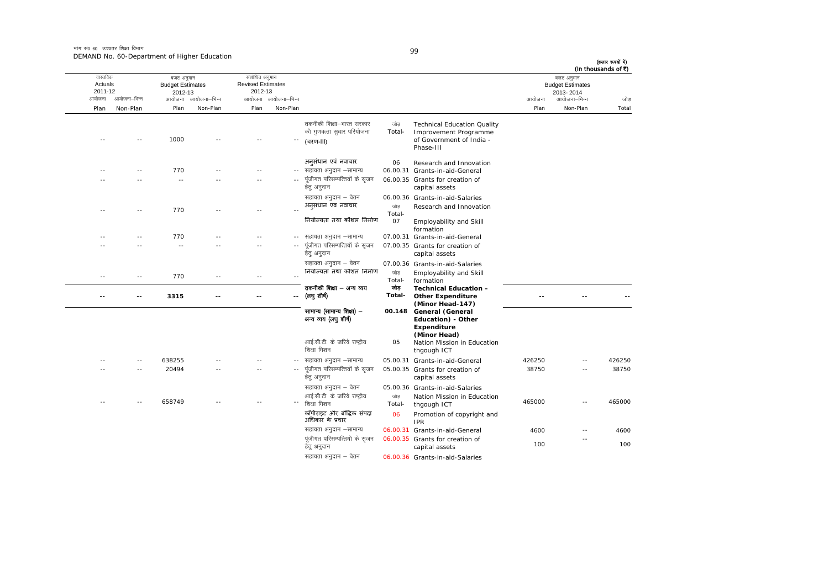मांग सं0 60 उच्चतर शिक्षा विभाग DEMAND No. 60-Department of Higher Education

|        | (In thousands of ₹)<br>बजट अनुमान<br><b>Budget Estimates</b><br>2013-2014 |        |                                                                                                      |                     |                                                                                 |                     | संशोधित अनुमान<br><b>Revised Estimates</b><br>2012-13 |              | बजट अनुमान<br><b>Budget Estimates</b><br>2012-13 |              | वास्तविक<br>Actuals<br>2011-12 |
|--------|---------------------------------------------------------------------------|--------|------------------------------------------------------------------------------------------------------|---------------------|---------------------------------------------------------------------------------|---------------------|-------------------------------------------------------|--------------|--------------------------------------------------|--------------|--------------------------------|
| जोड    | आयोजना–भिन्न                                                              | आयोजना |                                                                                                      |                     |                                                                                 | आयोजना आयोजना-भिन्न |                                                       | आयोजना–भिन्न | आयोजना                                           | आयोजना–भिन्न | आयोजना                         |
| Total  | Non-Plan                                                                  | Plan   |                                                                                                      |                     |                                                                                 | Non-Plan            | Plan                                                  | Non-Plan     | Plan                                             | Non-Plan     | Plan                           |
|        |                                                                           |        | <b>Technical Education Quality</b><br>Improvement Programme<br>of Government of India -<br>Phase-III | जोड<br>Total-       | तकनीकी शिक्षा—भारत सरकार<br>की गुणवत्ता सुधार परियोजना<br>(चरण-॥।)              |                     |                                                       |              | 1000                                             |              |                                |
|        |                                                                           |        | Research and Innovation<br>06.00.31 Grants-in-aid-General<br>06.00.35 Grants for creation of         | 06                  | अनुसंधान एवं नवाचार<br>सहायता अनुदान –सामान्य<br>पूंजीगत परिसम्पत्तियों के सृजन |                     |                                                       |              | 770<br>$\sim$                                    |              |                                |
|        |                                                                           |        | capital assets                                                                                       |                     | हेतु अनुदान                                                                     |                     |                                                       |              |                                                  |              |                                |
|        |                                                                           |        | 06.00.36 Grants-in-aid-Salaries                                                                      |                     | सहायता अनुदान – वेतन                                                            |                     |                                                       |              |                                                  |              |                                |
|        |                                                                           |        | Research and Innovation<br>Employability and Skill                                                   | जोड<br>Total-<br>07 | अनुसंधान एवं नवाचार<br>नियोज्यता तथा कौशल निर्माण                               |                     | $\sim$                                                |              | 770                                              |              |                                |
|        |                                                                           |        | formation<br>07.00.31 Grants-in-aid-General                                                          |                     | सहायता अनुदान –सामान्य                                                          |                     |                                                       |              | 770                                              |              |                                |
|        |                                                                           |        | 07.00.35 Grants for creation of<br>capital assets                                                    |                     | पूंजीगत परिसम्पत्तियों के सृजन<br>हेत् अनुदान                                   |                     |                                                       |              | $\sim$                                           |              |                                |
|        |                                                                           |        | 07.00.36 Grants-in-aid-Salaries<br>Employability and Skill<br>formation                              | जोड<br>Total-       | सहायता अनुदान – वेतन<br>नियोज्यता तथा कौशल निर्माण                              |                     | $\sim$ $\sim$                                         |              | 770                                              | $\sim$ $-$   | $\sim$ $\sim$                  |
|        |                                                                           |        | <b>Technical Education -</b><br><b>Other Expenditure</b><br>(Minor Head-147)                         | जोड<br>Total-       | तकनीकी शिक्षा — अन्य व्यय<br>(लघु शीर्ष)                                        |                     |                                                       |              | 3315                                             |              |                                |
|        |                                                                           |        | 00.148 General (General<br>Education) - Other<br><b>Expenditure</b>                                  |                     | सामान्य (सामान्य शिक्षा) -<br>अन्य व्यय (लघु शीर्ष)                             |                     |                                                       |              |                                                  |              |                                |
|        |                                                                           |        | (Minor Head)<br>Nation Mission in Education<br>thgough ICT                                           | 05                  | आई.सी.टी. के जरिये राष्ट्रीय<br>शिक्षा मिशन                                     |                     |                                                       |              |                                                  |              |                                |
| 426250 | $\overline{\phantom{a}}$                                                  | 426250 | 05.00.31 Grants-in-aid-General                                                                       |                     | सहायता अनुदान –सामान्य                                                          | $\sim$ $-$          |                                                       |              | 638255                                           |              |                                |
| 38750  |                                                                           | 38750  | 05.00.35 Grants for creation of<br>capital assets                                                    |                     | पूंजीगत परिसम्पत्तियों के सृजन<br>हेतु अनुदान                                   |                     |                                                       |              | 20494                                            |              |                                |
|        |                                                                           |        | 05.00.36 Grants-in-aid-Salaries                                                                      |                     | सहायता अनुदान – वेतन                                                            |                     |                                                       |              |                                                  |              |                                |
| 465000 |                                                                           | 465000 | Nation Mission in Education<br>thgough ICT                                                           | जोड<br>Total-       | आई.सी.टी. के जरिये राष्ट्रीय<br>शिक्षा मिशन                                     |                     |                                                       |              | 658749                                           |              |                                |
|        |                                                                           |        | Promotion of copyright and<br><b>IPR</b>                                                             | 06                  | कॉपीराइट और बौद्धिक संपदा<br>अधिकार के प्रचार                                   |                     |                                                       |              |                                                  |              |                                |
| 4600   | $\overline{\phantom{a}}$                                                  | 4600   | 06.00.31 Grants-in-aid-General                                                                       |                     | सहायता अनुदान –सामान्य                                                          |                     |                                                       |              |                                                  |              |                                |
| 100    | $-$                                                                       | 100    | 06.00.35 Grants for creation of<br>capital assets                                                    |                     | पूंजीगत परिसम्पत्तियों के सृजन<br>हेतु अनुदान                                   |                     |                                                       |              |                                                  |              |                                |
|        |                                                                           |        | 06.00.36 Grants-in-aid-Salaries                                                                      |                     | सहायता अनुदान – वेतन                                                            |                     |                                                       |              |                                                  |              |                                |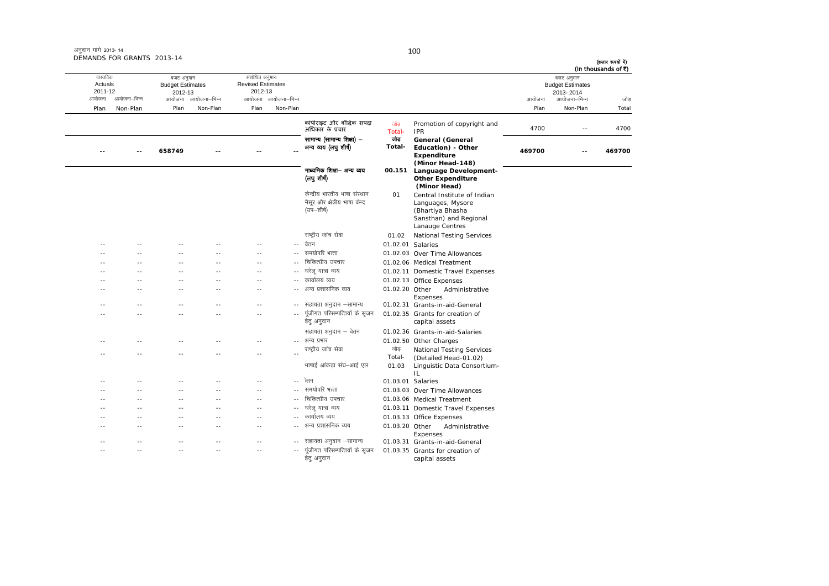|        | बजट अनुमान<br><b>Budget Estimates</b> |        |                                             |                   |                                               |                     | संशोधित अनुमान<br><b>Revised Estimates</b> |                     | बजट अनुमान<br><b>Budget Estimates</b> |              | वास्तविक<br>Actuals |
|--------|---------------------------------------|--------|---------------------------------------------|-------------------|-----------------------------------------------|---------------------|--------------------------------------------|---------------------|---------------------------------------|--------------|---------------------|
|        | 2013-2014                             |        |                                             |                   |                                               |                     | 2012-13                                    |                     | 2012-13                               |              | 2011-12             |
| जोड    | आयोजना–भिन्न                          | आयोजना |                                             |                   |                                               | आयोजना आयोजना–भिन्न |                                            | आयोजना आयोजना–भिन्न |                                       | आयोजना–भिन्न | आयोजना              |
| Total  | Non-Plan                              | Plan   |                                             |                   |                                               | Non-Plan            | Plan                                       | Non-Plan            | Plan                                  | Non-Plan     | Plan                |
| 4700   | $\sim$ $\sim$                         | 4700   | Promotion of copyright and<br><b>IPR</b>    | जोड<br>Total-     | कॉपीराइट और बौद्धिक संपदा<br>अधिकार के प्रचार |                     |                                            |                     |                                       |              |                     |
|        |                                       |        | General (General                            | जोड               | सामान्य (सामान्य शिक्षा) –                    |                     |                                            |                     |                                       |              |                     |
| 469700 | $-$                                   | 469700 | Education) - Other                          | Total-            | अन्य व्यय (लघु शीष)                           |                     |                                            |                     | 658749                                | $-$          | --                  |
|        |                                       |        | Expenditure                                 |                   |                                               |                     |                                            |                     |                                       |              |                     |
|        |                                       |        | (Minor Head-148)                            |                   |                                               |                     |                                            |                     |                                       |              |                     |
|        |                                       |        | Language Development-                       | 00.151            | माध्यमिक शिक्षा-- अन्य व्यय                   |                     |                                            |                     |                                       |              |                     |
|        |                                       |        | <b>Other Expenditure</b>                    |                   | (लघु शीष)                                     |                     |                                            |                     |                                       |              |                     |
|        |                                       |        | (Minor Head)<br>Central Institute of Indian | 01                | केन्द्रीय भारतीय भाषा संस्थान                 |                     |                                            |                     |                                       |              |                     |
|        |                                       |        | Languages, Mysore                           |                   | मैसूर और क्षेत्रीय भाषा केन्द                 |                     |                                            |                     |                                       |              |                     |
|        |                                       |        | (Bhartiya Bhasha                            |                   | (उप—शीर्ष)                                    |                     |                                            |                     |                                       |              |                     |
|        |                                       |        | Sansthan) and Regional                      |                   |                                               |                     |                                            |                     |                                       |              |                     |
|        |                                       |        | Lanauge Centres                             |                   |                                               |                     |                                            |                     |                                       |              |                     |
|        |                                       |        | <b>National Testing Services</b>            | 01.02             | राष्ट्रीय जांच सेवा                           |                     |                                            |                     |                                       |              |                     |
|        |                                       |        |                                             | 01.02.01 Salaries | -- वेतन                                       |                     |                                            |                     |                                       |              | $\sim$              |
|        |                                       |        | 01.02.03 Over Time Allowances               |                   | समयोपरि भत्ता                                 |                     |                                            |                     |                                       |              |                     |
|        |                                       |        | 01.02.06 Medical Treatment                  |                   | चिकित्सीय उपचार                               | $\sim$ $\sim$       | $\sim$                                     | - -                 | $\sim$                                | $\sim$       |                     |
|        |                                       |        | 01.02.11 Domestic Travel Expenses           |                   | घरेलू यात्रा व्यय                             | $-1$                | - -                                        | - -                 | ×.                                    |              |                     |
|        |                                       |        | 01.02.13 Office Expenses                    |                   | कार्यालय व्यय                                 | $\sim$ $\sim$       | $\sim$                                     | - -                 | $\sim$                                | $\sim$       |                     |
|        |                                       |        | Administrative                              | 01.02.20 Other    | अन्य प्रशासनिक व्यय                           | $\sim$ $-$          | - -                                        |                     | ×.                                    |              |                     |
|        |                                       |        | Expenses                                    |                   |                                               |                     |                                            |                     |                                       |              |                     |
|        |                                       |        | 01.02.31 Grants-in-aid-General              |                   | सहायता अनुदान –सामान्य                        |                     | $-$                                        |                     |                                       |              |                     |
|        |                                       |        | 01.02.35 Grants for creation of             |                   | पूंजीगत परिसम्पत्तियों के सृजन                | $\sim$ $-$          | $\sim$                                     | - -                 | $\sim$                                | - -          |                     |
|        |                                       |        | capital assets                              |                   | हेतु अनुदान                                   |                     |                                            |                     |                                       |              |                     |
|        |                                       |        | 01.02.36 Grants-in-aid-Salaries             |                   | सहायता अनुदान – वेतन                          |                     |                                            |                     |                                       |              |                     |
|        |                                       |        | 01.02.50 Other Charges                      |                   | अन्य प्रभार                                   |                     | $-1$                                       |                     |                                       |              |                     |
|        |                                       |        | <b>National Testing Services</b>            | जोड़              | राष्ट्रीय जांच सेवा                           | $\sim$ $\sim$       | $\sim$                                     |                     |                                       |              |                     |
|        |                                       |        | (Detailed Head-01.02)                       | Total-            |                                               |                     |                                            |                     |                                       |              |                     |
|        |                                       |        | Linguistic Data Consortium-                 | 01.03             | भाषाई आंकडा संघ–आई एल                         |                     |                                            |                     |                                       |              |                     |
|        |                                       |        | IL                                          | 01.03.01 Salaries | ेलन                                           | $\sim$ $-$          | - -                                        |                     |                                       |              |                     |
|        |                                       |        | 01.03.03 Over Time Allowances               |                   | -- समयोपरि भत्ता                              |                     | $\sim$                                     | $\overline{a}$      | $\sim$                                |              |                     |
|        |                                       |        | 01.03.06 Medical Treatment                  |                   | चिकित्सीय उपचार                               | $\sim$ $\sim$       | --                                         | - -                 | $\sim$                                | $\sim$       | $\sim$              |
|        |                                       |        | 01.03.11 Domestic Travel Expenses           |                   | घरेलू यात्रा व्यय                             | $\sim$ $-$          | $\sim$                                     | - -                 | $\sim$                                | - -          |                     |
|        |                                       |        |                                             |                   | कार्यालय व्यय                                 | $\sim$              | $-$                                        | $-$                 | $\sim$ $\sim$                         |              |                     |
|        |                                       |        | 01.03.13 Office Expenses<br>Administrative  | 01.03.20 Other    | अन्य प्रशासनिक व्यय                           | $\sim$ $-$          | --                                         | - -                 | ×.                                    | $\sim$       |                     |
|        |                                       |        | Expenses                                    |                   |                                               |                     |                                            |                     |                                       |              |                     |
|        |                                       |        | 01.03.31 Grants-in-aid-General              |                   | सहायता अनुदान –सामान्य                        |                     |                                            |                     |                                       |              |                     |
|        |                                       |        | 01.03.35 Grants for creation of             |                   | पूंजीगत परिसम्पत्तियों के सृजन                | $\sim$ $-$          | $-$                                        | - -                 | - -                                   | - -          |                     |
|        |                                       |        | capital assets                              |                   | हेतु अनुदान                                   |                     |                                            |                     |                                       |              |                     |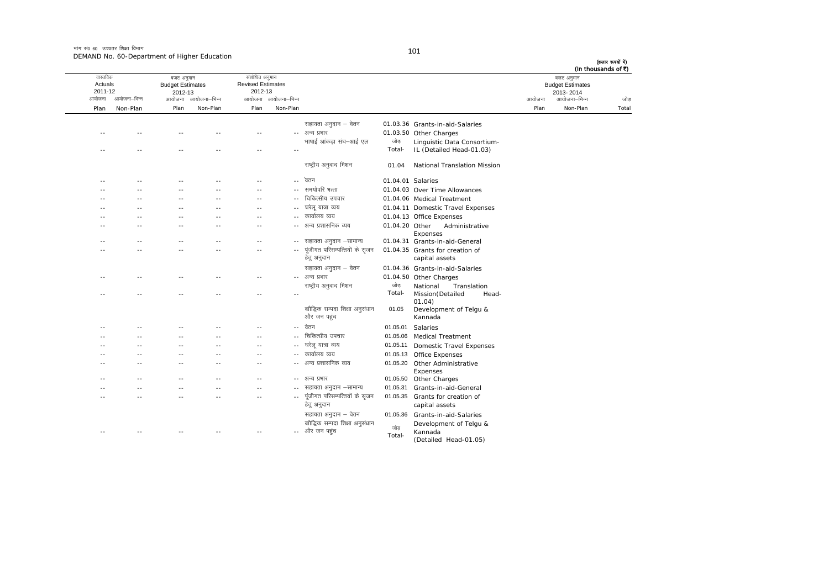#### मांग सं0 60 उच्चतर शिक्षा विभाग DEMAND No. 60-Department of Higher Education

| (हजार रूपयों में)<br>(In thousands of ₹) |                                                    |        |                                                   |                   |                                                |                     |                                                       |               |                                                  |                |                                |
|------------------------------------------|----------------------------------------------------|--------|---------------------------------------------------|-------------------|------------------------------------------------|---------------------|-------------------------------------------------------|---------------|--------------------------------------------------|----------------|--------------------------------|
|                                          | बजट अनुमान<br><b>Budget Estimates</b><br>2013-2014 |        |                                                   |                   |                                                |                     | संशोधित अनुमान<br><b>Revised Estimates</b><br>2012-13 |               | बजट अनुमान<br><b>Budget Estimates</b><br>2012-13 |                | वास्तविक<br>Actuals<br>2011-12 |
| जोड़                                     | आयोजना–भिन्न                                       | आयोजना |                                                   |                   |                                                | आयोजना आयोजना-भिन्न |                                                       | आयोजना–भिन्न  | आयोजना                                           | आयोजना–भिन्न   | आयोजना                         |
| Total                                    | Non-Plan                                           | Plan   |                                                   |                   |                                                | Non-Plan            | Plan                                                  | Non-Plan      | Plan                                             | Non-Plan       | Plan                           |
|                                          |                                                    |        | 01.03.36 Grants-in-aid-Salaries                   |                   | सहायता अनुदान – वेतन                           |                     |                                                       |               |                                                  |                |                                |
|                                          |                                                    |        | 01.03.50 Other Charges                            |                   | अन्य प्रभार                                    | $\sim$ $\sim$       |                                                       |               |                                                  |                |                                |
|                                          |                                                    |        | Linguistic Data Consortium-                       | जोड़              | भाषाई आंकड़ा संघ–आई एल                         |                     |                                                       |               |                                                  |                |                                |
|                                          |                                                    |        | IL (Detailed Head-01.03)                          | Total-            |                                                | $\sim$              | $-$                                                   |               |                                                  | $\sim$ $\sim$  |                                |
|                                          |                                                    |        | National Translation Mission                      | 01.04             | राष्ट्रीय अनुवाद मिशन                          |                     |                                                       |               |                                                  |                |                                |
|                                          |                                                    |        |                                                   | 01.04.01 Salaries | -- वेतन                                        |                     |                                                       |               |                                                  |                |                                |
|                                          |                                                    |        | 01.04.03 Over Time Allowances                     |                   | समयोपरि भत्ता                                  | $\sim$ $\sim$       | $-$                                                   |               |                                                  | $\sim$ $\sim$  | ٠.                             |
|                                          |                                                    |        | 01.04.06 Medical Treatment                        |                   | चिकित्सीय उपचार                                | $\sim$ $\sim$       |                                                       |               |                                                  |                |                                |
|                                          |                                                    |        | 01.04.11 Domestic Travel Expenses                 |                   | घरेलू यात्रा व्यय                              | $\sim$ $\sim$       | $\overline{a}$                                        |               |                                                  | $\overline{a}$ |                                |
|                                          |                                                    |        | 01.04.13 Office Expenses                          |                   | कार्यालय व्यय                                  |                     | $-$                                                   |               |                                                  |                |                                |
|                                          |                                                    |        | Administrative<br>Expenses                        | 01.04.20 Other    | अन्य प्रशासनिक व्यय                            |                     | $-$                                                   |               |                                                  | ٠.             |                                |
|                                          |                                                    |        | 01.04.31 Grants-in-aid-General                    |                   | सहायता अनुदान –सामान्य                         |                     | $-$                                                   |               |                                                  | ٠.             |                                |
|                                          |                                                    |        | 01.04.35 Grants for creation of<br>capital assets |                   | पूंजीगत परिसम्पत्तियों के सृजन<br>हेतु अनुदान  |                     |                                                       |               |                                                  |                |                                |
|                                          |                                                    |        | 01.04.36 Grants-in-aid-Salaries                   |                   | सहायता अनुदान – वेतन                           |                     |                                                       |               |                                                  |                |                                |
|                                          |                                                    |        | 01.04.50 Other Charges                            |                   | अन्य प्रभार                                    |                     | --                                                    |               |                                                  |                | ٠.                             |
|                                          |                                                    |        | National<br>Translation                           | जोड               | राष्ट्रीय अनुवाद मिशन                          |                     |                                                       |               |                                                  |                |                                |
|                                          |                                                    |        | Mission (Detailed<br>Head-<br>01.04)              | Total-            |                                                | $\sim$ $-$          | $-$                                                   |               |                                                  | - -            | - -                            |
|                                          |                                                    |        | Development of Telgu &<br>Kannada                 | 01.05             | बाौद्धिक सम्पदा शिक्षा अनुसंधान<br>और जन पहुंच |                     |                                                       |               |                                                  |                |                                |
|                                          |                                                    |        | Salaries                                          | 01.05.01          | वेतन                                           | $-$                 |                                                       |               |                                                  |                |                                |
|                                          |                                                    |        | <b>Medical Treatment</b>                          | 01.05.06          | चिकित्सीय उपचार                                | $\sim$ $-$          | $\sim$ $\sim$                                         | $\sim$        |                                                  | $\sim$ $\sim$  | - -                            |
|                                          |                                                    |        | <b>Domestic Travel Expenses</b>                   | 01.05.11          | घरेलू यात्रा व्यय                              | $\sim$ $\sim$       | $-$                                                   |               | - -                                              | - -            |                                |
|                                          |                                                    |        | Office Expenses                                   | 01.05.13          | कार्यालय व्यय                                  | $\sim$              | --                                                    | $\sim$        | $\sim$                                           | - -            | - -                            |
|                                          |                                                    |        | Other Administrative                              | 01.05.20          | अन्य प्रशासनिक व्यय                            | $- -$               | - -                                                   |               |                                                  | - -            |                                |
|                                          |                                                    |        | Expenses                                          |                   |                                                |                     |                                                       |               |                                                  |                |                                |
|                                          |                                                    |        | Other Charges                                     | 01.05.50          | अन्य प्रभार                                    | $- -$               | $-$                                                   | $\sim$        |                                                  | $-$            |                                |
|                                          |                                                    |        | Grants-in-aid-General                             | 01.05.31          | सहायता अनुदान –सामान्य                         | $- -$               | $-$                                                   | $\sim$ $\sim$ | - -                                              | $\sim$ $\sim$  | - -                            |
|                                          |                                                    |        | Grants for creation of<br>capital assets          | 01.05.35          | पूंजीगत परिसम्पत्तियों के सृजन<br>हेतु अनुदान  | $\sim$ $\sim$       | $\sim$                                                | $\sim$ $-$    |                                                  |                |                                |
|                                          |                                                    |        | Grants-in-aid-Salaries                            | 01.05.36          | सहायता अनुदान – वेतन                           |                     |                                                       |               |                                                  |                |                                |
|                                          |                                                    |        | Development of Telgu &                            |                   | बाौद्धिक सम्पदा शिक्षा अनुसंधान                |                     |                                                       |               |                                                  |                |                                |
|                                          |                                                    |        | Kannada<br>(Detailed Head-01.05)                  | जोड<br>Total-     | -- और जन पहुंच                                 |                     |                                                       |               |                                                  |                |                                |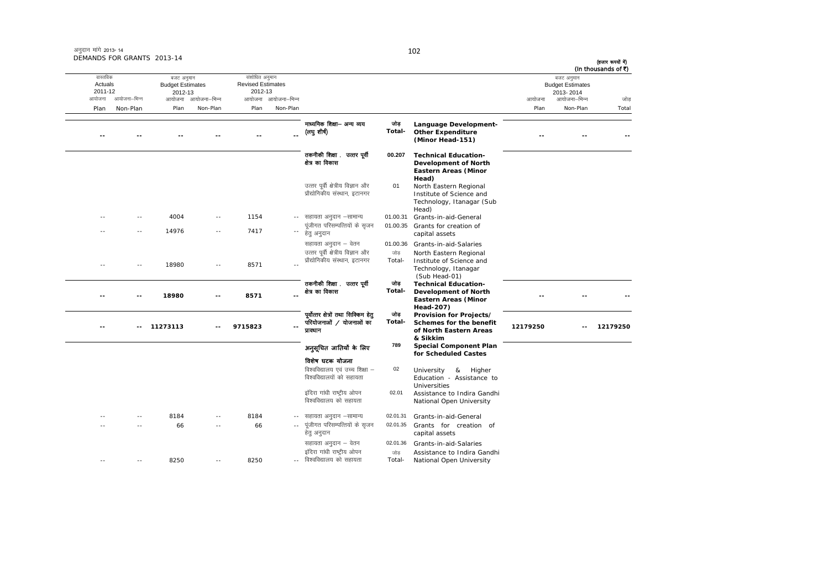| (In thousands of ₹) | बजट अनुमान                           |          |                                                                                                        |                 |                                                                                 |                          | संशोधित अनुमान                      |                     | बजट अनुमान                         |              | वास्तविक           |
|---------------------|--------------------------------------|----------|--------------------------------------------------------------------------------------------------------|-----------------|---------------------------------------------------------------------------------|--------------------------|-------------------------------------|---------------------|------------------------------------|--------------|--------------------|
|                     | <b>Budget Estimates</b><br>2013-2014 |          |                                                                                                        |                 |                                                                                 |                          | <b>Revised Estimates</b><br>2012-13 |                     | <b>Budget Estimates</b><br>2012-13 |              | Actuals<br>2011-12 |
| जोड़                | आयोजना–भिन्न                         | आयोजना   |                                                                                                        |                 |                                                                                 | आयोजना आयोजना-भिन्न      |                                     | आयोजना आयोजना-भिन्न |                                    | आयोजना–भिन्न | आयोजना             |
| Total               | Non-Plan                             | Plan     |                                                                                                        |                 |                                                                                 | Non-Plan                 | Plan                                | Non-Plan            | Plan                               | Non-Plan     | Plan               |
|                     |                                      |          | Language Development-<br><b>Other Expenditure</b><br>(Minor Head-151)                                  | जोड<br>Total-   | माध्यमिक शिक्षा— अन्य व्यय<br>(लयु शीष)                                         |                          |                                     |                     |                                    |              |                    |
|                     |                                      |          | <b>Technical Education-</b><br>Development of North<br><b>Eastern Areas (Minor</b><br>Head)            | 00.207          | तकनीकी शिक्षा . उत्तर पूर्वी<br>क्षेत्र का विकास                                |                          |                                     |                     |                                    |              |                    |
|                     |                                      |          | North Eastern Regional<br>Institute of Science and<br>Technology, Itanagar (Sub<br>Head)               | 01              | उत्तर पूर्वी क्षेत्रीय विज्ञान और<br>प्रौद्योगिकीय संस्थान, इटानगर              |                          |                                     |                     |                                    |              |                    |
|                     |                                      |          | Grants-in-aid-General                                                                                  | 01.00.31        | -- सहायता अनुदान –सामान्य                                                       |                          | 1154                                | $- -$               | 4004                               | $- -$        |                    |
|                     |                                      |          | Grants for creation of<br>capital assets                                                               | 01.00.35        | पूंजीगत परिसम्पत्तियों के सृजन<br>हेत् अनुदान                                   | $\overline{\phantom{a}}$ | 7417                                |                     | 14976                              |              |                    |
|                     |                                      |          | Grants-in-aid-Salaries                                                                                 | 01.00.36        | सहायता अनुदान – वेतन                                                            |                          |                                     |                     |                                    |              |                    |
|                     |                                      |          | North Eastern Regional<br>Institute of Science and<br>Technology, Itanagar<br>(Sub Head-01)            | जोड<br>Total-   | उत्तर पूर्वी क्षेत्रीय विज्ञान और<br>प्रौद्योगिकीय संस्थान, इटानगर              |                          | 8571                                |                     | 18980                              |              |                    |
|                     |                                      |          | <b>Technical Education-</b><br><b>Development of North</b><br><b>Eastern Areas (Minor</b><br>Head-207) | जोड<br>Total-   | तकनीकी शिक्षा .  उत्तर पूर्वी<br>क्षेत्र का विकास                               |                          | 8571                                |                     | 18980                              |              |                    |
| 12179250            |                                      | 12179250 | Provision for Projects/<br>Schemes for the benefit<br>of North Eastern Areas<br>& Sikkim               | जोड<br>Total-   | पूर्वोत्तर क्षेत्रों तथा सिक्किम हेतु<br>परियोजनाओं / योजनाओं का<br>प्रावधान    |                          | 9715823                             |                     | 11273113                           |              |                    |
|                     |                                      |          | <b>Special Component Plan</b><br>for Scheduled Castes                                                  | 789             | अनुसूचित जातियों के लिए                                                         |                          |                                     |                     |                                    |              |                    |
|                     |                                      |          | University<br>Higher<br>&<br>Education - Assistance to<br>Universities                                 | 02              | विशेष घटक योजना<br>विश्वविद्यालय एवं उच्च शिक्षा –<br>विश्वविद्यालयों को सहायता |                          |                                     |                     |                                    |              |                    |
|                     |                                      |          | Assistance to Indira Gandhi<br>National Open University                                                | 02.01           | इंदिरा गांधी राष्ट्रीय ओपन<br>विश्वविद्यालय को सहायता                           |                          |                                     |                     |                                    |              |                    |
|                     |                                      |          | Grants-in-aid-General                                                                                  | 02.01.31        | -- सहायता अनुदान –सामान्य                                                       |                          | 8184                                |                     | 8184                               |              |                    |
|                     |                                      |          | Grants for creation of<br>capital assets                                                               | 02.01.35        | पूंजीगत परिसम्पत्तियों के सृजन<br>हेतु अनुदान                                   |                          | 66                                  | $\sim$              | 66                                 |              |                    |
|                     |                                      |          | Grants-in-aid-Salaries<br>Assistance to Indira Gandhi                                                  | 02.01.36<br>जोड | सहायता अनुदान – वेतन<br>इंदिरा गांधी राष्ट्रीय ओपन                              |                          |                                     |                     |                                    |              |                    |
|                     |                                      |          | National Open University                                                                               | Total-          | विश्वविद्यालय को सहायता                                                         | $\sim$ $\sim$            | 8250                                |                     | 8250                               |              |                    |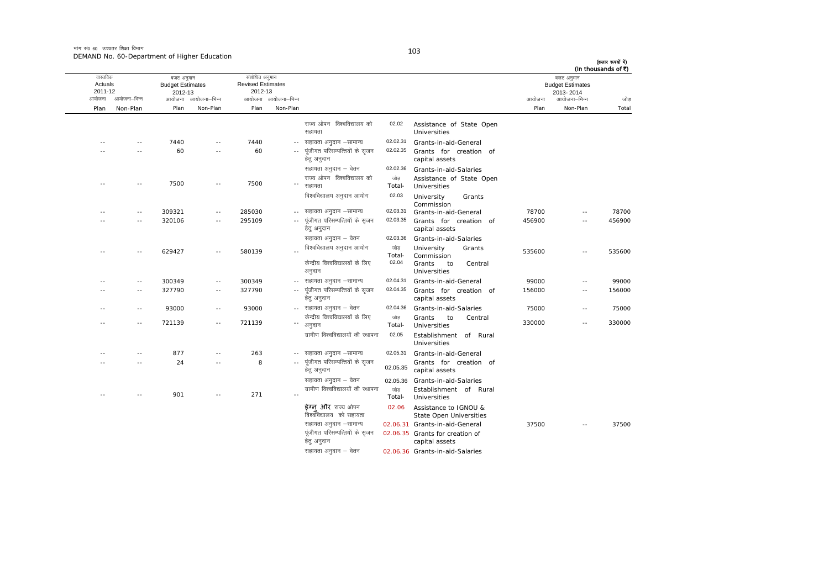मांग सं0 60 उच्चतर शिक्षा विभाग DEMAND No. 60-Department of Higher Education

| I |        |        |
|---|--------|--------|
|   | ٦      | ٦      |
|   | $\sim$ | o esta |

|        | बजट अनुमान<br><b>Budget Estimates</b><br>2013-2014 |        |                                                         |                |                                                     |                     | संशोधित अनुमान<br><b>Revised Estimates</b><br>2012-13 |                     | बजट अनुमान<br><b>Budget Estimates</b><br>2012-13 |               | वास्तविक<br>Actuals<br>2011-12 |
|--------|----------------------------------------------------|--------|---------------------------------------------------------|----------------|-----------------------------------------------------|---------------------|-------------------------------------------------------|---------------------|--------------------------------------------------|---------------|--------------------------------|
| जोड    | आयोजना–भिन्न                                       | आयोजना |                                                         |                |                                                     | आयोजना आयोजना–भिन्न |                                                       | आयोजना आयोजना–भिन्न |                                                  | आयोजना–भिन्न  | आयोजना                         |
| Total  | Non-Plan                                           | Plan   |                                                         |                |                                                     | Non-Plan            | Plan                                                  | Non-Plan            | Plan                                             | Non-Plan      | Plan                           |
|        |                                                    |        | Assistance of State Open<br>Universities                | 02.02          | राज्य ओपन विश्वविद्यालय को<br>सहायता                |                     |                                                       |                     |                                                  |               |                                |
|        |                                                    |        | Grants-in-aid-General                                   | 02.02.31       | सहायता अनुदान –सामान्य                              | $\sim$ $\sim$       | 7440                                                  | $\sim$              | 7440                                             | $-$           |                                |
|        |                                                    |        | Grants for creation of<br>capital assets                | 02.02.35       | पूंजीगत परिसम्पत्तियों के सृजन<br>हेत् अनुदान       |                     | 60                                                    | $\sim$ $-$          | 60                                               |               |                                |
|        |                                                    |        | Grants-in-aid-Salaries                                  | 02.02.36       | सहायता अनुदान – वेतन                                |                     |                                                       |                     |                                                  |               |                                |
|        |                                                    |        | Assistance of State Open<br>Universities                | जोड<br>Total-  | राज्य ओपन विश्वविद्यालय को<br>सहायता                |                     | 7500                                                  | $\sim$ $\sim$       | 7500                                             | $\sim$ $\sim$ | - -                            |
|        |                                                    |        | University<br>Grants<br>Commission                      | 02.03          | विश्वविद्यालय अनुदान आयोग                           |                     |                                                       |                     |                                                  |               |                                |
| 78700  | $-$                                                | 78700  | Grants-in-aid-General                                   | 02.03.31       | -- सहायता अनुदान –सामान्य                           |                     | 285030                                                | $\sim$ $-$          | 309321                                           | $\sim$ $-$    | - -                            |
| 456900 |                                                    | 456900 | Grants for creation of<br>capital assets                | 02.03.35       | पूंजीगत परिसम्पत्तियों के सृजन<br>हेतु अनुदान       |                     | 295109                                                | $\sim$              | 320106                                           | $\sim$        |                                |
|        |                                                    |        | Grants-in-aid-Salaries                                  | 02.03.36       | सहायता अनुदान – वेतन                                |                     |                                                       |                     |                                                  |               |                                |
| 535600 | $\sim$                                             | 535600 | University<br>Grants<br>Commission                      | जोड़<br>Total- | विश्वविद्यालय अनुदान आयोग                           |                     | 580139                                                | $\sim$ $\sim$       | 629427                                           | $\sim$ $-$    | $\sim$                         |
|        |                                                    |        | Grants<br>to<br>Central<br>Universities                 | 02.04          | केन्द्रीय विश्वविद्यालयों के लिए<br>अनुदान          |                     |                                                       |                     |                                                  |               |                                |
| 99000  | $\sim$ $-$                                         | 99000  | Grants-in-aid-General                                   | 02.04.31       | सहायता अनुदान –सामान्य                              | $- -$               | 300349                                                | $\sim$ $-$          | 300349                                           | $\sim$ $-$    |                                |
| 156000 | $-$                                                | 156000 | Grants for creation of<br>capital assets                | 02.04.35       | पूंजीगत परिसम्पत्तियों के सुजन<br>हेतु अनुदान       |                     | 327790                                                | $\sim$ $-$          | 327790                                           | $\sim$ $-$    | ÷.                             |
| 75000  | $\sim$                                             | 75000  | Grants-in-aid-Salaries                                  | 02.04.36       | -- सहायता अनुदान – वेतन                             |                     | 93000                                                 | $\sim$ $\sim$       | 93000                                            | $\sim$ $-$    |                                |
| 330000 | $\overline{a}$                                     | 330000 | to<br>Grants<br>Central<br>Universities                 | जोड<br>Total-  | केन्द्रीय विश्वविद्यालयों के लिए<br>अनुदान          | ٠.                  | 721139                                                | $\sim$ $-$          | 721139                                           | $-$           |                                |
|        |                                                    |        | Establishment of Rural<br>Universities                  | 02.05          | ग्रामीण विश्वविद्यालयों की स्थापना                  |                     |                                                       |                     |                                                  |               |                                |
|        |                                                    |        | Grants-in-aid-General                                   | 02.05.31       | सहायता अनुदान –सामान्य                              |                     | 263                                                   |                     | 877                                              |               |                                |
|        |                                                    |        | Grants for creation of<br>capital assets                | 02.05.35       | पूंजीगत परिसम्पत्तियों के सृजन<br>हेतु अनुदान       | $\sim$ $\sim$       | 8                                                     | $\sim$ $-$          | 24                                               | $-$           |                                |
|        |                                                    |        | 02.05.36 Grants-in-aid-Salaries                         |                | सहायता अनुदान – वेतन                                |                     |                                                       |                     |                                                  |               |                                |
|        |                                                    |        | Establishment of Rural<br>Universities                  | जोड<br>Total-  | ग्रामीण विश्वविद्यालयों की स्थापना                  |                     | 271                                                   | --                  | 901                                              |               |                                |
|        |                                                    |        | Assistance to IGNOU &<br><b>State Open Universities</b> | 02.06          | <b>ईग्न और</b> राज्य ओपन<br>विश्वविद्यालय को सहायता |                     |                                                       |                     |                                                  |               |                                |
| 37500  |                                                    | 37500  | 02.06.31 Grants-in-aid-General                          |                | सहायता अनुदान -सामान्य                              |                     |                                                       |                     |                                                  |               |                                |
|        |                                                    |        | 02.06.35 Grants for creation of<br>capital assets       |                | पूंजीगत परिसम्पत्तियों के सृजन<br>हेतु अनुदान       |                     |                                                       |                     |                                                  |               |                                |
|        |                                                    |        | 02.06.36 Grants-in-aid-Salaries                         |                | सहायता अनुदान – वेतन                                |                     |                                                       |                     |                                                  |               |                                |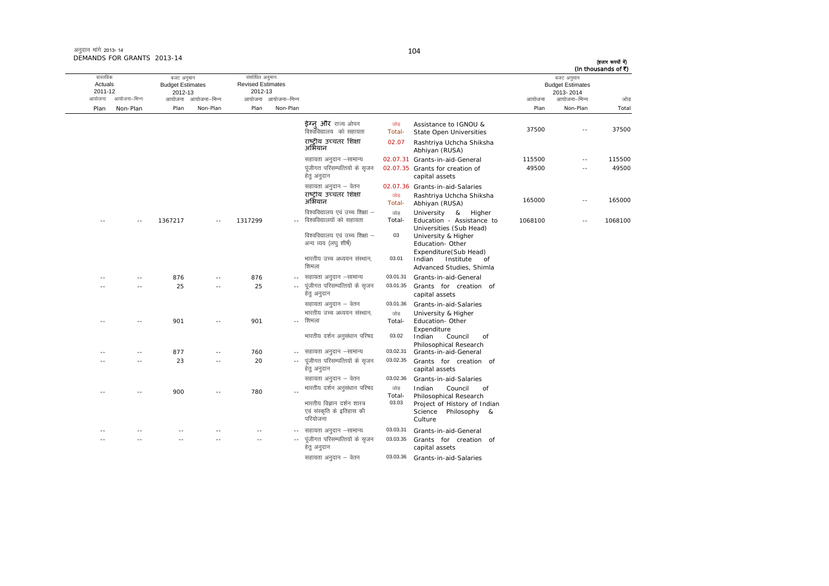| अनुदान मांगे 2013-14       |  |
|----------------------------|--|
| DEMANDS FOR GRANTS 2013-14 |  |

| वास्तविक           |               | बजट अनुमान                         |                     | संशोधित अनुमान                      |                     |                                                                       |               |                                                                                |         | बजट अनुमान                           | (In thousands of ₹) |
|--------------------|---------------|------------------------------------|---------------------|-------------------------------------|---------------------|-----------------------------------------------------------------------|---------------|--------------------------------------------------------------------------------|---------|--------------------------------------|---------------------|
| Actuals<br>2011-12 |               | <b>Budget Estimates</b><br>2012-13 |                     | <b>Revised Estimates</b><br>2012-13 |                     |                                                                       |               |                                                                                |         | <b>Budget Estimates</b><br>2013-2014 |                     |
| आयोजना             | आयोजना–भिन्न  |                                    | आयोजना आयोजना-भिन्न |                                     | आयोजना आयोजना–भिन्न |                                                                       |               |                                                                                | आयोजना  | आयोजना–भिन्न                         | जोड                 |
| Plan               | Non-Plan      | Plan                               | Non-Plan            | Plan                                | Non-Plan            |                                                                       |               |                                                                                | Plan    | Non-Plan                             | Total               |
|                    |               |                                    |                     |                                     |                     | <b>ईग्न और</b> राज्य ओपन<br>विश्वविद्यालय) को सहायता                  | जोड<br>Total- | Assistance to IGNOU &<br><b>State Open Universities</b>                        | 37500   | $\overline{a}$                       | 37500               |
|                    |               |                                    |                     |                                     |                     | राष्टीय उच्चतर शिक्षा<br>अभियान                                       | 02.07         | Rashtriya Uchcha Shiksha<br>Abhiyan (RUSA)                                     |         |                                      |                     |
|                    |               |                                    |                     |                                     |                     | सहायता अनुदान –सामान्य                                                |               | 02.07.31 Grants-in-aid-General                                                 | 115500  | $\sim$ $-$                           | 115500              |
|                    |               |                                    |                     |                                     |                     | पूंजीगत परिसम्पत्तियों के सृजन<br>हेत् अनुदान                         |               | 02.07.35 Grants for creation of<br>capital assets                              | 49500   | $\overline{a}$                       | 49500               |
|                    |               |                                    |                     |                                     |                     | सहायता अनुदान – वेतन                                                  |               | 02.07.36 Grants-in-aid-Salaries                                                |         |                                      |                     |
|                    |               |                                    |                     |                                     |                     | राष्टीय उच्चतर शिक्षा<br>अभियान                                       | जोड<br>Total- | Rashtriya Uchcha Shiksha<br>Abhiyan (RUSA)                                     | 165000  | $\sim$ $-$                           | 165000              |
|                    | $\sim$        | 1367217                            | $\sim$ $\sim$       | 1317299                             |                     | विश्वविद्यालय एवं उच्च शिक्षा –<br>विश्वविद्यालयों को सहायता          | जोड<br>Total- | University &<br>Higher<br>Education - Assistance to                            | 1068100 | $-$                                  | 1068100             |
|                    |               |                                    |                     |                                     |                     | विश्वविद्यालय एवं उच्च शिक्षा –<br>अन्य व्यय (लघ् शीर्ष)              | 03            | Universities (Sub Head)<br>University & Higher<br>Education- Other             |         |                                      |                     |
|                    |               |                                    |                     |                                     |                     | भारतीय उच्च अध्ययन संस्थान,<br>शिमला                                  | 03.01         | Expenditure(Sub Head)<br>Indian<br>Institute<br>of<br>Advanced Studies, Shimla |         |                                      |                     |
|                    | $\sim$ $-$    | 876                                | $-$                 | 876                                 | $\sim$ $\sim$       | सहायता अनुदान –सामान्य                                                | 03.01.31      | Grants-in-aid-General                                                          |         |                                      |                     |
|                    | $\sim$ $\sim$ | 25                                 | ٠.                  | 25                                  | $\sim$ $\sim$       | पूंजीगत परिसम्पत्तियों के सृजन<br>हेत् अनुदान                         | 03.01.35      | Grants for creation of<br>capital assets                                       |         |                                      |                     |
|                    |               |                                    |                     |                                     |                     | सहायता अनुदान – वेतन                                                  | 03.01.36      | Grants-in-aid-Salaries                                                         |         |                                      |                     |
|                    |               |                                    |                     |                                     |                     | भारतीय उच्च अध्ययन संस्थान.                                           | जोड़          | University & Higher                                                            |         |                                      |                     |
|                    | - -           | 901                                |                     | 901                                 |                     | शिमला                                                                 | Total-        | Education-Other                                                                |         |                                      |                     |
|                    |               |                                    |                     |                                     |                     | भारतीय दर्शन अनुसंधान परिषद                                           | 03.02         | Expenditure<br>Indian<br>Council<br>of<br>Philosophical Research               |         |                                      |                     |
|                    | $-$           | 877                                | $-$                 | 760                                 | $\sim$ $-$          | सहायता अनुदान –सामान्य                                                | 03.02.31      | Grants-in-aid-General                                                          |         |                                      |                     |
|                    | $-$           | 23                                 | $\overline{a}$      | 20                                  |                     | पूंजीगत परिसम्पत्तियों के सृजन<br>हेतु अनुदान                         | 03.02.35      | Grants for creation of<br>capital assets                                       |         |                                      |                     |
|                    |               |                                    |                     |                                     |                     | सहायता अनुदान – वेतन                                                  | 03.02.36      | Grants-in-aid-Salaries                                                         |         |                                      |                     |
|                    |               | 900                                | $-$                 | 780                                 |                     | भारतीय दर्शन अनुसंधान परिषद                                           | जोड<br>Total- | Council<br>Indian<br>of<br>Philosophical Research                              |         |                                      |                     |
|                    |               |                                    |                     |                                     |                     | भारतीय विज्ञान दर्शन शास्त्र<br>एवं संस्कृति के इतिहास की<br>परियोजना | 03.03         | Project of History of Indian<br>Philosophy &<br>Science<br>Culture             |         |                                      |                     |
|                    |               |                                    |                     |                                     |                     | सहायता अनुदान –सामान्य                                                | 03.03.31      | Grants-in-aid-General                                                          |         |                                      |                     |
|                    |               |                                    |                     |                                     |                     | पूंजीगत परिसम्पत्तियों के सृजन<br>हेत् अनुदान                         | 03.03.35      | Grants for creation of<br>capital assets                                       |         |                                      |                     |
|                    |               |                                    |                     |                                     |                     | सहायता अनुदान – वेतन                                                  | 03.03.36      | Grants-in-aid-Salaries                                                         |         |                                      |                     |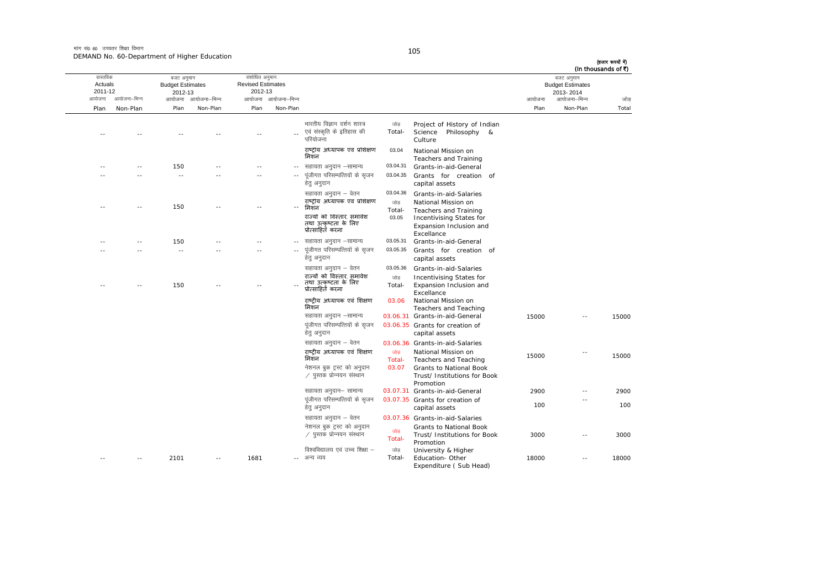मांग सं0 60 उच्चतर शिक्षा विभाग DEMAND No. 60-Department of Higher Education

Expenditure ( Sub Head)

|       | बजट अनुमान<br><b>Budget Estimates</b><br>2013-2014 |        |                                                                                                                                             |                                    |                                                                                                                                            |                     | संशोधित अनुमान<br><b>Revised Estimates</b><br>2012-13 |                     | बजट अनुमान<br><b>Budget Estimates</b><br>2012-13 |              | वास्तविक<br>Actuals<br>2011-12 |
|-------|----------------------------------------------------|--------|---------------------------------------------------------------------------------------------------------------------------------------------|------------------------------------|--------------------------------------------------------------------------------------------------------------------------------------------|---------------------|-------------------------------------------------------|---------------------|--------------------------------------------------|--------------|--------------------------------|
| जोड   | आयोजना–भिन्न                                       | आयोजना |                                                                                                                                             |                                    |                                                                                                                                            | आयोजना आयोजना-भिन्न |                                                       | आयोजना आयोजना-भिन्न |                                                  | आयोजना–भिन्न | आयोजना                         |
| Total | Non-Plan                                           | Plan   |                                                                                                                                             |                                    |                                                                                                                                            | Non-Plan            | Plan                                                  | Non-Plan            | Plan                                             | Non-Plan     | Plan                           |
|       |                                                    |        | Project of History of Indian<br>Science Philosophy &<br>Culture                                                                             | जोड<br>Total-                      | भारतीय विज्ञान दर्शन शास्त्र<br>एवं संस्कृति के इतिहास की<br>परियोजना                                                                      |                     |                                                       |                     |                                                  |              |                                |
|       |                                                    |        | National Mission on<br>Teachers and Training                                                                                                | 03.04                              | राष्ट्रीय अध्यापक एवं प्रशिक्षण<br>मिशन                                                                                                    |                     |                                                       |                     |                                                  |              |                                |
|       |                                                    |        | Grants-in-aid-General                                                                                                                       | 03.04.31                           | सहायता अनुदान –सामान्य                                                                                                                     | $\sim$ $-$          |                                                       |                     | 150                                              |              |                                |
|       |                                                    |        | Grants for creation of<br>capital assets                                                                                                    | 03.04.35                           | पंजीगत परिसम्पत्तियों के सुजन<br>हेतु अनुदान                                                                                               | $\sim$ $-$          | $\sim$                                                |                     | $\sim$ $-$                                       |              |                                |
|       |                                                    |        | Grants-in-aid-Salaries<br>National Mission on<br>Teachers and Training<br>Incentivising States for<br>Expansion Inclusion and<br>Excellance | 03.04.36<br>जोड<br>Total-<br>03.05 | सहायता अनुदान – वेतन<br>राष्ट्रीय अध्यापक एवं प्रशिक्षण<br>मिशन<br>राज्यों को विस्तार, समावेश<br>तथा उत्कृष्टता के लिए<br>प्रोत्साहित करना |                     |                                                       |                     | 150                                              |              |                                |
|       |                                                    |        | Grants-in-aid-General                                                                                                                       | 03.05.31                           | सहायता अनुदान -सामान्य                                                                                                                     | $\sim$ $\sim$       |                                                       |                     | 150                                              |              |                                |
|       |                                                    |        | Grants for creation of<br>capital assets                                                                                                    | 03.05.35                           | पूंजीगत परिसम्पत्तियों के सृजन<br>हेतु अनुदान                                                                                              |                     |                                                       |                     | $\sim$ $\sim$                                    |              |                                |
|       |                                                    |        | Grants-in-aid-Salaries<br>Incentivising States for<br>Expansion Inclusion and<br>Excellance<br>National Mission on                          | 03.05.36<br>जोड<br>Total-<br>03.06 | सहायता अनुदान – वेतन<br>राज्यों को विस्तार, समावेश<br>तथा उत्कृष्टता के लिए<br>प्रोत्साहित करना<br>राष्ट्रीय अध्यापक एवं शिक्षण            |                     |                                                       |                     | 150                                              |              |                                |
|       |                                                    |        | Teachers and Teaching                                                                                                                       |                                    | मिशन                                                                                                                                       |                     |                                                       |                     |                                                  |              |                                |
| 15000 | $\sim$ $-$                                         | 15000  | 03.06.31 Grants-in-aid-General<br>03.06.35 Grants for creation of<br>capital assets                                                         |                                    | सहायता अनुदान –सामान्य<br>पूंजीगत परिसम्पत्तियों के सृजन<br>हेतु अनुदान                                                                    |                     |                                                       |                     |                                                  |              |                                |
|       |                                                    |        | 03.06.36 Grants-in-aid-Salaries                                                                                                             |                                    | सहायता अनुदान – वेतन                                                                                                                       |                     |                                                       |                     |                                                  |              |                                |
| 15000 |                                                    | 15000  | National Mission on<br>Teachers and Teaching<br>Grants to National Book<br>Trust/ Institutions for Book<br>Promotion                        | जोड<br>Total-<br>03.07             | राष्ट्रीय अध्यापक एवं शिक्षण<br>मिशन<br>नेशनल बुक ट्रस्ट को अनुदान<br>∕ पुस्तक प्रोन्नयन संस्थान                                           |                     |                                                       |                     |                                                  |              |                                |
| 2900  |                                                    | 2900   | 03.07.31 Grants-in-aid-General                                                                                                              |                                    | सहायता अनुदान– सामान्य                                                                                                                     |                     |                                                       |                     |                                                  |              |                                |
| 100   |                                                    | 100    | 03.07.35 Grants for creation of<br>capital assets                                                                                           |                                    | पूंजीगत परिसम्पत्तियों के सृजन<br>हेतु अनुदान                                                                                              |                     |                                                       |                     |                                                  |              |                                |
|       |                                                    |        | 03.07.36 Grants-in-aid-Salaries                                                                                                             |                                    | सहायता अनुदान – वेतन                                                                                                                       |                     |                                                       |                     |                                                  |              |                                |
| 3000  |                                                    | 3000   | <b>Grants to National Book</b><br>Trust/ Institutions for Book<br>Promotion                                                                 | जोड<br>Total-                      | नेशनल बुक ट्रस्ट को अनुदान<br>∕ पुस्तक प्रोन्नयन संस्थान                                                                                   |                     |                                                       |                     |                                                  |              |                                |
| 18000 |                                                    | 18000  | University & Higher<br>Education-Other                                                                                                      | जोड<br>Total-                      | विश्वविद्यालय एवं उच्च शिक्षा –<br>अन्य व्यय                                                                                               |                     | 1681                                                  |                     | 2101                                             |              |                                |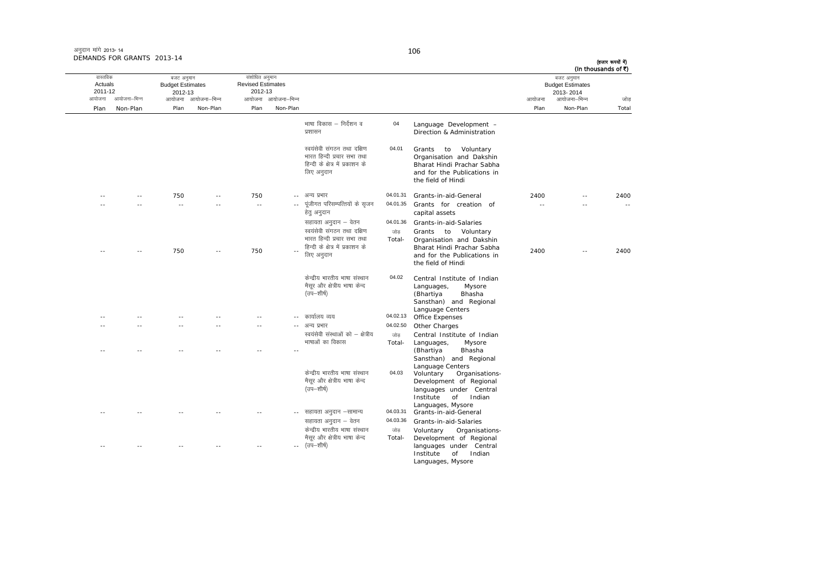|       | (In thousands of ₹)<br>बजट अनुमान    |        |                                                                                                                                       |                           |                                                                                                                      |                     | संशोधित अनुमान                      |                     | बजट अनुमान                         |              | वास्तविक           |
|-------|--------------------------------------|--------|---------------------------------------------------------------------------------------------------------------------------------------|---------------------------|----------------------------------------------------------------------------------------------------------------------|---------------------|-------------------------------------|---------------------|------------------------------------|--------------|--------------------|
|       | <b>Budget Estimates</b><br>2013-2014 |        |                                                                                                                                       |                           |                                                                                                                      |                     | <b>Revised Estimates</b><br>2012-13 |                     | <b>Budget Estimates</b><br>2012-13 |              | Actuals<br>2011-12 |
| जोड   | आयोजना–भिन्न                         | आयोजना |                                                                                                                                       |                           |                                                                                                                      | आयोजना आयोजना-भिन्न |                                     | आयोजना आयोजना-भिन्न |                                    | आयोजना–भिन्न | आयोजना             |
| Total | Non-Plan                             | Plan   |                                                                                                                                       |                           |                                                                                                                      | Non-Plan            | Plan                                | Non-Plan            | Plan                               | Non-Plan     | Plan               |
|       |                                      |        | Language Development -<br>Direction & Administration                                                                                  | 04                        | भाषा विकास – निर्देशन व<br>प्रशासन                                                                                   |                     |                                     |                     |                                    |              |                    |
|       |                                      |        | Grants to<br>Voluntary<br>Organisation and Dakshin<br>Bharat Hindi Prachar Sabha<br>and for the Publications in<br>the field of Hindi | 04.01                     | स्वयंसेवी संगठन तथा दक्षिण<br>भारत हिन्दी प्रचार सभा तथा<br>हिन्दी के क्षेत्र में प्रकाशन के<br>लिए अनुदान           |                     |                                     |                     |                                    |              |                    |
| 2400  | $-$                                  | 2400   | Grants-in-aid-General                                                                                                                 | 04.01.31                  | -- अन्य प्रभार                                                                                                       |                     | 750                                 |                     | 750                                |              |                    |
|       |                                      |        | Grants for creation of<br>capital assets                                                                                              | 04.01.35                  | पूंजीगत परिसम्पत्तियों के सृजन<br>हेत् अनुदान                                                                        |                     | $\sim$ $\sim$                       |                     | $\sim$                             |              |                    |
|       |                                      |        | Grants-in-aid-Salaries<br>Grants to Voluntary<br>Organisation and Dakshin<br>Bharat Hindi Prachar Sabha                               | 04.01.36<br>जोड<br>Total- | सहायता अनुदान – वेतन<br>स्वयंसेवी संगठन तथा दक्षिण<br>भारत हिन्दी प्रचार सभा तथा<br>हिन्दी के क्षेत्र में प्रकाशन के |                     |                                     |                     |                                    |              |                    |
| 2400  | $\sim$                               | 2400   | and for the Publications in<br>the field of Hindi                                                                                     |                           | लिए अनुदान                                                                                                           |                     | 750                                 |                     | 750                                |              |                    |
|       |                                      |        | Central Institute of Indian<br>Languages,<br>Mysore<br>(Bhartiya<br>Bhasha<br>Sansthan) and Regional<br>Language Centers              | 04.02                     | केन्द्रीय भारतीय भाषा संस्थान<br>मैसूर और क्षेत्रीय भाषा केन्द<br>(उप—शीर्ष)                                         |                     |                                     |                     |                                    |              |                    |
|       |                                      |        | Office Expenses                                                                                                                       | 04.02.13                  | कार्यालय व्यय                                                                                                        |                     |                                     |                     |                                    |              |                    |
|       |                                      |        | Other Charges                                                                                                                         | 04.02.50                  | अन्य प्रभार                                                                                                          |                     | $\sim$ $\sim$                       |                     |                                    |              |                    |
|       |                                      |        | Central Institute of Indian                                                                                                           | जोड़                      | स्वयंसेवी संस्थाओं को – क्षेत्रीय                                                                                    |                     |                                     |                     |                                    |              |                    |
|       |                                      |        | Languages,<br>Mysore<br>(Bhartiya<br>Bhasha<br>Sansthan) and Regional<br>Language Centers                                             | Total-                    | भाषाओं का विकास                                                                                                      |                     |                                     |                     |                                    |              |                    |
|       |                                      |        | Voluntary<br>Organisations-<br>Development of Regional<br>languages under Central<br>Institute<br>of<br>Indian<br>Languages, Mysore   | 04.03                     | केन्द्रीय भारतीय भाषा संस्थान<br>मैसूर और क्षेत्रीय भाषा केन्द<br>(उप—शीर्ष)                                         |                     |                                     |                     |                                    |              |                    |
|       |                                      |        | Grants-in-aid-General                                                                                                                 | 04.03.31                  | सहायता अनुदान –सामान्य                                                                                               | $\sim$ $\sim$       |                                     |                     |                                    |              |                    |
|       |                                      |        | Grants-in-aid-Salaries                                                                                                                | 04.03.36                  | सहायता अनुदान – वेतन                                                                                                 |                     |                                     |                     |                                    |              |                    |
|       |                                      |        | Voluntary<br>Organisations-<br>Development of Regional<br>languages under Central                                                     | जोड़<br>Total-            | केन्द्रीय भारतीय भाषा संस्थान<br>मैसूर और क्षेत्रीय भाषा केन्द<br>(उप—शीर्ष)                                         | $\sim$ $\sim$       |                                     |                     |                                    |              |                    |
|       |                                      |        | Institute<br>Indian<br>of<br>Languages, Mysore                                                                                        |                           |                                                                                                                      |                     |                                     |                     |                                    |              |                    |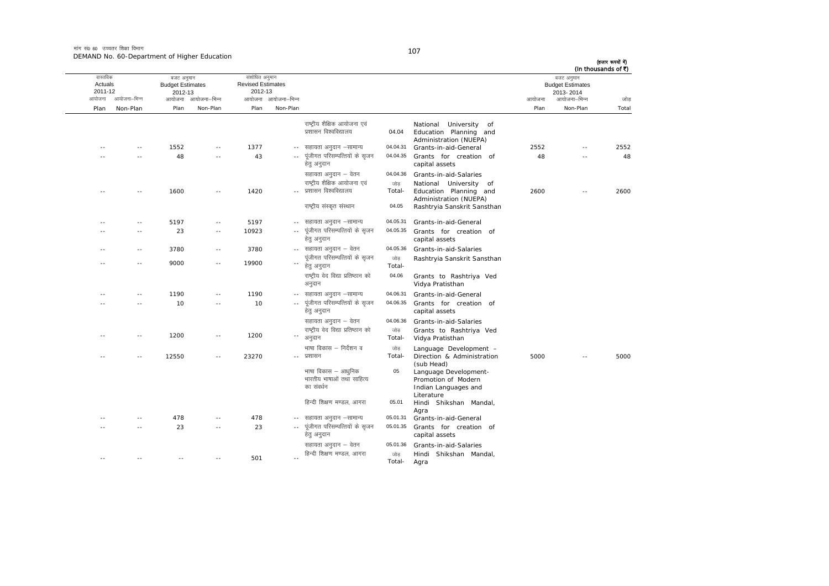मांग सं0 60 उच्चतर शिक्षा विभाग DEMAND No. 60-Department of Higher Education

| ۰. |  |
|----|--|

| जोड   | बजट अनुमान<br><b>Budget Estimates</b><br>2013-2014<br>आयोजना–भिन्न | आयोजना |                                                                                    |                            |                                                                | आयोजना आयोजना-भिन्न        | संशोधित अनुमान<br><b>Revised Estimates</b><br>2012-13 | आयोजना आयोजना–भिन्न | बजट अनुमान<br><b>Budget Estimates</b><br>2012-13 | आयोजना–भिन्न  | वास्तविक<br>Actuals<br>2011-12<br>आयोजना |
|-------|--------------------------------------------------------------------|--------|------------------------------------------------------------------------------------|----------------------------|----------------------------------------------------------------|----------------------------|-------------------------------------------------------|---------------------|--------------------------------------------------|---------------|------------------------------------------|
| Total | Non-Plan                                                           | Plan   |                                                                                    |                            |                                                                | Non-Plan                   | Plan                                                  | Non-Plan            | Plan                                             | Non-Plan      | Plan                                     |
|       |                                                                    |        | University of<br>National<br>Education Planning and<br>Administration (NUEPA)      | 04.04                      | राष्ट्रीय शैक्षिक आयोजना एवं<br>प्रशासन विश्वविद्यालय          |                            |                                                       |                     |                                                  |               |                                          |
| 2552  | $\sim$ $\sim$                                                      | 2552   | Grants-in-aid-General                                                              | 04.04.31                   | सहायता अनुदान –सामान्य                                         | $\sim$                     | 1377                                                  | $\sim$ $\sim$       | 1552                                             | $\sim$ $-$    | $-$                                      |
| 48    | $\sim$                                                             | 48     | Grants for creation of<br>capital assets                                           | 04.04.35                   | पूंजीगत परिसम्पत्तियों के सृजन<br>हेतु अनुदान                  | $\overline{a}$             | 43                                                    | $\sim$ $\sim$       | 48                                               | $\sim$        |                                          |
|       |                                                                    |        | Grants-in-aid-Salaries                                                             | 04.04.36                   | सहायता अनुदान – वेतन                                           |                            |                                                       |                     |                                                  |               |                                          |
| 2600  | $\sim$ $\sim$                                                      | 2600   | National University of<br>Education Planning and<br>Administration (NUEPA)         | जोड़<br>Total-             | राष्ट्रीय शैक्षिक आयोजना एवं<br>प्रशासन विश्वविद्यालय          |                            | 1420                                                  | $\sim$ $\sim$       | 1600                                             | $\sim$ $-$    | ٠.                                       |
|       |                                                                    |        | Rashtryia Sanskrit Sansthan                                                        | 04.05                      | राष्ट्रीय संस्कृत संस्थान                                      |                            |                                                       |                     |                                                  |               |                                          |
|       |                                                                    |        | Grants-in-aid-General                                                              | 04.05.31                   | सहायता अनुदान –सामान्य                                         | $\sim$ $\sim$              | 5197                                                  | $\sim$ $\sim$       | 5197                                             | $\sim$ $-$    | ٠.                                       |
|       |                                                                    |        | Grants for creation of<br>capital assets                                           | 04.05.35                   | पूंजीगत परिसम्पत्तियों के सृजन<br>हेत् अनुदान                  | $\overline{\phantom{a}}$ . | 10923                                                 | $\sim$              | 23                                               |               |                                          |
|       |                                                                    |        | Grants-in-aid-Salaries                                                             | 04.05.36                   | सहायता अनुदान – वेतन                                           | $\sim$ $-$                 | 3780                                                  | $\sim$ $\sim$       | 3780                                             | $\sim$ $-$    | ٠.                                       |
|       |                                                                    |        | Rashtryia Sanskrit Sansthan                                                        | जोड<br>Total-              | पूंजीगत परिसम्पत्तियों के सृजन<br>हेत् अनुदान                  | $\sim$ $-$                 | 19900                                                 | $\sim$ $\sim$       | 9000                                             | $\sim$ $-$    | ٠.                                       |
|       |                                                                    |        | Grants to Rashtriya Ved<br>Vidya Pratisthan                                        | 04.06                      | राष्ट्रीय वेद विद्या प्रतिष्ठान को<br>अनुदान                   |                            |                                                       |                     |                                                  |               |                                          |
|       |                                                                    |        | Grants-in-aid-General                                                              | 04.06.31                   | सहायता अनुदान –सामान्य                                         | $-$                        | 1190                                                  | $\sim$              | 1190                                             | $\sim$ $\sim$ |                                          |
|       |                                                                    |        | Grants for creation of<br>capital assets                                           | 04.06.35                   | पूंजीगत परिसम्पत्तियों के सृजन<br>हेत् अनुदान                  | $\sim$                     | 10                                                    |                     | 10                                               |               |                                          |
|       |                                                                    |        | Grants-in-aid-Salaries                                                             | 04.06.36                   | सहायता अनुदान – वेतन                                           |                            |                                                       |                     |                                                  |               |                                          |
|       |                                                                    |        | Grants to Rashtriya Ved<br>Vidya Pratisthan                                        | जोड<br>Total-              | राष्ट्रीय वेद विद्या प्रतिष्ठान को<br>अनुदान                   |                            | 1200                                                  | $\sim$              | 1200                                             | - -           |                                          |
| 5000  |                                                                    | 5000   | Language Development -<br>Direction & Administration<br>(sub Head)                 | जोड<br>Total-              | भाषा विकास – निर्देशन व<br>प्रशासन                             | $\sim$                     | 23270                                                 | $\sim$ $-$          | 12550                                            | $\sim$ $\sim$ |                                          |
|       |                                                                    |        | Language Development-<br>Promotion of Modern<br>Indian Languages and<br>Literature | 05                         | भाषा विकास – आधुनिक<br>भारतीय भाषाओं तथा साहित्य<br>का संवर्धन |                            |                                                       |                     |                                                  |               |                                          |
|       |                                                                    |        | Hindi Shikshan Mandal,<br>Agra                                                     | 05.01                      | हिन्दी शिक्षण मण्डल, आगरा                                      |                            |                                                       |                     |                                                  |               |                                          |
|       |                                                                    |        | Grants-in-aid-General                                                              | 05.01.31                   | सहायता अनुदान –सामान्य                                         | $\sim$ $-$                 | 478                                                   | $\sim$ $-$          | 478                                              | $\sim$ $-$    | ٠.                                       |
|       |                                                                    |        | Grants for creation of<br>capital assets                                           | 05.01.35                   | पूंजीगत परिसम्पत्तियों के सृजन<br>हेत् अनुदान                  | $\overline{\phantom{a}}$   | 23                                                    | $\sim$ $\sim$       | 23                                               | $\sim$ $-$    |                                          |
|       |                                                                    |        | Grants-in-aid-Salaries<br>Hindi Shikshan Mandal,<br>Agra                           | 05.01.36<br>जोड़<br>Total- | सहायता अनुदान – वेतन<br>हिन्दी शिक्षण मण्डल, आगरा              | $\sim$                     | 501                                                   |                     |                                                  |               | ÷.                                       |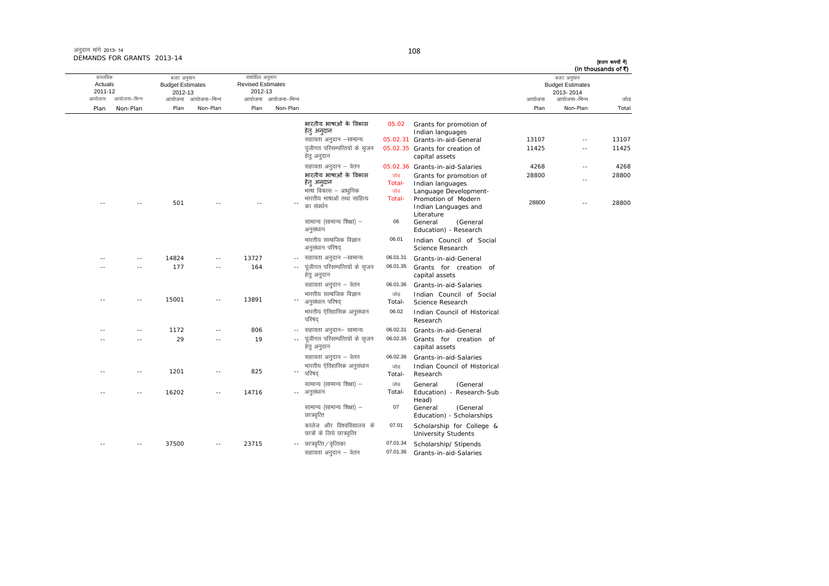| अनुदान मांगे 2013-14       |  |
|----------------------------|--|
| DEMANDS FOR GRANTS 2013-14 |  |

| जोड            | बजट अनुमान<br><b>Budget Estimates</b><br>2013-2014<br>आयोजना–भिन्न<br>आयोजना |                |                                                                                                                  |                                |                                                                                                   | आयोजना आयोजना-भिन्न      | संशोधित अनुमान<br><b>Revised Estimates</b><br>2012-13 | आयोजना आयोजना-भिन्न | बजट अनुमान<br><b>Budget Estimates</b><br>2012-13 | आयोजना–भिन्न | वास्तविक<br>Actuals<br>2011-12<br>आयोजना |
|----------------|------------------------------------------------------------------------------|----------------|------------------------------------------------------------------------------------------------------------------|--------------------------------|---------------------------------------------------------------------------------------------------|--------------------------|-------------------------------------------------------|---------------------|--------------------------------------------------|--------------|------------------------------------------|
| Total          | Non-Plan                                                                     | Plan           |                                                                                                                  |                                |                                                                                                   | Non-Plan                 | Plan                                                  | Non-Plan            | Plan                                             | Non-Plan     | Plan                                     |
| 13107<br>11425 | $\sim$<br>$\overline{\phantom{a}}$                                           | 13107<br>11425 | Grants for promotion of<br>Indian languages<br>05.02.31 Grants-in-aid-General<br>05.02.35 Grants for creation of | 05.02                          | भारतीय भाषाओं के विकास<br>हेतु अनुदान<br>सहायता अनुदान –सामान्य<br>पूंजीगत परिसम्पत्तियों के सृजन |                          |                                                       |                     |                                                  |              |                                          |
|                |                                                                              |                | capital assets                                                                                                   |                                | हेतु अनुदान                                                                                       |                          |                                                       |                     |                                                  |              |                                          |
| 4268           | $\sim$                                                                       | 4268           | 05.02.36 Grants-in-aid-Salaries                                                                                  |                                | सहायता अनुदान – वेतन                                                                              |                          |                                                       |                     |                                                  |              |                                          |
| 28800          | $\sim$                                                                       | 28800          | Grants for promotion of<br>Indian languages<br>Language Development-                                             | जोड<br>Total-<br>जोड<br>Total- | भारतीय भाषाओं के विकास<br>हेत् अन्दान<br>भाषा विकास – आधुनिक<br>भारतीय भाषाओं तथा साहित्य         |                          |                                                       |                     |                                                  |              |                                          |
| 28800          | $\sim$                                                                       | 28800          | Promotion of Modern<br>Indian Languages and<br>Literature                                                        |                                | का संवर्धन                                                                                        |                          | $- -$                                                 |                     | 501                                              | $\sim$ $-$   | $\sim$ $-$                               |
|                |                                                                              |                | (General<br>General<br>Education) - Research                                                                     | 06                             | सामान्य (सामान्य शिक्षा) -<br>अनुसंधान                                                            |                          |                                                       |                     |                                                  |              |                                          |
|                |                                                                              |                | Indian Council of Social<br>Science Research                                                                     | 06.01                          | भारतीय सामाजिक विज्ञान<br>अनुसंधान परिषद                                                          |                          |                                                       |                     |                                                  |              |                                          |
|                |                                                                              |                | Grants-in-aid-General                                                                                            | 06.01.31                       | सहायता अनुदान –सामान्य                                                                            |                          | 13727                                                 | $\sim$ $\sim$       | 14824                                            | $\sim$ $-$   |                                          |
|                |                                                                              |                | Grants for creation of<br>capital assets                                                                         | 06.01.35                       | पूंजीगत परिसम्पत्तियों के सृजन<br>हेत् अनुदान                                                     | $\sim$ $-$               | 164                                                   | $\sim$ $\sim$       | 177                                              | $\sim$ $-$   | $\sim$ $\sim$                            |
|                |                                                                              |                | Grants-in-aid-Salaries<br>Indian Council of Social                                                               | 06.01.36<br>जोड                | सहायता अनुदान – वेतन<br>भारतीय सामाजिक विज्ञान                                                    |                          |                                                       |                     |                                                  |              |                                          |
|                |                                                                              |                | Science Research                                                                                                 | Total-                         | अनुसंधान परिषद्                                                                                   | $\overline{\phantom{a}}$ | 13891                                                 | $\sim$              | 15001                                            | $\sim$       | $\sim$ $-$                               |
|                |                                                                              |                | Indian Council of Historical<br>Research                                                                         | 06.02                          | भारतीय ऐतिहासिक अनुसंधान<br>परिषद                                                                 |                          |                                                       |                     |                                                  |              |                                          |
|                |                                                                              |                | Grants-in-aid-General                                                                                            | 06.02.31                       | सहायता अनुदान– सामान्य                                                                            | $\sim$ $-$               | 806                                                   | $\sim$ $-$          | 1172                                             | $\sim$       |                                          |
|                |                                                                              |                | Grants for creation of<br>capital assets                                                                         | 06.02.35                       | पूंजीगत परिसम्पत्तियों के सृजन<br>हेत् अनुदान                                                     |                          | 19                                                    | $\sim$              | 29                                               |              |                                          |
|                |                                                                              |                | Grants-in-aid-Salaries                                                                                           | 06.02.36                       | सहायता अनुदान – वेतन                                                                              |                          |                                                       |                     |                                                  |              |                                          |
|                |                                                                              |                | Indian Council of Historical<br>Research                                                                         | जोड<br>Total-                  | भारतीय ऐतिहासिक अनुसंधान<br>परिषद                                                                 | ۰.                       | 825                                                   | $\sim$              | 1201                                             | $\sim$       | ×.                                       |
|                |                                                                              |                | General<br>(General<br>Education) - Research-Sub<br>Head)                                                        | जोड<br>Total-                  | सामान्य (सामान्य शिक्षा) –<br>अनुसंधान                                                            | $\sim$ $-$               | 14716                                                 | $\sim$ $\sim$       | 16202                                            | $\sim$       |                                          |
|                |                                                                              |                | General<br>(General<br>Education) - Scholarships                                                                 | 07                             | सामान्य (सामान्य शिक्षा) -<br>छात्रवृत्ति                                                         |                          |                                                       |                     |                                                  |              |                                          |
|                |                                                                              |                | Scholarship for College &<br><b>University Students</b>                                                          | 07.01                          | कालेज और विश्वविद्यालय के<br>छात्रों के लिये छात्रवृत्ति                                          |                          |                                                       |                     |                                                  |              |                                          |
|                |                                                                              |                | Scholarship/ Stipends                                                                                            | 07.01.34                       | -- छात्रवृत्ति / वृत्तिका                                                                         |                          | 23715                                                 | $\sim$ $\sim$       | 37500                                            |              |                                          |
|                |                                                                              |                | Grants-in-aid-Salaries                                                                                           | 07.01.36                       | सहायता अनुदान - वेतन                                                                              |                          |                                                       |                     |                                                  |              |                                          |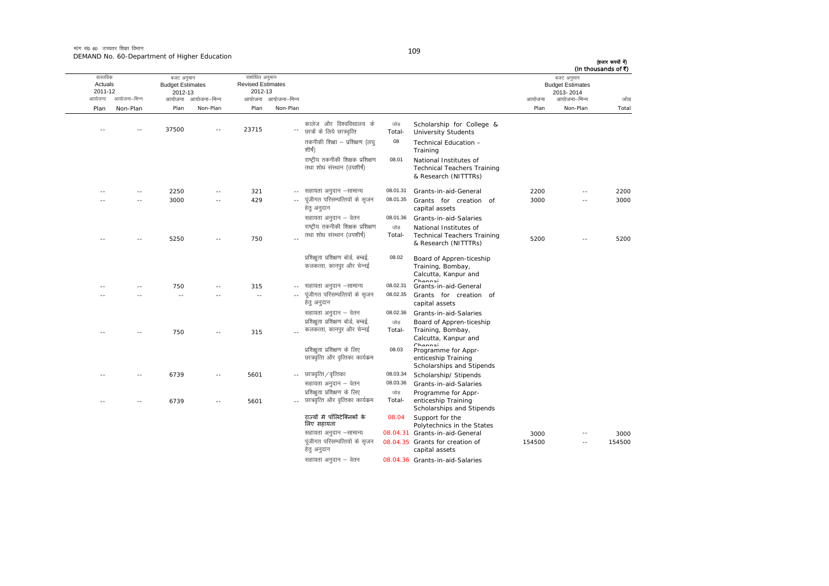मांग सं0 60 उच्चतर शिक्षा विभाग DEMAND No. 60-Department of Higher Education

| ٦<br>v | $\sim$ |  |
|--------|--------|--|

|        | बजट अनुमान<br><b>Budget Estimates</b><br>2013-2014 |        |                                                                                      |                |                                                                   |                     | संशोधित अनुमान<br><b>Revised Estimates</b><br>2012-13 |                     | बजट अनुमान<br><b>Budget Estimates</b><br>2012-13 |               | वास्तविक<br>Actuals<br>2011-12 |
|--------|----------------------------------------------------|--------|--------------------------------------------------------------------------------------|----------------|-------------------------------------------------------------------|---------------------|-------------------------------------------------------|---------------------|--------------------------------------------------|---------------|--------------------------------|
| जोड    | आयोजना–भिन्न                                       | आयोजना |                                                                                      |                |                                                                   | आयोजना आयोजना–भिन्न |                                                       | आयोजना आयोजना-भिन्न |                                                  | आयोजना–भिन्न  | आयोजना                         |
| Total  | Non-Plan                                           | Plan   |                                                                                      |                |                                                                   | Non-Plan            | Plan                                                  | Non-Plan            | Plan                                             | Non-Plan      | Plan                           |
|        |                                                    |        | Scholarship for College &<br><b>University Students</b>                              | जोड़<br>Total- | कालेज और विश्वविद्यालय के<br>छात्रों के लिये छात्रवृत्ति          |                     | 23715                                                 |                     | 37500                                            |               |                                |
|        |                                                    |        | Technical Education -<br>Training                                                    | 08             | तकनीकी शिक्षा – प्रशिक्षण (लघ्<br>शीर्ष)                          |                     |                                                       |                     |                                                  |               |                                |
|        |                                                    |        | National Institutes of<br><b>Technical Teachers Training</b><br>& Research (NITTTRs) | 08.01          | राष्ट्रीय तकनीकी शिक्षक प्रशिक्षण<br>तथा शोध संस्थान (उपशीर्ष)    |                     |                                                       |                     |                                                  |               |                                |
| 2200   | $-$                                                | 2200   | Grants-in-aid-General                                                                | 08.01.31       | सहायता अनुदान –सामान्य                                            | $- -$               | 321                                                   | $\sim$              | 2250                                             | $\sim$        |                                |
| 3000   | $\overline{a}$                                     | 3000   | Grants for creation of<br>capital assets                                             | 08.01.35       | पूंजीगत परिसम्पत्तियों के सृजन<br>हेतु अनुदान                     |                     | 429                                                   | $\sim$              | 3000                                             | $\sim$ $-$    |                                |
|        |                                                    |        | Grants-in-aid-Salaries                                                               | 08.01.36       | सहायता अनुदान – वेतन                                              |                     |                                                       |                     |                                                  |               |                                |
|        |                                                    |        | National Institutes of                                                               | जोड़           | राष्ट्रीय तकनीकी शिक्षक प्रशिक्षण                                 |                     |                                                       |                     |                                                  |               |                                |
| 5200   | - -                                                | 5200   | <b>Technical Teachers Training</b><br>& Research (NITTTRs)                           | Total-         | तथा शोध संस्थान (उपशीर्ष)                                         |                     | 750                                                   |                     | 5250                                             |               |                                |
|        |                                                    |        | Board of Appren-ticeship<br>Training, Bombay,<br>Calcutta, Kanpur and<br>Channai     | 08.02          | प्रशिक्षता प्रशिक्षण बोर्ड, बम्बई,<br>कलकत्ता, कानपुर और चेन्नई   |                     |                                                       |                     |                                                  |               |                                |
|        |                                                    |        | Grants-in-aid-General                                                                | 08.02.31       | सहायता अनुदान –सामान्य                                            | $- -$               | 315                                                   | $\overline{a}$      | 750                                              |               |                                |
|        |                                                    |        | Grants for creation of<br>capital assets                                             | 08.02.35       | पूंजीगत परिसम्पत्तियों के सृजन<br>हेतु अनुदान                     |                     | $\sim$ $-$                                            |                     | $\sim$ $\sim$                                    |               |                                |
|        |                                                    |        | Grants-in-aid-Salaries                                                               | 08.02.36       | सहायता अनुदान – वेतन                                              |                     |                                                       |                     |                                                  |               |                                |
|        |                                                    |        | Board of Appren-ticeship                                                             | जोड            | प्रशिक्षता प्रशिक्षण बोर्ड, बम्बई,                                |                     |                                                       |                     |                                                  |               |                                |
|        |                                                    |        | Training, Bombay,<br>Calcutta, Kanpur and<br>Chonnai                                 | Total-         | कलकत्ता, कानपुर और चेन्नई                                         |                     | 315                                                   | $\sim$              | 750                                              | $\sim$ $\sim$ |                                |
|        |                                                    |        | Programme for Appr-<br>enticeship Training<br>Scholarships and Stipends              | 08.03          | प्रशिक्षुता प्रशिक्षण के लिए<br>छात्रवृत्ति और वृत्तिका कार्यक्रम |                     |                                                       |                     |                                                  |               |                                |
|        |                                                    |        | Scholarship/ Stipends                                                                | 08.03.34       | -- छात्रवृत्ति / वृत्तिका                                         |                     | 5601                                                  | $\sim$ $-$          | 6739                                             | $\sim$        | $\sim$                         |
|        |                                                    |        | Grants-in-aid-Salaries                                                               | 08.03.36       | सहायता अनुदान – वेतन                                              |                     |                                                       |                     |                                                  |               |                                |
|        |                                                    |        | Programme for Appr-<br>enticeship Training<br>Scholarships and Stipends              | जोड़<br>Total- | प्रशिक्षुता प्रशिक्षण के लिए<br>छात्रवृत्ति और वृत्तिका कार्यक्रम |                     | 5601                                                  | $\overline{a}$      | 6739                                             | $\sim$ $-$    |                                |
|        |                                                    |        | Support for the<br>Polytechnics in the States                                        | 08.04          | राज्यों में पॉलिटेक्निकों के<br>लिए सहायता                        |                     |                                                       |                     |                                                  |               |                                |
| 3000   |                                                    | 3000   | 08.04.31 Grants-in-aid-General                                                       |                | सहायता अनुदान –सामान्य                                            |                     |                                                       |                     |                                                  |               |                                |
| 154500 | $\sim$                                             | 154500 | 08.04.35 Grants for creation of<br>capital assets                                    |                | पूंजीगत परिसम्पत्तियों के सृजन<br>हेतु अनुदान                     |                     |                                                       |                     |                                                  |               |                                |
|        |                                                    |        | 08.04.36 Grants-in-aid-Salaries                                                      |                | सहायता अनुदान – वेतन                                              |                     |                                                       |                     |                                                  |               |                                |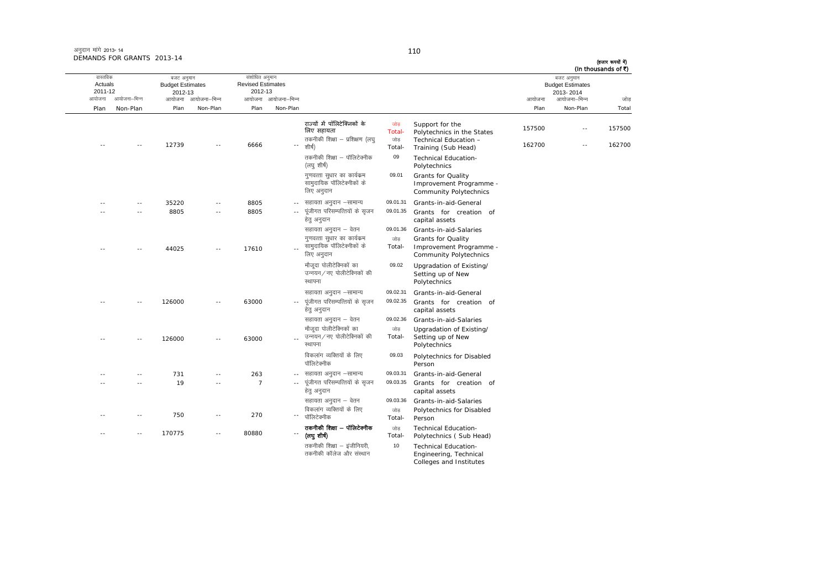| अनुदान मांगे 2013- 14      |  |
|----------------------------|--|
| DEMANDS FOR GRANTS 2013-14 |  |

| वास्तविक<br>Actuals |                | बजट अनुमान<br><b>Budget Estimates</b> |                     | संशोधित अनुमान<br><b>Revised Estimates</b> |                     |                                                                                        |                                 |                                                                                               |                  | बजट अनुमान<br><b>Budget Estimates</b> | (In thousands of ₹) |
|---------------------|----------------|---------------------------------------|---------------------|--------------------------------------------|---------------------|----------------------------------------------------------------------------------------|---------------------------------|-----------------------------------------------------------------------------------------------|------------------|---------------------------------------|---------------------|
| 2011-12             |                | 2012-13                               |                     | 2012-13                                    |                     |                                                                                        |                                 |                                                                                               |                  | 2013-2014                             |                     |
| आयोजना              | आयोजना–भिन्न   |                                       | आयोजना आयोजना-भिन्न |                                            | आयोजना आयोजना-भिन्न |                                                                                        |                                 |                                                                                               | आयोजना           | आयोजना–भिन्न                          | जोड                 |
| Plan                | Non-Plan       | Plan                                  | Non-Plan            | Plan                                       | Non-Plan            |                                                                                        |                                 |                                                                                               | Plan             | Non-Plan                              | Total               |
|                     |                | 12739                                 |                     | 6666                                       |                     | राज्यों में पॉलिटेक्निकों के<br>लिए सहायता<br>तकनीकी शिक्षा – प्रशिक्षण (लघ्<br>शीर्ष) | जोड़<br>Total-<br>जोड<br>Total- | Support for the<br>Polytechnics in the States<br>Technical Education -<br>Training (Sub Head) | 157500<br>162700 | $\sim$<br>$\sim$ $\sim$               | 157500<br>162700    |
|                     |                |                                       |                     |                                            |                     | तकनीकी शिक्षा – पॉलिटेक्नीक<br>(लघु शीर्ष)                                             | 09                              | <b>Technical Education-</b><br>Polytechnics                                                   |                  |                                       |                     |
|                     |                |                                       |                     |                                            |                     | गुणवत्ता सुधार का कार्यक्रम<br>सामुदायिक पॉलिटेक्नीकों के<br>लिए अनुदान                | 09.01                           | Grants for Quality<br>Improvement Programme -<br>Community Polytechnics                       |                  |                                       |                     |
|                     | $\sim$         | 35220                                 |                     | 8805                                       | $\sim$ $\sim$       | सहायता अनुदान –सामान्य                                                                 | 09.01.31                        | Grants-in-aid-General                                                                         |                  |                                       |                     |
|                     | $-$            | 8805                                  | $\sim$ $\sim$       | 8805                                       | $\sim$ $\sim$       | पूंजीगत परिसम्पत्तियों के सृजन<br>हेत् अनुदान                                          | 09.01.35                        | Grants for creation of<br>capital assets                                                      |                  |                                       |                     |
|                     |                |                                       |                     |                                            |                     | सहायता अनुदान – वेतन                                                                   | 09.01.36                        | Grants-in-aid-Salaries                                                                        |                  |                                       |                     |
|                     |                | 44025                                 |                     | 17610                                      |                     | गुणवत्ता सुधार का कार्यक्रम<br>सामुदायिक पॉलिटेक्नीकों के<br>लिए अनुदान                | जोड<br>Total-                   | Grants for Quality<br>Improvement Programme -<br>Community Polytechnics                       |                  |                                       |                     |
|                     |                |                                       |                     |                                            |                     | मौजुदा पोलीटेक्निकों का<br>उन्नयन/नए पोलीटेक्निकों की<br>स्थापना                       | 09.02                           | Upgradation of Existing/<br>Setting up of New<br>Polytechnics                                 |                  |                                       |                     |
|                     |                | 126000                                |                     | 63000                                      |                     | सहायता अनुदान –सामान्य<br>पूंजीगत परिसम्पत्तियों के सृजन<br>हेत् अनुदान                | 09.02.31<br>09.02.35            | Grants-in-aid-General<br>Grants for creation of<br>capital assets                             |                  |                                       |                     |
|                     |                |                                       |                     |                                            |                     | सहायता अनुदान – वेतन                                                                   | 09.02.36                        | Grants-in-aid-Salaries                                                                        |                  |                                       |                     |
|                     |                | 126000                                |                     | 63000                                      |                     | मौजुदा पोलीटेक्निकों का<br>उन्नयन / नए पोलीटेक्निकों की<br>स्थापना                     | जोड<br>Total-                   | Upgradation of Existing/<br>Setting up of New<br>Polytechnics                                 |                  |                                       |                     |
|                     |                |                                       |                     |                                            |                     | विकलांग व्यक्तियों के लिए<br>पॉलिटेक्नीक                                               | 09.03                           | Polytechnics for Disabled<br>Person                                                           |                  |                                       |                     |
|                     | a a            | 731                                   | $\sim$              | 263                                        | $\sim$ $-$          | सहायता अनुदान –सामान्य                                                                 | 09.03.31                        | Grants-in-aid-General                                                                         |                  |                                       |                     |
|                     |                | 19                                    |                     | $\overline{7}$                             | $\sim$ $\sim$       | पूंजीगत परिसम्पत्तियों के सृजन<br>हेत् अनुदान                                          | 09.03.35                        | Grants for creation of<br>capital assets                                                      |                  |                                       |                     |
|                     |                | 750                                   |                     | 270                                        |                     | सहायता अनुदान – वेतन<br>विकलांग व्यक्तियों के लिए<br>पॉलिटेक्नीक                       | 09.03.36<br>जोड<br>Total-       | Grants-in-aid-Salaries<br>Polytechnics for Disabled<br>Person                                 |                  |                                       |                     |
|                     | $\overline{a}$ | 170775                                |                     | 80880                                      |                     | तकनीकी शिक्षा – पॉलिटेक्नीक<br>(लघुशीर्ष)                                              | जोड<br>Total-                   | <b>Technical Education-</b><br>Polytechnics (Sub Head)                                        |                  |                                       |                     |
|                     |                |                                       |                     |                                            |                     | तकनीकी शिक्षा - इंजीनियरी.<br>तकनीकी कॉलेज और संस्थान                                  | 10                              | Technical Education-<br>Engineering, Technical<br>Colleges and Institutes                     |                  |                                       |                     |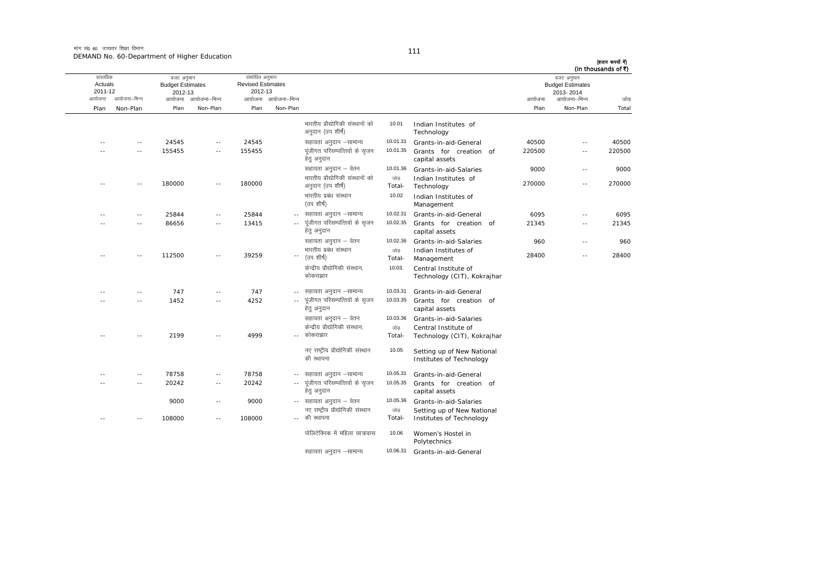मांग सं0 60 उच्चतर शिक्षा विभाग DEMAND No. 60-Department of Higher Education

| (In thousands of ₹) | बजट अनुमान<br><b>Budget Estimates</b> |        |                                                        |               |                                                       |                     | संशोधित अनुमान<br><b>Revised Estimates</b> |                     | बजट अनुमान<br><b>Budget Estimates</b> |                | वास्तविक<br>Actuals |
|---------------------|---------------------------------------|--------|--------------------------------------------------------|---------------|-------------------------------------------------------|---------------------|--------------------------------------------|---------------------|---------------------------------------|----------------|---------------------|
|                     | 2013-2014                             |        |                                                        |               |                                                       |                     | 2012-13                                    |                     | 2012-13                               |                | 2011-12             |
| जोड                 | आयोजना–भिन्न                          | आयोजना |                                                        |               |                                                       | आयोजना आयोजना–भिन्न |                                            | आयोजना आयोजना-भिन्न |                                       | आयोजना–भिन्न   | आयोजना              |
| Total               | Non-Plan                              | Plan   |                                                        |               |                                                       | Non-Plan            | Plan                                       | Non-Plan            | Plan                                  | Non-Plan       | Plan                |
|                     |                                       |        | Indian Institutes of<br>Technology                     | 10.01         | भारतीय प्रौद्योगिकी संस्थानों को<br>अनुदान (उप शीर्ष) |                     |                                            |                     |                                       |                |                     |
| 40500               | $\sim$ $-$                            | 40500  | Grants-in-aid-General                                  | 10.01.31      | सहायता अनुदान -सामान्य                                |                     | 24545                                      | ٠.                  | 24545                                 | $\overline{a}$ |                     |
| 220500              | $\sim$ $-$                            | 220500 | Grants for creation of<br>capital assets               | 10.01.35      | पूंजीगत परिसम्पत्तियों के सृजन<br>हेत् अनुदान         |                     | 155455                                     | $\sim$ $-$          | 155455                                | - -            |                     |
| 9000                | $\sim$ $\sim$                         | 9000   | Grants-in-aid-Salaries                                 | 10.01.36      | सहायता अनुदान – वेतन                                  |                     |                                            |                     |                                       |                |                     |
| 270000              | $\sim$ $\sim$                         | 270000 | Indian Institutes of<br>Technology                     | जोड<br>Total- | भारतीय प्रौद्योगिकी संस्थानों को<br>अनुदान (उप शीर्ष) |                     | 180000                                     | $-$                 | 180000                                | $\overline{a}$ |                     |
|                     |                                       |        | Indian Institutes of<br>Management                     | 10.02         | भारतीय प्रबंध संस्थान<br>(उप शीर्ष)                   |                     |                                            |                     |                                       |                |                     |
| 6095                | $\sim$ $-$                            | 6095   | Grants-in-aid-General                                  | 10.02.31      | सहायता अनुदान –सामान्य                                | $\sim$ $-$          | 25844                                      | $-$                 | 25844                                 |                |                     |
| 21345               | $\sim$ $-$                            | 21345  | Grants for creation of<br>capital assets               | 10.02.35      | पूंजीगत परिसम्पत्तियों के सृजन<br>हेत् अनुदान         |                     | 13415                                      | ٠.                  | 86656                                 |                |                     |
| 960                 | $\sim$ $\sim$                         | 960    | Grants-in-aid-Salaries                                 | 10.02.36      | सहायता अनुदान – वेतन                                  |                     |                                            |                     |                                       |                |                     |
| 28400               | $\sim$ $-$                            | 28400  | Indian Institutes of<br>Management                     | जोड<br>Total- | भारतीय प्रबंध संस्थान<br>(उप शीर्ष)                   | $-$                 | 39259                                      | $-$                 | 112500                                | $\overline{a}$ | $\sim$              |
|                     |                                       |        | Central Institute of<br>Technology (CIT), Kokrajhar    | 10.03.        | केन्द्रीय प्रौद्योगिकी संस्थान,<br>कोकराझार           |                     |                                            |                     |                                       |                |                     |
|                     |                                       |        | Grants-in-aid-General                                  | 10.03.31      | सहायता अनुदान –सामान्य                                | $\sim$ $-$          | 747                                        | ٠.                  | 747                                   | - -            |                     |
|                     |                                       |        | Grants for creation of<br>capital assets               | 10.03.35      | पूंजीगत परिसम्पत्तियों के सृजन<br>हेत् अनुदान         | $\sim$ $-$          | 4252                                       | $\sim$ $-$          | 1452                                  | --             |                     |
|                     |                                       |        | Grants-in-aid-Salaries                                 | 10.03.36      | सहायता अनुदान – वेतन                                  |                     |                                            |                     |                                       |                |                     |
|                     |                                       |        | Central Institute of                                   | जोड           | केन्द्रीय प्रौद्योगिकी संस्थान,                       |                     |                                            |                     |                                       |                |                     |
|                     |                                       |        | Technology (CIT), Kokrajhar                            | Total-        | -- कोकराझार                                           |                     | 4999                                       | $\sim$ $\sim$       | 2199                                  | $\sim$         |                     |
|                     |                                       |        | Setting up of New National<br>Institutes of Technology | 10.05         | नए राष्ट्रीय प्रौद्योगिकी संस्थान<br>की स्थापना       |                     |                                            |                     |                                       |                |                     |
|                     |                                       |        | Grants-in-aid-General                                  | 10.05.31      | सहायता अनुदान –सामान्य                                |                     | 78758                                      | $\overline{a}$      | 78758                                 | $-$            |                     |
|                     |                                       |        | Grants for creation of<br>capital assets               | 10.05.35      | पूंजीगत परिसम्पत्तियों के सृजन<br>हेतु अनुदान         | $\sim$ $\sim$       | 20242                                      | $\sim$ $-$          | 20242                                 | $\overline{a}$ |                     |
|                     |                                       |        | Grants-in-aid-Salaries                                 | 10.05.36      | -- सहायता अनुदान – वेतन                               |                     | 9000                                       | $\sim$ $\sim$       | 9000                                  |                |                     |
|                     |                                       |        | Setting up of New National<br>Institutes of Technology | जोड<br>Total- | नए राष्ट्रीय प्रौद्योगिकी संस्थान<br>-- की स्थापना    |                     | 108000                                     | $\overline{a}$      | 108000                                |                |                     |
|                     |                                       |        | Women's Hostel in<br>Polytechnics                      | 10.06         | पोलिटेक्निक में महिला छात्रावास                       |                     |                                            |                     |                                       |                |                     |
|                     |                                       |        | Grants-in-aid-General                                  | 10.06.31      | सहायता अनुदान –सामान्य                                |                     |                                            |                     |                                       |                |                     |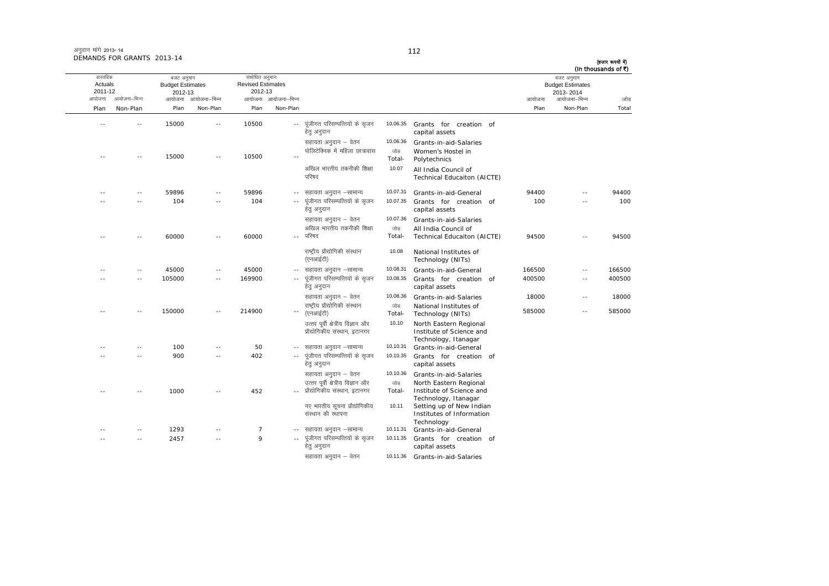अनदान मांगे 2013-14 DEMANDS FOR GRANTS 2013-14

आयोजना आयोजना-भिन्न आयोजना आयोजना-भिन्न - आयोजना आयोजना-भिन्न न अपयोजना—भिन्न जाउँ विकास समिति । अपनी अपयोजना आयोजना—भिन्न जोड Plan Non-Plan Plan Non-Plan Plan Non-Plan Plan Non-Plan Total तास्ततिक Actuals2011-12 बजट अनुमान Budget Estimates 2012-13संशोधित अनुमान Revised Estimates2012-13 बजट अनुमान Budget Estimates 2013- 2014(हजार रूपयों में) (In thousands of  $\bar{x}$ ) -- -- 15000 -- 10500 --.<sub>-</sub> पुंजीगत परिसम्पत्तियों के सुजन हेत् अनुदान 10.06.35 Grants for creation of capital assets सहायता अनुदान – वेतन 10.06.36 Grants-in-aid-Salaries -- -- 15000 -- 10500 --पोलिटेक्निक में महिला छात्रावास जोड Total-Women's Hostel in<br>Polytechnics अखिल भारतीय तकनीकी शिक्षा परिषद 10.07 All India Council of Technical Educaiton (AICTE) ---- 59896 -- 59896 -- सहायता अनुदान –सामान्य 10.07.31 Grants-in-aid-General 94400 -- 94400 -- -- 104 -- 104 ---- पंजीगत परिसम्पत्तियों के सजन हेत अनदान 10.07.355 Grants for creation of capital assets 100 -- 100सहायता अनुदान – वेतन 10.07.36 Grants-in-aid-Salaries -- -- 60000 -- 60000 --- परिषद ्<br>अखिल भारतीय तकनीकी शिक्षा जोड Total-All India Council of<br>Technical Educaiton (AICTE) 94500 -- 94500 राष्ट्रीय प्रौद्योगिकी संस्थान (एनआईटी) 10.088 National Institutes of Technology (NITs) ---- 45000 -- 45000 -- सहायता अनुदान –सामान्य lgk;rk vuqnku &lkekU; 10.08.31 Grants-in-aid-General <sup>166500</sup> -- <sup>166500</sup> -- 105000 -- 169900 ---- पूंजीगत परिसम्पत्तियों के सृजन हेतु अनुदान 10.08.35<sup>5</sup> Grants for creation of capital assets 400500 -- 400500lgk;rk vuqnku & osru 10.08.36 Grants-in-aid-Salaries <sup>18000</sup> -- <sup>18000</sup> -- -- 150000 -- 214900 -- $\sim$ राष्ट्रीय प्रौद्योगिकी संस्थान (एनआईटी) जोड Total-National Institutes of Technology (NITs) 585000 -- 585000 उत्तर पूर्वी क्षेत्रीय विज्ञान और .<br>प्रौद्योगिकीय संस्थान, इटानगर 10.10 North Eastern Regional Institute of Science and Technology, Itanagar -- -- 100 -- 50 - lgk;rk vuqnku &lkekU; 10.10.31 Grants-in-aid-General -- -- 900 -- 402 ---- पूंजीगत परिसम्पत्तियों के सृजन हेतु अनुदान 10.10.35 Grants for creation ofcapital assets सहायता अनुदान – वेतन 10.10.36 Grants-in-aid-Salaries -- -- 1000 -- 452 --उत्तर पर्वी क्षेत्रीय विज्ञान और - प्रौद्योगिकीय संस्थान, इटानगर जोड Total-North Eastern Regional<br>Institute of Science and Technology, Itanagar नए भारतीय सूचना प्रौद्योगिकीय संस्थान की स्थापना 10.11 Setting up of New Indian Institutes of Information Technology ---- 1293 -- 7 -- सहायता अनुदान –सामान्य 10.11.31 Grants-in-aid-General -- -- 2457 -- 9 ---- पंजीगत परिसम्पत्तियों के सजन हेतु अनुदान 10.11.35 Grants for creation ofcapital assets

सहायता अनुदान – वेतन 10.11.36 Grants-in-aid-Salaries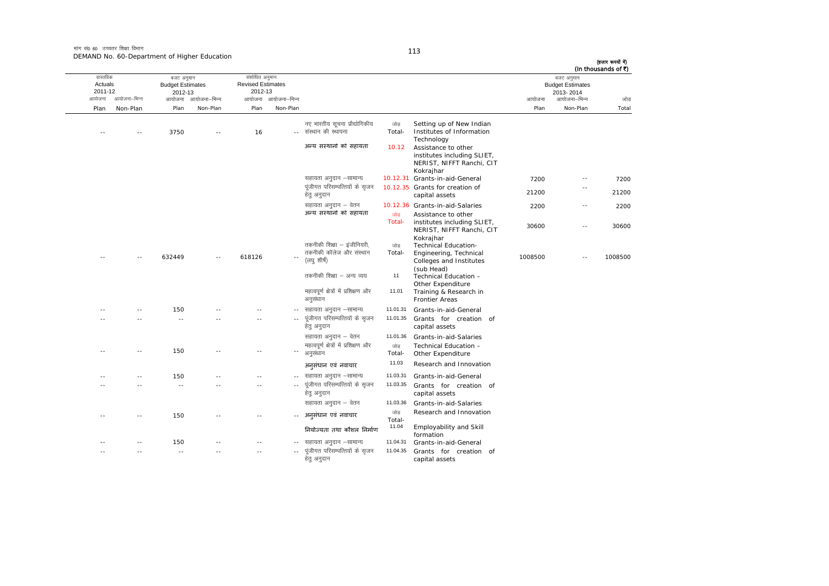| (In thousands of ₹) | बजट अनुमान<br><b>Budget Estimates</b><br>2013-2014 |         |                                                                                                            |                |                                                                      |                            | संशोधित अनुमान<br><b>Revised Estimates</b><br>2012-13 |              | बजट अनुमान<br><b>Budget Estimates</b><br>2012-13 |              | वास्तविक<br>Actuals<br>2011-12 |
|---------------------|----------------------------------------------------|---------|------------------------------------------------------------------------------------------------------------|----------------|----------------------------------------------------------------------|----------------------------|-------------------------------------------------------|--------------|--------------------------------------------------|--------------|--------------------------------|
| जोड                 | आयोजना–भिन्न                                       | आयोजना  |                                                                                                            |                |                                                                      | आयोजना आयोजना-भिन्न        |                                                       | आयोजना–भिन्न | आयोजना                                           | आयोजना–भिन्न | आयोजना                         |
| Total               | Non-Plan                                           | Plan    |                                                                                                            |                |                                                                      | Non-Plan                   | Plan                                                  | Non-Plan     | Plan                                             | Non-Plan     | Plan                           |
|                     |                                                    |         | Setting up of New Indian<br>Institutes of Information                                                      | जोड<br>Total-  | नए भारतीय सूचना प्रौद्योगिकीय<br>संस्थान की स्थापना                  |                            | 16                                                    |              | 3750                                             |              |                                |
|                     |                                                    |         | Technology<br>Assistance to other<br>institutes including SLIET,<br>NERIST, NIFFT Ranchi, CIT<br>Kokrajhar | 10.12          | अन्य संस्थानों को सहायता                                             |                            |                                                       |              |                                                  |              |                                |
| 7200                | $\sim$                                             | 7200    | 10.12.31 Grants-in-aid-General                                                                             |                | सहायता अनुदान –सामान्य                                               |                            |                                                       |              |                                                  |              |                                |
| 21200               |                                                    | 21200   | 10.12.35 Grants for creation of<br>capital assets                                                          |                | पूंजीगत परिसम्पत्तियों के सृजन<br>हेतु अनुदान                        |                            |                                                       |              |                                                  |              |                                |
| 2200                | $\sim$ $-$                                         | 2200    | 10.12.36 Grants-in-aid-Salaries<br>Assistance to other                                                     | जोड            | सहायता अनुदान – वेतन<br>अन्य संस्थानों को सहायता                     |                            |                                                       |              |                                                  |              |                                |
| 30600               | $\sim$ $\sim$                                      | 30600   | institutes including SLIET,<br>NERIST, NIFFT Ranchi, CIT<br>Kokrajhar                                      | Total-         |                                                                      |                            |                                                       |              |                                                  |              |                                |
| 1008500             |                                                    | 1008500 | <b>Technical Education-</b><br>Engineering, Technical<br>Colleges and Institutes                           | जोड<br>Total-  | तकनीकी शिक्षा – इंजीनियरी,<br>तकनीकी कॉलेज और संस्थान<br>(लघु शीर्ष) |                            | 618126                                                |              | 632449                                           |              |                                |
|                     |                                                    |         | (sub Head)<br>Technical Education -<br>Other Expenditure                                                   | 11             | तकनीकी शिक्षा – अन्य व्यय                                            |                            |                                                       |              |                                                  |              |                                |
|                     |                                                    |         | Training & Research in<br><b>Frontier Areas</b>                                                            | 11.01          | महत्वपूर्ण क्षेत्रों में प्रशिक्षण और<br>अनुसंधान                    |                            |                                                       |              |                                                  |              |                                |
|                     |                                                    |         | Grants-in-aid-General                                                                                      | 11.01.31       | सहायता अनुदान –सामान्य                                               | $\sim$ $\sim$              |                                                       |              | 150                                              |              |                                |
|                     |                                                    |         | Grants for creation of<br>capital assets                                                                   | 11.01.35       | पूंजीगत परिसम्पत्तियों के सृजन<br>हेतु अनुदान                        |                            |                                                       |              | $\sim$ $\sim$                                    |              |                                |
|                     |                                                    |         | Grants-in-aid-Salaries                                                                                     | 11.01.36       | सहायता अनुदान – वेतन                                                 |                            |                                                       |              |                                                  |              |                                |
|                     |                                                    |         | Technical Education -<br>Other Expenditure                                                                 | जोड़<br>Total- | महत्वपूर्ण क्षेत्रों में प्रशिक्षण और<br>अनुसंधान                    | $\overline{\phantom{a}}$ . |                                                       |              | 150                                              |              |                                |
|                     |                                                    |         | Research and Innovation                                                                                    | 11.03          | अनुसंधान एवं नवाचार                                                  |                            |                                                       |              |                                                  |              |                                |
|                     |                                                    |         | Grants-in-aid-General                                                                                      | 11.03.31       | सहायता अनुदान –सामान्य                                               | $\sim$ $-$                 | $\sim$                                                |              | 150                                              |              |                                |
|                     |                                                    |         | Grants for creation of<br>capital assets                                                                   | 11.03.35       | पूंजीगत परिसम्पत्तियों के सृजन<br>हेत् अनुदान                        | $\sim$ $\sim$              | $\overline{\phantom{a}}$                              |              | $\sim$ $\sim$                                    |              |                                |
|                     |                                                    |         | Grants-in-aid-Salaries                                                                                     | 11.03.36       | सहायता अनुदान – वेतन                                                 |                            |                                                       |              |                                                  |              |                                |
|                     |                                                    |         | Research and Innovation                                                                                    | जोड़<br>Total- | अनसंधान एवं नवाचार                                                   |                            |                                                       |              | 150                                              |              |                                |
|                     |                                                    |         | <b>Employability and Skill</b><br>formation                                                                | 11.04          | नियोज्यता तथा कौशल निर्माण                                           |                            |                                                       |              |                                                  |              |                                |
|                     |                                                    |         | Grants-in-aid-General                                                                                      | 11.04.31       | सहायता अनुदान –सामान्य                                               |                            |                                                       |              | 150                                              |              |                                |
|                     |                                                    |         | Grants for creation of<br>capital assets                                                                   | 11.04.35       | पूंजीगत परिसम्पत्तियों के सृजन<br>हेतु अनुदान                        | $\sim$ $\sim$              | $\sim$                                                |              | $\sim$ $-$                                       |              |                                |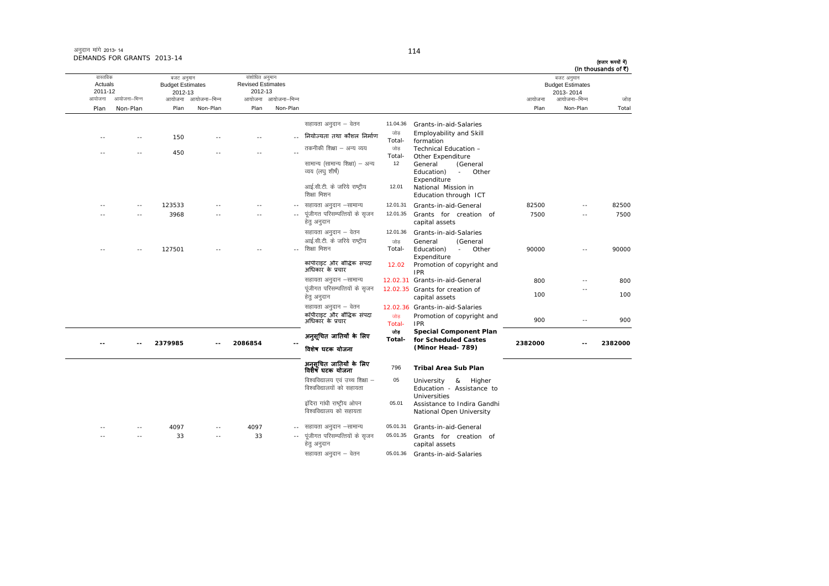| अनुदान मांगे 2013-14       |  |
|----------------------------|--|
| DEMANDS FOR GRANTS 2013-14 |  |

आयोजना आयोजना-भिन्न आयोजना आयोजना-भिन्न - आयोजना आयोजना-भिन्न न अपयोजना—भिन्न जाउँ विकास समिति । अपनी अपयोजना आयोजना—भिन्न जोड Plan Non-Plan Plan Non-Plan Plan Non-Plan Plan Non-Plan Total वास्तविक Actuals2011-12 बजट अनुमान Budget Estimates 2012-13 संशोधित अनुमान Revised Estimates2012-13 बजट अनुमान Budget Estimates 2013- 2014 (हजार रूपयों में) (In thousands of  $\vec{\tau}$ ) सहायता अनुदान – वेतन 11.04.36 Grants-in-aid-Salaries ---- 150 -- -- -- -- --<sub>--</sub> नियोज्यता तथा कौशल निर्माण <sup>- जोड़</sup><br>Total- Employability and Skill formationTechnical Education ----- 450 -- -- -- -- --तकनीकी शिक्षा – अन्य व्यय Total-Other Expenditure<br>General (Gen सामान्य (सामान्य शिक्षा) – अन्य व्यय (लघु शीर्ष) 12 General (General  $E$ ducation)  $\frac{1}{2}$ Expenditure आई.सी.टी. के जरिये राष्ट्रीय शिक्षा मिशन 12.01<sup>1</sup> National Mission in Education through ICT ---- 123533 -- -- - - - - सहायता अनुदान –सामान्य lgk;rk vuqnku &lkekU; 12.01.31 Grants-in-aid-General <sup>82500</sup> -- <sup>82500</sup> ---- 3968 -- - --- पंजीगत परिसम्पत्तियों के सजन हेत् अनुदान 12.01.35 Grants for creation of capital assets 7500 -- 7500 सहायता अनुदान – वेतन 12.01.36 Grants-in-aid-Salaries ---- 127501 -- -- -- --आई.सी.टी. के जरिये राष्ट्रीय ्<br>शिक्षा मिशन जोड Total-General (General Education) - Other **Expenditure** 90000 -- 90000 कॉपीराइट और बौद्धिक संपदा<br>अधिकार के प्रचार 12.02 Promotion of copyright and<br>IPR lgk;rk vuqnku &lkekU; 12.02.31 Grants-in-aid-General 800 -- 800 पंजीगत परिसम्पत्तियों के सजन हेतु अनुदान 12.02.35 Grants for creation of capital assets 100 --100सहायता अनुदान – वेतन  $12.02.36$  Grants-in-aid-Salaries कॉपीराइट और बौद्धिक संपदा <sub>ं जोड़</sub><br>अधिकार के प्रचार जोड़ Promotion of copyright and<br>Total- IPR <sup>900</sup> -- <sup>900</sup> **-- -- 2379985 -- 2086854 --**अन ुसूिचत जाितयɉ के िलए िवशेष घटक योजना োভ **Total-Special Component Plan for Scheduled Castes (Minor Head- 789) <sup>2382000</sup> -- <sup>2382000</sup>** अन ुसूिचत जाितयɉ के िलए िवशेष घटक योजना <sup>796</sup> **Tribal Area Sub Plan** विश्वविद्यालय एवं उच्च शिक्षा – विश्वविद्यालयों को सहायता 05 University & Higher Education - Assistance toUniversities इंदिरा गांधी राष्ट्रीय ओपन विश्वविद्यालय को सहायता 05.01<sup>1</sup> Assistance to Indira Gandhi National Open University --4097 -- 4097 -- सहायता अनुदान –सामान्य 05.01.31 Grants-in-aid-General ---- 33 -- 33 -- 33 ---- पंजीगत परिसम्पत्तियों के सजन हेत् अनुदान 05.01.35 Grants for creation of capital assets सहायता अनदान  $-$  वेतन  $05.01.36$  Grants-in-aid-Salaries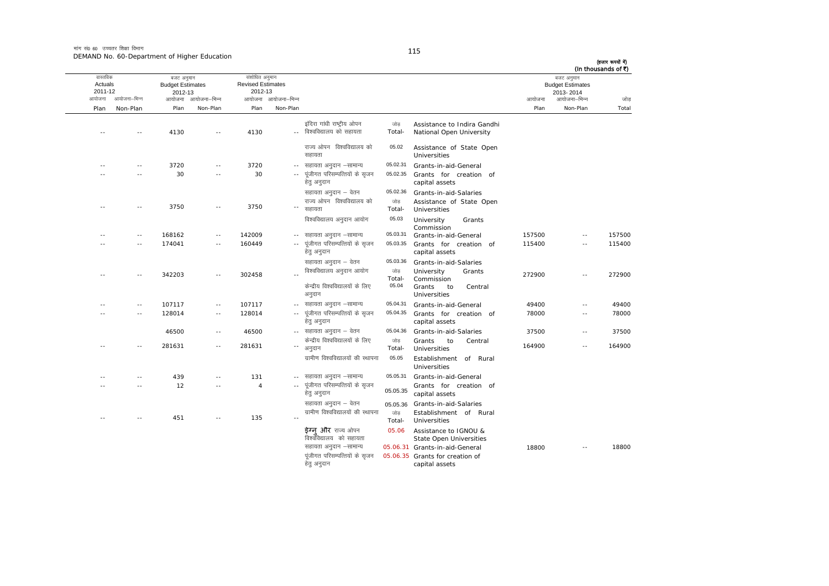मांग सं0 60 उच्चतर शिक्षा विभाग DEMAND No. 60-Department of Higher Education

(हजार रूपयों में)

|                                |               |                                                  |                     |                                                       |                     |                                                       |                |                                                         |        |                                                    | (In thousands of ₹) |
|--------------------------------|---------------|--------------------------------------------------|---------------------|-------------------------------------------------------|---------------------|-------------------------------------------------------|----------------|---------------------------------------------------------|--------|----------------------------------------------------|---------------------|
| वास्तविक<br>Actuals<br>2011-12 |               | बजट अनुमान<br><b>Budget Estimates</b><br>2012-13 |                     | संशोधित अनुमान<br><b>Revised Estimates</b><br>2012-13 |                     |                                                       |                |                                                         |        | बजट अनुमान<br><b>Budget Estimates</b><br>2013-2014 |                     |
| आयोजना                         | आयोजना–भिन्न  |                                                  | आयोजना आयोजना–भिन्न |                                                       | आयोजना आयोजना-भिन्न |                                                       |                |                                                         | आयोजना | आयोजना–भिन्न                                       | जोड                 |
| Plan                           | Non-Plan      | Plan                                             | Non-Plan            | Plan                                                  | Non-Plan            |                                                       |                |                                                         | Plan   | Non-Plan                                           | Total               |
|                                |               | 4130                                             |                     | 4130                                                  |                     | इंदिरा गांधी राष्ट्रीय ओपन<br>विश्वविद्यालय को सहायता | जोड<br>Total-  | Assistance to Indira Gandhi<br>National Open University |        |                                                    |                     |
|                                |               |                                                  |                     |                                                       |                     | राज्य ओपन विश्वविद्यालय को<br>सहायता                  | 05.02          | Assistance of State Open<br><b>Universities</b>         |        |                                                    |                     |
|                                |               | 3720                                             |                     | 3720                                                  |                     | सहायता अनुदान –सामान्य                                | 05.02.31       | Grants-in-aid-General                                   |        |                                                    |                     |
|                                |               | 30                                               |                     | 30                                                    |                     | पूंजीगत परिसम्पत्तियों के सृजन<br>हेतु अनुदान         | 05.02.35       | Grants for creation of<br>capital assets                |        |                                                    |                     |
|                                |               |                                                  |                     |                                                       |                     | सहायता अनुदान – वेतन                                  | 05.02.36       | Grants-in-aid-Salaries                                  |        |                                                    |                     |
|                                |               | 3750                                             |                     | 3750                                                  |                     | राज्य ओपन विश्वविद्यालय को<br>सहायता                  | जोड़<br>Total- | Assistance of State Open<br>Universities                |        |                                                    |                     |
|                                |               |                                                  |                     |                                                       |                     | विश्वविद्यालय अनुदान आयोग                             | 05.03          | University<br>Grants<br>Commission                      |        |                                                    |                     |
|                                | $\sim$ $\sim$ | 168162                                           | $\sim$ $\sim$       | 142009                                                |                     | सहायता अनुदान –सामान्य                                | 05.03.31       | Grants-in-aid-General                                   | 157500 | $\sim$ $\sim$                                      | 157500              |
|                                | $\sim$        | 174041                                           | $\sim$              | 160449                                                |                     | पूंजीगत परिसम्पत्तियों के सृजन<br>हेतु अनुदान         | 05.03.35       | Grants for creation of<br>capital assets                | 115400 | $\sim$                                             | 115400              |
|                                |               |                                                  |                     |                                                       |                     | सहायता अनुदान – वेतन                                  | 05.03.36       | Grants-in-aid-Salaries                                  |        |                                                    |                     |
|                                |               | 342203                                           |                     | 302458                                                |                     | विश्वविद्यालय अनुदान आयोग                             | जोड<br>Total-  | University<br>Grants<br>Commission                      | 272900 | $\sim$                                             | 272900              |
|                                |               |                                                  |                     |                                                       |                     | केन्द्रीय विश्वविद्यालयों के लिए<br>अनुदान            | 05.04          | Grants<br>to<br>Central<br><b>Universities</b>          |        |                                                    |                     |
|                                | $\sim$ $\sim$ | 107117                                           | $\sim$ $\sim$       | 107117                                                | $\sim$ $\sim$       | सहायता अनुदान –सामान्य                                | 05.04.31       | Grants-in-aid-General                                   | 49400  | $\sim$ $\sim$                                      | 49400               |
|                                | - -           | 128014                                           | $\sim$ $\sim$       | 128014                                                |                     | पूंजीगत परिसम्पत्तियों के सृजन<br>हेतु अनुदान         | 05.04.35       | Grants for creation of<br>capital assets                | 78000  | $-$                                                | 78000               |
|                                |               | 46500                                            | $\sim$ $\sim$       | 46500                                                 |                     | -- सहायता अनुदान – वेतन                               | 05.04.36       | Grants-in-aid-Salaries                                  | 37500  | $\sim$ $\sim$                                      | 37500               |
|                                |               | 281631                                           | $\sim$              | 281631                                                |                     | केन्द्रीय विश्वविद्यालयों के लिए<br>अनुदान            | जोड़<br>Total- | Grants<br>to<br>Central<br>Universities                 | 164900 | $\sim$                                             | 164900              |
|                                |               |                                                  |                     |                                                       |                     | ग्रामीण विश्वविद्यालयों की स्थापना                    | 05.05          | Establishment of Rural<br>Universities                  |        |                                                    |                     |
|                                | - -           | 439                                              | $\sim$              | 131                                                   | ۰.                  | सहायता अनुदान –सामान्य                                | 05.05.31       | Grants-in-aid-General                                   |        |                                                    |                     |
|                                | $\sim$ $\sim$ | 12                                               | $\sim$ $-$          | $\overline{4}$                                        | $\sim$ $-$          | पूंजीगत परिसम्पत्तियों के सृजन<br>हेतु अनुदान         | 05.05.35       | Grants for creation of<br>capital assets                |        |                                                    |                     |
|                                |               |                                                  |                     |                                                       |                     | सहायता अनुदान – वेतन                                  | 05.05.36       | Grants-in-aid-Salaries                                  |        |                                                    |                     |
|                                | $\sim$ $\sim$ | 451                                              |                     | 135                                                   |                     | ग्रामीण विश्वविद्यालयों की स्थापना                    | जोड<br>Total-  | Establishment of Rural<br>Universities                  |        |                                                    |                     |
|                                |               |                                                  |                     |                                                       |                     | <b>ईग्न और</b> राज्य ओपन<br>विश्वविद्यालय को सहायता   | 05.06          | Assistance to IGNOU &<br>State Open Universities        |        |                                                    |                     |
|                                |               |                                                  |                     |                                                       |                     | सहायता अनुदान –सामान्य                                |                | 05.06.31 Grants-in-aid-General                          | 18800  |                                                    | 18800               |
|                                |               |                                                  |                     |                                                       |                     | पूंजीगत परिसम्पत्तियों के सुजन<br>हेतु अनुदान         |                | 05.06.35 Grants for creation of<br>capital assets       |        |                                                    |                     |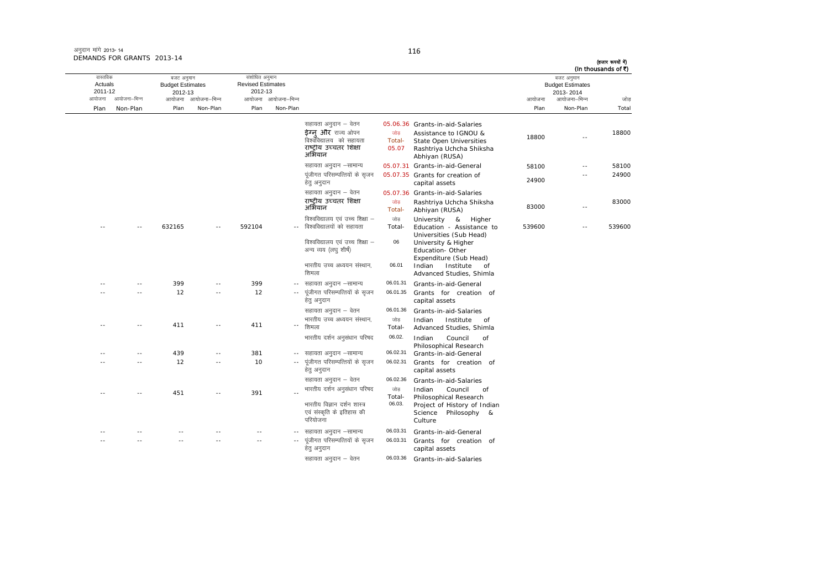| अनुदान मांगे 2013-14       |  |
|----------------------------|--|
| DEMANDS FOR GRANTS 2013-14 |  |

ः<br>आयोजना आयोजना–भिन्न आयोजना आयोजना-भिन्न - आयोजना आयोजना-भिन्न न अपयोजना—भिन्न जाउँ विकास समिति । अपनी अपयोजना आयोजना—भिन्न जोड Plan Non-Plan Plan Non-Plan Plan Non-Plan Plan Non-Plan Total तास्ततिक Actuals2011-12बजट अनुमान Budget Estimates 2012-13संशोधित अनुमान Revised Estimates2012-13 बजट अनुमान Budget Estimates 2013- 2014(हजार रूपयों में) (In thousands of  $\bar{x}$ ) सहायता अनुदान  $-$  वेतन  $05.06.36$  Grants-in-aid-Salaries **इेग्नु और** राज्य ओपन जोड़<br>विश्वविद्यालय को सहायता Total-णोड़ Assistance to IGNOU & 18800 -- 18800<br>Total- State Open Universities 18800 -- 18800<br>05.07 Rashtriva Uchcha Shiksha राष्ट्रीय उच्चतर शिक्षा<br>अभियान Rashtriya Uchcha Shiksha<br>Abhiyan (RUSA) सहायता अनुदान –सामान्य 05.07.31 Grants-in-aid-General 58100 -- 58100 पूंजीगत परिसम्पत्तियों के सृजन हेतु अनुदान 05.07.35 Grants for creation of Grafits for creation of<br>capital assets 24900 -- 24900सहायता अनुदान – वेतन 05.07.36 Grants-in-aid-Salaries राष्ट्रीय उच्चतर शिक्षा <sup>जोड़</sup><br>अभियान <sup>-</sup> Total- Rashtriya Uchcha Shiksha Abhiyan (RUSA) <sup>83000</sup> -- <sup>83000</sup> -- -- 632165 -- 592104 --विश्वविद्यालय एवं उच्च शिक्षा  $-$ विश्वविद्यालयों को सहायता जोड Total-University & Higher Education - Assistance to Universities (Sub Head) 539600 -- 539600विश्वविद्यालय एवं उच्च शिक्षा  $-$ अन्य व्यय (लघु शीर्ष) 06 University & Higher Education- Other Expenditure (Sub Head) भारतीय उच्च अध्ययन संस्थान. शिमला 06.01 Indian Institute of Advanced Studies, Shimla -- -- 399 -- 399 ---- सहायता अनुदान –सामान्य 06.01.31 Grants-in-aid-General -- -- 12 -- 12 ---- पंजीगत परिसम्पत्तियों के सजन हेतु अनुदान 06.01.35 Grants for creation of capital assets सहायता अनुदान – वेतन 06.01.36 Grants-in-aid-Salaries -- 411 -- 411 --" शिमला भारतीय उच्च अध्ययन संस्थान, जोड Total-Indian Institute of Advanced Studies, Shimla भारतीय दर्शन अनसंधान परिषद $\qquad$  06.02. Indian  $\qquad$  Council of Philosophical Research -- -- 439 -- 381 - lgk;rk vuqnku &lkekU; 06.02.31 Grants-in-aid-General -- -- 12 -- 10 ---- पूंजीगत परिसम्पत्तियों के सृजन हेतु अनुदान 06.02.31 Grants for creation ofcapital assets lgk;rk vuqnku & osru 06.02.36 Grants-in-aid-Salaries -- -- 451 -- 391 --Hikahir (अर्वुसंधान परिषद जोड़)<br>-- Total- Indian Council of Philosophical Research भारतीय विज्ञान दर्शन शास्त्र एवं संस्कृति के इतिहास की परियोजना 06.03. Project of History of Indian Science Philosophy & Culture-- -- -- -- -- --- सहायता अनुदान –सामान्य 06.03.31 Grants-in-aid-General -- -- -- -- -- ---- पूंजीगत परिसम्पत्तियों के सृजन हेत् अनुदान 06.03.31<sup>1</sup> Grants for creation of capital assets

सहायता अनुदान – वेतन 06.03.36 Grants-in-aid-Salaries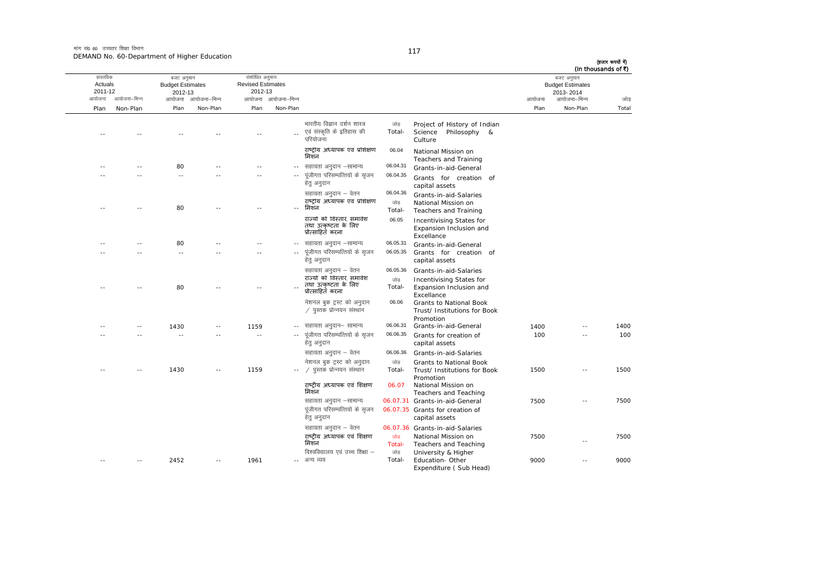मांग सं0 60 उच्चतर शिक्षा विभाग DEMAND No. 60-Department of Higher Education

| जोड़  | (In thousands of ₹)<br>बजट अनुमान<br><b>Budget Estimates</b><br>2013-2014<br>आयोजना–भिन्न | आयोजना |                                                                                             |                           |                                                                                                  | आयोजना आयोजना-भिन्न | संशोधित अनुमान<br><b>Revised Estimates</b><br>2012-13 | आयोजना आयोजना-भिन्न | बजट अनुमान<br><b>Budget Estimates</b><br>2012-13 | आयोजना–भिन्न | वास्तविक<br>Actuals<br>2011-12<br>आयोजना |
|-------|-------------------------------------------------------------------------------------------|--------|---------------------------------------------------------------------------------------------|---------------------------|--------------------------------------------------------------------------------------------------|---------------------|-------------------------------------------------------|---------------------|--------------------------------------------------|--------------|------------------------------------------|
| Total | Non-Plan                                                                                  | Plan   |                                                                                             |                           |                                                                                                  | Non-Plan            | Plan                                                  | Non-Plan            | Plan                                             | Non-Plan     | Plan                                     |
|       |                                                                                           |        | Project of History of Indian<br>Science<br>Philosophy &<br>Culture                          | जोड<br>Total-             | भारतीय विज्ञान दर्शन शास्त्र<br>एवं संस्कृति के इतिहास की<br>परियोजना                            |                     |                                                       |                     |                                                  |              |                                          |
|       |                                                                                           |        | National Mission on<br>Teachers and Training                                                | 06.04                     | राष्ट्रीय अध्यापक एवं प्रशिक्षण<br>मिशन                                                          |                     |                                                       |                     |                                                  |              |                                          |
|       |                                                                                           |        | Grants-in-aid-General                                                                       | 06.04.31                  | सहायता अनुदान –सामान्य                                                                           |                     |                                                       |                     | 80                                               |              |                                          |
|       |                                                                                           |        | Grants for creation of<br>capital assets                                                    | 06.04.35                  | पूंजीगत परिसम्पत्तियों के सृजन<br>हेत् अनुदान                                                    | $\sim$ $-$          |                                                       |                     | $-$                                              |              |                                          |
|       |                                                                                           |        | Grants-in-aid-Salaries<br>National Mission on<br>Teachers and Training                      | 06.04.36<br>जोड<br>Total- | सहायता अनुदान – वेतन<br>राष्ट्रीय अध्यापक एवं प्रशिक्षण<br>मिशन                                  |                     |                                                       |                     | 80                                               |              |                                          |
|       |                                                                                           |        | Incentivising States for<br>Expansion Inclusion and<br>Excellance                           | 06.05                     | राज्यों को विस्तार, समावेश<br>तथा उत्कृष्टता के लिए<br>प्रोत्साहित करना                          |                     |                                                       |                     |                                                  |              |                                          |
|       |                                                                                           |        | Grants-in-aid-General                                                                       | 06.05.31                  | सहायता अनुदान –सामान्य                                                                           | $\sim$ $\sim$       |                                                       |                     | 80                                               |              |                                          |
|       |                                                                                           |        | Grants for creation of<br>capital assets                                                    | 06.05.35                  | पूंजीगत परिसम्पत्तियों के सृजन<br>हेत् अनुदान                                                    | $\sim$ $\sim$       |                                                       |                     | $-$                                              |              |                                          |
|       |                                                                                           |        | Grants-in-aid-Salaries<br>Incentivising States for<br>Expansion Inclusion and<br>Excellance | 06.05.36<br>जोड<br>Total- | सहायता अनुदान – वेतन<br>राज्यों को विस्तार, समावेश<br>तथा उत्कृष्टता के लिए<br>प्रोत्साहितॅ करना |                     |                                                       |                     | 80                                               |              |                                          |
|       |                                                                                           |        | Grants to National Book<br>Trust/ Institutions for Book<br>Promotion                        | 06.06                     | नेशनल बुक ट्रस्ट को अनुदान<br>∕ पुस्तक प्रोन्नयन संस्थान                                         |                     |                                                       |                     |                                                  |              |                                          |
| 1400  |                                                                                           | 1400   | Grants-in-aid-General                                                                       | 06.06.31                  | सहायता अनुदान– सामान्य                                                                           |                     | 1159                                                  |                     | 1430                                             |              |                                          |
| 100   | $\overline{a}$                                                                            | 100    | Grants for creation of<br>capital assets                                                    | 06.06.35                  | पूंजीगत परिसम्पत्तियों के सृजन<br>हेतु अनुदान                                                    |                     | $\overline{a}$                                        |                     | $\overline{a}$                                   |              |                                          |
|       |                                                                                           |        | Grants-in-aid-Salaries                                                                      | 06.06.36                  | सहायता अनुदान – वेतन                                                                             |                     |                                                       |                     |                                                  |              |                                          |
| 1500  |                                                                                           | 1500   | <b>Grants to National Book</b><br>Trust/ Institutions for Book<br>Promotion                 | जोड<br>Total-             | नेशनल बुक ट्रस्ट को अनुदान<br>∕ पुस्तक प्रोन्नयन संस्थान                                         |                     | 1159                                                  |                     | 1430                                             |              |                                          |
|       |                                                                                           |        | National Mission on<br>Teachers and Teaching                                                | 06.07                     | राष्ट्रीय अध्यापक एवं शिक्षण<br>मिशन                                                             |                     |                                                       |                     |                                                  |              |                                          |
| 7500  | $\overline{a}$                                                                            | 7500   | 06.07.31 Grants-in-aid-General                                                              |                           | सहायता अनुदान –सामान्य                                                                           |                     |                                                       |                     |                                                  |              |                                          |
|       |                                                                                           |        | 06.07.35 Grants for creation of<br>capital assets                                           |                           | पूंजीगत परिसम्पत्तियों के सृजन<br>हेतु अनुदान                                                    |                     |                                                       |                     |                                                  |              |                                          |
|       |                                                                                           |        | 06.07.36 Grants-in-aid-Salaries                                                             |                           | सहायता अनुदान – वेतन                                                                             |                     |                                                       |                     |                                                  |              |                                          |
| 7500  |                                                                                           | 7500   | National Mission on<br>Teachers and Teaching                                                | जोड<br>Total-<br>जोड      | राष्ट्रीय अध्यापक एवं शिक्षण<br>मिशन<br>विश्वविद्यालय एवं उच्च शिक्षा –                          |                     |                                                       |                     |                                                  |              |                                          |
| 9000  | $\sim$                                                                                    | 9000   | University & Higher<br>Education- Other<br>Expenditure (Sub Head)                           | Total-                    | अन्य व्यय                                                                                        |                     | 1961                                                  |                     | 2452                                             |              |                                          |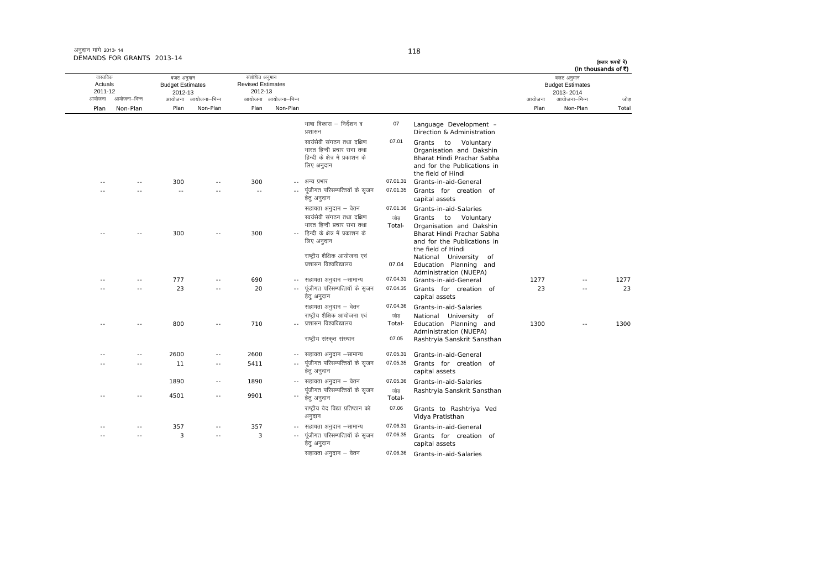अनुदान मांगे 2013- 14 DEMANDS FOR GRANTS 2013-14

|       | (In thousands of ₹)<br>बजट अनुमान    |        |                                                                                                                                    |                |                                                                                                            |                     | संशोधित अनुमान                      |                     | बजट अनुमान                         |              | वास्तविक           |
|-------|--------------------------------------|--------|------------------------------------------------------------------------------------------------------------------------------------|----------------|------------------------------------------------------------------------------------------------------------|---------------------|-------------------------------------|---------------------|------------------------------------|--------------|--------------------|
|       | <b>Budget Estimates</b><br>2013-2014 |        |                                                                                                                                    |                |                                                                                                            |                     | <b>Revised Estimates</b><br>2012-13 |                     | <b>Budget Estimates</b><br>2012-13 |              | Actuals<br>2011-12 |
| जोड   | आयोजना–भिन्न                         | आयोजना |                                                                                                                                    |                |                                                                                                            | आयोजना आयोजना-भिन्न |                                     | आयोजना आयोजना–भिन्न |                                    | आयोजना–भिन्न | आयोजना             |
| Total | Non-Plan                             | Plan   |                                                                                                                                    |                |                                                                                                            | Non-Plan            | Plan                                | Non-Plan            | Plan                               | Non-Plan     | Plan               |
|       |                                      |        | Language Development -<br>Direction & Administration                                                                               | 07             | भाषा विकास – निर्देशन व<br>प्रशासन                                                                         |                     |                                     |                     |                                    |              |                    |
|       |                                      |        | Grants to Voluntary<br>Organisation and Dakshin<br>Bharat Hindi Prachar Sabha<br>and for the Publications in<br>the field of Hindi | 07.01          | स्वयंसेवी संगठन तथा दक्षिण<br>भारत हिन्दी प्रचार सभा तथा<br>हिन्दी के क्षेत्र में प्रकाशन के<br>लिए अनुदान |                     |                                     |                     |                                    |              |                    |
|       |                                      |        | Grants-in-aid-General                                                                                                              | 07.01.31       | अन्य प्रभार                                                                                                | $- -$               | 300                                 |                     | 300                                |              | $-$                |
|       |                                      |        | Grants for creation of<br>capital assets                                                                                           | 07.01.35       | पूंजीगत परिसम्पत्तियों के सृजन<br>हेत् अनुदान                                                              |                     | $\sim$ $\sim$                       |                     |                                    |              |                    |
|       |                                      |        | Grants-in-aid-Salaries                                                                                                             | 07.01.36       | सहायता अनुदान – वेतन                                                                                       |                     |                                     |                     |                                    |              |                    |
|       |                                      |        | Grants to Voluntary<br>Organisation and Dakshin                                                                                    | जोड<br>Total-  | स्वयंसेवी संगठन तथा दक्षिण<br>भारत हिन्दी प्रचार सभा तथा                                                   |                     |                                     |                     |                                    |              |                    |
|       |                                      |        | Bharat Hindi Prachar Sabha<br>and for the Publications in                                                                          |                | हिन्दी के क्षेत्र में प्रकाशन के<br>लिए अनुदान                                                             |                     | 300                                 |                     | 300                                |              |                    |
|       |                                      |        | the field of Hindi<br>National University of<br>Education Planning and<br>Administration (NUEPA)                                   | 07.04          | राष्ट्रीय शैक्षिक आयोजना एवं<br>प्रशासन विश्वविद्यालय                                                      |                     |                                     |                     |                                    |              |                    |
| 1277  |                                      | 1277   | Grants-in-aid-General                                                                                                              | 07.04.31       | सहायता अनुदान –सामान्य                                                                                     |                     | 690                                 |                     | 777                                |              |                    |
| 23    | $\sim$                               | 23     | Grants for creation of<br>capital assets                                                                                           | 07.04.35       | पूंजीगत परिसम्पत्तियों के सृजन<br>हेत् अनुदान                                                              | $\sim$ $-$          | 20                                  |                     | 23                                 |              |                    |
|       |                                      |        | Grants-in-aid-Salaries                                                                                                             | 07.04.36       | सहायता अनुदान – वेतन                                                                                       |                     |                                     |                     |                                    |              |                    |
| 1300  | $\overline{a}$                       | 1300   | National University of<br>Education Planning and<br>Administration (NUEPA)                                                         | जोड़<br>Total- | राष्ट्रीय शैक्षिक आयोजना एवं<br>प्रशासन विश्वविद्यालय                                                      |                     | 710                                 |                     | 800                                |              |                    |
|       |                                      |        | Rashtryia Sanskrit Sansthan                                                                                                        | 07.05          | राष्ट्रीय संस्कृत संस्थान                                                                                  |                     |                                     |                     |                                    |              |                    |
|       |                                      |        | Grants-in-aid-General                                                                                                              | 07.05.31       | -- सहायता अनुदान -सामान्य                                                                                  |                     | 2600                                |                     | 2600                               |              |                    |
|       |                                      |        | Grants for creation of<br>capital assets                                                                                           | 07.05.35       | पूंजीगत परिसम्पत्तियों के सृजन<br>हेत् अनुदान                                                              | $\sim$ $-$          | 5411                                |                     | 11                                 |              |                    |
|       |                                      |        | Grants-in-aid-Salaries                                                                                                             | 07.05.36       | -- सहायता अनुदान – वेतन                                                                                    |                     | 1890                                | $\sim$              | 1890                               |              |                    |
|       |                                      |        | Rashtryia Sanskrit Sansthan                                                                                                        | जोड़<br>Total- | पूंजीगत परिसम्पत्तियों के सृजन<br>हेत् अनुदान                                                              | ٠.                  | 9901                                | $-$                 | 4501                               |              |                    |
|       |                                      |        | Grants to Rashtriya Ved<br>Vidya Pratisthan                                                                                        | 07.06          | राष्ट्रीय वेद विद्या प्रतिष्ठान को<br>अनुदान                                                               |                     |                                     |                     |                                    |              |                    |
|       |                                      |        | Grants-in-aid-General                                                                                                              | 07.06.31       | -- सहायता अनुदान –सामान्य                                                                                  |                     | 357                                 |                     | 357                                |              |                    |
|       |                                      |        | Grants for creation of<br>capital assets                                                                                           | 07.06.35       | पूंजीगत परिसम्पत्तियों के सृजन<br>हेतु अनुदान                                                              |                     | 3                                   | - -                 | 3                                  |              |                    |
|       |                                      |        | Grants-in-aid-Salaries                                                                                                             | 07.06.36       | सहायता अनुदान – वेतन                                                                                       |                     |                                     |                     |                                    |              |                    |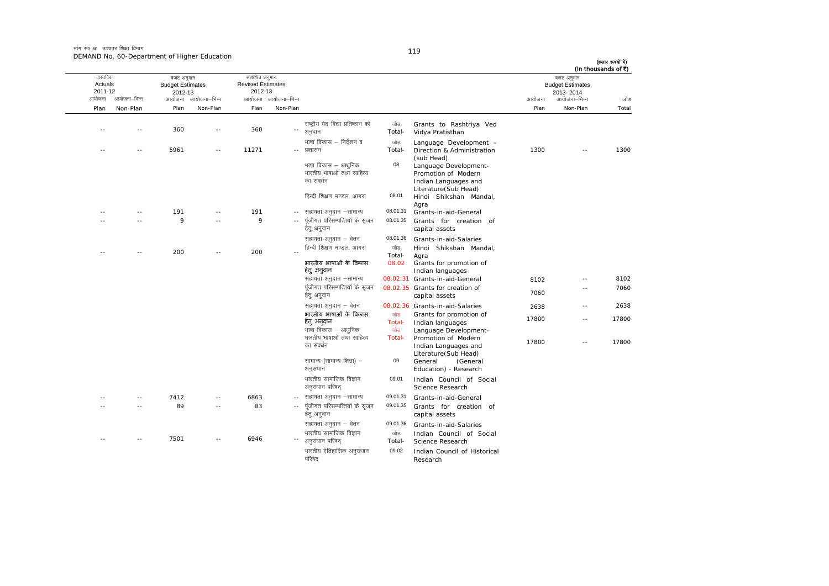मांग सं0 60 उच्चतर शिक्षा विभाग DEMAND No. 60-Department of Higher Education

|       | (In thousands of ₹)<br>बजट अनुमान<br><b>Budget Estimates</b><br>2013-2014 |        |                                                                       |                |                                                                |                            | संशोधित अनुमान<br><b>Revised Estimates</b><br>2012-13 |                     | बजट अनुमान<br><b>Budget Estimates</b><br>2012-13 |                | वास्तविक<br>Actuals<br>2011-12 |
|-------|---------------------------------------------------------------------------|--------|-----------------------------------------------------------------------|----------------|----------------------------------------------------------------|----------------------------|-------------------------------------------------------|---------------------|--------------------------------------------------|----------------|--------------------------------|
| जोड   | आयोजना–भिन्न                                                              | आयोजना |                                                                       |                |                                                                | आयोजना आयोजना-भिन्न        |                                                       | आयोजना आयोजना-भिन्न |                                                  | आयोजना–भिन्न   | आयोजना                         |
| Total | Non-Plan                                                                  | Plan   |                                                                       |                |                                                                | Non-Plan                   | Plan                                                  | Non-Plan            | Plan                                             | Non-Plan       | Plan                           |
|       |                                                                           |        | Grants to Rashtriya Ved<br>Vidya Pratisthan                           | जोड<br>Total-  | राष्ट्रीय वेद विद्या प्रतिष्ठान को<br>अनुदान                   | $\overline{\phantom{a}}$ . | 360                                                   | $\overline{a}$      | 360                                              |                | ٠.                             |
| 1300  |                                                                           | 1300   | Language Development -<br>Direction & Administration<br>(sub Head)    | जोड़<br>Total- | भाषा विकास – निर्देशन व<br>प्रशासन                             | $- -$                      | 11271                                                 |                     | 5961                                             |                |                                |
|       |                                                                           |        | Language Development-<br>Promotion of Modern<br>Indian Languages and  | 08             | भाषा विकास – आधुनिक<br>भारतीय भाषाओं तथा साहित्य<br>का संवर्धन |                            |                                                       |                     |                                                  |                |                                |
|       |                                                                           |        | Literature(Sub Head)<br>Hindi Shikshan Mandal,<br>Agra                | 08.01          | हिन्दी शिक्षण मण्डल, आगरा                                      |                            |                                                       |                     |                                                  |                |                                |
|       |                                                                           |        | Grants-in-aid-General                                                 | 08.01.31       | सहायता अनुदान –सामान्य                                         | $- -$                      | 191                                                   | $\sim$              | 191                                              | $\sim$         |                                |
|       |                                                                           |        | Grants for creation of<br>capital assets                              | 08.01.35       | पूंजीगत परिसम्पत्तियों के सुजन<br>हेतु अनुदान                  |                            | 9                                                     |                     | 9                                                |                |                                |
|       |                                                                           |        | Grants-in-aid-Salaries                                                | 08.01.36       | सहायता अनुदान – वेतन                                           |                            |                                                       |                     |                                                  |                |                                |
|       |                                                                           |        | Hindi Shikshan Mandal,<br>Agra                                        | जोड<br>Total-  | हिन्दी शिक्षण मण्डल, आगरा                                      |                            | 200                                                   |                     | 200                                              |                |                                |
|       |                                                                           |        | Grants for promotion of<br>Indian languages                           | 08.02          | भारतीय भाषाओं के विकास<br>हेत् अन्दान                          |                            |                                                       |                     |                                                  |                |                                |
| 8102  | $\sim$ $\sim$                                                             | 8102   | 08.02.31 Grants-in-aid-General                                        |                | सहायता अनुदान –सामान्य                                         |                            |                                                       |                     |                                                  |                |                                |
| 7060  | $\sim$ $-$                                                                | 7060   | 08.02.35 Grants for creation of<br>capital assets                     |                | पंजीगत परिसम्पत्तियों के सुजन<br>हेत् अनुदान                   |                            |                                                       |                     |                                                  |                |                                |
| 2638  | $\sim$ $-$                                                                | 2638   | 08.02.36 Grants-in-aid-Salaries                                       |                | सहायता अनुदान – वेतन                                           |                            |                                                       |                     |                                                  |                |                                |
| 17800 | $\sim$                                                                    | 17800  | Grants for promotion of<br>Indian languages                           | जोड<br>Total-  | भारतीय भाषाओं के विकास<br>हेतु अनुदान                          |                            |                                                       |                     |                                                  |                |                                |
| 17800 | $\sim$ $-$                                                                | 17800  | Language Development-<br>Promotion of Modern<br>Indian Languages and  | जोड<br>Total-  | भाषा विकास – आधुनिक<br>भारतीय भाषाओं तथा साहित्य<br>का संवर्धन |                            |                                                       |                     |                                                  |                |                                |
|       |                                                                           |        | Literature (Sub Head)<br>General<br>(General<br>Education) - Research | 09             | सामान्य (सामान्य शिक्षा) –<br>अनुसंधान                         |                            |                                                       |                     |                                                  |                |                                |
|       |                                                                           |        | Indian Council of Social<br>Science Research                          | 09.01          | भारतीय सामाजिक विज्ञान<br>अनुसंधान परिषद                       |                            |                                                       |                     |                                                  |                |                                |
|       |                                                                           |        | Grants-in-aid-General                                                 | 09.01.31       | सहायता अनुदान –सामान्य                                         | $\sim$ $-$                 | 6863                                                  |                     | 7412                                             | $\overline{a}$ |                                |
|       |                                                                           |        | Grants for creation of<br>capital assets                              | 09.01.35       | पूंजीगत परिसम्पत्तियों के सृजन<br>हेतु अनुदान                  | $\sim$ $\sim$              | 83                                                    | $\sim$              | 89                                               | $\sim$         |                                |
|       |                                                                           |        | Grants-in-aid-Salaries                                                | 09.01.36       | सहायता अनुदान – वेतन                                           |                            |                                                       |                     |                                                  |                |                                |
|       |                                                                           |        | Indian Council of Social<br>Science Research                          | जोड<br>Total-  | भारतीय सामाजिक विज्ञान<br>अनुसंधान परिषद                       |                            | 6946                                                  |                     | 7501                                             |                |                                |
|       |                                                                           |        | Indian Council of Historical<br>Research                              | 09.02          | भारतीय ऐतिहासिक अनुसंधान<br>परिषद                              |                            |                                                       |                     |                                                  |                |                                |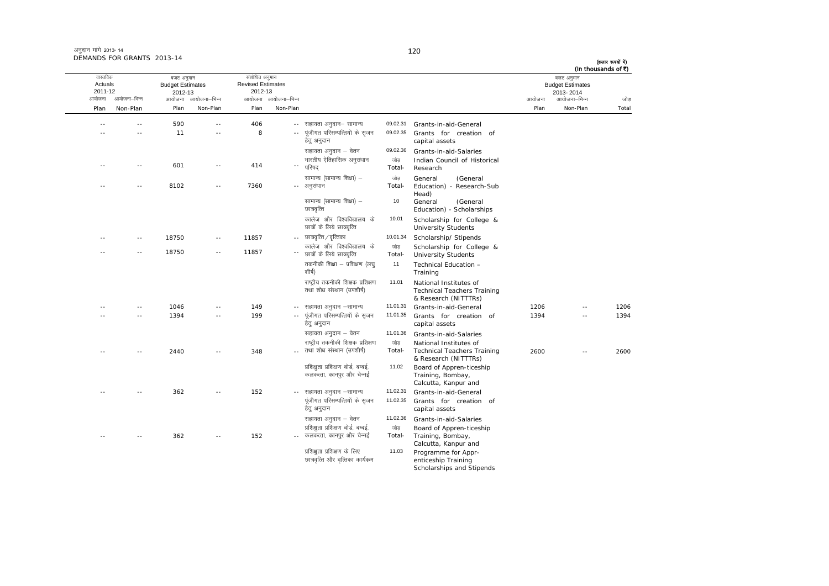| अनुदान मांगे 2013- 14      |  |
|----------------------------|--|
| DEMANDS FOR GRANTS 2013-14 |  |

(हजार रूपयों में)

|       | (In thousands of ₹)                                                |        |                                                                                      |                |                                                                   |                            |                                                       |                |                                                            |                |                                          |
|-------|--------------------------------------------------------------------|--------|--------------------------------------------------------------------------------------|----------------|-------------------------------------------------------------------|----------------------------|-------------------------------------------------------|----------------|------------------------------------------------------------|----------------|------------------------------------------|
| जोड   | बजट अनुमान<br><b>Budget Estimates</b><br>2013-2014<br>आयोजना–भिन्न | आयोजना |                                                                                      |                |                                                                   | आयोजना आयोजना–भिन्न        | संशोधित अनुमान<br><b>Revised Estimates</b><br>2012-13 | आयोजना–भिन्न   | बजट अनुमान<br><b>Budget Estimates</b><br>2012-13<br>आयोजना | आयोजना–भिन्न   | वास्तविक<br>Actuals<br>2011-12<br>आयोजना |
| Total | Non-Plan                                                           | Plan   |                                                                                      |                |                                                                   | Non-Plan                   | Plan                                                  | Non-Plan       | Plan                                                       | Non-Plan       | Plan                                     |
|       |                                                                    |        |                                                                                      |                |                                                                   |                            |                                                       |                |                                                            |                |                                          |
|       |                                                                    |        | Grants-in-aid-General                                                                | 09.02.31       | सहायता अनुदान– सामान्य                                            | $\sim$                     | 406                                                   | $\overline{a}$ | 590                                                        | $\sim$         |                                          |
|       |                                                                    |        | Grants for creation of<br>capital assets                                             | 09.02.35       | पूंजीगत परिसम्पत्तियों के सृजन<br>हेतु अनुदान                     |                            | 8                                                     | $\overline{a}$ | 11                                                         | $\sim$         |                                          |
|       |                                                                    |        | Grants-in-aid-Salaries                                                               | 09.02.36       | सहायता अनुदान – वेतन                                              |                            |                                                       |                |                                                            |                |                                          |
|       |                                                                    |        | Indian Council of Historical<br>Research                                             | जोड<br>Total-  | भारतीय ऐतिहासिक अनुसंधान<br>परिषद                                 | $\overline{\phantom{a}}$ . | 414                                                   | $-$            | 601                                                        | $-$            | - -                                      |
|       |                                                                    |        | General<br>(General                                                                  | जोड            | सामान्य (सामान्य शिक्षा) –                                        |                            |                                                       |                |                                                            |                |                                          |
|       |                                                                    |        | Education) - Research-Sub<br>Head)                                                   | Total-         | अनुसंधान                                                          | $\sim$ $\sim$              | 7360                                                  | ٠.             | 8102                                                       | $\overline{a}$ |                                          |
|       |                                                                    |        | General<br>(General<br>Education) - Scholarships                                     | 10             | सामान्य (सामान्य शिक्षा) -<br>छात्रवृत्ति                         |                            |                                                       |                |                                                            |                |                                          |
|       |                                                                    |        | Scholarship for College &<br><b>University Students</b>                              | 10.01          | कालेज और विश्वविद्यालय के<br>छात्रों के लिये छात्रवृत्ति          |                            |                                                       |                |                                                            |                |                                          |
|       |                                                                    |        | Scholarship/ Stipends                                                                | 10.01.34       | छात्रवृत्ति / वृत्तिका                                            |                            | 11857                                                 | $-$            | 18750                                                      | - -            |                                          |
|       |                                                                    |        | Scholarship for College &<br><b>University Students</b>                              | जोड़<br>Total- | कालेज और विश्वविद्यालय के<br>छात्रों के लिये छात्रवृत्ति          |                            | 11857                                                 | $\sim$ $-$     | 18750                                                      | $\sim$         |                                          |
|       |                                                                    |        | Technical Education -<br>Training                                                    | 11             | तकनीकी शिक्षा – प्रशिक्षण (लघ्<br>शीर्ष)                          |                            |                                                       |                |                                                            |                |                                          |
|       |                                                                    |        | National Institutes of<br><b>Technical Teachers Training</b><br>& Research (NITTTRs) | 11.01          | राष्ट्रीय तकनीकी शिक्षक प्रशिक्षण<br>तथा शोध संस्थान (उपशीर्ष)    |                            |                                                       |                |                                                            |                |                                          |
| 1206  | --                                                                 | 1206   | Grants-in-aid-General                                                                | 11.01.31       | सहायता अनुदान –सामान्य                                            |                            | 149                                                   |                | 1046                                                       |                |                                          |
| 1394  | $\overline{a}$                                                     | 1394   | Grants for creation of<br>capital assets                                             | 11.01.35       | पूंजीगत परिसम्पत्तियों के सृजन<br>हेत् अनुदान                     | $\sim$ $\sim$              | 199                                                   | $\overline{a}$ | 1394                                                       | $\sim$         |                                          |
|       |                                                                    |        | Grants-in-aid-Salaries                                                               | 11.01.36       | सहायता अनुदान – वेतन                                              |                            |                                                       |                |                                                            |                |                                          |
|       |                                                                    |        | National Institutes of                                                               | जोड़           | राष्ट्रीय तकनीकी शिक्षक प्रशिक्षण                                 |                            |                                                       |                |                                                            |                |                                          |
| 2600  | --                                                                 | 2600   | <b>Technical Teachers Training</b><br>& Research (NITTTRs)                           | Total-         | तथा शोध संस्थान (उपशीर्ष)                                         |                            | 348                                                   |                | 2440                                                       |                |                                          |
|       |                                                                    |        | Board of Appren-ticeship<br>Training, Bombay,<br>Calcutta, Kanpur and                | 11.02          | प्रशिक्षुता प्रशिक्षण बोर्ड, बम्बई,<br>कलकत्ता, कानपुर और चेन्नई  |                            |                                                       |                |                                                            |                |                                          |
|       |                                                                    |        | Grants-in-aid-General                                                                | 11.02.31       | सहायता अनुदान –सामान्य                                            |                            | 152                                                   |                | 362                                                        |                |                                          |
|       |                                                                    |        | Grants for creation of<br>capital assets                                             | 11.02.35       | पूंजीगत परिसम्पत्तियों के सृजन<br>हेत् अनुदान                     |                            |                                                       |                |                                                            |                |                                          |
|       |                                                                    |        | Grants-in-aid-Salaries                                                               | 11.02.36       | सहायता अनुदान – वेतन                                              |                            |                                                       |                |                                                            |                |                                          |
|       |                                                                    |        | Board of Appren-ticeship                                                             | जोड़           | प्रशिक्षुता प्रशिक्षण बोर्ड, बम्बई,                               |                            |                                                       |                |                                                            |                |                                          |
|       |                                                                    |        | Training, Bombay,<br>Calcutta, Kanpur and                                            | Total-         | -- कलकत्ता, कानपुर और चेन्नई                                      |                            | 152                                                   | $-$            | 362                                                        | $\overline{a}$ |                                          |
|       |                                                                    |        | Programme for Appr-<br>enticeship Training<br>Scholarships and Stipends              | 11.03          | प्रशिक्षुता प्रशिक्षण के लिए<br>छात्रवृत्ति और वृत्तिका कार्यक्रम |                            |                                                       |                |                                                            |                |                                          |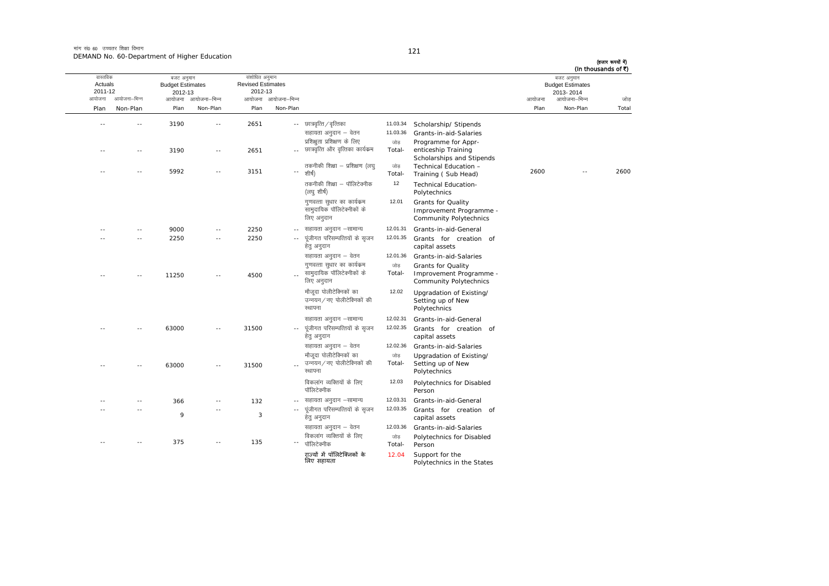मांग सं0 60 उच्चतर शिक्षा विभाग DEMAND No. 60-Department of Higher Education

|       | (In thousands of ₹)<br>बजट अनुमान<br><b>Budget Estimates</b><br>2013-2014 |        |                                                         |                             |                                                          |                                                                                                                               | संशोधित अनुमान<br><b>Revised Estimates</b><br>2012-13 |                     | बजट अनुमान<br><b>Budget Estimates</b><br>2012-13 |               | वास्तविक<br>Actuals<br>2011-12 |
|-------|---------------------------------------------------------------------------|--------|---------------------------------------------------------|-----------------------------|----------------------------------------------------------|-------------------------------------------------------------------------------------------------------------------------------|-------------------------------------------------------|---------------------|--------------------------------------------------|---------------|--------------------------------|
| जोड   | आयोजना–भिन्न                                                              | आयोजना |                                                         |                             |                                                          | आयोजना आयोजना-भिन्न                                                                                                           |                                                       | आयोजना आयोजना–भिन्न |                                                  | आयोजना–भिन्न  | आयोजना                         |
| Total | Non-Plan                                                                  | Plan   |                                                         |                             |                                                          | Non-Plan                                                                                                                      | Plan                                                  | Non-Plan            | Plan                                             | Non-Plan      | Plan                           |
|       |                                                                           |        | Scholarship/ Stipends                                   | 11.03.34                    | -- छात्रवृत्ति / वृत्तिका                                |                                                                                                                               | 2651                                                  | $\sim$              | 3190                                             | $\sim$        |                                |
|       |                                                                           |        | Grants-in-aid-Salaries                                  | 11.03.36                    | सहायता अनुदान – वेतन                                     |                                                                                                                               |                                                       |                     |                                                  |               |                                |
|       |                                                                           |        | Programme for Appr-                                     | जोड़                        | प्रशिक्षुता प्रशिक्षण के लिए                             |                                                                                                                               |                                                       |                     |                                                  |               |                                |
|       |                                                                           |        | enticeship Training                                     | Total-                      | छात्रवृत्ति और वृत्तिका कार्यक्रम                        | $\sim$ $\sim$                                                                                                                 | 2651                                                  | $\sim$ $-$          | 3190                                             | $\sim$ $\sim$ |                                |
|       |                                                                           |        | Scholarships and Stipends                               |                             |                                                          |                                                                                                                               |                                                       |                     |                                                  |               |                                |
| 2600  |                                                                           | 2600   | Technical Education -<br>Training (Sub Head)            | जोड<br>Total-               | तकनीकी शिक्षा – प्रशिक्षण (लघ्<br>शीर्ष)                 | $\overline{\phantom{a}}$                                                                                                      | 3151                                                  | $\sim$              | 5992                                             |               |                                |
|       |                                                                           |        | <b>Technical Education-</b>                             | 12                          | तकनीकी शिक्षा – पॉलिटेक्नीक                              |                                                                                                                               |                                                       |                     |                                                  |               |                                |
|       |                                                                           |        | Polytechnics                                            |                             | (लघु शीर्ष)                                              |                                                                                                                               |                                                       |                     |                                                  |               |                                |
|       |                                                                           |        | <b>Grants for Quality</b>                               | 12.01                       | गुणवत्ता सुधार का कार्यक्रम                              |                                                                                                                               |                                                       |                     |                                                  |               |                                |
|       |                                                                           |        | Improvement Programme -                                 |                             | सामुदायिक पॉलिटेक्नीकों के                               |                                                                                                                               |                                                       |                     |                                                  |               |                                |
|       |                                                                           |        | <b>Community Polytechnics</b>                           |                             | लिए अनुदान                                               |                                                                                                                               |                                                       |                     |                                                  |               |                                |
|       |                                                                           |        | Grants-in-aid-General                                   | 12.01.31                    | सहायता अनुदान –सामान्य                                   |                                                                                                                               | 2250                                                  |                     | 9000                                             |               |                                |
|       |                                                                           |        | Grants for creation of                                  | 12.01.35                    | पूंजीगत परिसम्पत्तियों के सृजन                           | $\sim$ $-$                                                                                                                    | 2250                                                  | $\overline{a}$      | 2250                                             |               |                                |
|       |                                                                           |        | capital assets                                          |                             | हेत् अनुदान                                              |                                                                                                                               |                                                       |                     |                                                  |               |                                |
|       |                                                                           |        | Grants-in-aid-Salaries                                  | 12.01.36                    | सहायता अनुदान – वेतन                                     |                                                                                                                               |                                                       |                     |                                                  |               |                                |
|       |                                                                           |        | Grants for Quality                                      | जोड़                        | गुणवत्ता सुधार का कार्यक्रम                              |                                                                                                                               |                                                       |                     |                                                  |               |                                |
|       |                                                                           |        | Improvement Programme -                                 | Total-                      | सामुदायिक पॉलिटेक्नीकों के                               |                                                                                                                               | 4500                                                  |                     | 11250                                            |               |                                |
|       |                                                                           |        | <b>Community Polytechnics</b>                           |                             | लिए अनुदान                                               |                                                                                                                               |                                                       |                     |                                                  |               |                                |
|       |                                                                           |        | Upgradation of Existing/                                | 12.02                       | मौजदा पोलीटेक्निकों का                                   |                                                                                                                               |                                                       |                     |                                                  |               |                                |
|       |                                                                           |        | Setting up of New<br>Polytechnics                       |                             | उन्नयन / नए पोलीटेक्निकों की<br>स्थापना                  |                                                                                                                               |                                                       |                     |                                                  |               |                                |
|       |                                                                           |        |                                                         |                             |                                                          |                                                                                                                               |                                                       |                     |                                                  |               |                                |
|       |                                                                           |        | Grants-in-aid-General                                   | 12.02.31<br>12.02.35        | सहायता अनुदान –सामान्य<br>पूंजीगत परिसम्पत्तियों के सृजन |                                                                                                                               | 31500                                                 | $\sim$              | 63000                                            |               |                                |
|       |                                                                           |        | Grants for creation of<br>capital assets                |                             | हेतु अनुदान                                              | $\overline{\phantom{a}}$ .                                                                                                    |                                                       |                     |                                                  |               |                                |
|       |                                                                           |        | Grants-in-aid-Salaries                                  | 12.02.36                    | सहायता अनुदान – वेतन                                     |                                                                                                                               |                                                       |                     |                                                  |               |                                |
|       |                                                                           |        | Upgradation of Existing/                                | जोड                         | मौजदा पोलीटेक्निकों का                                   |                                                                                                                               |                                                       |                     |                                                  |               |                                |
|       |                                                                           |        | Setting up of New                                       | Total-                      | उन्नयन / नए पोलीटेक्निकों की                             |                                                                                                                               | 31500                                                 | $\sim$              | 63000                                            |               |                                |
|       |                                                                           |        | Polytechnics                                            |                             | स्थापना                                                  |                                                                                                                               |                                                       |                     |                                                  |               |                                |
|       |                                                                           |        | Polytechnics for Disabled                               | 12.03                       | विकलांग व्यक्तियों के लिए                                |                                                                                                                               |                                                       |                     |                                                  |               |                                |
|       |                                                                           |        | Person                                                  |                             | पॉलिटेक्नीक                                              |                                                                                                                               |                                                       |                     |                                                  |               |                                |
|       |                                                                           |        | Grants-in-aid-General                                   | 12.03.31                    | सहायता अनुदान –सामान्य                                   | $\sim$                                                                                                                        | 132                                                   | $-$                 | 366                                              |               |                                |
|       |                                                                           |        | Grants for creation of                                  | 12.03.35                    | पूंजीगत परिसम्पत्तियों के सृजन                           | $\sim$ $-$                                                                                                                    |                                                       | $-$                 |                                                  |               |                                |
|       |                                                                           |        | capital assets                                          |                             |                                                          |                                                                                                                               |                                                       |                     |                                                  |               |                                |
|       |                                                                           |        | Grants-in-aid-Salaries                                  |                             |                                                          |                                                                                                                               |                                                       |                     |                                                  |               |                                |
|       |                                                                           |        | Polytechnics for Disabled                               | जोड                         |                                                          |                                                                                                                               |                                                       | $\sim$              |                                                  |               |                                |
|       |                                                                           |        |                                                         |                             |                                                          |                                                                                                                               |                                                       |                     |                                                  |               |                                |
|       |                                                                           |        |                                                         |                             |                                                          |                                                                                                                               |                                                       |                     |                                                  |               |                                |
|       |                                                                           |        | Person<br>Support for the<br>Polytechnics in the States | 12.03.36<br>Total-<br>12.04 |                                                          | हेत् अनुदान<br>सहायता अनुदान – वेतन<br>विकलांग व्यक्तियों के लिए<br>पॉलिटेक्नीक<br>राज्यों में पॉलिटेक्निकों के<br>लिए सहायता | $\overline{\phantom{a}}$                              | 3<br>135            |                                                  | 9<br>375      |                                |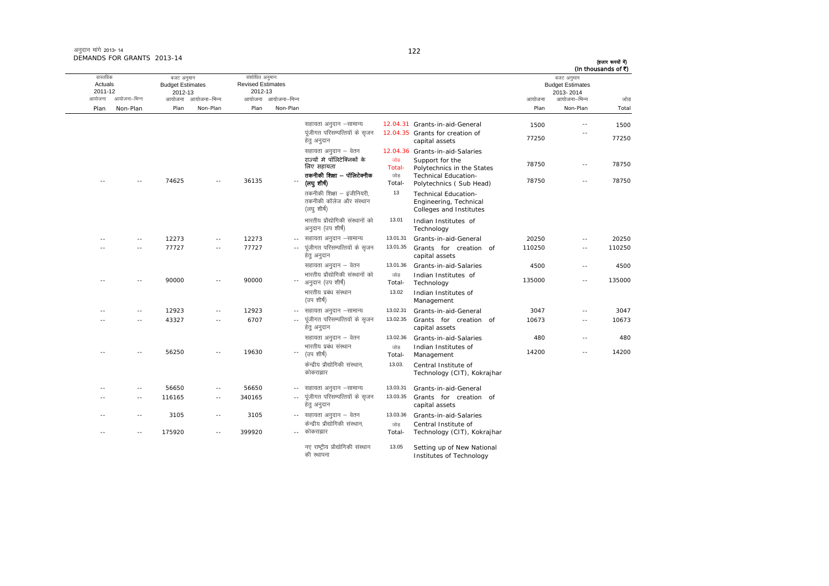|              | बजट अनुमान<br><b>Budget Estimates</b><br>2013-2014 |                |                                                                                  |                 |                                                                      |                                 | संशोधित अनुमान<br><b>Revised Estimates</b><br>2012-13 |                                 | बजट अनुमान<br><b>Budget Estimates</b><br>2012-13 |                | वास्तविक<br>Actuals<br>2011-12 |
|--------------|----------------------------------------------------|----------------|----------------------------------------------------------------------------------|-----------------|----------------------------------------------------------------------|---------------------------------|-------------------------------------------------------|---------------------------------|--------------------------------------------------|----------------|--------------------------------|
| जोड<br>Total | आयोजना–भिन्न<br>Non-Plan                           | आयोजना<br>Plan |                                                                                  |                 |                                                                      | आयोजना आयोजना–भिन्न<br>Non-Plan | Plan                                                  | आयोजना आयोजना-भिन्न<br>Non-Plan | Plan                                             | आयोजना–भिन्न   | आयोजना                         |
|              |                                                    |                |                                                                                  |                 |                                                                      |                                 |                                                       |                                 |                                                  | Non-Plan       | Plan                           |
| 1500         | $-1$                                               | 1500           | 12.04.31 Grants-in-aid-General                                                   |                 | सहायता अनुदान –सामान्य                                               |                                 |                                                       |                                 |                                                  |                |                                |
| 77250        | - -                                                | 77250          | 12.04.35 Grants for creation of<br>capital assets                                |                 | पंजीगत परिसम्पत्तियों के सुजन<br>हेत् अनुदान                         |                                 |                                                       |                                 |                                                  |                |                                |
| 78750        | $\sim$                                             | 78750          | 12.04.36 Grants-in-aid-Salaries<br>Support for the<br>Polytechnics in the States | जोड<br>Total-   | सहायता अनुदान – वेतन<br>राज्यों में पॉलिटेक्निकों के<br>लिए सहायता   |                                 |                                                       |                                 |                                                  |                |                                |
| 78750        | $\overline{a}$                                     | 78750          | <b>Technical Education-</b><br>Polytechnics (Sub Head)                           | जोड<br>Total-   | तकनीकी शिक्षा – पॉलिटेक्नीक<br>(लघु शीर्ष)                           | ٠.                              | 36135                                                 |                                 | 74625                                            |                |                                |
|              |                                                    |                | Technical Education-<br>Engineering, Technical<br>Colleges and Institutes        | 13              | तकनीकी शिक्षा – इंजीनियरी,<br>तकनीकी कॉलेज और संस्थान<br>(लघु शीर्ष) |                                 |                                                       |                                 |                                                  |                |                                |
|              |                                                    |                | Indian Institutes of<br>Technology                                               | 13.01           | भारतीय प्रौद्योगिकी संस्थानों को<br>अनुदान (उप शीर्ष)                |                                 |                                                       |                                 |                                                  |                |                                |
| 20250        | --                                                 | 20250          | Grants-in-aid-General                                                            | 13.01.31        | सहायता अनुदान –सामान्य                                               |                                 | 12273                                                 | $\overline{\phantom{a}}$        | 12273                                            | $\sim$ $-$     |                                |
| 110250       | $\overline{\phantom{a}}$                           | 110250         | Grants for creation of<br>capital assets                                         | 13.01.35        | पंजीगत परिसम्पत्तियों के सजन<br>हेत् अनुदान                          | $\sim$ $-$                      | 77727                                                 | $\sim$ $-$                      | 77727                                            | $\sim$ $-$     |                                |
| 4500         | $\sim$ $-$                                         | 4500           | Grants-in-aid-Salaries                                                           | 13.01.36        | सहायता अनुदान – वेतन                                                 |                                 |                                                       |                                 |                                                  |                |                                |
| 135000       | $\sim$ $\sim$                                      | 135000         | Indian Institutes of<br>Technology                                               | जोड<br>Total-   | भारतीय प्रौद्योगिकी संस्थानों को<br>अनुदान (उप शीर्ष)                | $\cdots$                        | 90000                                                 | $\sim$ $\sim$                   | 90000                                            | $\sim$ $-$     | $\sim$                         |
|              |                                                    |                | Indian Institutes of<br>Management                                               | 13.02           | भारतीय प्रबंध संस्थान<br>(उप शीर्ष)                                  |                                 |                                                       |                                 |                                                  |                |                                |
| 3047         | $\sim$                                             | 3047           | Grants-in-aid-General                                                            | 13.02.31        | सहायता अनुदान –सामान्य                                               | $\sim$ $-$                      | 12923                                                 | $\sim$                          | 12923                                            | $\sim$ $-$     |                                |
| 10673        | $\overline{a}$                                     | 10673          | Grants for creation of<br>capital assets                                         | 13.02.35        | पूंजीगत परिसम्पत्तियों के सृजन<br>हेत् अनुदान                        |                                 | 6707                                                  | $\sim$ $\sim$                   | 43327                                            | $\sim$         |                                |
| 480          | $\overline{a}$                                     | 480            | Grants-in-aid-Salaries                                                           | 13.02.36        | सहायता अनुदान – वेतन                                                 |                                 |                                                       |                                 |                                                  |                |                                |
| 14200        | $\overline{a}$                                     | 14200          | Indian Institutes of<br>Management                                               | जोड<br>Total-   | भारतीय प्रबंध संस्थान<br>(उप शीर्ष)                                  | $\overline{\phantom{a}}$        | 19630                                                 | $\sim$                          | 56250                                            |                |                                |
|              |                                                    |                | Central Institute of<br>Technology (CIT), Kokrajhar                              | 13.03.          | केन्द्रीय प्रौद्योगिकी संस्थान.<br>कोकराझार                          |                                 |                                                       |                                 |                                                  |                |                                |
|              |                                                    |                | Grants-in-aid-General                                                            | 13.03.31        | सहायता अनुदान –सामान्य                                               | $-$                             | 56650                                                 | $\overline{\phantom{a}}$        | 56650                                            | $\overline{a}$ |                                |
|              |                                                    |                | Grants for creation of<br>capital assets                                         | 13.03.35        | पूंजीगत परिसम्पत्तियों के सृजन<br>हेत् अनुदान                        | $\overline{\phantom{a}}$        | 340165                                                | $\sim$ $\sim$                   | 116165                                           | $\sim$         |                                |
|              |                                                    |                | Grants-in-aid-Salaries<br>Central Institute of                                   | 13.03.36<br>जोड | -- सहायता अनुदान – वेतन<br>केन्द्रीय प्रौद्योगिकी संस्थान.           |                                 | 3105                                                  | $\sim$ $\sim$                   | 3105                                             | $\sim$ $-$     |                                |
|              |                                                    |                | Technology (CIT), Kokrajhar                                                      | Total-          | कोकराझार                                                             | $-1$                            | 399920                                                | $\sim$                          | 175920                                           | $\sim$         |                                |
|              |                                                    |                | Setting up of New National<br>Institutes of Technology                           | 13.05           | नए राष्ट्रीय प्रौद्योगिकी संस्थान<br>की स्थापना                      |                                 |                                                       |                                 |                                                  |                |                                |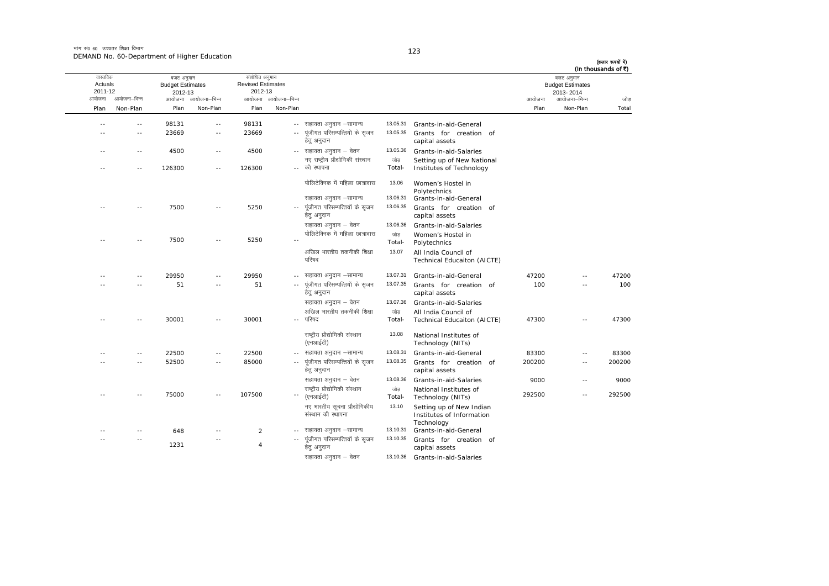मांग सं $\rho$  60 जच्चतर शिक्षा विभाग DEMAND No. 60-Department of Higher Education

capital assets

सहायता अनुदान – वेतन <br />
13.10.36 Grants-in-aid-Salaries

आयोजना आयोजना-भिन्न आयोजना आयोजना-भिन्न - आयोजना आयोजना-भिन्न न अपयोजना—भिन्न जाउँ विकास समिति । अपनी अपयोजना आयोजना—भिन्न जोड Plan Non-Plan Plan Non-Plan Plan Non-Plan Plan Non-Plan Total तास्ततिक Actuals2011-12 बजट अनुमान Budget Estimates 2012-13संशोधित अनुमान Revised Estimates2012-13 बजट अनुमान Budget Estimates 2013- 2014(हजार रूपयों में) (In thousands of  $\bar{x}$ ) ---- 98131 -- 98131 -- सहायता अनुदान –सामान्य 13.05.31 Grants-in-aid-General -- -- 23669 -- 23669 ---- पंजीगत परिसम्पत्तियों के सजन हेत् अनुदान 13.05.35 Grants for creation ofcapital assets ---- 4500 -- 4500 -- सहायता अनुदान – वेतन 13.05.36 Grants-in-aid-Salaries -- -- 126300 -- 126300 --नए राष्टीय प्रौद्योगिकी संस्थान  $\cdot$  and  $\cdot$   $\cdot$ जोड Total-Setting up of New National Institutes of Technology <u>पोलिटेक्निक में महिला छात्रावास</u> 13.06 Women's Hostel in Polytechnics सहायता अनुदान –सामान्य 13.06.31 Grants-in-aid-General -- -- 7500 -- 5250 ---- पूंजीगत परिसम्पत्तियों के सृजन हेत अनदान 13.06.355 Grants for creation of capital assets सहायता अनुदान – वेतन <br />
13.06.36 Grants-in-aid-Salaries -- 7500 -- 5250 --**पोलिटेक्निक में महिला छात्रावास** जोड Total-Women's Hostel in Polytechnics अखिल भारतीय तकनीकी शिक्षा परिषद 13.07 All India Council of Technical Educaiton (AICTE) ---- 29950 -- 29950 -- सहायता अनुदान –सामान्य lgk;rk vuqnku &lkekU; 13.07.31 Grants-in-aid-General <sup>47200</sup> -- <sup>47200</sup> -- -- 51 -- 51 ---- पूंजीगत परिसम्पत्तियों के सृजन हेतु अनुदान 13.07.35 Grants for creation ofcapital assets 100 -- 100 सहायता अनुदान  $\overline{a}$ तन  $-$  13.07.36 Grants-in-aid-Salaries -- -- 30001 -- 30001 -- $\alpha$ रिंकन भारतीय तकनीकी शिक्षा .. परिषद जोड Total-All India Council of<br>Technical Educaiton (AICTE) 47300 -- 47300 राष्टीय प्रौद्योगिकी संस्थान  $(\overline{v}$ नआईटी) 13.088 National Institutes of Technology (NITs) -- -- 22500 -- 22500 - lgk;rk vuqnku &lkekU; 13.08.31 Grants-in-aid-General <sup>83300</sup> -- <sup>83300</sup> -- -- 52500 -- 85000 ---- पूंजीगत परिसम्पत्तियों के सृजन हेतु अनुदान 13.08.35 Grants for creation ofcapital assets 200200 -- 200200lgk;rk vuqnku & osru 13.08.36 Grants-in-aid-Salaries <sup>9000</sup> -- <sup>9000</sup> -- -- 75000 -- 107500 -- $\sim$ राष्टीय प्रौद्योगिकी संस्थान (एनआईटी) जोड Total-National Institutes of Technology (NITs) 292500 -- 292500 नए भारतीय सूचना प्रौद्योगिकीय संस्थान की स्थापना 13.10 Setting up of New Indian Institutes of Information Technology -- -- 648-- 2 -- सहायता अनुदान –सामान्य 13.10.31 Grants-in-aid-General -- --12314--पंजीगत परिसम्पत्तियों के सजन 13.10.35Grants for creation of

हेत् अनुदान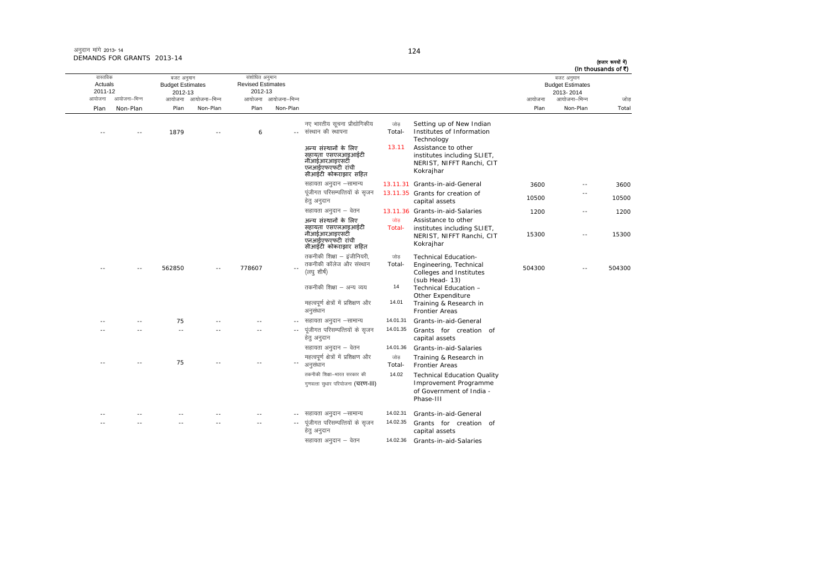| (In thousands of ₹) | बजट अनुमान                           |        |                                                                                                                                                                     |                           |                                                                                                                                                                  |                     | संशोधित अनुमान                      |                     | बजट अनुमान                         |               | वास्तविक           |
|---------------------|--------------------------------------|--------|---------------------------------------------------------------------------------------------------------------------------------------------------------------------|---------------------------|------------------------------------------------------------------------------------------------------------------------------------------------------------------|---------------------|-------------------------------------|---------------------|------------------------------------|---------------|--------------------|
|                     | <b>Budget Estimates</b><br>2013-2014 |        |                                                                                                                                                                     |                           |                                                                                                                                                                  |                     | <b>Revised Estimates</b><br>2012-13 |                     | <b>Budget Estimates</b><br>2012-13 |               | Actuals<br>2011-12 |
| जोड                 | आयोजना–भिन्न                         | आयोजना |                                                                                                                                                                     |                           |                                                                                                                                                                  | आयोजना आयोजना–भिन्न |                                     | आयोजना आयोजना-भिन्न |                                    | आयोजना–भिन्न  | आयोजना             |
| Total               | Non-Plan                             | Plan   |                                                                                                                                                                     |                           |                                                                                                                                                                  | Non-Plan            | Plan                                | Non-Plan            | Plan                               | Non-Plan      | Plan               |
|                     |                                      |        | Setting up of New Indian<br>Institutes of Information<br>Technology<br>Assistance to other<br>institutes including SLIET,<br>NERIST, NIFFT Ranchi, CIT<br>Kokrajhar | जोड<br>Total-<br>13.11    | नए भारतीय सूचना प्रौद्योगिकीय<br>-- संस्थान की स्थापना<br>अन्य संस्थानों के लिए<br>सहायता एसएलआइआईटी<br>नीआईआरआइएसटी<br>एनआईएफएफटी रांची<br>सीआईटी कोकराझार सहित |                     | 6                                   |                     | 1879                               | $\sim$ $\sim$ |                    |
| 3600                |                                      | 3600   | 13.11.31 Grants-in-aid-General                                                                                                                                      |                           | सहायता अनुदान –सामान्य                                                                                                                                           |                     |                                     |                     |                                    |               |                    |
| 10500               | $\overline{a}$                       | 10500  | 13.11.35 Grants for creation of<br>capital assets                                                                                                                   |                           | पंजीगत परिसम्पत्तियों के सजन<br>हेतु अनुदान                                                                                                                      |                     |                                     |                     |                                    |               |                    |
| 1200                | $\sim$ $-$                           | 1200   | 13.11.36 Grants-in-aid-Salaries                                                                                                                                     |                           | सहायता अनुदान – वेतन                                                                                                                                             |                     |                                     |                     |                                    |               |                    |
| 15300               | $\overline{\phantom{a}}$             | 15300  | Assistance to other<br>institutes including SLIET,<br>NERIST, NIFFT Ranchi, CIT<br>Kokrajhar                                                                        | जोड<br>Total-             | अन्य संस्थानों के लिए<br>सहायता एसएलआइआईटी<br>नीआईआरआइएसटी<br>एनआईएफएफंटी रांची<br>सीआईटी कोकराझार सहित                                                          |                     |                                     |                     |                                    |               |                    |
| 504300              | $\sim$ $-$                           | 504300 | <b>Technical Education-</b><br>Engineering, Technical<br>Colleges and Institutes<br>(sub Head-13)                                                                   | जोड<br>Total-             | तकनीकी शिक्षा - इंजीनियरी,<br>तकनीकी कॉलेज और संस्थान<br>(लघु शीर्ष)                                                                                             | $\sim$ $-$          | 778607                              |                     | 562850                             | $-$           |                    |
|                     |                                      |        | Technical Education -<br>Other Expenditure                                                                                                                          | 14                        | तकनीकी शिक्षा – अन्य व्यय                                                                                                                                        |                     |                                     |                     |                                    |               |                    |
|                     |                                      |        | Training & Research in<br><b>Frontier Areas</b>                                                                                                                     | 14.01                     | महत्वपूर्ण क्षेत्रों में प्रशिक्षण और<br>अनुसंधान                                                                                                                |                     |                                     |                     |                                    |               |                    |
|                     |                                      |        | Grants-in-aid-General                                                                                                                                               | 14.01.31                  | सहायता अनुदान –सामान्य                                                                                                                                           |                     |                                     |                     | 75                                 | $\sim$ $-$    |                    |
|                     |                                      |        | Grants for creation of<br>capital assets                                                                                                                            | 14.01.35                  | पंजीगत परिसम्पत्तियों के सजन<br>हेत् अनुदान                                                                                                                      |                     | $\overline{a}$                      |                     | $\sim$ $-$                         |               |                    |
|                     |                                      |        | Grants-in-aid-Salaries<br>Training & Research in<br><b>Frontier Areas</b>                                                                                           | 14.01.36<br>जोड<br>Total- | सहायता अनुदान – वेतन<br>महत्वपूर्ण क्षेत्रों में प्रशिक्षण और<br>अनुसंधान                                                                                        |                     |                                     |                     | 75                                 |               |                    |
|                     |                                      |        | <b>Technical Education Quality</b><br>Improvement Programme<br>of Government of India -<br>Phase-III                                                                | 14.02                     | तकनीकी शिक्षा-भारत सरकार की<br>गुणवत्ता सुधार परियोजना (चरण-III)                                                                                                 |                     |                                     |                     |                                    |               |                    |
|                     |                                      |        | Grants-in-aid-General                                                                                                                                               | 14.02.31                  | सहायता अनुदान –सामान्य                                                                                                                                           | $\sim$ $-$          |                                     |                     |                                    |               |                    |
|                     |                                      |        | Grants for creation of<br>capital assets                                                                                                                            | 14.02.35                  | पूंजीगत परिसम्पत्तियों के सृजन<br>हेतु अनुदान                                                                                                                    |                     | $\sim$                              |                     |                                    |               |                    |
|                     |                                      |        | Grants-in-aid-Salaries                                                                                                                                              | 14.02.36                  | सहायता अनुदान – वेतन                                                                                                                                             |                     |                                     |                     |                                    |               |                    |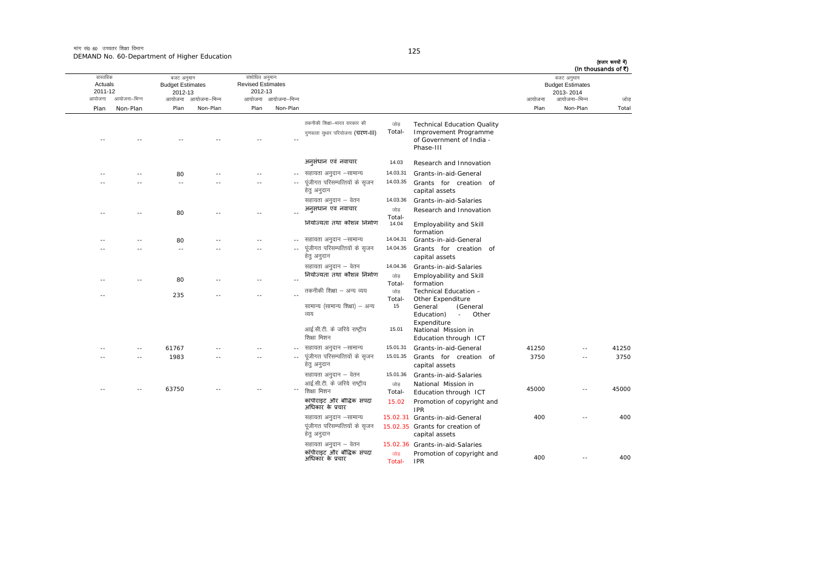|       | (In thousands of ₹)<br>बजट अनुमान<br><b>Budget Estimates</b><br>2013-2014 |        |                                                             |                 |                                               |                     | संशोधित अनुमान<br><b>Revised Estimates</b><br>2012-13 |                     | बजट अनुमान<br><b>Budget Estimates</b><br>2012-13 |              | वास्तविक<br>Actuals<br>2011-12 |
|-------|---------------------------------------------------------------------------|--------|-------------------------------------------------------------|-----------------|-----------------------------------------------|---------------------|-------------------------------------------------------|---------------------|--------------------------------------------------|--------------|--------------------------------|
| जोड   | आयोजना–भिन्न                                                              | आयोजना |                                                             |                 |                                               | आयोजना आयोजना–भिन्न |                                                       | आयोजना आयोजना-भिन्न |                                                  | आयोजना–भिन्न | आयोजना                         |
| Total | Non-Plan                                                                  | Plan   |                                                             |                 |                                               | Non-Plan            | Plan                                                  | Non-Plan            | Plan                                             | Non-Plan     | Plan                           |
|       |                                                                           |        |                                                             | जोड             | तकनीकी शिक्षा-भारत सरकार की                   |                     |                                                       |                     |                                                  |              |                                |
|       |                                                                           |        | <b>Technical Education Quality</b><br>Improvement Programme | Total-          | गुणवत्ता सुधार परियोजना (चरण-III)             |                     |                                                       |                     |                                                  |              |                                |
|       |                                                                           |        | of Government of India -                                    |                 |                                               |                     |                                                       |                     |                                                  |              |                                |
|       |                                                                           |        | Phase-III                                                   |                 |                                               |                     |                                                       |                     |                                                  |              |                                |
|       |                                                                           |        | Research and Innovation                                     | 14.03           | अनुसंधान एवं नवाचार                           |                     |                                                       |                     |                                                  |              |                                |
|       |                                                                           |        | Grants-in-aid-General                                       | 14.03.31        | -- सहायता अनुदान –सामान्य                     |                     |                                                       |                     | 80                                               |              |                                |
|       |                                                                           |        | Grants for creation of                                      | 14.03.35        | पूंजीगत परिसम्पत्तियों के सृजन                |                     |                                                       |                     | $\sim$ $\sim$                                    |              |                                |
|       |                                                                           |        | capital assets                                              |                 | हेत् अनुदान                                   |                     |                                                       |                     |                                                  |              |                                |
|       |                                                                           |        | Grants-in-aid-Salaries                                      | 14.03.36        | सहायता अनुदान – वेतन                          |                     |                                                       |                     |                                                  |              |                                |
|       |                                                                           |        | Research and Innovation                                     | जोड             | अनुसंधान एवं नवाचार                           |                     | $\sim$                                                |                     | 80                                               | - -          |                                |
|       |                                                                           |        | Employability and Skill                                     | Total-<br>14.04 | नियोज्यता तथा कौशल निर्माण                    |                     |                                                       |                     |                                                  |              |                                |
|       |                                                                           |        | formation                                                   |                 |                                               |                     |                                                       |                     |                                                  |              |                                |
|       |                                                                           |        | Grants-in-aid-General                                       | 14.04.31        | सहायता अनुदान –सामान्य                        |                     |                                                       |                     | 80                                               |              |                                |
|       |                                                                           |        | Grants for creation of<br>capital assets                    | 14.04.35        | पूंजीगत परिसम्पत्तियों के सृजन<br>हेतु अनुदान |                     |                                                       |                     | $\sim$ $-$                                       |              |                                |
|       |                                                                           |        | Grants-in-aid-Salaries                                      | 14.04.36        | सहायता अनुदान – वेतन                          |                     |                                                       |                     |                                                  |              |                                |
|       |                                                                           |        | Employability and Skill                                     | जोड             | नियोज्यता तथा कौशल निर्माण                    |                     |                                                       |                     |                                                  |              |                                |
|       |                                                                           |        | formation                                                   | Total-          |                                               |                     | $-$                                                   |                     | 80                                               |              |                                |
|       |                                                                           |        | Technical Education -                                       | जोड             | तकनीकी शिक्षा – अन्य व्यय                     |                     | $-$                                                   |                     | 235                                              |              |                                |
|       |                                                                           |        | Other Expenditure<br>General<br>(General                    | Total-<br>15    | सामान्य (सामान्य शिक्षा) – अन्य               |                     |                                                       |                     |                                                  |              |                                |
|       |                                                                           |        | Education)<br>Other<br>$\mathcal{L}_{\rm{max}}$             |                 | व्यय                                          |                     |                                                       |                     |                                                  |              |                                |
|       |                                                                           |        | Expenditure                                                 |                 |                                               |                     |                                                       |                     |                                                  |              |                                |
|       |                                                                           |        | National Mission in                                         | 15.01           | आई.सी.टी. के जरिये राष्ट्रीय                  |                     |                                                       |                     |                                                  |              |                                |
|       |                                                                           |        | Education through ICT                                       |                 | शिक्षा मिशन                                   |                     |                                                       |                     |                                                  |              |                                |
| 41250 |                                                                           | 41250  | Grants-in-aid-General                                       | 15.01.31        | सहायता अनुदान –सामान्य                        |                     |                                                       |                     | 61767                                            |              |                                |
| 3750  | $\sim$                                                                    | 3750   | Grants for creation of<br>capital assets                    | 15.01.35        | पूंजीगत परिसम्पत्तियों के सृजन<br>हेत् अनुदान | $\sim$ $\sim$       |                                                       |                     | 1983                                             |              |                                |
|       |                                                                           |        | Grants-in-aid-Salaries                                      | 15.01.36        | सहायता अनुदान – वेतन                          |                     |                                                       |                     |                                                  |              |                                |
|       |                                                                           |        | National Mission in                                         | जोड़            | आई.सी.टी. के जरिये राष्ट्रीय                  |                     |                                                       |                     |                                                  |              |                                |
| 45000 | $\sim$ $-$                                                                | 45000  | Education through ICT                                       | Total-          | शिक्षा मिशन                                   |                     |                                                       |                     | 63750                                            |              |                                |
|       |                                                                           |        | Promotion of copyright and<br><b>IPR</b>                    | 15.02           | कॉपीराइट और बौद्धिक संपदा<br>अधिकार के प्रचार |                     |                                                       |                     |                                                  |              |                                |
| 400   | $\sim$                                                                    | 400    | 15.02.31 Grants-in-aid-General                              |                 | सहायता अनुदान –सामान्य                        |                     |                                                       |                     |                                                  |              |                                |
|       |                                                                           |        | 15.02.35 Grants for creation of                             |                 | पूंजीगत परिसम्पत्तियों के सृजन                |                     |                                                       |                     |                                                  |              |                                |
|       |                                                                           |        | capital assets                                              |                 | हेतु अनुदान                                   |                     |                                                       |                     |                                                  |              |                                |
|       |                                                                           |        | 15.02.36 Grants-in-aid-Salaries                             |                 | सहायता अनुदान – वेतन                          |                     |                                                       |                     |                                                  |              |                                |
| 400   | $\sim$ $-$                                                                | 400    | Promotion of copyright and                                  | जोड             | कॉपीराइट और बौद्धिक संपदा<br>अधिकार के प्रचार |                     |                                                       |                     |                                                  |              |                                |
|       |                                                                           |        | <b>IPR</b>                                                  | Total-          |                                               |                     |                                                       |                     |                                                  |              |                                |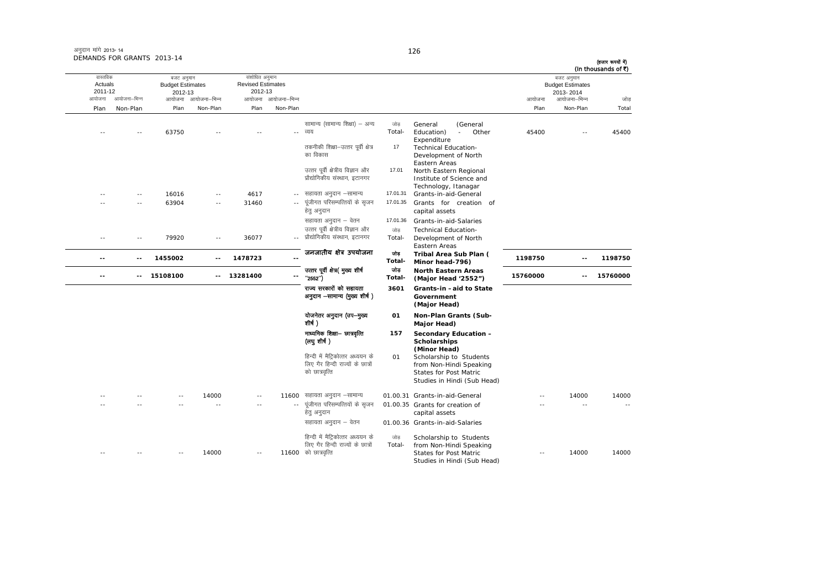Studies in Hindi (Sub Head)

आयोजना आयोजना-भिन्न आयोजना आयोजना-भिन्न - आयोजना आयोजना-भिन्न न अपयोजना—भिन्न जाउँ विकास समिति । अपनी अपयोजना आयोजना—भिन्न जोड Plan Non-Plan Plan Non-Plan Plan Non-Plan Plan Non-Plan Total तास्ततिक Actuals2011-12 बजट अनुमान Budget Estimates 2012-13संशोधित अनुमान Revised Estimates2012-13 बजट अनुमान Budget Estimates 2013- 2014(हजार रूपयों में) (In thousands of  $\bar{x}$ ) ---- 63750 -- - -- व्यय सामान्य (सामान्य शिक्षा) – अन्य जोड Total-General (General<br>Education) - Other  $Education$ ) -**Expenditure** 45400 -- 45400 तकनीकी शिक्षा–उत्तर पर्वी क्षेत्र का विकास 17 Technical Education-Development of North Eastern Areas1 North Eastern Regional उत्तर पर्वी क्षेत्रीय विज्ञान और प्रौद्योगिकीय संस्थान, इटानगर 17.01Institute of Science and Technology, Itanagar ---- 16016 -- 4617 -- सहायता अनुदान –सामान्य 17.01.31 Grants-in-aid-General -- -- 63904 -- 31460 --पूंजीगत परिसम्पत्तियों के सृजन हेतु अनुदान 17.01.35 Grants for creation of capital assets सहायता अनुदान – वेतन 17.01.36 Grants-in-aid-Salaries -- -- 79920 -- 36077 --- प्रौद्योगिकीय संस्थान, इटानगर उत्तर पर्वी क्षेत्रीय विज्ञान और जोड Total-Technical Education- Development of North Eastern Areas **-- -- 1455002 -- 1478723 --**जनजातीय क्षेत्र उपयोजना <sub>जोड</sub> **Total-Tribal Area Sub Plan ( Minor head-796) <sup>1198750</sup> -- <sup>1198750</sup> -- -- 15108100 -- 13281400 -** mRrj iwohZ {ks=¼ eq[; 'kh"kZ ^^2552\*\*½ tksM+ **Total- North Eastern Areas (Major Head '2552") <sup>15760000</sup> -- <sup>15760000</sup>** राज्य सरकारों को सहायता अनुदान -सामान्य (मुख्य शीर्ष) **3601 Grants-in –aid to State Government (Major Head)** योजनेतर अनुदान (उप-मुख्य शीर्ष $)$ **01 Non-Plan Grants (Sub-Major Head)** माध्यमिक शिक्षा— छात्रवृत्ति (लघुशीर्ष) **157 Secondary Education – Scholarships (Minor Head)** हिन्दी में मैटिकोत्तर अध्ययन के लिए गैर हिन्दी राज्यों के छात्रों को छात्रवृत्ति 01 Scholarship to Students from Non-Hindi Speaking States for Post Matric Studies in Hindi (Sub Head) -- -- -- 14000 -- 1160001.00.31 Grants-in-aid-General -- 14000 14000 -- -- -- -- -- ---- पंजीगत परिसम्पत्तियों के सजन हेतु अनुदान 01.00.35 Grants for creation of capital assets -- -- --सहायता अनुदान – वेतन cotil 01.00.36 Grants-in-aid-Salaries -- -- -- 14000 -- 11600हिन्दी में मैटिकोत्तर अध्ययन के लिए गैर हिन्दी राज्यों के छात्रों  $11600$  को छात्रवृत्ति जोड Total-Scholarship to Students from Non-Hindi Speaking States for Post Matric --14000 14000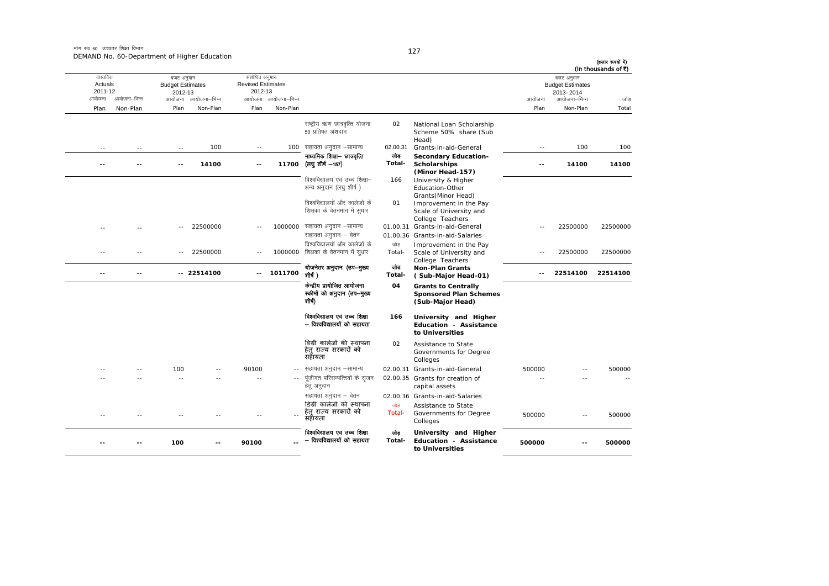|                                                  |                          |                                                          | DEMAND NO. 60-Department of Higher Education |                                                               |                                 |                                                                                      |               |                                                                                              |                |                                                                                | (हजार रूपयों में)<br>(In thousands of ₹) |
|--------------------------------------------------|--------------------------|----------------------------------------------------------|----------------------------------------------|---------------------------------------------------------------|---------------------------------|--------------------------------------------------------------------------------------|---------------|----------------------------------------------------------------------------------------------|----------------|--------------------------------------------------------------------------------|------------------------------------------|
| वास्तविक<br>Actuals<br>2011-12<br>आयोजना<br>Plan | आयोजना–भिन्न<br>Non-Plan | बजट अनुमान<br><b>Budget Estimates</b><br>2012-13<br>Plan | आयोजना आयोजना–भिन्न<br>Non-Plan              | संशोधित अनुमान<br><b>Revised Estimates</b><br>2012-13<br>Plan | आयोजना आयोजना–भिन्न<br>Non-Plan |                                                                                      |               |                                                                                              | आयोजना<br>Plan | बजट अनुमान<br><b>Budget Estimates</b><br>2013-2014<br>आयोजना–भिन्न<br>Non-Plan | जोड<br>Total                             |
|                                                  |                          |                                                          |                                              |                                                               |                                 |                                                                                      |               |                                                                                              |                |                                                                                |                                          |
|                                                  |                          |                                                          |                                              |                                                               |                                 | राष्ट्रीय ऋण छात्रवृत्ति योजना<br>50 प्रतिषत अंशदान                                  | 02            | National Loan Scholarship<br>Scheme 50% share (Sub<br>Head)                                  |                |                                                                                |                                          |
| $\sim$ $-$                                       | $\sim$ $-$               | $\sim$ $-$                                               | 100                                          | $\sim$ $-$                                                    |                                 | 100 सहायता अनुदान -सामान्य                                                           | 02.00.31      | Grants-in-aid-General                                                                        | $\sim$ $-$     | 100                                                                            | 100                                      |
|                                                  | --                       | $-$                                                      | 14100                                        | $\overline{\phantom{a}}$                                      | 11700                           | माध्यमिक शिक्षा- छात्रवृत्ति<br>(लघु शीर्ष —157)                                     | जोड<br>Total- | <b>Secondary Education-</b><br><b>Scholarships</b><br>(Minor Head-157)                       | ۰-             | 14100                                                                          | 14100                                    |
|                                                  |                          |                                                          |                                              |                                                               |                                 | विश्वविद्यालय एवं उच्च शिक्षा–<br>अन्य अनुदान (लघु शीर्ष)                            | 166           | University & Higher<br>Education-Other<br>Grants (Minor Head)                                |                |                                                                                |                                          |
|                                                  |                          |                                                          |                                              |                                                               |                                 | विश्वविद्यालयों और कालेजों के<br>शिक्षका के वेतनमान में सुधार                        | 01            | Improvement in the Pay<br>Scale of University and<br>College Teachers                        |                |                                                                                |                                          |
|                                                  |                          |                                                          | 22500000                                     |                                                               |                                 | 1000000 सहायता अनुदान –सामान्य<br>सहायता अनुदान – वेतन                               |               | 01.00.31 Grants-in-aid-General<br>01.00.36 Grants-in-aid-Salaries                            |                | 22500000                                                                       | 22500000                                 |
|                                                  |                          | $\overline{a}$                                           | 22500000                                     |                                                               |                                 | विश्वविद्यालयों और कालेजों के<br>1000000 शिक्षका के वेतनमान में सुधार                | जोड<br>Total- | Improvement in the Pay<br>Scale of University and<br>College Teachers                        | $\sim$ $-$     | 22500000                                                                       | 22500000                                 |
|                                                  | --                       |                                                          | $-22514100$                                  | $\sim$ $\sim$                                                 | 1011700                         | योजनेतर अनुदानः (उप-मुख्य<br>शीर्ष)                                                  | जोड<br>Total- | <b>Non-Plan Grants</b><br>(Sub-Major Head-01)                                                | $-1$           | 22514100                                                                       | 22514100                                 |
|                                                  |                          |                                                          |                                              |                                                               |                                 | केन्द्रीय प्रायोजित आयोजना<br>स्कीमों को अनुदान (उप-मुख्य<br>शीर्ष)                  | 04            | <b>Grants to Centrally</b><br><b>Sponsored Plan Schemes</b><br>(Sub-Major Head)              |                |                                                                                |                                          |
|                                                  |                          |                                                          |                                              |                                                               |                                 | विश्वविद्यालय एवं उच्च शिक्षा<br>– विश्वविद्यालयों को सहायता                         | 166           | University and Higher<br><b>Education - Assistance</b><br>to Universities                    |                |                                                                                |                                          |
|                                                  |                          |                                                          |                                              |                                                               |                                 | डिग्री कालेजों की स्थापना<br>हेत राज्य सरकारों को<br>सहायता                          | 02            | Assistance to State<br>Governments for Degree<br>Colleges                                    |                |                                                                                |                                          |
|                                                  |                          | 100                                                      |                                              | 90100                                                         |                                 | सहायता अनुदान –सामान्य                                                               |               | 02.00.31 Grants-in-aid-General                                                               | 500000         | - -                                                                            | 500000                                   |
|                                                  |                          | - -                                                      |                                              | $\sim$                                                        |                                 | पूंजीगत परिसम्पत्तियों के सृजन<br>हेत् अनुदान                                        |               | 02.00.35 Grants for creation of<br>capital assets                                            |                |                                                                                |                                          |
|                                                  |                          |                                                          |                                              |                                                               |                                 | सहायता अनुदान – वेतन<br>डिग्री कालेजों की स्थापना<br>हेत् राज्य सरकारों को<br>सहायता | जोड<br>Total- | 02.00.36 Grants-in-aid-Salaries<br>Assistance to State<br>Governments for Degree<br>Colleges | 500000         | $\overline{a}$                                                                 | 500000                                   |
|                                                  |                          | 100                                                      |                                              | 90100                                                         |                                 | विश्वविद्यालय एवं उच्च शिक्षा<br>– विश्वविद्यालयों को सहायता                         | তাভ<br>Total- | University and Higher<br>Education - Assistance<br>to Universities                           | 500000         |                                                                                | 500000                                   |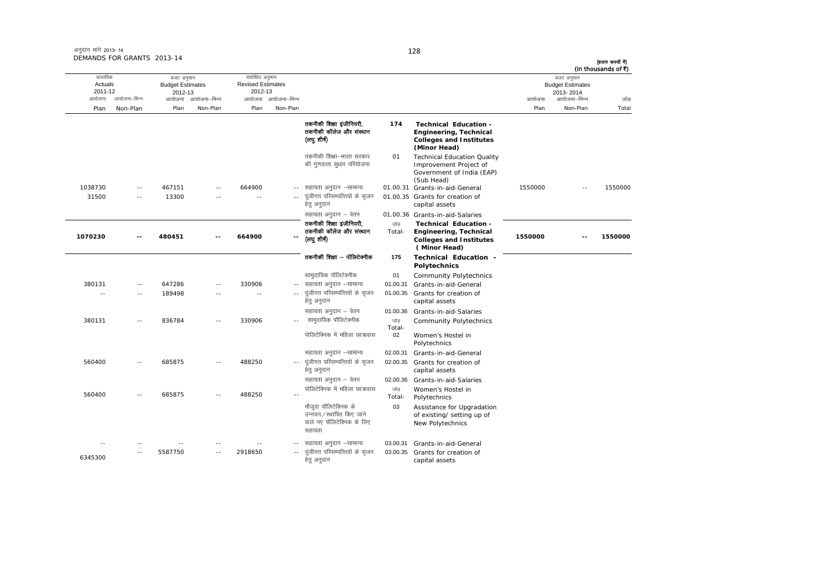| अनुदान मांगे 2013-14       |  |
|----------------------------|--|
| DEMANDS FOR GRANTS 2013-14 |  |

| (हजार रूपयों में)<br>(In thousands of ₹) |                                                                    |         |                                                                                                          |                |                                                                                            |                     |                                                       |                     |                                                  |                      |                                          |
|------------------------------------------|--------------------------------------------------------------------|---------|----------------------------------------------------------------------------------------------------------|----------------|--------------------------------------------------------------------------------------------|---------------------|-------------------------------------------------------|---------------------|--------------------------------------------------|----------------------|------------------------------------------|
| जोड़                                     | बजट अनुमान<br><b>Budget Estimates</b><br>2013-2014<br>आयोजना–भिन्न | आयोजना  |                                                                                                          |                |                                                                                            | आयोजना आयोजना-भिन्न | संशोधित अनुमान<br><b>Revised Estimates</b><br>2012-13 | आयोजना आयोजना–भिन्न | बजट अनुमान<br><b>Budget Estimates</b><br>2012-13 | आयोजना–भिन्न         | वास्तविक<br>Actuals<br>2011-12<br>आयोजना |
| Total                                    | Non-Plan                                                           | Plan    |                                                                                                          |                |                                                                                            | Non-Plan            | Plan                                                  | Non-Plan            | Plan                                             | Non-Plan             | Plan                                     |
|                                          |                                                                    |         | Technical Education -<br>Engineering, Technical<br><b>Colleges and Institutes</b><br>(Minor Head)        | 174            | तकनीकी शिक्षा इंजीनियरी,<br>तकनीकी कॉलेज और संस्थान<br>(लयु शीर्ष)                         |                     |                                                       |                     |                                                  |                      |                                          |
|                                          |                                                                    |         | <b>Technical Education Quality</b><br>Improvement Project of<br>Government of India (EAP)<br>(Sub Head)  | 01             | तकनीकी शिक्षा-भारत सरकार<br>की गुणवत्ता सुधार परियोजना                                     |                     |                                                       |                     |                                                  |                      |                                          |
| 1550000                                  | $\sim$                                                             | 1550000 | 01.00.31 Grants-in-aid-General<br>01.00.35 Grants for creation of<br>capital assets                      |                | सहायता अनुदान –सामान्य<br>पूंजीगत परिसम्पत्तियों के सृजन<br>हेतु अनुदान                    |                     | 664900<br>$\sim$ $-$                                  | $-$                 | 467151<br>13300                                  | $\sim$<br>$\sim$ $-$ | 1038730<br>31500                         |
|                                          |                                                                    |         | 01.00.36 Grants-in-aid-Salaries                                                                          |                | सहायता अनुदान – वेतन                                                                       |                     |                                                       |                     |                                                  |                      |                                          |
| 1550000                                  |                                                                    | 1550000 | <b>Technical Education -</b><br>Engineering, Technical<br><b>Colleges and Institutes</b><br>(Minor Head) | जोड<br>Total-  | तकनीकी शिक्षा इंजीनियरी.<br>तकनीकी कॉलेज और संस्थान<br>(लघुशीर्ष)                          |                     | 664900                                                |                     | 480451                                           |                      | 1070230                                  |
|                                          |                                                                    |         | Technical Education -<br>Polytechnics                                                                    | 175            | तकनीकी शिक्षा – पॉलिटेक्नीक                                                                |                     |                                                       |                     |                                                  |                      |                                          |
|                                          |                                                                    |         | <b>Community Polytechnics</b>                                                                            | 01             | सामुदायिक पॉलिटेक्नीक                                                                      |                     |                                                       |                     |                                                  |                      |                                          |
|                                          |                                                                    |         | Grants-in-aid-General                                                                                    | 01.00.31       | सहायता अनुदान –सामान्य                                                                     |                     | 330906                                                |                     | 647286                                           | $\sim$ $\sim$        | 380131                                   |
|                                          |                                                                    |         | Grants for creation of<br>capital assets                                                                 | 01.00.35       | पूंजीगत परिसम्पत्तियों के सृजन<br>हेत् अनुदान                                              |                     | $\sim$                                                | $-$                 | 189498                                           | $\sim$ $-$           | $\sim$ $\sim$                            |
|                                          |                                                                    |         | Grants-in-aid-Salaries                                                                                   | 01.00.36       | सहायता अनुदान – वेतन                                                                       |                     |                                                       |                     |                                                  |                      |                                          |
|                                          |                                                                    |         | <b>Community Polytechnics</b>                                                                            | जोड़<br>Total- | सामुदायिक पॉलिटेक्नीक                                                                      |                     | 330906                                                | $-$                 | 836784                                           | $\sim$ $-$           | 380131                                   |
|                                          |                                                                    |         | Women's Hostel in<br>Polytechnics                                                                        | 02             | पोलिटेक्निक में महिला छात्रावास                                                            |                     |                                                       |                     |                                                  |                      |                                          |
|                                          |                                                                    |         | Grants-in-aid-General                                                                                    | 02.00.31       | सहायता अनुदान -सामान्य                                                                     |                     |                                                       |                     |                                                  |                      |                                          |
|                                          |                                                                    |         | Grants for creation of<br>capital assets                                                                 | 02.00.35       | पूंजीगत परिसम्पत्तियों के सृजन<br>हेतु अनुदान                                              |                     | 488250                                                |                     | 685875                                           |                      | 560400                                   |
|                                          |                                                                    |         | Grants-in-aid-Salaries                                                                                   | 02.00.36       | सहायता अनुदान – वेतन                                                                       |                     |                                                       |                     |                                                  |                      |                                          |
|                                          |                                                                    |         | Women's Hostel in<br>Polytechnics                                                                        | जोड<br>Total-  | पोलिटेक्निक में महिला छात्रावास                                                            |                     | 488250                                                |                     | 685875                                           | $\sim$               | 560400                                   |
|                                          |                                                                    |         | Assistance for Upgradation<br>of existing/ setting up of<br>New Polytechnics                             | 03             | मौजूदा पॉलिटेक्निक के<br>उन्नयन ∕ स्थापित किए जाने<br>वाले नए पॉलिटेक्निक के लिए<br>सहायता |                     |                                                       |                     |                                                  |                      |                                          |
|                                          |                                                                    |         | Grants-in-aid-General                                                                                    | 03.00.31       | सहायता अनुदान –सामान्य                                                                     |                     |                                                       |                     |                                                  |                      |                                          |
|                                          |                                                                    |         | Grants for creation of<br>capital assets                                                                 | 03.00.35       | पूंजीगत परिसम्पत्तियों के सृजन<br>हेतु अनुदान                                              |                     | 2918650                                               | $\sim$              | 5587750                                          | - -                  | 6345300                                  |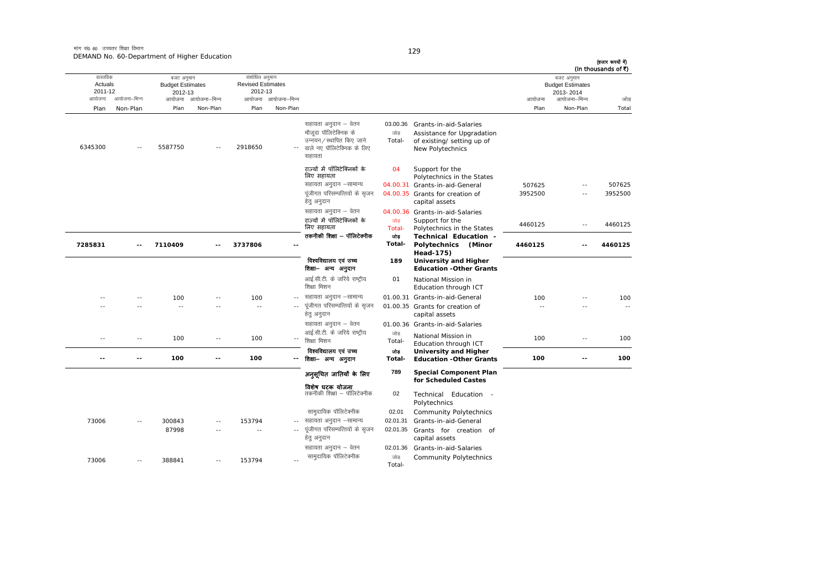| (In thousands of ₹) | बजट अनुमान                           |                   |                                                              |               |                                                          |                     | संशोधित अनुमान                      |               | बजट अनुमान                         |              | वास्तविक           |
|---------------------|--------------------------------------|-------------------|--------------------------------------------------------------|---------------|----------------------------------------------------------|---------------------|-------------------------------------|---------------|------------------------------------|--------------|--------------------|
|                     | <b>Budget Estimates</b><br>2013-2014 |                   |                                                              |               |                                                          |                     | <b>Revised Estimates</b><br>2012-13 |               | <b>Budget Estimates</b><br>2012-13 |              | Actuals<br>2011-12 |
| जोड                 | आयोजना–भिन्न                         | आयोजना            |                                                              |               |                                                          | आयोजना आयोजना-भिन्न |                                     | आयोजना–भिन्न  | आयोजना                             | आयोजना–भिन्न | आयोजना             |
| Total               | Non-Plan                             | Plan              |                                                              |               |                                                          | Non-Plan            | Plan                                | Non-Plan      | Plan                               | Non-Plan     | Plan               |
|                     |                                      |                   |                                                              |               |                                                          |                     |                                     |               |                                    |              |                    |
|                     |                                      |                   | Grants-in-aid-Salaries                                       | 03.00.36      | सहायता अनुदान – वेतन                                     |                     |                                     |               |                                    |              |                    |
|                     |                                      |                   | Assistance for Upgradation<br>of existing/ setting up of     | जोड<br>Total- | मौजूदा पॉलिटेक्निक के<br>उन्नयन ⁄ स्थापित किए जाने       |                     |                                     |               |                                    |              |                    |
|                     |                                      |                   | New Polytechnics                                             |               | वाले नए पॉलिटेक्निक के लिए                               |                     | 2918650                             |               | 5587750                            |              | 6345300            |
|                     |                                      |                   |                                                              |               | सहायता                                                   |                     |                                     |               |                                    |              |                    |
|                     |                                      |                   | Support for the                                              | 04            | राज्यों में पॉलिटेक्निकों के<br>लिए सहायता               |                     |                                     |               |                                    |              |                    |
| 507625              | $-$                                  |                   | Polytechnics in the States<br>04.00.31 Grants-in-aid-General |               | सहायता अनुदान -सामान्य                                   |                     |                                     |               |                                    |              |                    |
| 3952500             |                                      | 507625<br>3952500 | 04.00.35 Grants for creation of                              |               | पूंजीगत परिसम्पत्तियों के सृजन                           |                     |                                     |               |                                    |              |                    |
|                     |                                      |                   | capital assets                                               |               | हेतु अनुदान                                              |                     |                                     |               |                                    |              |                    |
|                     |                                      |                   | 04.00.36 Grants-in-aid-Salaries                              |               | सहायता अनुदान – वेतन                                     |                     |                                     |               |                                    |              |                    |
| 4460125             | $\sim$ $-$                           | 4460125           | Support for the                                              | जोड           | राज्यों में पॉलिटेक्निकों के                             |                     |                                     |               |                                    |              |                    |
|                     |                                      |                   | Polytechnics in the States                                   | Total-        | लिए सहायता<br>तकनीकी शिक्षा — पॉलिटेक्नीक                |                     |                                     |               |                                    |              |                    |
| 4460125             | $\sim$                               | 4460125           | Technical Education -<br>Polytechnics<br>(Minor              | जोड<br>Total- |                                                          |                     | 3737806                             |               | 7110409                            |              | 7285831            |
|                     |                                      |                   | Head-175)                                                    |               |                                                          |                     |                                     |               |                                    |              |                    |
|                     |                                      |                   | University and Higher<br><b>Education -Other Grants</b>      | 189           | विश्वविद्यालय एवं उच्च<br>शिक्षा– अन्य अनुदान            |                     |                                     |               |                                    |              |                    |
|                     |                                      |                   | National Mission in                                          | 01            | आई.सी.टी. के जरिये राष्ट्रीय<br>शिक्षा मिशन              |                     |                                     |               |                                    |              |                    |
|                     |                                      |                   | Education through ICT                                        |               |                                                          |                     |                                     |               |                                    |              |                    |
| 100<br>$\sim$ $-$   |                                      | 100               | 01.00.31 Grants-in-aid-General                               |               | सहायता अनुदान –सामान्य<br>पूंजीगत परिसम्पत्तियों के सृजन | $\sim$ $\sim$       | 100<br>$\sim$ $-$                   |               | 100<br>$\sim$                      |              |                    |
|                     |                                      |                   | 01.00.35 Grants for creation of<br>capital assets            |               | हेत् अनुदान                                              |                     |                                     |               |                                    |              |                    |
|                     |                                      |                   | 01.00.36 Grants-in-aid-Salaries                              |               | सहायता अनुदान – वेतन                                     |                     |                                     |               |                                    |              |                    |
| 100                 | $\overline{\phantom{a}}$             | 100               | National Mission in                                          | जोड           | आई.सी.टी. के जरिये राष्ट्रीय                             |                     | 100                                 | $-$           | 100                                | $\sim$       | $\sim$             |
|                     |                                      |                   | Education through ICT                                        | Total-        | शिक्षा मिशन                                              |                     |                                     |               |                                    |              |                    |
| 100                 | $\overline{a}$                       | 100               | University and Higher<br><b>Education -Other Grants</b>      | जोड<br>Total- | विश्वविद्यालय एवं उच्च<br>शिक्षा— अन्य अनुदान            | $\sim$ $\sim$       | 100                                 | $\sim$ $\sim$ | 100                                | $-1$         | $-$                |
|                     |                                      |                   | <b>Special Component Plan</b>                                | 789           | अनुसूचित जातियाँ के लिए                                  |                     |                                     |               |                                    |              |                    |
|                     |                                      |                   | for Scheduled Castes                                         |               |                                                          |                     |                                     |               |                                    |              |                    |
|                     |                                      |                   | Technical Education -                                        | 02            | विशेष घटक योजना<br>तकनीकी शिक्षा – पॉलिटेक्नीक           |                     |                                     |               |                                    |              |                    |
|                     |                                      |                   | Polytechnics                                                 |               |                                                          |                     |                                     |               |                                    |              |                    |
|                     |                                      |                   | <b>Community Polytechnics</b>                                | 02.01         | सामुदायिक पॉलिटेक्नीक                                    |                     | 153794                              |               | 300843                             |              | 73006              |
|                     |                                      |                   | Grants-in-aid-General                                        | 02.01.31      | सहायता अनुदान –सामान्य                                   | $\sim$ $-$          |                                     |               |                                    |              |                    |
|                     |                                      |                   | Grants for creation of<br>capital assets                     | 02.01.35      | पूंजीगत परिसम्पत्तियों के सृजन<br>हेतु अनुदान            |                     | $\sim$                              |               | 87998                              |              |                    |
|                     |                                      |                   | Grants-in-aid-Salaries                                       | 02.01.36      | सहायता अनुदान – वेतन                                     |                     |                                     |               |                                    |              |                    |
|                     |                                      |                   | <b>Community Polytechnics</b>                                | जोड           | सामुदायिक पॉलिटेक्नीक                                    | $\sim$ $\sim$       | 153794                              | $\sim$        | 388841                             |              | 73006              |
|                     |                                      |                   |                                                              | Total-        |                                                          |                     |                                     |               |                                    |              |                    |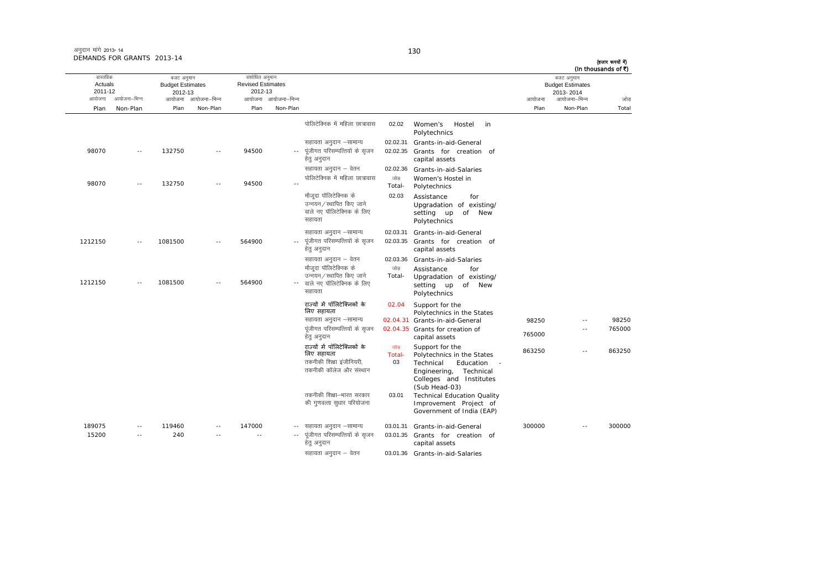| (In thousands of ₹) | बजट अनुमान                           |        |                                                                                                                                       |                     |                                                                                                   |                     | संशोधित अनुमान                      |                          | बजट अनुमान                         |              | वास्तविक           |
|---------------------|--------------------------------------|--------|---------------------------------------------------------------------------------------------------------------------------------------|---------------------|---------------------------------------------------------------------------------------------------|---------------------|-------------------------------------|--------------------------|------------------------------------|--------------|--------------------|
|                     | <b>Budget Estimates</b><br>2013-2014 |        |                                                                                                                                       |                     |                                                                                                   |                     | <b>Revised Estimates</b><br>2012-13 |                          | <b>Budget Estimates</b><br>2012-13 |              | Actuals<br>2011-12 |
| जोड                 | आयोजना–भिन्न                         | आयोजना |                                                                                                                                       |                     |                                                                                                   | आयोजना आयोजना–भिन्न |                                     | आयोजना आयोजना–भिन्न      |                                    | आयोजना–भिन्न | आयोजना             |
| Total               | Non-Plan                             | Plan   |                                                                                                                                       |                     |                                                                                                   | Non-Plan            | Plan                                | Non-Plan                 | Plan                               | Non-Plan     | Plan               |
|                     |                                      |        | Women's<br>Hostel<br>in<br>Polytechnics                                                                                               | 02.02               | पोलिटेक्निक में महिला छात्रावास                                                                   |                     |                                     |                          |                                    |              |                    |
|                     |                                      |        | Grants-in-aid-General                                                                                                                 | 02.02.31            | सहायता अनुदान -सामान्य                                                                            |                     |                                     |                          |                                    |              |                    |
|                     |                                      |        | Grants for creation of<br>capital assets                                                                                              | 02.02.35            | पूंजीगत परिसम्पत्तियों के सृजन<br>हेत् अनुदान                                                     |                     | 94500                               | $\sim$ $-$               | 132750                             | $\sim$ $-$   | 98070              |
|                     |                                      |        | Grants-in-aid-Salaries                                                                                                                | 02.02.36            | सहायता अनुदान – वेतन                                                                              |                     |                                     |                          |                                    |              |                    |
|                     |                                      |        | Women's Hostel in<br>Polytechnics                                                                                                     | जोड<br>Total-       | पोलिटेक्निक में महिला छात्रावास                                                                   |                     | 94500                               | $\sim$ $\sim$            | 132750                             | $\sim$       | 98070              |
|                     |                                      |        | Assistance<br>for<br>Upgradation of existing/<br>setting up<br>of New<br>Polytechnics                                                 | 02.03               | मौजूदा पॉलिटेक्निक के<br>उन्नयन / स्थापित किए जाने<br>वाले नए पॉलिटेक्निक के लिए<br>सहायता        |                     |                                     |                          |                                    |              |                    |
|                     |                                      |        | Grants-in-aid-General                                                                                                                 | 02.03.31            | सहायता अनुदान –सामान्य                                                                            |                     |                                     |                          |                                    |              |                    |
|                     |                                      |        | Grants for creation of<br>capital assets                                                                                              | 02.03.35            | पूंजीगत परिसम्पत्तियों के सृजन<br>हेतु अनुदान                                                     | $\sim$ $-$          | 564900                              | $\sim$                   | 1081500                            | $\sim$ $-$   | 1212150            |
|                     |                                      |        | Grants-in-aid-Salaries                                                                                                                | 02.03.36            | सहायता अनुदान – वेतन                                                                              |                     |                                     |                          |                                    |              |                    |
|                     |                                      |        | Assistance<br>for<br>Upgradation of existing/<br>setting up<br>of New<br>Polytechnics                                                 | जोड<br>Total-       | मौजूदा पॉलिटेक्निक के<br>उन्नयन / स्थापित किए जाने<br>वाले नए पॉलिटेक्निक के लिए<br>सहायता        |                     | 564900                              | $\overline{\phantom{a}}$ | 1081500                            | $\sim$ $-$   | 1212150            |
|                     |                                      |        | Support for the<br>Polytechnics in the States                                                                                         | 02.04               | राज्यों में पॉलिटेक्निकों के<br>लिए सहायता                                                        |                     |                                     |                          |                                    |              |                    |
| 98250               | $\overline{\phantom{a}}$             | 98250  | 02.04.31 Grants-in-aid-General                                                                                                        |                     | सहायता अनुदान –सामान्य                                                                            |                     |                                     |                          |                                    |              |                    |
| 765000              | $\overline{a}$                       | 765000 | 02.04.35 Grants for creation of<br>capital assets                                                                                     |                     | पूंजीगत परिसम्पत्तियों के सृजन<br>हेत् अनुदान                                                     |                     |                                     |                          |                                    |              |                    |
| 863250              | ٠.                                   | 863250 | Support for the<br>Polytechnics in the States<br>Technical<br>Education<br>Technical<br>Engineering,                                  | जोड<br>Total-<br>03 | राज्यों में पॉलिटेक्निकों के<br>लिए सहायता<br>तकनीकी शिक्षा इंजीनियरी.<br>तकनीकी कॉलेज और संस्थान |                     |                                     |                          |                                    |              |                    |
|                     |                                      |        | Colleges and Institutes<br>(Sub Head-03)<br><b>Technical Education Quality</b><br>Improvement Project of<br>Government of India (EAP) | 03.01               | तकनीकी शिक्षा–भारत सरकार<br>की गुणवत्ता सुधार परियोजना                                            |                     |                                     |                          |                                    |              |                    |
| 300000              |                                      | 300000 | Grants-in-aid-General                                                                                                                 | 03.01.31            | सहायता अनुदान –सामान्य                                                                            |                     | 147000                              | $\sim$ $\sim$            | 119460                             | $\sim$ $-$   | 189075             |
|                     |                                      |        | Grants for creation of<br>capital assets                                                                                              | 03.01.35            | पूंजीगत परिसम्पत्तियों के सृजन<br>हेतु अनुदान                                                     |                     | $\sim$                              | $\sim$                   | 240                                | $\sim$ $-$   | 15200              |
|                     |                                      |        | 03.01.36 Grants-in-aid-Salaries                                                                                                       |                     | सहायता अनुदान - वेतन                                                                              |                     |                                     |                          |                                    |              |                    |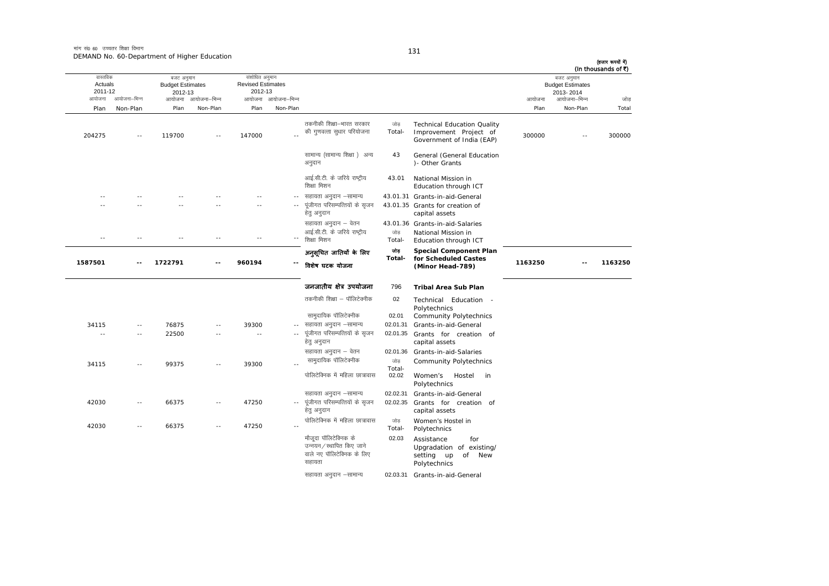आयोजना आयोजना-भिन्न आयोजना आयोजना-भिन्न - आयोजना आयोजना-भिन्न न अपयोजना—भिन्न जाउँ विकास समिति । अपनी अपयोजना आयोजना—भिन्न जोड Plan Non-Plan Plan Non-Plan Plan Non-Plan Plan Non-Plan Total तास्ततिक Actuals2011-12 बजट अनुमान Budget Estimates 2012-13 संशोधित अनुमान Revised Estimates2012-13 बजट अनुमान Budget Estimates 2013- 2014 (हजार रूपयों में) (In thousands of  $\bar{x}$ ) 204275 -- 119700 -- 147000 --तकनीकी शिक्षा—भारत सरकार की गुणवत्ता सुधार परियोजना जोड Total-Technical Education Quality Improvement Project of Improvement Project of  $\frac{300000}{200000}$  -- 300000 सामान्य (सामान्य शिक्षा) अन्य अनदान 43 General (General Education )- Other Grants आई.सी.टी. के जरिये राष्ट्रीय शिक्षा मिशन 43.011 National Mission in Education through ICT -- -- -- -- -- ---- सहायता अनुदान -सामान्य 43.01.31 Grants-in-aid-General -- -- -- -- -- --.. पुंजीगत परिसम्पत्तियों के सुजन हेतु अनुदान 43.01.35 Grants for creation of capital assets सहायता अनुदान – वेतन 43.01.36 Grants-in-aid-Salaries -- -- -- -- -- -- $\sim$ आई.सी.टी. के जरिये राष्टीय शिक्षा मिशन जोड Total-National Mission in<br>Education through ICT **1587501 -- 1722791 -- 960194 --**अन ुसूिचत जाितयɉ के िलए िवशेष घटक योजना োভ **Total-Special Component Plan** for Scheduled Castes **(Minor Head-789) <sup>1163250</sup> -- <sup>1163250</sup>** जनजातीय क्षेत्र उपयोजना 796 **Tribal Area Sub Plan**तकनीकी शिक्षा – पॉलिटेक्नीक 02 Technical Education - Polytechnics lkeqnkf;d ikWfyVsDuhd 02.01 Community Polytechnics .<br>34115 -- 76875 -- 39300 -- सहायता अनुदान –सामान्य 02.01.31 Grants-in-aid-General ---- 22500 -- - --- पंजीगत परिसम्पत्तियों के सजन हेतु अनुदान 02.01.35 Grants for creation of capital assets सहायता अनुदान – वेतन <br />
02.01.36 Grants-in-aid-Salaries كات الله المسلم 34115 -- 99375 -- 39300<br>Total- المسلم الملك عليه الملك عليه الملك الملك عليه الملك الملك عليه الملك الملك الملك الملك الملك الملك المل<br>الملك الملك الملك الملك الملك الملك الملك الملك الملك الملك الملك الم जोड़ Community Polytechnics<br>Total-पोलिटेक्निक में महिला छात्रावास 02.02 Women's Hostel in Polytechnics सहायता अनुदान –सामान्य 02.02.31 Grants-in-aid-General 42030 -- 66375 -- 47250 --पुंजीगत परिसम्पत्तियों के सुजन हेतु अनुदान 02.02.35 Grants for creation ofcapital assets 42030 -- 66375 -- 47250 --पोलिटेक्निक में महिला छात्रावास जोड Total-Women's Hostel in<br>Polytechnics .<br>मौजदा पॉलिटेक्निक के उन्नयन/स्थापित किए जाने वाले नए पॉलिटेक्निक के लिए सहायता 02.03Assistance for Upgradation of existing/ setting up of New Polytechnics सहायता अनदान –सामान्य 02.03.31 Grants-in-aid-General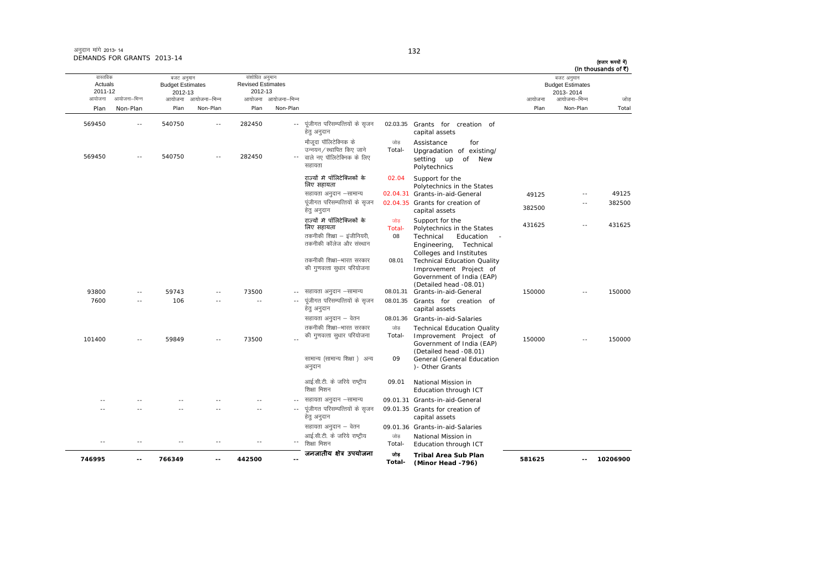| अनुदान मांगे 2013-14       |  |
|----------------------------|--|
| DEMANDS FOR GRANTS 2013-14 |  |

**746995 -- 766349 -- 442500 --**

आयोजना आयोजना-भिन्न आयोजना आयोजना-भिन्न - आयोजना आयोजना-भिन्न न अपयोजना—भिन्न जाउँ विकास समिति । अपनी अपयोजना आयोजना—भिन्न जोड Plan Non-Plan Plan Non-Plan Plan Non-Plan Plan Non-Plan Total वास्तविक Actuals2011-12 बजट अनुमान Budget Estimates 2012-13 संशोधित अनुमान Revised Estimates2012-13 बजट अनुमान Budget Estimates 2013- 2014 (हजार रूपयों में) (In thousands of  $\vec{\tau}$ ) 569450 -- 540750 -- 282450 --.. पुंजीगत परिसम्पत्तियों के सुजन हेत् अनुदान 02.03.35 Grants for creation of capital assets 569450 -- 540750 -- 282450 --- वाले नए पॉलिटेक्निक के लिए <u>मौजदा पॉलिटेक्निक के</u> ्<br>उन्नयन / स्थापित किए जाने सहाराता जोड़ Total-Assistance forUpgradation of existing/ setting up of New Polytechnics राज्यों में पॉलिटेक्निकों के िलए सहायता 02.04 Support for the Polytechnics in the States lgk;rk vuqnku &lkekU; 02.04.31 Grants-in-aid-General 49125 -- 49125 पूंजीगत परिसम्पत्तियों के सृजन हेत् अनुदान 02.04.35 Grants for creation of Grafits for creation of<br>capital assets 382500 -- 382500 राज्यों में पॉलिटेक्निकों के िलए सहायता णोड $\frac{1}{2}$ Total-Support for the<br>Polytechnics in the States 431625 -- 431625 तकनीकी शिक्षा – इंजीनियरी, तकनीकी कॉलेज और संस्थान 08 Technical Education -Engineering, Technical Colleges and Institutes तकनीकी शिक्षा—भारत सरकार की गुणवत्ता सुधार परियोजना 08.01 Technical Education Quality Improvement Project of Government of India (EAP) (Detailed head -08.01) 93800 -- 59743 -- 73500 -- सहायता अनुदान –सामान्य 08.01.31 Grants-in-aid-General 150000 -- 150000 7600 -- 106 -- -- ---- पंजीगत परिसम्पत्तियों के सजन हेतु अनुदान 08.01.35 Grants for creation of capital assets सहायता अनुदान – वेतन 08.01.36 Grants-in-aid-Salaries 101400 -- 59849 -- 73500 --तकनीकी शिक्षा—भारत सरकार की गुणवत्ता सुधार परियोजना  $\frac{1}{100}$ Total-Technical Education Quality Improvement Project of Government of India (EAP) (Detailed head -08.01) 150000 -- 150000सामान्य (सामान्य शिक्षा) अन्य अनुदान 09 General (General Education )- Other Grants आई.सी.टी. के जरिये राष्ट्रीय शिक्षा मिशन 09.011 National Mission in Education through ICT -- -- -- -- --- सहायता अनुदान –सामान्य 09.01.31 Grants-in-aid-General -- -- -- -- -- --.. पुंजीगत परिसम्पत्तियों के सुजन हेतु अनुदान 09.01.35 Grants for creation of capital assets सहायता अनुदान – वेतन <br />
09.01.36 Grants-in-aid-Salaries -- -- -- -- -- --आई.सी.टी. के जरिये राष्टीय ्<br>शिक्षा मिशन जोड Total-National Mission in<br>Education through ICT जनजातीय क्षेत्र उपयोजना <sub>जोड</sub> **Tribal Area Sub Plan (Minor Head -796) <sup>581625</sup> -- <sup>10206900</sup>**

**Total-**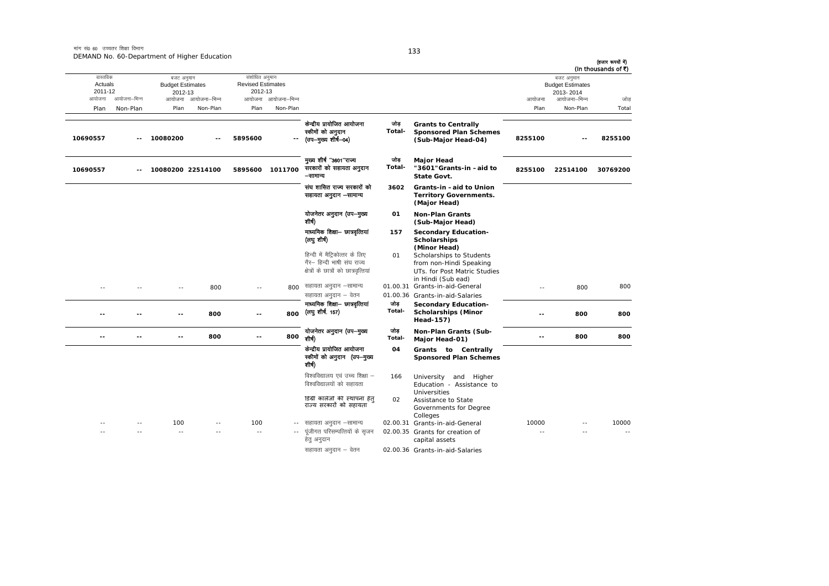| (हजार रूपयों में)<br>(In thousands of ₹) |                                                    |               |                                                                                                           |                |                                                                                                        |                     |                                                       |                     |                                                  |              |                                |
|------------------------------------------|----------------------------------------------------|---------------|-----------------------------------------------------------------------------------------------------------|----------------|--------------------------------------------------------------------------------------------------------|---------------------|-------------------------------------------------------|---------------------|--------------------------------------------------|--------------|--------------------------------|
|                                          | बजट अनुमान<br><b>Budget Estimates</b><br>2013-2014 |               |                                                                                                           |                |                                                                                                        |                     | संशोधित अनुमान<br><b>Revised Estimates</b><br>2012-13 |                     | बजट अनुमान<br><b>Budget Estimates</b><br>2012-13 |              | वास्तविक<br>Actuals<br>2011-12 |
| जोड                                      | आयोजना–भिन्न                                       | आयोजना        |                                                                                                           |                |                                                                                                        | आयोजना आयोजना-भिन्न |                                                       | आयोजना आयोजना–भिन्न |                                                  | आयोजना–भिन्न | आयोजना                         |
| Total                                    | Non-Plan                                           | Plan          |                                                                                                           |                |                                                                                                        | Non-Plan            | Plan                                                  | Non-Plan            | Plan                                             | Non-Plan     | Plan                           |
| 8255100                                  |                                                    | 8255100       | <b>Grants to Centrally</b><br><b>Sponsored Plan Schemes</b><br>(Sub-Major Head-04)                        | जोड<br>Total-  | केन्द्रीय प्रायोजित आयोजना<br>स्कीमों को अनुदान<br>(उप—मुख्य शीर्ष—04)                                 | ۰-                  | 5895600                                               |                     | 10080200                                         |              | 10690557                       |
| 30769200                                 | 22514100                                           | 8255100       | <b>Major Head</b><br>"3601"Grants-in-aid to<br>State Govt.                                                | जोड<br>Total-  | मृख्य शीर्ष "3601"राज्य<br>सरकारों को सहायता अनुदान<br>–सामान्य                                        | 1011700             | 5895600                                               |                     | 10080200 22514100                                |              | 10690557                       |
|                                          |                                                    |               | Grants-in -aid to Union<br><b>Territory Governments.</b><br>(Major Head)                                  | 3602           | संघ शासित राज्य सरकारों को<br>सहायता अनुदान –सामान्य                                                   |                     |                                                       |                     |                                                  |              |                                |
|                                          |                                                    |               | Non-Plan Grants<br>(Sub-Major Head)                                                                       | 01             | योजनेतर अनुदान (उप-मुख्य<br>शीर्ष)                                                                     |                     |                                                       |                     |                                                  |              |                                |
|                                          |                                                    |               | <b>Secondary Education-</b><br><b>Scholarships</b><br>(Minor Head)                                        | 157            | माध्यमिक शिक्षा- छात्रवृत्तियां<br>(लघु शीर्ष)                                                         |                     |                                                       |                     |                                                  |              |                                |
|                                          |                                                    |               | Scholarships to Students<br>from non-Hindi Speaking<br>UTs. for Post Matric Studies<br>in Hindi (Sub ead) | 01             | हिन्दी में मैट्रिकोत्तर के लिए<br>गैर– हिन्दी भाषी संघ राज्य<br>क्षेत्रों के छात्रों को छात्रवृत्तियां |                     |                                                       |                     |                                                  |              |                                |
| 800                                      | 800                                                | $\sim$ $\sim$ | 01.00.31 Grants-in-aid-General<br>01.00.36 Grants-in-aid-Salaries                                         |                | सहायता अनुदान –सामान्य<br>सहायता अनुदान – वेतन                                                         | 800                 |                                                       | 800                 |                                                  |              | $\sim$                         |
| 800                                      | 800                                                | $\sim$        | <b>Secondary Education-</b><br><b>Scholarships (Minor</b><br>Head-157)                                    | जोड़<br>Total- | माध्यमिक शिक्षा- छात्रवृत्तियां<br>(लघु शीर्ष. 157)                                                    | 800                 | $-1$                                                  | 800                 |                                                  |              | $-$                            |
| 800                                      | 800                                                | $-1$          | Non-Plan Grants (Sub-<br>Major Head-01)                                                                   | जोड<br>Total-  | योजनेतर अनुदान (उप-मुख्य<br>शीर्ष)                                                                     | 800                 | $-1$                                                  | 800                 |                                                  | $-$          | $-$                            |
|                                          |                                                    |               | Grants to Centrally<br><b>Sponsored Plan Schemes</b>                                                      | 04             | केन्द्रीय प्रायोजित आयोजना<br>स्कीमों को अनुदान (उप—मुख्य<br>शीर्ष)                                    |                     |                                                       |                     |                                                  |              |                                |
|                                          |                                                    |               | University<br>and Higher<br>Education - Assistance to                                                     | 166            | विश्वविद्यालय एवं उच्च शिक्षा –<br>विश्वविद्यालयों को सहायता                                           |                     |                                                       |                     |                                                  |              |                                |
|                                          |                                                    |               | <b>Universities</b><br>Assistance to State<br>Governments for Degree<br>Colleges                          | 02             | डिग्री कालेजों की स्थापना हेत्<br>राज्य सरकारों को सहायता                                              |                     |                                                       |                     |                                                  |              |                                |
| 10000                                    |                                                    | 10000         | 02.00.31 Grants-in-aid-General                                                                            |                | सहायता अनुदान –सामान्य                                                                                 | $\sim$ $-$          | 100                                                   |                     | 100                                              |              |                                |
|                                          |                                                    |               | 02.00.35 Grants for creation of<br>capital assets                                                         |                | पूंजीगत परिसम्पत्तियों के सृजन<br>हेतु अनुदान                                                          |                     | $\sim$                                                |                     | $\sim$                                           |              |                                |
|                                          |                                                    |               | 02.00.36 Grants-in-aid-Salaries                                                                           |                | सहायता अनुदान – वेतन                                                                                   |                     |                                                       |                     |                                                  |              |                                |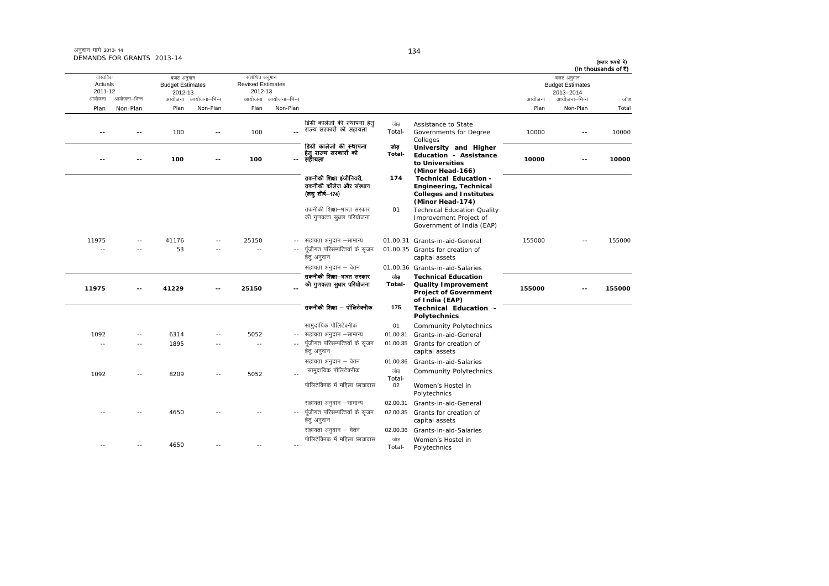|                                          | DEMANDS FOR GRANTS 2013-14 |                                                            |              |                                                                 |              |                                                                         |                |                                                                                                       |        |                                                                    | (हजार रूपयों में)<br>(In thousands of ₹) |
|------------------------------------------|----------------------------|------------------------------------------------------------|--------------|-----------------------------------------------------------------|--------------|-------------------------------------------------------------------------|----------------|-------------------------------------------------------------------------------------------------------|--------|--------------------------------------------------------------------|------------------------------------------|
| वास्तविक<br>Actuals<br>2011-12<br>आयोजना | आयोजना–भिन्न               | बजट अनुमान<br><b>Budget Estimates</b><br>2012-13<br>आयोजना | आयोजना–भिन्न | संशोधित अनुमान<br><b>Revised Estimates</b><br>2012-13<br>आयोजना | आयोजना–भिन्न |                                                                         |                |                                                                                                       | आयोजना | बजट अनुमान<br><b>Budget Estimates</b><br>2013-2014<br>आयोजना–भिन्न | जोड                                      |
| Plan                                     | Non-Plan                   | Plan                                                       | Non-Plan     | Plan                                                            | Non-Plan     |                                                                         |                |                                                                                                       | Plan   | Non-Plan                                                           | Total                                    |
|                                          |                            | 100                                                        |              | 100                                                             |              | डिग्री कालेजों की स्थापना हेत<br>राज्य सरकारों को सहायता                | जोड<br>Total-  | Assistance to State<br>Governments for Degree<br>Colleges                                             | 10000  |                                                                    | 10000                                    |
| $-$                                      |                            | 100                                                        |              | 100                                                             |              | डिग्री कालेजों की स्थापना<br>हेत् राज्य सरकारों को<br>सहायता            | जोड़<br>Total- | University and Higher<br>Education - Assistance<br>to Universities<br>(Minor Head-166)                | 10000  | $-1$                                                               | 10000                                    |
|                                          |                            |                                                            |              |                                                                 |              | तकनीकी शिक्षा इंजीनियरी.<br>तकनीकी कॉलेज और संस्थान<br>(लघुशीर्ष-174)   | 174            | Technical Education -<br>Engineering, Technical<br><b>Colleges and Institutes</b><br>(Minor Head-174) |        |                                                                    |                                          |
|                                          |                            |                                                            |              |                                                                 |              | तकनीकी शिक्षा-भारत सरकार<br>की गुणवत्ता सुधार परियोजना                  | 01             | <b>Technical Education Quality</b><br>Improvement Project of<br>Government of India (EAP)             |        |                                                                    |                                          |
| 11975<br>- -                             | $\sim$<br>$\sim$           | 41176<br>53                                                | $\sim$       | 25150<br>$\sim$ $\sim$                                          |              | सहायता अनुदान –सामान्य<br>पूंजीगत परिसम्पत्तियों के सृजन<br>हेत् अनुदान |                | 01.00.31 Grants-in-aid-General<br>01.00.35 Grants for creation of<br>capital assets                   | 155000 |                                                                    | 155000                                   |
|                                          |                            |                                                            |              |                                                                 |              | सहायता अनुदान – वेतन                                                    |                | 01.00.36 Grants-in-aid-Salaries                                                                       |        |                                                                    |                                          |
| 11975                                    |                            | 41229                                                      |              | 25150                                                           |              | तकनीकी शिक्षा—भारत सरकार<br>की गुणवत्ता सुधार परियोजना                  | जोड<br>Total-  | <b>Technical Education</b><br>Quality Improvement<br><b>Project of Government</b><br>of India (EAP)   | 155000 |                                                                    | 155000                                   |
|                                          |                            |                                                            |              |                                                                 |              | तकनीकी शिक्षा – पॉलिटेक्नीक                                             | 175            | Technical Education -<br>Polytechnics                                                                 |        |                                                                    |                                          |
|                                          |                            |                                                            |              |                                                                 |              | सामुदायिक पॉलिटेक्नीक                                                   | 01             | <b>Community Polytechnics</b>                                                                         |        |                                                                    |                                          |
| 1092                                     | $\sim$                     | 6314                                                       | $-$          | 5052                                                            |              | सहायता अनुदान –सामान्य                                                  | 01.00.31       | Grants-in-aid-General                                                                                 |        |                                                                    |                                          |
| $\sim$                                   | $\sim$                     | 1895                                                       | $\sim$       | $\sim$ $\sim$                                                   |              | पूंजीगत परिसम्पत्तियों के सृजन<br>हेत् अनुदान                           | 01.00.35       | Grants for creation of<br>capital assets                                                              |        |                                                                    |                                          |
|                                          |                            |                                                            |              |                                                                 |              | सहायता अनुदान – वेतन                                                    | 01.00.36       | Grants-in-aid-Salaries                                                                                |        |                                                                    |                                          |
| 1092                                     | $\overline{a}$             | 8209                                                       | $-$          | 5052                                                            |              | सामुदायिक पॉलिटेक्नीक                                                   | जोड़           | <b>Community Polytechnics</b>                                                                         |        |                                                                    |                                          |
|                                          |                            |                                                            |              |                                                                 |              | पोलिटेक्निक में महिला छात्रावास                                         | Total-<br>02   | Women's Hostel in<br>Polytechnics                                                                     |        |                                                                    |                                          |
|                                          |                            |                                                            |              |                                                                 |              | सहायता अनुदान –सामान्य                                                  | 02.00.31       | Grants-in-aid-General                                                                                 |        |                                                                    |                                          |
|                                          |                            | 4650                                                       |              |                                                                 | $\sim$ $-$   | पूंजीगत परिसम्पत्तियों के सृजन<br>हेत् अनुदान                           | 02.00.35       | Grants for creation of<br>capital assets                                                              |        |                                                                    |                                          |
|                                          |                            |                                                            |              |                                                                 |              | सहायता अनुदान – वेतन                                                    | 02.00.36       | Grants-in-aid-Salaries                                                                                |        |                                                                    |                                          |
|                                          | ٠.                         | 4650                                                       |              | $\sim$ $\sim$                                                   |              | पोलिटेक्निक में महिला छात्रावास                                         | जोड<br>Total-  | Women's Hostel in<br>Polytechnics                                                                     |        |                                                                    |                                          |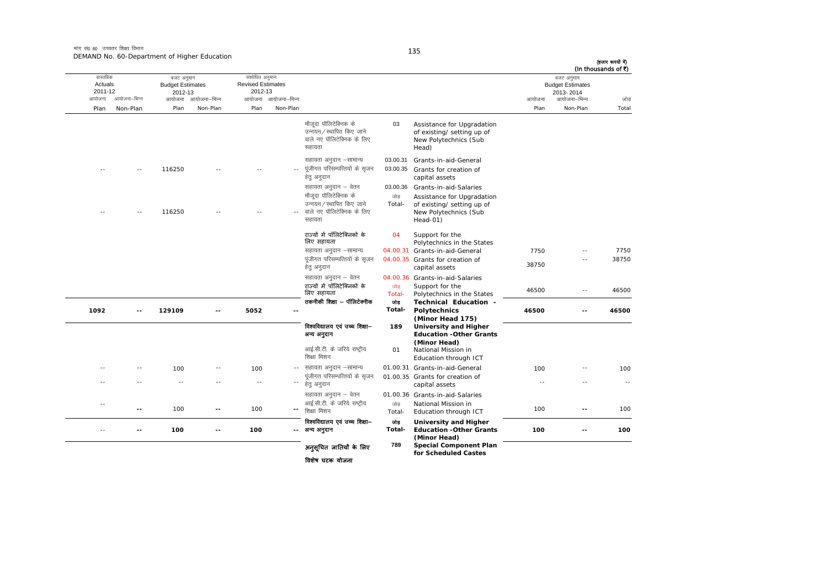| (In thousands of ₹) | बजट अनुमान<br><b>Budget Estimates</b><br>2013-2014 |        |                                                                                            |                |                                                                                           |                          | संशोधित अनुमान<br><b>Revised Estimates</b><br>2012-13 |                     | बजट अनुमान<br><b>Budget Estimates</b><br>2012-13 |               | वास्तविक<br>Actuals<br>2011-12 |
|---------------------|----------------------------------------------------|--------|--------------------------------------------------------------------------------------------|----------------|-------------------------------------------------------------------------------------------|--------------------------|-------------------------------------------------------|---------------------|--------------------------------------------------|---------------|--------------------------------|
| जोड                 | आयोजना–भिन्न                                       | आयोजना |                                                                                            |                |                                                                                           | आयोजना–भिन्न             | आयोजना                                                | आयोजना आयोजना-भिन्न |                                                  | आयोजना–भिन्न  | आयोजना                         |
| Total               | Non-Plan                                           | Plan   |                                                                                            |                |                                                                                           | Non-Plan                 | Plan                                                  | Non-Plan            | Plan                                             | Non-Plan      | Plan                           |
|                     |                                                    |        | Assistance for Upgradation<br>of existing/ setting up of<br>New Polytechnics (Sub<br>Head) | 03             | मौजदा पॉलिटेक्निक के<br>उन्नयन ∕ स्थापित किए जाने<br>वाले नए पॉलिटेक्निक के लिए<br>सहायता |                          |                                                       |                     |                                                  |               |                                |
|                     |                                                    |        | Grants-in-aid-General                                                                      | 03.00.31       | सहायता अनुदान –सामान्य                                                                    |                          |                                                       |                     |                                                  |               |                                |
|                     |                                                    |        | Grants for creation of<br>capital assets                                                   | 03.00.35       | पूंजीगत परिसम्पत्तियों के सृजन<br>हेत् अनुदान                                             |                          |                                                       |                     | 116250                                           |               |                                |
|                     |                                                    |        | Grants-in-aid-Salaries                                                                     | 03.00.36       | सहायता अनुदान – वेतन                                                                      |                          |                                                       |                     |                                                  |               |                                |
|                     |                                                    |        | Assistance for Upgradation                                                                 | जोड            | मौजूदा पॉलिटेक्निक के                                                                     |                          |                                                       |                     |                                                  |               |                                |
|                     |                                                    |        | of existing/ setting up of<br>New Polytechnics (Sub<br>Head-01)                            | Total-         | उन्नयन / स्थापित किए जाने<br>वाले नए पॉलिटेक्निक के लिए<br>सहायता                         |                          |                                                       |                     | 116250                                           |               |                                |
|                     |                                                    |        | Support for the<br>Polytechnics in the States                                              | 04             | राज्यों में पॉलिटेक्निकों के<br>लिए सहायता                                                |                          |                                                       |                     |                                                  |               |                                |
| 7750                |                                                    | 7750   | 04.00.31 Grants-in-aid-General                                                             |                | सहायता अनुदान –सामान्य                                                                    |                          |                                                       |                     |                                                  |               |                                |
| 38750               | $\sim$                                             | 38750  | 04.00.35 Grants for creation of<br>capital assets                                          |                | पूंजीगत परिसम्पत्तियों के सृजन<br>हेतु अनुदान                                             |                          |                                                       |                     |                                                  |               |                                |
|                     |                                                    |        | 04.00.36 Grants-in-aid-Salaries                                                            |                | सहायता अनुदान – वेतन                                                                      |                          |                                                       |                     |                                                  |               |                                |
| 46500               | $\sim$ $\sim$                                      | 46500  | Support for the<br>Polytechnics in the States                                              | जोड<br>Total-  | राज्यों में पॉलिटेक्निकों के<br>लिए सहायता                                                |                          |                                                       |                     |                                                  |               |                                |
| 46500               | $\overline{\phantom{a}}$                           | 46500  | Technical Education -<br>Polytechnics<br>(Minor Head 175)                                  | जोड़<br>Total- | तकनीकी शिक्षा – पॉलिटेक्नीक                                                               |                          | 5052                                                  | --                  | 129109                                           |               | 1092                           |
|                     |                                                    |        | University and Higher<br><b>Education -Other Grants</b>                                    | 189            | विश्वविद्यालय एवं उच्च शिक्षा--<br>अन्य अनुदान                                            |                          |                                                       |                     |                                                  |               |                                |
|                     |                                                    |        | (Minor Head)<br>National Mission in<br>Education through ICT                               | 01             | आई.सी.टी. के जरिये राष्ट्रीय<br>शिक्षा मिशन                                               |                          |                                                       |                     |                                                  |               |                                |
| 100                 |                                                    | 100    | 01.00.31 Grants-in-aid-General                                                             |                | सहायता अनुदान -सामान्य                                                                    | $\sim$ $-$               | 100                                                   |                     | 100                                              |               |                                |
| $\sim$ $\sim$       | - -                                                | ××     | 01.00.35 Grants for creation of<br>capital assets                                          |                | पूंजीगत परिसम्पत्तियों के सुजन<br>हेत् अनुदान                                             |                          | $\sim$ $\sim$                                         |                     |                                                  |               |                                |
|                     |                                                    |        | 01.00.36 Grants-in-aid-Salaries<br>National Mission in                                     | जोड            | सहायता अनुदान – वेतन<br>आई.सी.टी. के जरिये राष्ट्रीय                                      |                          |                                                       |                     |                                                  |               | $-$                            |
| 100                 | $\overline{a}$                                     | 100    | Education through ICT                                                                      | Total-         | शिक्षा मिशन                                                                               | $\overline{\phantom{a}}$ | 100                                                   | --                  | 100                                              | $\sim$ $\sim$ |                                |
| 100                 | $\overline{a}$                                     | 100    | University and Higher<br><b>Education -Other Grants</b><br>(Minor Head)                    | जोड़<br>Total- | विश्वविद्यालय एवं उच्च शिक्षा-<br>अन्य अनुदान                                             | --                       | 100                                                   | ۰.                  | 100                                              |               | $\sim$                         |
|                     |                                                    |        | <b>Special Component Plan</b><br>for Scheduled Castes                                      | 789            | अनुसूचित जातियों के लिए                                                                   |                          |                                                       |                     |                                                  |               |                                |

िवशेष घटक योजना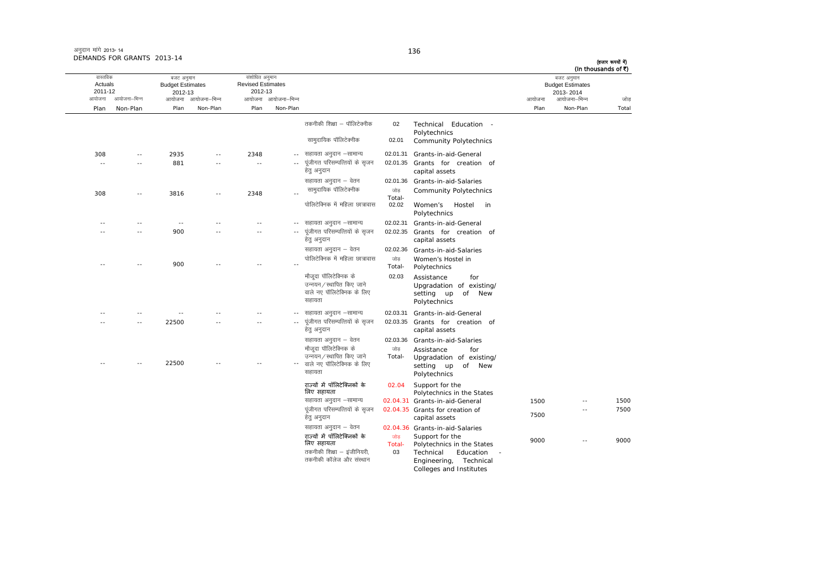# (हजार रूपयों में)

|                                          |                |                                                  |                     |                                                       |                     |                                                                                                     |                      |                                                                                                                                 |        |                                                                    | (In thousands of ₹) |
|------------------------------------------|----------------|--------------------------------------------------|---------------------|-------------------------------------------------------|---------------------|-----------------------------------------------------------------------------------------------------|----------------------|---------------------------------------------------------------------------------------------------------------------------------|--------|--------------------------------------------------------------------|---------------------|
| वास्तविक<br>Actuals<br>2011-12<br>आयोजना | आयोजना-भिन्न   | बजट अनुमान<br><b>Budget Estimates</b><br>2012-13 | आयोजना आयोजना–भिन्न | संशोधित अनुमान<br><b>Revised Estimates</b><br>2012-13 | आयोजना आयोजना-भिन्न |                                                                                                     |                      |                                                                                                                                 | आयोजना | बजट अनुमान<br><b>Budget Estimates</b><br>2013-2014<br>आयोजना–भिन्न | जोड                 |
| Plan                                     | Non-Plan       | Plan                                             | Non-Plan            | Plan                                                  | Non-Plan            |                                                                                                     |                      |                                                                                                                                 | Plan   | Non-Plan                                                           | Total               |
|                                          |                |                                                  |                     |                                                       |                     | तकनीकी शिक्षा – पॉलिटेक्नीक                                                                         | 02                   | Technical Education -<br>Polytechnics                                                                                           |        |                                                                    |                     |
|                                          |                |                                                  |                     |                                                       |                     | सामुदायिक पॉलिटेक्नीक                                                                               | 02.01                | <b>Community Polytechnics</b>                                                                                                   |        |                                                                    |                     |
| 308                                      | $\overline{a}$ | 2935                                             |                     | 2348                                                  |                     | सहायता अनुदान -सामान्य                                                                              | 02.01.31             | Grants-in-aid-General                                                                                                           |        |                                                                    |                     |
|                                          |                | 881                                              |                     | ٠.                                                    |                     | पंजीगत परिसम्पत्तियों के सुजन<br>हेत् अनुदान                                                        |                      | 02.01.35 Grants for creation of<br>capital assets                                                                               |        |                                                                    |                     |
|                                          |                |                                                  |                     |                                                       |                     | सहायता अनुदान – वेतन                                                                                | 02.01.36             | Grants-in-aid-Salaries                                                                                                          |        |                                                                    |                     |
| 308                                      | $\sim$ $\sim$  | 3816                                             |                     | 2348                                                  |                     | सामुदायिक पॉलिटेक्नीक                                                                               | जोड<br>Total-        | <b>Community Polytechnics</b>                                                                                                   |        |                                                                    |                     |
|                                          |                |                                                  |                     |                                                       |                     | पोलिटेक्निक में महिला छात्रावास                                                                     | 02.02                | Hostel<br>Women's<br>in<br>Polytechnics                                                                                         |        |                                                                    |                     |
|                                          | - -            | $\sim$ $-$                                       |                     |                                                       |                     | सहायता अनुदान -सामान्य                                                                              | 02.02.31             | Grants-in-aid-General                                                                                                           |        |                                                                    |                     |
|                                          | $\sim$         | 900                                              |                     |                                                       |                     | पूंजीगत परिसम्पत्तियों के सृजन<br>हेतु अनुदान                                                       | 02.02.35             | Grants for creation of<br>capital assets                                                                                        |        |                                                                    |                     |
|                                          |                |                                                  |                     |                                                       |                     | सहायता अनुदान – वेतन                                                                                |                      | 02.02.36 Grants-in-aid-Salaries                                                                                                 |        |                                                                    |                     |
|                                          |                | 900                                              |                     |                                                       |                     | पोलिटेक्निक में महिला छात्रावास                                                                     | जोड<br>Total-        | Women's Hostel in<br>Polytechnics                                                                                               |        |                                                                    |                     |
|                                          |                |                                                  |                     |                                                       |                     | मौजूदा पॉलिटेक्निक के<br>उन्नयन / स्थापित किए जाने<br>वाले नए पॉलिटेक्निक के लिए<br>सहायता          | 02.03                | Assistance<br>for<br>Upgradation of existing/<br><b>New</b><br>setting up<br>of<br>Polytechnics                                 |        |                                                                    |                     |
|                                          |                | $\sim$ $-$                                       |                     |                                                       |                     | सहायता अनुदान –सामान्य                                                                              | 02.03.31             | Grants-in-aid-General                                                                                                           |        |                                                                    |                     |
|                                          | - -            | 22500                                            |                     |                                                       |                     | पूंजीगत परिसम्पत्तियों के सृजन<br>हेत् अनुदान                                                       |                      | 02.03.35 Grants for creation of<br>capital assets                                                                               |        |                                                                    |                     |
|                                          |                |                                                  |                     |                                                       |                     | सहायता अनुदान – वेतन                                                                                |                      | 02.03.36 Grants-in-aid-Salaries                                                                                                 |        |                                                                    |                     |
|                                          |                |                                                  |                     |                                                       |                     | मौजूदा पॉलिटेक्निक के<br>उन्नयन / स्थापित किए जाने                                                  | जोड<br>Total-        | Assistance<br>for                                                                                                               |        |                                                                    |                     |
|                                          |                | 22500                                            |                     |                                                       |                     | वाले नए पॉलिटेक्निक के लिए<br>सहायता                                                                |                      | Upgradation of existing/<br>of New<br>setting up<br>Polytechnics                                                                |        |                                                                    |                     |
|                                          |                |                                                  |                     |                                                       |                     | राज्यों में पॉलिटेक्निकों के<br>लिए सहायता                                                          | 02.04                | Support for the<br>Polytechnics in the States                                                                                   |        |                                                                    |                     |
|                                          |                |                                                  |                     |                                                       |                     | सहायता अनुदान –सामान्य                                                                              |                      | 02.04.31 Grants-in-aid-General                                                                                                  | 1500   |                                                                    | 1500                |
|                                          |                |                                                  |                     |                                                       |                     | पूंजीगत परिसम्पत्तियों के सृजन<br>हेतु अनुदान                                                       |                      | 02.04.35 Grants for creation of<br>capital assets                                                                               | 7500   | $-$                                                                | 7500                |
|                                          |                |                                                  |                     |                                                       |                     | सहायता अनुदान – वेतन                                                                                |                      | 02.04.36 Grants-in-aid-Salaries                                                                                                 |        |                                                                    |                     |
|                                          |                |                                                  |                     |                                                       |                     | राज्यों में पॉलिटेक्निकों के<br>लिए सहायता<br>तकनीकी शिक्षा – इंजीनियरी,<br>तकनीकी कॉलेज और संस्थान | जोड़<br>Total-<br>03 | Support for the<br>Polytechnics in the States<br>Technical<br>Education<br>Technical<br>Engineering,<br>Colleges and Institutes | 9000   | $\sim$                                                             | 9000                |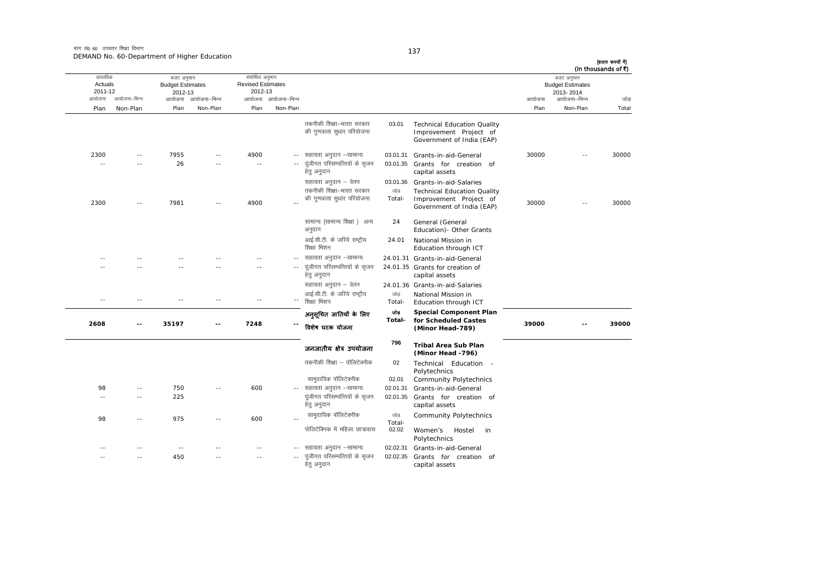मांग सं0 60 उच्चतर शिक्षा विभाग DEMAND No. 60-Department of Higher Education

| वास्तविक           |               | बजट अनुमान                         |                     | संशोधित अनुमान                      |                            |                                                                         |                 |                                                                                           |        | बजट अनुमान                           | (In thousands of ₹) |
|--------------------|---------------|------------------------------------|---------------------|-------------------------------------|----------------------------|-------------------------------------------------------------------------|-----------------|-------------------------------------------------------------------------------------------|--------|--------------------------------------|---------------------|
| Actuals<br>2011-12 |               | <b>Budget Estimates</b><br>2012-13 |                     | <b>Revised Estimates</b><br>2012-13 |                            |                                                                         |                 |                                                                                           |        | <b>Budget Estimates</b><br>2013-2014 |                     |
| आयोजना             | आयोजना–भिन्न  |                                    | आयोजना आयोजना-भिन्न |                                     | आयोजना आयोजना–भिन्न        |                                                                         |                 |                                                                                           | आयोजना | आयोजना–भिन्न                         | जोड                 |
| Plan               | Non-Plan      | Plan                               | Non-Plan            | Plan                                | Non-Plan                   |                                                                         |                 |                                                                                           | Plan   | Non-Plan                             | Total               |
|                    |               |                                    |                     |                                     |                            | तकनीकी शिक्षा–भारत सरकार<br>की गुणवत्ता सुधार परियोजना                  | 03.01           | <b>Technical Education Quality</b><br>Improvement Project of<br>Government of India (EAP) |        |                                      |                     |
| 2300<br>$\sim$     | $\sim$<br>$-$ | 7955<br>26                         |                     | 4900<br>ä,                          | $- -$                      | सहायता अनुदान –सामान्य<br>पूंजीगत परिसम्पत्तियों के सृजन<br>हेत् अनुदान | 03.01.31        | Grants-in-aid-General<br>03.01.35 Grants for creation of<br>capital assets                | 30000  |                                      | 30000               |
|                    |               |                                    |                     |                                     |                            | सहायता अनुदान – वेतन                                                    |                 | 03.01.36 Grants-in-aid-Salaries                                                           |        |                                      |                     |
|                    |               |                                    |                     |                                     |                            | तकनीकी शिक्षा-भारत सरकार                                                | जोड             | <b>Technical Education Quality</b>                                                        |        |                                      |                     |
| 2300               | $\sim$        | 7981                               |                     | 4900                                |                            | की गुणवत्ता सुधार परियोजना                                              | Total-          | Improvement Project of<br>Government of India (EAP)                                       | 30000  | $\sim$                               | 30000               |
|                    |               |                                    |                     |                                     |                            | सामान्य (सामान्य शिक्षा ) अन्य<br>अनुदान                                | 24              | General (General<br>Education) - Other Grants                                             |        |                                      |                     |
|                    |               |                                    |                     |                                     |                            | आई.सी.टी. के जरिये राष्ट्रीय<br>शिक्षा मिशन                             | 24.01           | National Mission in<br>Education through ICT                                              |        |                                      |                     |
|                    |               |                                    |                     |                                     |                            | सहायता अनुदान –सामान्य                                                  |                 | 24.01.31 Grants-in-aid-General                                                            |        |                                      |                     |
|                    |               |                                    |                     |                                     |                            | पूंजीगत परिसम्पत्तियों के सृजन<br>हेतु अनुदान                           |                 | 24.01.35 Grants for creation of<br>capital assets                                         |        |                                      |                     |
|                    |               |                                    |                     |                                     |                            | सहायता अनुदान – वेतन                                                    |                 | 24.01.36 Grants-in-aid-Salaries                                                           |        |                                      |                     |
| $\sim$             | $\sim$ $-$    | $-$                                |                     | $\overline{a}$                      | $\overline{\phantom{a}}$ . | आई.सी.टी. के जरिये राष्ट्रीय<br>शिक्षा मिशन                             | जोड<br>Total-   | National Mission in<br>Education through ICT                                              |        |                                      |                     |
| 2608               | --            | 35197                              |                     | 7248                                |                            | अनुसूचित जातियाँ के लिए<br>विशेष घटक योजना                              | जोड़<br>Total-  | <b>Special Component Plan</b><br>for Scheduled Castes<br>(Minor Head-789)                 | 39000  |                                      | 39000               |
|                    |               |                                    |                     |                                     |                            | जनजातीय क्षेत्र उपयोजना                                                 | 796             | <b>Tribal Area Sub Plan</b><br>(Minor Head -796)                                          |        |                                      |                     |
|                    |               |                                    |                     |                                     |                            | तकनीकी शिक्षा – पॉलिटेक्नीक                                             | 02              | Technical Education -<br>Polytechnics                                                     |        |                                      |                     |
|                    |               |                                    |                     |                                     |                            | सामुदायिक पॉलिटेक्नीक                                                   | 02.01           | <b>Community Polytechnics</b>                                                             |        |                                      |                     |
| 98                 | $\sim$        | 750                                |                     | 600                                 |                            | सहायता अनुदान -सामान्य                                                  | 02.01.31        | Grants-in-aid-General                                                                     |        |                                      |                     |
| $\sim$             | $\sim$        | 225                                |                     |                                     |                            | पूंजीगत परिसम्पत्तियों के सृजन<br>हेत् अनुदान                           | 02.01.35        | Grants for creation of<br>capital assets                                                  |        |                                      |                     |
| 98                 | $\sim$ $\sim$ | 975                                |                     | 600                                 |                            | सामुदायिक पॉलिटेक्नीक                                                   | जोड़            | <b>Community Polytechnics</b>                                                             |        |                                      |                     |
|                    |               |                                    |                     |                                     |                            | पोलिटेक्निक में महिला छात्रावास                                         | Total-<br>02.02 | Hostel<br>Women's<br>in<br>Polytechnics                                                   |        |                                      |                     |
|                    |               | $\sim$ $\sim$                      |                     |                                     |                            | सहायता अनुदान –सामान्य                                                  | 02.02.31        | Grants-in-aid-General                                                                     |        |                                      |                     |
|                    | $\sim$        | 450                                |                     |                                     |                            | पूंजीगत परिसम्पत्तियों के सुजन<br>हेतु अनुदान                           | 02.02.35        | Grants for creation of<br>capital assets                                                  |        |                                      |                     |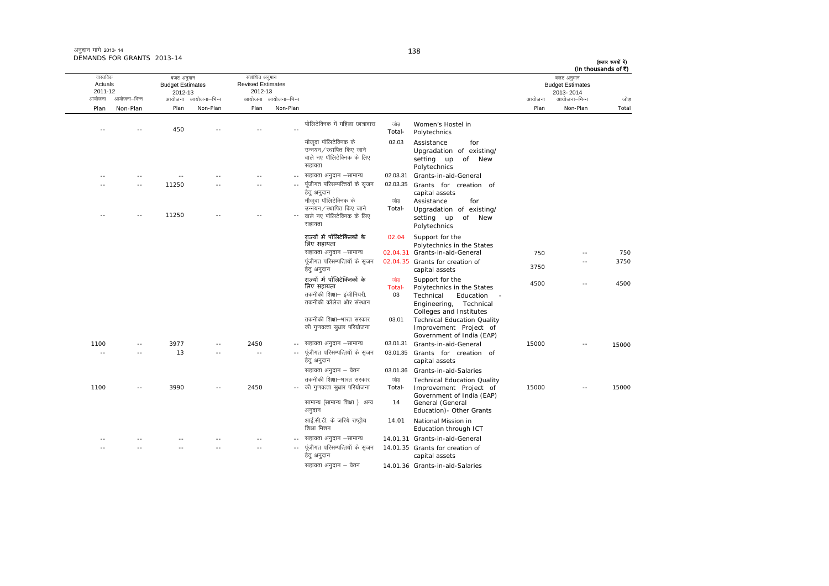ः<br>आयोजना आयोजना–भिन्न आयोजना आयोजना-भिन्न - आयोजना आयोजना-भिन्न न अपयोजना—भिन्न जाउँ विकास समिति । अपनी अपयोजना आयोजना—भिन्न जोड Plan Non-Plan Plan Non-Plan Plan Non-Plan Plan Non-Plan Total तास्ततिक Actuals2011-12बजट अनुमान Budget Estimates 2012-13संशोधित अनुमान Revised Estimates2012-13 बजट अनुमान Budget Estimates 2013- 2014(हजार रूपयों में) (In thousands of  $\bar{x}$ ) ---- 450 -- -- -- -- --पोलिटेक्निक में महिला छात्रावास जोड Total-Women's Hostel in<br>Polytechnics <u>मौजटा पॉलिटेक्निक के</u> ्<br>उन्नयन / स्थापित किए जाने वाले नए पॉलिटेक्निक के लिए सहायता 02.03 Assistance for Upgradation of existing/ setting up of New Polytechnics -- -- -- -- -- ---- सहायता अनुदान –सामान्य 02.03.31 Grants-in-aid-General ---- 11250 -- - -.<sub>-</sub> पंजीगत परिसम्पत्तियों के सुजन हेतु अनुदान 02.03.35 Grants for creation of capital assets -- $-$  11250  $-$ - वाले नए पॉलिटेक्निक के लिए मौजूदा पॉलिटेक्निक के उन्नयन/स्थापित किए जाने सहायता  $\frac{1}{100}$ Total-Assistance forUpgradation of existing/ setting up of New Polytechnics राज्यों में पॉलिटेक्निकों के िलए सहायता 02.04 Support for the Polytechnics in the States lgk;rk vuqnku &lkekU; 02.04.31 Grants-in-aid-General 750 -- 750 पंजीगत परिसम्पत्तियों के सजन हेत् अनुदान 02.04.35 Grants for creation of capital assets 3750 -- 3750राज्यों में पॉलिटेक्निकों के िलए सहायता णोड $\overline{\phantom{a}}$ Total-Support for the <br>Polytechnics in the States 4500 -- 4500 तकनीकी शिक्षा– इंजीनियरी. तकनीकी कॉलेज और संस्थान 03 Technical Education - Engineering, Technical Colleges and Institutes तकनीकी शिक्षा—भारत सरकार की गुणवत्ता सुधार परियोजना 03.01 Technical Education Quality Improvement Project of Government of India (EAP) 1100 -- 3977 -- 2450 - lgk;rk vuqnku &lkekU; 03.01.31 Grants-in-aid-General 15000 -- 15000---- 13 -- - - - - --- पूंजीगत परिसम्पत्तियों के सृजन हेत अनदान 03.01.35 Grants for creation of capital assets सहायता अनुदान – वेतन 03.01.36 Grants-in-aid-Salaries 1100 -- 3990 -- 2450 --- की गुणवत्ता सुधार परियोजना तकनीकी शिक्षा—भारत सरकार ा<br>जोड Total-Technical Education Quality Improvement Project of Government of India (EAP) 15000 -- 15000सामान्य (सामान्य शिक्षा) अन्य अनुदान 14 General (General Education)- Other Grants आई.सी.टी. के जरिये राष्ट्रीय .<br>शिक्षा मिशन 14.011 National Mission in Education through ICT -- -- -- -- -- ---- सहायता अनदान –सामान्य 14.01.31 Grants-in-aid-General -- -- -- -- -- ---- पूंजीगत परिसम्पत्तियों के सृजन 14.01.35 Grants for creation of capital assets

हेत् अनुदान सहायता अनुदान – वेतन 14.01.36 Grants-in-aid-Salaries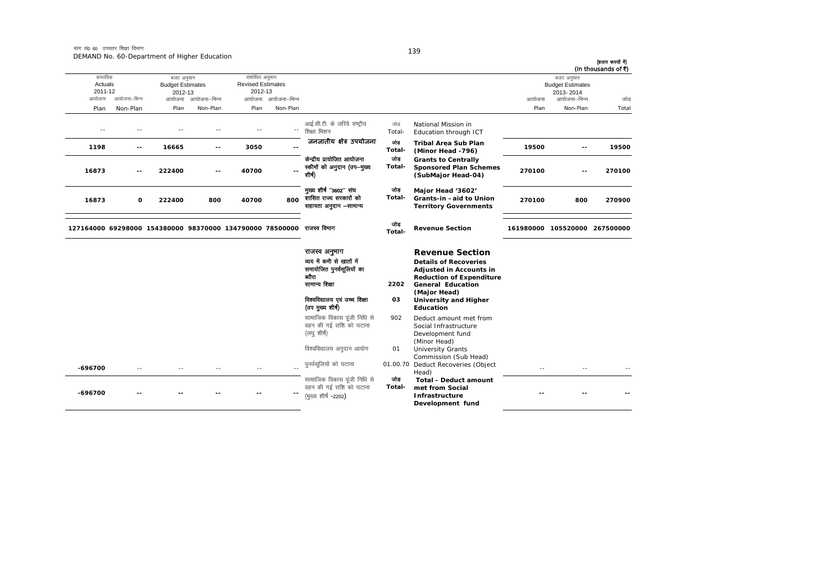| (हजार रूपयों में)<br>(In thousands of ₹) |                                                                    |            |                                                                                                                                                                         |               |                                                                                                     |                          |                                                       |              | DEMAND NO. 60-Department of Higher Education               |              |                                                                       |
|------------------------------------------|--------------------------------------------------------------------|------------|-------------------------------------------------------------------------------------------------------------------------------------------------------------------------|---------------|-----------------------------------------------------------------------------------------------------|--------------------------|-------------------------------------------------------|--------------|------------------------------------------------------------|--------------|-----------------------------------------------------------------------|
| जोड                                      | बजट अनुमान<br><b>Budget Estimates</b><br>2013-2014<br>आयोजना–भिन्न | आयोजना     |                                                                                                                                                                         |               |                                                                                                     | आयोजना आयोजना-भिन्न      | संशोधित अनुमान<br><b>Revised Estimates</b><br>2012-13 | आयोजना–भिन्न | बजट अनुमान<br><b>Budget Estimates</b><br>2012-13<br>आयोजना | आयोजना–भिन्न | वास्तविक<br>Actuals<br>2011-12<br>आयोजना                              |
| Total                                    | Non-Plan                                                           | Plan       |                                                                                                                                                                         |               |                                                                                                     | Non-Plan                 | Plan                                                  | Non-Plan     | Plan                                                       | Non-Plan     | Plan                                                                  |
|                                          |                                                                    |            | National Mission in<br>Education through ICT                                                                                                                            | जोड<br>Total- | आई.सी.टी. के जरिये राष्ट्रीय<br>शिक्षा मिशन                                                         | $\overline{\phantom{a}}$ |                                                       |              |                                                            |              | $-$                                                                   |
| 19500                                    | $\overline{\phantom{a}}$                                           | 19500      | <b>Tribal Area Sub Plan</b><br>(Minor Head -796)                                                                                                                        | जोड<br>Total- | जनजातीय क्षेत्र उपयोजना                                                                             |                          | 3050                                                  | --           | 16665                                                      | --           | 1198                                                                  |
| 270100                                   | $-1$                                                               | 270100     | <b>Grants to Centrally</b><br><b>Sponsored Plan Schemes</b><br>(SubMajor Head-04)                                                                                       | जोड<br>Total- | केन्द्रीय प्रायोजित आयोजना<br>स्कीमों को अनुदान (उप-मुख्य<br>शीर्ष)                                 |                          | 40700                                                 |              | 222400                                                     |              | 16873                                                                 |
| 270900                                   | 800                                                                | 270100     | Major Head '3602'<br>Grants-in-aid to Union<br><b>Territory Governments</b>                                                                                             | जोड<br>Total- | मुख्य शीर्ष "3602" संघ<br>शासित राज्य सरकारों को<br>सहायता अनुदान -सामान्य                          | 800                      | 40700                                                 | 800          | 222400                                                     | O            | 16873                                                                 |
|                                          | 161980000 105520000 267500000                                      |            | <b>Revenue Section</b>                                                                                                                                                  | जोड<br>Total- |                                                                                                     |                          |                                                       |              |                                                            |              | 127164000 69298000 154380000 98370000 134790000 78500000 राजस्व विभाग |
|                                          |                                                                    |            | <b>Revenue Section</b><br><b>Details of Recoveries</b><br><b>Adjusted in Accounts in</b><br><b>Reduction of Expenditure</b><br><b>General Education</b><br>(Major Head) | 2202          | राजस्व अनुभाग<br>व्यय में कमी से खातों में<br>समायोजित पुनर्वसूलियों का<br>ब्यौरा<br>सामान्य शिक्षा |                          |                                                       |              |                                                            |              |                                                                       |
|                                          |                                                                    |            | <b>University and Higher</b><br><b>Education</b>                                                                                                                        | 03            | विश्वविद्यालय एवं उच्च शिक्षा<br>(उप मुख्य शीर्ष)                                                   |                          |                                                       |              |                                                            |              |                                                                       |
|                                          |                                                                    |            | Deduct amount met from<br>Social Infrastructure<br>Development fund<br>(Minor Head)                                                                                     | 902           | सामाजिक विकास पूंजी निधि से<br>वहन की गई राशि को घटाना<br>(लघु शीर्ष)                               |                          |                                                       |              |                                                            |              |                                                                       |
|                                          |                                                                    |            | <b>University Grants</b><br>Commission (Sub Head)                                                                                                                       | 01            | विश्वविद्यालय अनुदान आयोग                                                                           |                          |                                                       |              |                                                            |              |                                                                       |
|                                          |                                                                    | $\sim$ $-$ | Deduct Recoveries (Object<br>Head)                                                                                                                                      | 01.00.70      | पुनर्वसूलियों को घटाना                                                                              |                          | $\sim$                                                |              |                                                            |              | -696700                                                               |
|                                          |                                                                    |            | <b>Total - Deduct amount</b><br>met from Social<br>Infrastructure<br>Development fund                                                                                   | जोड<br>Total- | सामाजिक विकास पूंजी निधि से<br>वहन की गई राशि को घटाना<br>(मुख्य शीर्ष -2202)                       |                          |                                                       |              |                                                            |              | -696700                                                               |

139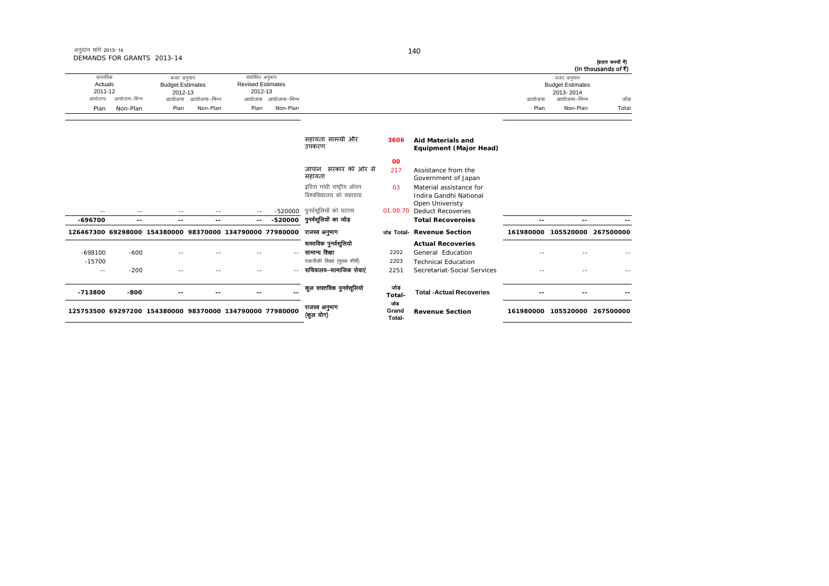| DEMANDS FOR GRANTS 2013-14 |                         |                          |        | (हजार रूपयों में)<br>(In thousands of ₹) |
|----------------------------|-------------------------|--------------------------|--------|------------------------------------------|
| वास्तविक                   | बजट अनुमान              | संशोधित अनुमान           |        | बजट अनुमान                               |
| Actuals                    | <b>Budget Estimates</b> | <b>Revised Estimates</b> |        | <b>Budget Estimates</b>                  |
| 2011-12                    | 2012-13                 | 2012-13                  |        | 2013-2014                                |
| आयोजना–भिन्न<br>आयोजना     | आयोजना–भिन्न<br>आयोजना  | आयोजना आयोजना–भिन्न      | आयोजना | जोड<br>आयोजना–भिन्न                      |
| Non-Plan<br>Plan           | Non-Plan<br>Plan        | Plan<br>Non-Plan         | Plan   | Total<br>Non-Plan                        |

|                                     |                  |                          |    |                                                          |                             | सहायता सामग्री और<br>उपकरण                                                                       | 3606                 | <b>Aid Materials and</b><br>Equipment (Major Head)                                                         |           |               |           |
|-------------------------------------|------------------|--------------------------|----|----------------------------------------------------------|-----------------------------|--------------------------------------------------------------------------------------------------|----------------------|------------------------------------------------------------------------------------------------------------|-----------|---------------|-----------|
|                                     |                  |                          |    |                                                          |                             | सरकार की ओर से<br>जापान<br>सहायता                                                                | 00<br>217            | Assistance from the<br>Government of Japan                                                                 |           |               |           |
| $\sim$ $-$                          | --               | $\overline{\phantom{a}}$ |    |                                                          | $-520000$                   | इंदिरा गांधी राष्ट्रीय ओपन<br>विश्वविद्यालय को सहायता<br>पुनर्वसूलियों को घटाना                  | 03<br>01.00.70       | Material assistance for<br>Indira Gandhi National<br>Open Univeristy<br>Deduct Recoveries                  |           |               |           |
| $-696700$                           | $\sim$ $\sim$    | $\sim$ $\sim$            | -- | $\sim$ $\sim$                                            | -520000                     | पुनर्वसूलियों का जोड़                                                                            |                      | <b>Total Recoveroies</b>                                                                                   | $- -$     | $\sim$ $\sim$ |           |
|                                     |                  |                          |    |                                                          |                             |                                                                                                  |                      |                                                                                                            |           |               |           |
|                                     |                  |                          |    | 126467300 69298000 154380000 98370000 134790000 77980000 |                             | राजस्व अनुभाग                                                                                    |                      | जोड Total- Revenue Section                                                                                 | 161980000 | 105520000     | 267500000 |
| $-698100$<br>$-15700$<br>$\sim$ $-$ | $-600$<br>$-200$ |                          |    |                                                          | $\sim$ $\sim$<br>$\sim$ $-$ | वास्तविक पुनर्वसूलियो<br>सामान्य शिक्षा<br>तकनीकी शिक्षा (मुख्य शीर्ष)<br>सचिवालय—सामाजिक सेवाएं | 2202<br>2203<br>2251 | <b>Actual Recoveries</b><br>General Education<br><b>Technical Education</b><br>Secretariat-Social Services |           |               |           |
| -713800                             | -800             |                          |    |                                                          |                             | कुल वास्तविक पुनर्वसूलियो                                                                        | जोड<br>Total-<br>লাভ | <b>Total -Actual Recoveries</b>                                                                            |           |               |           |

140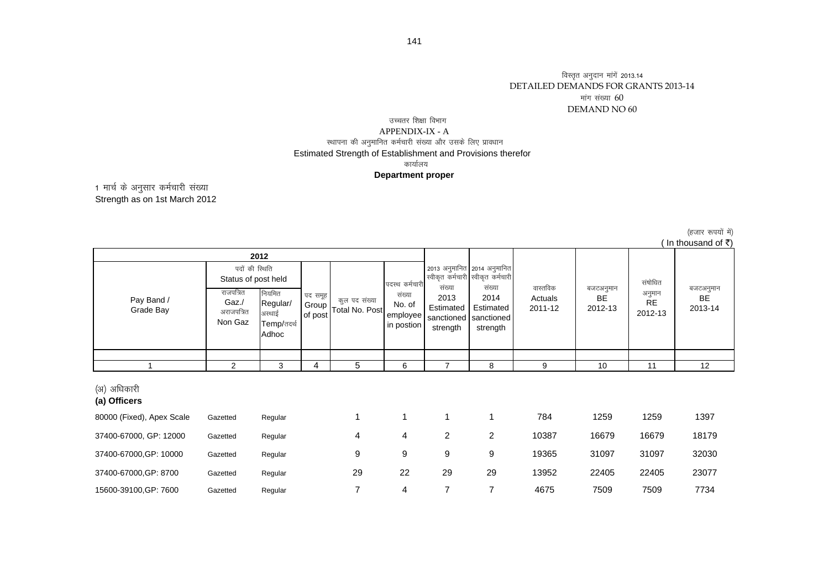# DETAILED DEMANDS FOR GRANTS 2013-14 DEMAND NO 60मांग संख्या  $60$ विस्तृत अनुदान मांगें 2013.14

# .<br>स्थापना की अनुमानित कर्मचारी संख्या और उसके लिए प्रावधान Estimated Strength of Establishment and Provisions therefor तच्चतर शिक्षा विभाग APPENDIX-IX - Aकार्यालय **Department proper**

1 मार्च के अनुसार कर्मचारी संख्या Strength as on 1st March 2012

राजपत्रित Gaz./ अराजपत्रित Non Gaz नियमित Regular/ अस्थाई Temp/तदर्थ Adhoc 1 2 3 4 5 6 7 8 9 10 11 12 (अ) अधिकारी **(a) Officers** 80000 (Fixed), Apex Scale Gazetted Regular 1 1 1 1 1 1 784 1259 1259 1397 37400-67000, GP: 12000 Gazetted Regular 4 4 2 2 10387 16679 16679 18179 37400-67000,GP: 10000 Gazetted Regular 9 9 9 9 19365 31097 31097 32030 37400-67000,GP: 8700 Gazetted Regular 29 22 29 29 13952 22405 22405 23077 15600-39100,GP: 7600 Gazetted Regular 7 4 7 7 4675 7509 7509 7734 बजटअनुमान BE 2013-14संषोधित अनुमान RE 2012-13कुल पद संख्या Total No. Post ( In thousand of  $\bar{z}$ ) Pay Band / Grade Bay पदस्थ कर्मचार<mark>्</mark>र संख्या No. of employee in postion बजटअनुमान BE 2012-13वास्तविक Actuals 2011-122013 अनुमानित 2014 अनुमानित स्वीकृत कर्मचारी स्वीकृत कर्मचारी संख्या 2014 Estimated sanctioned strength संख्या 2013 Estimated sanctioned strength **2012** पद समूह Group of post पदों की स्थिति Status of post held

(हजार रूपयों में)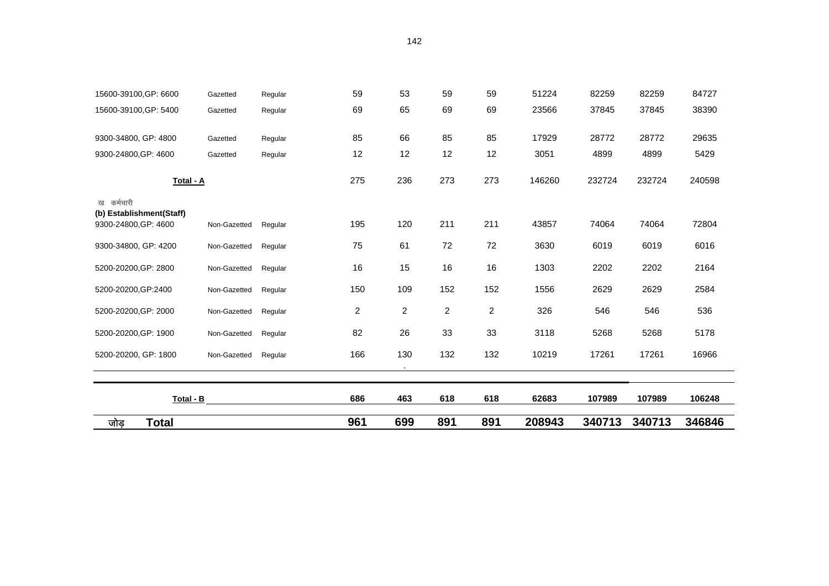| <b>Total</b><br>जोड़                                           |              |         | 961            | 699            | 891            | 891                     | 208943 | 340713 | 340713 | 346846 |
|----------------------------------------------------------------|--------------|---------|----------------|----------------|----------------|-------------------------|--------|--------|--------|--------|
| Total - B                                                      |              |         | 686            | 463            | 618            | 618                     | 62683  | 107989 | 107989 | 106248 |
| 5200-20200, GP: 1800                                           | Non-Gazetted | Regular | 166            | 130            | 132            | 132                     | 10219  | 17261  | 17261  | 16966  |
| 5200-20200, GP: 1900                                           | Non-Gazetted | Regular | 82             | 26             | 33             | 33                      | 3118   | 5268   | 5268   | 5178   |
| 5200-20200, GP: 2000                                           | Non-Gazetted | Regular | $\overline{c}$ | $\overline{c}$ | $\overline{c}$ | $\overline{\mathbf{c}}$ | 326    | 546    | 546    | 536    |
| 5200-20200, GP: 2400                                           | Non-Gazetted | Regular | 150            | 109            | 152            | 152                     | 1556   | 2629   | 2629   | 2584   |
| 5200-20200, GP: 2800                                           | Non-Gazetted | Regular | 16             | 15             | 16             | 16                      | 1303   | 2202   | 2202   | 2164   |
| 9300-34800, GP: 4200                                           | Non-Gazetted | Regular | 75             | 61             | 72             | 72                      | 3630   | 6019   | 6019   | 6016   |
| ख कर्मचारी<br>(b) Establishment(Staff)<br>9300-24800, GP: 4600 | Non-Gazetted | Regular | 195            | 120            | 211            | 211                     | 43857  | 74064  | 74064  | 72804  |
| Total - A                                                      |              |         | 275            | 236            | 273            | 273                     | 146260 | 232724 | 232724 | 240598 |
| 9300-24800, GP: 4600                                           | Gazetted     | Regular | 12             | 12             | 12             | 12                      | 3051   | 4899   | 4899   | 5429   |
| 9300-34800, GP: 4800                                           | Gazetted     | Regular | 85             | 66             | 85             | 85                      | 17929  | 28772  | 28772  | 29635  |
| 15600-39100, GP: 5400                                          | Gazetted     | Regular | 69             | 65             | 69             | 69                      | 23566  | 37845  | 37845  | 38390  |
| 15600-39100, GP: 6600                                          | Gazetted     | Regular | 59             | 53             | 59             | 59                      | 51224  | 82259  | 82259  | 84727  |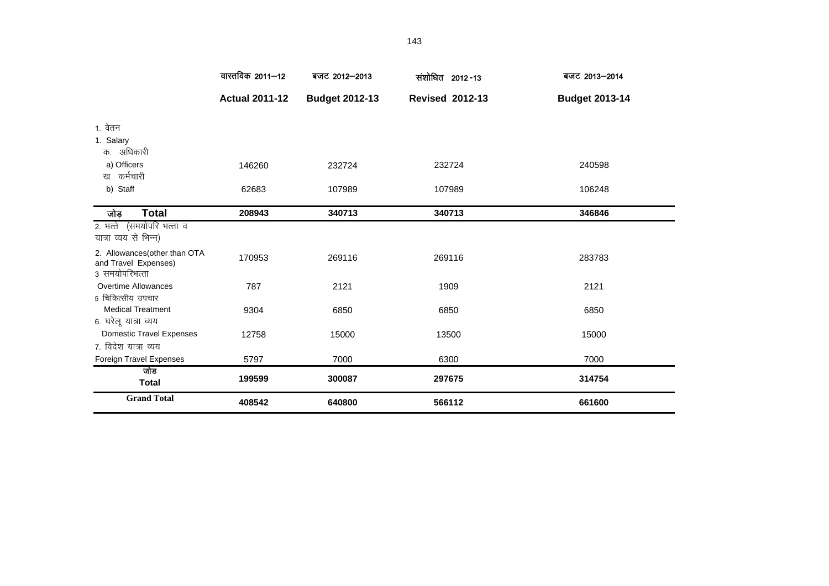|                                                                         | वास्तविक 2011–12      | बजट 2012-2013         | संशोधित 2012-13        | बजट 2013-2014         |
|-------------------------------------------------------------------------|-----------------------|-----------------------|------------------------|-----------------------|
|                                                                         | <b>Actual 2011-12</b> | <b>Budget 2012-13</b> | <b>Revised 2012-13</b> | <b>Budget 2013-14</b> |
| 1. वेतन                                                                 |                       |                       |                        |                       |
| 1. Salary                                                               |                       |                       |                        |                       |
| क. अधिकारी                                                              |                       |                       |                        |                       |
| a) Officers                                                             | 146260                | 232724                | 232724                 | 240598                |
| ख कर्मचारी                                                              |                       |                       |                        |                       |
| b) Staff                                                                | 62683                 | 107989                | 107989                 | 106248                |
| <b>Total</b><br>जोड़                                                    | 208943                | 340713                | 340713                 | 346846                |
| (समयोपरि भत्ता व<br>2. भत्ते                                            |                       |                       |                        |                       |
| यात्रा व्यय से भिन्न)                                                   |                       |                       |                        |                       |
| 2. Allowances (other than OTA<br>and Travel Expenses)<br>3 समयोपरिभत्ता | 170953                | 269116                | 269116                 | 283783                |
| <b>Overtime Allowances</b>                                              | 787                   | 2121                  | 1909                   | 2121                  |
| 5 चिकित्सीय उपचार                                                       |                       |                       |                        |                       |
| <b>Medical Treatment</b>                                                | 9304                  | 6850                  | 6850                   | 6850                  |
| 6. घरेलू यात्रा व्यय                                                    |                       |                       |                        |                       |
| <b>Domestic Travel Expenses</b>                                         | 12758                 | 15000                 | 13500                  | 15000                 |
| ७. विदेश यात्रा व्यय                                                    |                       |                       |                        |                       |
| Foreign Travel Expenses                                                 | 5797                  | 7000                  | 6300                   | 7000                  |
| जोड<br><b>Total</b>                                                     | 199599                | 300087                | 297675                 | 314754                |
| <b>Grand Total</b>                                                      | 408542                | 640800                | 566112                 | 661600                |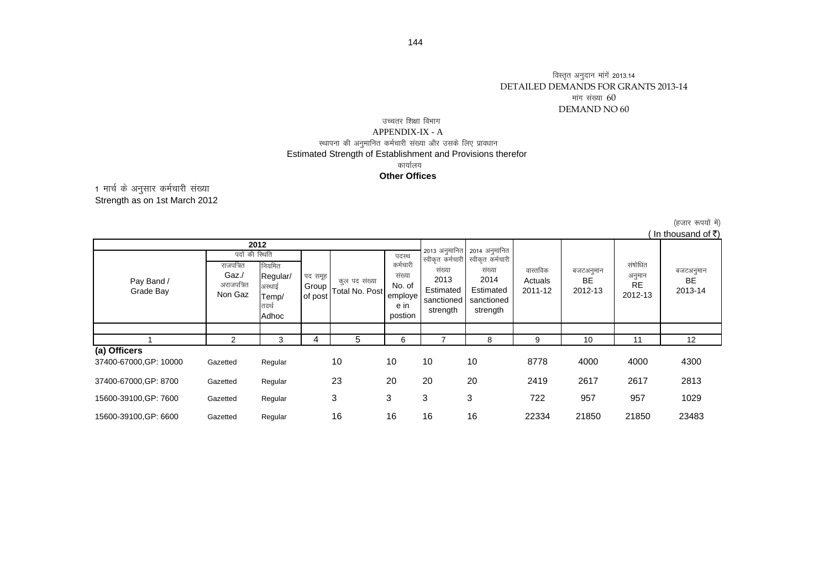#### विस्तृत अनुदान मांगें 2013.14 DETAILED DEMANDS FOR GRANTS 2013-14 DEMAND NO 60 मांग संख्या  $60\,$

#### .<br>स्थापना की अनुमानित कर्मचारी संख्या और उसके लिए प्रावधान Estimated Strength of Establishment and Provisions therefor उच्चतर शिक्षा विभाग APPENDIX-IX - Aकार्यालय **Other Offices**

Strength as on 1st March 2012 1 मार्च के अनुसार कर्मचारी संख्या

> (हजार रूपयों में)  $($  In thousand of  $\bar{z}$ )

|                         |                                                               |                                                |                             |                                |                                                          |                                                       |                                                                                                                           |                                |                                   |                                    | III LIIVUJAILU VI N               |
|-------------------------|---------------------------------------------------------------|------------------------------------------------|-----------------------------|--------------------------------|----------------------------------------------------------|-------------------------------------------------------|---------------------------------------------------------------------------------------------------------------------------|--------------------------------|-----------------------------------|------------------------------------|-----------------------------------|
|                         |                                                               | 2012                                           |                             |                                |                                                          |                                                       |                                                                                                                           |                                |                                   |                                    |                                   |
| Pay Band /<br>Grade Bay | पदों की स्थिति<br>राजपत्रित<br>Gaz./<br>अराजपत्रित<br>Non Gaz | नियमित<br>Regular/<br>अस्थाई<br>Temp/<br>तदर्थ | पद समूह<br>Group<br>of post | कल पद संख्या<br>Total No. Post | पदस्थ<br>कर्मचारी<br>संख्या<br>No. of<br>employe<br>e in | संख्या<br>2013<br>Estimated<br>sanctioned<br>strength | 2013 अनुमानित 2014 अनुमानित<br>स्वीकृत कर्मचारी स्वीकृत कर्मचारी<br>संख्या<br>2014<br>Estimated<br>sanctioned<br>strength | वास्तविक<br>Actuals<br>2011-12 | बजटअनुमान<br><b>BE</b><br>2012-13 | संषोधित<br>अनुमान<br>RE<br>2012-13 | बजटअनुमान<br><b>BE</b><br>2013-14 |
|                         |                                                               | Adhoc                                          |                             |                                | postion                                                  |                                                       |                                                                                                                           |                                |                                   |                                    |                                   |
|                         |                                                               |                                                |                             |                                |                                                          |                                                       |                                                                                                                           |                                |                                   |                                    |                                   |
|                         | 2                                                             | 3                                              | 4                           | 5                              | 6                                                        |                                                       | 8                                                                                                                         | 9                              | 10                                | 11                                 | 12                                |
| (a) Officers            |                                                               |                                                |                             |                                |                                                          |                                                       |                                                                                                                           |                                |                                   |                                    |                                   |
| 37400-67000, GP: 10000  | Gazetted                                                      | Regular                                        |                             | 10                             | 10                                                       | 10                                                    | 10                                                                                                                        | 8778                           | 4000                              | 4000                               | 4300                              |
| 37400-67000, GP: 8700   | Gazetted                                                      | Regular                                        |                             | 23                             | 20                                                       | 20                                                    | 20                                                                                                                        | 2419                           | 2617                              | 2617                               | 2813                              |
| 15600-39100, GP: 7600   | Gazetted                                                      | Regular                                        |                             | 3                              | 3                                                        | 3                                                     | 3                                                                                                                         | 722                            | 957                               | 957                                | 1029                              |
| 15600-39100, GP: 6600   | Gazetted                                                      | Regular                                        |                             | 16                             | 16                                                       | 16                                                    | 16                                                                                                                        | 22334                          | 21850                             | 21850                              | 23483                             |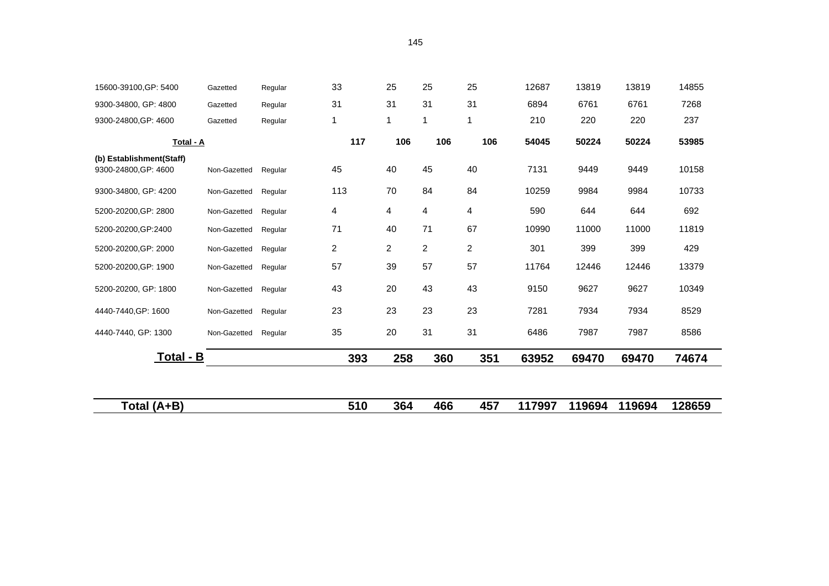| 15600-39100, GP: 5400    | Gazetted     | Regular | 33  | 25             | 25             | 25             | 12687  | 13819  | 13819  | 14855  |
|--------------------------|--------------|---------|-----|----------------|----------------|----------------|--------|--------|--------|--------|
| 9300-34800, GP: 4800     | Gazetted     | Regular | 31  | 31             | 31             | 31             | 6894   | 6761   | 6761   | 7268   |
| 9300-24800, GP: 4600     | Gazetted     | Regular | 1   | $\mathbf{1}$   | 1              | $\mathbf 1$    | 210    | 220    | 220    | 237    |
| Total - A                |              |         | 117 | 106            | 106            | 106            | 54045  | 50224  | 50224  | 53985  |
| (b) Establishment(Staff) |              |         |     |                |                |                |        |        |        |        |
| 9300-24800, GP: 4600     | Non-Gazetted | Regular | 45  | 40             | 45             | 40             | 7131   | 9449   | 9449   | 10158  |
| 9300-34800, GP: 4200     | Non-Gazetted | Regular | 113 | 70             | 84             | 84             | 10259  | 9984   | 9984   | 10733  |
| 5200-20200, GP: 2800     | Non-Gazetted | Regular | 4   | 4              | 4              | 4              | 590    | 644    | 644    | 692    |
| 5200-20200, GP: 2400     | Non-Gazetted | Regular | 71  | 40             | 71             | 67             | 10990  | 11000  | 11000  | 11819  |
| 5200-20200, GP: 2000     | Non-Gazetted | Regular | 2   | $\overline{2}$ | $\overline{c}$ | $\overline{2}$ | 301    | 399    | 399    | 429    |
| 5200-20200, GP: 1900     | Non-Gazetted | Regular | 57  | 39             | 57             | 57             | 11764  | 12446  | 12446  | 13379  |
| 5200-20200, GP: 1800     | Non-Gazetted | Regular | 43  | 20             | 43             | 43             | 9150   | 9627   | 9627   | 10349  |
| 4440-7440, GP: 1600      | Non-Gazetted | Regular | 23  | 23             | 23             | 23             | 7281   | 7934   | 7934   | 8529   |
| 4440-7440, GP: 1300      | Non-Gazetted | Regular | 35  | 20             | 31             | 31             | 6486   | 7987   | 7987   | 8586   |
| Total - B                |              |         | 393 | 258            | 360            | 351            | 63952  | 69470  | 69470  | 74674  |
|                          |              |         |     |                |                |                |        |        |        |        |
|                          |              |         |     |                |                |                |        |        |        |        |
| Total (A+B)              |              |         | 510 | 364            | 466            | 457            | 117997 | 119694 | 119694 | 128659 |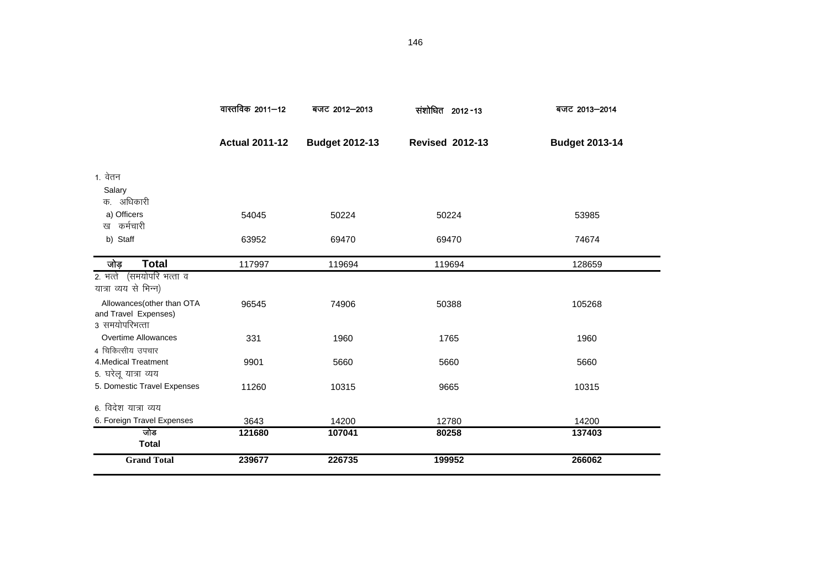|                                                                     | वास्तविक 2011–12      | बजट 2012-2013         | संशोधित 2012-13        | बजट 2013-2014         |
|---------------------------------------------------------------------|-----------------------|-----------------------|------------------------|-----------------------|
|                                                                     | <b>Actual 2011-12</b> | <b>Budget 2012-13</b> | <b>Revised 2012-13</b> | <b>Budget 2013-14</b> |
| 1. वेतन                                                             |                       |                       |                        |                       |
| Salary                                                              |                       |                       |                        |                       |
| क. अधिकारी                                                          |                       |                       |                        |                       |
| a) Officers                                                         | 54045                 | 50224                 | 50224                  | 53985                 |
| कर्मचारी<br>ख                                                       |                       |                       |                        |                       |
| b) Staff                                                            | 63952                 | 69470                 | 69470                  | 74674                 |
| <b>Total</b><br>जोड़                                                | 117997                | 119694                | 119694                 | 128659                |
| 2. भत्ते (समयोपरि भत्ता व<br>यात्रा व्यय से भिन्न)                  |                       |                       |                        |                       |
| Allowances(other than OTA<br>and Travel Expenses)<br>3 समयोपरिभत्ता | 96545                 | 74906                 | 50388                  | 105268                |
| Overtime Allowances                                                 | 331                   | 1960                  | 1765                   | 1960                  |
| 4 चिकित्सीय उपचार                                                   |                       |                       |                        |                       |
| 4. Medical Treatment                                                | 9901                  | 5660                  | 5660                   | 5660                  |
| 5. घरेलू यात्रा व्यय                                                |                       |                       |                        |                       |
| 5. Domestic Travel Expenses                                         | 11260                 | 10315                 | 9665                   | 10315                 |
| 6. विदेश यात्रा व्यय                                                |                       |                       |                        |                       |
| 6. Foreign Travel Expenses                                          | 3643                  | 14200                 | 12780                  | 14200                 |
| जोड<br><b>Total</b>                                                 | 121680                | 107041                | 80258                  | 137403                |
| <b>Grand Total</b>                                                  | 239677                | 226735                | 199952                 | 266062                |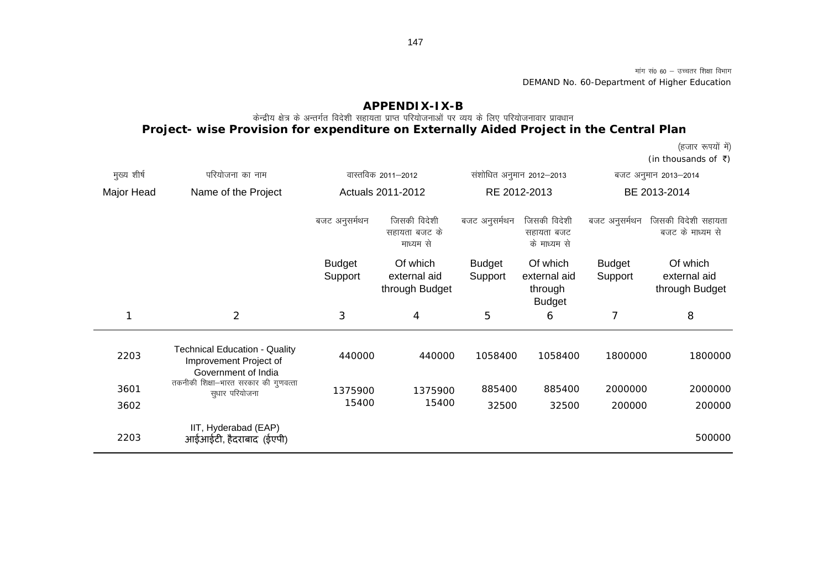मांग सं0 60 – उच्चतर शिक्षा विभाग DEMAND No. 60-Department of Higher Education

### **APPENDIX-IX-B**

### .<br>केन्द्रीय क्षेत्र के अन्तर्गत विदेशी सहायता प्राप्त परियोजनाओं पर व्यय के लिए परियोजनावार प्रावधान **Project- wise Provision for expenditure on Externally Aided Project in the Central Plan**

(हजार रूपयों में)

(in thousands of  $\bar{\tau}$ )

| मुख्य शीर्ष | परियोजना का नाम                                                                       |                          | वास्तविक 2011–2012                         |                          | संशोधित अनुमान 2012-2013                             |                          | बजट अनुमान 2013–2014                       |
|-------------|---------------------------------------------------------------------------------------|--------------------------|--------------------------------------------|--------------------------|------------------------------------------------------|--------------------------|--------------------------------------------|
| Major Head  | Name of the Project                                                                   |                          | Actuals 2011-2012                          | RE 2012-2013             |                                                      | BE 2013-2014             |                                            |
|             |                                                                                       | बजट अनुसर्मथन            | जिसकी विदेशी<br>सहायता बजट के<br>माध्यम से | बजट अनुसर्मथन            | जिसकी विदेशी<br>सहायता बजट<br>के माध्यम से           | बजट अनुसर्मथन            | जिसकी विदेशी सहायता<br>बजट के माध्यम से    |
|             |                                                                                       | <b>Budget</b><br>Support | Of which<br>external aid<br>through Budget | <b>Budget</b><br>Support | Of which<br>external aid<br>through<br><b>Budget</b> | <b>Budget</b><br>Support | Of which<br>external aid<br>through Budget |
|             | 2                                                                                     | 3                        | 4                                          | 5                        | 6                                                    | 7                        | 8                                          |
| 2203        | <b>Technical Education - Quality</b><br>Improvement Project of<br>Government of India | 440000                   | 440000                                     | 1058400                  | 1058400                                              | 1800000                  | 1800000                                    |
| 3601        | तकनीकी शिक्षा-भारत सरकार की गुणवत्ता<br>सुधार परियोजना                                | 1375900                  | 1375900                                    | 885400                   | 885400                                               | 2000000                  | 2000000                                    |
| 3602        |                                                                                       | 15400                    | 15400                                      | 32500                    | 32500                                                | 200000                   | 200000                                     |
| 2203        | IIT, Hyderabad (EAP)<br>आईआईटी, हैदराबाद (ईएपी)                                       |                          |                                            |                          |                                                      |                          | 500000                                     |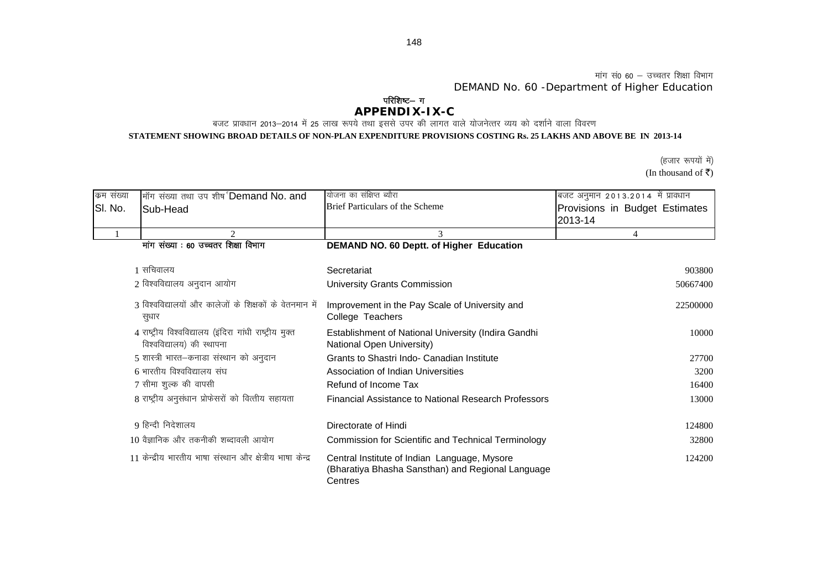मांग सं0 60  $-$  उच्चतर शिक्षा विभाग DEMAND No. 60 -Department of Higher Education

### **APPENDIX-IX-C** परिशिष्ट– ग

बजट प्रावधान 2013—2014 में 25 लाख रूपये तथा इससे उपर की लागत वाले योजनेत्तर व्यय को दर्शाने वाला विवरण

**STATEMENT SHOWING BROAD DETAILS OF NON-PLAN EXPENDITURE PROVISIONS COSTING Rs. 25 LAKHS AND ABOVE BE IN 2013-14**

(In thousand of  $\overline{\xi}$ ) (हजार रूपयों में)

| कम संख्या | मॉंग संख्या तथा उप शीर्ष Demand No. and                                              | योजना का संक्षिप्त ब्यौरा                                                                                    | बजट अनुमान 2013.2014 में प्रावधान |
|-----------|--------------------------------------------------------------------------------------|--------------------------------------------------------------------------------------------------------------|-----------------------------------|
| SI. No.   | Sub-Head                                                                             | Brief Particulars of the Scheme                                                                              | Provisions in Budget Estimates    |
|           |                                                                                      |                                                                                                              | 2013-14                           |
|           |                                                                                      | 3                                                                                                            |                                   |
|           | मांग संख्या : 60 उच्चतर शिक्षा विभाग                                                 | DEMAND NO. 60 Deptt. of Higher Education                                                                     |                                   |
|           | 1 सचिवालय                                                                            | Secretariat                                                                                                  | 903800                            |
|           | 2 विश्वविद्यालय अनुदान आयोग                                                          | University Grants Commission                                                                                 | 50667400                          |
|           | 3 विश्वविद्यालयों और कालेजों के शिक्षकों के वेतनमान में<br>सुधार                     | Improvement in the Pay Scale of University and<br>College Teachers                                           | 22500000                          |
|           | 4 राष्ट्रीय विश्वविद्यालय (इंदिरा गांधी राष्ट्रीय मुक्त<br>विश्वविद्यालय) की स्थापना | Establishment of National University (Indira Gandhi<br>National Open University)                             | 10000                             |
|           | 5 शास्त्री भारत-कनाडा संस्थान को अनुदान                                              | Grants to Shastri Indo- Canadian Institute                                                                   | 27700                             |
|           | 6 भारतीय विश्वविद्यालय संघ                                                           | Association of Indian Universities                                                                           | 3200                              |
|           | 7 सीमा शुल्क की वापसी                                                                | Refund of Income Tax                                                                                         | 16400                             |
|           | 8 राष्ट्रीय अनुसंधान प्रोफेसरों को वित्तीय सहायता                                    | Financial Assistance to National Research Professors                                                         | 13000                             |
|           | 9 हिन्दी निदेशालय                                                                    | Directorate of Hindi                                                                                         | 124800                            |
|           | 10 वैज्ञानिक और तकनीकी शब्दावली आयोग                                                 | <b>Commission for Scientific and Technical Terminology</b>                                                   | 32800                             |
|           | 11 केन्द्रीय भारतीय भाषा संस्थान और क्षेत्रीय भाषा केन्द्र                           | Central Institute of Indian Language, Mysore<br>(Bharatiya Bhasha Sansthan) and Regional Language<br>Centres | 124200                            |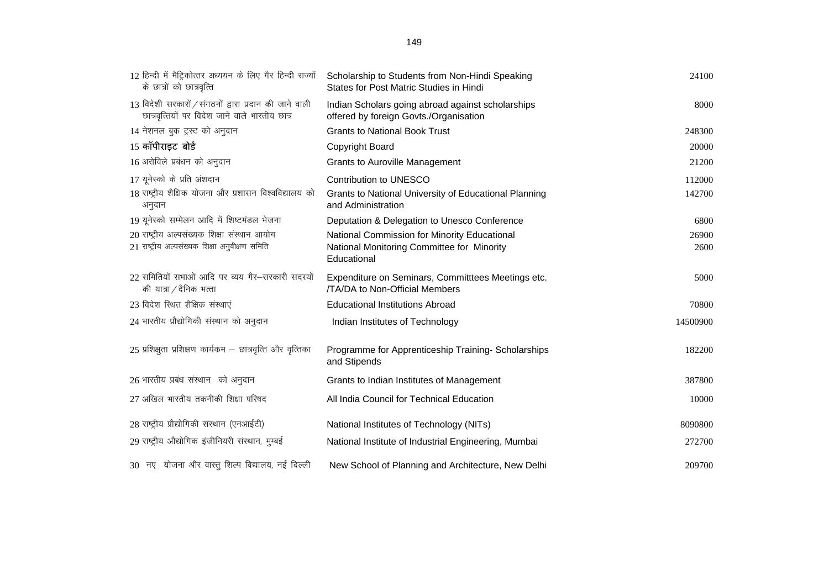| 12 हिन्दी में मैट्रिकोत्तर अध्ययन के लिए गैर हिन्दी राज्यों<br>के छात्रों को छात्रवृत्ति                   | Scholarship to Students from Non-Hindi Speaking<br>States for Post Matric Studies in Hindi  | 24100    |
|------------------------------------------------------------------------------------------------------------|---------------------------------------------------------------------------------------------|----------|
| $13$ विदेशी सरकारों / संगठनों द्वारा प्रदान की जाने वाली<br>छात्रवृत्तियों पर विदेश जाने वाले भारतीय छात्र | Indian Scholars going abroad against scholarships<br>offered by foreign Govts./Organisation | 8000     |
| 14 नेशनल बुक ट्रस्ट को अनुदान                                                                              | <b>Grants to National Book Trust</b>                                                        | 248300   |
| 15 कॉपीराइट बोर्ड                                                                                          | Copyright Board                                                                             | 20000    |
| 16 अरोविले प्रबंधन को अनुदान                                                                               | <b>Grants to Auroville Management</b>                                                       | 21200    |
| 17 यूनेस्को के प्रति अंशदान                                                                                | Contribution to UNESCO                                                                      | 112000   |
| 18 राष्ट्रीय शैक्षिक योजना और प्रशासन विश्वविद्यालय को<br>अनुदान                                           | Grants to National University of Educational Planning<br>and Administration                 | 142700   |
| 19 यूनेस्को सम्मेलन आदि में शिष्टमंडल भेजना                                                                | Deputation & Delegation to Unesco Conference                                                | 6800     |
| 20 राष्ट्रीय अल्पसंख्यक शिक्षा संस्थान आयोग                                                                | National Commission for Minority Educational                                                | 26900    |
| 21 राष्ट्रीय अल्पसंख्यक शिक्षा अनुवीक्षण समिति                                                             | National Monitoring Committee for Minority<br>Educational                                   | 2600     |
| 22 समितियों सभाओं आदि पर व्यय गैर-सरकारी सदस्यों<br>की यात्रा / दैनिक भत्ता                                | Expenditure on Seminars, Committees Meetings etc.<br>/TA/DA to Non-Official Members         | 5000     |
| 23 विदेश स्थित शैक्षिक संस्थाएं                                                                            | <b>Educational Institutions Abroad</b>                                                      | 70800    |
| 24 भारतीय प्रौद्योगिकी संस्थान को अनुदान                                                                   | Indian Institutes of Technology                                                             | 14500900 |
| 25 प्रशिक्षुता प्रशिक्षण कार्यक्रम – छात्रवृत्ति और वृत्तिका                                               | Programme for Apprenticeship Training-Scholarships<br>and Stipends                          | 182200   |
| 26 भारतीय प्रबंध संस्थान को अनुदान                                                                         | Grants to Indian Institutes of Management                                                   | 387800   |
| 27 अखिल भारतीय तकनीकी शिक्षा परिषद                                                                         | All India Council for Technical Education                                                   | 10000    |
| 28 राष्ट्रीय प्रौद्योगिकी संस्थान (एनआईटी)                                                                 | National Institutes of Technology (NITs)                                                    | 8090800  |
| 29 राष्ट्रीय औद्योगिक इंजीनियरी संस्थान, मुम्बई                                                            | National Institute of Industrial Engineering, Mumbai                                        | 272700   |
| 30 नए योजना और वास्त् शिल्प विद्यालय, नई दिल्ली                                                            | New School of Planning and Architecture, New Delhi                                          | 209700   |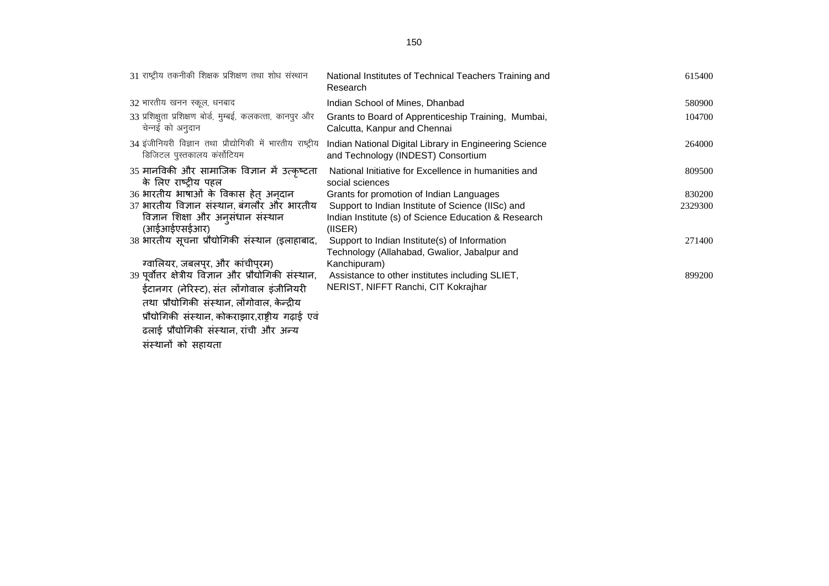| 31 राष्ट्रीय तकनीकी शिक्षक प्रशिक्षण तथा शोध संस्थान                                                 | National Institutes of Technical Teachers Training and<br>Research                                                   | 615400  |
|------------------------------------------------------------------------------------------------------|----------------------------------------------------------------------------------------------------------------------|---------|
| 32 भारतीय खनन स्कूल, धनबाद                                                                           | Indian School of Mines, Dhanbad                                                                                      | 580900  |
| 33 प्रशिक्षुता प्रशिक्षण बोर्ड, मुम्बई, कलकत्ता, कानपुर और<br>चेन्नई को अनुदान                       | Grants to Board of Apprenticeship Training, Mumbai,<br>Calcutta, Kanpur and Chennai                                  | 104700  |
| 34 इंजीनियरी विज्ञान तथा प्रौद्योगिकी में भारतीय राष्ट्रीय<br>डिजिटल पुस्तकालय कंर्सोटियम            | Indian National Digital Library in Engineering Science<br>and Technology (INDEST) Consortium                         | 264000  |
| 35 मानविकी और सामाजिक विज्ञान में उत्कृष्टता<br>के लिए राष्टीय पहल                                   | National Initiative for Excellence in humanities and<br>social sciences                                              | 809500  |
| 36 भारतीय भाषाओं के विकास हेत् अन्दान                                                                | Grants for promotion of Indian Languages                                                                             | 830200  |
| 37 भारतीय विज्ञान संस्थान, बंगलौर और भारतीय<br>विज्ञान शिक्षा और अनुसंधान संस्थान<br>(आईआईएसईआर)     | Support to Indian Institute of Science (IISc) and<br>Indian Institute (s) of Science Education & Research<br>(IISER) | 2329300 |
| 38 भारतीय सूचना प्रौद्योगिकी संस्थान (इलाहाबाद,                                                      | Support to Indian Institute(s) of Information<br>Technology (Allahabad, Gwalior, Jabalpur and                        | 271400  |
| ग्वालियर, जबलपुर, और कांचीपुरम)                                                                      | Kanchipuram)                                                                                                         |         |
| 39 पूर्वोत्तर क्षेत्रीय विज्ञान और प्रौद्योगिकी संस्थान,<br>ईटानगर (नेरिस्ट), संत लोंगोवाल इंजीनियरी | Assistance to other institutes including SLIET,<br>NERIST, NIFFT Ranchi, CIT Kokrajhar                               | 899200  |
| तथा प्रौद्योगिकी संस्थान, लोंगोवाल, केन्द्रीय                                                        |                                                                                                                      |         |
| प्रौद्योगिकी संस्थान, कोकराझार,राष्ट्रीय गढ़ाई एवं                                                   |                                                                                                                      |         |
| ढलाई प्रौद्योगिकी संस्थान, रांची और अन्य                                                             |                                                                                                                      |         |

संस्थानों को सहायता

150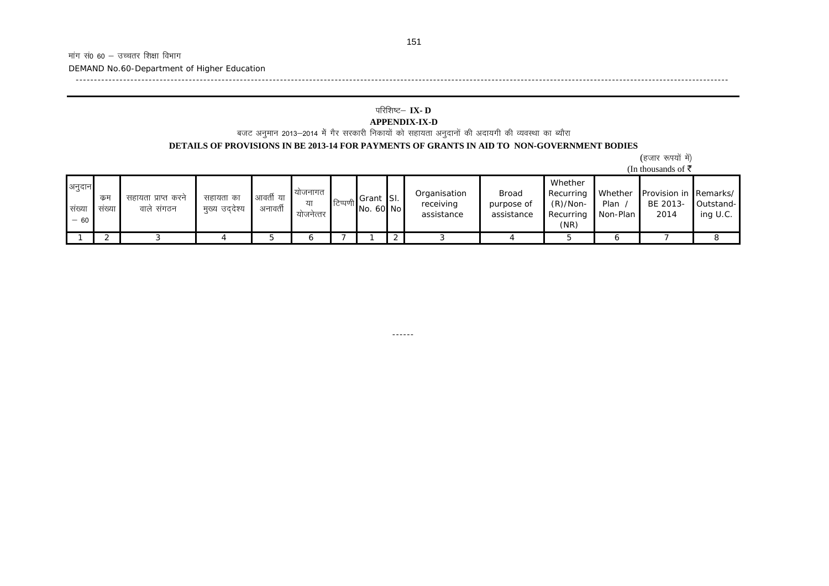-----------------------------------------------------------------------------------------------------------------------------------------------------------------------------------

DEMAND No.60-Department of Higher Education

# परिशिष्ट— **IX- D**

**APPENDIX-IX-D**<br>बजट अनुमान 2013–2014 में गैर सरकारी निकायों को सहायता अनुदानों की अदायगी की व्यवस्था का ब्यौरा

#### **DETAILS OF PROVISIONS IN BE 2013-14 FOR PAYMENTS OF GRANTS IN AID TO NON-GOVERNMENT BODIES**

|                               | (हजार रूपयों में) |
|-------------------------------|-------------------|
| (In thousands of $\bar{\tau}$ |                   |

| Whether<br>अनुदान<br>याजनागत<br>Provision in Remarks/<br>Whether<br>Organisation<br>Broad<br>Recurring<br>आवर्ती या<br>Grant SI.<br>कम<br>सहायता का<br>सहायता प्राप्त करने<br>'टिप्पणी।<br>या<br>$(R)/Non-$<br>BE 2013-<br>receiving<br>Plan<br>purpose of<br>No. 60 No<br>वाले संगठन<br>अनावती<br>संख्या<br>मुख्य उददेश्य<br>सख्या |                         |
|-------------------------------------------------------------------------------------------------------------------------------------------------------------------------------------------------------------------------------------------------------------------------------------------------------------------------------------|-------------------------|
| 2014<br>Non-Plan<br>assistance<br>assistance<br>Recurring<br>योजनेत्तर<br>$-60$<br>(NR)                                                                                                                                                                                                                                             | Outstand-<br>ing $U.C.$ |
| o                                                                                                                                                                                                                                                                                                                                   |                         |

------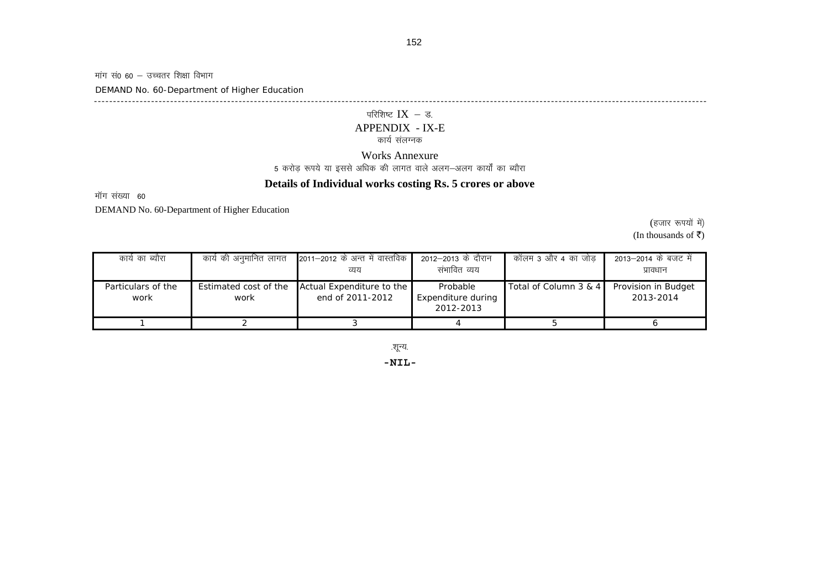मांग सं0 60 — उच्चतर शिक्षा विभाग

DEMAND No. 60-Department of Higher Education

-----------------------------------------------------------------------------------------------------------------------------------------------------------------

# परिशिष्ट  $\text{IX}$  – ड.

# APPENDIX - IX-E

### कार्य संलग्नक

#### Works Annexure

5 करोड़ रूपये या इससे अधिक की लागत वाले अलग—अलग कार्यों का ब्यौरा

### **Details of Individual works costing Rs. 5 crores or above**

मॉग संख्या 60

DEMAND No. 60-Department of Higher Education

(हजार रूपयों में)

(In thousands of  $\bar{z}$ )

| कार्य का ब्यौरा            | कार्य की अनुमानित लागत        | 2011–2012 के अन्त में वास्तविक  <br>व्यय      | 2012–2013 के दौरान<br>संभावित व्यय          | कॉलम 3 और 4 का जोड़   | 2013—2014 के बजट में<br>प्रावधान |
|----------------------------|-------------------------------|-----------------------------------------------|---------------------------------------------|-----------------------|----------------------------------|
| Particulars of the<br>work | Estimated cost of the<br>work | Actual Expenditure to the<br>end of 2011-2012 | Probable<br>Expenditure during<br>2012-2013 | Total of Column 3 & 4 | Provision in Budget<br>2013-2014 |
|                            |                               |                                               |                                             |                       |                                  |

.शून्य.

**-NIL-**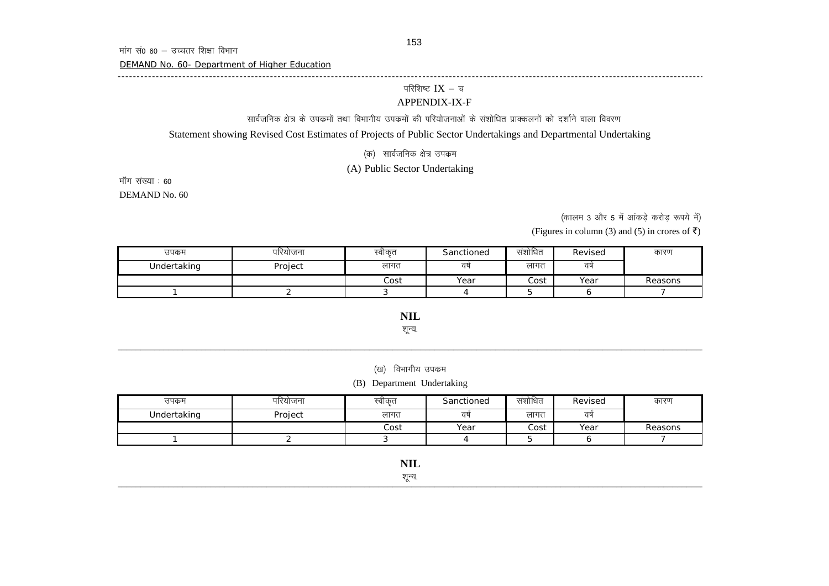DEMAND No. 60- Department of Higher Education

#### परिशिष्ट $IX - \overline{v}$

#### APPENDIX-IX-F

सार्वजनिक क्षेत्र के उपक्रमों तथा विभागीय उपक्रमों की परियोजनाओं के संशोधित प्राक्कलनों को दर्शाने वाला विवरण

Statement showing Revised Cost Estimates of Projects of Public Sector Undertakings and Departmental Undertaking

----------------------------------------------------------------------------------------------------------------------------------------------------------

(क) सार्वजनिक क्षेत्र उपक्रम

### (A) Public Sector Undertaking

DEMAND No. 60 मॉग संख्या : 60

(कालम 3 और 5 में आंकड़े करोड़ रूपये में)

(Figures in column (3) and (5) in crores of  $\bar{z}$ )

| उपक्रम      | परियोजना | स्वीकृत | Sanctioned | संशोधित | Revised | कारण    |
|-------------|----------|---------|------------|---------|---------|---------|
| Undertaking | Project  | लागत    | वर्ष       | लागत    | वर्ष    |         |
|             |          | Cost    | Year       | Cost    | Year    | Reasons |
|             |          |         |            |         |         |         |

**NIL** शून्य.

(ख) विभागीय उपक्रम

(B) Department Undertaking

| उपक्रम      | पारयोजन। | स्वीकृत | Sanctioned | सशोधित | Revised | कारण    |
|-------------|----------|---------|------------|--------|---------|---------|
| Undertaking | Project  | लागत    | वर्ष       | लागत   | वर्ष    |         |
|             |          | Cost    | Year       | Cost   | Year    | Reasons |
|             |          |         |            |        |         |         |

शून्य.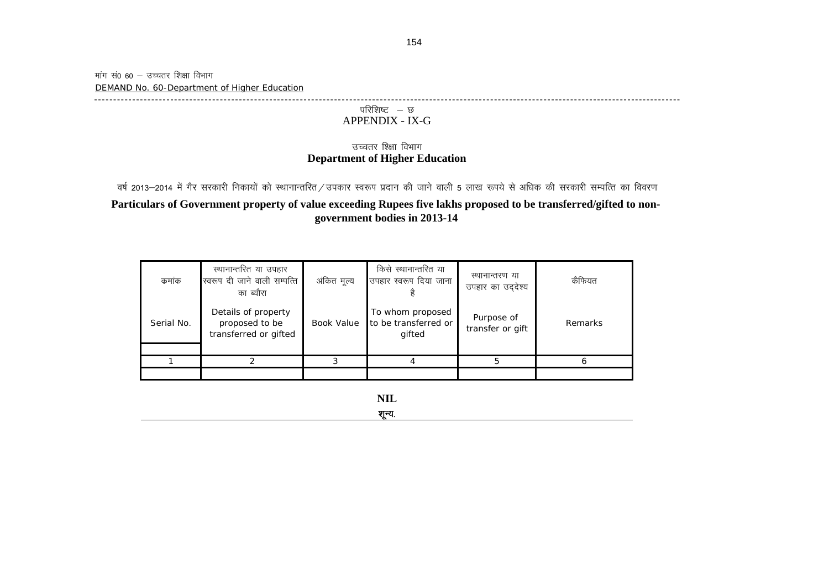मांग सं0 60  $-$  उच्चतर शिक्षा विभाग DEMAND No. 60-Department of Higher Education

 $-1\leq i\leq n-1$ 

### परिशिष्ट $-$  छ APPENDIX - IX-G

### **Department of Higher Education** उच्चतर श्क्षिा विभाग

**Particulars of Government property of value exceeding Rupees five lakhs proposed to be transferred/gifted to nongovernment bodies in 2013-14** वर्ष 2013–2014 में गैर सरकारी निकायों को स्थानान्तरित/उपकार स्वरूप प्रदान की जाने वाली 5 लाख रूपये से अधिक की सरकारी सम्पत्ति का विवरण

| कमांक      | स्थानान्तरित या उपहार<br>स्वरूप दी जाने वाली सम्पत्ति<br>का ब्यौरा | अंकित मूल्य | किसे स्थानान्तरित या<br>उपहार स्वरूप दिया जाना     | स्थानान्तरण या<br>उपहार का उददेश्य | कैफियत  |
|------------|--------------------------------------------------------------------|-------------|----------------------------------------------------|------------------------------------|---------|
| Serial No. | Details of property<br>proposed to be<br>transferred or gifted     | Book Value  | To whom proposed<br>to be transferred or<br>gifted | Purpose of<br>transfer or gift     | Remarks |
|            |                                                                    |             |                                                    | 5                                  |         |
|            |                                                                    |             |                                                    |                                    |         |

**NIL**

शून्य.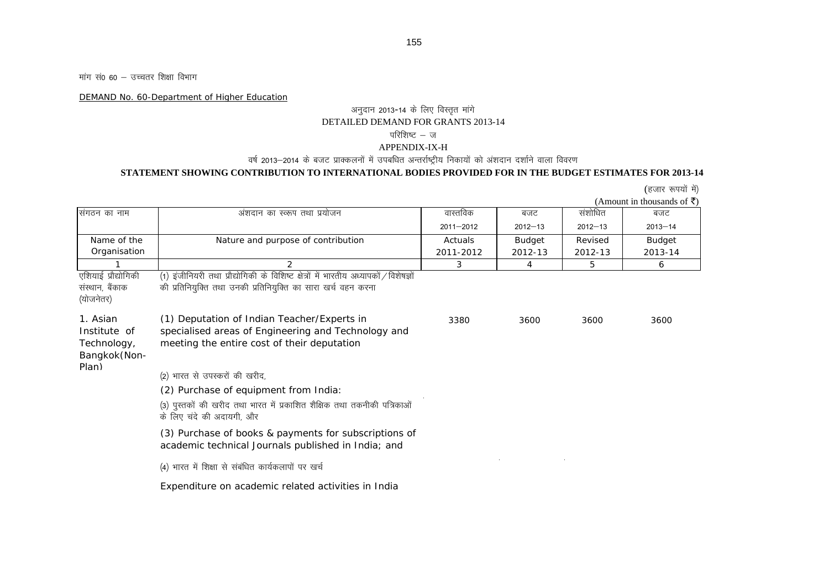मांग सं0 60 – उच्चतर शिक्षा विभाग

DEMAND No. 60-Department of Higher Education

### अनुदान 2013-14 के लिए विस्तृत मांगे DETAILED DEMAND FOR GRANTS 2013-14 परिशिष्ट – ज

#### APPENDIX-IX-H

### वर्ष 2013–2014 के बजट प्राक्कलनों में उपबधित अन्तर्राष्ट्रीय निकायों को अंशदान दर्शाने वाला विवरण

#### **STATEMENT SHOWING CONTRIBUTION TO INTERNATIONAL BODIES PROVIDED FOR IN THE BUDGET ESTIMATES FOR 2013-14**

(हजार रूपयों में)

(Amount in thousands of  $\bar{z}$ )

| संगठन का नाम                                                     | अंशदान का स्व्रूप तथा प्रयोजन                                                                                                                             | वास्तविक      | बजट           | संशोधित     | बजट         |
|------------------------------------------------------------------|-----------------------------------------------------------------------------------------------------------------------------------------------------------|---------------|---------------|-------------|-------------|
|                                                                  |                                                                                                                                                           | $2011 - 2012$ | $2012 - 13$   | $2012 - 13$ | $2013 - 14$ |
| Name of the                                                      | Nature and purpose of contribution                                                                                                                        | Actuals       | <b>Budget</b> | Revised     | Budget      |
| Organisation                                                     |                                                                                                                                                           | 2011-2012     | 2012-13       | 2012-13     | 2013-14     |
|                                                                  | $\mathcal{P}$                                                                                                                                             | 3             | 4             | 5           | 6           |
| एशियाई प्रौद्योगिकी<br>संस्थान, बैंकाक<br>(योजनेतर)              | इंजीनियरी तथा प्रौद्योगिकी के विशिष्ट क्षेत्रों में भारतीय अध्यापकों / विशेषज्ञों<br>(1)<br>की प्रतिनियुक्ति तथा उनकी प्रतिनियुक्ति का सारा खर्च वहन करना |               |               |             |             |
| 1. Asian<br>Institute of<br>Technology,<br>Bangkok(Non-<br>Plan) | (1) Deputation of Indian Teacher/Experts in<br>specialised areas of Engineering and Technology and<br>meeting the entire cost of their deputation         | 3380          | 3600          | 3600        | 3600        |
|                                                                  | (2) भारत से उपस्करों की खरीद,                                                                                                                             |               |               |             |             |
|                                                                  | (2) Purchase of equipment from India:                                                                                                                     |               |               |             |             |
|                                                                  | (3) पुस्तकों की खरीद तथा भारत में प्रकाशित शैक्षिक तथा तकनीकी पत्रिकाओं<br>के लिए चंदे की अदायगी, और                                                      |               |               |             |             |
|                                                                  | (3) Purchase of books & payments for subscriptions of<br>academic technical Journals published in India; and                                              |               |               |             |             |
|                                                                  | (4) भारत में शिक्षा से संबंधित कार्यकलापों पर खर्च                                                                                                        |               |               |             |             |
|                                                                  | Expenditure on academic related activities in India                                                                                                       |               |               |             |             |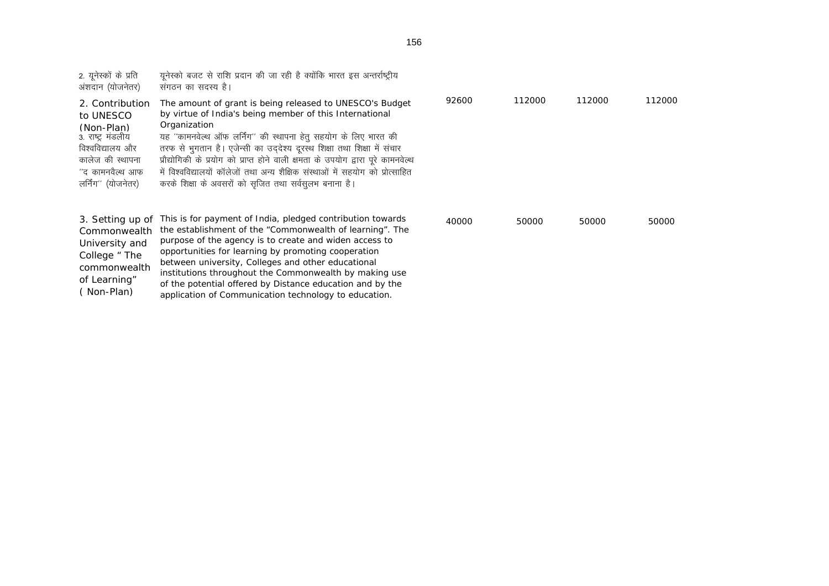| 2. यूनेस्कों के प्रति<br>अंशदान (योजनेतर)                                                                                                          | यूनेस्को बजट से राशि प्रदान की जा रही है क्योंकि भारत इस अन्तर्राष्ट्रीय<br>संगठन का सदस्य है।                                                                                                                                                                                                                                                                                                                                                                                                                    |       |        |        |        |
|----------------------------------------------------------------------------------------------------------------------------------------------------|-------------------------------------------------------------------------------------------------------------------------------------------------------------------------------------------------------------------------------------------------------------------------------------------------------------------------------------------------------------------------------------------------------------------------------------------------------------------------------------------------------------------|-------|--------|--------|--------|
| 2. Contribution<br>to UNESCO<br>(Non-Plan)<br>3. राष्ट्र मंडलीय<br>विश्वविद्यालय और<br>कालेज की स्थापना<br>''द कामनवैल्थ आफ<br>लर्निंग'' (योजनेतर) | The amount of grant is being released to UNESCO's Budget<br>by virtue of India's being member of this International<br>Organization<br>यह "कामनवेल्थ ऑफ लर्निंग" की स्थापना हेतु सहयोग के लिए भारत की<br>तरफ से भुगतान है। एजेन्सी का उद्देश्य दूरस्थ शिक्षा तथा शिक्षा में संचार<br>प्रौद्योगिकी के प्रयोग को प्राप्त होने वाली क्षमता के उपयोग द्वारा पूरे कामनवेल्थ<br>में विश्वविद्यालयों कॉलेजों तथा अन्य शैक्षिक संस्थाओं में सहयोग को प्रोत्साहित<br>करके शिक्षा के अवसरों को सृजित तथा सर्वसुलभ बनाना है। | 92600 | 112000 | 112000 | 112000 |
| 3. Setting up of<br>Commonwealth<br>University and<br>College " The                                                                                | This is for payment of India, pledged contribution towards<br>the establishment of the "Commonwealth of learning". The<br>purpose of the agency is to create and widen access to<br>opportunities for learning by promoting cooperation                                                                                                                                                                                                                                                                           | 40000 | 50000  | 50000  | 50000  |

between university, Colleges and other educational institutions throughout the Commonwealth by making use of the potential offered by Distance education and by the application of Communication technology to education.

commonwealth of Learning" ( Non-Plan)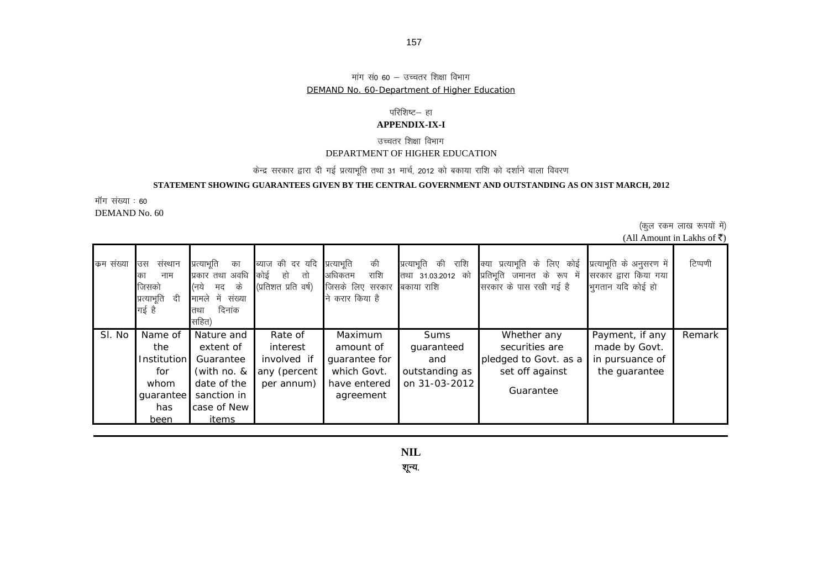#### मांग सं0 60 – उच्चतर शिक्षा विभाग DEMAND No. 60-Department of Higher Education

### परिशिष्ट– हा

#### **APPENDIX-IX-I**

### उच्चतर शिक्षा विभाग DEPARTMENT OF HIGHER EDUCATION

### केन्द्र सरकार द्वारा दी गई प्रत्याभूति तथा 31 मार्च, 2012 को बकाया राशि को दर्शाने वाला विवरण

### **STATEMENT SHOWING GUARANTEES GIVEN BY THE CENTRAL GOVERNMENT AND OUTSTANDING AS ON 31ST MARCH, 2012**

DEMAND No. 60 मॉग संख्या : 60

(कुल रकम लाख रूपयों में)

| (All Amount in Lakhs of ₹) |  |  |  |  |
|----------------------------|--|--|--|--|
|----------------------------|--|--|--|--|

| कम संख्या | संस्थान<br>उस<br>नाम<br>का<br>जिसको<br>प्रत्याभूति<br>दी<br>गई है | प्रत्याभूति<br>का<br>प्रकार तथा अवधि<br>के<br>(नये<br>मद<br>में संख्या<br>मामले<br>दिनांक<br>तथा<br>सहित) | ब्याज की दर यदि<br>कोई<br>हो<br>तो<br>(प्रतिशत प्रति वर्ष)       | की<br>प्रत्याभूति<br>राशि<br>अधिकतम<br>जिसके लिए सरकार बिकाया राशि<br>करार किया है<br>न्ने | प्रत्याभूति की<br>राशि<br>तथा 31.03.2012 को                  | क्या प्रत्याभूति के लिए कोई<br>प्रतिभूति जमानत के रूप में<br>सरकार के पास रखी गई है    | प्रत्याभूति के अनुसरण में<br>सरकार द्वारा किया गया<br>भुगतान यदि कोई हो | टिप्पणी |
|-----------|-------------------------------------------------------------------|-----------------------------------------------------------------------------------------------------------|------------------------------------------------------------------|--------------------------------------------------------------------------------------------|--------------------------------------------------------------|----------------------------------------------------------------------------------------|-------------------------------------------------------------------------|---------|
| SI. No    | Name of<br>the<br>Institution<br>for<br>whom<br>guarantee<br>has  | Nature and<br>extent of<br>Guarantee<br>(with no. &<br>date of the<br>sanction in<br>case of New          | Rate of<br>interest<br>involved if<br>any (percent<br>per annum) | Maximum<br>amount of<br>guarantee for<br>which Govt.<br>have entered<br>agreement          | Sums<br>guaranteed<br>and<br>outstanding as<br>on 31-03-2012 | Whether any<br>securities are<br>pledged to Govt. as a<br>set off against<br>Guarantee | Payment, if any<br>made by Govt.<br>in pursuance of<br>the guarantee    | Remark  |
|           | been                                                              | items                                                                                                     |                                                                  |                                                                                            |                                                              |                                                                                        |                                                                         |         |

शून्य.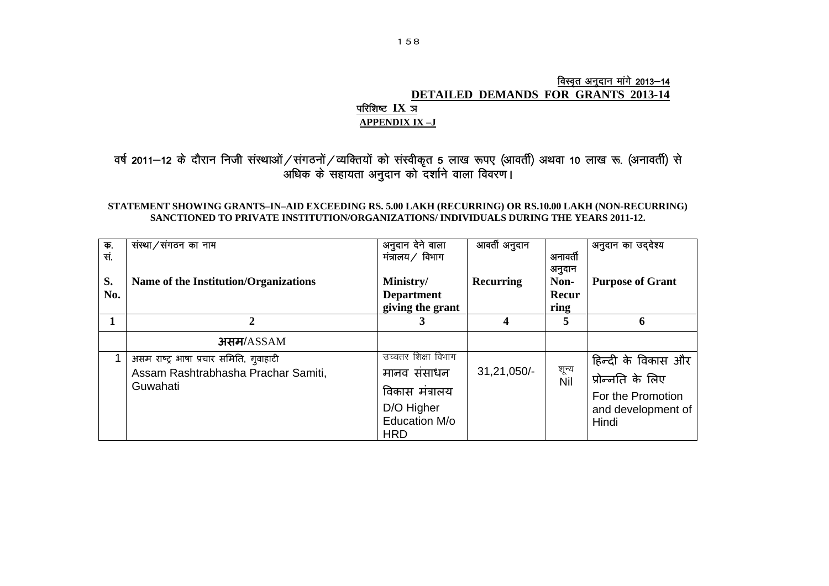### <u>विस्वृत अनुदान मांगे 2013–14</u> **DETAILED DEMANDS FOR GRANTS 2013-14** परिशिष्ट  $\mathbf{IX}$  ञ **APPENDIX IX –J**

### वर्ष 2011—12 के दौरान निजी संस्थाओं ⁄ संगठनों ⁄ व्यक्तियों को संस्वीकृत 5 लाख रूपए (आवर्ती) अथवा 10 लाख रू. (अनावर्ती) से अधिक के सहायता अनुदान को दर्शाने वाला विवरण।

### **STATEMENT SHOWING GRANTS–IN–AID EXCEEDING RS. 5.00 LAKH (RECURRING) OR RS.10.00 LAKH (NON-RECURRING) SANCTIONED TO PRIVATE INSTITUTION/ORGANIZATIONS/ INDIVIDUALS DURING THE YEARS 2011-12.**

| क.<br>सं.<br>S.<br>No. | संस्था/संगठन का नाम<br>Name of the Institution/Organizations                               | अनुदान देने वाला<br>मंत्रालय ∕ विभाग<br>Ministry/<br><b>Department</b><br>giving the grant        | आवर्ती अनुदान<br><b>Recurring</b> | अनावती<br>अनुदान<br>Non-<br>Recur<br>ring | अनुदान का उद्देश्य<br><b>Purpose of Grant</b>                                                |
|------------------------|--------------------------------------------------------------------------------------------|---------------------------------------------------------------------------------------------------|-----------------------------------|-------------------------------------------|----------------------------------------------------------------------------------------------|
|                        |                                                                                            |                                                                                                   |                                   | 5                                         | 6                                                                                            |
|                        | असम/ASSAM                                                                                  |                                                                                                   |                                   |                                           |                                                                                              |
|                        | असम राष्ट्र भाषा प्रचार समिति, गुवाहाटी<br>Assam Rashtrabhasha Prachar Samiti,<br>Guwahati | उच्चतर शिक्षा विभाग<br>मानव संसाधन<br>विकास मंत्रालय<br>D/O Higher<br>Education M/o<br><b>HRD</b> | $31,21,050/-$                     | शून्य<br>Nil                              | हिन्दी के विकास और  <br>प्रोन्नति के लिए<br>For the Promotion<br>and development of<br>Hindi |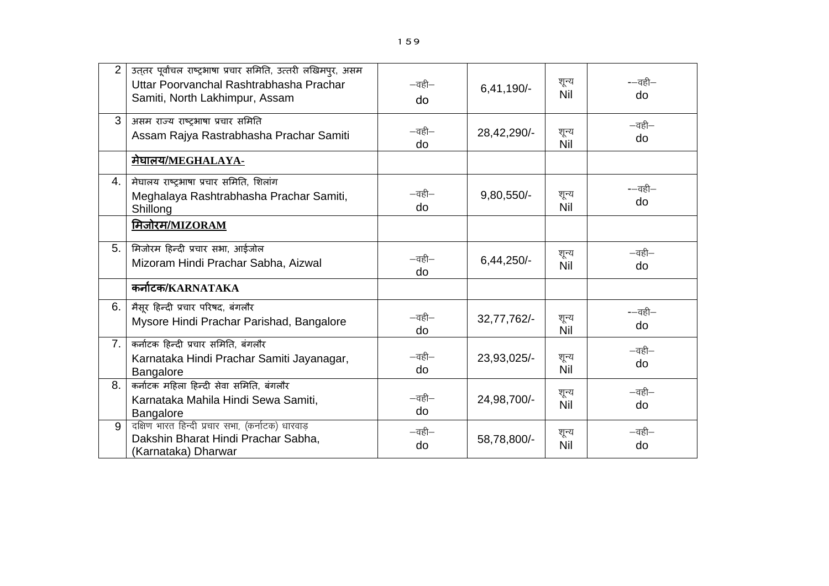| $\overline{2}$ | उत्तर पूर्वांचल राष्ट्रभाषा प्रचार समिति, उत्तरी लखिमपुर, असम<br>Uttar Poorvanchal Rashtrabhasha Prachar<br>Samiti, North Lakhimpur, Assam | $-\overline{a}$ ही $-$<br>do | $6,41,190/-$ | शून्य<br>Nil | -—वही—<br>do                 |
|----------------|--------------------------------------------------------------------------------------------------------------------------------------------|------------------------------|--------------|--------------|------------------------------|
| $\mathcal{S}$  | असम राज्य राष्ट्रभाषा प्रचार समिति<br>Assam Rajya Rastrabhasha Prachar Samiti                                                              | $-\overline{a}$ ही $-$<br>do | 28,42,290/-  | शून्य<br>Nil | $-\overline{a}$ ही $-$<br>do |
|                | <u> मेघालय/MEGHALAYA-</u>                                                                                                                  |                              |              |              |                              |
| 4.             | मेघालय राष्ट्रभाषा प्रचार समिति, शिलांग<br>Meghalaya Rashtrabhasha Prachar Samiti,<br>Shillong                                             | $-\overline{a}$ ही $-$<br>do | 9,80,550/-   | शून्य<br>Nil | --वही-<br>do                 |
|                | मिजोरम/MIZORAM                                                                                                                             |                              |              |              |                              |
| 5.             | मिजोरम हिन्दी प्रचार सभा, आईजोल<br>Mizoram Hindi Prachar Sabha, Aizwal                                                                     | $-\overline{a}$ ही $-$<br>do | $6,44,250/-$ | शून्य<br>Nil | $-\overline{a}$ ही $-$<br>do |
|                | कर्नाटक/KARNATAKA                                                                                                                          |                              |              |              |                              |
| 6.             | मैसूर हिन्दी प्रचार परिषद, बंगलौर<br>Mysore Hindi Prachar Parishad, Bangalore                                                              | $-\overline{a}$ ही $-$<br>do | 32,77,762/-  | शून्य<br>Nil | --वही-<br>do                 |
| 7.             | कर्नाटक हिन्दी प्रचार समिति, बंगलौर<br>Karnataka Hindi Prachar Samiti Jayanagar,<br>Bangalore                                              | $-\overline{a}$ ही $-$<br>do | 23,93,025/-  | शून्य<br>Nil | $-\overline{a}$ ही $-$<br>do |
| 8.             | कर्नाटक महिला हिन्दी सेवा समिति, बंगलौर<br>Karnataka Mahila Hindi Sewa Samiti,<br><b>Bangalore</b>                                         | $-\overline{a}$ ही $-$<br>do | 24,98,700/-  | शून्य<br>Nil | $-\overline{a}$ ही $-$<br>do |
| 9              | दक्षिण भारत हिन्दी प्रचार सभा, (कर्नाटक) धारवाड़<br>Dakshin Bharat Hindi Prachar Sabha,<br>(Karnataka) Dharwar                             | $-\overline{a}$ ही $-$<br>do | 58,78,800/-  | शून्य<br>Nil | $-\overline{a}$ ही $-$<br>do |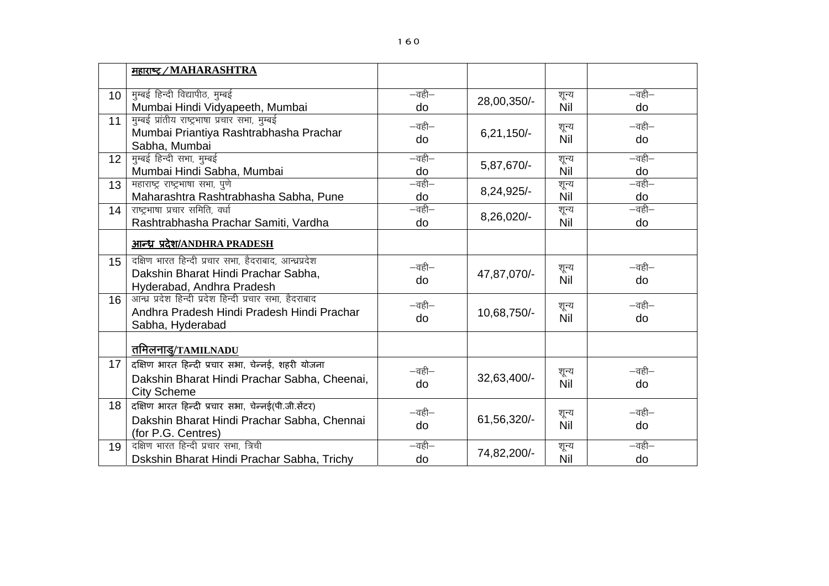|                 | महाराष्ट्र / MAHARASHTRA                                                                                                  |                                         |              |                     |                              |
|-----------------|---------------------------------------------------------------------------------------------------------------------------|-----------------------------------------|--------------|---------------------|------------------------------|
| 10 <sup>°</sup> | मुम्बई हिन्दी विद्यापीठ, मुम्बई<br>Mumbai Hindi Vidyapeeth, Mumbai                                                        | $-\overline{a}$ ही $-$<br>do            | 28,00,350/-  | शून्य<br>Nil        | $-\overline{a}$ ही $-$<br>do |
| 11              | मुम्बई प्रांतीय राष्ट्रभाषा प्रचार सभा, मुम्बई<br>Mumbai Priantiya Rashtrabhasha Prachar<br>Sabha, Mumbai                 | $-\overline{a}$ ही $-$<br>do            | $6,21,150/-$ | शून्य<br>Nil        | $-\overline{a}$ ही $-$<br>do |
| 12 <sup>2</sup> | मुम्बई हिन्दी सभा, मुम्बई<br>Mumbai Hindi Sabha, Mumbai                                                                   | $-\overline{a}$ ही $-$<br>do            | 5,87,670/-   | शून्य<br><b>Nil</b> | $-\overline{a}$ ही $-$<br>do |
| 13              | महाराष्ट्र राष्ट्रभाषा सभा, पुणे<br>Maharashtra Rashtrabhasha Sabha, Pune                                                 | $-\overline{a}$ ही $-$<br>do            | 8,24,925/-   | शून्य<br><b>Nil</b> | $-\overline{a}$ ही $-$<br>do |
| 14              | राष्ट्रभाषा प्रचार समिति, वर्धा<br>Rashtrabhasha Prachar Samiti, Vardha                                                   | $-\overline{a}$ ही $-$<br>do            | 8,26,020/-   | शून्य<br>Nil        | $-\overline{a}$ ही $-$<br>do |
|                 | <u>आन्ध्र प्रदेश/ANDHRA PRADESH</u>                                                                                       |                                         |              |                     |                              |
| 15              | दक्षिण भारत हिन्दी प्रचार सभा, हैदराबाद, आन्ध्रप्रदेश<br>Dakshin Bharat Hindi Prachar Sabha,<br>Hyderabad, Andhra Pradesh | $-\overline{a}$ ही $-$<br>do            | 47,87,070/-  | शून्य<br>Nil        | $-\overline{a}$ ही $-$<br>do |
| 16              | आन्ध्र प्रदेश हिन्दी प्रदेश हिन्दी प्रचार सभा, हैदराबाद<br>Andhra Pradesh Hindi Pradesh Hindi Prachar<br>Sabha, Hyderabad | $-\overline{a}$ ही $-$<br>do            | 10,68,750/-  | शून्य<br><b>Nil</b> | $-\overline{a}$ ही $-$<br>do |
|                 | <u>तमिलनाडु/TAMILNADU</u>                                                                                                 |                                         |              |                     |                              |
| 17              | दक्षिण भारत हिन्दी प्रचार सभा, चेन्नई, शहरी योजना<br>Dakshin Bharat Hindi Prachar Sabha, Cheenai,<br><b>City Scheme</b>   | $-\overline{\mathfrak{q}}$ ही $-$<br>do | 32,63,400/-  | शून्य<br>Nil        | $-\overline{a}$ ही $-$<br>do |
| 18              | दक्षिण भारत हिन्दी प्रचार सभा, चेन्नई(पी.जी.सेंटर)<br>Dakshin Bharat Hindi Prachar Sabha, Chennai<br>(for P.G. Centres)   | $-\overline{a}$ ही $-$<br>do            | 61,56,320/-  | शून्य<br><b>Nil</b> | $-\overline{a}$ ही $-$<br>do |
| 19              | दक्षिण भारत हिन्दी प्रचार सभा, त्रिची<br>Dskshin Bharat Hindi Prachar Sabha, Trichy                                       | $-\overline{a}$ ही $-$<br>do            | 74,82,200/-  | शून्य<br>Nil        | $-\overline{a}$ ही $-$<br>do |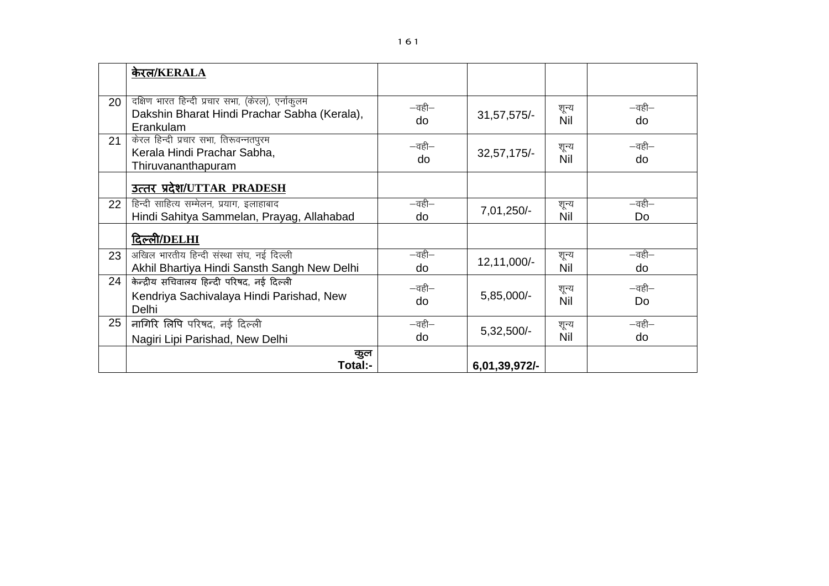|    | केरल/KERALA                                                                                                   |                              |               |              |                              |
|----|---------------------------------------------------------------------------------------------------------------|------------------------------|---------------|--------------|------------------------------|
| 20 | दक्षिण भारत हिन्दी प्रचार सभा, (केरल), एर्नाकुलम<br>Dakshin Bharat Hindi Prachar Sabha (Kerala),<br>Erankulam | $-\overline{a}$ ही $-$<br>do | 31, 57, 575/- | शून्य<br>Nil | $-\overline{a}$ ही $-$<br>do |
| 21 | केरल हिन्दी प्रचार सभा, तिरूवन्नतपुरम<br>Kerala Hindi Prachar Sabha,<br>Thiruvananthapuram                    | $-\overline{a}$ ही $-$<br>do | $32,57,175/-$ | शून्य<br>Nil | $-\overline{a}$ ही $-$<br>do |
|    | उत्तर प्रदेश/UTTAR PRADESH                                                                                    |                              |               |              |                              |
| 22 | हिन्दी साहित्य सम्मेलन, प्रयाग, इलाहाबाद<br>Hindi Sahitya Sammelan, Prayag, Allahabad                         | $-\overline{a}$ ही $-$<br>do | 7,01,250/-    | शून्य<br>Nil | $-\overline{a}$ ही $-$<br>Do |
|    | दिल्ली/DELHI                                                                                                  |                              |               |              |                              |
| 23 | अखिल भारतीय हिन्दी संस्था संघ, नई दिल्ली<br>Akhil Bhartiya Hindi Sansth Sangh New Delhi                       | $-\overline{a}$ ही $-$<br>do | 12,11,000/-   | शून्य<br>Nil | $-\overline{a}$ ही $-$<br>do |
| 24 | केन्द्रीय सचिवालय हिन्दी परिषद, नई दिल्ली<br>Kendriya Sachivalaya Hindi Parishad, New<br>Delhi                | $-\overline{a}$ ही $-$<br>do | $5,85,000/-$  | शून्य<br>Nil | —वही—<br>Do                  |
| 25 | नागिरि लिपि परिषद, नई दिल्ली<br>Nagiri Lipi Parishad, New Delhi                                               | $-\overline{a}$ ही $-$<br>do | $5,32,500/-$  | शून्य<br>Nil | $-\overline{a}$ ही $-$<br>do |
|    | कुल<br>Total:-                                                                                                |                              | 6,01,39,972/- |              |                              |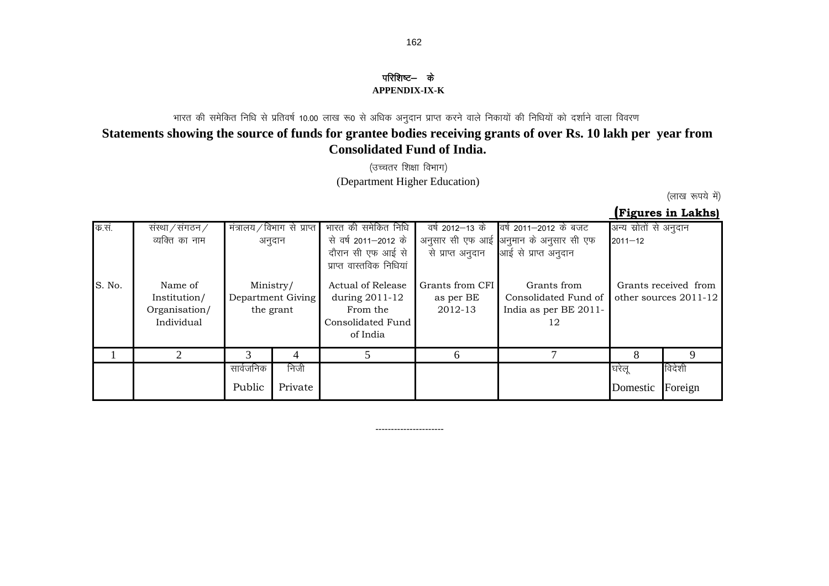# परिशिष्ट— के

#### **APPENDIX-IX-K**

## भारत की समेकित निधि से प्रतिवर्ष 10.00 लाख रू0 से अधिक अनुदान प्राप्त करने वाले निकायों की निधियों को दर्शाने वाला विवरण **Statements showing the source of funds for grantee bodies receiving grants of over Rs. 10 lakh per year from Consolidated Fund of India.**

(उच्चतर शिक्षा विभाग) (Department Higher Education)

(लाख रूपये में)

 **(Figures in Lakhs)**

| क सं   | संस्था / संगठन /<br>व्यक्ति का नाम                     |                     | मंत्रालय/विभाग से प्राप्त<br>अनुदान | भारत की समेकित निधि<br>से वर्ष 2011–2012 के<br>दौरान सी एफ आई से<br>प्राप्त वास्तविक निधियां | वर्ष 2012—13 के<br>से प्राप्त अनुदान    | वर्ष 2011–2012 के बजट<br>अनुसार सी एफ आई अनुमान के अनुसार सी एफ<br>आई से प्राप्त अनुदान | अन्य स्रोतों से अनुदान<br>$2011 - 12$ |                                               |
|--------|--------------------------------------------------------|---------------------|-------------------------------------|----------------------------------------------------------------------------------------------|-----------------------------------------|-----------------------------------------------------------------------------------------|---------------------------------------|-----------------------------------------------|
| S. No. | Name of<br>Institution/<br>Organisation/<br>Individual | Ministry/           | Department Giving<br>the grant      | Actual of Release<br>during 2011-12<br>From the<br>Consolidated Fund<br>of India             | Grants from CFI<br>as per BE<br>2012-13 | Grants from<br>Consolidated Fund of<br>India as per BE 2011-<br>12                      |                                       | Grants received from<br>other sources 2011-12 |
|        | $\mathcal{D}_{\mathcal{L}}$                            |                     | 4                                   |                                                                                              | 6                                       |                                                                                         | 8                                     | Q                                             |
|        |                                                        | सार्वजनिक<br>Public | निजी<br>Private                     |                                                                                              |                                         |                                                                                         | घरेलू<br>Domestic                     | विदेशी<br>Foreign                             |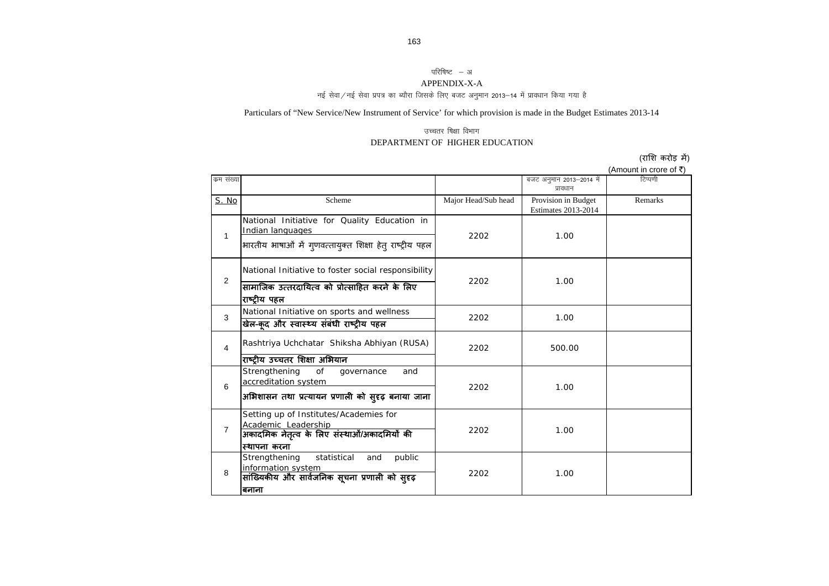### परिषिष्ट – अ

#### APPENDIX-X-A

नई सेवा/नई सेवा प्रपत्र का ब्यौरा जिसके लिए बजट अनुमान 2013—14 में प्रावधान किया गया है

Particulars of "New Service/New Instrument of Service' for which provision is made in the Budget Estimates 2013-14

#### उच्चतर षिक्षा विभाग DEPARTMENT OF HIGHER EDUCATION

(राशि करोड़ में)

(Amount in crore of  $\bar{\tau}$ )

| कम संख्या      |                                                                                                                                 |                     | बजट अनुमान 2013-2014 में<br>प्रावधान       | टिप्पणी |
|----------------|---------------------------------------------------------------------------------------------------------------------------------|---------------------|--------------------------------------------|---------|
| S. No          | Scheme                                                                                                                          | Major Head/Sub head | Provision in Budget<br>Estimates 2013-2014 | Remarks |
| $\mathbf{1}$   | National Initiative for Quality Education in<br>Indian languages<br>भारतीय भाषाओं में गुणवत्तायुक्त शिक्षा हेतु राष्ट्रीय पहल   | 2202                | 1.00                                       |         |
| 2              | National Initiative to foster social responsibility<br>सामाजिक उत्तरदायित्व को प्रोत्साहित करने के लिए<br>राष्ट्रीय पहल         | 2202                | 1.00                                       |         |
| 3              | National Initiative on sports and wellness<br>खेल-कूद और स्वास्थ्य संबंधी राष्ट्रीय पहल                                         | 2202                | 1.00                                       |         |
| 4              | Rashtriya Uchchatar Shiksha Abhiyan (RUSA)<br>राष्ट्रीय उच्चतर शिक्षा अभियान                                                    | 2202                | 500.00                                     |         |
| 6              | Strengthening<br>of<br>governance<br>and<br>accreditation system<br>अभिशासन तथा प्रत्यायन प्रणाली को सुदृढ़ बनाया जाना          | 2202                | 1.00                                       |         |
| $\overline{7}$ | Setting up of Institutes/Academies for<br>Academic Leadership<br>अकादमिक नेतृत्व के लिए संस्थाओं/अकादमियों की<br>स्थापना करना   | 2202                | 1.00                                       |         |
| 8              | Strengthening<br>statistical<br>public<br>and<br>information system<br>सांख्यिकीय और सार्वजनिक सूचना प्रणाली को सुदृढ़<br>बनाना | 2202                | 1.00                                       |         |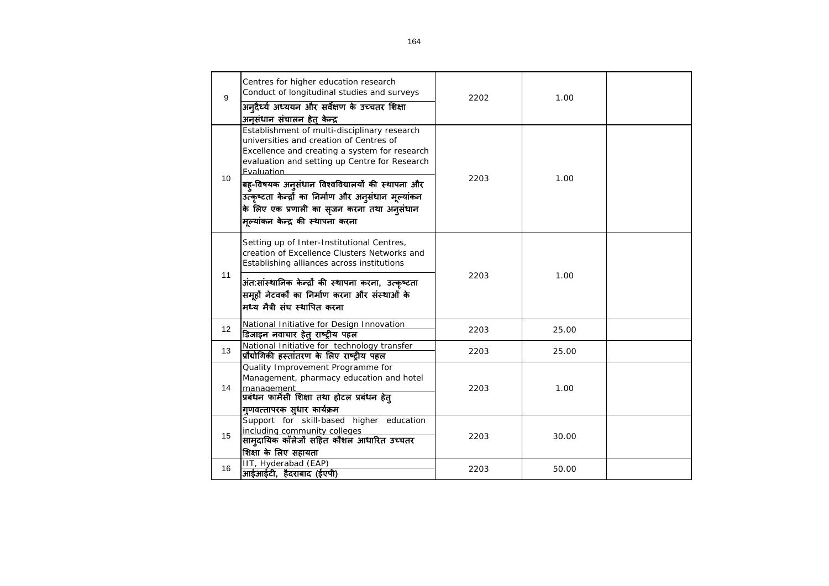| 9               | Centres for higher education research<br>Conduct of longitudinal studies and surveys<br>अन्दैर्ध्य अध्ययन और सर्वेक्षण के उच्चतर शिक्षा<br>अनुसंधान संचालन हेत् केन्द्र                                                                                                                                                                                                                                  | 2202 | 1.00  |  |
|-----------------|----------------------------------------------------------------------------------------------------------------------------------------------------------------------------------------------------------------------------------------------------------------------------------------------------------------------------------------------------------------------------------------------------------|------|-------|--|
| 10 <sup>°</sup> | Establishment of multi-disciplinary research<br>universities and creation of Centres of<br>Excellence and creating a system for research<br>evaluation and setting up Centre for Research<br>Fvaluation<br>बह्-विषयक अनुसंधान विश्वविद्यालयों की स्थापना और<br>उत्कृष्टता केन्द्रों का निर्माण और अनुसंधान मूल्यांकन<br>के लिए एक प्रणाली का सृजन करना तथा अनुसंधान<br>मूल्यांकन केन्द्र की स्थापना करना | 2203 | 1.00  |  |
|                 | Setting up of Inter-Institutional Centres,<br>creation of Excellence Clusters Networks and<br>Establishing alliances across institutions                                                                                                                                                                                                                                                                 |      |       |  |
| 11              | अंत:सांस्थानिक केन्द्रों की स्थापना करना, उत्कृष्टता<br>समूहों नेटवर्कों का निर्माण करना और संस्थाओं के<br>मध्य मैत्री संघ स्थापित करना                                                                                                                                                                                                                                                                  | 2203 | 1.00  |  |
| 12              | National Initiative for Design Innovation<br>डिजाइन नवाचार हेतू राष्ट्रीय पहल                                                                                                                                                                                                                                                                                                                            | 2203 | 25.00 |  |
| 13              | National Initiative for technology transfer<br>प्रौद्योगिकी हस्तांतरण के लिए राष्ट्रीय पहल                                                                                                                                                                                                                                                                                                               | 2203 | 25.00 |  |
| 14              | Quality Improvement Programme for<br>Management, pharmacy education and hotel<br>management<br>प्रबंधन फार्मेसी शिक्षा तथा होटल प्रबंधन हेत्<br>गुणवत्तापरक स्धार कार्यक्रम                                                                                                                                                                                                                              | 2203 | 1.00  |  |
| 15              | Support for skill-based higher education<br>including community colleges<br>सामुदायिक कॉलेजों सहित कौशल आधारित उच्चतर<br>शिक्षा के लिए सहायता                                                                                                                                                                                                                                                            | 2203 | 30.00 |  |
| 16              | IIT, Hyderabad (EAP)<br>आईआईटी, हैदराबाद (ईएपी)                                                                                                                                                                                                                                                                                                                                                          | 2203 | 50.00 |  |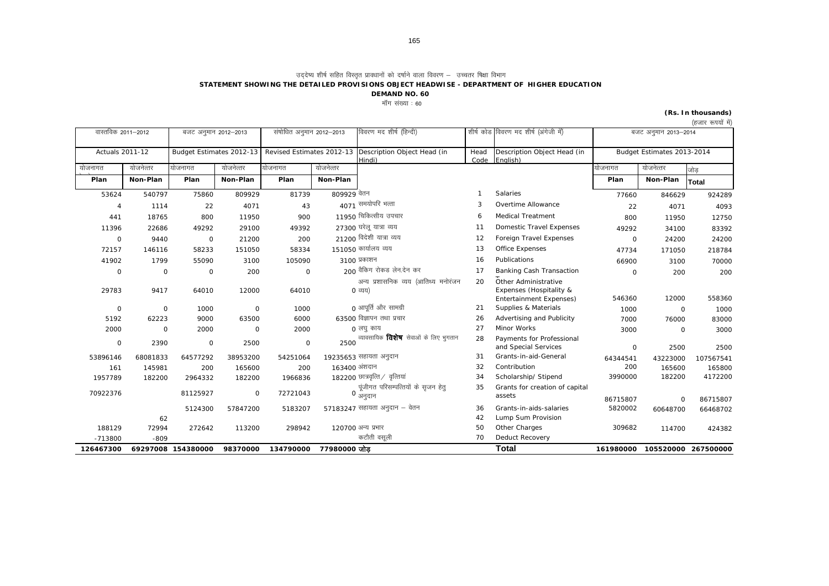उददेष्य शीर्ष सहित विस्तृत प्रावधानों को दर्षाने वाला विवरण — उच्चतर षिक्षा विभाग

**STATEMENT SHOWING THE DETAILED PROVISIONS OBJECT HEADWISE - DEPARTMENT OF HIGHER EDUCATION**

**DEMAND NO. 60**

मॉॅंग संख्या $:60$ 

#### **(Rs. In thousands)**

| (हजार रूपयो मे) |  |
|-----------------|--|
|                 |  |

| वास्तविक 2011–2012     |             | बजट अनुमान 2012-2013 |                          | संषोधित अनुमान 2012–2013 |               | विवरण मद शीर्ष (हिन्दी)                                         |              | शीर्ष कोड विवरण मद शीर्ष (अंगेजी में)                                      |              | बजट अनुमान 2013-2014       |           |
|------------------------|-------------|----------------------|--------------------------|--------------------------|---------------|-----------------------------------------------------------------|--------------|----------------------------------------------------------------------------|--------------|----------------------------|-----------|
| <b>Actuals 2011-12</b> |             |                      | Budget Estimates 2012-13 |                          |               | Revised Estimates 2012-13 Description Object Head (in<br>Hindi) | Head<br>Code | Description Object Head (in<br>English)                                    |              | Budget Estimates 2013-2014 |           |
| योजनागत                | योजनेत्तर   | योजनागत              | योजनेत्तर                | योजनागत                  | योजनेत्तर     |                                                                 |              |                                                                            | योजनागत      | योजनेत्तर                  | जोड       |
| Plan                   | Non-Plan    | Plan                 | Non-Plan                 | Plan                     | Non-Plan      |                                                                 |              |                                                                            | Plan         | Non-Plan                   | Total     |
| 53624                  | 540797      | 75860                | 809929                   | 81739                    | 809929 वेतन   |                                                                 |              | Salaries                                                                   | 77660        | 846629                     | 924289    |
| $\overline{4}$         | 1114        | 22                   | 4071                     | 43                       |               | 4071 समयोपरि भत्ता                                              | 3            | Overtime Allowance                                                         | 22           | 4071                       | 4093      |
| 441                    | 18765       | 800                  | 11950                    | 900                      |               | 11950 चिकित्सीय उपचार                                           | 6            | <b>Medical Treatment</b>                                                   | 800          | 11950                      | 12750     |
| 11396                  | 22686       | 49292                | 29100                    | 49392                    |               | 27300 घरेलू यात्रा व्यय                                         | 11           | Domestic Travel Expenses                                                   | 49292        | 34100                      | 83392     |
| $\mathbf 0$            | 9440        | $\mathbf 0$          | 21200                    | 200                      |               | 21200 विदेशी यात्रा व्यय                                        | 12           | Foreign Travel Expenses                                                    | $\mathbf 0$  | 24200                      | 24200     |
| 72157                  | 146116      | 58233                | 151050                   | 58334                    |               | 151050 कार्यालय व्यय                                            | 13           | Office Expenses                                                            | 47734        | 171050                     | 218784    |
| 41902                  | 1799        | 55090                | 3100                     | 105090                   |               | 3100 प्रकाशन                                                    | 16           | Publications                                                               | 66900        | 3100                       | 70000     |
| $\circ$                | $\circ$     | $\mathbf 0$          | 200                      | $\mathbf 0$              |               | 200 वैकिंग रोकड लेन.देन कर                                      | 17           | Banking Cash Transaction                                                   | $\mathsf{O}$ | 200                        | 200       |
| 29783                  | 9417        | 64010                | 12000                    | 64010                    |               | अन्य प्रशासनिक व्यय (आतिथ्य मनोरंजन<br>0 व्यय)                  | 20           | Other Administrative<br>Expenses (Hospitality &<br>Entertainment Expenses) | 546360       | 12000                      | 558360    |
| $\mathbf 0$            | $\mathbf 0$ | 1000                 | $\circ$                  | 1000                     |               | ∩ आपूर्ति और सामग्री                                            | 21           | Supplies & Materials                                                       | 1000         | 0                          | 1000      |
| 5192                   | 62223       | 9000                 | 63500                    | 6000                     |               | 63500 विज्ञापन तथा प्रचार                                       | 26           | Advertising and Publicity                                                  | 7000         | 76000                      | 83000     |
| 2000                   | $\mathbf 0$ | 2000                 | $\mathbf 0$              | 2000                     |               | 0 लघु काय                                                       | 27           | Minor Works                                                                | 3000         | 0                          | 3000      |
| $\mathbf 0$            | 2390        | $\mathbf 0$          | 2500                     | $\mathsf O$              | 2500          | व्यावसायिक <b>विशेष</b> सेवाओं के लिए भूगतान                    | 28           | Payments for Professional<br>and Special Services                          | $\circ$      | 2500                       | 2500      |
| 53896146               | 68081833    | 64577292             | 38953200                 | 54251064                 |               | 19235653 सहायता अनुदान                                          | 31           | Grants-in-aid-General                                                      | 64344541     | 43223000                   | 107567541 |
| 161                    | 145981      | 200                  | 165600                   | 200                      | 163400 अंशदान |                                                                 | 32           | Contribution                                                               | 200          | 165600                     | 165800    |
| 1957789                | 182200      | 2964332              | 182200                   | 1966836                  |               | $182200$ छात्रवृत्ति $/$ वृत्तियां                              | 34           | Scholarship/ Stipend                                                       | 3990000      | 182200                     | 4172200   |
| 70922376               |             | 81125927             | $\mathsf{O}$             | 72721043                 |               | पूंजीगत परिसम्पत्तियों के सृजन हेतु<br>0 अनुदान                 | 35           | Grants for creation of capital<br>assets                                   | 86715807     | O                          | 86715807  |
|                        |             | 5124300              | 57847200                 | 5183207                  |               | 57183247 सहायता अनुदान – वेतन                                   | 36           | Grants-in-aids-salaries                                                    | 5820002      | 60648700                   | 66468702  |
|                        | 62          |                      |                          |                          |               |                                                                 | 42           | Lump Sum Provision                                                         |              |                            |           |
| 188129                 | 72994       | 272642               | 113200                   | 298942                   |               | 120700 अन्य प्रभार                                              | 50           | Other Charges                                                              | 309682       | 114700                     | 424382    |
| $-713800$              | $-809$      |                      |                          |                          |               | कटौती वसूली                                                     | 70           | Deduct Recovery                                                            |              |                            |           |
| 126467300              |             | 69297008 154380000   | 98370000                 | 134790000                | 77980000 जोड  |                                                                 |              | <b>Total</b>                                                               | 161980000    | 105520000 267500000        |           |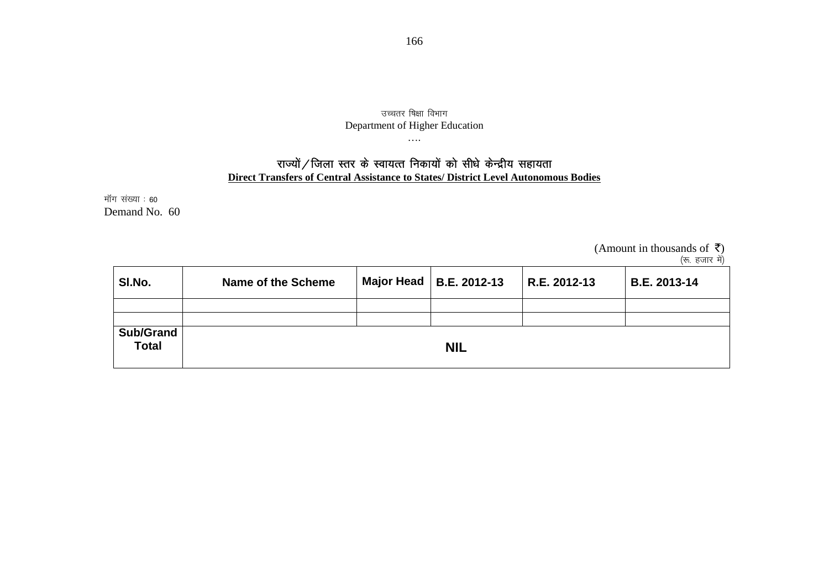### उच्चतर षिक्षा विभाग Department of Higher Education

## राज्यों / जिला स्तर के स्वायत्त निकायों को सीधे केन्द्रीय सहायता **Direct Transfers of Central Assistance to States/ District Level Autonomous Bodies**

….

मॉग संख्या : 60 Demand No. 60

> (Amount in thousands of  $\bar{z}$ ) (रू. हजार में)

| SI.No.                    | Name of the Scheme | Major Head   B.E. 2012-13 | R.E. 2012-13 | B.E. 2013-14 |
|---------------------------|--------------------|---------------------------|--------------|--------------|
|                           |                    |                           |              |              |
| Sub/Grand<br><b>Total</b> |                    | <b>NIL</b>                |              |              |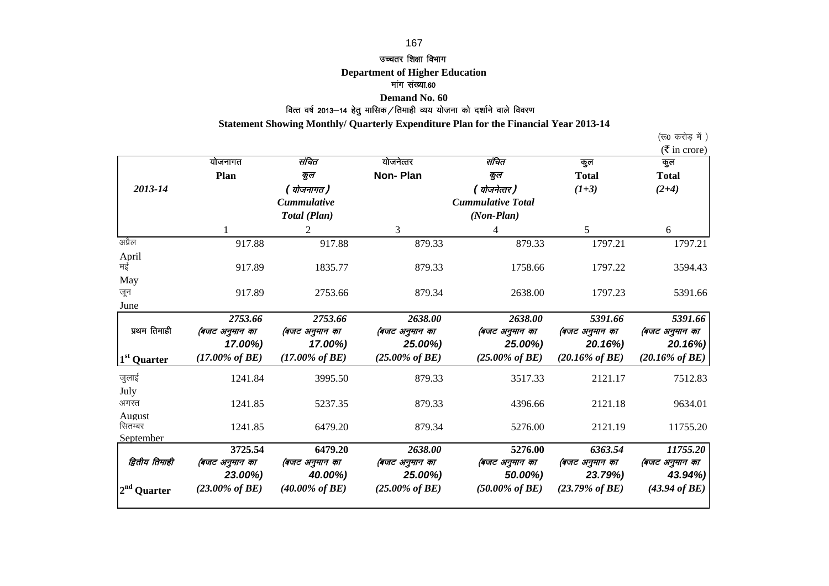### 167

#### उच्चतर शिक्षा विभाग

#### **Department of Higher Education**

#### मांग संख्या.60

### .<br>वित्त वर्ष 2013—14 हेतु मासिक ⁄ तिमाही व्यय योजना को दर्शाने वाले विवरण **Demand No. 60**

 **Statement Showing Monthly/ Quarterly Expenditure Plan for the Financial Year 2013-14**

(रू0 करोड़ में )

|                         |                            |                            |                            |                            |                            | $(\overline{\mathfrak{k}})$ in crore) |
|-------------------------|----------------------------|----------------------------|----------------------------|----------------------------|----------------------------|---------------------------------------|
|                         | योजनागत                    | संचित                      | योजनेत्तर                  | संचित                      | कुल                        | कल                                    |
|                         | Plan                       | कुल                        | <b>Non-Plan</b>            | कुल                        | <b>Total</b>               | <b>Total</b>                          |
| 2013-14                 |                            | ( योजनागत )                |                            | ( योजनेत्तर )              | $(1+3)$                    | $(2+4)$                               |
|                         |                            | <b>Cummulative</b>         |                            | <b>Cummulative Total</b>   |                            |                                       |
|                         |                            | Total (Plan)               |                            | $(Non-Plan)$               |                            |                                       |
|                         |                            | $\overline{2}$             | 3                          | 4                          | 5                          | 6                                     |
| अप्रैल                  | 917.88                     | 917.88                     | 879.33                     | 879.33                     | 1797.21                    | 1797.21                               |
| April                   |                            |                            |                            |                            |                            |                                       |
| मई                      | 917.89                     | 1835.77                    | 879.33                     | 1758.66                    | 1797.22                    | 3594.43                               |
| May                     |                            |                            |                            |                            |                            |                                       |
| जून                     | 917.89                     | 2753.66                    | 879.34                     | 2638.00                    | 1797.23                    | 5391.66                               |
| June                    |                            |                            |                            |                            |                            |                                       |
|                         | 2753.66                    | 2753.66                    | 2638.00                    | 2638.00                    | 5391.66                    | 5391.66                               |
| प्रथम तिमाही            | (बजट अनुमान का             | (बजट अनुमान का             | (बजट अनुमान का             | (बजट अनुमान का             | (बजट अनुमान का             | (बजट अनुमान का                        |
|                         | 17.00%)                    | 17.00%)                    | 25.00%)                    | 25.00%)                    | 20.16%)                    | 20.16%)                               |
| 1 <sup>st</sup> Quarter | $(17.00\% \text{ of } BE)$ | $(17.00\% \text{ of } BE)$ | $(25.00\% \text{ of } BE)$ | $(25.00\% \text{ of } BE)$ | $(20.16\% \text{ of } BE)$ | $(20.16\% \text{ of } BE)$            |
| जुलाई                   | 1241.84                    | 3995.50                    | 879.33                     | 3517.33                    | 2121.17                    | 7512.83                               |
| July                    |                            |                            |                            |                            |                            |                                       |
| अगस्त                   | 1241.85                    | 5237.35                    | 879.33                     | 4396.66                    | 2121.18                    | 9634.01                               |
| August                  |                            |                            |                            |                            |                            |                                       |
| सितम्बर                 | 1241.85                    | 6479.20                    | 879.34                     | 5276.00                    | 2121.19                    | 11755.20                              |
| September               |                            |                            |                            |                            |                            |                                       |
|                         | 3725.54                    | 6479.20                    | 2638.00                    | 5276.00                    | 6363.54                    | 11755.20                              |
| द्वितीय तिमाही          | (बजट अनुमान का             | (बजट अनुमान का             | (बजट अनुमान का             | (बजट अनुमान का             | (बजट अनुमान का             | (बजट अनुमान का                        |
|                         | 23.00%)                    | 40.00%)                    | 25.00%)                    | 50.00%)                    | 23.79%)                    | 43.94%)                               |
| $2nd$ Quarter           | $(23.00\% \text{ of } BE)$ | $(40.00\% \text{ of } BE)$ | $(25.00\% \text{ of } BE)$ | $(50.00\% \text{ of } BE)$ | $(23.79\% \text{ of } BE)$ | $(43.94 \text{ of } BE)$              |
|                         |                            |                            |                            |                            |                            |                                       |